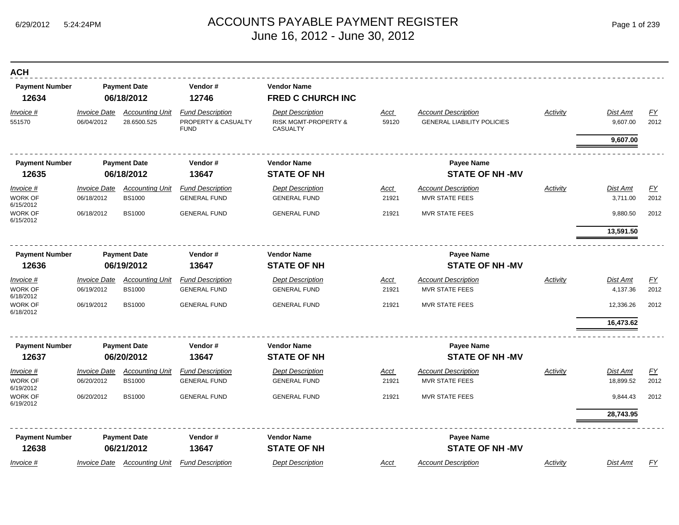| <b>ACH</b>                        |                                   |                                         |                                                               |                                                                    |                      |                                                                 |                 |                       |                          |
|-----------------------------------|-----------------------------------|-----------------------------------------|---------------------------------------------------------------|--------------------------------------------------------------------|----------------------|-----------------------------------------------------------------|-----------------|-----------------------|--------------------------|
| <b>Payment Number</b><br>12634    |                                   | <b>Payment Date</b><br>06/18/2012       | Vendor#<br>12746                                              | <b>Vendor Name</b><br><b>FRED C CHURCH INC</b>                     |                      |                                                                 |                 |                       |                          |
| Invoice #<br>551570               | <b>Invoice Date</b><br>06/04/2012 | <b>Accounting Unit</b><br>28.6500.525   | <b>Fund Description</b><br>PROPERTY & CASUALTY<br><b>FUND</b> | <b>Dept Description</b><br>RISK MGMT-PROPERTY &<br><b>CASUALTY</b> | <b>Acct</b><br>59120 | <b>Account Description</b><br><b>GENERAL LIABILITY POLICIES</b> | <b>Activity</b> | Dist Amt<br>9,607.00  | $\underline{FY}$<br>2012 |
|                                   |                                   |                                         |                                                               |                                                                    |                      |                                                                 |                 | 9,607.00              |                          |
| <b>Payment Number</b>             |                                   | <b>Payment Date</b>                     | Vendor#                                                       | <b>Vendor Name</b>                                                 |                      | Payee Name                                                      |                 |                       |                          |
| 12635                             |                                   | 06/18/2012                              | 13647                                                         | <b>STATE OF NH</b>                                                 |                      | <b>STATE OF NH-MV</b>                                           |                 |                       |                          |
| Invoice #<br>WORK OF              | <b>Invoice Date</b><br>06/18/2012 | <b>Accounting Unit</b><br><b>BS1000</b> | <b>Fund Description</b><br><b>GENERAL FUND</b>                | <b>Dept Description</b><br><b>GENERAL FUND</b>                     | <u>Acct</u><br>21921 | <b>Account Description</b><br><b>MVR STATE FEES</b>             | Activity        | Dist Amt<br>3,711.00  | EY<br>2012               |
| 6/15/2012<br>WORK OF<br>6/15/2012 | 06/18/2012                        | <b>BS1000</b>                           | <b>GENERAL FUND</b>                                           | <b>GENERAL FUND</b>                                                | 21921                | <b>MVR STATE FEES</b>                                           |                 | 9,880.50              | 2012                     |
|                                   |                                   |                                         |                                                               |                                                                    |                      |                                                                 |                 | 13,591.50             |                          |
| <b>Payment Number</b>             |                                   | <b>Payment Date</b>                     | Vendor#                                                       | <b>Vendor Name</b>                                                 |                      | <b>Payee Name</b>                                               |                 |                       |                          |
| 12636                             |                                   | 06/19/2012                              | 13647                                                         | <b>STATE OF NH</b>                                                 |                      | <b>STATE OF NH-MV</b>                                           |                 |                       |                          |
| Invoice #                         | <b>Invoice Date</b>               | <b>Accounting Unit</b>                  | <b>Fund Description</b>                                       | <b>Dept Description</b>                                            | Acct                 | <b>Account Description</b>                                      | Activity        | Dist Amt              | EY                       |
| WORK OF<br>6/18/2012              | 06/19/2012                        | <b>BS1000</b>                           | <b>GENERAL FUND</b>                                           | <b>GENERAL FUND</b>                                                | 21921                | <b>MVR STATE FEES</b>                                           |                 | 4,137.36              | 2012                     |
| <b>WORK OF</b><br>6/18/2012       | 06/19/2012                        | <b>BS1000</b>                           | <b>GENERAL FUND</b>                                           | <b>GENERAL FUND</b>                                                | 21921                | <b>MVR STATE FEES</b>                                           |                 | 12,336.26             | 2012                     |
|                                   |                                   |                                         |                                                               |                                                                    |                      |                                                                 |                 | 16,473.62             |                          |
| <b>Payment Number</b>             |                                   | <b>Payment Date</b>                     | Vendor#                                                       | <b>Vendor Name</b>                                                 |                      | <b>Payee Name</b>                                               |                 |                       |                          |
| 12637                             |                                   | 06/20/2012                              | 13647                                                         | <b>STATE OF NH</b>                                                 |                      | <b>STATE OF NH-MV</b>                                           |                 |                       |                          |
| Invoice #<br>WORK OF              | <b>Invoice Date</b><br>06/20/2012 | <b>Accounting Unit</b><br><b>BS1000</b> | <b>Fund Description</b><br><b>GENERAL FUND</b>                | <b>Dept Description</b><br><b>GENERAL FUND</b>                     | Acct<br>21921        | <b>Account Description</b><br><b>MVR STATE FEES</b>             | Activity        | Dist Amt<br>18,899.52 | EY<br>2012               |
| 6/19/2012<br>WORK OF<br>6/19/2012 | 06/20/2012                        | <b>BS1000</b>                           | <b>GENERAL FUND</b>                                           | <b>GENERAL FUND</b>                                                | 21921                | <b>MVR STATE FEES</b>                                           |                 | 9,844.43              | 2012                     |
|                                   |                                   |                                         |                                                               |                                                                    |                      |                                                                 |                 | 28,743.95             |                          |
| <b>Payment Number</b>             |                                   | <b>Payment Date</b>                     | Vendor#                                                       | <b>Vendor Name</b>                                                 |                      | <b>Payee Name</b>                                               |                 |                       |                          |
| 12638                             |                                   | 06/21/2012                              | 13647                                                         | <b>STATE OF NH</b>                                                 |                      | <b>STATE OF NH-MV</b>                                           |                 |                       |                          |
| Invoice #                         | <b>Invoice Date</b>               | <b>Accounting Unit</b>                  | <b>Fund Description</b>                                       | <b>Dept Description</b>                                            | Acct                 | <b>Account Description</b>                                      | Activity        | Dist Amt              | FY                       |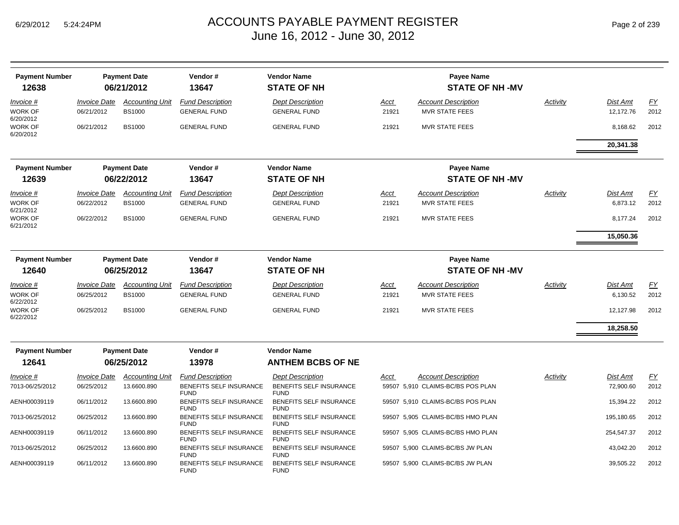| <b>Payment Number</b>                    |                                   | <b>Payment Date</b>                     | Vendor#                                        | <b>Vendor Name</b>                             |                      | <b>Payee Name</b>                                   |          |                              |                   |
|------------------------------------------|-----------------------------------|-----------------------------------------|------------------------------------------------|------------------------------------------------|----------------------|-----------------------------------------------------|----------|------------------------------|-------------------|
| 12638                                    |                                   | 06/21/2012                              | 13647                                          | <b>STATE OF NH</b>                             |                      | <b>STATE OF NH-MV</b>                               |          |                              |                   |
| Invoice #<br>WORK OF<br>6/20/2012        | <b>Invoice Date</b><br>06/21/2012 | <b>Accounting Unit</b><br><b>BS1000</b> | <b>Fund Description</b><br><b>GENERAL FUND</b> | <b>Dept Description</b><br><b>GENERAL FUND</b> | <u>Acct</u><br>21921 | <b>Account Description</b><br><b>MVR STATE FEES</b> | Activity | <b>Dist Amt</b><br>12,172.76 | EY<br>2012        |
| WORK OF<br>6/20/2012                     | 06/21/2012                        | <b>BS1000</b>                           | <b>GENERAL FUND</b>                            | <b>GENERAL FUND</b>                            | 21921                | <b>MVR STATE FEES</b>                               |          | 8,168.62                     | 2012              |
|                                          |                                   |                                         |                                                |                                                |                      |                                                     |          | 20,341.38                    |                   |
| <b>Payment Number</b><br>12639           |                                   | <b>Payment Date</b><br>06/22/2012       | Vendor#<br>13647                               | <b>Vendor Name</b><br><b>STATE OF NH</b>       |                      | <b>Payee Name</b><br><b>STATE OF NH-MV</b>          |          |                              |                   |
| Invoice #                                | <b>Invoice Date</b>               | <b>Accounting Unit</b>                  | <b>Fund Description</b>                        | <b>Dept Description</b>                        | <u>Acct</u>          | <b>Account Description</b>                          | Activity | Dist Amt                     | EY                |
| WORK OF<br>6/21/2012                     | 06/22/2012                        | <b>BS1000</b>                           | <b>GENERAL FUND</b>                            | <b>GENERAL FUND</b>                            | 21921                | <b>MVR STATE FEES</b>                               |          | 6,873.12                     | 2012              |
| WORK OF<br>6/21/2012                     | 06/22/2012                        | <b>BS1000</b>                           | <b>GENERAL FUND</b>                            | <b>GENERAL FUND</b>                            | 21921                | <b>MVR STATE FEES</b>                               |          | 8,177.24                     | 2012              |
|                                          |                                   |                                         |                                                |                                                |                      |                                                     |          | 15,050.36                    |                   |
| <b>Payment Number</b>                    |                                   | <b>Payment Date</b>                     | Vendor#                                        | <b>Vendor Name</b>                             |                      | <b>Payee Name</b>                                   |          |                              |                   |
| 12640                                    |                                   | 06/25/2012                              | 13647                                          | <b>STATE OF NH</b>                             |                      | <b>STATE OF NH-MV</b>                               |          |                              |                   |
| <i>Invoice</i> #<br>WORK OF<br>6/22/2012 | <b>Invoice Date</b><br>06/25/2012 | <b>Accounting Unit</b><br><b>BS1000</b> | <b>Fund Description</b><br><b>GENERAL FUND</b> | <b>Dept Description</b><br><b>GENERAL FUND</b> | Acct<br>21921        | <b>Account Description</b><br><b>MVR STATE FEES</b> | Activity | Dist Amt<br>6,130.52         | <u>FY</u><br>2012 |
| WORK OF<br>6/22/2012                     | 06/25/2012                        | <b>BS1000</b>                           | <b>GENERAL FUND</b>                            | <b>GENERAL FUND</b>                            | 21921                | <b>MVR STATE FEES</b>                               |          | 12,127.98                    | 2012              |
|                                          |                                   |                                         |                                                |                                                |                      |                                                     |          | 18,258.50                    |                   |
| <b>Payment Number</b>                    |                                   | <b>Payment Date</b>                     | Vendor#                                        | <b>Vendor Name</b>                             |                      |                                                     |          |                              |                   |
| 12641                                    |                                   | 06/25/2012                              | 13978                                          | <b>ANTHEM BCBS OF NE</b>                       |                      |                                                     |          |                              |                   |
| <i>Invoice</i> #                         | <b>Invoice Date</b>               | <b>Accounting Unit</b>                  | <b>Fund Description</b>                        | <b>Dept Description</b>                        | Acct                 | <b>Account Description</b>                          | Activity | Dist Amt                     | EY                |
| 7013-06/25/2012                          | 06/25/2012                        | 13.6600.890                             | BENEFITS SELF INSURANCE<br><b>FUND</b>         | BENEFITS SELF INSURANCE<br><b>FUND</b>         |                      | 59507 5,910 CLAIMS-BC/BS POS PLAN                   |          | 72,900.60                    | 2012              |
| AENH00039119                             | 06/11/2012                        | 13.6600.890                             | BENEFITS SELF INSURANCE<br><b>FUND</b>         | BENEFITS SELF INSURANCE<br><b>FUND</b>         |                      | 59507 5,910 CLAIMS-BC/BS POS PLAN                   |          | 15,394.22                    | 2012              |
| 7013-06/25/2012                          | 06/25/2012                        | 13.6600.890                             | BENEFITS SELF INSURANCE<br><b>FUND</b>         | BENEFITS SELF INSURANCE<br><b>FUND</b>         |                      | 59507 5,905 CLAIMS-BC/BS HMO PLAN                   |          | 195,180.65                   | 2012              |
| AENH00039119                             | 06/11/2012                        | 13.6600.890                             | BENEFITS SELF INSURANCE<br><b>FUND</b>         | BENEFITS SELF INSURANCE<br><b>FUND</b>         |                      | 59507 5,905 CLAIMS-BC/BS HMO PLAN                   |          | 254,547.37                   | 2012              |
| 7013-06/25/2012                          | 06/25/2012                        | 13.6600.890                             | BENEFITS SELF INSURANCE<br><b>FUND</b>         | BENEFITS SELF INSURANCE<br><b>FUND</b>         |                      | 59507 5,900 CLAIMS-BC/BS JW PLAN                    |          | 43,042.20                    | 2012              |
| AENH00039119                             | 06/11/2012                        | 13.6600.890                             | BENEFITS SELF INSURANCE<br><b>FUND</b>         | BENEFITS SELF INSURANCE<br><b>FUND</b>         |                      | 59507 5,900 CLAIMS-BC/BS JW PLAN                    |          | 39,505.22                    | 2012              |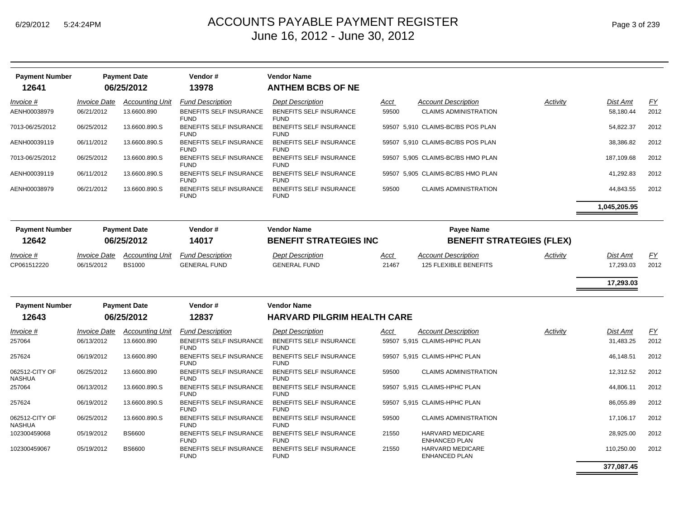| <b>Payment Number</b><br>12641  |                                   | <b>Payment Date</b><br>06/25/2012       | Vendor#<br>13978                               | <b>Vendor Name</b><br><b>ANTHEM BCBS OF NE</b> |               |                                                     |          |                       |            |
|---------------------------------|-----------------------------------|-----------------------------------------|------------------------------------------------|------------------------------------------------|---------------|-----------------------------------------------------|----------|-----------------------|------------|
| Invoice #                       | <b>Invoice Date</b>               | <b>Accounting Unit</b>                  | <b>Fund Description</b>                        | <b>Dept Description</b>                        | Acct          | <b>Account Description</b>                          | Activity | Dist Amt              | <u>FY</u>  |
| AENH00038979                    | 06/21/2012                        | 13.6600.890                             | <b>BENEFITS SELF INSURANCE</b><br><b>FUND</b>  | <b>BENEFITS SELF INSURANCE</b><br><b>FUND</b>  | 59500         | <b>CLAIMS ADMINISTRATION</b>                        |          | 58,180.44             | 2012       |
| 7013-06/25/2012                 | 06/25/2012                        | 13.6600.890.S                           | BENEFITS SELF INSURANCE<br><b>FUND</b>         | BENEFITS SELF INSURANCE<br><b>FUND</b>         |               | 59507 5,910 CLAIMS-BC/BS POS PLAN                   |          | 54,822.37             | 2012       |
| AENH00039119                    | 06/11/2012                        | 13.6600.890.S                           | <b>BENEFITS SELF INSURANCE</b><br><b>FUND</b>  | <b>BENEFITS SELF INSURANCE</b><br><b>FUND</b>  |               | 59507 5,910 CLAIMS-BC/BS POS PLAN                   |          | 38,386.82             | 2012       |
| 7013-06/25/2012                 | 06/25/2012                        | 13.6600.890.S                           | BENEFITS SELF INSURANCE<br><b>FUND</b>         | BENEFITS SELF INSURANCE<br><b>FUND</b>         |               | 59507 5,905 CLAIMS-BC/BS HMO PLAN                   |          | 187,109.68            | 2012       |
| AENH00039119                    | 06/11/2012                        | 13.6600.890.S                           | BENEFITS SELF INSURANCE<br><b>FUND</b>         | BENEFITS SELF INSURANCE<br><b>FUND</b>         |               | 59507 5,905 CLAIMS-BC/BS HMO PLAN                   |          | 41,292.83             | 2012       |
| AENH00038979                    | 06/21/2012                        | 13.6600.890.S                           | BENEFITS SELF INSURANCE<br><b>FUND</b>         | BENEFITS SELF INSURANCE<br><b>FUND</b>         | 59500         | <b>CLAIMS ADMINISTRATION</b>                        |          | 44,843.55             | 2012       |
|                                 |                                   |                                         |                                                |                                                |               |                                                     |          | 1,045,205.95          |            |
| <b>Payment Number</b>           |                                   | <b>Payment Date</b>                     | Vendor#                                        | <b>Vendor Name</b>                             |               | <b>Payee Name</b>                                   |          |                       |            |
| 12642                           |                                   | 06/25/2012                              | 14017                                          | <b>BENEFIT STRATEGIES INC</b>                  |               | <b>BENEFIT STRATEGIES (FLEX)</b>                    |          |                       |            |
| Invoice #<br>CP061512220        | <b>Invoice Date</b><br>06/15/2012 | <b>Accounting Unit</b><br><b>BS1000</b> | <b>Fund Description</b><br><b>GENERAL FUND</b> | <b>Dept Description</b><br><b>GENERAL FUND</b> | Acct<br>21467 | <b>Account Description</b><br>125 FLEXIBLE BENEFITS | Activity | Dist Amt<br>17,293.03 | EY<br>2012 |
|                                 |                                   |                                         |                                                |                                                |               |                                                     |          | 17,293.03             |            |
| <b>Payment Number</b>           |                                   | <b>Payment Date</b>                     | Vendor#                                        | <b>Vendor Name</b>                             |               |                                                     |          |                       |            |
| 12643                           |                                   | 06/25/2012                              | 12837                                          | <b>HARVARD PILGRIM HEALTH CARE</b>             |               |                                                     |          |                       |            |
| <u>Invoice #</u>                | <b>Invoice Date</b>               | <b>Accounting Unit</b>                  | <b>Fund Description</b>                        | <b>Dept Description</b>                        | Acct          | <b>Account Description</b>                          | Activity | Dist Amt              | EY         |
| 257064                          | 06/13/2012                        | 13.6600.890                             | BENEFITS SELF INSURANCE<br><b>FUND</b>         | <b>BENEFITS SELF INSURANCE</b><br><b>FUND</b>  |               | 59507 5,915 CLAIMS-HPHC PLAN                        |          | 31,483.25             | 2012       |
| 257624                          | 06/19/2012                        | 13.6600.890                             | BENEFITS SELF INSURANCE<br><b>FUND</b>         | BENEFITS SELF INSURANCE<br><b>FUND</b>         |               | 59507 5,915 CLAIMS-HPHC PLAN                        |          | 46,148.51             | 2012       |
| 062512-CITY OF<br><b>NASHUA</b> | 06/25/2012                        | 13.6600.890                             | BENEFITS SELF INSURANCE<br><b>FUND</b>         | <b>BENEFITS SELF INSURANCE</b><br><b>FUND</b>  | 59500         | <b>CLAIMS ADMINISTRATION</b>                        |          | 12,312.52             | 2012       |
| 257064                          | 06/13/2012                        | 13.6600.890.S                           | BENEFITS SELF INSURANCE<br><b>FUND</b>         | BENEFITS SELF INSURANCE<br><b>FUND</b>         |               | 59507 5,915 CLAIMS-HPHC PLAN                        |          | 44,806.11             | 2012       |
| 257624                          | 06/19/2012                        | 13.6600.890.S                           | BENEFITS SELF INSURANCE<br><b>FUND</b>         | BENEFITS SELF INSURANCE<br><b>FUND</b>         |               | 59507 5,915 CLAIMS-HPHC PLAN                        |          | 86,055.89             | 2012       |
| 062512-CITY OF<br><b>NASHUA</b> | 06/25/2012                        | 13.6600.890.S                           | BENEFITS SELF INSURANCE<br><b>FUND</b>         | BENEFITS SELF INSURANCE<br><b>FUND</b>         | 59500         | <b>CLAIMS ADMINISTRATION</b>                        |          | 17,106.17             | 2012       |
| 102300459068                    | 05/19/2012                        | <b>BS6600</b>                           | BENEFITS SELF INSURANCE<br><b>FUND</b>         | BENEFITS SELF INSURANCE<br><b>FUND</b>         | 21550         | HARVARD MEDICARE<br><b>ENHANCED PLAN</b>            |          | 28,925.00             | 2012       |
| 102300459067                    | 05/19/2012                        | <b>BS6600</b>                           | BENEFITS SELF INSURANCE<br><b>FUND</b>         | BENEFITS SELF INSURANCE<br><b>FUND</b>         | 21550         | HARVARD MEDICARE<br><b>ENHANCED PLAN</b>            |          | 110,250.00            | 2012       |
|                                 |                                   |                                         |                                                |                                                |               |                                                     |          | 377.087.45            |            |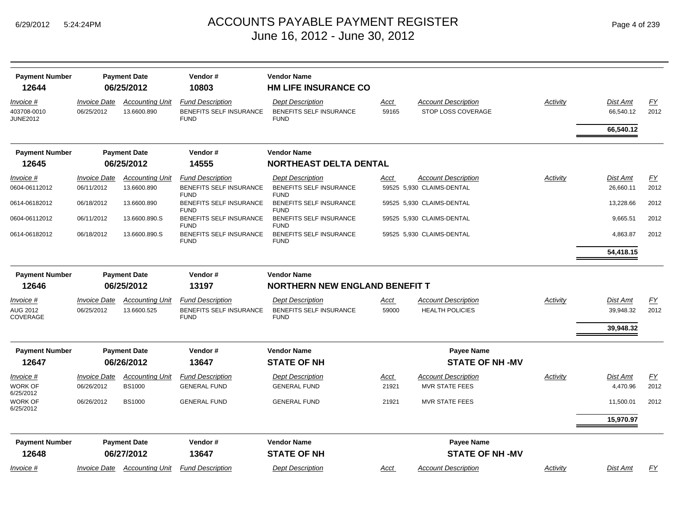|  | Page 4 of 239 |  |  |  |
|--|---------------|--|--|--|
|--|---------------|--|--|--|

| <b>Payment Number</b>          |                            | <b>Payment Date</b>    | Vendor#                                | <b>Vendor Name</b>                     |             |                            |          |           |                  |
|--------------------------------|----------------------------|------------------------|----------------------------------------|----------------------------------------|-------------|----------------------------|----------|-----------|------------------|
| 12644                          |                            | 06/25/2012             | 10803                                  | <b>HM LIFE INSURANCE CO</b>            |             |                            |          |           |                  |
| Invoice #                      | <i><b>Invoice Date</b></i> | <b>Accounting Unit</b> | <b>Fund Description</b>                | <b>Dept Description</b>                | <u>Acct</u> | <b>Account Description</b> | Activity | Dist Amt  | EY               |
| 403708-0010<br><b>JUNE2012</b> | 06/25/2012                 | 13.6600.890            | BENEFITS SELF INSURANCE<br><b>FUND</b> | BENEFITS SELF INSURANCE<br><b>FUND</b> | 59165       | STOP LOSS COVERAGE         |          | 66,540.12 | 2012             |
|                                |                            |                        |                                        |                                        |             |                            |          | 66,540.12 |                  |
| <b>Payment Number</b>          |                            | <b>Payment Date</b>    | Vendor#                                | <b>Vendor Name</b>                     |             |                            |          |           |                  |
| 12645                          |                            | 06/25/2012             | 14555                                  | <b>NORTHEAST DELTA DENTAL</b>          |             |                            |          |           |                  |
| Invoice #                      | <b>Invoice Date</b>        | <b>Accounting Unit</b> | <b>Fund Description</b>                | <b>Dept Description</b>                | Acct        | <b>Account Description</b> | Activity | Dist Amt  | $\underline{FY}$ |
| 0604-06112012                  | 06/11/2012                 | 13.6600.890            | BENEFITS SELF INSURANCE<br><b>FUND</b> | BENEFITS SELF INSURANCE<br><b>FUND</b> |             | 59525 5,930 CLAIMS-DENTAL  |          | 26,660.11 | 2012             |
| 0614-06182012                  | 06/18/2012                 | 13.6600.890            | BENEFITS SELF INSURANCE<br><b>FUND</b> | BENEFITS SELF INSURANCE<br><b>FUND</b> |             | 59525 5,930 CLAIMS-DENTAL  |          | 13,228.66 | 2012             |
| 0604-06112012                  | 06/11/2012                 | 13.6600.890.S          | BENEFITS SELF INSURANCE<br><b>FUND</b> | BENEFITS SELF INSURANCE<br><b>FUND</b> |             | 59525 5,930 CLAIMS-DENTAL  |          | 9,665.51  | 2012             |
| 0614-06182012                  | 06/18/2012                 | 13.6600.890.S          | BENEFITS SELF INSURANCE<br><b>FUND</b> | BENEFITS SELF INSURANCE<br><b>FUND</b> |             | 59525 5,930 CLAIMS-DENTAL  |          | 4,863.87  | 2012             |
|                                |                            |                        |                                        |                                        |             |                            |          | 54,418.15 |                  |
| <b>Payment Number</b>          |                            | <b>Payment Date</b>    | Vendor#                                | <b>Vendor Name</b>                     |             |                            |          |           |                  |
| 12646                          |                            | 06/25/2012             | 13197                                  | <b>NORTHERN NEW ENGLAND BENEFIT T</b>  |             |                            |          |           |                  |
| Invoice #                      | <b>Invoice Date</b>        | <b>Accounting Unit</b> | <b>Fund Description</b>                | <b>Dept Description</b>                | Acct        | <b>Account Description</b> | Activity | Dist Amt  | EY               |
| AUG 2012<br>COVERAGE           | 06/25/2012                 | 13.6600.525            | BENEFITS SELF INSURANCE<br><b>FUND</b> | BENEFITS SELF INSURANCE<br><b>FUND</b> | 59000       | <b>HEALTH POLICIES</b>     |          | 39,948.32 | 2012             |
|                                |                            |                        |                                        |                                        |             |                            |          | 39,948.32 |                  |
| <b>Payment Number</b>          |                            | <b>Payment Date</b>    | Vendor#                                | <b>Vendor Name</b>                     |             | <b>Payee Name</b>          |          |           |                  |
| 12647                          |                            | 06/26/2012             | 13647                                  | <b>STATE OF NH</b>                     |             | <b>STATE OF NH-MV</b>      |          |           |                  |
| Invoice #                      | <b>Invoice Date</b>        | <b>Accounting Unit</b> | <b>Fund Description</b>                | <b>Dept Description</b>                | <u>Acct</u> | <b>Account Description</b> | Activity | Dist Amt  | <u>FY</u>        |
| WORK OF<br>6/25/2012           | 06/26/2012                 | <b>BS1000</b>          | <b>GENERAL FUND</b>                    | <b>GENERAL FUND</b>                    | 21921       | <b>MVR STATE FEES</b>      |          | 4,470.96  | 2012             |
| WORK OF<br>6/25/2012           | 06/26/2012                 | <b>BS1000</b>          | <b>GENERAL FUND</b>                    | <b>GENERAL FUND</b>                    | 21921       | <b>MVR STATE FEES</b>      |          | 11,500.01 | 2012             |
|                                |                            |                        |                                        |                                        |             |                            |          | 15,970.97 |                  |
| <b>Payment Number</b>          |                            | <b>Payment Date</b>    | Vendor#                                | <b>Vendor Name</b>                     |             | <b>Payee Name</b>          |          |           |                  |
| 12648                          |                            | 06/27/2012             | 13647                                  | <b>STATE OF NH</b>                     |             | <b>STATE OF NH-MV</b>      |          |           |                  |
| Invoice #                      | Invoice Date               | <b>Accounting Unit</b> | <b>Fund Description</b>                | <b>Dept Description</b>                | <u>Acct</u> | <b>Account Description</b> | Activity | Dist Amt  | EY               |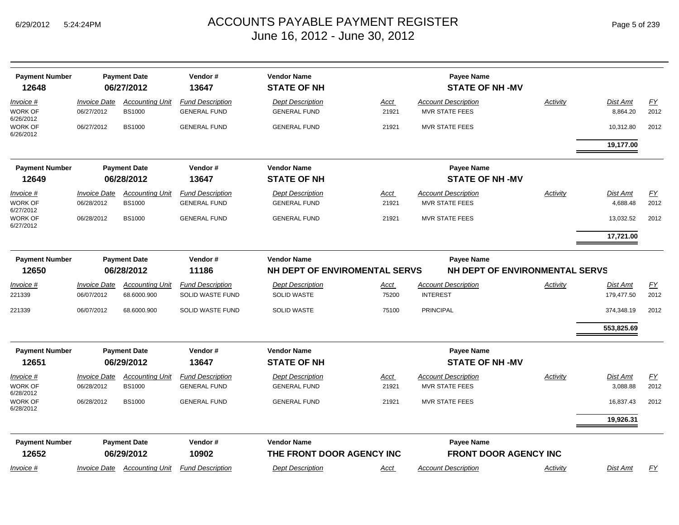| <b>Payment Number</b>       |                     | <b>Payment Date</b>    | Vendor#                 | <b>Vendor Name</b>            |             | <b>Payee Name</b>            |                                |            |      |
|-----------------------------|---------------------|------------------------|-------------------------|-------------------------------|-------------|------------------------------|--------------------------------|------------|------|
| 12648                       |                     | 06/27/2012             | 13647                   | <b>STATE OF NH</b>            |             | <b>STATE OF NH-MV</b>        |                                |            |      |
| Invoice #                   | <b>Invoice Date</b> | <b>Accounting Unit</b> | <b>Fund Description</b> | <b>Dept Description</b>       | Acct        | <b>Account Description</b>   | Activity                       | Dist Amt   | EY   |
| <b>WORK OF</b><br>6/26/2012 | 06/27/2012          | <b>BS1000</b>          | <b>GENERAL FUND</b>     | <b>GENERAL FUND</b>           | 21921       | <b>MVR STATE FEES</b>        |                                | 8,864.20   | 2012 |
| WORK OF<br>6/26/2012        | 06/27/2012          | <b>BS1000</b>          | <b>GENERAL FUND</b>     | <b>GENERAL FUND</b>           | 21921       | <b>MVR STATE FEES</b>        |                                | 10,312.80  | 2012 |
|                             |                     |                        |                         |                               |             |                              |                                | 19,177.00  |      |
| <b>Payment Number</b>       |                     | <b>Payment Date</b>    | Vendor#                 | <b>Vendor Name</b>            |             | <b>Payee Name</b>            |                                |            |      |
| 12649                       |                     | 06/28/2012             | 13647                   | <b>STATE OF NH</b>            |             | <b>STATE OF NH-MV</b>        |                                |            |      |
| Invoice #                   | <b>Invoice Date</b> | <b>Accounting Unit</b> | <b>Fund Description</b> | <b>Dept Description</b>       | <u>Acct</u> | <b>Account Description</b>   | Activity                       | Dist Amt   | EY   |
| <b>WORK OF</b><br>6/27/2012 | 06/28/2012          | <b>BS1000</b>          | <b>GENERAL FUND</b>     | <b>GENERAL FUND</b>           | 21921       | <b>MVR STATE FEES</b>        |                                | 4,688.48   | 2012 |
| WORK OF<br>6/27/2012        | 06/28/2012          | <b>BS1000</b>          | <b>GENERAL FUND</b>     | <b>GENERAL FUND</b>           | 21921       | <b>MVR STATE FEES</b>        |                                | 13,032.52  | 2012 |
|                             |                     |                        |                         |                               |             |                              |                                | 17,721.00  |      |
| <b>Payment Number</b>       |                     | <b>Payment Date</b>    | Vendor#                 | <b>Vendor Name</b>            |             | <b>Payee Name</b>            |                                |            |      |
| 12650                       |                     | 06/28/2012             | 11186                   | NH DEPT OF ENVIROMENTAL SERVS |             |                              | NH DEPT OF ENVIRONMENTAL SERVS |            |      |
| Invoice #                   | <b>Invoice Date</b> | <b>Accounting Unit</b> | <b>Fund Description</b> | <b>Dept Description</b>       | Acct        | <b>Account Description</b>   | Activity                       | Dist Amt   | EY   |
| 221339                      | 06/07/2012          | 68.6000.900            | <b>SOLID WASTE FUND</b> | <b>SOLID WASTE</b>            | 75200       | <b>INTEREST</b>              |                                | 179,477.50 | 2012 |
| 221339                      | 06/07/2012          | 68.6000.900            | SOLID WASTE FUND        | <b>SOLID WASTE</b>            | 75100       | <b>PRINCIPAL</b>             |                                | 374,348.19 | 2012 |
|                             |                     |                        |                         |                               |             |                              |                                | 553,825.69 |      |
| <b>Payment Number</b>       |                     | <b>Payment Date</b>    | Vendor#                 | <b>Vendor Name</b>            |             | <b>Payee Name</b>            |                                |            |      |
| 12651                       |                     | 06/29/2012             | 13647                   | <b>STATE OF NH</b>            |             | <b>STATE OF NH-MV</b>        |                                |            |      |
| Invoice #                   | <b>Invoice Date</b> | <b>Accounting Unit</b> | <b>Fund Description</b> | <b>Dept Description</b>       | Acct        | <b>Account Description</b>   | Activity                       | Dist Amt   | EY   |
| <b>WORK OF</b><br>6/28/2012 | 06/28/2012          | <b>BS1000</b>          | <b>GENERAL FUND</b>     | <b>GENERAL FUND</b>           | 21921       | <b>MVR STATE FEES</b>        |                                | 3,088.88   | 2012 |
| WORK OF<br>6/28/2012        | 06/28/2012          | <b>BS1000</b>          | <b>GENERAL FUND</b>     | <b>GENERAL FUND</b>           | 21921       | <b>MVR STATE FEES</b>        |                                | 16,837.43  | 2012 |
|                             |                     |                        |                         |                               |             |                              |                                | 19,926.31  |      |
| <b>Payment Number</b>       |                     | <b>Payment Date</b>    | Vendor#                 | <b>Vendor Name</b>            |             | <b>Payee Name</b>            |                                |            |      |
| 12652                       |                     | 06/29/2012             | 10902                   | THE FRONT DOOR AGENCY INC     |             | <b>FRONT DOOR AGENCY INC</b> |                                |            |      |
| Invoice #                   | <b>Invoice Date</b> | <b>Accounting Unit</b> | <b>Fund Description</b> | <b>Dept Description</b>       | Acct        | <b>Account Description</b>   | Activity                       | Dist Amt   | FY   |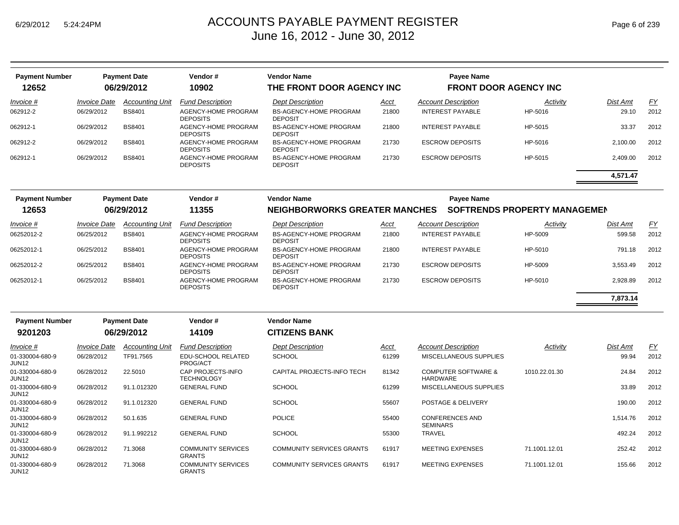| <b>Payment Number</b>    |                     | <b>Payment Date</b>    | Vendor#                                    | <b>Vendor Name</b>                              |             | <b>Payee Name</b>                          |                                     |          |      |
|--------------------------|---------------------|------------------------|--------------------------------------------|-------------------------------------------------|-------------|--------------------------------------------|-------------------------------------|----------|------|
| 12652                    |                     | 06/29/2012             | 10902                                      | THE FRONT DOOR AGENCY INC                       |             | <b>FRONT DOOR AGENCY INC</b>               |                                     |          |      |
| Invoice #                | <b>Invoice Date</b> | <b>Accounting Unit</b> | <b>Fund Description</b>                    | <b>Dept Description</b>                         | Acct        | <b>Account Description</b>                 | Activity                            | Dist Amt | EY   |
| 062912-2                 | 06/29/2012          | BS8401                 | AGENCY-HOME PROGRAM<br><b>DEPOSITS</b>     | <b>BS-AGENCY-HOME PROGRAM</b><br><b>DEPOSIT</b> | 21800       | <b>INTEREST PAYABLE</b>                    | HP-5016                             | 29.10    | 2012 |
| 062912-1                 | 06/29/2012          | <b>BS8401</b>          | AGENCY-HOME PROGRAM<br><b>DEPOSITS</b>     | <b>BS-AGENCY-HOME PROGRAM</b><br><b>DEPOSIT</b> | 21800       | <b>INTEREST PAYABLE</b>                    | HP-5015                             | 33.37    | 2012 |
| 062912-2                 | 06/29/2012          | <b>BS8401</b>          | AGENCY-HOME PROGRAM<br><b>DEPOSITS</b>     | <b>BS-AGENCY-HOME PROGRAM</b><br><b>DEPOSIT</b> | 21730       | <b>ESCROW DEPOSITS</b>                     | HP-5016                             | 2,100.00 | 2012 |
| 062912-1                 | 06/29/2012          | <b>BS8401</b>          | AGENCY-HOME PROGRAM<br><b>DEPOSITS</b>     | <b>BS-AGENCY-HOME PROGRAM</b><br><b>DEPOSIT</b> | 21730       | <b>ESCROW DEPOSITS</b>                     | HP-5015                             | 2,409.00 | 2012 |
|                          |                     |                        |                                            |                                                 |             |                                            |                                     | 4,571.47 |      |
| <b>Payment Number</b>    |                     | <b>Payment Date</b>    | Vendor#                                    | <b>Vendor Name</b>                              |             | <b>Payee Name</b>                          |                                     |          |      |
| 12653                    |                     | 06/29/2012             | 11355                                      | <b>NEIGHBORWORKS GREATER MANCHES</b>            |             |                                            | <b>SOFTRENDS PROPERTY MANAGEMEN</b> |          |      |
| Invoice #                | <b>Invoice Date</b> | <b>Accounting Unit</b> | <b>Fund Description</b>                    | <b>Dept Description</b>                         | Acct        | <b>Account Description</b>                 | Activity                            | Dist Amt | EY   |
| 06252012-2               | 06/25/2012          | BS8401                 | AGENCY-HOME PROGRAM<br><b>DEPOSITS</b>     | <b>BS-AGENCY-HOME PROGRAM</b><br><b>DEPOSIT</b> | 21800       | <b>INTEREST PAYABLE</b>                    | HP-5009                             | 599.58   | 2012 |
| 06252012-1               | 06/25/2012          | <b>BS8401</b>          | AGENCY-HOME PROGRAM<br><b>DEPOSITS</b>     | <b>BS-AGENCY-HOME PROGRAM</b><br><b>DEPOSIT</b> | 21800       | <b>INTEREST PAYABLE</b>                    | HP-5010                             | 791.18   | 2012 |
| 06252012-2               | 06/25/2012          | <b>BS8401</b>          | AGENCY-HOME PROGRAM<br><b>DEPOSITS</b>     | <b>BS-AGENCY-HOME PROGRAM</b><br><b>DEPOSIT</b> | 21730       | <b>ESCROW DEPOSITS</b>                     | HP-5009                             | 3,553.49 | 2012 |
| 06252012-1               | 06/25/2012          | <b>BS8401</b>          | AGENCY-HOME PROGRAM<br><b>DEPOSITS</b>     | BS-AGENCY-HOME PROGRAM<br><b>DEPOSIT</b>        | 21730       | <b>ESCROW DEPOSITS</b>                     | HP-5010                             | 2,928.89 | 2012 |
|                          |                     |                        |                                            |                                                 |             |                                            |                                     | 7,873.14 |      |
| <b>Payment Number</b>    |                     | <b>Payment Date</b>    | Vendor#                                    | <b>Vendor Name</b>                              |             |                                            |                                     |          |      |
| 9201203                  |                     | 06/29/2012             | 14109                                      | <b>CITIZENS BANK</b>                            |             |                                            |                                     |          |      |
| Invoice #                | <b>Invoice Date</b> | <b>Accounting Unit</b> | <b>Fund Description</b>                    | <b>Dept Description</b>                         | <u>Acct</u> | <b>Account Description</b>                 | Activity                            | Dist Amt | EY   |
| 01-330004-680-9<br>JUN12 | 06/28/2012          | TF91.7565              | EDU-SCHOOL RELATED<br>PROG/ACT             | <b>SCHOOL</b>                                   | 61299       | MISCELLANEOUS SUPPLIES                     |                                     | 99.94    | 2012 |
| 01-330004-680-9<br>JUN12 | 06/28/2012          | 22.5010                | CAP PROJECTS-INFO<br><b>TECHNOLOGY</b>     | CAPITAL PROJECTS-INFO TECH                      | 81342       | <b>COMPUTER SOFTWARE &amp;</b><br>HARDWARE | 1010.22.01.30                       | 24.84    | 2012 |
| 01-330004-680-9<br>JUN12 | 06/28/2012          | 91.1.012320            | <b>GENERAL FUND</b>                        | <b>SCHOOL</b>                                   | 61299       | MISCELLANEOUS SUPPLIES                     |                                     | 33.89    | 2012 |
| 01-330004-680-9<br>JUN12 | 06/28/2012          | 91.1.012320            | <b>GENERAL FUND</b>                        | <b>SCHOOL</b>                                   | 55607       | POSTAGE & DELIVERY                         |                                     | 190.00   | 2012 |
| 01-330004-680-9<br>JUN12 | 06/28/2012          | 50.1.635               | <b>GENERAL FUND</b>                        | <b>POLICE</b>                                   | 55400       | <b>CONFERENCES AND</b><br><b>SEMINARS</b>  |                                     | 1,514.76 | 2012 |
| 01-330004-680-9<br>JUN12 | 06/28/2012          | 91.1.992212            | <b>GENERAL FUND</b>                        | <b>SCHOOL</b>                                   | 55300       | TRAVEL                                     |                                     | 492.24   | 2012 |
| 01-330004-680-9<br>JUN12 | 06/28/2012          | 71.3068                | <b>COMMUNITY SERVICES</b><br><b>GRANTS</b> | <b>COMMUNITY SERVICES GRANTS</b>                | 61917       | <b>MEETING EXPENSES</b>                    | 71.1001.12.01                       | 252.42   | 2012 |
| 01-330004-680-9<br>JUN12 | 06/28/2012          | 71.3068                | <b>COMMUNITY SERVICES</b><br><b>GRANTS</b> | <b>COMMUNITY SERVICES GRANTS</b>                | 61917       | <b>MEETING EXPENSES</b>                    | 71.1001.12.01                       | 155.66   | 2012 |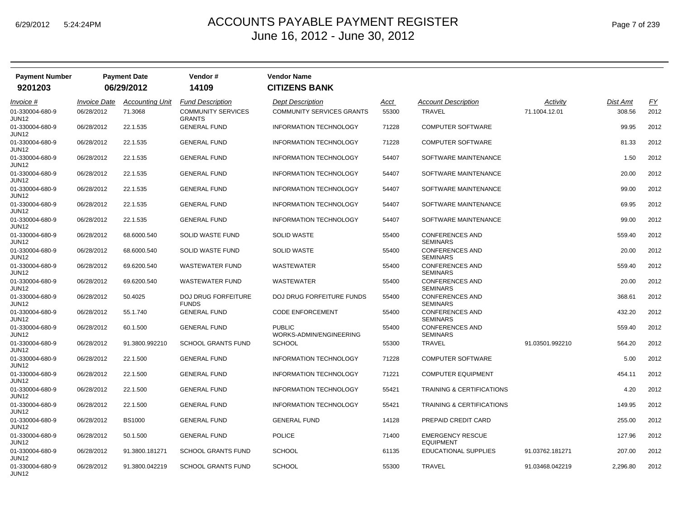| <b>Payment Number</b>    |                            | <b>Payment Date</b>    | Vendor #                                   | <b>Vendor Name</b>                       |       |                                             |                 |          |      |
|--------------------------|----------------------------|------------------------|--------------------------------------------|------------------------------------------|-------|---------------------------------------------|-----------------|----------|------|
| 9201203                  |                            | 06/29/2012             | 14109                                      | <b>CITIZENS BANK</b>                     |       |                                             |                 |          |      |
| <i>Invoice</i> #         | <i><b>Invoice Date</b></i> | <b>Accounting Unit</b> | <b>Fund Description</b>                    | <b>Dept Description</b>                  | Acct  | <b>Account Description</b>                  | Activity        | Dist Amt | EY   |
| 01-330004-680-9<br>JUN12 | 06/28/2012                 | 71.3068                | <b>COMMUNITY SERVICES</b><br><b>GRANTS</b> | <b>COMMUNITY SERVICES GRANTS</b>         | 55300 | <b>TRAVEL</b>                               | 71.1004.12.01   | 308.56   | 2012 |
| 01-330004-680-9<br>JUN12 | 06/28/2012                 | 22.1.535               | <b>GENERAL FUND</b>                        | INFORMATION TECHNOLOGY                   | 71228 | <b>COMPUTER SOFTWARE</b>                    |                 | 99.95    | 2012 |
| 01-330004-680-9<br>JUN12 | 06/28/2012                 | 22.1.535               | <b>GENERAL FUND</b>                        | <b>INFORMATION TECHNOLOGY</b>            | 71228 | <b>COMPUTER SOFTWARE</b>                    |                 | 81.33    | 2012 |
| 01-330004-680-9<br>JUN12 | 06/28/2012                 | 22.1.535               | <b>GENERAL FUND</b>                        | <b>INFORMATION TECHNOLOGY</b>            | 54407 | SOFTWARE MAINTENANCE                        |                 | 1.50     | 2012 |
| 01-330004-680-9<br>JUN12 | 06/28/2012                 | 22.1.535               | <b>GENERAL FUND</b>                        | INFORMATION TECHNOLOGY                   | 54407 | SOFTWARE MAINTENANCE                        |                 | 20.00    | 2012 |
| 01-330004-680-9<br>JUN12 | 06/28/2012                 | 22.1.535               | <b>GENERAL FUND</b>                        | <b>INFORMATION TECHNOLOGY</b>            | 54407 | SOFTWARE MAINTENANCE                        |                 | 99.00    | 2012 |
| 01-330004-680-9<br>JUN12 | 06/28/2012                 | 22.1.535               | <b>GENERAL FUND</b>                        | <b>INFORMATION TECHNOLOGY</b>            | 54407 | SOFTWARE MAINTENANCE                        |                 | 69.95    | 2012 |
| 01-330004-680-9<br>JUN12 | 06/28/2012                 | 22.1.535               | <b>GENERAL FUND</b>                        | <b>INFORMATION TECHNOLOGY</b>            | 54407 | SOFTWARE MAINTENANCE                        |                 | 99.00    | 2012 |
| 01-330004-680-9<br>JUN12 | 06/28/2012                 | 68.6000.540            | SOLID WASTE FUND                           | <b>SOLID WASTE</b>                       | 55400 | <b>CONFERENCES AND</b><br><b>SEMINARS</b>   |                 | 559.40   | 2012 |
| 01-330004-680-9<br>JUN12 | 06/28/2012                 | 68.6000.540            | SOLID WASTE FUND                           | <b>SOLID WASTE</b>                       | 55400 | <b>CONFERENCES AND</b><br><b>SEMINARS</b>   |                 | 20.00    | 2012 |
| 01-330004-680-9<br>JUN12 | 06/28/2012                 | 69.6200.540            | <b>WASTEWATER FUND</b>                     | WASTEWATER                               | 55400 | <b>CONFERENCES AND</b><br><b>SEMINARS</b>   |                 | 559.40   | 2012 |
| 01-330004-680-9<br>JUN12 | 06/28/2012                 | 69.6200.540            | <b>WASTEWATER FUND</b>                     | <b>WASTEWATER</b>                        | 55400 | <b>CONFERENCES AND</b><br><b>SEMINARS</b>   |                 | 20.00    | 2012 |
| 01-330004-680-9<br>JUN12 | 06/28/2012                 | 50.4025                | <b>DOJ DRUG FORFEITURE</b><br><b>FUNDS</b> | <b>DOJ DRUG FORFEITURE FUNDS</b>         | 55400 | <b>CONFERENCES AND</b><br><b>SEMINARS</b>   |                 | 368.61   | 2012 |
| 01-330004-680-9<br>JUN12 | 06/28/2012                 | 55.1.740               | <b>GENERAL FUND</b>                        | <b>CODE ENFORCEMENT</b>                  | 55400 | <b>CONFERENCES AND</b><br><b>SEMINARS</b>   |                 | 432.20   | 2012 |
| 01-330004-680-9<br>JUN12 | 06/28/2012                 | 60.1.500               | <b>GENERAL FUND</b>                        | <b>PUBLIC</b><br>WORKS-ADMIN/ENGINEERING | 55400 | <b>CONFERENCES AND</b><br><b>SEMINARS</b>   |                 | 559.40   | 2012 |
| 01-330004-680-9<br>JUN12 | 06/28/2012                 | 91.3800.992210         | <b>SCHOOL GRANTS FUND</b>                  | <b>SCHOOL</b>                            | 55300 | <b>TRAVEL</b>                               | 91.03501.992210 | 564.20   | 2012 |
| 01-330004-680-9<br>JUN12 | 06/28/2012                 | 22.1.500               | <b>GENERAL FUND</b>                        | <b>INFORMATION TECHNOLOGY</b>            | 71228 | <b>COMPUTER SOFTWARE</b>                    |                 | 5.00     | 2012 |
| 01-330004-680-9<br>JUN12 | 06/28/2012                 | 22.1.500               | <b>GENERAL FUND</b>                        | <b>INFORMATION TECHNOLOGY</b>            | 71221 | <b>COMPUTER EQUIPMENT</b>                   |                 | 454.11   | 2012 |
| 01-330004-680-9<br>JUN12 | 06/28/2012                 | 22.1.500               | <b>GENERAL FUND</b>                        | INFORMATION TECHNOLOGY                   | 55421 | <b>TRAINING &amp; CERTIFICATIONS</b>        |                 | 4.20     | 2012 |
| 01-330004-680-9<br>JUN12 | 06/28/2012                 | 22.1.500               | <b>GENERAL FUND</b>                        | <b>INFORMATION TECHNOLOGY</b>            | 55421 | <b>TRAINING &amp; CERTIFICATIONS</b>        |                 | 149.95   | 2012 |
| 01-330004-680-9<br>JUN12 | 06/28/2012                 | <b>BS1000</b>          | <b>GENERAL FUND</b>                        | <b>GENERAL FUND</b>                      | 14128 | PREPAID CREDIT CARD                         |                 | 255.00   | 2012 |
| 01-330004-680-9<br>JUN12 | 06/28/2012                 | 50.1.500               | <b>GENERAL FUND</b>                        | <b>POLICE</b>                            | 71400 | <b>EMERGENCY RESCUE</b><br><b>EQUIPMENT</b> |                 | 127.96   | 2012 |
| 01-330004-680-9<br>JUN12 | 06/28/2012                 | 91.3800.181271         | <b>SCHOOL GRANTS FUND</b>                  | <b>SCHOOL</b>                            | 61135 | EDUCATIONAL SUPPLIES                        | 91.03762.181271 | 207.00   | 2012 |
| 01-330004-680-9<br>JUN12 | 06/28/2012                 | 91.3800.042219         | <b>SCHOOL GRANTS FUND</b>                  | <b>SCHOOL</b>                            | 55300 | TRAVEL                                      | 91.03468.042219 | 2,296.80 | 2012 |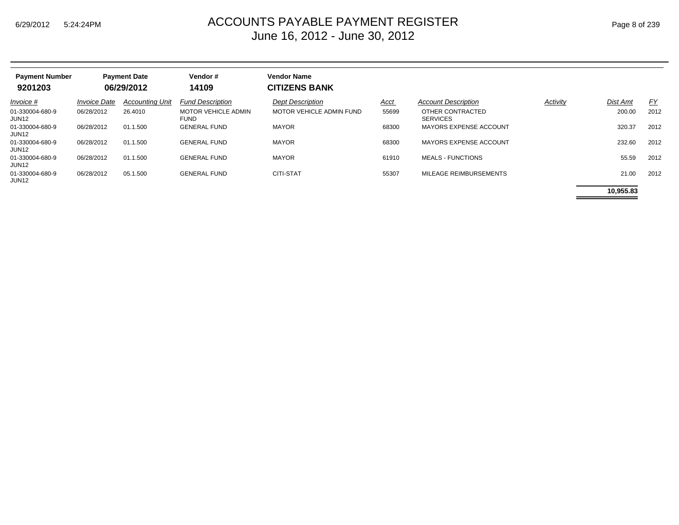| <b>Payment Number</b><br>9201203 |                     | <b>Payment Date</b><br>06/29/2012 | Vendor#<br>14109                   | <b>Vendor Name</b><br><b>CITIZENS BANK</b> |             |                                     |          |           |      |
|----------------------------------|---------------------|-----------------------------------|------------------------------------|--------------------------------------------|-------------|-------------------------------------|----------|-----------|------|
| Invoice #                        | <b>Invoice Date</b> | <b>Accounting Unit</b>            | <b>Fund Description</b>            | <b>Dept Description</b>                    | <u>Acct</u> | <b>Account Description</b>          | Activity | Dist Amt  | FY   |
| 01-330004-680-9<br>JUN12         | 06/28/2012          | 26.4010                           | MOTOR VEHICLE ADMIN<br><b>FUND</b> | <b>MOTOR VEHICLE ADMIN FUND</b>            | 55699       | OTHER CONTRACTED<br><b>SERVICES</b> |          | 200.00    | 2012 |
| 01-330004-680-9<br>JUN12         | 06/28/2012          | 01.1.500                          | <b>GENERAL FUND</b>                | <b>MAYOR</b>                               | 68300       | <b>MAYORS EXPENSE ACCOUNT</b>       |          | 320.37    | 2012 |
| 01-330004-680-9<br>JUN12         | 06/28/2012          | 01.1.500                          | <b>GENERAL FUND</b>                | <b>MAYOR</b>                               | 68300       | <b>MAYORS EXPENSE ACCOUNT</b>       |          | 232.60    | 2012 |
| 01-330004-680-9<br>JUN12         | 06/28/2012          | 01.1.500                          | <b>GENERAL FUND</b>                | <b>MAYOR</b>                               | 61910       | <b>MEALS - FUNCTIONS</b>            |          | 55.59     | 2012 |
| 01-330004-680-9<br>JUN12         | 06/28/2012          | 05.1.500                          | <b>GENERAL FUND</b>                | <b>CITI-STAT</b>                           | 55307       | MILEAGE REIMBURSEMENTS              |          | 21.00     | 2012 |
|                                  |                     |                                   |                                    |                                            |             |                                     |          | 10.955.83 |      |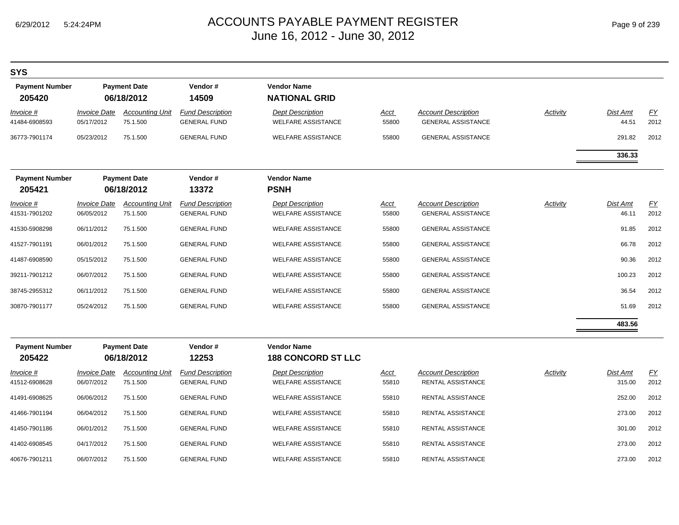| <b>SYS</b>                        |                                          |                                    |                                                |                                                      |                      |                                                         |                 |                          |                          |
|-----------------------------------|------------------------------------------|------------------------------------|------------------------------------------------|------------------------------------------------------|----------------------|---------------------------------------------------------|-----------------|--------------------------|--------------------------|
| <b>Payment Number</b><br>205420   |                                          | <b>Payment Date</b><br>06/18/2012  | Vendor#<br>14509                               | <b>Vendor Name</b><br><b>NATIONAL GRID</b>           |                      |                                                         |                 |                          |                          |
| <i>Invoice</i> #<br>41484-6908593 | <i><b>Invoice Date</b></i><br>05/17/2012 | <b>Accounting Unit</b><br>75.1.500 | <b>Fund Description</b><br><b>GENERAL FUND</b> | <b>Dept Description</b><br><b>WELFARE ASSISTANCE</b> | Acct<br>55800        | <b>Account Description</b><br><b>GENERAL ASSISTANCE</b> | Activity        | Dist Amt<br>44.51        | <u>FY</u><br>2012        |
| 36773-7901174                     | 05/23/2012                               | 75.1.500                           | <b>GENERAL FUND</b>                            | <b>WELFARE ASSISTANCE</b>                            | 55800                | <b>GENERAL ASSISTANCE</b>                               |                 | 291.82                   | 2012                     |
|                                   |                                          |                                    |                                                |                                                      |                      |                                                         |                 | 336.33                   |                          |
| <b>Payment Number</b><br>205421   |                                          | <b>Payment Date</b><br>06/18/2012  | Vendor#<br>13372                               | <b>Vendor Name</b><br><b>PSNH</b>                    |                      |                                                         |                 |                          |                          |
| <u>Invoice #</u><br>41531-7901202 | <i><b>Invoice Date</b></i><br>06/05/2012 | <b>Accounting Unit</b><br>75.1.500 | <b>Fund Description</b><br><b>GENERAL FUND</b> | <b>Dept Description</b><br><b>WELFARE ASSISTANCE</b> | <u>Acct</u><br>55800 | <b>Account Description</b><br><b>GENERAL ASSISTANCE</b> | <b>Activity</b> | <u>Dist Amt</u><br>46.11 | $\underline{FY}$<br>2012 |
| 41530-5908298                     | 06/11/2012                               | 75.1.500                           | <b>GENERAL FUND</b>                            | <b>WELFARE ASSISTANCE</b>                            | 55800                | <b>GENERAL ASSISTANCE</b>                               |                 | 91.85                    | 2012                     |
| 41527-7901191                     | 06/01/2012                               | 75.1.500                           | <b>GENERAL FUND</b>                            | <b>WELFARE ASSISTANCE</b>                            | 55800                | <b>GENERAL ASSISTANCE</b>                               |                 | 66.78                    | 2012                     |
| 41487-6908590                     | 05/15/2012                               | 75.1.500                           | <b>GENERAL FUND</b>                            | <b>WELFARE ASSISTANCE</b>                            | 55800                | <b>GENERAL ASSISTANCE</b>                               |                 | 90.36                    | 2012                     |
| 39211-7901212                     | 06/07/2012                               | 75.1.500                           | <b>GENERAL FUND</b>                            | <b>WELFARE ASSISTANCE</b>                            | 55800                | <b>GENERAL ASSISTANCE</b>                               |                 | 100.23                   | 2012                     |
| 38745-2955312                     | 06/11/2012                               | 75.1.500                           | <b>GENERAL FUND</b>                            | <b>WELFARE ASSISTANCE</b>                            | 55800                | <b>GENERAL ASSISTANCE</b>                               |                 | 36.54                    | 2012                     |
| 30870-7901177                     | 05/24/2012                               | 75.1.500                           | <b>GENERAL FUND</b>                            | <b>WELFARE ASSISTANCE</b>                            | 55800                | <b>GENERAL ASSISTANCE</b>                               |                 | 51.69                    | 2012                     |
|                                   |                                          |                                    |                                                |                                                      |                      |                                                         |                 | 483.56                   |                          |
| <b>Payment Number</b><br>205422   |                                          | <b>Payment Date</b><br>06/18/2012  | Vendor#<br>12253                               | <b>Vendor Name</b><br><b>188 CONCORD ST LLC</b>      |                      |                                                         |                 |                          |                          |
| <i>Invoice</i> #<br>41512-6908628 | <b>Invoice Date</b><br>06/07/2012        | <b>Accounting Unit</b><br>75.1.500 | <b>Fund Description</b><br><b>GENERAL FUND</b> | <b>Dept Description</b><br><b>WELFARE ASSISTANCE</b> | <u>Acct</u><br>55810 | <b>Account Description</b><br>RENTAL ASSISTANCE         | Activity        | Dist Amt<br>315.00       | $\underline{FY}$<br>2012 |
| 41491-6908625                     | 06/06/2012                               | 75.1.500                           | <b>GENERAL FUND</b>                            | <b>WELFARE ASSISTANCE</b>                            | 55810                | RENTAL ASSISTANCE                                       |                 | 252.00                   | 2012                     |
| 41466-7901194                     | 06/04/2012                               | 75.1.500                           | <b>GENERAL FUND</b>                            | <b>WELFARE ASSISTANCE</b>                            | 55810                | RENTAL ASSISTANCE                                       |                 | 273.00                   | 2012                     |
| 41450-7901186                     | 06/01/2012                               | 75.1.500                           | <b>GENERAL FUND</b>                            | <b>WELFARE ASSISTANCE</b>                            | 55810                | RENTAL ASSISTANCE                                       |                 | 301.00                   | 2012                     |
| 41402-6908545                     | 04/17/2012                               | 75.1.500                           | <b>GENERAL FUND</b>                            | <b>WELFARE ASSISTANCE</b>                            | 55810                | RENTAL ASSISTANCE                                       |                 | 273.00                   | 2012                     |
| 40676-7901211                     | 06/07/2012                               | 75.1.500                           | <b>GENERAL FUND</b>                            | <b>WELFARE ASSISTANCE</b>                            | 55810                | <b>RENTAL ASSISTANCE</b>                                |                 | 273.00                   | 2012                     |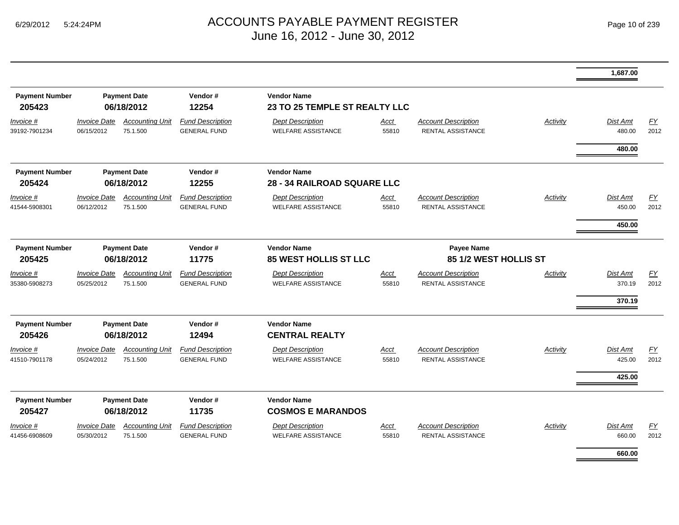|                                   |                                   |                                    |                                                |                                                      |                                            |                                                        |                 | 1,687.00                            |            |
|-----------------------------------|-----------------------------------|------------------------------------|------------------------------------------------|------------------------------------------------------|--------------------------------------------|--------------------------------------------------------|-----------------|-------------------------------------|------------|
| <b>Payment Number</b><br>205423   |                                   | <b>Payment Date</b><br>06/18/2012  | Vendor#<br>12254                               | <b>Vendor Name</b><br>23 TO 25 TEMPLE ST REALTY LLC  |                                            |                                                        |                 |                                     |            |
| Invoice #<br>39192-7901234        | <b>Invoice Date</b><br>06/15/2012 | <b>Accounting Unit</b><br>75.1.500 | <b>Fund Description</b><br><b>GENERAL FUND</b> | <b>Dept Description</b><br><b>WELFARE ASSISTANCE</b> | Acct<br>55810                              | <b>Account Description</b><br><b>RENTAL ASSISTANCE</b> | <b>Activity</b> | <b>Dist Amt</b><br>480.00           | EY<br>2012 |
|                                   |                                   |                                    |                                                |                                                      |                                            |                                                        |                 | 480.00                              |            |
| <b>Payment Number</b><br>205424   |                                   | <b>Payment Date</b><br>06/18/2012  | Vendor#<br>12255                               | <b>Vendor Name</b><br>28 - 34 RAILROAD SQUARE LLC    |                                            |                                                        |                 |                                     |            |
| Invoice #<br>41544-5908301        | <b>Invoice Date</b><br>06/12/2012 | <b>Accounting Unit</b><br>75.1.500 | <b>Fund Description</b><br><b>GENERAL FUND</b> | <b>Dept Description</b><br><b>WELFARE ASSISTANCE</b> | Acct<br>55810                              | <b>Account Description</b><br>RENTAL ASSISTANCE        | Activity        | <b>Dist Amt</b><br>450.00<br>450.00 | EY<br>2012 |
| <b>Payment Number</b><br>205425   | <b>Payment Date</b><br>06/18/2012 |                                    | Vendor#<br>11775                               | <b>Vendor Name</b><br>85 WEST HOLLIS ST LLC          | <b>Payee Name</b><br>85 1/2 WEST HOLLIS ST |                                                        |                 |                                     |            |
| <u>Invoice #</u><br>35380-5908273 | <b>Invoice Date</b><br>05/25/2012 | <b>Accounting Unit</b><br>75.1.500 | <b>Fund Description</b><br><b>GENERAL FUND</b> | <b>Dept Description</b><br><b>WELFARE ASSISTANCE</b> | <u>Acct</u><br>55810                       | <b>Account Description</b><br><b>RENTAL ASSISTANCE</b> | <b>Activity</b> | <b>Dist Amt</b><br>370.19<br>370.19 | EY<br>2012 |
| <b>Payment Number</b><br>205426   |                                   | <b>Payment Date</b><br>06/18/2012  | Vendor#<br>12494                               | <b>Vendor Name</b><br><b>CENTRAL REALTY</b>          |                                            |                                                        |                 |                                     |            |
| Invoice #<br>41510-7901178        | <b>Invoice Date</b><br>05/24/2012 | <b>Accounting Unit</b><br>75.1.500 | <b>Fund Description</b><br><b>GENERAL FUND</b> | <b>Dept Description</b><br><b>WELFARE ASSISTANCE</b> | Acct<br>55810                              | <b>Account Description</b><br><b>RENTAL ASSISTANCE</b> | Activity        | <b>Dist Amt</b><br>425.00           | EY<br>2012 |
|                                   |                                   |                                    |                                                |                                                      |                                            |                                                        |                 | 425.00                              |            |
| <b>Payment Number</b><br>205427   |                                   | <b>Payment Date</b><br>06/18/2012  | Vendor#<br>11735                               | <b>Vendor Name</b><br><b>COSMOS E MARANDOS</b>       |                                            |                                                        |                 |                                     |            |
| Invoice #<br>41456-6908609        | <b>Invoice Date</b><br>05/30/2012 | <b>Accounting Unit</b><br>75.1.500 | <b>Fund Description</b><br><b>GENERAL FUND</b> | <b>Dept Description</b><br><b>WELFARE ASSISTANCE</b> | <u>Acct</u><br>55810                       | <b>Account Description</b><br><b>RENTAL ASSISTANCE</b> | <b>Activity</b> | Dist Amt<br>660.00                  | EY<br>2012 |
|                                   |                                   |                                    |                                                |                                                      |                                            |                                                        |                 | 660.00                              |            |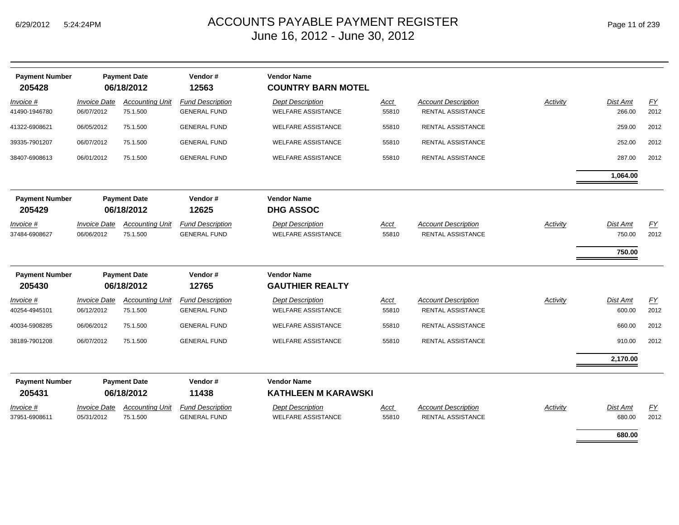| <b>Payment Number</b><br>205428 |                                   | <b>Payment Date</b><br>06/18/2012  | Vendor#<br>12563                               | <b>Vendor Name</b><br><b>COUNTRY BARN MOTEL</b>      |                      |                                                        |          |                    |            |
|---------------------------------|-----------------------------------|------------------------------------|------------------------------------------------|------------------------------------------------------|----------------------|--------------------------------------------------------|----------|--------------------|------------|
| Invoice #<br>41490-1946780      | <b>Invoice Date</b><br>06/07/2012 | <b>Accounting Unit</b><br>75.1.500 | <b>Fund Description</b><br><b>GENERAL FUND</b> | <b>Dept Description</b><br><b>WELFARE ASSISTANCE</b> | Acct<br>55810        | <b>Account Description</b><br>RENTAL ASSISTANCE        | Activity | Dist Amt<br>266.00 | EY<br>2012 |
| 41322-6908621                   | 06/05/2012                        | 75.1.500                           | <b>GENERAL FUND</b>                            | <b>WELFARE ASSISTANCE</b>                            | 55810                | RENTAL ASSISTANCE                                      |          | 259.00             | 2012       |
| 39335-7901207                   | 06/07/2012                        | 75.1.500                           | <b>GENERAL FUND</b>                            | <b>WELFARE ASSISTANCE</b>                            | 55810                | RENTAL ASSISTANCE                                      |          | 252.00             | 2012       |
| 38407-6908613                   | 06/01/2012                        | 75.1.500                           | <b>GENERAL FUND</b>                            | <b>WELFARE ASSISTANCE</b>                            | 55810                | RENTAL ASSISTANCE                                      |          | 287.00             | 2012       |
|                                 |                                   |                                    |                                                |                                                      |                      |                                                        |          | 1,064.00           |            |
| <b>Payment Number</b><br>205429 |                                   | <b>Payment Date</b><br>06/18/2012  | Vendor#<br>12625                               | <b>Vendor Name</b><br><b>DHG ASSOC</b>               |                      |                                                        |          |                    |            |
| Invoice #<br>37484-6908627      | <b>Invoice Date</b><br>06/06/2012 | <b>Accounting Unit</b><br>75.1.500 | <b>Fund Description</b><br><b>GENERAL FUND</b> | <b>Dept Description</b><br><b>WELFARE ASSISTANCE</b> | Acct<br>55810        | <b>Account Description</b><br><b>RENTAL ASSISTANCE</b> | Activity | Dist Amt<br>750.00 | EY<br>2012 |
|                                 |                                   |                                    |                                                |                                                      |                      |                                                        |          | 750.00             |            |
| <b>Payment Number</b><br>205430 |                                   | <b>Payment Date</b><br>06/18/2012  | Vendor#<br>12765                               | <b>Vendor Name</b><br><b>GAUTHIER REALTY</b>         |                      |                                                        |          |                    |            |
| Invoice #<br>40254-4945101      | <b>Invoice Date</b><br>06/12/2012 | <b>Accounting Unit</b><br>75.1.500 | <b>Fund Description</b><br><b>GENERAL FUND</b> | <b>Dept Description</b><br><b>WELFARE ASSISTANCE</b> | <b>Acct</b><br>55810 | <b>Account Description</b><br><b>RENTAL ASSISTANCE</b> | Activity | Dist Amt<br>600.00 | EY<br>2012 |
| 40034-5908285                   | 06/06/2012                        | 75.1.500                           | <b>GENERAL FUND</b>                            | <b>WELFARE ASSISTANCE</b>                            | 55810                | RENTAL ASSISTANCE                                      |          | 660.00             | 2012       |
| 38189-7901208                   | 06/07/2012                        | 75.1.500                           | <b>GENERAL FUND</b>                            | <b>WELFARE ASSISTANCE</b>                            | 55810                | RENTAL ASSISTANCE                                      |          | 910.00             | 2012       |
|                                 |                                   |                                    |                                                |                                                      |                      |                                                        |          | 2,170.00           |            |
| <b>Payment Number</b><br>205431 |                                   | <b>Payment Date</b><br>06/18/2012  | Vendor#<br>11438                               | <b>Vendor Name</b><br><b>KATHLEEN M KARAWSKI</b>     |                      |                                                        |          |                    |            |
| Invoice #<br>37951-6908611      | <b>Invoice Date</b><br>05/31/2012 | <b>Accounting Unit</b><br>75.1.500 | <b>Fund Description</b><br><b>GENERAL FUND</b> | <b>Dept Description</b><br><b>WELFARE ASSISTANCE</b> | <b>Acct</b><br>55810 | <b>Account Description</b><br><b>RENTAL ASSISTANCE</b> | Activity | Dist Amt<br>680.00 | EY<br>2012 |
|                                 |                                   |                                    |                                                |                                                      |                      |                                                        |          | 680.00             |            |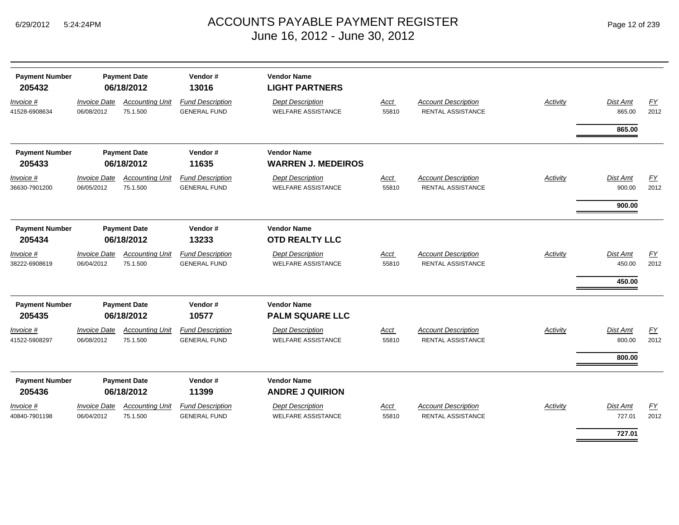| Page 12 of 239 |  |  |
|----------------|--|--|
|----------------|--|--|

| <b>Payment Number</b><br>205432   |                                   | <b>Payment Date</b><br>06/18/2012  | Vendor#<br>13016                               | <b>Vendor Name</b><br><b>LIGHT PARTNERS</b>          |                      |                                                        |                 |                                     |            |
|-----------------------------------|-----------------------------------|------------------------------------|------------------------------------------------|------------------------------------------------------|----------------------|--------------------------------------------------------|-----------------|-------------------------------------|------------|
| Invoice #<br>41528-6908634        | <b>Invoice Date</b><br>06/08/2012 | <b>Accounting Unit</b><br>75.1.500 | <b>Fund Description</b><br><b>GENERAL FUND</b> | <b>Dept Description</b><br><b>WELFARE ASSISTANCE</b> | <b>Acct</b><br>55810 | <b>Account Description</b><br><b>RENTAL ASSISTANCE</b> | <b>Activity</b> | Dist Amt<br>865.00                  | EY<br>2012 |
|                                   |                                   |                                    |                                                |                                                      |                      |                                                        |                 | 865.00                              |            |
| <b>Payment Number</b>             |                                   | <b>Payment Date</b>                | Vendor#                                        | <b>Vendor Name</b>                                   |                      |                                                        |                 |                                     |            |
| 205433                            |                                   | 06/18/2012                         | 11635                                          | <b>WARREN J. MEDEIROS</b>                            |                      |                                                        |                 |                                     |            |
| <i>Invoice</i> #<br>36630-7901200 | <b>Invoice Date</b><br>06/05/2012 | <b>Accounting Unit</b><br>75.1.500 | <b>Fund Description</b><br><b>GENERAL FUND</b> | <b>Dept Description</b><br><b>WELFARE ASSISTANCE</b> | Acct<br>55810        | <b>Account Description</b><br><b>RENTAL ASSISTANCE</b> | Activity        | <b>Dist Amt</b><br>900.00           | EY<br>2012 |
|                                   |                                   |                                    |                                                |                                                      |                      |                                                        |                 | 900.00                              |            |
| <b>Payment Number</b><br>205434   |                                   | <b>Payment Date</b><br>06/18/2012  | Vendor#<br>13233                               | <b>Vendor Name</b><br><b>OTD REALTY LLC</b>          |                      |                                                        |                 |                                     |            |
| Invoice #<br>38222-6908619        | <b>Invoice Date</b><br>06/04/2012 | <b>Accounting Unit</b><br>75.1.500 | <b>Fund Description</b><br><b>GENERAL FUND</b> | <b>Dept Description</b><br><b>WELFARE ASSISTANCE</b> | Acct<br>55810        | <b>Account Description</b><br><b>RENTAL ASSISTANCE</b> | Activity        | <b>Dist Amt</b><br>450.00<br>450.00 | EY<br>2012 |
| <b>Payment Number</b><br>205435   |                                   | <b>Payment Date</b><br>06/18/2012  | Vendor#<br>10577                               | <b>Vendor Name</b><br><b>PALM SQUARE LLC</b>         |                      |                                                        |                 |                                     |            |
| Invoice #<br>41522-5908297        | <b>Invoice Date</b><br>06/08/2012 | <b>Accounting Unit</b><br>75.1.500 | <b>Fund Description</b><br><b>GENERAL FUND</b> | <b>Dept Description</b><br><b>WELFARE ASSISTANCE</b> | Acct<br>55810        | <b>Account Description</b><br>RENTAL ASSISTANCE        | Activity        | Dist Amt<br>800.00                  | EY<br>2012 |
|                                   |                                   |                                    |                                                |                                                      |                      |                                                        |                 | 800.00                              |            |
| <b>Payment Number</b><br>205436   |                                   | <b>Payment Date</b><br>06/18/2012  | Vendor#<br>11399                               | <b>Vendor Name</b><br><b>ANDRE J QUIRION</b>         |                      |                                                        |                 |                                     |            |
| Invoice #<br>40840-7901198        | <b>Invoice Date</b><br>06/04/2012 | <b>Accounting Unit</b><br>75.1.500 | <b>Fund Description</b><br><b>GENERAL FUND</b> | <b>Dept Description</b><br><b>WELFARE ASSISTANCE</b> | Acct<br>55810        | <b>Account Description</b><br><b>RENTAL ASSISTANCE</b> | Activity        | Dist Amt<br>727.01                  | EY<br>2012 |
|                                   |                                   |                                    |                                                |                                                      |                      |                                                        |                 | 727.01                              |            |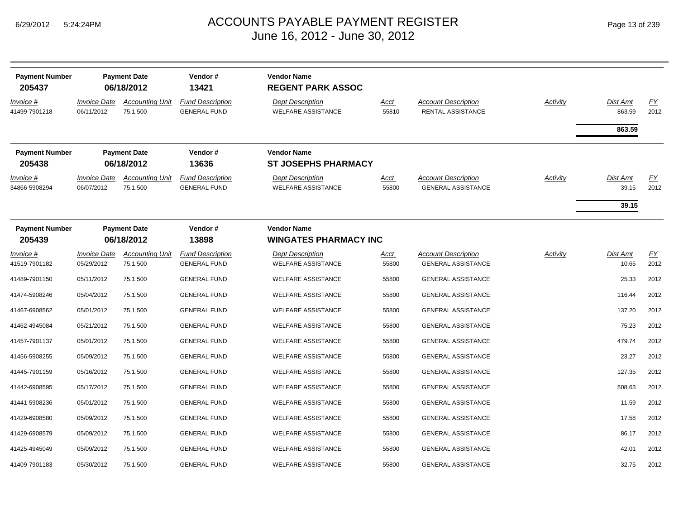| <b>Payment Number</b><br>205437   |                                          | <b>Payment Date</b><br>06/18/2012  | Vendor#<br>13421                               | <b>Vendor Name</b><br><b>REGENT PARK ASSOC</b>       |                      |                                                         |                 |                            |                          |
|-----------------------------------|------------------------------------------|------------------------------------|------------------------------------------------|------------------------------------------------------|----------------------|---------------------------------------------------------|-----------------|----------------------------|--------------------------|
| Invoice #<br>41499-7901218        | <i><b>Invoice Date</b></i><br>06/11/2012 | <b>Accounting Unit</b><br>75.1.500 | <b>Fund Description</b><br><b>GENERAL FUND</b> | <b>Dept Description</b><br><b>WELFARE ASSISTANCE</b> | Acct<br>55810        | <b>Account Description</b><br>RENTAL ASSISTANCE         | <b>Activity</b> | Dist Amt<br>863.59         | EY<br>2012               |
|                                   |                                          |                                    |                                                |                                                      |                      |                                                         |                 | 863.59                     |                          |
| <b>Payment Number</b><br>205438   |                                          | <b>Payment Date</b><br>06/18/2012  | Vendor#<br>13636                               | <b>Vendor Name</b><br><b>ST JOSEPHS PHARMACY</b>     |                      |                                                         |                 |                            |                          |
| <u>Invoice #</u><br>34866-5908294 | <b>Invoice Date</b><br>06/07/2012        | <b>Accounting Unit</b><br>75.1.500 | <b>Fund Description</b><br><b>GENERAL FUND</b> | <b>Dept Description</b><br><b>WELFARE ASSISTANCE</b> | <u>Acct</u><br>55800 | <b>Account Description</b><br><b>GENERAL ASSISTANCE</b> | <b>Activity</b> | Dist Amt<br>39.15<br>39.15 | $\underline{FY}$<br>2012 |
| <b>Payment Number</b><br>205439   |                                          | <b>Payment Date</b><br>06/18/2012  | Vendor#<br>13898                               | <b>Vendor Name</b><br><b>WINGATES PHARMACY INC</b>   |                      |                                                         |                 |                            |                          |
| Invoice #<br>41519-7901182        | <b>Invoice Date</b><br>05/29/2012        | <b>Accounting Unit</b><br>75.1.500 | <b>Fund Description</b><br><b>GENERAL FUND</b> | <b>Dept Description</b><br><b>WELFARE ASSISTANCE</b> | <u>Acct</u><br>55800 | <b>Account Description</b><br><b>GENERAL ASSISTANCE</b> | Activity        | Dist Amt<br>10.65          | EY<br>2012               |
| 41489-7901150                     | 05/11/2012                               | 75.1.500                           | <b>GENERAL FUND</b>                            | <b>WELFARE ASSISTANCE</b>                            | 55800                | <b>GENERAL ASSISTANCE</b>                               |                 | 25.33                      | 2012                     |
| 41474-5908246                     | 05/04/2012                               | 75.1.500                           | <b>GENERAL FUND</b>                            | <b>WELFARE ASSISTANCE</b>                            | 55800                | <b>GENERAL ASSISTANCE</b>                               |                 | 116.44                     | 2012                     |
| 41467-6908562                     | 05/01/2012                               | 75.1.500                           | <b>GENERAL FUND</b>                            | <b>WELFARE ASSISTANCE</b>                            | 55800                | <b>GENERAL ASSISTANCE</b>                               |                 | 137.20                     | 2012                     |
| 41462-4945084                     | 05/21/2012                               | 75.1.500                           | <b>GENERAL FUND</b>                            | <b>WELFARE ASSISTANCE</b>                            | 55800                | <b>GENERAL ASSISTANCE</b>                               |                 | 75.23                      | 2012                     |
| 41457-7901137                     | 05/01/2012                               | 75.1.500                           | <b>GENERAL FUND</b>                            | <b>WELFARE ASSISTANCE</b>                            | 55800                | <b>GENERAL ASSISTANCE</b>                               |                 | 479.74                     | 2012                     |
| 41456-5908255                     | 05/09/2012                               | 75.1.500                           | <b>GENERAL FUND</b>                            | <b>WELFARE ASSISTANCE</b>                            | 55800                | <b>GENERAL ASSISTANCE</b>                               |                 | 23.27                      | 2012                     |
| 41445-7901159                     | 05/16/2012                               | 75.1.500                           | <b>GENERAL FUND</b>                            | <b>WELFARE ASSISTANCE</b>                            | 55800                | <b>GENERAL ASSISTANCE</b>                               |                 | 127.35                     | 2012                     |
| 41442-6908595                     | 05/17/2012                               | 75.1.500                           | <b>GENERAL FUND</b>                            | <b>WELFARE ASSISTANCE</b>                            | 55800                | <b>GENERAL ASSISTANCE</b>                               |                 | 508.63                     | 2012                     |
| 41441-5908236                     | 05/01/2012                               | 75.1.500                           | <b>GENERAL FUND</b>                            | <b>WELFARE ASSISTANCE</b>                            | 55800                | <b>GENERAL ASSISTANCE</b>                               |                 | 11.59                      | 2012                     |
| 41429-6908580                     | 05/09/2012                               | 75.1.500                           | <b>GENERAL FUND</b>                            | <b>WELFARE ASSISTANCE</b>                            | 55800                | <b>GENERAL ASSISTANCE</b>                               |                 | 17.58                      | 2012                     |
| 41429-6908579                     | 05/09/2012                               | 75.1.500                           | <b>GENERAL FUND</b>                            | <b>WELFARE ASSISTANCE</b>                            | 55800                | <b>GENERAL ASSISTANCE</b>                               |                 | 86.17                      | 2012                     |
| 41425-4945049                     | 05/09/2012                               | 75.1.500                           | <b>GENERAL FUND</b>                            | <b>WELFARE ASSISTANCE</b>                            | 55800                | <b>GENERAL ASSISTANCE</b>                               |                 | 42.01                      | 2012                     |
| 41409-7901183                     | 05/30/2012                               | 75.1.500                           | <b>GENERAL FUND</b>                            | <b>WELFARE ASSISTANCE</b>                            | 55800                | <b>GENERAL ASSISTANCE</b>                               |                 | 32.75                      | 2012                     |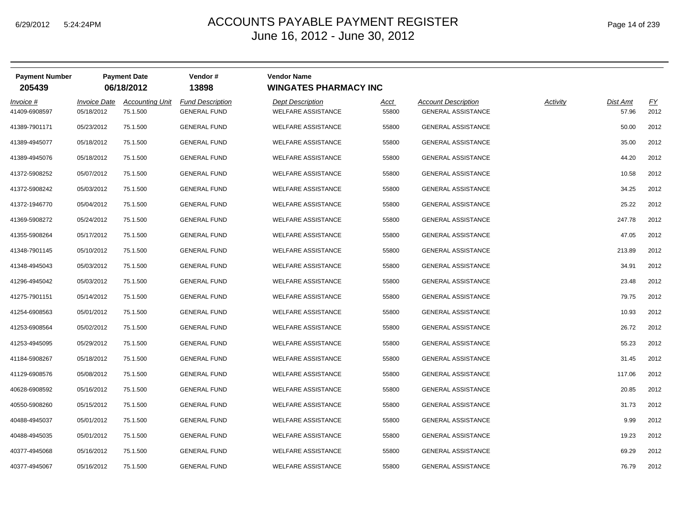| Page 14 of 239 |  |  |  |
|----------------|--|--|--|
|----------------|--|--|--|

| <b>Payment Number</b><br>205439 |                                          | <b>Payment Date</b><br>06/18/2012  | Vendor#<br>13898                               | <b>Vendor Name</b><br><b>WINGATES PHARMACY INC</b>   |               |                                                         |          |                   |                          |
|---------------------------------|------------------------------------------|------------------------------------|------------------------------------------------|------------------------------------------------------|---------------|---------------------------------------------------------|----------|-------------------|--------------------------|
| Invoice #<br>41409-6908597      | <i><b>Invoice Date</b></i><br>05/18/2012 | <b>Accounting Unit</b><br>75.1.500 | <b>Fund Description</b><br><b>GENERAL FUND</b> | <b>Dept Description</b><br><b>WELFARE ASSISTANCE</b> | Acct<br>55800 | <b>Account Description</b><br><b>GENERAL ASSISTANCE</b> | Activity | Dist Amt<br>57.96 | $\underline{FY}$<br>2012 |
| 41389-7901171                   | 05/23/2012                               | 75.1.500                           | <b>GENERAL FUND</b>                            | <b>WELFARE ASSISTANCE</b>                            | 55800         | <b>GENERAL ASSISTANCE</b>                               |          | 50.00             | 2012                     |
| 41389-4945077                   | 05/18/2012                               | 75.1.500                           | <b>GENERAL FUND</b>                            | <b>WELFARE ASSISTANCE</b>                            | 55800         | <b>GENERAL ASSISTANCE</b>                               |          | 35.00             | 2012                     |
| 41389-4945076                   | 05/18/2012                               | 75.1.500                           | <b>GENERAL FUND</b>                            | <b>WELFARE ASSISTANCE</b>                            | 55800         | <b>GENERAL ASSISTANCE</b>                               |          | 44.20             | 2012                     |
| 41372-5908252                   | 05/07/2012                               | 75.1.500                           | <b>GENERAL FUND</b>                            | <b>WELFARE ASSISTANCE</b>                            | 55800         | <b>GENERAL ASSISTANCE</b>                               |          | 10.58             | 2012                     |
| 41372-5908242                   | 05/03/2012                               | 75.1.500                           | <b>GENERAL FUND</b>                            | <b>WELFARE ASSISTANCE</b>                            | 55800         | <b>GENERAL ASSISTANCE</b>                               |          | 34.25             | 2012                     |
| 41372-1946770                   | 05/04/2012                               | 75.1.500                           | <b>GENERAL FUND</b>                            | <b>WELFARE ASSISTANCE</b>                            | 55800         | <b>GENERAL ASSISTANCE</b>                               |          | 25.22             | 2012                     |
| 41369-5908272                   | 05/24/2012                               | 75.1.500                           | <b>GENERAL FUND</b>                            | WELFARE ASSISTANCE                                   | 55800         | <b>GENERAL ASSISTANCE</b>                               |          | 247.78            | 2012                     |
| 41355-5908264                   | 05/17/2012                               | 75.1.500                           | <b>GENERAL FUND</b>                            | <b>WELFARE ASSISTANCE</b>                            | 55800         | <b>GENERAL ASSISTANCE</b>                               |          | 47.05             | 2012                     |
| 41348-7901145                   | 05/10/2012                               | 75.1.500                           | <b>GENERAL FUND</b>                            | <b>WELFARE ASSISTANCE</b>                            | 55800         | <b>GENERAL ASSISTANCE</b>                               |          | 213.89            | 2012                     |
| 41348-4945043                   | 05/03/2012                               | 75.1.500                           | <b>GENERAL FUND</b>                            | <b>WELFARE ASSISTANCE</b>                            | 55800         | <b>GENERAL ASSISTANCE</b>                               |          | 34.91             | 2012                     |
| 41296-4945042                   | 05/03/2012                               | 75.1.500                           | <b>GENERAL FUND</b>                            | <b>WELFARE ASSISTANCE</b>                            | 55800         | <b>GENERAL ASSISTANCE</b>                               |          | 23.48             | 2012                     |
| 41275-7901151                   | 05/14/2012                               | 75.1.500                           | <b>GENERAL FUND</b>                            | <b>WELFARE ASSISTANCE</b>                            | 55800         | <b>GENERAL ASSISTANCE</b>                               |          | 79.75             | 2012                     |
| 41254-6908563                   | 05/01/2012                               | 75.1.500                           | <b>GENERAL FUND</b>                            | <b>WELFARE ASSISTANCE</b>                            | 55800         | <b>GENERAL ASSISTANCE</b>                               |          | 10.93             | 2012                     |
| 41253-6908564                   | 05/02/2012                               | 75.1.500                           | <b>GENERAL FUND</b>                            | <b>WELFARE ASSISTANCE</b>                            | 55800         | <b>GENERAL ASSISTANCE</b>                               |          | 26.72             | 2012                     |
| 41253-4945095                   | 05/29/2012                               | 75.1.500                           | <b>GENERAL FUND</b>                            | <b>WELFARE ASSISTANCE</b>                            | 55800         | <b>GENERAL ASSISTANCE</b>                               |          | 55.23             | 2012                     |
| 41184-5908267                   | 05/18/2012                               | 75.1.500                           | <b>GENERAL FUND</b>                            | <b>WELFARE ASSISTANCE</b>                            | 55800         | <b>GENERAL ASSISTANCE</b>                               |          | 31.45             | 2012                     |
| 41129-6908576                   | 05/08/2012                               | 75.1.500                           | <b>GENERAL FUND</b>                            | <b>WELFARE ASSISTANCE</b>                            | 55800         | <b>GENERAL ASSISTANCE</b>                               |          | 117.06            | 2012                     |
| 40628-6908592                   | 05/16/2012                               | 75.1.500                           | <b>GENERAL FUND</b>                            | <b>WELFARE ASSISTANCE</b>                            | 55800         | <b>GENERAL ASSISTANCE</b>                               |          | 20.85             | 2012                     |
| 40550-5908260                   | 05/15/2012                               | 75.1.500                           | <b>GENERAL FUND</b>                            | <b>WELFARE ASSISTANCE</b>                            | 55800         | <b>GENERAL ASSISTANCE</b>                               |          | 31.73             | 2012                     |
| 40488-4945037                   | 05/01/2012                               | 75.1.500                           | <b>GENERAL FUND</b>                            | <b>WELFARE ASSISTANCE</b>                            | 55800         | <b>GENERAL ASSISTANCE</b>                               |          | 9.99              | 2012                     |
| 40488-4945035                   | 05/01/2012                               | 75.1.500                           | <b>GENERAL FUND</b>                            | <b>WELFARE ASSISTANCE</b>                            | 55800         | <b>GENERAL ASSISTANCE</b>                               |          | 19.23             | 2012                     |
| 40377-4945068                   | 05/16/2012                               | 75.1.500                           | <b>GENERAL FUND</b>                            | <b>WELFARE ASSISTANCE</b>                            | 55800         | <b>GENERAL ASSISTANCE</b>                               |          | 69.29             | 2012                     |
| 40377-4945067                   | 05/16/2012                               | 75.1.500                           | <b>GENERAL FUND</b>                            | <b>WELFARE ASSISTANCE</b>                            | 55800         | <b>GENERAL ASSISTANCE</b>                               |          | 76.79             | 2012                     |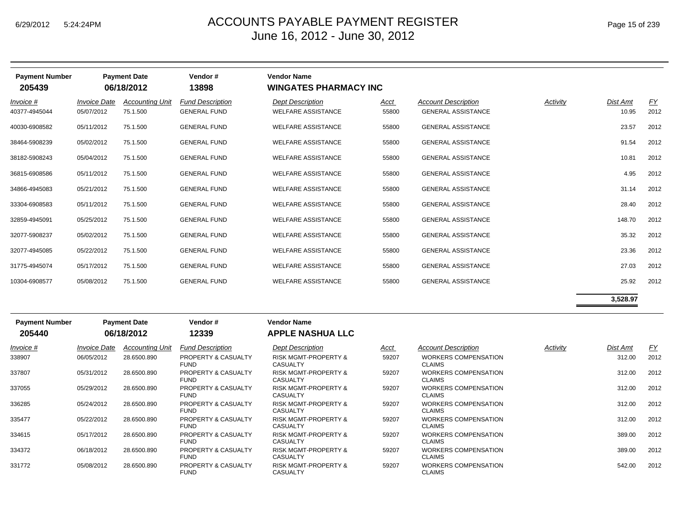| Page 15 of 239 |  |  |
|----------------|--|--|
|                |  |  |

| <b>Payment Number</b><br>205439 |                                   | <b>Payment Date</b><br>06/18/2012  | Vendor#<br>13898                               | <b>Vendor Name</b><br><b>WINGATES PHARMACY INC</b>   |               |                                                         |          |                   |                   |
|---------------------------------|-----------------------------------|------------------------------------|------------------------------------------------|------------------------------------------------------|---------------|---------------------------------------------------------|----------|-------------------|-------------------|
| Invoice #<br>40377-4945044      | <b>Invoice Date</b><br>05/07/2012 | <b>Accounting Unit</b><br>75.1.500 | <b>Fund Description</b><br><b>GENERAL FUND</b> | <b>Dept Description</b><br><b>WELFARE ASSISTANCE</b> | Acct<br>55800 | <b>Account Description</b><br><b>GENERAL ASSISTANCE</b> | Activity | Dist Amt<br>10.95 | <u>FY</u><br>2012 |
| 40030-6908582                   | 05/11/2012                        | 75.1.500                           | <b>GENERAL FUND</b>                            | <b>WELFARE ASSISTANCE</b>                            | 55800         | <b>GENERAL ASSISTANCE</b>                               |          | 23.57             | 2012              |
| 38464-5908239                   | 05/02/2012                        | 75.1.500                           | <b>GENERAL FUND</b>                            | <b>WELFARE ASSISTANCE</b>                            | 55800         | <b>GENERAL ASSISTANCE</b>                               |          | 91.54             | 2012              |
| 38182-5908243                   | 05/04/2012                        | 75.1.500                           | <b>GENERAL FUND</b>                            | <b>WELFARE ASSISTANCE</b>                            | 55800         | <b>GENERAL ASSISTANCE</b>                               |          | 10.81             | 2012              |
| 36815-6908586                   | 05/11/2012                        | 75.1.500                           | <b>GENERAL FUND</b>                            | <b>WELFARE ASSISTANCE</b>                            | 55800         | <b>GENERAL ASSISTANCE</b>                               |          | 4.95              | 2012              |
| 34866-4945083                   | 05/21/2012                        | 75.1.500                           | <b>GENERAL FUND</b>                            | <b>WELFARE ASSISTANCE</b>                            | 55800         | <b>GENERAL ASSISTANCE</b>                               |          | 31.14             | 2012              |
| 33304-6908583                   | 05/11/2012                        | 75.1.500                           | <b>GENERAL FUND</b>                            | <b>WELFARE ASSISTANCE</b>                            | 55800         | <b>GENERAL ASSISTANCE</b>                               |          | 28.40             | 2012              |
| 32859-4945091                   | 05/25/2012                        | 75.1.500                           | <b>GENERAL FUND</b>                            | <b>WELFARE ASSISTANCE</b>                            | 55800         | <b>GENERAL ASSISTANCE</b>                               |          | 148.70            | 2012              |
| 32077-5908237                   | 05/02/2012                        | 75.1.500                           | <b>GENERAL FUND</b>                            | <b>WELFARE ASSISTANCE</b>                            | 55800         | <b>GENERAL ASSISTANCE</b>                               |          | 35.32             | 2012              |
| 32077-4945085                   | 05/22/2012                        | 75.1.500                           | <b>GENERAL FUND</b>                            | <b>WELFARE ASSISTANCE</b>                            | 55800         | <b>GENERAL ASSISTANCE</b>                               |          | 23.36             | 2012              |
| 31775-4945074                   | 05/17/2012                        | 75.1.500                           | <b>GENERAL FUND</b>                            | <b>WELFARE ASSISTANCE</b>                            | 55800         | <b>GENERAL ASSISTANCE</b>                               |          | 27.03             | 2012              |
| 10304-6908577                   | 05/08/2012                        | 75.1.500                           | <b>GENERAL FUND</b>                            | <b>WELFARE ASSISTANCE</b>                            | 55800         | <b>GENERAL ASSISTANCE</b>                               |          | 25.92             | 2012              |
|                                 |                                   |                                    |                                                |                                                      |               |                                                         |          |                   |                   |

**3,528.97**

| <b>Payment Number</b><br>205440 |                     | <b>Payment Date</b><br>06/18/2012 | Vendor#<br>12339                   | <b>Vendor Name</b><br><b>APPLE NASHUA LLC</b>      |             |                                              |          |          |           |
|---------------------------------|---------------------|-----------------------------------|------------------------------------|----------------------------------------------------|-------------|----------------------------------------------|----------|----------|-----------|
| Invoice #                       | <b>Invoice Date</b> | <b>Accounting Unit</b>            | <b>Fund Description</b>            | <b>Dept Description</b>                            | <u>Acct</u> | <b>Account Description</b>                   | Activity | Dist Amt | <u>FY</u> |
| 338907                          | 06/05/2012          | 28.6500.890                       | PROPERTY & CASUALTY<br><b>FUND</b> | <b>RISK MGMT-PROPERTY &amp;</b><br><b>CASUALTY</b> | 59207       | <b>WORKERS COMPENSATION</b><br><b>CLAIMS</b> |          | 312.00   | 2012      |
| 337807                          | 05/31/2012          | 28.6500.890                       | PROPERTY & CASUALTY<br><b>FUND</b> | <b>RISK MGMT-PROPERTY &amp;</b><br><b>CASUALTY</b> | 59207       | <b>WORKERS COMPENSATION</b><br><b>CLAIMS</b> |          | 312.00   | 2012      |
| 337055                          | 05/29/2012          | 28.6500.890                       | PROPERTY & CASUALTY<br><b>FUND</b> | <b>RISK MGMT-PROPERTY &amp;</b><br><b>CASUALTY</b> | 59207       | <b>WORKERS COMPENSATION</b><br><b>CLAIMS</b> |          | 312.00   | 2012      |
| 336285                          | 05/24/2012          | 28.6500.890                       | PROPERTY & CASUALTY<br><b>FUND</b> | <b>RISK MGMT-PROPERTY &amp;</b><br><b>CASUALTY</b> | 59207       | <b>WORKERS COMPENSATION</b><br><b>CLAIMS</b> |          | 312.00   | 2012      |
| 335477                          | 05/22/2012          | 28.6500.890                       | PROPERTY & CASUALTY<br><b>FUND</b> | <b>RISK MGMT-PROPERTY &amp;</b><br><b>CASUALTY</b> | 59207       | <b>WORKERS COMPENSATION</b><br><b>CLAIMS</b> |          | 312.00   | 2012      |
| 334615                          | 05/17/2012          | 28.6500.890                       | PROPERTY & CASUALTY<br><b>FUND</b> | <b>RISK MGMT-PROPERTY &amp;</b><br>CASUALTY        | 59207       | <b>WORKERS COMPENSATION</b><br><b>CLAIMS</b> |          | 389.00   | 2012      |
| 334372                          | 06/18/2012          | 28.6500.890                       | PROPERTY & CASUALTY<br><b>FUND</b> | <b>RISK MGMT-PROPERTY &amp;</b><br><b>CASUALTY</b> | 59207       | <b>WORKERS COMPENSATION</b><br><b>CLAIMS</b> |          | 389.00   | 2012      |
| 331772                          | 05/08/2012          | 28.6500.890                       | PROPERTY & CASUALTY<br><b>FUND</b> | <b>RISK MGMT-PROPERTY &amp;</b><br><b>CASUALTY</b> | 59207       | <b>WORKERS COMPENSATION</b><br><b>CLAIMS</b> |          | 542.00   | 2012      |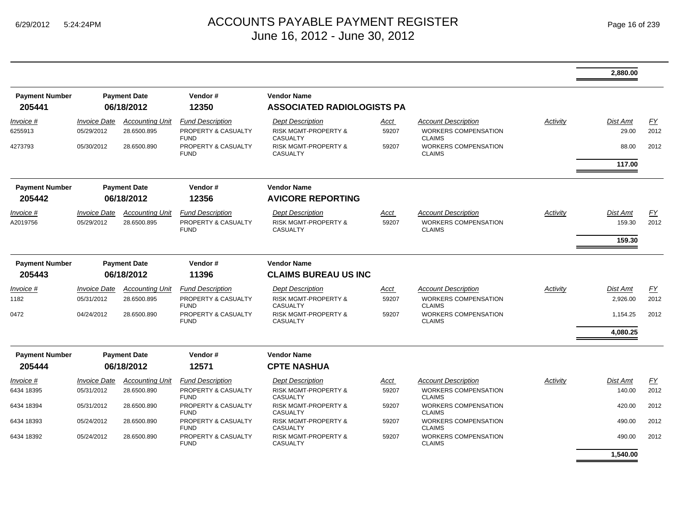|                       |                            |                        |                                    |                                                    |       |                                              |          | 2.880.00        |      |
|-----------------------|----------------------------|------------------------|------------------------------------|----------------------------------------------------|-------|----------------------------------------------|----------|-----------------|------|
| <b>Payment Number</b> |                            | <b>Payment Date</b>    | Vendor#                            | <b>Vendor Name</b>                                 |       |                                              |          |                 |      |
| 205441                |                            | 06/18/2012             | 12350                              | <b>ASSOCIATED RADIOLOGISTS PA</b>                  |       |                                              |          |                 |      |
| Invoice #             | <b>Invoice Date</b>        | <b>Accounting Unit</b> | <b>Fund Description</b>            | <b>Dept Description</b>                            | Acct  | <b>Account Description</b>                   | Activity | Dist Amt        | EY   |
| 6255913               | 05/29/2012                 | 28.6500.895            | PROPERTY & CASUALTY<br><b>FUND</b> | <b>RISK MGMT-PROPERTY &amp;</b><br><b>CASUALTY</b> | 59207 | <b>WORKERS COMPENSATION</b><br><b>CLAIMS</b> |          | 29.00           | 2012 |
| 4273793               | 05/30/2012                 | 28.6500.890            | PROPERTY & CASUALTY<br><b>FUND</b> | <b>RISK MGMT-PROPERTY &amp;</b><br><b>CASUALTY</b> | 59207 | WORKERS COMPENSATION<br><b>CLAIMS</b>        |          | 88.00           | 2012 |
|                       |                            |                        |                                    |                                                    |       |                                              |          | 117.00          |      |
| <b>Payment Number</b> |                            | <b>Payment Date</b>    | Vendor#                            | <b>Vendor Name</b>                                 |       |                                              |          |                 |      |
| 205442                |                            | 06/18/2012             | 12356                              | <b>AVICORE REPORTING</b>                           |       |                                              |          |                 |      |
| Invoice #             | <i><b>Invoice Date</b></i> | <b>Accounting Unit</b> | <b>Fund Description</b>            | <b>Dept Description</b>                            | Acct  | <b>Account Description</b>                   | Activity | Dist Amt        | EY   |
| A2019756              | 05/29/2012                 | 28.6500.895            | PROPERTY & CASUALTY<br><b>FUND</b> | <b>RISK MGMT-PROPERTY &amp;</b><br><b>CASUALTY</b> | 59207 | WORKERS COMPENSATION<br><b>CLAIMS</b>        |          | 159.30          | 2012 |
|                       |                            |                        |                                    |                                                    |       |                                              |          | 159.30          |      |
| <b>Payment Number</b> |                            | <b>Payment Date</b>    | Vendor#                            | <b>Vendor Name</b>                                 |       |                                              |          |                 |      |
| 205443                |                            | 06/18/2012             | 11396                              | <b>CLAIMS BUREAU US INC</b>                        |       |                                              |          |                 |      |
| <i>Invoice</i> #      | <b>Invoice Date</b>        | <b>Accounting Unit</b> | <b>Fund Description</b>            | <b>Dept Description</b>                            | Acct  | <b>Account Description</b>                   | Activity | Dist Amt        | EY   |
| 1182                  | 05/31/2012                 | 28.6500.895            | PROPERTY & CASUALTY<br><b>FUND</b> | RISK MGMT-PROPERTY &<br><b>CASUALTY</b>            | 59207 | WORKERS COMPENSATION<br><b>CLAIMS</b>        |          | 2,926.00        | 2012 |
| 0472                  | 04/24/2012                 | 28.6500.890            | PROPERTY & CASUALTY<br><b>FUND</b> | RISK MGMT-PROPERTY &<br><b>CASUALTY</b>            | 59207 | WORKERS COMPENSATION<br><b>CLAIMS</b>        |          | 1,154.25        | 2012 |
|                       |                            |                        |                                    |                                                    |       |                                              |          | 4,080.25        |      |
| <b>Payment Number</b> |                            | <b>Payment Date</b>    | Vendor#                            | <b>Vendor Name</b>                                 |       |                                              |          |                 |      |
| 205444                |                            | 06/18/2012             | 12571                              | <b>CPTE NASHUA</b>                                 |       |                                              |          |                 |      |
| Invoice #             | <b>Invoice Date</b>        | <b>Accounting Unit</b> | <b>Fund Description</b>            | <b>Dept Description</b>                            | Acct  | <b>Account Description</b>                   | Activity | <b>Dist Amt</b> | EY   |
| 6434 18395            | 05/31/2012                 | 28.6500.890            | PROPERTY & CASUALTY<br><b>FUND</b> | RISK MGMT-PROPERTY &<br><b>CASUALTY</b>            | 59207 | WORKERS COMPENSATION<br><b>CLAIMS</b>        |          | 140.00          | 2012 |
| 6434 18394            | 05/31/2012                 | 28.6500.890            | PROPERTY & CASUALTY<br><b>FUND</b> | RISK MGMT-PROPERTY &<br><b>CASUALTY</b>            | 59207 | <b>WORKERS COMPENSATION</b><br><b>CLAIMS</b> |          | 420.00          | 2012 |
| 6434 18393            | 05/24/2012                 | 28.6500.890            | PROPERTY & CASUALTY<br><b>FUND</b> | <b>RISK MGMT-PROPERTY &amp;</b><br><b>CASUALTY</b> | 59207 | <b>WORKERS COMPENSATION</b><br><b>CLAIMS</b> |          | 490.00          | 2012 |
| 6434 18392            | 05/24/2012                 | 28.6500.890            | PROPERTY & CASUALTY<br><b>FUND</b> | <b>RISK MGMT-PROPERTY &amp;</b><br><b>CASUALTY</b> | 59207 | <b>WORKERS COMPENSATION</b><br><b>CLAIMS</b> |          | 490.00          | 2012 |
|                       |                            |                        |                                    |                                                    |       |                                              |          | 1,540.00        |      |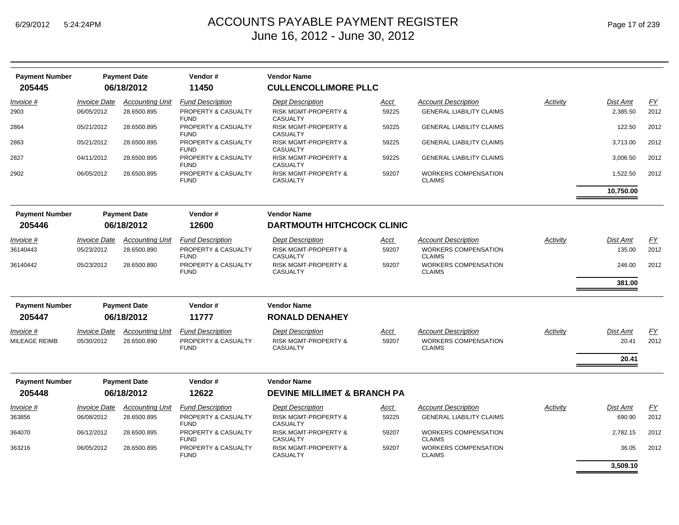| <b>Payment Number</b>        |                                   | <b>Payment Date</b>                   | Vendor#                                        | <b>Vendor Name</b>                                 |               |                                                           |          |                    |            |
|------------------------------|-----------------------------------|---------------------------------------|------------------------------------------------|----------------------------------------------------|---------------|-----------------------------------------------------------|----------|--------------------|------------|
| 205445                       |                                   | 06/18/2012                            | 11450                                          | <b>CULLENCOLLIMORE PLLC</b>                        |               |                                                           |          |                    |            |
| Invoice #                    | <i><b>Invoice Date</b></i>        | <b>Accounting Unit</b>                | <b>Fund Description</b>                        | <b>Dept Description</b>                            | <u>Acct</u>   | <b>Account Description</b>                                | Activity | <b>Dist Amt</b>    | EY         |
| 2903                         | 06/05/2012                        | 28.6500.895                           | PROPERTY & CASUALTY<br><b>FUND</b>             | <b>RISK MGMT-PROPERTY &amp;</b><br><b>CASUALTY</b> | 59225         | <b>GENERAL LIABILITY CLAIMS</b>                           |          | 2,385.50           | 2012       |
| 2864                         | 05/21/2012                        | 28.6500.895                           | PROPERTY & CASUALTY<br><b>FUND</b>             | RISK MGMT-PROPERTY &<br><b>CASUALTY</b>            | 59225         | <b>GENERAL LIABILITY CLAIMS</b>                           |          | 122.50             | 2012       |
| 2863                         | 05/21/2012                        | 28.6500.895                           | PROPERTY & CASUALTY<br><b>FUND</b>             | <b>RISK MGMT-PROPERTY &amp;</b><br><b>CASUALTY</b> | 59225         | <b>GENERAL LIABILITY CLAIMS</b>                           |          | 3,713.00           | 2012       |
| 2827                         | 04/11/2012                        | 28.6500.895                           | PROPERTY & CASUALTY<br><b>FUND</b>             | <b>RISK MGMT-PROPERTY &amp;</b><br><b>CASUALTY</b> | 59225         | <b>GENERAL LIABILITY CLAIMS</b>                           |          | 3,006.50           | 2012       |
| 2902                         | 06/05/2012                        | 28.6500.895                           | PROPERTY & CASUALTY<br><b>FUND</b>             | RISK MGMT-PROPERTY &<br><b>CASUALTY</b>            | 59207         | <b>WORKERS COMPENSATION</b><br><b>CLAIMS</b>              |          | 1,522.50           | 2012       |
|                              |                                   |                                       |                                                |                                                    |               |                                                           |          | 10,750.00          |            |
| <b>Payment Number</b>        |                                   | <b>Payment Date</b>                   | Vendor#                                        | <b>Vendor Name</b>                                 |               |                                                           |          |                    |            |
| 205446                       |                                   | 06/18/2012                            | 12600                                          | <b>DARTMOUTH HITCHCOCK CLINIC</b>                  |               |                                                           |          |                    |            |
| <i>Invoice</i> #<br>36140443 | <b>Invoice Date</b><br>05/23/2012 | <b>Accounting Unit</b><br>28.6500.890 | <b>Fund Description</b><br>PROPERTY & CASUALTY | <b>Dept Description</b><br>RISK MGMT-PROPERTY &    | Acct<br>59207 | <b>Account Description</b><br><b>WORKERS COMPENSATION</b> | Activity | Dist Amt<br>135.00 | EY<br>2012 |
| 36140442                     | 05/23/2012                        | 28.6500.890                           | <b>FUND</b><br>PROPERTY & CASUALTY             | <b>CASUALTY</b><br><b>RISK MGMT-PROPERTY &amp;</b> | 59207         | <b>CLAIMS</b><br><b>WORKERS COMPENSATION</b>              |          | 246.00             | 2012       |
|                              |                                   |                                       | <b>FUND</b>                                    | <b>CASUALTY</b>                                    |               | <b>CLAIMS</b>                                             |          |                    |            |
|                              |                                   |                                       |                                                |                                                    |               |                                                           |          | 381.00             |            |
| <b>Payment Number</b>        |                                   | <b>Payment Date</b>                   | Vendor#                                        | <b>Vendor Name</b>                                 |               |                                                           |          |                    |            |
| 205447                       |                                   | 06/18/2012                            | 11777                                          | <b>RONALD DENAHEY</b>                              |               |                                                           |          |                    |            |
| Invoice #                    | <b>Invoice Date</b>               | <b>Accounting Unit</b>                | <b>Fund Description</b>                        | <b>Dept Description</b>                            | <u>Acct</u>   | <b>Account Description</b>                                | Activity | Dist Amt           | EY         |
| MILEAGE REIMB                | 05/30/2012                        | 28.6500.890                           | <b>PROPERTY &amp; CASUALTY</b><br><b>FUND</b>  | <b>RISK MGMT-PROPERTY &amp;</b><br><b>CASUALTY</b> | 59207         | <b>WORKERS COMPENSATION</b><br><b>CLAIMS</b>              |          | 20.41              | 2012       |
|                              |                                   |                                       |                                                |                                                    |               |                                                           |          | 20.41              |            |
| <b>Payment Number</b>        |                                   | <b>Payment Date</b>                   | Vendor#                                        | <b>Vendor Name</b>                                 |               |                                                           |          |                    |            |
| 205448                       |                                   | 06/18/2012                            | 12622                                          | <b>DEVINE MILLIMET &amp; BRANCH PA</b>             |               |                                                           |          |                    |            |
| Invoice #                    | <b>Invoice Date</b>               | <b>Accounting Unit</b>                | <b>Fund Description</b>                        | <b>Dept Description</b>                            | <u>Acct</u>   | <b>Account Description</b>                                | Activity | <b>Dist Amt</b>    | <u>FY</u>  |
| 363856                       | 06/08/2012                        | 28.6500.895                           | PROPERTY & CASUALTY<br><b>FUND</b>             | RISK MGMT-PROPERTY &<br><b>CASUALTY</b>            | 59225         | <b>GENERAL LIABILITY CLAIMS</b>                           |          | 690.90             | 2012       |
| 364070                       | 06/12/2012                        | 28.6500.895                           | PROPERTY & CASUALTY<br><b>FUND</b>             | RISK MGMT-PROPERTY &<br><b>CASUALTY</b>            | 59207         | <b>WORKERS COMPENSATION</b><br><b>CLAIMS</b>              |          | 2,782.15           | 2012       |
| 363216                       | 06/05/2012                        | 28.6500.895                           | PROPERTY & CASUALTY<br><b>FUND</b>             | <b>RISK MGMT-PROPERTY &amp;</b><br><b>CASUALTY</b> | 59207         | WORKERS COMPENSATION<br><b>CLAIMS</b>                     |          | 36.05              | 2012       |
|                              |                                   |                                       |                                                |                                                    |               |                                                           |          | 3.509.10           |            |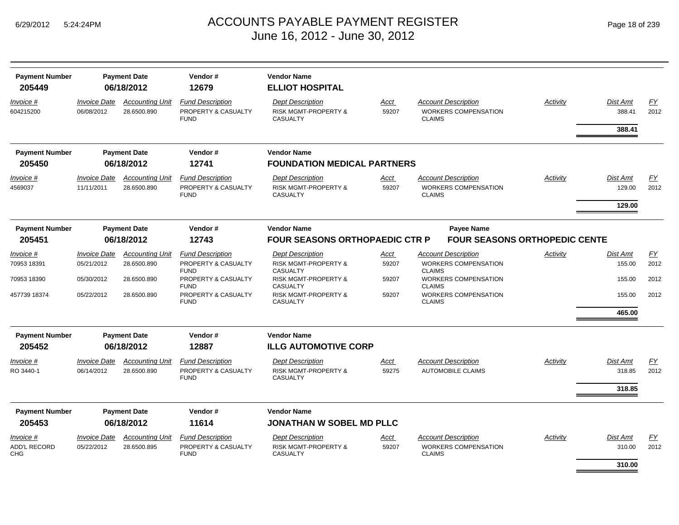| <b>Payment Number</b><br>205449   |                                   | <b>Payment Date</b><br>06/18/2012     | Vendor#<br>12679                                              | <b>Vendor Name</b><br><b>ELLIOT HOSPITAL</b>                                  |               |                                                        |                                      |                 |                                     |                          |
|-----------------------------------|-----------------------------------|---------------------------------------|---------------------------------------------------------------|-------------------------------------------------------------------------------|---------------|--------------------------------------------------------|--------------------------------------|-----------------|-------------------------------------|--------------------------|
| Invoice #<br>604215200            | <b>Invoice Date</b><br>06/08/2012 | <b>Accounting Unit</b><br>28.6500.890 | <b>Fund Description</b><br>PROPERTY & CASUALTY<br><b>FUND</b> | <b>Dept Description</b><br><b>RISK MGMT-PROPERTY &amp;</b><br><b>CASUALTY</b> | Acct<br>59207 | <b>Account Description</b><br><b>CLAIMS</b>            | <b>WORKERS COMPENSATION</b>          | <b>Activity</b> | <b>Dist Amt</b><br>388.41<br>388.41 | $\underline{FY}$<br>2012 |
|                                   |                                   |                                       |                                                               |                                                                               |               |                                                        |                                      |                 |                                     |                          |
| <b>Payment Number</b>             |                                   | <b>Payment Date</b>                   | Vendor#                                                       | <b>Vendor Name</b>                                                            |               |                                                        |                                      |                 |                                     |                          |
| 205450                            |                                   | 06/18/2012                            | 12741                                                         | <b>FOUNDATION MEDICAL PARTNERS</b>                                            |               |                                                        |                                      |                 |                                     |                          |
| Invoice #                         | <b>Invoice Date</b>               | <b>Accounting Unit</b>                | <b>Fund Description</b>                                       | <b>Dept Description</b>                                                       | Acct          | <b>Account Description</b>                             |                                      | Activity        | <b>Dist Amt</b>                     | EY                       |
| 4569037                           | 11/11/2011                        | 28.6500.890                           | PROPERTY & CASUALTY<br><b>FUND</b>                            | <b>RISK MGMT-PROPERTY &amp;</b><br><b>CASUALTY</b>                            | 59207         | <b>CLAIMS</b>                                          | <b>WORKERS COMPENSATION</b>          |                 | 129.00                              | 2012                     |
|                                   |                                   |                                       |                                                               |                                                                               |               |                                                        |                                      |                 | 129.00                              |                          |
| <b>Payment Number</b>             |                                   | <b>Payment Date</b>                   | Vendor#                                                       | <b>Vendor Name</b>                                                            |               |                                                        | <b>Payee Name</b>                    |                 |                                     |                          |
| 205451                            |                                   | 06/18/2012                            | 12743                                                         | <b>FOUR SEASONS ORTHOPAEDIC CTR P</b>                                         |               |                                                        | <b>FOUR SEASONS ORTHOPEDIC CENTE</b> |                 |                                     |                          |
| Invoice #                         | <b>Invoice Date</b>               | <b>Accounting Unit</b>                | <b>Fund Description</b>                                       | <b>Dept Description</b>                                                       | Acct          | <b>Account Description</b>                             |                                      | Activity        | Dist Amt                            | EY                       |
| 70953 18391                       | 05/21/2012                        | 28.6500.890                           | PROPERTY & CASUALTY<br><b>FUND</b>                            | <b>RISK MGMT-PROPERTY &amp;</b><br><b>CASUALTY</b>                            | 59207         | <b>CLAIMS</b>                                          | <b>WORKERS COMPENSATION</b>          |                 | 155.00                              | 2012                     |
| 70953 18390                       | 05/30/2012                        | 28.6500.890                           | PROPERTY & CASUALTY<br><b>FUND</b>                            | <b>RISK MGMT-PROPERTY &amp;</b><br><b>CASUALTY</b>                            | 59207         | <b>CLAIMS</b>                                          | <b>WORKERS COMPENSATION</b>          |                 | 155.00                              | 2012                     |
| 457739 18374                      | 05/22/2012                        | 28.6500.890                           | PROPERTY & CASUALTY<br><b>FUND</b>                            | <b>RISK MGMT-PROPERTY &amp;</b><br><b>CASUALTY</b>                            | 59207         | <b>CLAIMS</b>                                          | <b>WORKERS COMPENSATION</b>          |                 | 155.00                              | 2012                     |
|                                   |                                   |                                       |                                                               |                                                                               |               |                                                        |                                      |                 | 465.00                              |                          |
| <b>Payment Number</b>             |                                   | <b>Payment Date</b>                   | Vendor#                                                       | <b>Vendor Name</b>                                                            |               |                                                        |                                      |                 |                                     |                          |
| 205452                            |                                   | 06/18/2012                            | 12887                                                         | <b>ILLG AUTOMOTIVE CORP</b>                                                   |               |                                                        |                                      |                 |                                     |                          |
| <i>Invoice</i> #<br>RO 3440-1     | <b>Invoice Date</b><br>06/14/2012 | <b>Accounting Unit</b><br>28.6500.890 | <b>Fund Description</b><br>PROPERTY & CASUALTY                | <b>Dept Description</b><br><b>RISK MGMT-PROPERTY &amp;</b>                    | Acct<br>59275 | <b>Account Description</b><br><b>AUTOMOBILE CLAIMS</b> |                                      | Activity        | <b>Dist Amt</b><br>318.85           | <u>FY</u><br>2012        |
|                                   |                                   |                                       | <b>FUND</b>                                                   | <b>CASUALTY</b>                                                               |               |                                                        |                                      |                 |                                     |                          |
|                                   |                                   |                                       |                                                               |                                                                               |               |                                                        |                                      |                 | 318.85                              |                          |
| <b>Payment Number</b>             |                                   | <b>Payment Date</b>                   | Vendor#                                                       | <b>Vendor Name</b>                                                            |               |                                                        |                                      |                 |                                     |                          |
| 205453                            |                                   | 06/18/2012                            | 11614                                                         | <b>JONATHAN W SOBEL MD PLLC</b>                                               |               |                                                        |                                      |                 |                                     |                          |
| Invoice #                         | <b>Invoice Date</b>               | <b>Accounting Unit</b>                | <b>Fund Description</b>                                       | <b>Dept Description</b>                                                       | <u>Acct</u>   | <b>Account Description</b>                             |                                      | Activity        | <b>Dist Amt</b>                     | EY                       |
| <b>ADD'L RECORD</b><br><b>CHG</b> | 05/22/2012                        | 28.6500.895                           | PROPERTY & CASUALTY<br><b>FUND</b>                            | <b>RISK MGMT-PROPERTY &amp;</b><br><b>CASUALTY</b>                            | 59207         | <b>CLAIMS</b>                                          | <b>WORKERS COMPENSATION</b>          |                 | 310.00                              | 2012                     |
|                                   |                                   |                                       |                                                               |                                                                               |               |                                                        |                                      |                 | 310.00                              |                          |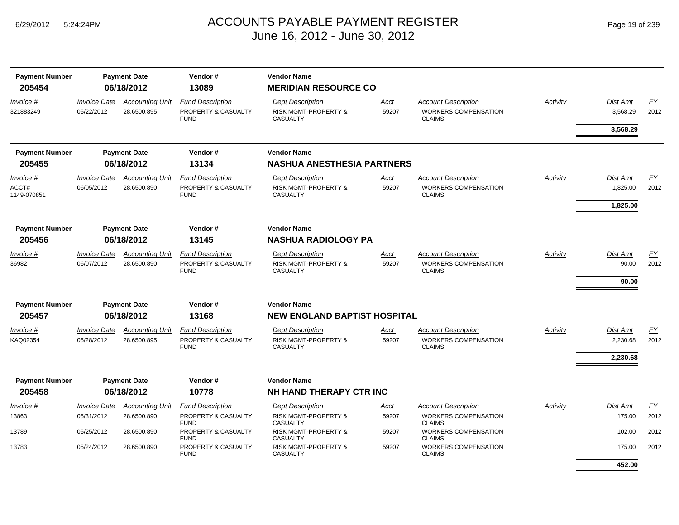| <b>Payment Number</b><br>205454   |                                          | <b>Payment Date</b><br>06/18/2012     | Vendor#<br>13089                                              | <b>Vendor Name</b><br><b>MERIDIAN RESOURCE CO</b>                             |               |                                                                            |          |                          |                   |
|-----------------------------------|------------------------------------------|---------------------------------------|---------------------------------------------------------------|-------------------------------------------------------------------------------|---------------|----------------------------------------------------------------------------|----------|--------------------------|-------------------|
| <i>Invoice</i> #<br>321883249     | <i><b>Invoice Date</b></i><br>05/22/2012 | <b>Accounting Unit</b><br>28.6500.895 | <b>Fund Description</b><br>PROPERTY & CASUALTY<br><b>FUND</b> | <b>Dept Description</b><br><b>RISK MGMT-PROPERTY &amp;</b><br><b>CASUALTY</b> | Acct<br>59207 | <b>Account Description</b><br><b>WORKERS COMPENSATION</b><br><b>CLAIMS</b> | Activity | Dist Amt<br>3.568.29     | EY<br>2012        |
|                                   |                                          |                                       |                                                               |                                                                               |               |                                                                            |          | 3,568.29                 |                   |
| <b>Payment Number</b>             |                                          | <b>Payment Date</b>                   | Vendor#                                                       | <b>Vendor Name</b>                                                            |               |                                                                            |          |                          |                   |
| 205455                            |                                          | 06/18/2012                            | 13134                                                         | <b>NASHUA ANESTHESIA PARTNERS</b>                                             |               |                                                                            |          |                          |                   |
| Invoice #<br>ACCT#<br>1149-070851 | <b>Invoice Date</b><br>06/05/2012        | <b>Accounting Unit</b><br>28.6500.890 | <b>Fund Description</b><br>PROPERTY & CASUALTY<br><b>FUND</b> | <b>Dept Description</b><br><b>RISK MGMT-PROPERTY &amp;</b><br><b>CASUALTY</b> | Acct<br>59207 | <b>Account Description</b><br><b>WORKERS COMPENSATION</b><br><b>CLAIMS</b> | Activity | Dist Amt<br>1,825.00     | <u>FY</u><br>2012 |
|                                   |                                          |                                       |                                                               |                                                                               |               |                                                                            |          | 1,825.00                 |                   |
| <b>Payment Number</b>             |                                          | <b>Payment Date</b>                   | Vendor#                                                       | <b>Vendor Name</b>                                                            |               |                                                                            |          |                          |                   |
| 205456                            |                                          | 06/18/2012                            | 13145                                                         | <b>NASHUA RADIOLOGY PA</b>                                                    |               |                                                                            |          |                          |                   |
| Invoice #<br>36982                | <b>Invoice Date</b><br>06/07/2012        | <b>Accounting Unit</b><br>28.6500.890 | <b>Fund Description</b><br>PROPERTY & CASUALTY<br><b>FUND</b> | <b>Dept Description</b><br><b>RISK MGMT-PROPERTY &amp;</b><br><b>CASUALTY</b> | Acct<br>59207 | <b>Account Description</b><br><b>WORKERS COMPENSATION</b><br><b>CLAIMS</b> | Activity | <b>Dist Amt</b><br>90.00 | <u>FY</u><br>2012 |
|                                   |                                          |                                       |                                                               |                                                                               |               |                                                                            |          | 90.00                    |                   |
| <b>Payment Number</b>             |                                          | <b>Payment Date</b>                   | Vendor#                                                       | <b>Vendor Name</b>                                                            |               |                                                                            |          |                          |                   |
| 205457                            |                                          | 06/18/2012                            | 13168                                                         | <b>NEW ENGLAND BAPTIST HOSPITAL</b>                                           |               |                                                                            |          |                          |                   |
| Invoice #<br>KAQ02354             | <b>Invoice Date</b><br>05/28/2012        | <b>Accounting Unit</b><br>28.6500.895 | <b>Fund Description</b><br>PROPERTY & CASUALTY<br><b>FUND</b> | <b>Dept Description</b><br><b>RISK MGMT-PROPERTY &amp;</b><br><b>CASUALTY</b> | Acct<br>59207 | Account Description<br><b>WORKERS COMPENSATION</b><br><b>CLAIMS</b>        | Activity | Dist Amt<br>2,230.68     | FY<br>2012        |
|                                   |                                          |                                       |                                                               |                                                                               |               |                                                                            |          | 2,230.68                 |                   |
| <b>Payment Number</b>             |                                          | <b>Payment Date</b>                   | Vendor#                                                       | <b>Vendor Name</b>                                                            |               |                                                                            |          |                          |                   |
| 205458                            |                                          | 06/18/2012                            | 10778                                                         | NH HAND THERAPY CTR INC                                                       |               |                                                                            |          |                          |                   |
| Invoice #                         | <b>Invoice Date</b>                      | <b>Accounting Unit</b>                | <b>Fund Description</b>                                       | <b>Dept Description</b>                                                       | <u>Acct</u>   | <b>Account Description</b>                                                 | Activity | <b>Dist Amt</b>          | <u>FY</u>         |
| 13863                             | 05/31/2012                               | 28.6500.890                           | PROPERTY & CASUALTY<br><b>FUND</b>                            | <b>RISK MGMT-PROPERTY &amp;</b><br><b>CASUALTY</b>                            | 59207         | WORKERS COMPENSATION<br><b>CLAIMS</b>                                      |          | 175.00                   | 2012              |
| 13789                             | 05/25/2012                               | 28.6500.890                           | PROPERTY & CASUALTY<br><b>FUND</b>                            | <b>RISK MGMT-PROPERTY &amp;</b><br><b>CASUALTY</b>                            | 59207         | WORKERS COMPENSATION<br><b>CLAIMS</b>                                      |          | 102.00                   | 2012              |
| 13783                             | 05/24/2012                               | 28.6500.890                           | <b>PROPERTY &amp; CASUALTY</b><br><b>FUND</b>                 | <b>RISK MGMT-PROPERTY &amp;</b><br><b>CASUALTY</b>                            | 59207         | <b>WORKERS COMPENSATION</b><br><b>CLAIMS</b>                               |          | 175.00                   | 2012              |
|                                   |                                          |                                       |                                                               |                                                                               |               |                                                                            |          | 452.00                   |                   |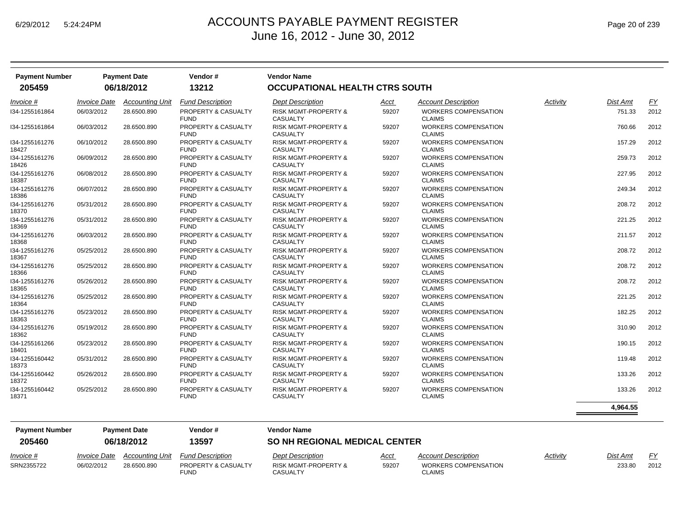| <b>Payment Number</b><br>205459 |                     | <b>Payment Date</b><br>06/18/2012 | Vendor #<br>13212                             | <b>Vendor Name</b><br>OCCUPATIONAL HEALTH CTRS SOUTH |       |                                              |          |                 |      |
|---------------------------------|---------------------|-----------------------------------|-----------------------------------------------|------------------------------------------------------|-------|----------------------------------------------|----------|-----------------|------|
| <i>Invoice</i> #                | <b>Invoice Date</b> | <b>Accounting Unit</b>            | <b>Fund Description</b>                       | <b>Dept Description</b>                              | Acct  | <b>Account Description</b>                   | Activity | <b>Dist Amt</b> | EY   |
| I34-1255161864                  | 06/03/2012          | 28.6500.890                       | PROPERTY & CASUALTY<br><b>FUND</b>            | <b>RISK MGMT-PROPERTY &amp;</b><br><b>CASUALTY</b>   | 59207 | <b>WORKERS COMPENSATION</b><br><b>CLAIMS</b> |          | 751.33          | 2012 |
| I34-1255161864                  | 06/03/2012          | 28.6500.890                       | PROPERTY & CASUALTY<br><b>FUND</b>            | <b>RISK MGMT-PROPERTY &amp;</b><br><b>CASUALTY</b>   | 59207 | <b>WORKERS COMPENSATION</b><br><b>CLAIMS</b> |          | 760.66          | 2012 |
| 134-1255161276<br>18427         | 06/10/2012          | 28.6500.890                       | PROPERTY & CASUALTY<br><b>FUND</b>            | <b>RISK MGMT-PROPERTY &amp;</b><br><b>CASUALTY</b>   | 59207 | <b>WORKERS COMPENSATION</b><br><b>CLAIMS</b> |          | 157.29          | 2012 |
| I34-1255161276<br>18426         | 06/09/2012          | 28.6500.890                       | PROPERTY & CASUALTY<br><b>FUND</b>            | <b>RISK MGMT-PROPERTY &amp;</b><br><b>CASUALTY</b>   | 59207 | <b>WORKERS COMPENSATION</b><br><b>CLAIMS</b> |          | 259.73          | 2012 |
| 134-1255161276<br>18387         | 06/08/2012          | 28.6500.890                       | PROPERTY & CASUALTY<br><b>FUND</b>            | <b>RISK MGMT-PROPERTY &amp;</b><br><b>CASUALTY</b>   | 59207 | <b>WORKERS COMPENSATION</b><br><b>CLAIMS</b> |          | 227.95          | 2012 |
| I34-1255161276<br>18386         | 06/07/2012          | 28.6500.890                       | PROPERTY & CASUALTY<br><b>FUND</b>            | RISK MGMT-PROPERTY &<br><b>CASUALTY</b>              | 59207 | <b>WORKERS COMPENSATION</b><br><b>CLAIMS</b> |          | 249.34          | 2012 |
| I34-1255161276<br>18370         | 05/31/2012          | 28.6500.890                       | PROPERTY & CASUALTY<br><b>FUND</b>            | <b>RISK MGMT-PROPERTY &amp;</b><br><b>CASUALTY</b>   | 59207 | WORKERS COMPENSATION<br><b>CLAIMS</b>        |          | 208.72          | 2012 |
| I34-1255161276<br>18369         | 05/31/2012          | 28.6500.890                       | <b>PROPERTY &amp; CASUALTY</b><br><b>FUND</b> | <b>RISK MGMT-PROPERTY &amp;</b><br><b>CASUALTY</b>   | 59207 | <b>WORKERS COMPENSATION</b><br><b>CLAIMS</b> |          | 221.25          | 2012 |
| I34-1255161276<br>18368         | 06/03/2012          | 28.6500.890                       | PROPERTY & CASUALTY<br><b>FUND</b>            | <b>RISK MGMT-PROPERTY &amp;</b><br><b>CASUALTY</b>   | 59207 | <b>WORKERS COMPENSATION</b><br><b>CLAIMS</b> |          | 211.57          | 2012 |
| I34-1255161276<br>18367         | 05/25/2012          | 28.6500.890                       | PROPERTY & CASUALTY<br><b>FUND</b>            | <b>RISK MGMT-PROPERTY &amp;</b><br><b>CASUALTY</b>   | 59207 | <b>WORKERS COMPENSATION</b><br><b>CLAIMS</b> |          | 208.72          | 2012 |
| I34-1255161276<br>18366         | 05/25/2012          | 28.6500.890                       | <b>PROPERTY &amp; CASUALTY</b><br><b>FUND</b> | <b>RISK MGMT-PROPERTY &amp;</b><br><b>CASUALTY</b>   | 59207 | <b>WORKERS COMPENSATION</b><br><b>CLAIMS</b> |          | 208.72          | 2012 |
| I34-1255161276<br>18365         | 05/26/2012          | 28.6500.890                       | PROPERTY & CASUALTY<br><b>FUND</b>            | <b>RISK MGMT-PROPERTY &amp;</b><br>CASUALTY          | 59207 | <b>WORKERS COMPENSATION</b><br><b>CLAIMS</b> |          | 208.72          | 2012 |
| I34-1255161276<br>18364         | 05/25/2012          | 28.6500.890                       | PROPERTY & CASUALTY<br><b>FUND</b>            | <b>RISK MGMT-PROPERTY &amp;</b><br><b>CASUALTY</b>   | 59207 | <b>WORKERS COMPENSATION</b><br><b>CLAIMS</b> |          | 221.25          | 2012 |
| I34-1255161276<br>18363         | 05/23/2012          | 28.6500.890                       | PROPERTY & CASUALTY<br><b>FUND</b>            | <b>RISK MGMT-PROPERTY &amp;</b><br><b>CASUALTY</b>   | 59207 | <b>WORKERS COMPENSATION</b><br><b>CLAIMS</b> |          | 182.25          | 2012 |
| I34-1255161276<br>18362         | 05/19/2012          | 28.6500.890                       | PROPERTY & CASUALTY<br><b>FUND</b>            | <b>RISK MGMT-PROPERTY &amp;</b><br><b>CASUALTY</b>   | 59207 | <b>WORKERS COMPENSATION</b><br><b>CLAIMS</b> |          | 310.90          | 2012 |
| I34-1255161266<br>18401         | 05/23/2012          | 28.6500.890                       | PROPERTY & CASUALTY<br><b>FUND</b>            | <b>RISK MGMT-PROPERTY &amp;</b><br><b>CASUALTY</b>   | 59207 | <b>WORKERS COMPENSATION</b><br><b>CLAIMS</b> |          | 190.15          | 2012 |
| I34-1255160442<br>18373         | 05/31/2012          | 28.6500.890                       | PROPERTY & CASUALTY<br><b>FUND</b>            | <b>RISK MGMT-PROPERTY &amp;</b><br><b>CASUALTY</b>   | 59207 | <b>WORKERS COMPENSATION</b><br><b>CLAIMS</b> |          | 119.48          | 2012 |
| I34-1255160442<br>18372         | 05/26/2012          | 28.6500.890                       | PROPERTY & CASUALTY<br><b>FUND</b>            | <b>RISK MGMT-PROPERTY &amp;</b><br><b>CASUALTY</b>   | 59207 | <b>WORKERS COMPENSATION</b><br><b>CLAIMS</b> |          | 133.26          | 2012 |
| 134-1255160442<br>18371         | 05/25/2012          | 28.6500.890                       | PROPERTY & CASUALTY<br><b>FUND</b>            | <b>RISK MGMT-PROPERTY &amp;</b><br><b>CASUALTY</b>   | 59207 | WORKERS COMPENSATION<br><b>CLAIMS</b>        |          | 133.26          | 2012 |
|                                 |                     |                                   |                                               |                                                      |       |                                              |          | 4,964.55        |      |

| <b>Payment Number</b><br>205460 | <b>Payment Date</b><br>06/18/2012 |                 | Vendor#<br>13597            | <b>Vendor Name</b><br><b>SO NH REGIONAL MEDICAL CENTER</b> |             |                                |          |                 |           |  |  |
|---------------------------------|-----------------------------------|-----------------|-----------------------------|------------------------------------------------------------|-------------|--------------------------------|----------|-----------------|-----------|--|--|
| $Invoice$ #                     | <i><b>Invoice Date</b></i>        | Accountina Unit | <b>Fund Description</b>     | <b>Dept Description</b>                                    | <u>Acct</u> | <b>Account Description</b>     | Activity | <u>Dist Amt</u> | <b>EV</b> |  |  |
| SRN2355722                      | 06/02/2012                        | 28.6500.890     | PROPERTY & CASUALTY<br>FUND | RISK MGMT-PROPERTY &<br>CASUALTY                           | 59207       | WORKERS COMPENSATION<br>CLAIMS |          | 233.80          | 2012      |  |  |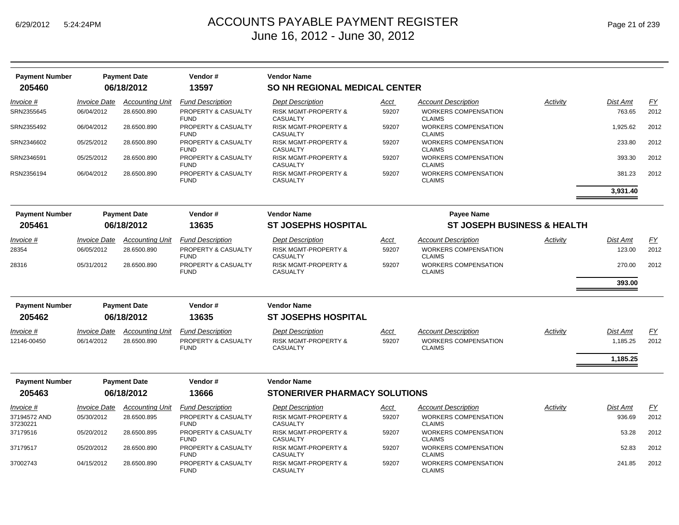*Invoice #*

SRN2355645

SRN2355492

SRN2346602

SRN2346591

RSN2356194

*Invoice #*

*Invoice #*

37179516

37179517

37002743

12146-00450

28354

28316

| 205460                   | <b>Payment Number</b><br><b>Payment Date</b><br>06/18/2012 |                        | Vendor#<br>13597                   | <b>Vendor Name</b><br><b>SO NH REGIONAL MEDICAL CENTER</b> |             |                                              |          |                 |           |  |
|--------------------------|------------------------------------------------------------|------------------------|------------------------------------|------------------------------------------------------------|-------------|----------------------------------------------|----------|-----------------|-----------|--|
| Invoice #                | <i><b>Invoice Date</b></i>                                 | <b>Accounting Unit</b> | <b>Fund Description</b>            | <b>Dept Description</b>                                    | Acct        | <b>Account Description</b>                   | Activity | <b>Dist Amt</b> | <u>FY</u> |  |
| SRN2355645               | 06/04/2012                                                 | 28.6500.890            | PROPERTY & CASUALTY<br><b>FUND</b> | <b>RISK MGMT-PROPERTY &amp;</b><br><b>CASUALTY</b>         | 59207       | WORKERS COMPENSATION<br><b>CLAIMS</b>        |          | 763.65          | 2012      |  |
| SRN2355492               | 06/04/2012                                                 | 28.6500.890            | PROPERTY & CASUALTY<br><b>FUND</b> | <b>RISK MGMT-PROPERTY &amp;</b><br><b>CASUALTY</b>         | 59207       | <b>WORKERS COMPENSATION</b><br><b>CLAIMS</b> |          | 1,925.62        | 2012      |  |
| SRN2346602               | 05/25/2012                                                 | 28.6500.890            | PROPERTY & CASUALTY<br><b>FUND</b> | <b>RISK MGMT-PROPERTY &amp;</b><br><b>CASUALTY</b>         | 59207       | <b>WORKERS COMPENSATION</b><br><b>CLAIMS</b> |          | 233.80          | 2012      |  |
| SRN2346591               | 05/25/2012                                                 | 28.6500.890            | PROPERTY & CASUALTY<br><b>FUND</b> | <b>RISK MGMT-PROPERTY &amp;</b><br><b>CASUALTY</b>         | 59207       | <b>WORKERS COMPENSATION</b><br><b>CLAIMS</b> |          | 393.30          | 2012      |  |
| RSN2356194               | 06/04/2012                                                 | 28.6500.890            | PROPERTY & CASUALTY<br><b>FUND</b> | <b>RISK MGMT-PROPERTY &amp;</b><br><b>CASUALTY</b>         | 59207       | WORKERS COMPENSATION<br><b>CLAIMS</b>        |          | 381.23          | 2012      |  |
|                          |                                                            |                        |                                    |                                                            |             |                                              |          | 3,931.40        |           |  |
| <b>Payment Number</b>    |                                                            | <b>Payment Date</b>    | Vendor#                            | <b>Vendor Name</b>                                         |             | <b>Payee Name</b>                            |          |                 |           |  |
| 205461                   |                                                            | 06/18/2012             | 13635                              | <b>ST JOSEPHS HOSPITAL</b>                                 |             | <b>ST JOSEPH BUSINESS &amp; HEALTH</b>       |          |                 |           |  |
| <i>Invoice</i> #         | <i><b>Invoice Date</b></i>                                 | <b>Accounting Unit</b> | <b>Fund Description</b>            | <b>Dept Description</b>                                    | Acct        | <b>Account Description</b>                   | Activity | <b>Dist Amt</b> | FY        |  |
| 28354                    | 06/05/2012                                                 | 28.6500.890            | PROPERTY & CASUALTY<br><b>FUND</b> | <b>RISK MGMT-PROPERTY &amp;</b><br><b>CASUALTY</b>         | 59207       | <b>WORKERS COMPENSATION</b><br><b>CLAIMS</b> |          | 123.00          | 2012      |  |
| 28316                    | 05/31/2012                                                 | 28.6500.890            | PROPERTY & CASUALTY<br><b>FUND</b> | <b>RISK MGMT-PROPERTY &amp;</b><br><b>CASUALTY</b>         | 59207       | <b>WORKERS COMPENSATION</b><br><b>CLAIMS</b> |          | 270.00          | 2012      |  |
|                          |                                                            |                        |                                    |                                                            |             |                                              |          | 393.00          |           |  |
| <b>Payment Number</b>    |                                                            | <b>Payment Date</b>    | Vendor#                            | <b>Vendor Name</b>                                         |             |                                              |          |                 |           |  |
| 205462                   |                                                            | 06/18/2012             | 13635                              | <b>ST JOSEPHS HOSPITAL</b>                                 |             |                                              |          |                 |           |  |
| Invoice #                | <b>Invoice Date</b>                                        | <b>Accounting Unit</b> | <b>Fund Description</b>            | <b>Dept Description</b>                                    | <u>Acct</u> | Account Description                          | Activity | <b>Dist Amt</b> | EY        |  |
| 12146-00450              | 06/14/2012                                                 | 28.6500.890            | PROPERTY & CASUALTY<br><b>FUND</b> | <b>RISK MGMT-PROPERTY &amp;</b><br><b>CASUALTY</b>         | 59207       | <b>WORKERS COMPENSATION</b><br><b>CLAIMS</b> |          | 1.185.25        | 2012      |  |
|                          |                                                            |                        |                                    |                                                            |             |                                              |          | 1,185.25        |           |  |
| <b>Payment Number</b>    |                                                            | <b>Payment Date</b>    | Vendor#                            | <b>Vendor Name</b>                                         |             |                                              |          |                 |           |  |
| 205463                   |                                                            | 06/18/2012             | 13666                              | <b>STONERIVER PHARMACY SOLUTIONS</b>                       |             |                                              |          |                 |           |  |
| Invoice #                | <b>Invoice Date</b>                                        | <b>Accounting Unit</b> | <b>Fund Description</b>            | <b>Dept Description</b>                                    | Acct        | Account Description                          | Activity | Dist Amt        | <u>FY</u> |  |
| 37194572 AND<br>37230221 | 05/30/2012                                                 | 28.6500.895            | PROPERTY & CASUALTY<br><b>FUND</b> | <b>RISK MGMT-PROPERTY &amp;</b><br><b>CASUALTY</b>         | 59207       | <b>WORKERS COMPENSATION</b><br><b>CLAIMS</b> |          | 936.69          | 2012      |  |
| 37179516                 | 05/20/2012                                                 | 28.6500.895            | PROPERTY & CASUALTY<br><b>FUND</b> | <b>RISK MGMT-PROPERTY &amp;</b><br><b>CASUALTY</b>         | 59207       | <b>WORKERS COMPENSATION</b><br><b>CLAIMS</b> |          | 53.28           | 2012      |  |
| 37179517                 | 05/20/2012                                                 | 28.6500.890            | PROPERTY & CASUALTY<br><b>FUND</b> | <b>RISK MGMT-PROPERTY &amp;</b><br><b>CASUALTY</b>         | 59207       | WORKERS COMPENSATION<br><b>CLAIMS</b>        |          | 52.83           | 2012      |  |
| 37002743                 | 04/15/2012                                                 | 28.6500.890            | PROPERTY & CASUALTY<br><b>FUND</b> | RISK MGMT-PROPERTY &<br><b>CASUALTY</b>                    | 59207       | <b>WORKERS COMPENSATION</b><br><b>CLAIMS</b> |          | 241.85          | 2012      |  |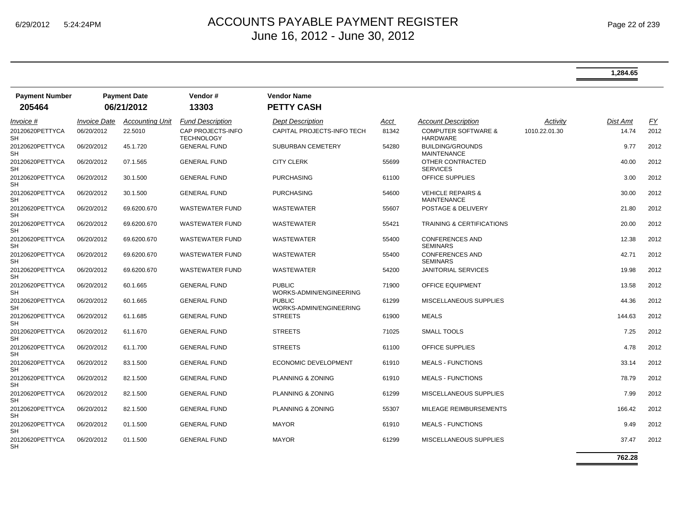|                                 |                            |                                   |                                        |                                          |       |                                                    |               | 1,284.65 |           |
|---------------------------------|----------------------------|-----------------------------------|----------------------------------------|------------------------------------------|-------|----------------------------------------------------|---------------|----------|-----------|
| <b>Payment Number</b><br>205464 |                            | <b>Payment Date</b><br>06/21/2012 | Vendor#<br>13303                       | <b>Vendor Name</b><br><b>PETTY CASH</b>  |       |                                                    |               |          |           |
| Invoice #                       | <i><b>Invoice Date</b></i> | <b>Accounting Unit</b>            | <b>Fund Description</b>                | Dept Description                         | Acct  | <b>Account Description</b>                         | Activity      | Dist Amt | <u>FY</u> |
| 20120620PETTYCA<br>SН           | 06/20/2012                 | 22.5010                           | CAP PROJECTS-INFO<br><b>TECHNOLOGY</b> | CAPITAL PROJECTS-INFO TECH               | 81342 | <b>COMPUTER SOFTWARE &amp;</b><br>HARDWARE         | 1010.22.01.30 | 14.74    | 2012      |
| 20120620PETTYCA<br>SН           | 06/20/2012                 | 45.1.720                          | <b>GENERAL FUND</b>                    | <b>SUBURBAN CEMETERY</b>                 | 54280 | <b>BUILDING/GROUNDS</b><br><b>MAINTENANCE</b>      |               | 9.77     | 2012      |
| 20120620PETTYCA<br>SН           | 06/20/2012                 | 07.1.565                          | <b>GENERAL FUND</b>                    | <b>CITY CLERK</b>                        | 55699 | OTHER CONTRACTED<br><b>SERVICES</b>                |               | 40.00    | 2012      |
| 20120620PETTYCA<br>SH           | 06/20/2012                 | 30.1.500                          | <b>GENERAL FUND</b>                    | <b>PURCHASING</b>                        | 61100 | OFFICE SUPPLIES                                    |               | 3.00     | 2012      |
| 20120620PETTYCA<br>SΗ           | 06/20/2012                 | 30.1.500                          | <b>GENERAL FUND</b>                    | <b>PURCHASING</b>                        | 54600 | <b>VEHICLE REPAIRS &amp;</b><br><b>MAINTENANCE</b> |               | 30.00    | 2012      |
| 20120620PETTYCA<br>SН           | 06/20/2012                 | 69.6200.670                       | <b>WASTEWATER FUND</b>                 | WASTEWATER                               | 55607 | POSTAGE & DELIVERY                                 |               | 21.80    | 2012      |
| 20120620PETTYCA<br>SН           | 06/20/2012                 | 69.6200.670                       | <b>WASTEWATER FUND</b>                 | <b>WASTEWATER</b>                        | 55421 | <b>TRAINING &amp; CERTIFICATIONS</b>               |               | 20.00    | 2012      |
| 20120620PETTYCA<br>SН           | 06/20/2012                 | 69.6200.670                       | <b>WASTEWATER FUND</b>                 | WASTEWATER                               | 55400 | <b>CONFERENCES AND</b><br><b>SEMINARS</b>          |               | 12.38    | 2012      |
| 20120620PETTYCA<br>SН           | 06/20/2012                 | 69.6200.670                       | <b>WASTEWATER FUND</b>                 | <b>WASTEWATER</b>                        | 55400 | <b>CONFERENCES AND</b><br><b>SEMINARS</b>          |               | 42.71    | 2012      |
| 20120620PETTYCA<br>SН           | 06/20/2012                 | 69.6200.670                       | <b>WASTEWATER FUND</b>                 | <b>WASTEWATER</b>                        | 54200 | <b>JANITORIAL SERVICES</b>                         |               | 19.98    | 2012      |
| 20120620PETTYCA<br>SН           | 06/20/2012                 | 60.1.665                          | <b>GENERAL FUND</b>                    | <b>PUBLIC</b><br>WORKS-ADMIN/ENGINEERING | 71900 | <b>OFFICE EQUIPMENT</b>                            |               | 13.58    | 2012      |
| 20120620PETTYCA<br>SН           | 06/20/2012                 | 60.1.665                          | <b>GENERAL FUND</b>                    | <b>PUBLIC</b><br>WORKS-ADMIN/ENGINEERING | 61299 | MISCELLANEOUS SUPPLIES                             |               | 44.36    | 2012      |
| 20120620PETTYCA<br>SН           | 06/20/2012                 | 61.1.685                          | <b>GENERAL FUND</b>                    | <b>STREETS</b>                           | 61900 | <b>MEALS</b>                                       |               | 144.63   | 2012      |
| 20120620PETTYCA<br>SН           | 06/20/2012                 | 61.1.670                          | <b>GENERAL FUND</b>                    | <b>STREETS</b>                           | 71025 | <b>SMALL TOOLS</b>                                 |               | 7.25     | 2012      |
| 20120620PETTYCA<br>SН           | 06/20/2012                 | 61.1.700                          | <b>GENERAL FUND</b>                    | <b>STREETS</b>                           | 61100 | OFFICE SUPPLIES                                    |               | 4.78     | 2012      |
| 20120620PETTYCA<br>SН           | 06/20/2012                 | 83.1.500                          | <b>GENERAL FUND</b>                    | ECONOMIC DEVELOPMENT                     | 61910 | <b>MEALS - FUNCTIONS</b>                           |               | 33.14    | 2012      |
| 20120620PETTYCA<br>SΗ           | 06/20/2012                 | 82.1.500                          | <b>GENERAL FUND</b>                    | PLANNING & ZONING                        | 61910 | <b>MEALS - FUNCTIONS</b>                           |               | 78.79    | 2012      |
| 20120620PETTYCA<br>SН           | 06/20/2012                 | 82.1.500                          | <b>GENERAL FUND</b>                    | PLANNING & ZONING                        | 61299 | MISCELLANEOUS SUPPLIES                             |               | 7.99     | 2012      |
| 20120620PETTYCA<br>SН           | 06/20/2012                 | 82.1.500                          | <b>GENERAL FUND</b>                    | PLANNING & ZONING                        | 55307 | MILEAGE REIMBURSEMENTS                             |               | 166.42   | 2012      |
| 20120620PETTYCA<br>SН           | 06/20/2012                 | 01.1.500                          | <b>GENERAL FUND</b>                    | <b>MAYOR</b>                             | 61910 | <b>MEALS - FUNCTIONS</b>                           |               | 9.49     | 2012      |
| 20120620PETTYCA<br>SН           | 06/20/2012                 | 01.1.500                          | <b>GENERAL FUND</b>                    | <b>MAYOR</b>                             | 61299 | MISCELLANEOUS SUPPLIES                             |               | 37.47    | 2012      |

**762.28**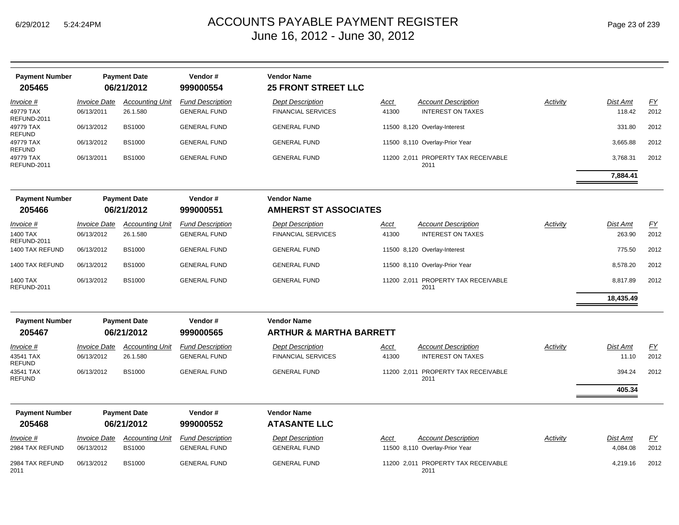| <b>Payment Number</b>                |                                   | <b>Payment Date</b>                | Vendor#                                        | <b>Vendor Name</b>                                   |                      |                                                        |          |                           |                   |
|--------------------------------------|-----------------------------------|------------------------------------|------------------------------------------------|------------------------------------------------------|----------------------|--------------------------------------------------------|----------|---------------------------|-------------------|
| 205465                               |                                   | 06/21/2012                         | 999000554                                      | <b>25 FRONT STREET LLC</b>                           |                      |                                                        |          |                           |                   |
| Invoice #                            | <i><b>Invoice Date</b></i>        | <b>Accounting Unit</b>             | <b>Fund Description</b>                        | <b>Dept Description</b>                              | Acct                 | <b>Account Description</b>                             | Activity | Dist Amt                  | <u>FY</u>         |
| 49779 TAX<br>REFUND-2011             | 06/13/2011                        | 26.1.580                           | <b>GENERAL FUND</b>                            | <b>FINANCIAL SERVICES</b>                            | 41300                | <b>INTEREST ON TAXES</b>                               |          | 118.42                    | 2012              |
| 49779 TAX<br>REFUND                  | 06/13/2012                        | <b>BS1000</b>                      | <b>GENERAL FUND</b>                            | <b>GENERAL FUND</b>                                  |                      | 11500 8,120 Overlay-Interest                           |          | 331.80                    | 2012              |
| 49779 TAX<br>REFUND                  | 06/13/2012                        | <b>BS1000</b>                      | <b>GENERAL FUND</b>                            | <b>GENERAL FUND</b>                                  |                      | 11500 8,110 Overlay-Prior Year                         |          | 3,665.88                  | 2012              |
| 49779 TAX<br>REFUND-2011             | 06/13/2011                        | <b>BS1000</b>                      | <b>GENERAL FUND</b>                            | <b>GENERAL FUND</b>                                  |                      | 11200 2,011 PROPERTY TAX RECEIVABLE<br>2011            |          | 3,768.31                  | 2012              |
|                                      |                                   |                                    |                                                |                                                      |                      |                                                        |          | 7,884.41                  |                   |
| <b>Payment Number</b><br>205466      |                                   | <b>Payment Date</b><br>06/21/2012  | Vendor#<br>999000551                           | <b>Vendor Name</b><br><b>AMHERST ST ASSOCIATES</b>   |                      |                                                        |          |                           |                   |
| Invoice #<br>1400 TAX<br>REFUND-2011 | <b>Invoice Date</b><br>06/13/2012 | <b>Accounting Unit</b><br>26.1.580 | <b>Fund Description</b><br><b>GENERAL FUND</b> | <b>Dept Description</b><br><b>FINANCIAL SERVICES</b> | <u>Acct</u><br>41300 | <b>Account Description</b><br><b>INTEREST ON TAXES</b> | Activity | <b>Dist Amt</b><br>263.90 | <u>FY</u><br>2012 |
| 1400 TAX REFUND                      | 06/13/2012                        | <b>BS1000</b>                      | <b>GENERAL FUND</b>                            | <b>GENERAL FUND</b>                                  |                      | 11500 8,120 Overlay-Interest                           |          | 775.50                    | 2012              |
| 1400 TAX REFUND                      | 06/13/2012                        | <b>BS1000</b>                      | <b>GENERAL FUND</b>                            | <b>GENERAL FUND</b>                                  |                      | 11500 8,110 Overlay-Prior Year                         |          | 8,578.20                  | 2012              |
| 1400 TAX<br>REFUND-2011              | 06/13/2012                        | <b>BS1000</b>                      | <b>GENERAL FUND</b>                            | <b>GENERAL FUND</b>                                  |                      | 11200 2,011 PROPERTY TAX RECEIVABLE<br>2011            |          | 8,817.89                  | 2012              |
|                                      |                                   |                                    |                                                |                                                      |                      |                                                        |          | 18,435.49                 |                   |
| <b>Payment Number</b>                |                                   | <b>Payment Date</b>                | Vendor#                                        | <b>Vendor Name</b>                                   |                      |                                                        |          |                           |                   |
| 205467                               |                                   | 06/21/2012                         | 999000565                                      | <b>ARTHUR &amp; MARTHA BARRETT</b>                   |                      |                                                        |          |                           |                   |
| Invoice #                            | <i><b>Invoice Date</b></i>        | <b>Accounting Unit</b>             | <b>Fund Description</b>                        | <b>Dept Description</b>                              | Acct                 | <b>Account Description</b>                             | Activity | Dist Amt                  | EY                |
| 43541 TAX<br><b>REFUND</b>           | 06/13/2012                        | 26.1.580                           | <b>GENERAL FUND</b>                            | <b>FINANCIAL SERVICES</b>                            | 41300                | <b>INTEREST ON TAXES</b>                               |          | 11.10                     | 2012              |
| 43541 TAX<br>REFUND                  | 06/13/2012                        | <b>BS1000</b>                      | <b>GENERAL FUND</b>                            | <b>GENERAL FUND</b>                                  |                      | 11200 2,011 PROPERTY TAX RECEIVABLE<br>2011            |          | 394.24                    | 2012              |
|                                      |                                   |                                    |                                                |                                                      |                      |                                                        |          | 405.34                    |                   |
| <b>Payment Number</b>                |                                   | <b>Payment Date</b>                | Vendor#                                        | <b>Vendor Name</b>                                   |                      |                                                        |          |                           |                   |
| 205468                               |                                   | 06/21/2012                         | 999000552                                      | <b>ATASANTE LLC</b>                                  |                      |                                                        |          |                           |                   |
| Invoice #                            | <b>Invoice Date</b>               | <b>Accounting Unit</b>             | <b>Fund Description</b>                        | <b>Dept Description</b>                              | Acct                 | <b>Account Description</b>                             | Activity | Dist Amt                  | <u>FY</u>         |
| 2984 TAX REFUND                      | 06/13/2012                        | <b>BS1000</b>                      | <b>GENERAL FUND</b>                            | <b>GENERAL FUND</b>                                  |                      | 11500 8,110 Overlay-Prior Year                         |          | 4,084.08                  | 2012              |
| 2984 TAX REFUND<br>2011              | 06/13/2012                        | <b>BS1000</b>                      | <b>GENERAL FUND</b>                            | <b>GENERAL FUND</b>                                  |                      | 11200 2,011 PROPERTY TAX RECEIVABLE<br>2011            |          | 4,219.16                  | 2012              |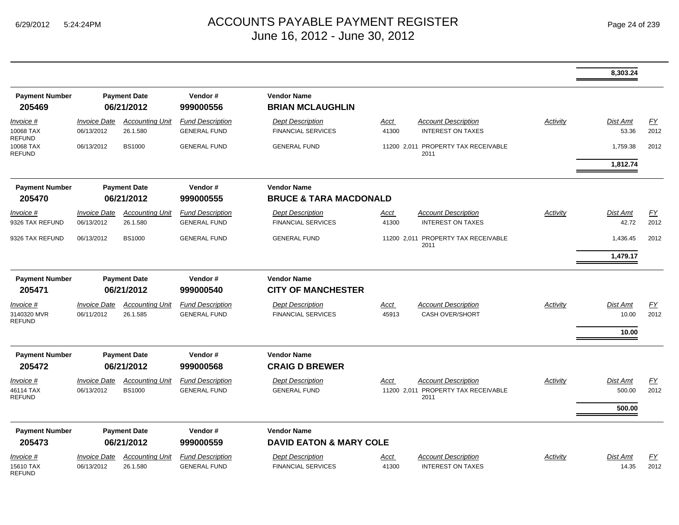|                                             |                                   |                                         |                                                |                                                         |                      |                                                                           |          | 8,303.24                     |                   |
|---------------------------------------------|-----------------------------------|-----------------------------------------|------------------------------------------------|---------------------------------------------------------|----------------------|---------------------------------------------------------------------------|----------|------------------------------|-------------------|
| <b>Payment Number</b><br>205469             |                                   | <b>Payment Date</b><br>06/21/2012       | Vendor#<br>999000556                           | <b>Vendor Name</b><br><b>BRIAN MCLAUGHLIN</b>           |                      |                                                                           |          |                              |                   |
| Invoice #<br>10068 TAX                      | <b>Invoice Date</b><br>06/13/2012 | <b>Accounting Unit</b><br>26.1.580      | <b>Fund Description</b><br><b>GENERAL FUND</b> | <b>Dept Description</b><br><b>FINANCIAL SERVICES</b>    | <b>Acct</b><br>41300 | <b>Account Description</b><br><b>INTEREST ON TAXES</b>                    | Activity | Dist Amt<br>53.36            | EY<br>2012        |
| <b>REFUND</b><br>10068 TAX<br><b>REFUND</b> | 06/13/2012                        | <b>BS1000</b>                           | <b>GENERAL FUND</b>                            | <b>GENERAL FUND</b>                                     |                      | 11200 2.011 PROPERTY TAX RECEIVABLE<br>2011                               |          | 1,759.38                     | 2012              |
|                                             |                                   |                                         |                                                |                                                         |                      |                                                                           |          | 1,812.74                     |                   |
| <b>Payment Number</b><br>205470             |                                   | <b>Payment Date</b><br>06/21/2012       | Vendor#<br>999000555                           | <b>Vendor Name</b><br><b>BRUCE &amp; TARA MACDONALD</b> |                      |                                                                           |          |                              |                   |
| Invoice #<br>9326 TAX REFUND                | <b>Invoice Date</b><br>06/13/2012 | <b>Accounting Unit</b><br>26.1.580      | <b>Fund Description</b><br><b>GENERAL FUND</b> | <b>Dept Description</b><br><b>FINANCIAL SERVICES</b>    | Acct<br>41300        | <b>Account Description</b><br><b>INTEREST ON TAXES</b>                    | Activity | Dist Amt<br>42.72            | <u>FY</u><br>2012 |
| 9326 TAX REFUND                             | 06/13/2012                        | <b>BS1000</b>                           | <b>GENERAL FUND</b>                            | <b>GENERAL FUND</b>                                     |                      | 11200 2,011 PROPERTY TAX RECEIVABLE<br>2011                               |          | 1,436.45                     | 2012              |
|                                             |                                   |                                         |                                                |                                                         |                      |                                                                           |          | 1,479.17                     |                   |
| <b>Payment Number</b><br>205471             |                                   | <b>Payment Date</b><br>06/21/2012       | Vendor#<br>999000540                           | <b>Vendor Name</b><br><b>CITY OF MANCHESTER</b>         |                      |                                                                           |          |                              |                   |
| Invoice #<br>3140320 MVR<br><b>REFUND</b>   | <b>Invoice Date</b><br>06/11/2012 | <b>Accounting Unit</b><br>26.1.585      | <b>Fund Description</b><br><b>GENERAL FUND</b> | <b>Dept Description</b><br><b>FINANCIAL SERVICES</b>    | Acct<br>45913        | <b>Account Description</b><br><b>CASH OVER/SHORT</b>                      | Activity | Dist Amt<br>10.00            | FY<br>2012        |
|                                             |                                   |                                         |                                                |                                                         |                      |                                                                           |          | 10.00                        |                   |
| <b>Payment Number</b><br>205472             |                                   | <b>Payment Date</b><br>06/21/2012       | Vendor#<br>999000568                           | <b>Vendor Name</b><br><b>CRAIG D BREWER</b>             |                      |                                                                           |          |                              |                   |
| Invoice #<br>46114 TAX<br><b>REFUND</b>     | <b>Invoice Date</b><br>06/13/2012 | <b>Accounting Unit</b><br><b>BS1000</b> | <b>Fund Description</b><br><b>GENERAL FUND</b> | <b>Dept Description</b><br><b>GENERAL FUND</b>          | Acct                 | <b>Account Description</b><br>11200 2,011 PROPERTY TAX RECEIVABLE<br>2011 | Activity | Dist Amt<br>500.00<br>500.00 | EY<br>2012        |
|                                             |                                   |                                         | Vendor#                                        | <b>Vendor Name</b>                                      |                      |                                                                           |          |                              |                   |
| <b>Payment Number</b><br>205473             |                                   | <b>Payment Date</b><br>06/21/2012       | 999000559                                      | <b>DAVID EATON &amp; MARY COLE</b>                      |                      |                                                                           |          |                              |                   |
| Invoice #<br>15610 TAX<br><b>REFUND</b>     | <b>Invoice Date</b><br>06/13/2012 | <b>Accounting Unit</b><br>26.1.580      | <b>Fund Description</b><br><b>GENERAL FUND</b> | <b>Dept Description</b><br><b>FINANCIAL SERVICES</b>    | Acct<br>41300        | <b>Account Description</b><br><b>INTEREST ON TAXES</b>                    | Activity | Dist Amt<br>14.35            | EY<br>2012        |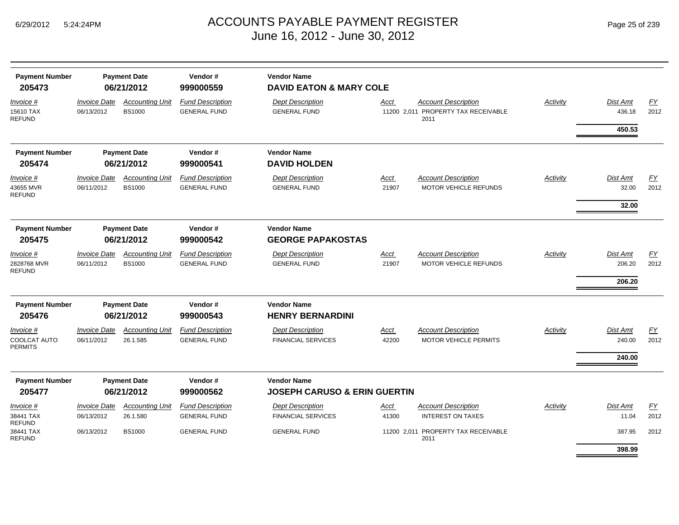| <b>Payment Number</b><br>205473  |                                   | <b>Payment Date</b><br>06/21/2012       | Vendor#<br>999000559                           | <b>Vendor Name</b><br><b>DAVID EATON &amp; MARY COLE</b> |                      |                                                            |                 |                    |                   |
|----------------------------------|-----------------------------------|-----------------------------------------|------------------------------------------------|----------------------------------------------------------|----------------------|------------------------------------------------------------|-----------------|--------------------|-------------------|
| <i>Invoice</i> #                 | <i><b>Invoice Date</b></i>        | <b>Accounting Unit</b>                  | <b>Fund Description</b>                        | <b>Dept Description</b>                                  | Acct                 | <b>Account Description</b>                                 | <b>Activity</b> | Dist Amt           | EY                |
| 15610 TAX<br>REFUND              | 06/13/2012                        | <b>BS1000</b>                           | <b>GENERAL FUND</b>                            | <b>GENERAL FUND</b>                                      |                      | 11200 2,011 PROPERTY TAX RECEIVABLE<br>2011                |                 | 436.18             | 2012              |
|                                  |                                   |                                         |                                                |                                                          |                      |                                                            |                 | 450.53             |                   |
| <b>Payment Number</b>            |                                   | <b>Payment Date</b>                     | Vendor#                                        | <b>Vendor Name</b>                                       |                      |                                                            |                 |                    |                   |
| 205474                           |                                   | 06/21/2012                              | 999000541                                      | <b>DAVID HOLDEN</b>                                      |                      |                                                            |                 |                    |                   |
| Invoice #<br>43655 MVR<br>REFUND | <b>Invoice Date</b><br>06/11/2012 | <b>Accounting Unit</b><br><b>BS1000</b> | <b>Fund Description</b><br><b>GENERAL FUND</b> | <b>Dept Description</b><br><b>GENERAL FUND</b>           | <u>Acct</u><br>21907 | <b>Account Description</b><br><b>MOTOR VEHICLE REFUNDS</b> | Activity        | Dist Amt<br>32.00  | EY<br>2012        |
|                                  |                                   |                                         |                                                |                                                          |                      |                                                            |                 | 32.00              |                   |
| <b>Payment Number</b>            |                                   | <b>Payment Date</b>                     | Vendor#                                        | <b>Vendor Name</b>                                       |                      |                                                            |                 |                    |                   |
| 205475                           |                                   | 06/21/2012                              | 999000542                                      | <b>GEORGE PAPAKOSTAS</b>                                 |                      |                                                            |                 |                    |                   |
| Invoice #                        | <b>Invoice Date</b>               | <b>Accounting Unit</b>                  | <b>Fund Description</b>                        | <b>Dept Description</b>                                  | <u>Acct</u>          | <b>Account Description</b>                                 | Activity        | Dist Amt           | EY                |
| 2828768 MVR<br><b>REFUND</b>     | 06/11/2012                        | <b>BS1000</b>                           | <b>GENERAL FUND</b>                            | <b>GENERAL FUND</b>                                      | 21907                | <b>MOTOR VEHICLE REFUNDS</b>                               |                 | 206.20             | 2012              |
|                                  |                                   |                                         |                                                |                                                          |                      |                                                            |                 | 206.20             |                   |
| <b>Payment Number</b>            |                                   | <b>Payment Date</b>                     | Vendor#                                        | <b>Vendor Name</b>                                       |                      |                                                            |                 |                    |                   |
| 205476                           |                                   | 06/21/2012                              | 999000543                                      | <b>HENRY BERNARDINI</b>                                  |                      |                                                            |                 |                    |                   |
| Invoice #<br>COOLCAT AUTO        | <b>Invoice Date</b><br>06/11/2012 | <b>Accounting Unit</b><br>26.1.585      | <b>Fund Description</b><br><b>GENERAL FUND</b> | <b>Dept Description</b><br><b>FINANCIAL SERVICES</b>     | <u>Acct</u><br>42200 | <b>Account Description</b><br><b>MOTOR VEHICLE PERMITS</b> | Activity        | Dist Amt<br>240.00 | EY<br>2012        |
| PERMITS                          |                                   |                                         |                                                |                                                          |                      |                                                            |                 | 240.00             |                   |
| <b>Payment Number</b>            |                                   | <b>Payment Date</b>                     | Vendor#                                        | <b>Vendor Name</b>                                       |                      |                                                            |                 |                    |                   |
| 205477                           |                                   | 06/21/2012                              | 999000562                                      | <b>JOSEPH CARUSO &amp; ERIN GUERTIN</b>                  |                      |                                                            |                 |                    |                   |
| <i>Invoice</i> #<br>38441 TAX    | <b>Invoice Date</b><br>06/13/2012 | <b>Accounting Unit</b><br>26.1.580      | <b>Fund Description</b><br><b>GENERAL FUND</b> | <b>Dept Description</b><br><b>FINANCIAL SERVICES</b>     | <u>Acct</u><br>41300 | Account Description<br><b>INTEREST ON TAXES</b>            | Activity        | Dist Amt<br>11.04  | <u>FY</u><br>2012 |
| REFUND<br>38441 TAX<br>REFUND    | 06/13/2012                        | <b>BS1000</b>                           | <b>GENERAL FUND</b>                            | <b>GENERAL FUND</b>                                      |                      | 11200 2,011 PROPERTY TAX RECEIVABLE<br>2011                |                 | 387.95             | 2012              |
|                                  |                                   |                                         |                                                |                                                          |                      |                                                            |                 | 398.99             |                   |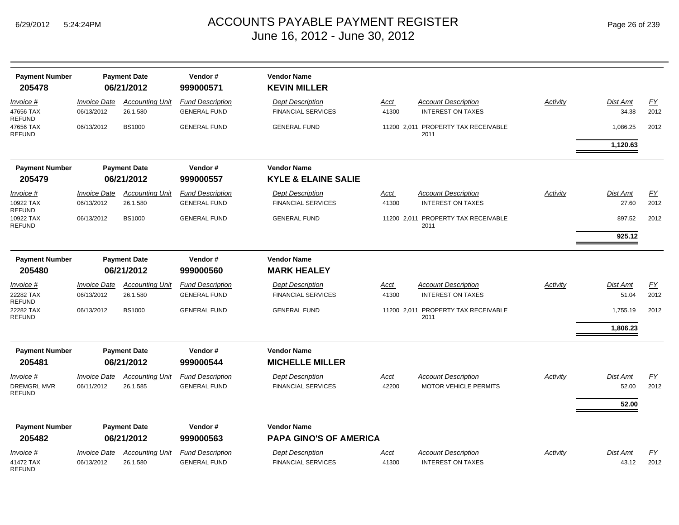**Payment Number Payment Date Vendor # Vendor Name**

47656 TAX REFUND

47656 TAX REFUND

10922 TAX REFUND

10922 TAX REFUND

22282 TAX REFUND

41472 TAX REFUND

| 205478                           |                                   | 06/21/2012                         | 999000571                                      | <b>KEVIN MILLER</b>                                  |                      |                                                        |          |                          |                   |
|----------------------------------|-----------------------------------|------------------------------------|------------------------------------------------|------------------------------------------------------|----------------------|--------------------------------------------------------|----------|--------------------------|-------------------|
| Invoice #<br>47656 TAX<br>REFUND | <b>Invoice Date</b><br>06/13/2012 | <b>Accounting Unit</b><br>26.1.580 | <b>Fund Description</b><br><b>GENERAL FUND</b> | <b>Dept Description</b><br><b>FINANCIAL SERVICES</b> | <u>Acct</u><br>41300 | <b>Account Description</b><br><b>INTEREST ON TAXES</b> | Activity | <b>Dist Amt</b><br>34.38 | <u>FY</u><br>2012 |
| 47656 TAX<br>REFUND              | 06/13/2012                        | <b>BS1000</b>                      | <b>GENERAL FUND</b>                            | <b>GENERAL FUND</b>                                  |                      | 11200 2,011 PROPERTY TAX RECEIVABLE<br>2011            |          | 1,086.25                 | 2012              |
|                                  |                                   |                                    |                                                |                                                      |                      |                                                        |          | 1,120.63                 |                   |
| <b>Payment Number</b>            |                                   | <b>Payment Date</b>                | Vendor#                                        | <b>Vendor Name</b>                                   |                      |                                                        |          |                          |                   |
| 205479                           |                                   | 06/21/2012                         | 999000557                                      | <b>KYLE &amp; ELAINE SALIE</b>                       |                      |                                                        |          |                          |                   |
| Invoice #                        | <i><b>Invoice Date</b></i>        | <b>Accounting Unit</b>             | <b>Fund Description</b>                        | <b>Dept Description</b>                              | <b>Acct</b>          | <b>Account Description</b>                             | Activity | Dist Amt                 | <u>FY</u>         |
| 10922 TAX<br>REFUND              | 06/13/2012                        | 26.1.580                           | <b>GENERAL FUND</b>                            | <b>FINANCIAL SERVICES</b>                            | 41300                | <b>INTEREST ON TAXES</b>                               |          | 27.60                    | 2012              |
| 10922 TAX                        | 06/13/2012                        | <b>BS1000</b>                      | <b>GENERAL FUND</b>                            | <b>GENERAL FUND</b>                                  |                      | 11200 2,011 PROPERTY TAX RECEIVABLE                    |          | 897.52                   | 2012              |
| REFUND                           |                                   |                                    |                                                |                                                      |                      | 2011                                                   |          | 925.12                   |                   |
|                                  |                                   |                                    |                                                |                                                      |                      |                                                        |          |                          |                   |
| <b>Payment Number</b>            |                                   | <b>Payment Date</b>                | Vendor#                                        | <b>Vendor Name</b>                                   |                      |                                                        |          |                          |                   |
| 205480                           |                                   | 06/21/2012                         | 999000560                                      | <b>MARK HEALEY</b>                                   |                      |                                                        |          |                          |                   |
| Invoice #                        | <b>Invoice Date</b>               | <b>Accounting Unit</b>             | <b>Fund Description</b>                        | <b>Dept Description</b>                              | <u>Acct</u>          | <b>Account Description</b>                             | Activity | <b>Dist Amt</b>          | EY                |
| 22282 TAX<br>REFUND              | 06/13/2012                        | 26.1.580                           | <b>GENERAL FUND</b>                            | <b>FINANCIAL SERVICES</b>                            | 41300                | <b>INTEREST ON TAXES</b>                               |          | 51.04                    | 2012              |
| 22282 TAX<br>REFUND              | 06/13/2012                        | <b>BS1000</b>                      | <b>GENERAL FUND</b>                            | <b>GENERAL FUND</b>                                  |                      | 11200 2,011 PROPERTY TAX RECEIVABLE<br>2011            |          | 1,755.19                 | 2012              |
|                                  |                                   |                                    |                                                |                                                      |                      |                                                        |          | 1,806.23                 |                   |
|                                  |                                   |                                    |                                                |                                                      |                      |                                                        |          |                          |                   |
| <b>Payment Number</b>            |                                   | <b>Payment Date</b>                | Vendor#                                        | <b>Vendor Name</b>                                   |                      |                                                        |          |                          |                   |
| 205481                           |                                   | 06/21/2012                         | 999000544                                      | <b>MICHELLE MILLER</b>                               |                      |                                                        |          |                          |                   |
| Invoice #                        | <b>Invoice Date</b>               | <b>Accounting Unit</b>             | <b>Fund Description</b>                        | <b>Dept Description</b>                              | Acct                 | <b>Account Description</b>                             | Activity | <b>Dist Amt</b>          | <u>FY</u>         |
| DREMGRL MVR<br><b>REFUND</b>     | 06/11/2012                        | 26.1.585                           | <b>GENERAL FUND</b>                            | <b>FINANCIAL SERVICES</b>                            | 42200                | <b>MOTOR VEHICLE PERMITS</b>                           |          | 52.00                    | 2012              |
|                                  |                                   |                                    |                                                |                                                      |                      |                                                        |          | 52.00                    |                   |
| <b>Payment Number</b>            |                                   | <b>Payment Date</b>                | Vendor#                                        | <b>Vendor Name</b>                                   |                      |                                                        |          |                          |                   |
| 205482                           |                                   | 06/21/2012                         | 999000563                                      | <b>PAPA GINO'S OF AMERICA</b>                        |                      |                                                        |          |                          |                   |
| <i>Invoice</i> #                 | <b>Invoice Date</b>               | <b>Accounting Unit</b>             | <b>Fund Description</b>                        | <b>Dept Description</b>                              | Acct                 | <b>Account Description</b>                             | Activity | <b>Dist Amt</b>          | <u>FY</u>         |
| 41472 TAX                        | 06/13/2012                        | 26.1.580                           | <b>GENERAL FUND</b>                            | <b>FINANCIAL SERVICES</b>                            | 41300                | <b>INTEREST ON TAXES</b>                               |          | 43.12                    | 2012              |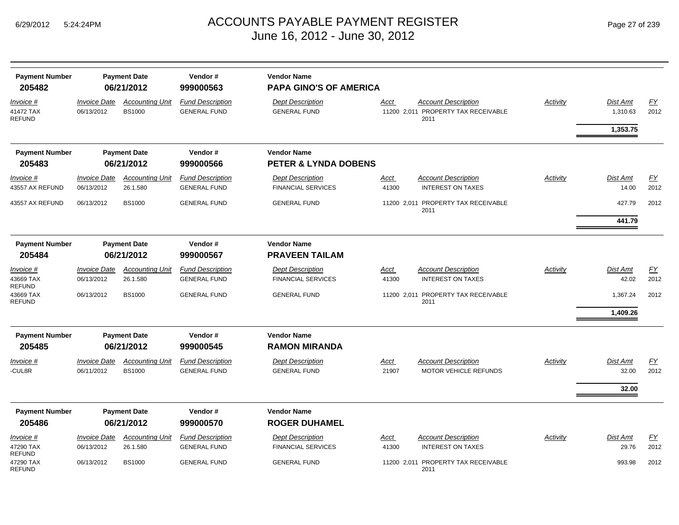| <b>Payment Number</b><br>205482                |                                          | <b>Payment Date</b><br>06/21/2012       | Vendor#<br>999000563                           | <b>Vendor Name</b><br><b>PAPA GINO'S OF AMERICA</b> |               |                                                                           |          |                             |            |
|------------------------------------------------|------------------------------------------|-----------------------------------------|------------------------------------------------|-----------------------------------------------------|---------------|---------------------------------------------------------------------------|----------|-----------------------------|------------|
| <u>Invoice #</u><br>41472 TAX<br><b>REFUND</b> | <i><b>Invoice Date</b></i><br>06/13/2012 | <b>Accounting Unit</b><br><b>BS1000</b> | <b>Fund Description</b><br><b>GENERAL FUND</b> | <b>Dept Description</b><br><b>GENERAL FUND</b>      | <u>Acct</u>   | <b>Account Description</b><br>11200 2,011 PROPERTY TAX RECEIVABLE<br>2011 | Activity | <b>Dist Amt</b><br>1,310.63 | EY<br>2012 |
|                                                |                                          |                                         |                                                |                                                     |               |                                                                           |          | 1,353.75                    |            |
| <b>Payment Number</b>                          |                                          | <b>Payment Date</b>                     | Vendor#                                        | <b>Vendor Name</b>                                  |               |                                                                           |          |                             |            |
| 205483                                         |                                          | 06/21/2012                              | 999000566                                      | <b>PETER &amp; LYNDA DOBENS</b>                     |               |                                                                           |          |                             |            |
| Invoice #                                      | <i><b>Invoice Date</b></i>               | <b>Accounting Unit</b>                  | <b>Fund Description</b>                        | <b>Dept Description</b>                             | <u>Acct</u>   | <b>Account Description</b>                                                | Activity | <b>Dist Amt</b>             | EY         |
| 43557 AX REFUND                                | 06/13/2012                               | 26.1.580                                | <b>GENERAL FUND</b>                            | <b>FINANCIAL SERVICES</b>                           | 41300         | <b>INTEREST ON TAXES</b>                                                  |          | 14.00                       | 2012       |
| 43557 AX REFUND                                | 06/13/2012                               | <b>BS1000</b>                           | <b>GENERAL FUND</b>                            | <b>GENERAL FUND</b>                                 |               | 11200 2.011 PROPERTY TAX RECEIVABLE<br>2011                               |          | 427.79                      | 2012       |
|                                                |                                          |                                         |                                                |                                                     |               |                                                                           |          | 441.79                      |            |
| <b>Payment Number</b>                          |                                          | <b>Payment Date</b>                     | Vendor#                                        | <b>Vendor Name</b>                                  |               |                                                                           |          |                             |            |
| 205484                                         |                                          | 06/21/2012                              | 999000567                                      | <b>PRAVEEN TAILAM</b>                               |               |                                                                           |          |                             |            |
| <u>Invoice #</u>                               | <i><b>Invoice Date</b></i>               | <b>Accounting Unit</b>                  | <b>Fund Description</b>                        | <b>Dept Description</b>                             | <u>Acct</u>   | <b>Account Description</b>                                                | Activity | <b>Dist Amt</b>             | EY         |
| 43669 TAX<br><b>REFUND</b>                     | 06/13/2012                               | 26.1.580                                | <b>GENERAL FUND</b>                            | <b>FINANCIAL SERVICES</b>                           | 41300         | <b>INTEREST ON TAXES</b>                                                  |          | 42.02                       | 2012       |
| 43669 TAX<br><b>REFUND</b>                     | 06/13/2012                               | <b>BS1000</b>                           | <b>GENERAL FUND</b>                            | <b>GENERAL FUND</b>                                 |               | 11200 2,011 PROPERTY TAX RECEIVABLE<br>2011                               |          | 1,367.24                    | 2012       |
|                                                |                                          |                                         |                                                |                                                     |               |                                                                           |          | 1,409.26                    |            |
| <b>Payment Number</b>                          |                                          | <b>Payment Date</b>                     | Vendor#                                        | <b>Vendor Name</b>                                  |               |                                                                           |          |                             |            |
| 205485                                         |                                          | 06/21/2012                              | 999000545                                      | <b>RAMON MIRANDA</b>                                |               |                                                                           |          |                             |            |
| Invoice #<br>CUL8R-                            | <b>Invoice Date</b><br>06/11/2012        | <b>Accounting Unit</b><br><b>BS1000</b> | <b>Fund Description</b><br><b>GENERAL FUND</b> | <b>Dept Description</b><br><b>GENERAL FUND</b>      | Acct<br>21907 | <b>Account Description</b><br><b>MOTOR VEHICLE REFUNDS</b>                | Activity | <b>Dist Amt</b><br>32.00    | EY<br>2012 |
|                                                |                                          |                                         |                                                |                                                     |               |                                                                           |          | 32.00                       |            |
| <b>Payment Number</b>                          |                                          | <b>Payment Date</b>                     | Vendor#                                        | <b>Vendor Name</b>                                  |               |                                                                           |          |                             |            |
| 205486                                         |                                          | 06/21/2012                              | 999000570                                      | <b>ROGER DUHAMEL</b>                                |               |                                                                           |          |                             |            |
| <i>Invoice</i> #                               | <i><b>Invoice Date</b></i>               | <b>Accounting Unit</b>                  | <b>Fund Description</b>                        | <b>Dept Description</b>                             | Acct          | <b>Account Description</b>                                                | Activity | <b>Dist Amt</b>             | EY         |
| 47290 TAX<br><b>REFUND</b>                     | 06/13/2012                               | 26.1.580                                | <b>GENERAL FUND</b>                            | <b>FINANCIAL SERVICES</b>                           | 41300         | <b>INTEREST ON TAXES</b>                                                  |          | 29.76                       | 2012       |
| 47290 TAX<br><b>REFUND</b>                     | 06/13/2012                               | <b>BS1000</b>                           | <b>GENERAL FUND</b>                            | <b>GENERAL FUND</b>                                 |               | 11200 2,011 PROPERTY TAX RECEIVABLE<br>2011                               |          | 993.98                      | 2012       |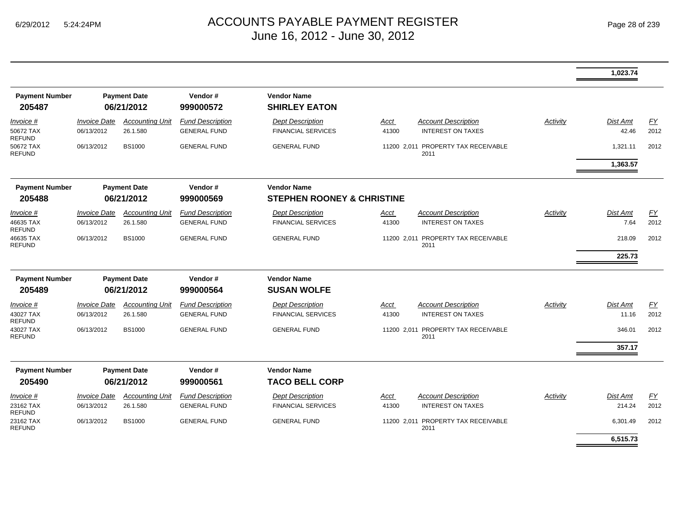|                                 |                     |                                   |                         |                                            |       |                                             |          | 1,023.74        |      |
|---------------------------------|---------------------|-----------------------------------|-------------------------|--------------------------------------------|-------|---------------------------------------------|----------|-----------------|------|
| <b>Payment Number</b><br>205487 |                     | <b>Payment Date</b><br>06/21/2012 | Vendor#<br>999000572    | <b>Vendor Name</b><br><b>SHIRLEY EATON</b> |       |                                             |          |                 |      |
| Invoice #                       | <b>Invoice Date</b> | <b>Accounting Unit</b>            | <b>Fund Description</b> | <b>Dept Description</b>                    | Acct  | <b>Account Description</b>                  | Activity | Dist Amt        | EY   |
| 50672 TAX<br><b>REFUND</b>      | 06/13/2012          | 26.1.580                          | <b>GENERAL FUND</b>     | <b>FINANCIAL SERVICES</b>                  | 41300 | <b>INTEREST ON TAXES</b>                    |          | 42.46           | 2012 |
| 50672 TAX<br><b>REFUND</b>      | 06/13/2012          | <b>BS1000</b>                     | <b>GENERAL FUND</b>     | <b>GENERAL FUND</b>                        |       | 11200 2,011 PROPERTY TAX RECEIVABLE<br>2011 |          | 1,321.11        | 2012 |
|                                 |                     |                                   |                         |                                            |       |                                             |          | 1,363.57        |      |
| <b>Payment Number</b>           |                     | <b>Payment Date</b>               | Vendor#                 | <b>Vendor Name</b>                         |       |                                             |          |                 |      |
| 205488                          |                     | 06/21/2012                        | 999000569               | <b>STEPHEN ROONEY &amp; CHRISTINE</b>      |       |                                             |          |                 |      |
| Invoice #                       | <b>Invoice Date</b> | <b>Accounting Unit</b>            | <b>Fund Description</b> | <b>Dept Description</b>                    | Acct  | <b>Account Description</b>                  | Activity | Dist Amt        | EY   |
| 46635 TAX<br><b>REFUND</b>      | 06/13/2012          | 26.1.580                          | <b>GENERAL FUND</b>     | <b>FINANCIAL SERVICES</b>                  | 41300 | <b>INTEREST ON TAXES</b>                    |          | 7.64            | 2012 |
| 46635 TAX<br><b>REFUND</b>      | 06/13/2012          | <b>BS1000</b>                     | <b>GENERAL FUND</b>     | <b>GENERAL FUND</b>                        |       | 11200 2,011 PROPERTY TAX RECEIVABLE<br>2011 |          | 218.09          | 2012 |
|                                 |                     |                                   |                         |                                            |       |                                             |          | 225.73          |      |
| <b>Payment Number</b>           |                     | <b>Payment Date</b>               | Vendor#                 | <b>Vendor Name</b>                         |       |                                             |          |                 |      |
| 205489                          |                     | 06/21/2012                        | 999000564               | <b>SUSAN WOLFE</b>                         |       |                                             |          |                 |      |
| Invoice #                       | <b>Invoice Date</b> | <b>Accounting Unit</b>            | <b>Fund Description</b> | <b>Dept Description</b>                    | Acct  | <b>Account Description</b>                  | Activity | <b>Dist Amt</b> | EY   |
| 43027 TAX<br><b>REFUND</b>      | 06/13/2012          | 26.1.580                          | <b>GENERAL FUND</b>     | <b>FINANCIAL SERVICES</b>                  | 41300 | <b>INTEREST ON TAXES</b>                    |          | 11.16           | 2012 |
| 43027 TAX<br><b>REFUND</b>      | 06/13/2012          | <b>BS1000</b>                     | <b>GENERAL FUND</b>     | <b>GENERAL FUND</b>                        |       | 11200 2,011 PROPERTY TAX RECEIVABLE<br>2011 |          | 346.01          | 2012 |
|                                 |                     |                                   |                         |                                            |       |                                             |          | 357.17          |      |
| <b>Payment Number</b>           |                     | <b>Payment Date</b>               | Vendor#                 | <b>Vendor Name</b>                         |       |                                             |          |                 |      |
| 205490                          |                     | 06/21/2012                        | 999000561               | <b>TACO BELL CORP</b>                      |       |                                             |          |                 |      |
| Invoice #                       | <b>Invoice Date</b> | <b>Accounting Unit</b>            | <b>Fund Description</b> | <b>Dept Description</b>                    | Acct  | <b>Account Description</b>                  | Activity | <b>Dist Amt</b> | EY   |
| 23162 TAX<br><b>REFUND</b>      | 06/13/2012          | 26.1.580                          | <b>GENERAL FUND</b>     | <b>FINANCIAL SERVICES</b>                  | 41300 | <b>INTEREST ON TAXES</b>                    |          | 214.24          | 2012 |
| 23162 TAX<br>REFUND             | 06/13/2012          | <b>BS1000</b>                     | <b>GENERAL FUND</b>     | <b>GENERAL FUND</b>                        |       | 11200 2,011 PROPERTY TAX RECEIVABLE<br>2011 |          | 6,301.49        | 2012 |
|                                 |                     |                                   |                         |                                            |       |                                             |          | 6,515.73        |      |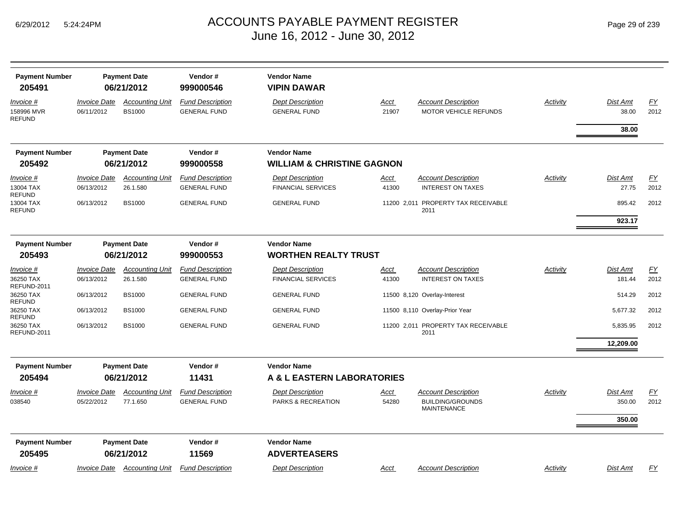| <b>Payment Number</b><br>205491          |                                   | <b>Payment Date</b><br>06/21/2012       | Vendor#<br>999000546                           | <b>Vendor Name</b><br><b>VIPIN DAWAR</b>             |                      |                                                                      |                 |                              |                   |
|------------------------------------------|-----------------------------------|-----------------------------------------|------------------------------------------------|------------------------------------------------------|----------------------|----------------------------------------------------------------------|-----------------|------------------------------|-------------------|
| Invoice #<br>158996 MVR<br><b>REFUND</b> | <b>Invoice Date</b><br>06/11/2012 | <b>Accounting Unit</b><br><b>BS1000</b> | <b>Fund Description</b><br><b>GENERAL FUND</b> | <b>Dept Description</b><br><b>GENERAL FUND</b>       | <u>Acct</u><br>21907 | <b>Account Description</b><br>MOTOR VEHICLE REFUNDS                  | Activity        | <b>Dist Amt</b><br>38.00     | EY<br>2012        |
|                                          |                                   |                                         |                                                |                                                      |                      |                                                                      |                 | 38.00                        |                   |
| <b>Payment Number</b>                    |                                   | <b>Payment Date</b>                     | Vendor#                                        | <b>Vendor Name</b>                                   |                      |                                                                      |                 |                              |                   |
| 205492                                   |                                   | 06/21/2012                              | 999000558                                      | <b>WILLIAM &amp; CHRISTINE GAGNON</b>                |                      |                                                                      |                 |                              |                   |
| Invoice #<br>13004 TAX                   | <b>Invoice Date</b><br>06/13/2012 | <b>Accounting Unit</b><br>26.1.580      | <b>Fund Description</b><br><b>GENERAL FUND</b> | <b>Dept Description</b><br><b>FINANCIAL SERVICES</b> | <u>Acct</u><br>41300 | Account Description<br><b>INTEREST ON TAXES</b>                      | <b>Activity</b> | <b>Dist Amt</b><br>27.75     | EY<br>2012        |
| REFUND<br>13004 TAX<br>REFUND            | 06/13/2012                        | <b>BS1000</b>                           | <b>GENERAL FUND</b>                            | <b>GENERAL FUND</b>                                  | 11200 2,011          | PROPERTY TAX RECEIVABLE<br>2011                                      |                 | 895.42                       | 2012              |
|                                          |                                   |                                         |                                                |                                                      |                      |                                                                      |                 | 923.17                       |                   |
| <b>Payment Number</b>                    |                                   | <b>Payment Date</b>                     | Vendor#                                        | <b>Vendor Name</b>                                   |                      |                                                                      |                 |                              |                   |
| 205493                                   |                                   | 06/21/2012                              | 999000553                                      | <b>WORTHEN REALTY TRUST</b>                          |                      |                                                                      |                 |                              |                   |
| Invoice #                                | <b>Invoice Date</b>               | <b>Accounting Unit</b>                  | <b>Fund Description</b>                        | <b>Dept Description</b>                              | Acct                 | <b>Account Description</b>                                           | Activity        | <b>Dist Amt</b>              | <u>FY</u>         |
| 36250 TAX<br>REFUND-2011                 | 06/13/2012                        | 26.1.580                                | <b>GENERAL FUND</b>                            | <b>FINANCIAL SERVICES</b>                            | 41300                | <b>INTEREST ON TAXES</b>                                             |                 | 181.44                       | 2012              |
| 36250 TAX<br><b>REFUND</b>               | 06/13/2012                        | <b>BS1000</b>                           | <b>GENERAL FUND</b>                            | <b>GENERAL FUND</b>                                  |                      | 11500 8,120 Overlay-Interest                                         |                 | 514.29                       | 2012              |
| 36250 TAX<br>REFUND                      | 06/13/2012                        | <b>BS1000</b>                           | <b>GENERAL FUND</b>                            | <b>GENERAL FUND</b>                                  |                      | 11500 8,110 Overlay-Prior Year                                       |                 | 5,677.32                     | 2012              |
| 36250 TAX<br>REFUND-2011                 | 06/13/2012                        | <b>BS1000</b>                           | <b>GENERAL FUND</b>                            | <b>GENERAL FUND</b>                                  |                      | 11200 2,011 PROPERTY TAX RECEIVABLE<br>2011                          |                 | 5,835.95                     | 2012              |
|                                          |                                   |                                         |                                                |                                                      |                      |                                                                      |                 | 12,209.00                    |                   |
| <b>Payment Number</b>                    |                                   | <b>Payment Date</b>                     | Vendor#                                        | <b>Vendor Name</b>                                   |                      |                                                                      |                 |                              |                   |
| 205494                                   |                                   | 06/21/2012                              | 11431                                          | A & L EASTERN LABORATORIES                           |                      |                                                                      |                 |                              |                   |
| Invoice #<br>038540                      | <b>Invoice Date</b><br>05/22/2012 | <b>Accounting Unit</b><br>77.1.650      | <b>Fund Description</b><br><b>GENERAL FUND</b> | <b>Dept Description</b><br>PARKS & RECREATION        | Acct<br>54280        | Account Description<br><b>BUILDING/GROUNDS</b><br><b>MAINTENANCE</b> | Activity        | Dist Amt<br>350.00<br>350.00 | <u>FY</u><br>2012 |
| <b>Payment Number</b><br>205495          |                                   | <b>Payment Date</b><br>06/21/2012       | Vendor#<br>11569                               | <b>Vendor Name</b><br><b>ADVERTEASERS</b>            |                      |                                                                      |                 |                              |                   |
| Invoice #                                | Invoice Date                      | <u>Accounting Unit</u>                  | <b>Fund Description</b>                        | <b>Dept Description</b>                              | <u>Acct</u>          | <b>Account Description</b>                                           | Activity        | Dist Amt                     | EY                |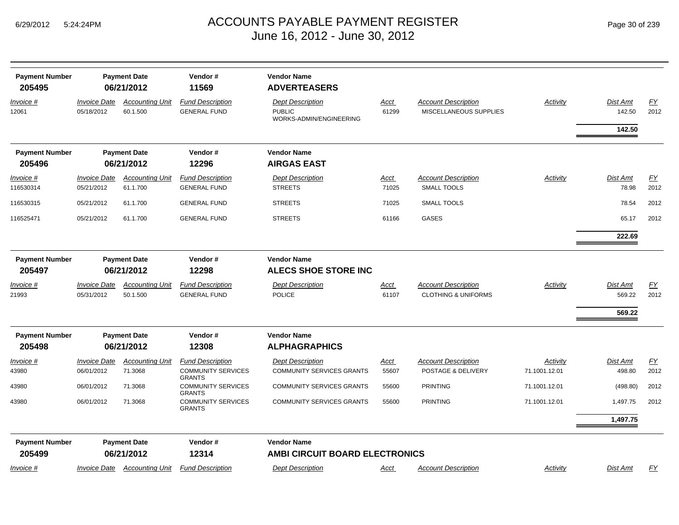| <b>Payment Number</b><br>205495 | <b>Payment Date</b><br>06/21/2012 |                                    | Vendor#<br>11569                                                      | <b>Vendor Name</b><br><b>ADVERTEASERS</b>                           |                      |                                                      |                           |                           |            |
|---------------------------------|-----------------------------------|------------------------------------|-----------------------------------------------------------------------|---------------------------------------------------------------------|----------------------|------------------------------------------------------|---------------------------|---------------------------|------------|
| Invoice #<br>12061              | <b>Invoice Date</b><br>05/18/2012 | <b>Accounting Unit</b><br>60.1.500 | <b>Fund Description</b><br><b>GENERAL FUND</b>                        | <b>Dept Description</b><br><b>PUBLIC</b><br>WORKS-ADMIN/ENGINEERING | Acct<br>61299        | <b>Account Description</b><br>MISCELLANEOUS SUPPLIES | <b>Activity</b>           | <b>Dist Amt</b><br>142.50 | EY<br>2012 |
|                                 |                                   |                                    |                                                                       |                                                                     |                      |                                                      |                           | 142.50                    |            |
| <b>Payment Number</b><br>205496 |                                   | <b>Payment Date</b><br>06/21/2012  | Vendor#<br>12296                                                      | <b>Vendor Name</b><br><b>AIRGAS EAST</b>                            |                      |                                                      |                           |                           |            |
| Invoice #                       | <b>Invoice Date</b>               | <b>Accounting Unit</b>             | <b>Fund Description</b>                                               | <b>Dept Description</b>                                             |                      | <b>Account Description</b>                           | Activity                  | <b>Dist Amt</b>           |            |
| 116530314                       | 05/21/2012                        | 61.1.700                           | <b>GENERAL FUND</b>                                                   | <b>STREETS</b>                                                      | <u>Acct</u><br>71025 | <b>SMALL TOOLS</b>                                   |                           | 78.98                     | EY<br>2012 |
| 116530315                       | 05/21/2012                        | 61.1.700                           | <b>GENERAL FUND</b>                                                   | <b>STREETS</b>                                                      | 71025                | <b>SMALL TOOLS</b>                                   |                           | 78.54                     | 2012       |
| 116525471                       | 05/21/2012                        | 61.1.700                           | <b>GENERAL FUND</b>                                                   | <b>STREETS</b>                                                      | 61166                | <b>GASES</b>                                         |                           | 65.17                     | 2012       |
|                                 |                                   |                                    |                                                                       |                                                                     |                      |                                                      |                           | 222.69                    |            |
| <b>Payment Number</b><br>205497 | <b>Payment Date</b><br>06/21/2012 |                                    | Vendor#<br>12298                                                      | <b>Vendor Name</b><br><b>ALECS SHOE STORE INC</b>                   |                      |                                                      |                           |                           |            |
| Invoice #                       | <b>Invoice Date</b>               | <b>Accounting Unit</b>             | <b>Fund Description</b>                                               | <b>Dept Description</b>                                             | Acct                 | <b>Account Description</b>                           | Activity                  | Dist Amt                  | <u>FY</u>  |
| 21993                           | 05/31/2012                        | 50.1.500                           | <b>GENERAL FUND</b>                                                   | <b>POLICE</b>                                                       | 61107                | <b>CLOTHING &amp; UNIFORMS</b>                       |                           | 569.22                    | 2012       |
|                                 |                                   |                                    |                                                                       |                                                                     |                      |                                                      |                           | 569.22                    |            |
| <b>Payment Number</b><br>205498 |                                   | <b>Payment Date</b><br>06/21/2012  | Vendor#<br>12308                                                      | <b>Vendor Name</b><br><b>ALPHAGRAPHICS</b>                          |                      |                                                      |                           |                           |            |
| Invoice #<br>43980              | <b>Invoice Date</b><br>06/01/2012 | <b>Accounting Unit</b><br>71.3068  | <b>Fund Description</b><br><b>COMMUNITY SERVICES</b><br><b>GRANTS</b> | <b>Dept Description</b><br><b>COMMUNITY SERVICES GRANTS</b>         | <u>Acct</u><br>55607 | <b>Account Description</b><br>POSTAGE & DELIVERY     | Activity<br>71.1001.12.01 | <b>Dist Amt</b><br>498.80 | EY<br>2012 |
| 43980                           | 06/01/2012                        | 71.3068                            | <b>COMMUNITY SERVICES</b><br><b>GRANTS</b>                            | <b>COMMUNITY SERVICES GRANTS</b>                                    | 55600                | <b>PRINTING</b>                                      | 71.1001.12.01             | (498.80)                  | 2012       |
| 43980                           | 06/01/2012                        | 71.3068                            | <b>COMMUNITY SERVICES</b><br><b>GRANTS</b>                            | <b>COMMUNITY SERVICES GRANTS</b>                                    | 55600                | <b>PRINTING</b>                                      | 71.1001.12.01             | 1,497.75                  | 2012       |
|                                 |                                   |                                    |                                                                       |                                                                     |                      |                                                      |                           | 1,497.75                  |            |
| <b>Payment Number</b>           |                                   | <b>Payment Date</b>                | Vendor#                                                               | <b>Vendor Name</b>                                                  |                      |                                                      |                           |                           |            |
| 205499                          |                                   | 06/21/2012                         | 12314                                                                 | <b>AMBI CIRCUIT BOARD ELECTRONICS</b>                               |                      |                                                      |                           |                           |            |
| Invoice #                       | <i><b>Invoice Date</b></i>        | <b>Accounting Unit</b>             | <b>Fund Description</b>                                               | <b>Dept Description</b>                                             | Acct                 | <b>Account Description</b>                           | Activity                  | <b>Dist Amt</b>           | EY         |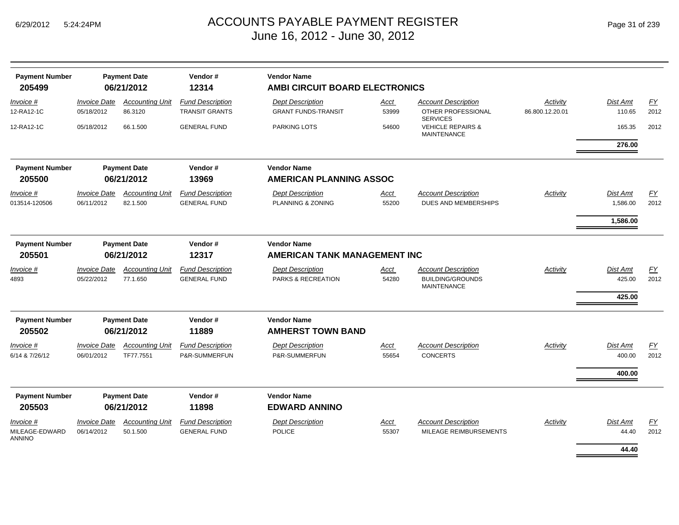| <b>Payment Number</b><br>205499    | <b>Payment Date</b><br>06/21/2012        |                                     | Vendor#<br>12314                               | <b>Vendor Name</b><br>AMBI CIRCUIT BOARD ELECTRONICS |                |                                                                             |                 |                              |                   |  |
|------------------------------------|------------------------------------------|-------------------------------------|------------------------------------------------|------------------------------------------------------|----------------|-----------------------------------------------------------------------------|-----------------|------------------------------|-------------------|--|
| Invoice #                          | <b>Invoice Date</b>                      | <b>Accounting Unit</b>              | <b>Fund Description</b>                        | <b>Dept Description</b>                              | Acct           | <b>Account Description</b><br>OTHER PROFESSIONAL                            | Activity        | Dist Amt                     | <u>FY</u>         |  |
| 12-RA12-1C<br>12-RA12-1C           | 05/18/2012<br>05/18/2012                 | 86.3120<br>66.1.500                 | <b>TRANSIT GRANTS</b><br><b>GENERAL FUND</b>   | <b>GRANT FUNDS-TRANSIT</b><br>PARKING LOTS           | 53999<br>54600 | <b>SERVICES</b><br><b>VEHICLE REPAIRS &amp;</b>                             | 86.800.12.20.01 | 110.65<br>165.35             | 2012<br>2012      |  |
|                                    |                                          |                                     |                                                |                                                      |                | <b>MAINTENANCE</b>                                                          |                 | 276.00                       |                   |  |
| <b>Payment Number</b><br>205500    |                                          | <b>Payment Date</b><br>06/21/2012   | Vendor#<br>13969                               | <b>Vendor Name</b><br><b>AMERICAN PLANNING ASSOC</b> |                |                                                                             |                 |                              |                   |  |
| Invoice #                          | <b>Invoice Date</b>                      | <b>Accounting Unit</b>              | <b>Fund Description</b>                        | <b>Dept Description</b>                              | <u>Acct</u>    | <b>Account Description</b>                                                  | <b>Activity</b> | Dist Amt                     | EY                |  |
| 013514-120506                      | 06/11/2012                               | 82.1.500                            | <b>GENERAL FUND</b>                            | PLANNING & ZONING                                    | 55200          | <b>DUES AND MEMBERSHIPS</b>                                                 |                 | 1,586.00                     | 2012              |  |
|                                    |                                          |                                     |                                                |                                                      |                |                                                                             |                 | 1,586.00                     |                   |  |
| <b>Payment Number</b><br>205501    |                                          | <b>Payment Date</b><br>06/21/2012   | Vendor#<br>12317                               | <b>Vendor Name</b><br>AMERICAN TANK MANAGEMENT INC   |                |                                                                             |                 |                              |                   |  |
| Invoice #<br>4893                  | <b>Invoice Date</b><br>05/22/2012        | <b>Accounting Unit</b><br>77.1.650  | <b>Fund Description</b><br><b>GENERAL FUND</b> | <b>Dept Description</b><br>PARKS & RECREATION        | Acct<br>54280  | <b>Account Description</b><br><b>BUILDING/GROUNDS</b><br><b>MAINTENANCE</b> | Activity        | Dist Amt<br>425.00<br>425.00 | <u>FY</u><br>2012 |  |
| <b>Payment Number</b>              |                                          | <b>Payment Date</b>                 | Vendor#                                        | <b>Vendor Name</b>                                   |                |                                                                             |                 |                              |                   |  |
| 205502                             |                                          | 06/21/2012                          | 11889                                          | <b>AMHERST TOWN BAND</b>                             |                |                                                                             |                 |                              |                   |  |
| <i>Invoice</i> #<br>6/14 & 7/26/12 | <i><b>Invoice Date</b></i><br>06/01/2012 | <b>Accounting Unit</b><br>TF77.7551 | <b>Fund Description</b><br>P&R-SUMMERFUN       | <b>Dept Description</b><br>P&R-SUMMERFUN             | Acct<br>55654  | <b>Account Description</b><br><b>CONCERTS</b>                               | Activity        | Dist Amt<br>400.00           | <u>FY</u><br>2012 |  |
|                                    |                                          |                                     |                                                |                                                      |                |                                                                             |                 | 400.00                       |                   |  |
| <b>Payment Number</b><br>205503    |                                          | <b>Payment Date</b><br>06/21/2012   | Vendor#<br>11898                               | <b>Vendor Name</b><br><b>EDWARD ANNINO</b>           |                |                                                                             |                 |                              |                   |  |
| <u>Invoice #</u>                   | <b>Invoice Date</b>                      | <b>Accounting Unit</b>              | <b>Fund Description</b>                        | <b>Dept Description</b>                              | <u>Acct</u>    | <b>Account Description</b>                                                  | Activity        | Dist Amt                     | EY                |  |
| MILEAGE-EDWARD<br><b>ANNINO</b>    | 06/14/2012                               | 50.1.500                            | <b>GENERAL FUND</b>                            | <b>POLICE</b>                                        | 55307          | MILEAGE REIMBURSEMENTS                                                      |                 | 44.40<br>44.40               | 2012              |  |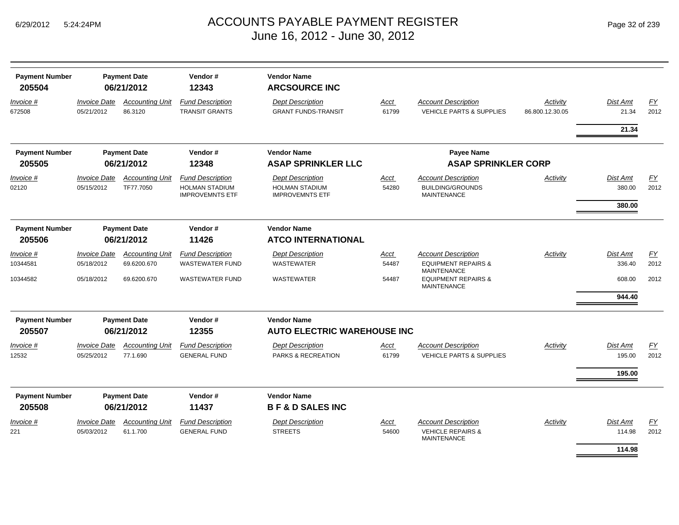| <b>Payment Number</b><br>205504 |                                   | <b>Payment Date</b><br>06/21/2012   | Vendor#<br>12343                                                           | <b>Vendor Name</b><br><b>ARCSOURCE INC</b>                                 |               |                                                                             |                             |                    |                          |
|---------------------------------|-----------------------------------|-------------------------------------|----------------------------------------------------------------------------|----------------------------------------------------------------------------|---------------|-----------------------------------------------------------------------------|-----------------------------|--------------------|--------------------------|
| Invoice #<br>672508             | <b>Invoice Date</b><br>05/21/2012 | <b>Accounting Unit</b><br>86.3120   | <b>Fund Description</b><br><b>TRANSIT GRANTS</b>                           | <b>Dept Description</b><br><b>GRANT FUNDS-TRANSIT</b>                      | Acct<br>61799 | <b>Account Description</b><br><b>VEHICLE PARTS &amp; SUPPLIES</b>           | Activity<br>86.800.12.30.05 | Dist Amt<br>21.34  | $\underline{FY}$<br>2012 |
|                                 |                                   |                                     |                                                                            |                                                                            |               |                                                                             |                             | 21.34              |                          |
| <b>Payment Number</b>           |                                   | <b>Payment Date</b>                 | Vendor#                                                                    | <b>Vendor Name</b>                                                         |               | <b>Payee Name</b>                                                           |                             |                    |                          |
| 205505                          |                                   | 06/21/2012                          | 12348                                                                      | <b>ASAP SPRINKLER LLC</b>                                                  |               | <b>ASAP SPRINKLER CORP</b>                                                  |                             |                    |                          |
| Invoice #<br>02120              | <b>Invoice Date</b><br>05/15/2012 | <b>Accounting Unit</b><br>TF77.7050 | <b>Fund Description</b><br><b>HOLMAN STADIUM</b><br><b>IMPROVEMNTS ETF</b> | <b>Dept Description</b><br><b>HOLMAN STADIUM</b><br><b>IMPROVEMNTS ETF</b> | Acct<br>54280 | <b>Account Description</b><br><b>BUILDING/GROUNDS</b><br><b>MAINTENANCE</b> | Activity                    | Dist Amt<br>380.00 | <u>FY</u><br>2012        |
|                                 |                                   |                                     |                                                                            |                                                                            |               |                                                                             |                             | 380.00             |                          |
| <b>Payment Number</b>           |                                   | <b>Payment Date</b>                 | Vendor#                                                                    | <b>Vendor Name</b>                                                         |               |                                                                             |                             |                    |                          |
| 205506                          |                                   | 06/21/2012                          | 11426                                                                      | <b>ATCO INTERNATIONAL</b>                                                  |               |                                                                             |                             |                    |                          |
| Invoice #                       | <b>Invoice Date</b>               | <b>Accounting Unit</b>              | <b>Fund Description</b>                                                    | <b>Dept Description</b>                                                    | Acct          | <b>Account Description</b>                                                  | Activity                    | Dist Amt           | <u>FY</u>                |
| 10344581                        | 05/18/2012                        | 69.6200.670                         | <b>WASTEWATER FUND</b>                                                     | <b>WASTEWATER</b>                                                          | 54487         | <b>EQUIPMENT REPAIRS &amp;</b><br><b>MAINTENANCE</b>                        |                             | 336.40             | 2012                     |
| 10344582                        | 05/18/2012                        | 69.6200.670                         | <b>WASTEWATER FUND</b>                                                     | WASTEWATER                                                                 | 54487         | <b>EQUIPMENT REPAIRS &amp;</b><br><b>MAINTENANCE</b>                        |                             | 608.00             | 2012                     |
|                                 |                                   |                                     |                                                                            |                                                                            |               |                                                                             |                             | 944.40             |                          |
| <b>Payment Number</b>           |                                   | <b>Payment Date</b>                 | Vendor#                                                                    | <b>Vendor Name</b>                                                         |               |                                                                             |                             |                    |                          |
| 205507                          |                                   | 06/21/2012                          | 12355                                                                      | <b>AUTO ELECTRIC WAREHOUSE INC</b>                                         |               |                                                                             |                             |                    |                          |
| Invoice #<br>12532              | <b>Invoice Date</b><br>05/25/2012 | <b>Accounting Unit</b><br>77.1.690  | <b>Fund Description</b><br><b>GENERAL FUND</b>                             | <b>Dept Description</b><br><b>PARKS &amp; RECREATION</b>                   | Acct<br>61799 | <b>Account Description</b><br><b>VEHICLE PARTS &amp; SUPPLIES</b>           | Activity                    | Dist Amt<br>195.00 | $\underline{FY}$<br>2012 |
|                                 |                                   |                                     |                                                                            |                                                                            |               |                                                                             |                             | 195.00             |                          |
| <b>Payment Number</b>           |                                   | <b>Payment Date</b>                 | Vendor#                                                                    | <b>Vendor Name</b>                                                         |               |                                                                             |                             |                    |                          |
| 205508                          |                                   | 06/21/2012                          | 11437                                                                      | <b>B F &amp; D SALES INC</b>                                               |               |                                                                             |                             |                    |                          |
| Invoice #                       | <b>Invoice Date</b>               | <b>Accounting Unit</b>              | <b>Fund Description</b>                                                    | <b>Dept Description</b>                                                    | Acct          | <b>Account Description</b>                                                  | Activity                    | Dist Amt           | <b>FY</b>                |
| 221                             | 05/03/2012                        | 61.1.700                            | <b>GENERAL FUND</b>                                                        | <b>STREETS</b>                                                             | 54600         | <b>VEHICLE REPAIRS &amp;</b><br><b>MAINTENANCE</b>                          |                             | 114.98<br>114.98   | 2012                     |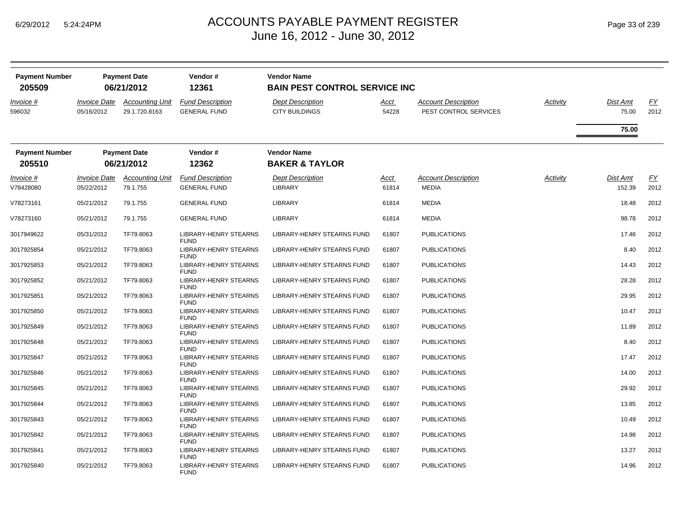| <b>Payment Number</b><br>205509 | <b>Payment Date</b><br>06/21/2012 |                                         | Vendor#<br>12361                               | <b>Vendor Name</b><br><b>BAIN PEST CONTROL SERVICE INC</b> |                      |                                                     |          |                           |                   |  |
|---------------------------------|-----------------------------------|-----------------------------------------|------------------------------------------------|------------------------------------------------------------|----------------------|-----------------------------------------------------|----------|---------------------------|-------------------|--|
| Invoice #<br>596032             | <b>Invoice Date</b><br>05/16/2012 | <b>Accounting Unit</b><br>29.1.720.8163 | <b>Fund Description</b><br><b>GENERAL FUND</b> | <b>Dept Description</b><br><b>CITY BUILDINGS</b>           | Acct<br>54228        | <b>Account Description</b><br>PEST CONTROL SERVICES | Activity | Dist Amt<br>75.00         | EY<br>2012        |  |
|                                 |                                   |                                         |                                                |                                                            |                      |                                                     |          | 75.00                     |                   |  |
| <b>Payment Number</b><br>205510 | <b>Payment Date</b><br>06/21/2012 |                                         | Vendor#<br>12362                               | <b>Vendor Name</b><br><b>BAKER &amp; TAYLOR</b>            |                      |                                                     |          |                           |                   |  |
| Invoice #<br>V78428080          | <b>Invoice Date</b><br>05/22/2012 | <b>Accounting Unit</b><br>79.1.755      | <b>Fund Description</b><br><b>GENERAL FUND</b> | <b>Dept Description</b><br>LIBRARY                         | <u>Acct</u><br>61814 | <b>Account Description</b><br><b>MEDIA</b>          | Activity | <b>Dist Amt</b><br>152.39 | <u>FY</u><br>2012 |  |
| V78273161                       | 05/21/2012                        | 79.1.755                                | <b>GENERAL FUND</b>                            | LIBRARY                                                    | 61814                | <b>MEDIA</b>                                        |          | 18.48                     | 2012              |  |
| V78273160                       | 05/21/2012                        | 79.1.755                                | <b>GENERAL FUND</b>                            | LIBRARY                                                    | 61814                | <b>MEDIA</b>                                        |          | 98.78                     | 2012              |  |
| 3017949622                      | 05/31/2012                        | TF79.8063                               | LIBRARY-HENRY STEARNS<br><b>FUND</b>           | LIBRARY-HENRY STEARNS FUND                                 | 61807                | <b>PUBLICATIONS</b>                                 |          | 17.46                     | 2012              |  |
| 3017925854                      | 05/21/2012                        | TF79.8063                               | LIBRARY-HENRY STEARNS<br><b>FUND</b>           | LIBRARY-HENRY STEARNS FUND                                 | 61807                | <b>PUBLICATIONS</b>                                 |          | 8.40                      | 2012              |  |
| 3017925853                      | 05/21/2012                        | TF79.8063                               | <b>LIBRARY-HENRY STEARNS</b><br><b>FUND</b>    | LIBRARY-HENRY STEARNS FUND                                 | 61807                | <b>PUBLICATIONS</b>                                 |          | 14.43                     | 2012              |  |
| 3017925852                      | 05/21/2012                        | TF79.8063                               | LIBRARY-HENRY STEARNS<br><b>FUND</b>           | LIBRARY-HENRY STEARNS FUND                                 | 61807                | <b>PUBLICATIONS</b>                                 |          | 28.28                     | 2012              |  |
| 3017925851                      | 05/21/2012                        | TF79.8063                               | LIBRARY-HENRY STEARNS<br><b>FUND</b>           | LIBRARY-HENRY STEARNS FUND                                 | 61807                | <b>PUBLICATIONS</b>                                 |          | 29.95                     | 2012              |  |
| 3017925850                      | 05/21/2012                        | TF79.8063                               | <b>LIBRARY-HENRY STEARNS</b><br><b>FUND</b>    | LIBRARY-HENRY STEARNS FUND                                 | 61807                | <b>PUBLICATIONS</b>                                 |          | 10.47                     | 2012              |  |
| 3017925849                      | 05/21/2012                        | TF79.8063                               | LIBRARY-HENRY STEARNS<br><b>FUND</b>           | LIBRARY-HENRY STEARNS FUND                                 | 61807                | <b>PUBLICATIONS</b>                                 |          | 11.89                     | 2012              |  |
| 3017925848                      | 05/21/2012                        | TF79.8063                               | LIBRARY-HENRY STEARNS<br><b>FUND</b>           | LIBRARY-HENRY STEARNS FUND                                 | 61807                | <b>PUBLICATIONS</b>                                 |          | 8.40                      | 2012              |  |
| 3017925847                      | 05/21/2012                        | TF79.8063                               | <b>LIBRARY-HENRY STEARNS</b><br><b>FUND</b>    | LIBRARY-HENRY STEARNS FUND                                 | 61807                | <b>PUBLICATIONS</b>                                 |          | 17.47                     | 2012              |  |
| 3017925846                      | 05/21/2012                        | TF79.8063                               | LIBRARY-HENRY STEARNS<br><b>FUND</b>           | LIBRARY-HENRY STEARNS FUND                                 | 61807                | <b>PUBLICATIONS</b>                                 |          | 14.00                     | 2012              |  |
| 3017925845                      | 05/21/2012                        | TF79.8063                               | LIBRARY-HENRY STEARNS<br><b>FUND</b>           | LIBRARY-HENRY STEARNS FUND                                 | 61807                | <b>PUBLICATIONS</b>                                 |          | 29.92                     | 2012              |  |
| 3017925844                      | 05/21/2012                        | TF79.8063                               | LIBRARY-HENRY STEARNS<br><b>FUND</b>           | LIBRARY-HENRY STEARNS FUND                                 | 61807                | <b>PUBLICATIONS</b>                                 |          | 13.85                     | 2012              |  |
| 3017925843                      | 05/21/2012                        | TF79.8063                               | LIBRARY-HENRY STEARNS<br><b>FUND</b>           | LIBRARY-HENRY STEARNS FUND                                 | 61807                | <b>PUBLICATIONS</b>                                 |          | 10.49                     | 2012              |  |
| 3017925842                      | 05/21/2012                        | TF79.8063                               | LIBRARY-HENRY STEARNS<br><b>FUND</b>           | LIBRARY-HENRY STEARNS FUND                                 | 61807                | <b>PUBLICATIONS</b>                                 |          | 14.98                     | 2012              |  |
| 3017925841                      | 05/21/2012                        | TF79.8063                               | LIBRARY-HENRY STEARNS<br><b>FUND</b>           | LIBRARY-HENRY STEARNS FUND                                 | 61807                | <b>PUBLICATIONS</b>                                 |          | 13.27                     | 2012              |  |
| 3017925840                      | 05/21/2012                        | TF79.8063                               | <b>LIBRARY-HENRY STEARNS</b><br><b>FUND</b>    | LIBRARY-HENRY STEARNS FUND                                 | 61807                | <b>PUBLICATIONS</b>                                 |          | 14.96                     | 2012              |  |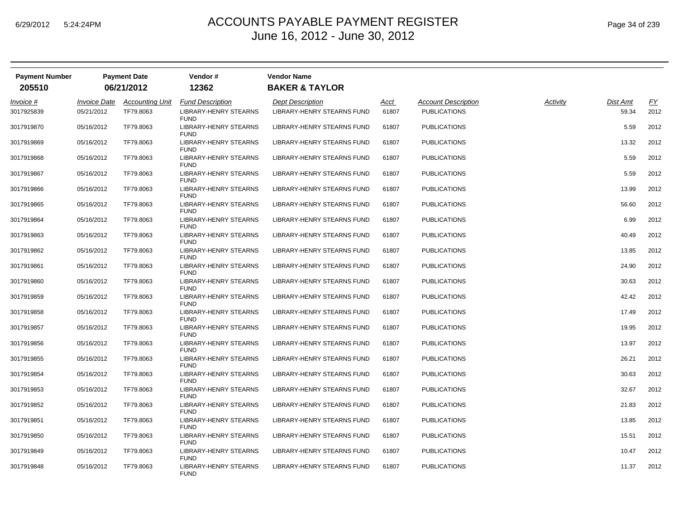| <b>Payment Number</b> | <b>Payment Date</b><br>06/21/2012 |                        | Vendor#                                     | <b>Vendor Name</b>         |             |                            |          |          |      |
|-----------------------|-----------------------------------|------------------------|---------------------------------------------|----------------------------|-------------|----------------------------|----------|----------|------|
| 205510                |                                   |                        | 12362                                       | <b>BAKER &amp; TAYLOR</b>  |             |                            |          |          |      |
| Invoice #             | <b>Invoice Date</b>               | <b>Accounting Unit</b> | <b>Fund Description</b>                     | <b>Dept Description</b>    | <u>Acct</u> | <b>Account Description</b> | Activity | Dist Amt | EY   |
| 3017925839            | 05/21/2012                        | TF79.8063              | <b>LIBRARY-HENRY STEARNS</b><br><b>FUND</b> | LIBRARY-HENRY STEARNS FUND | 61807       | <b>PUBLICATIONS</b>        |          | 59.34    | 2012 |
| 3017919870            | 05/16/2012                        | TF79.8063              | LIBRARY-HENRY STEARNS<br><b>FUND</b>        | LIBRARY-HENRY STEARNS FUND | 61807       | <b>PUBLICATIONS</b>        |          | 5.59     | 2012 |
| 3017919869            | 05/16/2012                        | TF79.8063              | LIBRARY-HENRY STEARNS<br><b>FUND</b>        | LIBRARY-HENRY STEARNS FUND | 61807       | <b>PUBLICATIONS</b>        |          | 13.32    | 2012 |
| 3017919868            | 05/16/2012                        | TF79.8063              | LIBRARY-HENRY STEARNS<br><b>FUND</b>        | LIBRARY-HENRY STEARNS FUND | 61807       | <b>PUBLICATIONS</b>        |          | 5.59     | 2012 |
| 3017919867            | 05/16/2012                        | TF79.8063              | <b>LIBRARY-HENRY STEARNS</b><br><b>FUND</b> | LIBRARY-HENRY STEARNS FUND | 61807       | <b>PUBLICATIONS</b>        |          | 5.59     | 2012 |
| 3017919866            | 05/16/2012                        | TF79.8063              | LIBRARY-HENRY STEARNS<br><b>FUND</b>        | LIBRARY-HENRY STEARNS FUND | 61807       | <b>PUBLICATIONS</b>        |          | 13.99    | 2012 |
| 3017919865            | 05/16/2012                        | TF79.8063              | <b>LIBRARY-HENRY STEARNS</b><br><b>FUND</b> | LIBRARY-HENRY STEARNS FUND | 61807       | <b>PUBLICATIONS</b>        |          | 56.60    | 2012 |
| 3017919864            | 05/16/2012                        | TF79.8063              | <b>LIBRARY-HENRY STEARNS</b><br><b>FUND</b> | LIBRARY-HENRY STEARNS FUND | 61807       | <b>PUBLICATIONS</b>        |          | 6.99     | 2012 |
| 3017919863            | 05/16/2012                        | TF79.8063              | LIBRARY-HENRY STEARNS<br><b>FUND</b>        | LIBRARY-HENRY STEARNS FUND | 61807       | <b>PUBLICATIONS</b>        |          | 40.49    | 2012 |
| 3017919862            | 05/16/2012                        | TF79.8063              | <b>LIBRARY-HENRY STEARNS</b><br><b>FUND</b> | LIBRARY-HENRY STEARNS FUND | 61807       | <b>PUBLICATIONS</b>        |          | 13.85    | 2012 |
| 3017919861            | 05/16/2012                        | TF79.8063              | LIBRARY-HENRY STEARNS<br><b>FUND</b>        | LIBRARY-HENRY STEARNS FUND | 61807       | <b>PUBLICATIONS</b>        |          | 24.90    | 2012 |
| 3017919860            | 05/16/2012                        | TF79.8063              | LIBRARY-HENRY STEARNS<br><b>FUND</b>        | LIBRARY-HENRY STEARNS FUND | 61807       | <b>PUBLICATIONS</b>        |          | 30.63    | 2012 |
| 3017919859            | 05/16/2012                        | TF79.8063              | LIBRARY-HENRY STEARNS<br><b>FUND</b>        | LIBRARY-HENRY STEARNS FUND | 61807       | <b>PUBLICATIONS</b>        |          | 42.42    | 2012 |
| 3017919858            | 05/16/2012                        | TF79.8063              | LIBRARY-HENRY STEARNS<br><b>FUND</b>        | LIBRARY-HENRY STEARNS FUND | 61807       | <b>PUBLICATIONS</b>        |          | 17.49    | 2012 |
| 3017919857            | 05/16/2012                        | TF79.8063              | LIBRARY-HENRY STEARNS<br><b>FUND</b>        | LIBRARY-HENRY STEARNS FUND | 61807       | <b>PUBLICATIONS</b>        |          | 19.95    | 2012 |
| 3017919856            | 05/16/2012                        | TF79.8063              | LIBRARY-HENRY STEARNS<br><b>FUND</b>        | LIBRARY-HENRY STEARNS FUND | 61807       | <b>PUBLICATIONS</b>        |          | 13.97    | 2012 |
| 3017919855            | 05/16/2012                        | TF79.8063              | <b>LIBRARY-HENRY STEARNS</b><br><b>FUND</b> | LIBRARY-HENRY STEARNS FUND | 61807       | <b>PUBLICATIONS</b>        |          | 26.21    | 2012 |
| 3017919854            | 05/16/2012                        | TF79.8063              | <b>LIBRARY-HENRY STEARNS</b><br><b>FUND</b> | LIBRARY-HENRY STEARNS FUND | 61807       | <b>PUBLICATIONS</b>        |          | 30.63    | 2012 |
| 3017919853            | 05/16/2012                        | TF79.8063              | LIBRARY-HENRY STEARNS<br><b>FUND</b>        | LIBRARY-HENRY STEARNS FUND | 61807       | <b>PUBLICATIONS</b>        |          | 32.67    | 2012 |
| 3017919852            | 05/16/2012                        | TF79.8063              | <b>LIBRARY-HENRY STEARNS</b><br><b>FUND</b> | LIBRARY-HENRY STEARNS FUND | 61807       | <b>PUBLICATIONS</b>        |          | 21.83    | 2012 |
| 3017919851            | 05/16/2012                        | TF79.8063              | LIBRARY-HENRY STEARNS<br><b>FUND</b>        | LIBRARY-HENRY STEARNS FUND | 61807       | <b>PUBLICATIONS</b>        |          | 13.85    | 2012 |
| 3017919850            | 05/16/2012                        | TF79.8063              | LIBRARY-HENRY STEARNS<br><b>FUND</b>        | LIBRARY-HENRY STEARNS FUND | 61807       | <b>PUBLICATIONS</b>        |          | 15.51    | 2012 |
| 3017919849            | 05/16/2012                        | TF79.8063              | <b>LIBRARY-HENRY STEARNS</b><br><b>FUND</b> | LIBRARY-HENRY STEARNS FUND | 61807       | <b>PUBLICATIONS</b>        |          | 10.47    | 2012 |
| 3017919848            | 05/16/2012                        | TF79.8063              | LIBRARY-HENRY STEARNS<br><b>FUND</b>        | LIBRARY-HENRY STEARNS FUND | 61807       | <b>PUBLICATIONS</b>        |          | 11.37    | 2012 |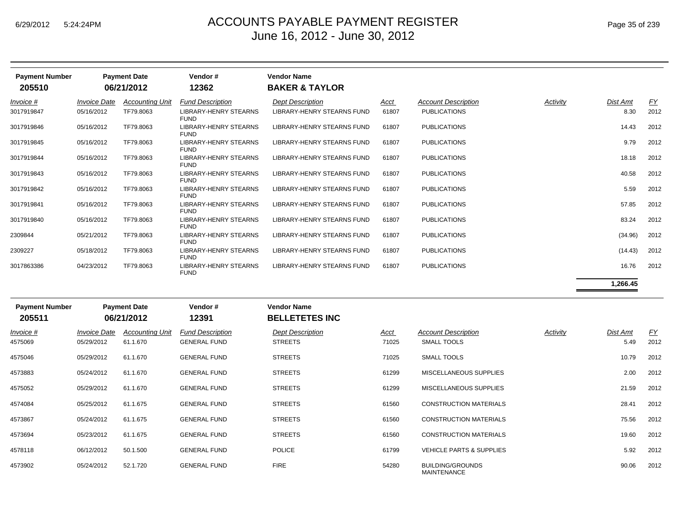| <b>Payment Number</b><br>205510 | <b>Payment Date</b><br>06/21/2012 |                        | Vendor#<br>12362                            | <b>Vendor Name</b><br><b>BAKER &amp; TAYLOR</b> |       |                            |          |          |           |  |
|---------------------------------|-----------------------------------|------------------------|---------------------------------------------|-------------------------------------------------|-------|----------------------------|----------|----------|-----------|--|
| Invoice #                       | <b>Invoice Date</b>               | <b>Accounting Unit</b> | <b>Fund Description</b>                     | <b>Dept Description</b>                         | Acct  | <b>Account Description</b> | Activity | Dist Amt | <u>FY</u> |  |
| 3017919847                      | 05/16/2012                        | TF79.8063              | <b>LIBRARY-HENRY STEARNS</b><br><b>FUND</b> | <b>LIBRARY-HENRY STEARNS FUND</b>               | 61807 | <b>PUBLICATIONS</b>        |          | 8.30     | 2012      |  |
| 3017919846                      | 05/16/2012                        | TF79.8063              | <b>LIBRARY-HENRY STEARNS</b><br><b>FUND</b> | <b>LIBRARY-HENRY STEARNS FUND</b>               | 61807 | <b>PUBLICATIONS</b>        |          | 14.43    | 2012      |  |
| 3017919845                      | 05/16/2012                        | TF79.8063              | <b>LIBRARY-HENRY STEARNS</b><br><b>FUND</b> | <b>LIBRARY-HENRY STEARNS FUND</b>               | 61807 | <b>PUBLICATIONS</b>        |          | 9.79     | 2012      |  |
| 3017919844                      | 05/16/2012                        | TF79.8063              | <b>LIBRARY-HENRY STEARNS</b><br><b>FUND</b> | <b>LIBRARY-HENRY STEARNS FUND</b>               | 61807 | <b>PUBLICATIONS</b>        |          | 18.18    | 2012      |  |
| 3017919843                      | 05/16/2012                        | TF79.8063              | <b>LIBRARY-HENRY STEARNS</b><br><b>FUND</b> | <b>LIBRARY-HENRY STEARNS FUND</b>               | 61807 | <b>PUBLICATIONS</b>        |          | 40.58    | 2012      |  |
| 3017919842                      | 05/16/2012                        | TF79.8063              | <b>LIBRARY-HENRY STEARNS</b><br><b>FUND</b> | <b>LIBRARY-HENRY STEARNS FUND</b>               | 61807 | <b>PUBLICATIONS</b>        |          | 5.59     | 2012      |  |
| 3017919841                      | 05/16/2012                        | TF79.8063              | <b>LIBRARY-HENRY STEARNS</b><br><b>FUND</b> | <b>LIBRARY-HENRY STEARNS FUND</b>               | 61807 | <b>PUBLICATIONS</b>        |          | 57.85    | 2012      |  |
| 3017919840                      | 05/16/2012                        | TF79.8063              | <b>LIBRARY-HENRY STEARNS</b><br><b>FUND</b> | <b>LIBRARY-HENRY STEARNS FUND</b>               | 61807 | <b>PUBLICATIONS</b>        |          | 83.24    | 2012      |  |
| 2309844                         | 05/21/2012                        | TF79.8063              | <b>LIBRARY-HENRY STEARNS</b><br><b>FUND</b> | LIBRARY-HENRY STEARNS FUND                      | 61807 | <b>PUBLICATIONS</b>        |          | (34.96)  | 2012      |  |
| 2309227                         | 05/18/2012                        | TF79.8063              | <b>LIBRARY-HENRY STEARNS</b><br><b>FUND</b> | LIBRARY-HENRY STEARNS FUND                      | 61807 | <b>PUBLICATIONS</b>        |          | (14.43)  | 2012      |  |
| 3017863386                      | 04/23/2012                        | TF79.8063              | <b>LIBRARY-HENRY STEARNS</b><br><b>FUND</b> | LIBRARY-HENRY STEARNS FUND                      | 61807 | <b>PUBLICATIONS</b>        |          | 16.76    | 2012      |  |
|                                 |                                   |                        |                                             |                                                 |       |                            |          | 1,266.45 |           |  |
| <b>Payment Number</b>           |                                   | <b>Payment Date</b>    | Vendor#                                     | <b>Vendor Name</b>                              |       |                            |          |          |           |  |
| 205511                          |                                   | 06/21/2012             | 12391                                       | <b>BELLETETES INC</b>                           |       |                            |          |          |           |  |

| Invoice #<br>4575069 | <i><b>Invoice Date</b></i><br>05/29/2012 | <b>Accounting Unit</b><br>61.1.670 | <b>Fund Description</b><br><b>GENERAL FUND</b> | <b>Dept Description</b><br><b>STREETS</b> | Acct<br>71025 | <b>Account Description</b><br><b>SMALL TOOLS</b> | Activity | Dist Amt<br>5.49 | <u>FY</u><br>2012 |
|----------------------|------------------------------------------|------------------------------------|------------------------------------------------|-------------------------------------------|---------------|--------------------------------------------------|----------|------------------|-------------------|
| 4575046              | 05/29/2012                               | 61.1.670                           | <b>GENERAL FUND</b>                            | <b>STREETS</b>                            | 71025         | <b>SMALL TOOLS</b>                               |          | 10.79            | 2012              |
| 4573883              | 05/24/2012                               | 61.1.670                           | <b>GENERAL FUND</b>                            | <b>STREETS</b>                            | 61299         | MISCELLANEOUS SUPPLIES                           |          | 2.00             | 2012              |
| 4575052              | 05/29/2012                               | 61.1.670                           | <b>GENERAL FUND</b>                            | <b>STREETS</b>                            | 61299         | MISCELLANEOUS SUPPLIES                           |          | 21.59            | 2012              |
| 4574084              | 05/25/2012                               | 61.1.675                           | <b>GENERAL FUND</b>                            | <b>STREETS</b>                            | 61560         | <b>CONSTRUCTION MATERIALS</b>                    |          | 28.41            | 2012              |
| 4573867              | 05/24/2012                               | 61.1.675                           | <b>GENERAL FUND</b>                            | <b>STREETS</b>                            | 61560         | <b>CONSTRUCTION MATERIALS</b>                    |          | 75.56            | 2012              |
| 4573694              | 05/23/2012                               | 61.1.675                           | <b>GENERAL FUND</b>                            | <b>STREETS</b>                            | 61560         | <b>CONSTRUCTION MATERIALS</b>                    |          | 19.60            | 2012              |
| 4578118              | 06/12/2012                               | 50.1.500                           | <b>GENERAL FUND</b>                            | <b>POLICE</b>                             | 61799         | <b>VEHICLE PARTS &amp; SUPPLIES</b>              |          | 5.92             | 2012              |
| 4573902              | 05/24/2012                               | 52.1.720                           | <b>GENERAL FUND</b>                            | <b>FIRE</b>                               | 54280         | <b>BUILDING/GROUNDS</b><br><b>MAINTENANCE</b>    |          | 90.06            | 2012              |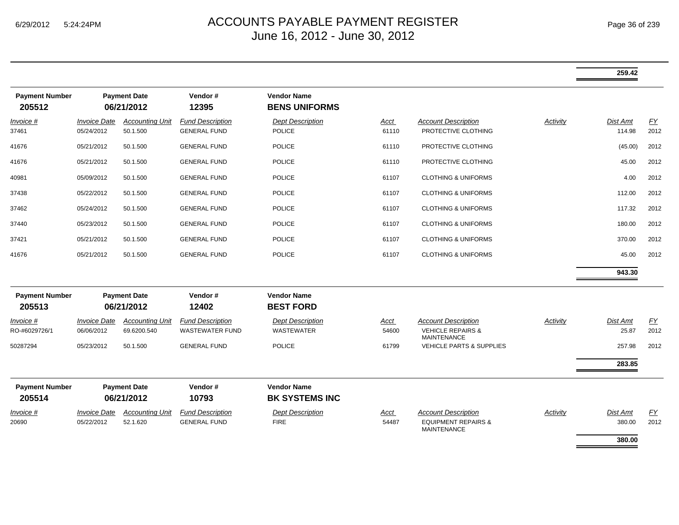|                                   |                                          |                                       |                                                   |                                              |                      |                                                                                    |          | 259.42             |            |
|-----------------------------------|------------------------------------------|---------------------------------------|---------------------------------------------------|----------------------------------------------|----------------------|------------------------------------------------------------------------------------|----------|--------------------|------------|
| <b>Payment Number</b><br>205512   |                                          | <b>Payment Date</b><br>06/21/2012     | Vendor#<br>12395                                  | <b>Vendor Name</b><br><b>BENS UNIFORMS</b>   |                      |                                                                                    |          |                    |            |
| <i>Invoice</i> #<br>37461         | <i><b>Invoice Date</b></i><br>05/24/2012 | <b>Accounting Unit</b><br>50.1.500    | <b>Fund Description</b><br><b>GENERAL FUND</b>    | <b>Dept Description</b><br><b>POLICE</b>     | Acct<br>61110        | <b>Account Description</b><br>PROTECTIVE CLOTHING                                  | Activity | Dist Amt<br>114.98 | EY<br>2012 |
| 41676                             | 05/21/2012                               | 50.1.500                              | <b>GENERAL FUND</b>                               | <b>POLICE</b>                                | 61110                | PROTECTIVE CLOTHING                                                                |          | (45.00)            | 2012       |
| 41676                             | 05/21/2012                               | 50.1.500                              | <b>GENERAL FUND</b>                               | <b>POLICE</b>                                | 61110                | PROTECTIVE CLOTHING                                                                |          | 45.00              | 2012       |
| 40981                             | 05/09/2012                               | 50.1.500                              | <b>GENERAL FUND</b>                               | <b>POLICE</b>                                | 61107                | <b>CLOTHING &amp; UNIFORMS</b>                                                     |          | 4.00               | 2012       |
| 37438                             | 05/22/2012                               | 50.1.500                              | <b>GENERAL FUND</b>                               | <b>POLICE</b>                                | 61107                | <b>CLOTHING &amp; UNIFORMS</b>                                                     |          | 112.00             | 2012       |
| 37462                             | 05/24/2012                               | 50.1.500                              | <b>GENERAL FUND</b>                               | <b>POLICE</b>                                | 61107                | <b>CLOTHING &amp; UNIFORMS</b>                                                     |          | 117.32             | 2012       |
| 37440                             | 05/23/2012                               | 50.1.500                              | <b>GENERAL FUND</b>                               | <b>POLICE</b>                                | 61107                | <b>CLOTHING &amp; UNIFORMS</b>                                                     |          | 180.00             | 2012       |
| 37421                             | 05/21/2012                               | 50.1.500                              | <b>GENERAL FUND</b>                               | <b>POLICE</b>                                | 61107                | <b>CLOTHING &amp; UNIFORMS</b>                                                     |          | 370.00             | 2012       |
| 41676                             | 05/21/2012                               | 50.1.500                              | <b>GENERAL FUND</b>                               | <b>POLICE</b>                                | 61107                | <b>CLOTHING &amp; UNIFORMS</b>                                                     |          | 45.00              | 2012       |
|                                   |                                          |                                       |                                                   |                                              |                      |                                                                                    |          | 943.30             |            |
| <b>Payment Number</b><br>205513   |                                          | <b>Payment Date</b><br>06/21/2012     | Vendor#<br>12402                                  | <b>Vendor Name</b><br><b>BEST FORD</b>       |                      |                                                                                    |          |                    |            |
| <i>Invoice</i> #<br>RO-#6029726/1 | <b>Invoice Date</b><br>06/06/2012        | <b>Accounting Unit</b><br>69.6200.540 | <b>Fund Description</b><br><b>WASTEWATER FUND</b> | <b>Dept Description</b><br><b>WASTEWATER</b> | Acct<br>54600        | <b>Account Description</b><br><b>VEHICLE REPAIRS &amp;</b><br><b>MAINTENANCE</b>   | Activity | Dist Amt<br>25.87  | EY<br>2012 |
| 50287294                          | 05/23/2012                               | 50.1.500                              | <b>GENERAL FUND</b>                               | <b>POLICE</b>                                | 61799                | <b>VEHICLE PARTS &amp; SUPPLIES</b>                                                |          | 257.98             | 2012       |
|                                   |                                          |                                       |                                                   |                                              |                      |                                                                                    |          | 283.85             |            |
| <b>Payment Number</b><br>205514   |                                          | <b>Payment Date</b><br>06/21/2012     | Vendor#<br>10793                                  | <b>Vendor Name</b><br><b>BK SYSTEMS INC</b>  |                      |                                                                                    |          |                    |            |
| Invoice #<br>20690                | <i><b>Invoice Date</b></i><br>05/22/2012 | <b>Accounting Unit</b><br>52.1.620    | <b>Fund Description</b><br><b>GENERAL FUND</b>    | <b>Dept Description</b><br><b>FIRE</b>       | <u>Acct</u><br>54487 | <b>Account Description</b><br><b>EQUIPMENT REPAIRS &amp;</b><br><b>MAINTENANCE</b> | Activity | Dist Amt<br>380.00 | EY<br>2012 |
|                                   |                                          |                                       |                                                   |                                              |                      |                                                                                    |          | 380.00             |            |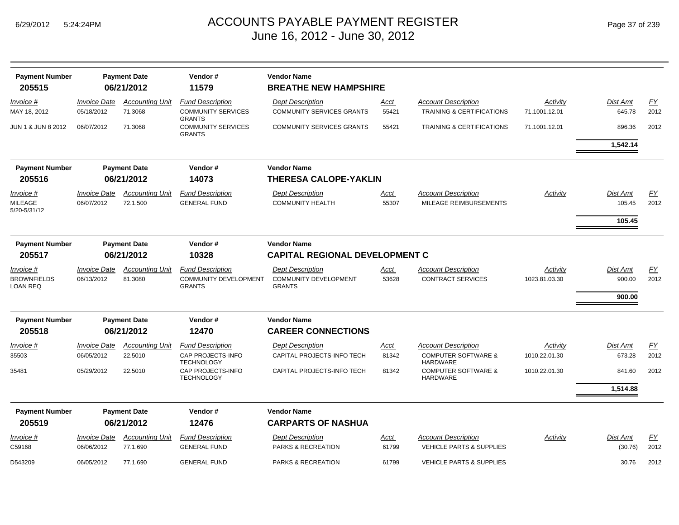| Page 37 of 239 |  |  |
|----------------|--|--|
|----------------|--|--|

| <b>Payment Number</b>                 |                                   | <b>Payment Date</b>                | Vendor#                                                     | <b>Vendor Name</b>                                          |               |                                                                    |                           |                     |                   |
|---------------------------------------|-----------------------------------|------------------------------------|-------------------------------------------------------------|-------------------------------------------------------------|---------------|--------------------------------------------------------------------|---------------------------|---------------------|-------------------|
| 205515                                |                                   | 06/21/2012                         | 11579                                                       | <b>BREATHE NEW HAMPSHIRE</b>                                |               |                                                                    |                           |                     |                   |
| Invoice #<br>MAY 18, 2012             | <b>Invoice Date</b><br>05/18/2012 | <b>Accounting Unit</b><br>71.3068  | <b>Fund Description</b><br><b>COMMUNITY SERVICES</b>        | <b>Dept Description</b><br><b>COMMUNITY SERVICES GRANTS</b> | Acct<br>55421 | <b>Account Description</b><br><b>TRAINING &amp; CERTIFICATIONS</b> | Activity<br>71.1001.12.01 | Dist Amt<br>645.78  | FY<br>2012        |
| JUN 1 & JUN 8 2012                    | 06/07/2012                        | 71.3068                            | <b>GRANTS</b><br><b>COMMUNITY SERVICES</b><br><b>GRANTS</b> | <b>COMMUNITY SERVICES GRANTS</b>                            | 55421         | <b>TRAINING &amp; CERTIFICATIONS</b>                               | 71.1001.12.01             | 896.36              | 2012              |
|                                       |                                   |                                    |                                                             |                                                             |               |                                                                    |                           | 1,542.14            |                   |
| <b>Payment Number</b>                 |                                   | <b>Payment Date</b>                | Vendor#                                                     | <b>Vendor Name</b>                                          |               |                                                                    |                           |                     |                   |
| 205516                                |                                   | 06/21/2012                         | 14073                                                       | <b>THERESA CALOPE-YAKLIN</b>                                |               |                                                                    |                           |                     |                   |
| Invoice #                             | <b>Invoice Date</b>               | <b>Accounting Unit</b>             | <b>Fund Description</b>                                     | <b>Dept Description</b>                                     | Acct          | <b>Account Description</b>                                         | Activity                  | <b>Dist Amt</b>     | EY                |
| <b>MILEAGE</b><br>5/20-5/31/12        | 06/07/2012                        | 72.1.500                           | <b>GENERAL FUND</b>                                         | <b>COMMUNITY HEALTH</b>                                     | 55307         | MILEAGE REIMBURSEMENTS                                             |                           | 105.45              | 2012              |
|                                       |                                   |                                    |                                                             |                                                             |               |                                                                    |                           | 105.45              |                   |
| <b>Payment Number</b>                 |                                   | <b>Payment Date</b>                | Vendor#                                                     | <b>Vendor Name</b>                                          |               |                                                                    |                           |                     |                   |
| 205517                                |                                   | 06/21/2012<br>10328                |                                                             | <b>CAPITAL REGIONAL DEVELOPMENT C</b>                       |               |                                                                    |                           |                     |                   |
| Invoice #                             | <b>Invoice Date</b>               | <b>Accounting Unit</b>             | <b>Fund Description</b>                                     | <b>Dept Description</b>                                     | Acct          | <b>Account Description</b>                                         | Activity                  | <b>Dist Amt</b>     | <u>FY</u>         |
| <b>BROWNFIELDS</b><br><b>LOAN REQ</b> | 06/13/2012                        | 81.3080                            | <b>COMMUNITY DEVELOPMENT</b><br><b>GRANTS</b>               | <b>COMMUNITY DEVELOPMENT</b><br><b>GRANTS</b>               | 53628         | <b>CONTRACT SERVICES</b>                                           | 1023.81.03.30             | 900.00<br>900.00    | 2012              |
|                                       |                                   |                                    |                                                             |                                                             |               |                                                                    |                           |                     |                   |
| <b>Payment Number</b><br>205518       |                                   | <b>Payment Date</b><br>06/21/2012  | Vendor#<br>12470                                            | <b>Vendor Name</b><br><b>CAREER CONNECTIONS</b>             |               |                                                                    |                           |                     |                   |
| Invoice #                             | <b>Invoice Date</b>               | <b>Accounting Unit</b>             | <b>Fund Description</b>                                     | <b>Dept Description</b>                                     | Acct          | <b>Account Description</b>                                         | Activity                  | <b>Dist Amt</b>     | <u>FY</u>         |
| 35503                                 | 06/05/2012                        | 22.5010                            | CAP PROJECTS-INFO<br><b>TECHNOLOGY</b>                      | CAPITAL PROJECTS-INFO TECH                                  | 81342         | <b>COMPUTER SOFTWARE &amp;</b><br><b>HARDWARE</b>                  | 1010.22.01.30             | 673.28              | 2012              |
| 35481                                 | 05/29/2012                        | 22.5010                            | CAP PROJECTS-INFO<br><b>TECHNOLOGY</b>                      | CAPITAL PROJECTS-INFO TECH                                  | 81342         | <b>COMPUTER SOFTWARE &amp;</b><br><b>HARDWARE</b>                  | 1010.22.01.30             | 841.60              | 2012              |
|                                       |                                   |                                    |                                                             |                                                             |               |                                                                    |                           | 1,514.88            |                   |
| <b>Payment Number</b>                 |                                   | <b>Payment Date</b>                | Vendor#                                                     | <b>Vendor Name</b>                                          |               |                                                                    |                           |                     |                   |
| 205519                                |                                   | 06/21/2012                         | 12476                                                       | <b>CARPARTS OF NASHUA</b>                                   |               |                                                                    |                           |                     |                   |
| Invoice #<br>C59168                   | <b>Invoice Date</b><br>06/06/2012 | <b>Accounting Unit</b><br>77.1.690 | <b>Fund Description</b><br><b>GENERAL FUND</b>              | <b>Dept Description</b><br>PARKS & RECREATION               | Acct<br>61799 | <b>Account Description</b><br><b>VEHICLE PARTS &amp; SUPPLIES</b>  | Activity                  | Dist Amt<br>(30.76) | <u>FY</u><br>2012 |
| D543209                               | 06/05/2012                        | 77.1.690                           | <b>GENERAL FUND</b>                                         | PARKS & RECREATION                                          | 61799         | <b>VEHICLE PARTS &amp; SUPPLIES</b>                                |                           | 30.76               | 2012              |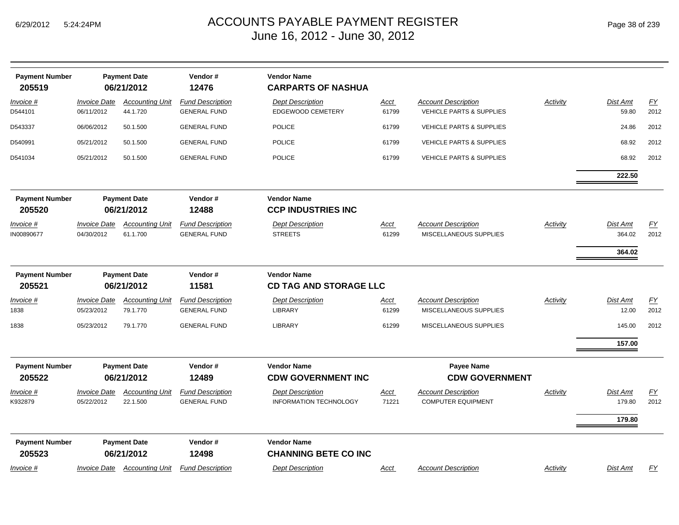| <b>Payment Number</b><br>205519 |                                   | <b>Payment Date</b><br>06/21/2012  | Vendor#<br>12476                               | <b>Vendor Name</b><br><b>CARPARTS OF NASHUA</b>          |                      |                                                         |                 |                    |            |
|---------------------------------|-----------------------------------|------------------------------------|------------------------------------------------|----------------------------------------------------------|----------------------|---------------------------------------------------------|-----------------|--------------------|------------|
| Invoice #<br>D544101            | <b>Invoice Date</b><br>06/11/2012 | <b>Accounting Unit</b><br>44.1.720 | <b>Fund Description</b><br><b>GENERAL FUND</b> | <b>Dept Description</b><br>EDGEWOOD CEMETERY             | <b>Acct</b><br>61799 | <b>Account Description</b><br>VEHICLE PARTS & SUPPLIES  | <b>Activity</b> | Dist Amt<br>59.80  | EY<br>2012 |
| D543337                         | 06/06/2012                        | 50.1.500                           | <b>GENERAL FUND</b>                            | <b>POLICE</b>                                            | 61799                | <b>VEHICLE PARTS &amp; SUPPLIES</b>                     |                 | 24.86              | 2012       |
| D540991                         | 05/21/2012                        | 50.1.500                           | <b>GENERAL FUND</b>                            | <b>POLICE</b>                                            | 61799                | <b>VEHICLE PARTS &amp; SUPPLIES</b>                     |                 | 68.92              | 2012       |
| D541034                         | 05/21/2012                        | 50.1.500                           | <b>GENERAL FUND</b>                            | <b>POLICE</b>                                            | 61799                | <b>VEHICLE PARTS &amp; SUPPLIES</b>                     |                 | 68.92              | 2012       |
|                                 |                                   |                                    |                                                |                                                          |                      |                                                         |                 | 222.50             |            |
| <b>Payment Number</b><br>205520 |                                   | <b>Payment Date</b><br>06/21/2012  | Vendor#<br>12488                               | <b>Vendor Name</b><br><b>CCP INDUSTRIES INC</b>          |                      |                                                         |                 |                    |            |
| <u>Invoice #</u><br>IN00890677  | <b>Invoice Date</b><br>04/30/2012 | <b>Accounting Unit</b><br>61.1.700 | <b>Fund Description</b><br><b>GENERAL FUND</b> | <b>Dept Description</b><br><b>STREETS</b>                | <u>Acct</u><br>61299 | <b>Account Description</b><br>MISCELLANEOUS SUPPLIES    | Activity        | Dist Amt<br>364.02 | EY<br>2012 |
|                                 |                                   |                                    |                                                |                                                          |                      |                                                         |                 | 364.02             |            |
| <b>Payment Number</b>           |                                   | <b>Payment Date</b>                | Vendor#                                        | <b>Vendor Name</b>                                       |                      |                                                         |                 |                    |            |
| 205521                          |                                   | 06/21/2012                         | 11581                                          | <b>CD TAG AND STORAGE LLC</b>                            |                      |                                                         |                 |                    |            |
| Invoice #<br>1838               | <b>Invoice Date</b><br>05/23/2012 | <b>Accounting Unit</b><br>79.1.770 | <b>Fund Description</b><br><b>GENERAL FUND</b> | <b>Dept Description</b><br><b>LIBRARY</b>                | <u>Acct</u><br>61299 | <b>Account Description</b><br>MISCELLANEOUS SUPPLIES    | <b>Activity</b> | Dist Amt<br>12.00  | EY<br>2012 |
| 1838                            | 05/23/2012                        | 79.1.770                           | <b>GENERAL FUND</b>                            | LIBRARY                                                  | 61299                | MISCELLANEOUS SUPPLIES                                  |                 | 145.00             | 2012       |
|                                 |                                   |                                    |                                                |                                                          |                      |                                                         |                 | 157.00             |            |
| <b>Payment Number</b><br>205522 |                                   | <b>Payment Date</b><br>06/21/2012  | Vendor#<br>12489                               | <b>Vendor Name</b><br><b>CDW GOVERNMENT INC</b>          |                      | <b>Payee Name</b><br><b>CDW GOVERNMENT</b>              |                 |                    |            |
| <u>Invoice #</u><br>K932879     | <b>Invoice Date</b><br>05/22/2012 | <b>Accounting Unit</b><br>22.1.500 | <b>Fund Description</b><br><b>GENERAL FUND</b> | <b>Dept Description</b><br><b>INFORMATION TECHNOLOGY</b> | <u>Acct</u><br>71221 | <b>Account Description</b><br><b>COMPUTER EQUIPMENT</b> | Activity        | Dist Amt<br>179.80 | EY<br>2012 |
|                                 |                                   |                                    |                                                |                                                          |                      |                                                         |                 | 179.80             |            |
| <b>Payment Number</b><br>205523 |                                   | <b>Payment Date</b><br>06/21/2012  | Vendor#<br>12498                               | <b>Vendor Name</b><br><b>CHANNING BETE CO INC</b>        |                      |                                                         |                 |                    |            |
| Invoice #                       | <i><b>Invoice Date</b></i>        | <b>Accounting Unit</b>             | <b>Fund Description</b>                        | <b>Dept Description</b>                                  | <b>Acct</b>          | <b>Account Description</b>                              | Activity        | Dist Amt           | <u>FY</u>  |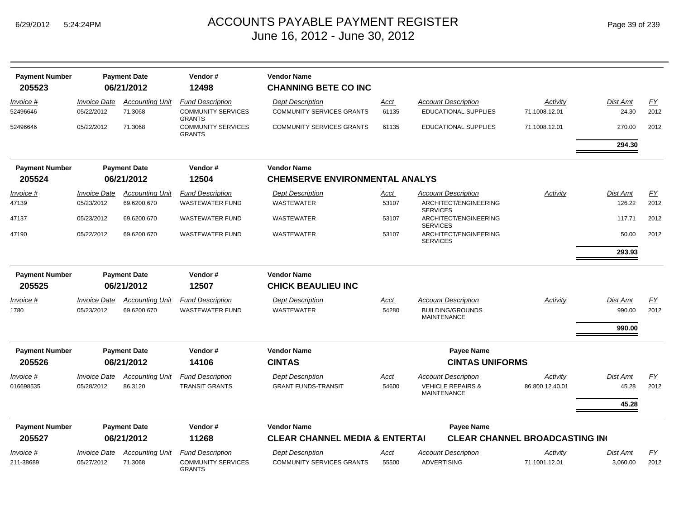| Page 39 of 239 |  |  |
|----------------|--|--|
|----------------|--|--|

| <b>Payment Number</b> |                     | <b>Payment Date</b>    | Vendor#                                    | <b>Vendor Name</b>                        |             |                    |                                                    |                                      |          |                  |
|-----------------------|---------------------|------------------------|--------------------------------------------|-------------------------------------------|-------------|--------------------|----------------------------------------------------|--------------------------------------|----------|------------------|
| 205523                |                     | 06/21/2012             | 12498                                      | <b>CHANNING BETE CO INC</b>               |             |                    |                                                    |                                      |          |                  |
| Invoice #             | <b>Invoice Date</b> | <b>Accounting Unit</b> | <b>Fund Description</b>                    | <b>Dept Description</b>                   | Acct        |                    | <b>Account Description</b>                         | Activity                             | Dist Amt | EY               |
| 52496646              | 05/22/2012          | 71.3068                | <b>COMMUNITY SERVICES</b><br><b>GRANTS</b> | <b>COMMUNITY SERVICES GRANTS</b>          | 61135       |                    | <b>EDUCATIONAL SUPPLIES</b>                        | 71.1008.12.01                        | 24.30    | 2012             |
| 52496646              | 05/22/2012          | 71.3068                | <b>COMMUNITY SERVICES</b><br><b>GRANTS</b> | <b>COMMUNITY SERVICES GRANTS</b>          | 61135       |                    | EDUCATIONAL SUPPLIES                               | 71.1008.12.01                        | 270.00   | 2012             |
|                       |                     |                        |                                            |                                           |             |                    |                                                    |                                      | 294.30   |                  |
| <b>Payment Number</b> |                     | <b>Payment Date</b>    | Vendor#                                    | <b>Vendor Name</b>                        |             |                    |                                                    |                                      |          |                  |
| 205524                |                     | 06/21/2012             | 12504                                      | <b>CHEMSERVE ENVIRONMENTAL ANALYS</b>     |             |                    |                                                    |                                      |          |                  |
| <u>Invoice #</u>      | <b>Invoice Date</b> | <b>Accounting Unit</b> | <b>Fund Description</b>                    | <b>Dept Description</b>                   | <u>Acct</u> |                    | <b>Account Description</b>                         | <b>Activity</b>                      | Dist Amt | EY               |
| 47139                 | 05/23/2012          | 69.6200.670            | <b>WASTEWATER FUND</b>                     | <b>WASTEWATER</b>                         | 53107       | <b>SERVICES</b>    | ARCHITECT/ENGINEERING                              |                                      | 126.22   | 2012             |
| 47137                 | 05/23/2012          | 69.6200.670            | <b>WASTEWATER FUND</b>                     | <b>WASTEWATER</b>                         | 53107       | <b>SERVICES</b>    | ARCHITECT/ENGINEERING                              |                                      | 117.71   | 2012             |
| 47190                 | 05/22/2012          | 69.6200.670            | <b>WASTEWATER FUND</b>                     | <b>WASTEWATER</b>                         | 53107       | <b>SERVICES</b>    | ARCHITECT/ENGINEERING                              |                                      | 50.00    | 2012             |
|                       |                     |                        |                                            |                                           |             |                    |                                                    |                                      | 293.93   |                  |
| <b>Payment Number</b> |                     | <b>Payment Date</b>    | Vendor#                                    | <b>Vendor Name</b>                        |             |                    |                                                    |                                      |          |                  |
| 205525                |                     | 06/21/2012             | 12507                                      | <b>CHICK BEAULIEU INC</b>                 |             |                    |                                                    |                                      |          |                  |
| <u>Invoice #</u>      | <b>Invoice Date</b> | <b>Accounting Unit</b> | <b>Fund Description</b>                    | <b>Dept Description</b>                   | <u>Acct</u> |                    | <b>Account Description</b>                         | Activity                             | Dist Amt | $\underline{FY}$ |
| 1780                  | 05/23/2012          | 69.6200.670            | <b>WASTEWATER FUND</b>                     | <b>WASTEWATER</b>                         | 54280       |                    | <b>BUILDING/GROUNDS</b><br><b>MAINTENANCE</b>      |                                      | 990.00   | 2012             |
|                       |                     |                        |                                            |                                           |             |                    |                                                    |                                      | 990.00   |                  |
| <b>Payment Number</b> |                     | <b>Payment Date</b>    | Vendor#                                    | <b>Vendor Name</b>                        |             |                    | <b>Payee Name</b>                                  |                                      |          |                  |
| 205526                |                     | 06/21/2012             | 14106                                      | <b>CINTAS</b>                             |             |                    | <b>CINTAS UNIFORMS</b>                             |                                      |          |                  |
| <i>Invoice</i> #      | <b>Invoice Date</b> | <b>Accounting Unit</b> | <b>Fund Description</b>                    | <b>Dept Description</b>                   | Acct        |                    | Account Description                                | Activity                             | Dist Amt | FY               |
| 016698535             | 05/28/2012          | 86.3120                | <b>TRANSIT GRANTS</b>                      | <b>GRANT FUNDS-TRANSIT</b>                | 54600       |                    | <b>VEHICLE REPAIRS &amp;</b><br><b>MAINTENANCE</b> | 86.800.12.40.01                      | 45.28    | 2012             |
|                       |                     |                        |                                            |                                           |             |                    |                                                    |                                      | 45.28    |                  |
| <b>Payment Number</b> |                     | <b>Payment Date</b>    | Vendor#                                    | <b>Vendor Name</b>                        |             |                    | <b>Payee Name</b>                                  |                                      |          |                  |
| 205527                |                     | 06/21/2012             | 11268                                      | <b>CLEAR CHANNEL MEDIA &amp; ENTERTAI</b> |             |                    |                                                    | <b>CLEAR CHANNEL BROADCASTING IN</b> |          |                  |
| <i>Invoice</i> #      | <b>Invoice Date</b> | <b>Accounting Unit</b> | <b>Fund Description</b>                    | <b>Dept Description</b>                   | <u>Acct</u> |                    | Account Description                                | <u>Activity</u>                      | Dist Amt | EY               |
| 211-38689             | 05/27/2012          | 71.3068                | <b>COMMUNITY SERVICES</b><br><b>GRANTS</b> | <b>COMMUNITY SERVICES GRANTS</b>          | 55500       | <b>ADVERTISING</b> |                                                    | 71.1001.12.01                        | 3,060.00 | 2012             |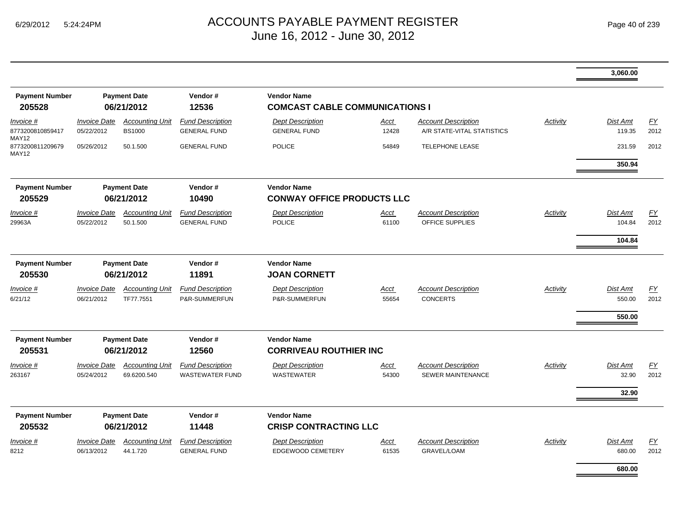|                                    |                                   |                                         |                                                   |                                                             |                      |                                                          |                 | 3,060.00                            |                   |
|------------------------------------|-----------------------------------|-----------------------------------------|---------------------------------------------------|-------------------------------------------------------------|----------------------|----------------------------------------------------------|-----------------|-------------------------------------|-------------------|
| <b>Payment Number</b><br>205528    |                                   | <b>Payment Date</b><br>06/21/2012       | Vendor#<br>12536                                  | <b>Vendor Name</b><br><b>COMCAST CABLE COMMUNICATIONS I</b> |                      |                                                          |                 |                                     |                   |
| Invoice #<br>8773200810859417      | <b>Invoice Date</b><br>05/22/2012 | <b>Accounting Unit</b><br><b>BS1000</b> | <b>Fund Description</b><br><b>GENERAL FUND</b>    | <b>Dept Description</b><br><b>GENERAL FUND</b>              | <u>Acct</u><br>12428 | <b>Account Description</b><br>A/R STATE-VITAL STATISTICS | Activity        | <b>Dist Amt</b><br>119.35           | EY<br>2012        |
| MAY12<br>8773200811209679<br>MAY12 | 05/26/2012                        | 50.1.500                                | <b>GENERAL FUND</b>                               | <b>POLICE</b>                                               | 54849                | <b>TELEPHONE LEASE</b>                                   |                 | 231.59<br>350.94                    | 2012              |
| <b>Payment Number</b><br>205529    |                                   | <b>Payment Date</b><br>06/21/2012       | Vendor#<br>10490                                  | <b>Vendor Name</b><br><b>CONWAY OFFICE PRODUCTS LLC</b>     |                      |                                                          |                 |                                     |                   |
| Invoice #<br>29963A                | <b>Invoice Date</b><br>05/22/2012 | <b>Accounting Unit</b><br>50.1.500      | <b>Fund Description</b><br><b>GENERAL FUND</b>    | <b>Dept Description</b><br><b>POLICE</b>                    | Acct<br>61100        | <b>Account Description</b><br>OFFICE SUPPLIES            | Activity        | <b>Dist Amt</b><br>104.84<br>104.84 | EY<br>2012        |
| <b>Payment Number</b><br>205530    |                                   | <b>Payment Date</b><br>06/21/2012       | Vendor#<br>11891                                  | <b>Vendor Name</b><br><b>JOAN CORNETT</b>                   |                      |                                                          |                 |                                     |                   |
| Invoice #<br>6/21/12               | <b>Invoice Date</b><br>06/21/2012 | <b>Accounting Unit</b><br>TF77.7551     | <b>Fund Description</b><br>P&R-SUMMERFUN          | <b>Dept Description</b><br>P&R-SUMMERFUN                    | Acct<br>55654        | <b>Account Description</b><br><b>CONCERTS</b>            | Activity        | <b>Dist Amt</b><br>550.00<br>550.00 | <u>FY</u><br>2012 |
| <b>Payment Number</b><br>205531    |                                   | <b>Payment Date</b><br>06/21/2012       | Vendor#<br>12560                                  | <b>Vendor Name</b><br><b>CORRIVEAU ROUTHIER INC</b>         |                      |                                                          |                 |                                     |                   |
| Invoice #<br>263167                | <b>Invoice Date</b><br>05/24/2012 | <b>Accounting Unit</b><br>69.6200.540   | <b>Fund Description</b><br><b>WASTEWATER FUND</b> | <b>Dept Description</b><br><b>WASTEWATER</b>                | <u>Acct</u><br>54300 | <b>Account Description</b><br>SEWER MAINTENANCE          | <b>Activity</b> | <b>Dist Amt</b><br>32.90<br>32.90   | <u>FY</u><br>2012 |
| <b>Payment Number</b><br>205532    |                                   | <b>Payment Date</b><br>06/21/2012       | Vendor#<br>11448                                  | <b>Vendor Name</b><br><b>CRISP CONTRACTING LLC</b>          |                      |                                                          |                 |                                     |                   |
| <u>Invoice #</u><br>8212           | <b>Invoice Date</b><br>06/13/2012 | <b>Accounting Unit</b><br>44.1.720      | <b>Fund Description</b><br><b>GENERAL FUND</b>    | <b>Dept Description</b><br><b>EDGEWOOD CEMETERY</b>         | <u>Acct</u><br>61535 | <b>Account Description</b><br><b>GRAVEL/LOAM</b>         | <b>Activity</b> | Dist Amt<br>680.00                  | EY<br>2012        |
|                                    |                                   |                                         |                                                   |                                                             |                      |                                                          |                 | 680.00                              |                   |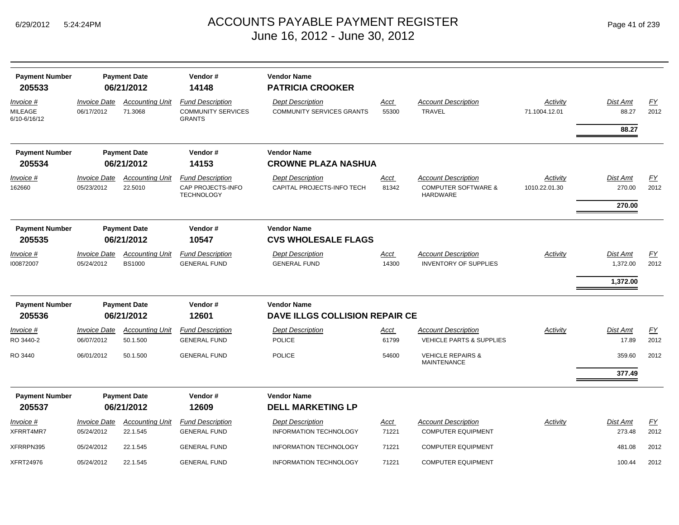|  | Page 41 of 239 |  |  |  |
|--|----------------|--|--|--|
|--|----------------|--|--|--|

| <b>Payment Number</b><br>205533             |                                   | <b>Payment Date</b><br>06/21/2012  | Vendor#<br>14148                                                      | <b>Vendor Name</b><br><b>PATRICIA CROOKER</b>               |                      |                                                                                           |                           |                                         |                   |
|---------------------------------------------|-----------------------------------|------------------------------------|-----------------------------------------------------------------------|-------------------------------------------------------------|----------------------|-------------------------------------------------------------------------------------------|---------------------------|-----------------------------------------|-------------------|
| Invoice #<br><b>MILEAGE</b><br>6/10-6/16/12 | <b>Invoice Date</b><br>06/17/2012 | <b>Accounting Unit</b><br>71.3068  | <b>Fund Description</b><br><b>COMMUNITY SERVICES</b><br><b>GRANTS</b> | <b>Dept Description</b><br><b>COMMUNITY SERVICES GRANTS</b> | Acct<br>55300        | <b>Account Description</b><br><b>TRAVEL</b>                                               | Activity<br>71.1004.12.01 | <b>Dist Amt</b><br>88.27<br>88.27       | <b>FY</b><br>2012 |
|                                             |                                   |                                    |                                                                       |                                                             |                      |                                                                                           |                           |                                         |                   |
| <b>Payment Number</b><br>205534             |                                   | <b>Payment Date</b><br>06/21/2012  | Vendor#<br>14153                                                      | <b>Vendor Name</b><br><b>CROWNE PLAZA NASHUA</b>            |                      |                                                                                           |                           |                                         |                   |
| Invoice #<br>162660                         | <b>Invoice Date</b><br>05/23/2012 | <b>Accounting Unit</b><br>22.5010  | <b>Fund Description</b><br>CAP PROJECTS-INFO<br><b>TECHNOLOGY</b>     | <b>Dept Description</b><br>CAPITAL PROJECTS-INFO TECH       | <u>Acct</u><br>81342 | <b>Account Description</b><br><b>COMPUTER SOFTWARE &amp;</b><br><b>HARDWARE</b>           | Activity<br>1010.22.01.30 | Dist Amt<br>270.00<br>270.00            | EY<br>2012        |
| <b>Payment Number</b><br>205535             |                                   | <b>Payment Date</b><br>06/21/2012  | Vendor#<br>10547                                                      | <b>Vendor Name</b><br><b>CVS WHOLESALE FLAGS</b>            |                      |                                                                                           |                           |                                         |                   |
| Invoice #<br>100872007                      | <b>Invoice Date</b><br>05/24/2012 | <b>Accounting Unit</b><br>BS1000   | <b>Fund Description</b><br><b>GENERAL FUND</b>                        | <b>Dept Description</b><br><b>GENERAL FUND</b>              | Acct<br>14300        | <b>Account Description</b><br><b>INVENTORY OF SUPPLIES</b>                                | Activity                  | <b>Dist Amt</b><br>1,372.00<br>1,372.00 | <b>FY</b><br>2012 |
| <b>Payment Number</b><br>205536             |                                   | <b>Payment Date</b><br>06/21/2012  | Vendor#<br>12601                                                      | <b>Vendor Name</b><br><b>DAVE ILLGS COLLISION REPAIR CE</b> |                      |                                                                                           |                           |                                         |                   |
| Invoice #                                   | <b>Invoice Date</b>               | <b>Accounting Unit</b>             | <b>Fund Description</b>                                               | <b>Dept Description</b>                                     | Acct                 | <b>Account Description</b>                                                                | Activity                  | Dist Amt                                | <b>FY</b>         |
| RO 3440-2<br>RO 3440                        | 06/07/2012<br>06/01/2012          | 50.1.500<br>50.1.500               | <b>GENERAL FUND</b><br><b>GENERAL FUND</b>                            | POLICE<br><b>POLICE</b>                                     | 61799<br>54600       | <b>VEHICLE PARTS &amp; SUPPLIES</b><br><b>VEHICLE REPAIRS &amp;</b><br><b>MAINTENANCE</b> |                           | 17.89<br>359.60                         | 2012<br>2012      |
|                                             |                                   |                                    |                                                                       |                                                             |                      |                                                                                           |                           | 377.49                                  |                   |
| <b>Payment Number</b><br>205537             |                                   | <b>Payment Date</b><br>06/21/2012  | Vendor#<br>12609                                                      | <b>Vendor Name</b><br><b>DELL MARKETING LP</b>              |                      |                                                                                           |                           |                                         |                   |
| Invoice #<br>XFRRT4MR7                      | <b>Invoice Date</b><br>05/24/2012 | <b>Accounting Unit</b><br>22.1.545 | <b>Fund Description</b><br><b>GENERAL FUND</b>                        | <b>Dept Description</b><br><b>INFORMATION TECHNOLOGY</b>    | Acct<br>71221        | <b>Account Description</b><br><b>COMPUTER EQUIPMENT</b>                                   | Activity                  | Dist Amt<br>273.48                      | EY<br>2012        |
| XFRRPN395                                   | 05/24/2012                        | 22.1.545                           | <b>GENERAL FUND</b>                                                   | INFORMATION TECHNOLOGY                                      | 71221                | <b>COMPUTER EQUIPMENT</b>                                                                 |                           | 481.08                                  | 2012              |
| <b>XFRT24976</b>                            | 05/24/2012                        | 22.1.545                           | <b>GENERAL FUND</b>                                                   | INFORMATION TECHNOLOGY                                      | 71221                | <b>COMPUTER EQUIPMENT</b>                                                                 |                           | 100.44                                  | 2012              |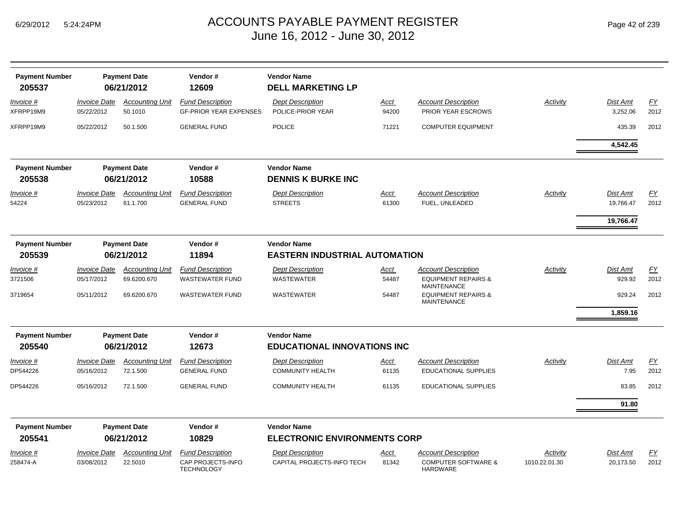| <b>Payment Number</b><br>205537 |                                          | <b>Payment Date</b><br>06/21/2012 | Vendor#<br>12609                                         | <b>Vendor Name</b><br><b>DELL MARKETING LP</b>  |                      |                                                      |                 |                      |            |
|---------------------------------|------------------------------------------|-----------------------------------|----------------------------------------------------------|-------------------------------------------------|----------------------|------------------------------------------------------|-----------------|----------------------|------------|
| Invoice #<br>XFRPP19M9          | <i><b>Invoice Date</b></i><br>05/22/2012 | <b>Accounting Unit</b><br>50.1010 | <b>Fund Description</b><br><b>GF-PRIOR YEAR EXPENSES</b> | <b>Dept Description</b><br>POLICE-PRIOR YEAR    | <u>Acct</u><br>94200 | <b>Account Description</b><br>PRIOR YEAR ESCROWS     | <b>Activity</b> | Dist Amt<br>3,252.06 | EY<br>2012 |
| XFRPP19M9                       | 05/22/2012                               | 50.1.500                          | <b>GENERAL FUND</b>                                      | <b>POLICE</b>                                   | 71221                | <b>COMPUTER EQUIPMENT</b>                            |                 | 435.39               | 2012       |
|                                 |                                          |                                   |                                                          |                                                 |                      |                                                      |                 | 4,542.45             |            |
| <b>Payment Number</b><br>205538 |                                          | <b>Payment Date</b><br>06/21/2012 | Vendor#<br>10588                                         | <b>Vendor Name</b><br><b>DENNIS K BURKE INC</b> |                      |                                                      |                 |                      |            |
| <u>Invoice #</u>                | <b>Invoice Date</b>                      | <b>Accounting Unit</b>            | <b>Fund Description</b>                                  | <b>Dept Description</b>                         | <u>Acct</u>          | <b>Account Description</b>                           | Activity        | Dist Amt             | <u>FY</u>  |
| 54224                           | 05/23/2012                               | 61.1.700                          | <b>GENERAL FUND</b>                                      | <b>STREETS</b>                                  | 61300                | FUEL, UNLEADED                                       |                 | 19,766.47            | 2012       |
|                                 |                                          |                                   |                                                          |                                                 |                      |                                                      |                 | 19,766.47            |            |
| <b>Payment Number</b>           |                                          | <b>Payment Date</b>               | Vendor#                                                  | <b>Vendor Name</b>                              |                      |                                                      |                 |                      |            |
| 205539                          |                                          | 06/21/2012                        | 11894                                                    | <b>EASTERN INDUSTRIAL AUTOMATION</b>            |                      |                                                      |                 |                      |            |
| Invoice #                       | <b>Invoice Date</b>                      | <b>Accounting Unit</b>            | <b>Fund Description</b>                                  | <b>Dept Description</b>                         | Acct                 | <b>Account Description</b>                           | Activity        | <b>Dist Amt</b>      | EY         |
| 3721506                         | 05/17/2012                               | 69.6200.670                       | <b>WASTEWATER FUND</b>                                   | <b>WASTEWATER</b>                               | 54487                | <b>EQUIPMENT REPAIRS &amp;</b><br><b>MAINTENANCE</b> |                 | 929.92               | 2012       |
| 3719654                         | 05/11/2012                               | 69.6200.670                       | <b>WASTEWATER FUND</b>                                   | WASTEWATER                                      | 54487                | <b>EQUIPMENT REPAIRS &amp;</b><br><b>MAINTENANCE</b> |                 | 929.24               | 2012       |
|                                 |                                          |                                   |                                                          |                                                 |                      |                                                      |                 | 1,859.16             |            |
| <b>Payment Number</b>           |                                          | <b>Payment Date</b>               | Vendor#                                                  | <b>Vendor Name</b>                              |                      |                                                      |                 |                      |            |
| 205540                          |                                          | 06/21/2012                        | 12673                                                    | <b>EDUCATIONAL INNOVATIONS INC</b>              |                      |                                                      |                 |                      |            |
| Invoice #                       | <i><b>Invoice Date</b></i>               | <b>Accounting Unit</b>            | <b>Fund Description</b>                                  | <b>Dept Description</b>                         | Acct                 | <b>Account Description</b>                           | Activity        | Dist Amt             | EY         |
| DP544226                        | 05/16/2012                               | 72.1.500                          | <b>GENERAL FUND</b>                                      | <b>COMMUNITY HEALTH</b>                         | 61135                | <b>EDUCATIONAL SUPPLIES</b>                          |                 | 7.95                 | 2012       |
| DP544226                        | 05/16/2012                               | 72.1.500                          | <b>GENERAL FUND</b>                                      | <b>COMMUNITY HEALTH</b>                         | 61135                | <b>EDUCATIONAL SUPPLIES</b>                          |                 | 83.85                | 2012       |
|                                 |                                          |                                   |                                                          |                                                 |                      |                                                      |                 | 91.80                |            |
| <b>Payment Number</b>           |                                          | <b>Payment Date</b>               | Vendor#                                                  | <b>Vendor Name</b>                              |                      |                                                      |                 |                      |            |
| 205541                          |                                          | 06/21/2012                        | 10829                                                    | <b>ELECTRONIC ENVIRONMENTS CORP</b>             |                      |                                                      |                 |                      |            |
| <u>Invoice #</u>                | <b>Invoice Date</b>                      | <b>Accounting Unit</b>            | <b>Fund Description</b>                                  | <b>Dept Description</b>                         | <u>Acct_</u>         | <b>Account Description</b>                           | Activity        | Dist Amt             | <u>FY</u>  |
| 258474-A                        | 03/08/2012                               | 22.5010                           | CAP PROJECTS-INFO<br><b>TECHNOLOGY</b>                   | CAPITAL PROJECTS-INFO TECH                      | 81342                | <b>COMPUTER SOFTWARE &amp;</b><br><b>HARDWARE</b>    | 1010.22.01.30   | 20,173.50            | 2012       |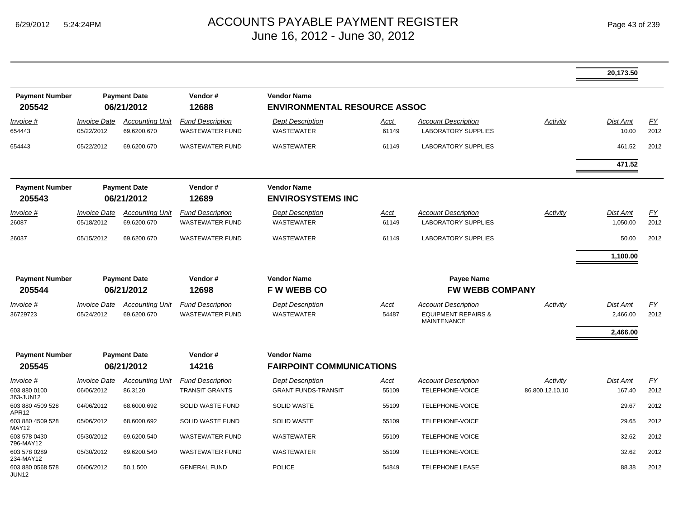|                                       |                                          |                                       |                                                   |                                                           |                      |                                                                                    |                 | 20,173.50                |            |
|---------------------------------------|------------------------------------------|---------------------------------------|---------------------------------------------------|-----------------------------------------------------------|----------------------|------------------------------------------------------------------------------------|-----------------|--------------------------|------------|
| <b>Payment Number</b><br>205542       |                                          | <b>Payment Date</b><br>06/21/2012     | Vendor#<br>12688                                  | <b>Vendor Name</b><br><b>ENVIRONMENTAL RESOURCE ASSOC</b> |                      |                                                                                    |                 |                          |            |
| Invoice #<br>654443                   | <i><b>Invoice Date</b></i><br>05/22/2012 | <b>Accounting Unit</b><br>69.6200.670 | <b>Fund Description</b><br><b>WASTEWATER FUND</b> | <b>Dept Description</b><br><b>WASTEWATER</b>              | Acct<br>61149        | Account Description<br><b>LABORATORY SUPPLIES</b>                                  | Activity        | <b>Dist Amt</b><br>10.00 | EY<br>2012 |
| 654443                                | 05/22/2012                               | 69.6200.670                           | <b>WASTEWATER FUND</b>                            | <b>WASTEWATER</b>                                         | 61149                | <b>LABORATORY SUPPLIES</b>                                                         |                 | 461.52                   | 2012       |
|                                       |                                          |                                       |                                                   |                                                           |                      |                                                                                    |                 | 471.52                   |            |
| <b>Payment Number</b><br>205543       |                                          | <b>Payment Date</b><br>06/21/2012     | Vendor#<br>12689                                  | <b>Vendor Name</b><br><b>ENVIROSYSTEMS INC</b>            |                      |                                                                                    |                 |                          |            |
| Invoice #                             | <b>Invoice Date</b>                      | <b>Accounting Unit</b>                | <b>Fund Description</b>                           | <b>Dept Description</b>                                   | Acct                 | <b>Account Description</b>                                                         | Activity        | <b>Dist Amt</b>          | FY         |
| 26087                                 | 05/18/2012                               | 69.6200.670                           | <b>WASTEWATER FUND</b>                            | WASTEWATER                                                | 61149                | <b>LABORATORY SUPPLIES</b>                                                         |                 | 1,050.00                 | 2012       |
| 26037                                 | 05/15/2012                               | 69.6200.670                           | <b>WASTEWATER FUND</b>                            | <b>WASTEWATER</b>                                         | 61149                | <b>LABORATORY SUPPLIES</b>                                                         |                 | 50.00                    | 2012       |
|                                       |                                          |                                       |                                                   |                                                           |                      |                                                                                    |                 | 1,100.00                 |            |
| <b>Payment Number</b><br>205544       |                                          | <b>Payment Date</b><br>06/21/2012     | Vendor#<br>12698                                  | <b>Vendor Name</b><br><b>FW WEBB CO</b>                   |                      | <b>Payee Name</b><br><b>FW WEBB COMPANY</b>                                        |                 |                          |            |
| <u>Invoice #</u><br>36729723          | <b>Invoice Date</b><br>05/24/2012        | <b>Accounting Unit</b><br>69.6200.670 | <b>Fund Description</b><br><b>WASTEWATER FUND</b> | <b>Dept Description</b><br><b>WASTEWATER</b>              | <u>Acct</u><br>54487 | <b>Account Description</b><br><b>EQUIPMENT REPAIRS &amp;</b><br><b>MAINTENANCE</b> | Activity        | Dist Amt<br>2,466.00     | EY<br>2012 |
|                                       |                                          |                                       |                                                   |                                                           |                      |                                                                                    |                 | 2,466.00                 |            |
| <b>Payment Number</b><br>205545       |                                          | <b>Payment Date</b><br>06/21/2012     | Vendor#<br>14216                                  | <b>Vendor Name</b><br><b>FAIRPOINT COMMUNICATIONS</b>     |                      |                                                                                    |                 |                          |            |
| Invoice #                             | <b>Invoice Date</b>                      | <b>Accounting Unit</b>                | <b>Fund Description</b>                           | <b>Dept Description</b>                                   | <u>Acct</u>          | Account Description                                                                | Activity        | Dist Amt                 | EY         |
| 603 880 0100<br>363-JUN12             | 06/06/2012                               | 86.3120                               | <b>TRANSIT GRANTS</b>                             | <b>GRANT FUNDS-TRANSIT</b>                                | 55109                | TELEPHONE-VOICE                                                                    | 86.800.12.10.10 | 167.40                   | 2012       |
| 603 880 4509 528<br>APR12             | 04/06/2012                               | 68.6000.692                           | SOLID WASTE FUND                                  | <b>SOLID WASTE</b>                                        | 55109                | TELEPHONE-VOICE                                                                    |                 | 29.67                    | 2012       |
| 603 880 4509 528<br>MAY12             | 05/06/2012                               | 68.6000.692                           | SOLID WASTE FUND                                  | <b>SOLID WASTE</b>                                        | 55109                | TELEPHONE-VOICE                                                                    |                 | 29.65                    | 2012       |
| 603 578 0430<br>796-MAY12             | 05/30/2012                               | 69.6200.540                           | <b>WASTEWATER FUND</b>                            | <b>WASTEWATER</b>                                         | 55109                | TELEPHONE-VOICE                                                                    |                 | 32.62                    | 2012       |
| 603 578 0289<br>234-MAY12             | 05/30/2012                               | 69.6200.540                           | <b>WASTEWATER FUND</b>                            | <b>WASTEWATER</b>                                         | 55109                | TELEPHONE-VOICE                                                                    |                 | 32.62                    | 2012       |
| 603 880 0568 578<br>JUN <sub>12</sub> | 06/06/2012                               | 50.1.500                              | <b>GENERAL FUND</b>                               | <b>POLICE</b>                                             | 54849                | <b>TELEPHONE LEASE</b>                                                             |                 | 88.38                    | 2012       |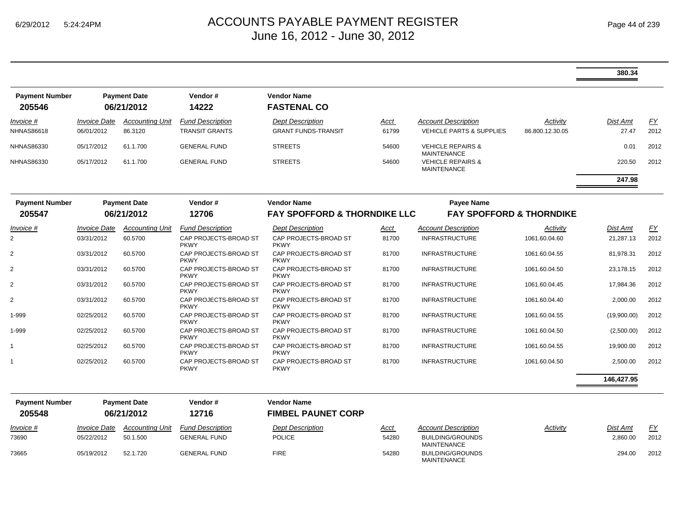|                                 |                                          |                                   |                                                  |                                                               |               |                                                                   |                             | 380.34                   |            |
|---------------------------------|------------------------------------------|-----------------------------------|--------------------------------------------------|---------------------------------------------------------------|---------------|-------------------------------------------------------------------|-----------------------------|--------------------------|------------|
| <b>Payment Number</b><br>205546 |                                          | <b>Payment Date</b><br>06/21/2012 | Vendor#<br>14222                                 | <b>Vendor Name</b><br><b>FASTENAL CO</b>                      |               |                                                                   |                             |                          |            |
| Invoice #<br><b>NHNAS86618</b>  | <i><b>Invoice Date</b></i><br>06/01/2012 | <b>Accounting Unit</b><br>86.3120 | <b>Fund Description</b><br><b>TRANSIT GRANTS</b> | <b>Dept Description</b><br><b>GRANT FUNDS-TRANSIT</b>         | Acct<br>61799 | <b>Account Description</b><br><b>VEHICLE PARTS &amp; SUPPLIES</b> | Activity<br>86.800.12.30.05 | <b>Dist Amt</b><br>27.47 | FY<br>2012 |
| <b>NHNAS86330</b>               | 05/17/2012                               | 61.1.700                          | <b>GENERAL FUND</b>                              | <b>STREETS</b>                                                | 54600         | <b>VEHICLE REPAIRS &amp;</b><br><b>MAINTENANCE</b>                |                             | 0.01                     | 2012       |
| <b>NHNAS86330</b>               | 05/17/2012                               | 61.1.700                          | <b>GENERAL FUND</b>                              | <b>STREETS</b>                                                | 54600         | <b>VEHICLE REPAIRS &amp;</b><br><b>MAINTENANCE</b>                |                             | 220.50                   | 2012       |
|                                 |                                          |                                   |                                                  |                                                               |               |                                                                   |                             | 247.98                   |            |
| <b>Payment Number</b><br>205547 |                                          | <b>Payment Date</b><br>06/21/2012 | Vendor#<br>12706                                 | <b>Vendor Name</b><br><b>FAY SPOFFORD &amp; THORNDIKE LLC</b> |               | <b>Payee Name</b><br><b>FAY SPOFFORD &amp; THORNDIKE</b>          |                             |                          |            |
| Invoice #                       | <b>Invoice Date</b>                      | <b>Accounting Unit</b>            | <b>Fund Description</b>                          | <b>Dept Description</b>                                       | Acct          | Account Description                                               | Activity                    | Dist Amt                 | <u>FY</u>  |
| 2                               | 03/31/2012                               | 60.5700                           | CAP PROJECTS-BROAD ST<br><b>PKWY</b>             | CAP PROJECTS-BROAD ST<br><b>PKWY</b>                          | 81700         | <b>INFRASTRUCTURE</b>                                             | 1061.60.04.60               | 21,287.13                | 2012       |
| 2                               | 03/31/2012                               | 60.5700                           | CAP PROJECTS-BROAD ST<br><b>PKWY</b>             | CAP PROJECTS-BROAD ST<br><b>PKWY</b>                          | 81700         | <b>INFRASTRUCTURE</b>                                             | 1061.60.04.55               | 81,978.31                | 2012       |
| $\overline{2}$                  | 03/31/2012                               | 60.5700                           | CAP PROJECTS-BROAD ST<br><b>PKWY</b>             | CAP PROJECTS-BROAD ST<br><b>PKWY</b>                          | 81700         | <b>INFRASTRUCTURE</b>                                             | 1061.60.04.50               | 23,178.15                | 2012       |
| $\overline{2}$                  | 03/31/2012                               | 60.5700                           | CAP PROJECTS-BROAD ST<br><b>PKWY</b>             | CAP PROJECTS-BROAD ST<br><b>PKWY</b>                          | 81700         | <b>INFRASTRUCTURE</b>                                             | 1061.60.04.45               | 17,984.36                | 2012       |
| 2                               | 03/31/2012                               | 60.5700                           | CAP PROJECTS-BROAD ST<br><b>PKWY</b>             | CAP PROJECTS-BROAD ST<br><b>PKWY</b>                          | 81700         | <b>INFRASTRUCTURE</b>                                             | 1061.60.04.40               | 2,000.00                 | 2012       |
| 1-999                           | 02/25/2012                               | 60.5700                           | CAP PROJECTS-BROAD ST<br><b>PKWY</b>             | CAP PROJECTS-BROAD ST<br><b>PKWY</b>                          | 81700         | <b>INFRASTRUCTURE</b>                                             | 1061.60.04.55               | (19,900.00)              | 2012       |
| 1-999                           | 02/25/2012                               | 60.5700                           | CAP PROJECTS-BROAD ST<br><b>PKWY</b>             | CAP PROJECTS-BROAD ST<br><b>PKWY</b>                          | 81700         | <b>INFRASTRUCTURE</b>                                             | 1061.60.04.50               | (2,500.00)               | 2012       |
| 1                               | 02/25/2012                               | 60.5700                           | CAP PROJECTS-BROAD ST<br><b>PKWY</b>             | CAP PROJECTS-BROAD ST<br><b>PKWY</b>                          | 81700         | <b>INFRASTRUCTURE</b>                                             | 1061.60.04.55               | 19,900.00                | 2012       |
| $\mathbf{1}$                    | 02/25/2012                               | 60.5700                           | CAP PROJECTS-BROAD ST<br><b>PKWY</b>             | CAP PROJECTS-BROAD ST<br><b>PKWY</b>                          | 81700         | <b>INFRASTRUCTURE</b>                                             | 1061.60.04.50               | 2,500.00                 | 2012       |
|                                 |                                          |                                   |                                                  |                                                               |               |                                                                   |                             | 146,427.95               |            |
| <b>Payment Number</b>           |                                          | <b>Payment Date</b>               | Vendor#                                          | <b>Vendor Name</b>                                            |               |                                                                   |                             |                          |            |
| 205548                          |                                          | 06/21/2012                        | 12716                                            | <b>FIMBEL PAUNET CORP</b>                                     |               |                                                                   |                             |                          |            |
| Invoice #                       | <b>Invoice Date</b>                      | <b>Accounting Unit</b>            | <b>Fund Description</b>                          | <b>Dept Description</b>                                       | <u>Acct</u>   | <b>Account Description</b>                                        | Activity                    | Dist Amt                 | EY         |
| 73690                           | 05/22/2012                               | 50.1.500                          | <b>GENERAL FUND</b>                              | <b>POLICE</b>                                                 | 54280         | <b>BUILDING/GROUNDS</b><br><b>MAINTENANCE</b>                     |                             | 2,860.00                 | 2012       |
| 73665                           | 05/19/2012                               | 52.1.720                          | <b>GENERAL FUND</b>                              | <b>FIRE</b>                                                   | 54280         | <b>BUILDING/GROUNDS</b><br><b>MAINTENANCE</b>                     |                             | 294.00                   | 2012       |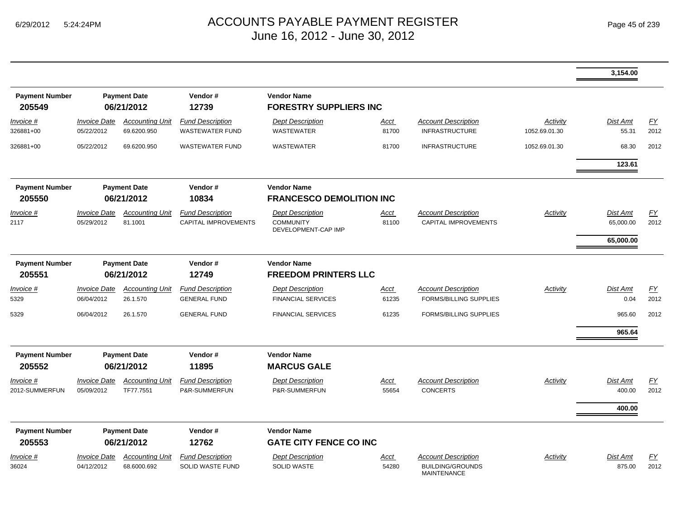|                                 |                                          |                                       |                                                   |                                                                    |                      |                                                                             |                           | 3,154.00                           |            |
|---------------------------------|------------------------------------------|---------------------------------------|---------------------------------------------------|--------------------------------------------------------------------|----------------------|-----------------------------------------------------------------------------|---------------------------|------------------------------------|------------|
| <b>Payment Number</b><br>205549 |                                          | <b>Payment Date</b><br>06/21/2012     | Vendor#<br>12739                                  | <b>Vendor Name</b><br><b>FORESTRY SUPPLIERS INC</b>                |                      |                                                                             |                           |                                    |            |
| Invoice #<br>326881+00          | <i><b>Invoice Date</b></i><br>05/22/2012 | <b>Accounting Unit</b><br>69.6200.950 | <b>Fund Description</b><br><b>WASTEWATER FUND</b> | <b>Dept Description</b><br><b>WASTEWATER</b>                       | <u>Acct</u><br>81700 | <b>Account Description</b><br><b>INFRASTRUCTURE</b>                         | Activity<br>1052.69.01.30 | Dist Amt<br>55.31                  | EY<br>2012 |
| 326881+00                       | 05/22/2012                               | 69.6200.950                           | <b>WASTEWATER FUND</b>                            | <b>WASTEWATER</b>                                                  | 81700                | <b>INFRASTRUCTURE</b>                                                       | 1052.69.01.30             | 68.30<br>123.61                    | 2012       |
| <b>Payment Number</b><br>205550 |                                          | <b>Payment Date</b><br>06/21/2012     | Vendor#<br>10834                                  | <b>Vendor Name</b><br><b>FRANCESCO DEMOLITION INC</b>              |                      |                                                                             |                           |                                    |            |
| Invoice #<br>2117               | <i><b>Invoice Date</b></i><br>05/29/2012 | <b>Accounting Unit</b><br>81.1001     | <b>Fund Description</b><br>CAPITAL IMPROVEMENTS   | <b>Dept Description</b><br><b>COMMUNITY</b><br>DEVELOPMENT-CAP IMP | Acct<br>81100        | <b>Account Description</b><br>CAPITAL IMPROVEMENTS                          | Activity                  | Dist Amt<br>65,000.00<br>65,000.00 | EY<br>2012 |
| <b>Payment Number</b>           |                                          | <b>Payment Date</b>                   | Vendor#                                           | <b>Vendor Name</b>                                                 |                      |                                                                             |                           |                                    |            |
| 205551                          |                                          | 06/21/2012                            | 12749                                             | <b>FREEDOM PRINTERS LLC</b>                                        |                      |                                                                             |                           |                                    |            |
| Invoice #<br>5329               | <b>Invoice Date</b><br>06/04/2012        | <b>Accounting Unit</b><br>26.1.570    | <b>Fund Description</b><br><b>GENERAL FUND</b>    | <b>Dept Description</b><br><b>FINANCIAL SERVICES</b>               | Acct<br>61235        | <b>Account Description</b><br><b>FORMS/BILLING SUPPLIES</b>                 | Activity                  | <b>Dist Amt</b><br>0.04            | EY<br>2012 |
| 5329                            | 06/04/2012                               | 26.1.570                              | <b>GENERAL FUND</b>                               | <b>FINANCIAL SERVICES</b>                                          | 61235                | <b>FORMS/BILLING SUPPLIES</b>                                               |                           | 965.60                             | 2012       |
|                                 |                                          |                                       |                                                   |                                                                    |                      |                                                                             |                           | 965.64                             |            |
| <b>Payment Number</b><br>205552 |                                          | <b>Payment Date</b><br>06/21/2012     | Vendor#<br>11895                                  | <b>Vendor Name</b><br><b>MARCUS GALE</b>                           |                      |                                                                             |                           |                                    |            |
| Invoice #<br>2012-SUMMERFUN     | <i><b>Invoice Date</b></i><br>05/09/2012 | <b>Accounting Unit</b><br>TF77.7551   | <b>Fund Description</b><br>P&R-SUMMERFUN          | <b>Dept Description</b><br>P&R-SUMMERFUN                           | Acct<br>55654        | <b>Account Description</b><br><b>CONCERTS</b>                               | Activity                  | Dist Amt<br>400.00<br>400.00       | EY<br>2012 |
| <b>Payment Number</b><br>205553 |                                          | <b>Payment Date</b><br>06/21/2012     | Vendor#<br>12762                                  | <b>Vendor Name</b><br><b>GATE CITY FENCE CO INC</b>                |                      |                                                                             |                           |                                    |            |
| Invoice #<br>36024              | <i><b>Invoice Date</b></i><br>04/12/2012 | <b>Accounting Unit</b><br>68.6000.692 | <b>Fund Description</b><br>SOLID WASTE FUND       | <b>Dept Description</b><br><b>SOLID WASTE</b>                      | <u>Acct</u><br>54280 | <b>Account Description</b><br><b>BUILDING/GROUNDS</b><br><b>MAINTENANCE</b> | Activity                  | <b>Dist Amt</b><br>875.00          | EY<br>2012 |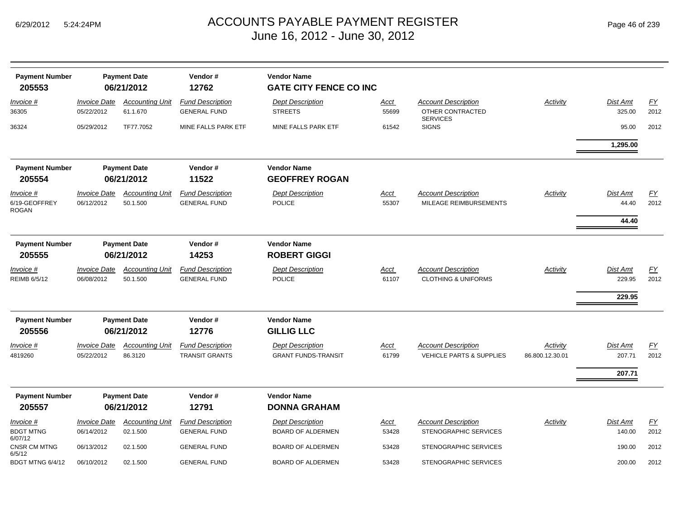| Page 46 of 239 |  |  |  |
|----------------|--|--|--|
|----------------|--|--|--|

| <b>Payment Number</b><br>205553            |                                   | <b>Payment Date</b><br>06/21/2012  | Vendor#<br>12762                                 | <b>Vendor Name</b><br><b>GATE CITY FENCE CO INC</b>   |                      |                                                                   |                             |                              |              |
|--------------------------------------------|-----------------------------------|------------------------------------|--------------------------------------------------|-------------------------------------------------------|----------------------|-------------------------------------------------------------------|-----------------------------|------------------------------|--------------|
| Invoice #<br>36305                         | <b>Invoice Date</b><br>05/22/2012 | <b>Accounting Unit</b><br>61.1.670 | <b>Fund Description</b><br><b>GENERAL FUND</b>   | <b>Dept Description</b><br><b>STREETS</b>             | <u>Acct</u><br>55699 | <b>Account Description</b><br>OTHER CONTRACTED<br><b>SERVICES</b> | Activity                    | Dist Amt<br>325.00           | EY<br>2012   |
| 36324                                      | 05/29/2012                        | TF77.7052                          | MINE FALLS PARK ETF                              | MINE FALLS PARK ETF                                   | 61542                | <b>SIGNS</b>                                                      |                             | 95.00                        | 2012         |
|                                            |                                   |                                    |                                                  |                                                       |                      |                                                                   |                             | 1,295.00                     |              |
| <b>Payment Number</b><br>205554            |                                   | <b>Payment Date</b><br>06/21/2012  | Vendor#<br>11522                                 | <b>Vendor Name</b><br><b>GEOFFREY ROGAN</b>           |                      |                                                                   |                             |                              |              |
| Invoice #<br>6/19-GEOFFREY<br>ROGAN        | <b>Invoice Date</b><br>06/12/2012 | <b>Accounting Unit</b><br>50.1.500 | <b>Fund Description</b><br><b>GENERAL FUND</b>   | <b>Dept Description</b><br><b>POLICE</b>              | <u>Acct</u><br>55307 | <b>Account Description</b><br>MILEAGE REIMBURSEMENTS              | Activity                    | Dist Amt<br>44.40<br>44.40   | EY<br>2012   |
| <b>Payment Number</b><br>205555            |                                   | <b>Payment Date</b><br>06/21/2012  | Vendor#<br>14253                                 | <b>Vendor Name</b><br><b>ROBERT GIGGI</b>             |                      |                                                                   |                             |                              |              |
| <u>Invoice #</u><br>REIMB 6/5/12           | <b>Invoice Date</b><br>06/08/2012 | <b>Accounting Unit</b><br>50.1.500 | <b>Fund Description</b><br><b>GENERAL FUND</b>   | <b>Dept Description</b><br><b>POLICE</b>              | <u>Acct</u><br>61107 | <b>Account Description</b><br><b>CLOTHING &amp; UNIFORMS</b>      | Activity                    | Dist Amt<br>229.95<br>229.95 | EY<br>2012   |
| <b>Payment Number</b><br>205556            |                                   | <b>Payment Date</b><br>06/21/2012  | Vendor#<br>12776                                 | <b>Vendor Name</b><br><b>GILLIG LLC</b>               |                      |                                                                   |                             |                              |              |
| Invoice #<br>4819260                       | <b>Invoice Date</b><br>05/22/2012 | <b>Accounting Unit</b><br>86.3120  | <b>Fund Description</b><br><b>TRANSIT GRANTS</b> | <b>Dept Description</b><br><b>GRANT FUNDS-TRANSIT</b> | <b>Acct</b><br>61799 | <b>Account Description</b><br><b>VEHICLE PARTS &amp; SUPPLIES</b> | Activity<br>86.800.12.30.01 | Dist Amt<br>207.71<br>207.71 | EY<br>2012   |
| <b>Payment Number</b>                      |                                   | <b>Payment Date</b>                | Vendor#                                          | <b>Vendor Name</b>                                    |                      |                                                                   |                             |                              |              |
| 205557                                     |                                   | 06/21/2012                         | 12791                                            | <b>DONNA GRAHAM</b>                                   |                      |                                                                   |                             |                              |              |
| Invoice #<br><b>BDGT MTNG</b><br>6/07/12   | <b>Invoice Date</b><br>06/14/2012 | <b>Accounting Unit</b><br>02.1.500 | <b>Fund Description</b><br><b>GENERAL FUND</b>   | <b>Dept Description</b><br><b>BOARD OF ALDERMEN</b>   | <u>Acct</u><br>53428 | <b>Account Description</b><br>STENOGRAPHIC SERVICES               | Activity                    | Dist Amt<br>140.00           | EY<br>2012   |
| CNSR CM MTNG<br>6/5/12<br>BDGT MTNG 6/4/12 | 06/13/2012<br>06/10/2012          | 02.1.500<br>02.1.500               | <b>GENERAL FUND</b><br><b>GENERAL FUND</b>       | <b>BOARD OF ALDERMEN</b><br><b>BOARD OF ALDERMEN</b>  | 53428<br>53428       | STENOGRAPHIC SERVICES<br>STENOGRAPHIC SERVICES                    |                             | 190.00<br>200.00             | 2012<br>2012 |
|                                            |                                   |                                    |                                                  |                                                       |                      |                                                                   |                             |                              |              |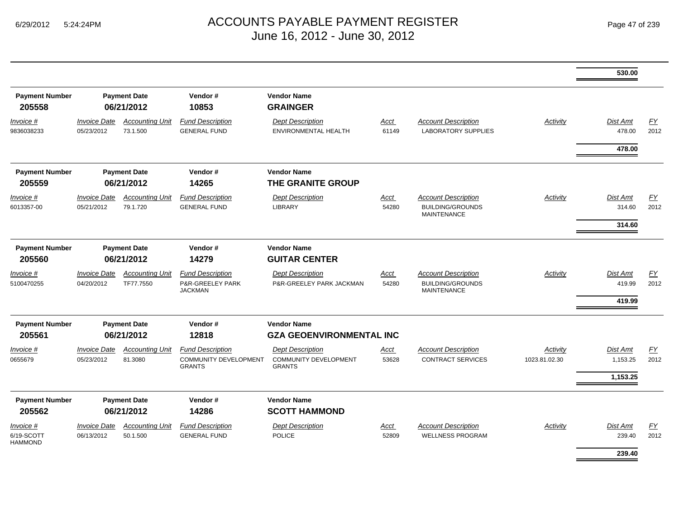|                                           |                                   |                                     |                                                                   |                                                                   |                      |                                                                             |                           | 530.00                              |            |
|-------------------------------------------|-----------------------------------|-------------------------------------|-------------------------------------------------------------------|-------------------------------------------------------------------|----------------------|-----------------------------------------------------------------------------|---------------------------|-------------------------------------|------------|
| <b>Payment Number</b><br>205558           |                                   | <b>Payment Date</b><br>06/21/2012   | Vendor#<br>10853                                                  | <b>Vendor Name</b><br><b>GRAINGER</b>                             |                      |                                                                             |                           |                                     |            |
| <i>Invoice</i> #<br>9836038233            | <b>Invoice Date</b><br>05/23/2012 | <b>Accounting Unit</b><br>73.1.500  | <b>Fund Description</b><br><b>GENERAL FUND</b>                    | <b>Dept Description</b><br><b>ENVIRONMENTAL HEALTH</b>            | Acct<br>61149        | <b>Account Description</b><br><b>LABORATORY SUPPLIES</b>                    | Activity                  | <b>Dist Amt</b><br>478.00           | EY<br>2012 |
|                                           |                                   |                                     |                                                                   |                                                                   |                      |                                                                             |                           | 478.00                              |            |
| <b>Payment Number</b><br>205559           |                                   | <b>Payment Date</b><br>06/21/2012   | Vendor#<br>14265                                                  | <b>Vendor Name</b><br>THE GRANITE GROUP                           |                      |                                                                             |                           |                                     |            |
| <i>Invoice</i> #<br>6013357-00            | <b>Invoice Date</b><br>05/21/2012 | <b>Accounting Unit</b><br>79.1.720  | <b>Fund Description</b><br><b>GENERAL FUND</b>                    | <b>Dept Description</b><br>LIBRARY                                | Acct<br>54280        | <b>Account Description</b><br><b>BUILDING/GROUNDS</b><br><b>MAINTENANCE</b> | <b>Activity</b>           | <b>Dist Amt</b><br>314.60<br>314.60 | EY<br>2012 |
| <b>Payment Number</b><br>205560           |                                   | <b>Payment Date</b><br>06/21/2012   | Vendor#<br>14279                                                  | <b>Vendor Name</b><br><b>GUITAR CENTER</b>                        |                      |                                                                             |                           |                                     |            |
| <i>Invoice</i> #<br>5100470255            | <b>Invoice Date</b><br>04/20/2012 | <b>Accounting Unit</b><br>TF77.7550 | <b>Fund Description</b><br>P&R-GREELEY PARK<br><b>JACKMAN</b>     | <b>Dept Description</b><br>P&R-GREELEY PARK JACKMAN               | <u>Acct</u><br>54280 | <b>Account Description</b><br><b>BUILDING/GROUNDS</b><br><b>MAINTENANCE</b> | Activity                  | <b>Dist Amt</b><br>419.99<br>419.99 | EY<br>2012 |
| <b>Payment Number</b><br>205561           |                                   | <b>Payment Date</b><br>06/21/2012   | Vendor#<br>12818                                                  | <b>Vendor Name</b><br><b>GZA GEOENVIRONMENTAL INC</b>             |                      |                                                                             |                           |                                     |            |
| Invoice #<br>0655679                      | <b>Invoice Date</b><br>05/23/2012 | <b>Accounting Unit</b><br>81.3080   | <b>Fund Description</b><br>COMMUNITY DEVELOPMENT<br><b>GRANTS</b> | <b>Dept Description</b><br>COMMUNITY DEVELOPMENT<br><b>GRANTS</b> | Acct<br>53628        | <b>Account Description</b><br><b>CONTRACT SERVICES</b>                      | Activity<br>1023.81.02.30 | <b>Dist Amt</b><br>1,153.25         | EY<br>2012 |
|                                           |                                   |                                     |                                                                   |                                                                   |                      |                                                                             |                           | 1,153.25                            |            |
| <b>Payment Number</b>                     |                                   | <b>Payment Date</b>                 | Vendor#                                                           | <b>Vendor Name</b>                                                |                      |                                                                             |                           |                                     |            |
| 205562                                    |                                   | 06/21/2012                          | 14286                                                             | <b>SCOTT HAMMOND</b>                                              |                      |                                                                             |                           |                                     |            |
| Invoice #<br>6/19-SCOTT<br><b>HAMMOND</b> | <b>Invoice Date</b><br>06/13/2012 | <b>Accounting Unit</b><br>50.1.500  | <b>Fund Description</b><br><b>GENERAL FUND</b>                    | <b>Dept Description</b><br><b>POLICE</b>                          | <u>Acct</u><br>52809 | <b>Account Description</b><br><b>WELLNESS PROGRAM</b>                       | <b>Activity</b>           | Dist Amt<br>239.40                  | EY<br>2012 |
|                                           |                                   |                                     |                                                                   |                                                                   |                      |                                                                             |                           | 239.40                              |            |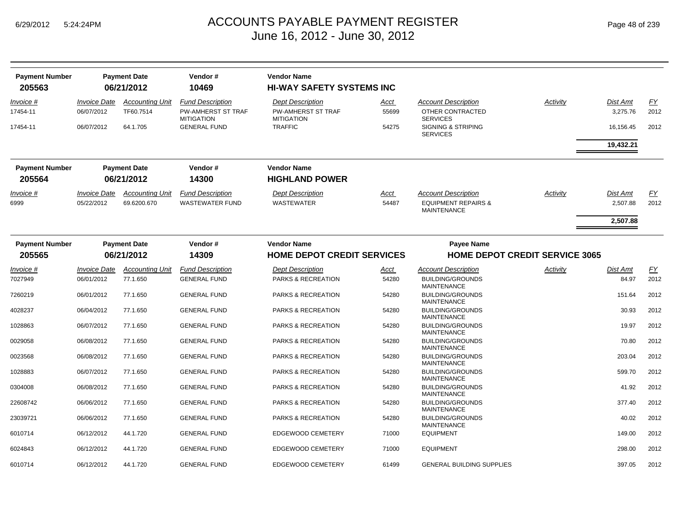| <b>Payment Number</b> |                            | <b>Payment Date</b>    | Vendor#                                        | <b>Vendor Name</b>                             |       |                                                      |          |                 |      |
|-----------------------|----------------------------|------------------------|------------------------------------------------|------------------------------------------------|-------|------------------------------------------------------|----------|-----------------|------|
| 205563                |                            | 06/21/2012             | 10469                                          | <b>HI-WAY SAFETY SYSTEMS INC</b>               |       |                                                      |          |                 |      |
| Invoice #             | <b>Invoice Date</b>        | <b>Accounting Unit</b> | <b>Fund Description</b>                        | <b>Dept Description</b>                        | Acct  | <b>Account Description</b>                           | Activity | <b>Dist Amt</b> | EY   |
| 17454-11              | 06/07/2012                 | TF60.7514              | <b>PW-AMHERST ST TRAF</b><br><b>MITIGATION</b> | <b>PW-AMHERST ST TRAF</b><br><b>MITIGATION</b> | 55699 | OTHER CONTRACTED<br><b>SERVICES</b>                  |          | 3,275.76        | 2012 |
| 17454-11              | 06/07/2012                 | 64.1.705               | <b>GENERAL FUND</b>                            | <b>TRAFFIC</b>                                 | 54275 | <b>SIGNING &amp; STRIPING</b><br><b>SERVICES</b>     |          | 16,156.45       | 2012 |
|                       |                            |                        |                                                |                                                |       |                                                      |          | 19,432.21       |      |
| <b>Payment Number</b> |                            | <b>Payment Date</b>    | Vendor#                                        | <b>Vendor Name</b>                             |       |                                                      |          |                 |      |
| 205564                |                            | 06/21/2012             | 14300                                          | <b>HIGHLAND POWER</b>                          |       |                                                      |          |                 |      |
| <i>Invoice</i> #      | <b>Invoice Date</b>        | <b>Accounting Unit</b> | <b>Fund Description</b>                        | <b>Dept Description</b>                        | Acct  | <b>Account Description</b>                           | Activity | <b>Dist Amt</b> | EY   |
| 6999                  | 05/22/2012                 | 69.6200.670            | <b>WASTEWATER FUND</b>                         | WASTEWATER                                     | 54487 | <b>EQUIPMENT REPAIRS &amp;</b><br><b>MAINTENANCE</b> |          | 2,507.88        | 2012 |
|                       |                            |                        |                                                |                                                |       |                                                      |          | 2,507.88        |      |
| <b>Payment Number</b> |                            | <b>Payment Date</b>    | Vendor#                                        | <b>Vendor Name</b>                             |       | <b>Payee Name</b>                                    |          |                 |      |
| 205565                |                            | 06/21/2012             | 14309                                          | <b>HOME DEPOT CREDIT SERVICES</b>              |       | <b>HOME DEPOT CREDIT SERVICE 3065</b>                |          |                 |      |
| <i>Invoice</i> #      | <i><b>Invoice Date</b></i> | <b>Accounting Unit</b> | <b>Fund Description</b>                        | <b>Dept Description</b>                        | Acct  | <b>Account Description</b>                           | Activity | <b>Dist Amt</b> | FY   |
| 7027949               | 06/01/2012                 | 77.1.650               | <b>GENERAL FUND</b>                            | PARKS & RECREATION                             | 54280 | <b>BUILDING/GROUNDS</b><br><b>MAINTENANCE</b>        |          | 84.97           | 2012 |
| 7260219               | 06/01/2012                 | 77.1.650               | <b>GENERAL FUND</b>                            | PARKS & RECREATION                             | 54280 | <b>BUILDING/GROUNDS</b><br><b>MAINTENANCE</b>        |          | 151.64          | 2012 |
| 4028237               | 06/04/2012                 | 77.1.650               | <b>GENERAL FUND</b>                            | PARKS & RECREATION                             | 54280 | <b>BUILDING/GROUNDS</b><br><b>MAINTENANCE</b>        |          | 30.93           | 2012 |
| 1028863               | 06/07/2012                 | 77.1.650               | <b>GENERAL FUND</b>                            | PARKS & RECREATION                             | 54280 | <b>BUILDING/GROUNDS</b><br><b>MAINTENANCE</b>        |          | 19.97           | 2012 |
| 0029058               | 06/08/2012                 | 77.1.650               | <b>GENERAL FUND</b>                            | PARKS & RECREATION                             | 54280 | <b>BUILDING/GROUNDS</b><br><b>MAINTENANCE</b>        |          | 70.80           | 2012 |
| 0023568               | 06/08/2012                 | 77.1.650               | <b>GENERAL FUND</b>                            | PARKS & RECREATION                             | 54280 | <b>BUILDING/GROUNDS</b><br><b>MAINTENANCE</b>        |          | 203.04          | 2012 |
| 1028883               | 06/07/2012                 | 77.1.650               | <b>GENERAL FUND</b>                            | PARKS & RECREATION                             | 54280 | <b>BUILDING/GROUNDS</b><br><b>MAINTENANCE</b>        |          | 599.70          | 2012 |
| 0304008               | 06/08/2012                 | 77.1.650               | <b>GENERAL FUND</b>                            | PARKS & RECREATION                             | 54280 | <b>BUILDING/GROUNDS</b><br><b>MAINTENANCE</b>        |          | 41.92           | 2012 |
| 22608742              | 06/06/2012                 | 77.1.650               | <b>GENERAL FUND</b>                            | PARKS & RECREATION                             | 54280 | <b>BUILDING/GROUNDS</b><br><b>MAINTENANCE</b>        |          | 377.40          | 2012 |
| 23039721              | 06/06/2012                 | 77.1.650               | <b>GENERAL FUND</b>                            | <b>PARKS &amp; RECREATION</b>                  | 54280 | <b>BUILDING/GROUNDS</b><br><b>MAINTENANCE</b>        |          | 40.02           | 2012 |
| 6010714               | 06/12/2012                 | 44.1.720               | <b>GENERAL FUND</b>                            | EDGEWOOD CEMETERY                              | 71000 | <b>EQUIPMENT</b>                                     |          | 149.00          | 2012 |
| 6024843               | 06/12/2012                 | 44.1.720               | <b>GENERAL FUND</b>                            | EDGEWOOD CEMETERY                              | 71000 | <b>EQUIPMENT</b>                                     |          | 298.00          | 2012 |
| 6010714               | 06/12/2012                 | 44.1.720               | <b>GENERAL FUND</b>                            | <b>EDGEWOOD CEMETERY</b>                       | 61499 | <b>GENERAL BUILDING SUPPLIES</b>                     |          | 397.05          | 2012 |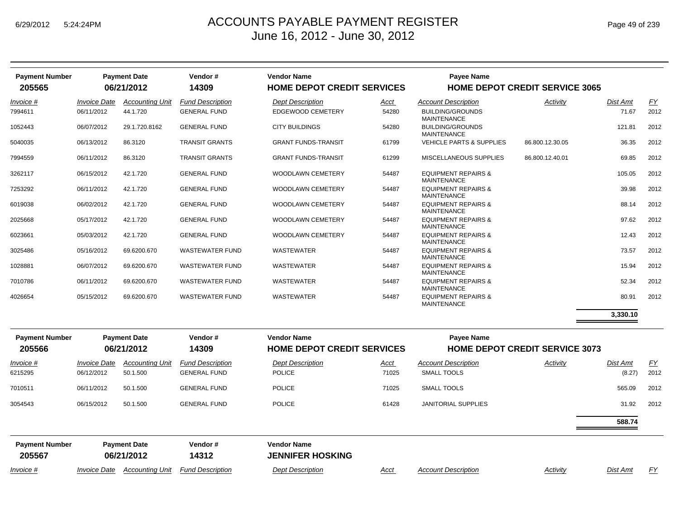| <b>Payment Number</b><br>205565 |                                   | <b>Payment Date</b><br>06/21/2012  | Vendor#<br>14309                               | <b>Vendor Name</b><br><b>HOME DEPOT CREDIT SERVICES</b> |               | Payee Name                                                          | <b>HOME DEPOT CREDIT SERVICE 3065</b> |                    |            |
|---------------------------------|-----------------------------------|------------------------------------|------------------------------------------------|---------------------------------------------------------|---------------|---------------------------------------------------------------------|---------------------------------------|--------------------|------------|
|                                 |                                   |                                    |                                                |                                                         |               |                                                                     |                                       |                    |            |
| Invoice #<br>7994611            | <b>Invoice Date</b><br>06/11/2012 | <b>Accounting Unit</b><br>44.1.720 | <b>Fund Description</b><br><b>GENERAL FUND</b> | Dept Description<br><b>EDGEWOOD CEMETERY</b>            | Acct<br>54280 | <b>Account Description</b><br><b>BUILDING/GROUNDS</b>               | Activity                              | Dist Amt<br>71.67  | EY<br>2012 |
| 1052443                         | 06/07/2012                        | 29.1.720.8162                      | <b>GENERAL FUND</b>                            | <b>CITY BUILDINGS</b>                                   | 54280         | <b>MAINTENANCE</b><br><b>BUILDING/GROUNDS</b><br><b>MAINTENANCE</b> |                                       | 121.81             | 2012       |
| 5040035                         | 06/13/2012                        | 86.3120                            | <b>TRANSIT GRANTS</b>                          | <b>GRANT FUNDS-TRANSIT</b>                              | 61799         | <b>VEHICLE PARTS &amp; SUPPLIES</b>                                 | 86.800.12.30.05                       | 36.35              | 2012       |
| 7994559                         | 06/11/2012                        | 86.3120                            | <b>TRANSIT GRANTS</b>                          | <b>GRANT FUNDS-TRANSIT</b>                              | 61299         | MISCELLANEOUS SUPPLIES                                              | 86.800.12.40.01                       | 69.85              | 2012       |
| 3262117                         | 06/15/2012                        | 42.1.720                           | <b>GENERAL FUND</b>                            | WOODLAWN CEMETERY                                       | 54487         | <b>EQUIPMENT REPAIRS &amp;</b><br><b>MAINTENANCE</b>                |                                       | 105.05             | 2012       |
| 7253292                         | 06/11/2012                        | 42.1.720                           | <b>GENERAL FUND</b>                            | WOODLAWN CEMETERY                                       | 54487         | <b>EQUIPMENT REPAIRS &amp;</b><br><b>MAINTENANCE</b>                |                                       | 39.98              | 2012       |
| 6019038                         | 06/02/2012                        | 42.1.720                           | <b>GENERAL FUND</b>                            | <b>WOODLAWN CEMETERY</b>                                | 54487         | <b>EQUIPMENT REPAIRS &amp;</b><br><b>MAINTENANCE</b>                |                                       | 88.14              | 2012       |
| 2025668                         | 05/17/2012                        | 42.1.720                           | <b>GENERAL FUND</b>                            | WOODLAWN CEMETERY                                       | 54487         | <b>EQUIPMENT REPAIRS &amp;</b><br><b>MAINTENANCE</b>                |                                       | 97.62              | 2012       |
| 6023661                         | 05/03/2012                        | 42.1.720                           | <b>GENERAL FUND</b>                            | <b>WOODLAWN CEMETERY</b>                                | 54487         | <b>EQUIPMENT REPAIRS &amp;</b><br><b>MAINTENANCE</b>                |                                       | 12.43              | 2012       |
| 3025486                         | 05/16/2012                        | 69.6200.670                        | <b>WASTEWATER FUND</b>                         | <b>WASTEWATER</b>                                       | 54487         | <b>EQUIPMENT REPAIRS &amp;</b><br><b>MAINTENANCE</b>                |                                       | 73.57              | 2012       |
| 1028881                         | 06/07/2012                        | 69.6200.670                        | <b>WASTEWATER FUND</b>                         | WASTEWATER                                              | 54487         | <b>EQUIPMENT REPAIRS &amp;</b><br><b>MAINTENANCE</b>                |                                       | 15.94              | 2012       |
| 7010786                         | 06/11/2012                        | 69.6200.670                        | <b>WASTEWATER FUND</b>                         | WASTEWATER                                              | 54487         | <b>EQUIPMENT REPAIRS &amp;</b><br><b>MAINTENANCE</b>                |                                       | 52.34              | 2012       |
| 4026654                         | 05/15/2012                        | 69.6200.670                        | <b>WASTEWATER FUND</b>                         | WASTEWATER                                              | 54487         | <b>EQUIPMENT REPAIRS &amp;</b><br><b>MAINTENANCE</b>                |                                       | 80.91              | 2012       |
|                                 |                                   |                                    |                                                |                                                         |               |                                                                     |                                       | 3,330.10           |            |
| <b>Payment Number</b><br>205566 |                                   | <b>Payment Date</b><br>06/21/2012  | Vendor#<br>14309                               | <b>Vendor Name</b><br><b>HOME DEPOT CREDIT SERVICES</b> |               | <b>Payee Name</b>                                                   | <b>HOME DEPOT CREDIT SERVICE 3073</b> |                    |            |
|                                 |                                   |                                    |                                                |                                                         |               |                                                                     |                                       |                    |            |
| Invoice #<br>6215295            | <b>Invoice Date</b><br>06/12/2012 | <b>Accounting Unit</b><br>50.1.500 | <b>Fund Description</b><br><b>GENERAL FUND</b> | <b>Dept Description</b><br><b>POLICE</b>                | Acct<br>71025 | <b>Account Description</b><br>SMALL TOOLS                           | Activity                              | Dist Amt<br>(8.27) | EY<br>2012 |
| 7010511                         | 06/11/2012                        | 50.1.500                           | <b>GENERAL FUND</b>                            | <b>POLICE</b>                                           | 71025         | <b>SMALL TOOLS</b>                                                  |                                       | 565.09             | 2012       |
| 3054543                         | 06/15/2012                        | 50.1.500                           | <b>GENERAL FUND</b>                            | <b>POLICE</b>                                           | 61428         | <b>JANITORIAL SUPPLIES</b>                                          |                                       | 31.92              | 2012       |
|                                 |                                   |                                    |                                                |                                                         |               |                                                                     |                                       | 588.74             |            |
| <b>Payment Number</b>           |                                   | <b>Payment Date</b>                | Vendor#                                        | <b>Vendor Name</b>                                      |               |                                                                     |                                       |                    |            |
| 205567                          |                                   | 06/21/2012                         | 14312                                          | <b>JENNIFER HOSKING</b>                                 |               |                                                                     |                                       |                    |            |

*Invoice #Invoice Date Accounting Unit Fund Description Dept Description Acct Account Description Activity Dist Amt FY*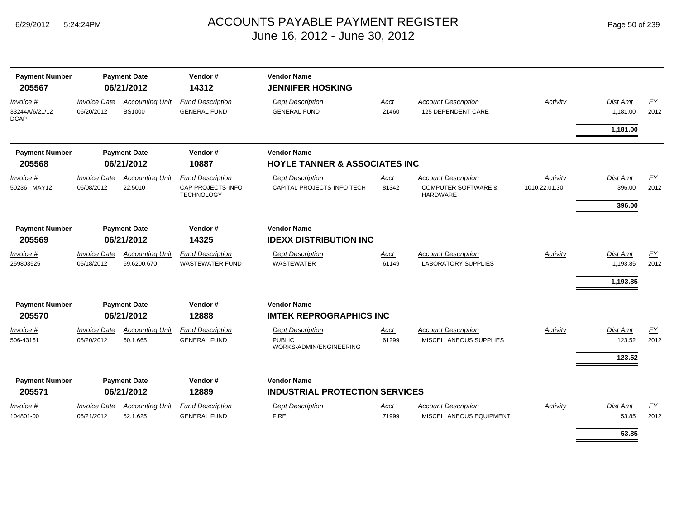| <b>Payment Number</b><br>205567            | <b>Payment Date</b><br>06/21/2012 |                                         | Vendor#<br>14312                                                  |                                                                     |                      |                                                                                 |                           |                                     |                          |
|--------------------------------------------|-----------------------------------|-----------------------------------------|-------------------------------------------------------------------|---------------------------------------------------------------------|----------------------|---------------------------------------------------------------------------------|---------------------------|-------------------------------------|--------------------------|
| Invoice #<br>33244A/6/21/12<br><b>DCAP</b> | <b>Invoice Date</b><br>06/20/2012 | <b>Accounting Unit</b><br><b>BS1000</b> | <b>Fund Description</b><br><b>GENERAL FUND</b>                    | <b>Dept Description</b><br><b>GENERAL FUND</b>                      | <b>Acct</b><br>21460 | <b>Account Description</b><br><b>125 DEPENDENT CARE</b>                         | <b>Activity</b>           | Dist Amt<br>1,181.00                | $\underline{FY}$<br>2012 |
|                                            |                                   |                                         |                                                                   |                                                                     |                      |                                                                                 |                           | 1,181.00                            |                          |
| <b>Payment Number</b>                      |                                   | <b>Payment Date</b>                     | Vendor#                                                           | <b>Vendor Name</b>                                                  |                      |                                                                                 |                           |                                     |                          |
| 205568                                     |                                   | 06/21/2012                              | 10887                                                             | <b>HOYLE TANNER &amp; ASSOCIATES INC</b>                            |                      |                                                                                 |                           |                                     |                          |
| Invoice #<br>50236 - MAY12                 | <b>Invoice Date</b><br>06/08/2012 | <b>Accounting Unit</b><br>22.5010       | <b>Fund Description</b><br>CAP PROJECTS-INFO<br><b>TECHNOLOGY</b> | <b>Dept Description</b><br>CAPITAL PROJECTS-INFO TECH               | Acct<br>81342        | <b>Account Description</b><br><b>COMPUTER SOFTWARE &amp;</b><br><b>HARDWARE</b> | Activity<br>1010.22.01.30 | Dist Amt<br>396.00<br>396.00        | EY<br>2012               |
| <b>Payment Number</b><br>205569            |                                   | <b>Payment Date</b><br>06/21/2012       | Vendor#<br>14325                                                  | <b>Vendor Name</b><br><b>IDEXX DISTRIBUTION INC</b>                 |                      |                                                                                 |                           |                                     |                          |
| $Invoice$ #<br>259803525                   | <b>Invoice Date</b><br>05/18/2012 | <b>Accounting Unit</b><br>69.6200.670   | <b>Fund Description</b><br><b>WASTEWATER FUND</b>                 | <b>Dept Description</b><br><b>WASTEWATER</b>                        | <b>Acct</b><br>61149 | <b>Account Description</b><br><b>LABORATORY SUPPLIES</b>                        | <b>Activity</b>           | Dist Amt<br>1,193.85<br>1,193.85    | $\underline{FY}$<br>2012 |
| <b>Payment Number</b><br>205570            |                                   | <b>Payment Date</b><br>06/21/2012       | Vendor#<br>12888                                                  | <b>Vendor Name</b><br><b>IMTEK REPROGRAPHICS INC</b>                |                      |                                                                                 |                           |                                     |                          |
| Invoice #<br>506-43161                     | <b>Invoice Date</b><br>05/20/2012 | <b>Accounting Unit</b><br>60.1.665      | <b>Fund Description</b><br><b>GENERAL FUND</b>                    | <b>Dept Description</b><br><b>PUBLIC</b><br>WORKS-ADMIN/ENGINEERING | Acct<br>61299        | <b>Account Description</b><br>MISCELLANEOUS SUPPLIES                            | Activity                  | <b>Dist Amt</b><br>123.52<br>123.52 | EY<br>2012               |
| <b>Payment Number</b><br>205571            |                                   | <b>Payment Date</b><br>06/21/2012       | Vendor#<br>12889                                                  | <b>Vendor Name</b><br><b>INDUSTRIAL PROTECTION SERVICES</b>         |                      |                                                                                 |                           |                                     |                          |
| <i>Invoice</i> #<br>104801-00              | <b>Invoice Date</b><br>05/21/2012 | <b>Accounting Unit</b><br>52.1.625      | <b>Fund Description</b><br><b>GENERAL FUND</b>                    | <b>Dept Description</b><br><b>FIRE</b>                              | Acct<br>71999        | <b>Account Description</b><br>MISCELLANEOUS EQUIPMENT                           | Activity                  | Dist Amt<br>53.85                   | EY<br>2012               |
|                                            |                                   |                                         |                                                                   |                                                                     |                      |                                                                                 |                           | 53.85                               |                          |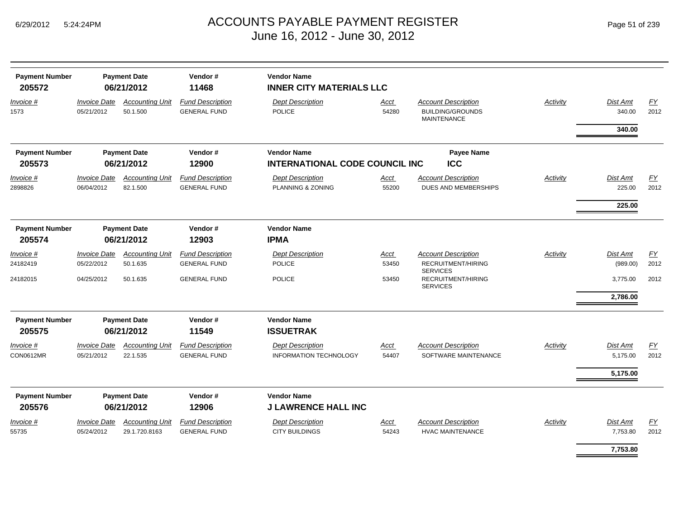| <b>Payment Number</b><br>205572 |                                   | <b>Payment Date</b><br>06/21/2012  | Vendor#<br>11468                               | <b>Vendor Name</b><br><b>INNER CITY MATERIALS LLC</b> |                      |                                                                             |                 |                    |                   |
|---------------------------------|-----------------------------------|------------------------------------|------------------------------------------------|-------------------------------------------------------|----------------------|-----------------------------------------------------------------------------|-----------------|--------------------|-------------------|
| Invoice #<br>1573               | <b>Invoice Date</b><br>05/21/2012 | <b>Accounting Unit</b><br>50.1.500 | <b>Fund Description</b><br><b>GENERAL FUND</b> | <b>Dept Description</b><br><b>POLICE</b>              | Acct<br>54280        | <b>Account Description</b><br><b>BUILDING/GROUNDS</b><br><b>MAINTENANCE</b> | Activity        | Dist Amt<br>340.00 | <u>FY</u><br>2012 |
|                                 |                                   |                                    |                                                |                                                       |                      |                                                                             |                 | 340.00             |                   |
| <b>Payment Number</b>           |                                   | <b>Payment Date</b>                | Vendor#                                        | <b>Vendor Name</b>                                    |                      | <b>Payee Name</b>                                                           |                 |                    |                   |
| 205573                          |                                   | 06/21/2012                         | 12900                                          | <b>INTERNATIONAL CODE COUNCIL INC</b>                 |                      | <b>ICC</b>                                                                  |                 |                    |                   |
| <u>Invoice #</u><br>2898826     | <b>Invoice Date</b><br>06/04/2012 | <b>Accounting Unit</b><br>82.1.500 | <b>Fund Description</b><br><b>GENERAL FUND</b> | <b>Dept Description</b><br>PLANNING & ZONING          | <u>Acct</u><br>55200 | <b>Account Description</b><br>DUES AND MEMBERSHIPS                          | <b>Activity</b> | Dist Amt<br>225.00 | EY<br>2012        |
|                                 |                                   |                                    |                                                |                                                       |                      |                                                                             |                 | 225.00             |                   |
| <b>Payment Number</b>           |                                   | <b>Payment Date</b>                | Vendor#                                        | <b>Vendor Name</b>                                    |                      |                                                                             |                 |                    |                   |
| 205574                          |                                   | 06/21/2012                         | 12903                                          | <b>IPMA</b>                                           |                      |                                                                             |                 |                    |                   |
| Invoice #                       | <b>Invoice Date</b>               | <b>Accounting Unit</b>             | <b>Fund Description</b>                        | <b>Dept Description</b>                               | Acct                 | <b>Account Description</b>                                                  | Activity        | Dist Amt           | $\underline{FY}$  |
| 24182419                        | 05/22/2012                        | 50.1.635                           | <b>GENERAL FUND</b>                            | <b>POLICE</b>                                         | 53450                | RECRUITMENT/HIRING<br><b>SERVICES</b>                                       |                 | (989.00)           | 2012              |
| 24182015                        | 04/25/2012                        | 50.1.635                           | <b>GENERAL FUND</b>                            | <b>POLICE</b>                                         | 53450                | RECRUITMENT/HIRING<br><b>SERVICES</b>                                       |                 | 3,775.00           | 2012              |
|                                 |                                   |                                    |                                                |                                                       |                      |                                                                             |                 | 2,786.00           |                   |
| <b>Payment Number</b>           |                                   | <b>Payment Date</b>                | Vendor#                                        | <b>Vendor Name</b>                                    |                      |                                                                             |                 |                    |                   |
| 205575                          |                                   | 06/21/2012                         | 11549                                          | <b>ISSUETRAK</b>                                      |                      |                                                                             |                 |                    |                   |
| Invoice #                       | <b>Invoice Date</b>               | <b>Accounting Unit</b>             | <b>Fund Description</b>                        | <b>Dept Description</b>                               | <b>Acct</b>          | <b>Account Description</b>                                                  | Activity        | Dist Amt           | EY                |
| CON0612MR                       | 05/21/2012                        | 22.1.535                           | <b>GENERAL FUND</b>                            | INFORMATION TECHNOLOGY                                | 54407                | SOFTWARE MAINTENANCE                                                        |                 | 5,175.00           | 2012              |
|                                 |                                   |                                    |                                                |                                                       |                      |                                                                             |                 | 5,175.00           |                   |
| <b>Payment Number</b><br>205576 |                                   | <b>Payment Date</b><br>06/21/2012  | Vendor#<br>12906                               | <b>Vendor Name</b><br><b>J LAWRENCE HALL INC</b>      |                      |                                                                             |                 |                    |                   |
| Invoice #                       | <b>Invoice Date</b>               | <b>Accounting Unit</b>             | <b>Fund Description</b>                        | <b>Dept Description</b>                               | Acct                 | <b>Account Description</b>                                                  | Activity        | Dist Amt           | EY                |
| 55735                           | 05/24/2012                        | 29.1.720.8163                      | <b>GENERAL FUND</b>                            | <b>CITY BUILDINGS</b>                                 | 54243                | <b>HVAC MAINTENANCE</b>                                                     |                 | 7,753.80           | 2012              |
|                                 |                                   |                                    |                                                |                                                       |                      |                                                                             |                 | 7,753.80           |                   |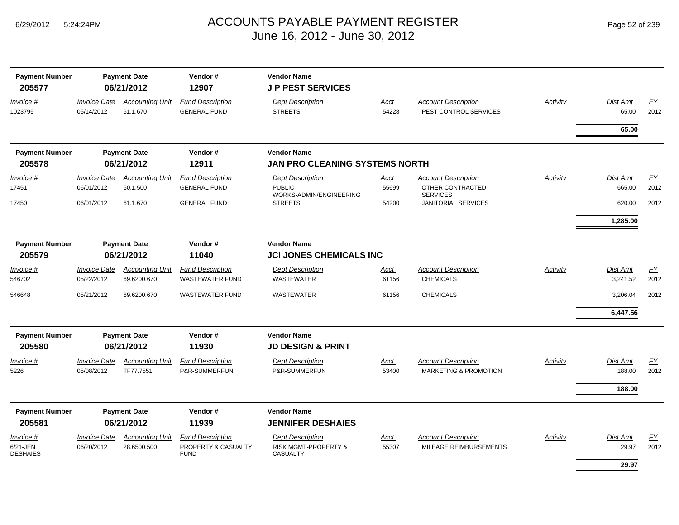| <b>Payment Number</b><br>205577 |                                   | <b>Payment Date</b><br>06/21/2012     | Vendor#<br>12907                                  | <b>Vendor Name</b><br><b>JP PEST SERVICES</b> |               |                                                     |          |                      |            |
|---------------------------------|-----------------------------------|---------------------------------------|---------------------------------------------------|-----------------------------------------------|---------------|-----------------------------------------------------|----------|----------------------|------------|
| Invoice #<br>1023795            | <b>Invoice Date</b><br>05/14/2012 | <b>Accounting Unit</b><br>61.1.670    | <b>Fund Description</b><br><b>GENERAL FUND</b>    | <b>Dept Description</b><br><b>STREETS</b>     | Acct<br>54228 | <b>Account Description</b><br>PEST CONTROL SERVICES | Activity | Dist Amt<br>65.00    | EY<br>2012 |
|                                 |                                   |                                       |                                                   |                                               |               |                                                     |          | 65.00                |            |
| <b>Payment Number</b>           |                                   | <b>Payment Date</b>                   | Vendor#                                           | <b>Vendor Name</b>                            |               |                                                     |          |                      |            |
| 205578                          |                                   | 06/21/2012                            | 12911                                             | JAN PRO CLEANING SYSTEMS NORTH                |               |                                                     |          |                      |            |
| Invoice #                       | <b>Invoice Date</b>               | <b>Accounting Unit</b>                | <b>Fund Description</b>                           | <b>Dept Description</b>                       | Acct          | <b>Account Description</b>                          | Activity | Dist Amt             | EY         |
| 17451                           | 06/01/2012                        | 60.1.500                              | <b>GENERAL FUND</b>                               | <b>PUBLIC</b><br>WORKS-ADMIN/ENGINEERING      | 55699         | OTHER CONTRACTED<br><b>SERVICES</b>                 |          | 665.00               | 2012       |
| 17450                           | 06/01/2012                        | 61.1.670                              | <b>GENERAL FUND</b>                               | <b>STREETS</b>                                | 54200         | <b>JANITORIAL SERVICES</b>                          |          | 620.00               | 2012       |
|                                 |                                   |                                       |                                                   |                                               |               |                                                     |          | 1,285.00             |            |
| <b>Payment Number</b>           |                                   | <b>Payment Date</b>                   | Vendor#                                           | <b>Vendor Name</b>                            |               |                                                     |          |                      |            |
| 205579                          |                                   | 06/21/2012                            | 11040                                             | <b>JCI JONES CHEMICALS INC</b>                |               |                                                     |          |                      |            |
| Invoice #<br>546702             | <b>Invoice Date</b><br>05/22/2012 | <b>Accounting Unit</b><br>69.6200.670 | <b>Fund Description</b><br><b>WASTEWATER FUND</b> | <b>Dept Description</b><br>WASTEWATER         | Acct<br>61156 | <b>Account Description</b><br><b>CHEMICALS</b>      | Activity | Dist Amt<br>3,241.52 | EY<br>2012 |
| 546648                          | 05/21/2012                        | 69.6200.670                           | <b>WASTEWATER FUND</b>                            | WASTEWATER                                    | 61156         | <b>CHEMICALS</b>                                    |          | 3,206.04             | 2012       |
|                                 |                                   |                                       |                                                   |                                               |               |                                                     |          | 6,447.56             |            |
| <b>Payment Number</b>           |                                   | <b>Payment Date</b>                   | Vendor#                                           | <b>Vendor Name</b>                            |               |                                                     |          |                      |            |
| 205580                          |                                   | 06/21/2012                            | 11930                                             | <b>JD DESIGN &amp; PRINT</b>                  |               |                                                     |          |                      |            |
| Invoice #                       | <b>Invoice Date</b>               | <b>Accounting Unit</b>                | <b>Fund Description</b>                           | <b>Dept Description</b>                       | <u>Acct</u>   | <b>Account Description</b>                          | Activity | Dist Amt             | EY         |
| 5226                            | 05/08/2012                        | TF77.7551                             | P&R-SUMMERFUN                                     | P&R-SUMMERFUN                                 | 53400         | <b>MARKETING &amp; PROMOTION</b>                    |          | 188.00               | 2012       |
|                                 |                                   |                                       |                                                   |                                               |               |                                                     |          | 188.00               |            |
| <b>Payment Number</b>           |                                   | <b>Payment Date</b>                   | Vendor#                                           | <b>Vendor Name</b>                            |               |                                                     |          |                      |            |
| 205581                          |                                   | 06/21/2012                            | 11939                                             | <b>JENNIFER DESHAIES</b>                      |               |                                                     |          |                      |            |
| Invoice #                       | <b>Invoice Date</b>               | <b>Accounting Unit</b>                | <b>Fund Description</b>                           | <b>Dept Description</b>                       | Acct          | <b>Account Description</b>                          | Activity | Dist Amt             | EY         |
| 6/21-JEN<br><b>DESHAIES</b>     | 06/20/2012                        | 28.6500.500                           | PROPERTY & CASUALTY<br><b>FUND</b>                | RISK MGMT-PROPERTY &<br><b>CASUALTY</b>       | 55307         | MILEAGE REIMBURSEMENTS                              |          | 29.97                | 2012       |
|                                 |                                   |                                       |                                                   |                                               |               |                                                     |          | 29.97                |            |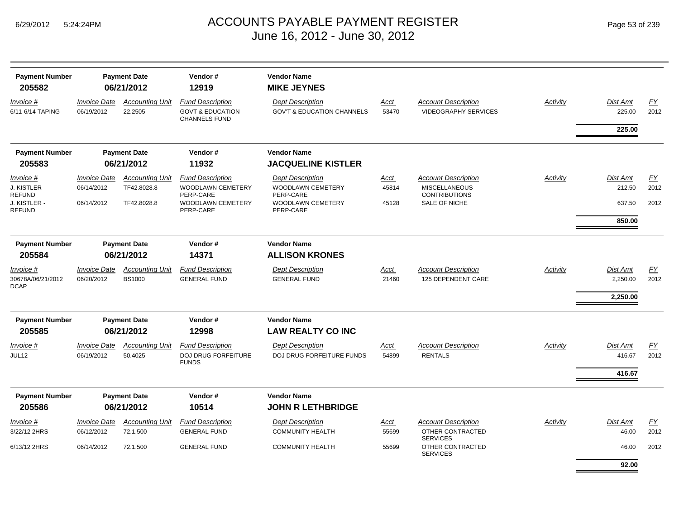| <b>Payment Number</b><br>205582 |                                   | <b>Payment Date</b><br>06/21/2012 | Vendor#<br>12919                                                               | <b>Vendor Name</b><br><b>MIKE JEYNES</b>                         |                      |                                                           |          |                           |                   |
|---------------------------------|-----------------------------------|-----------------------------------|--------------------------------------------------------------------------------|------------------------------------------------------------------|----------------------|-----------------------------------------------------------|----------|---------------------------|-------------------|
| Invoice #<br>6/11-6/14 TAPING   | <b>Invoice Date</b><br>06/19/2012 | <b>Accounting Unit</b><br>22.2505 | <b>Fund Description</b><br><b>GOVT &amp; EDUCATION</b><br><b>CHANNELS FUND</b> | <b>Dept Description</b><br><b>GOV'T &amp; EDUCATION CHANNELS</b> | <u>Acct</u><br>53470 | <b>Account Description</b><br><b>VIDEOGRAPHY SERVICES</b> | Activity | <b>Dist Amt</b><br>225.00 | <u>FY</u><br>2012 |
|                                 |                                   |                                   |                                                                                |                                                                  |                      |                                                           |          | 225.00                    |                   |
| <b>Payment Number</b>           |                                   | <b>Payment Date</b>               | Vendor#                                                                        | <b>Vendor Name</b>                                               |                      |                                                           |          |                           |                   |
| 205583                          |                                   | 06/21/2012                        | 11932                                                                          | <b>JACQUELINE KISTLER</b>                                        |                      |                                                           |          |                           |                   |
| Invoice #                       | <b>Invoice Date</b>               | <b>Accounting Unit</b>            | <b>Fund Description</b>                                                        | <b>Dept Description</b>                                          | <u>Acct</u>          | <b>Account Description</b>                                | Activity | <b>Dist Amt</b>           | <u>FY</u>         |
| J. KISTLER -<br>REFUND          | 06/14/2012                        | TF42.8028.8                       | WOODLAWN CEMETERY<br>PERP-CARE                                                 | WOODLAWN CEMETERY<br>PERP-CARE                                   | 45814                | <b>MISCELLANEOUS</b><br><b>CONTRIBUTIONS</b>              |          | 212.50                    | 2012              |
| J. KISTLER -<br>REFUND          | 06/14/2012                        | TF42.8028.8                       | WOODLAWN CEMETERY<br>PERP-CARE                                                 | WOODLAWN CEMETERY<br>PERP-CARE                                   | 45128                | SALE OF NICHE                                             |          | 637.50                    | 2012              |
|                                 |                                   |                                   |                                                                                |                                                                  |                      |                                                           |          | 850.00                    |                   |
| <b>Payment Number</b>           |                                   | <b>Payment Date</b>               | Vendor#                                                                        | <b>Vendor Name</b>                                               |                      |                                                           |          |                           |                   |
| 205584                          |                                   | 06/21/2012                        | 14371                                                                          | <b>ALLISON KRONES</b>                                            |                      |                                                           |          |                           |                   |
| Invoice #                       | <b>Invoice Date</b>               | <b>Accounting Unit</b>            | <b>Fund Description</b>                                                        | <b>Dept Description</b>                                          | Acct                 | <b>Account Description</b>                                | Activity | <b>Dist Amt</b>           | EY                |
| 30678A/06/21/2012<br>DCAP       | 06/20/2012                        | <b>BS1000</b>                     | <b>GENERAL FUND</b>                                                            | <b>GENERAL FUND</b>                                              | 21460                | 125 DEPENDENT CARE                                        |          | 2,250.00                  | 2012              |
|                                 |                                   |                                   |                                                                                |                                                                  |                      |                                                           |          | 2,250.00                  |                   |
| <b>Payment Number</b>           |                                   | <b>Payment Date</b>               | Vendor#                                                                        | <b>Vendor Name</b>                                               |                      |                                                           |          |                           |                   |
| 205585                          |                                   | 06/21/2012                        | 12998                                                                          | <b>LAW REALTY CO INC</b>                                         |                      |                                                           |          |                           |                   |
| Invoice #                       | <b>Invoice Date</b>               | <b>Accounting Unit</b>            | <b>Fund Description</b>                                                        | <b>Dept Description</b>                                          | Acct                 | <b>Account Description</b>                                | Activity | <b>Dist Amt</b>           | EY                |
| JUL12                           | 06/19/2012                        | 50.4025                           | <b>DOJ DRUG FORFEITURE</b><br><b>FUNDS</b>                                     | DOJ DRUG FORFEITURE FUNDS                                        | 54899                | <b>RENTALS</b>                                            |          | 416.67                    | 2012              |
|                                 |                                   |                                   |                                                                                |                                                                  |                      |                                                           |          | 416.67                    |                   |
| <b>Payment Number</b>           |                                   | <b>Payment Date</b>               | Vendor#                                                                        | <b>Vendor Name</b>                                               |                      |                                                           |          |                           |                   |
| 205586                          |                                   | 06/21/2012                        | 10514                                                                          | <b>JOHN R LETHBRIDGE</b>                                         |                      |                                                           |          |                           |                   |
| Invoice #                       | <b>Invoice Date</b>               | <b>Accounting Unit</b>            | <b>Fund Description</b>                                                        | <b>Dept Description</b>                                          | <u>Acct</u>          | <b>Account Description</b>                                | Activity | <b>Dist Amt</b>           | EY                |
| 3/22/12 2HRS                    | 06/12/2012                        | 72.1.500                          | <b>GENERAL FUND</b>                                                            | <b>COMMUNITY HEALTH</b>                                          | 55699                | OTHER CONTRACTED<br><b>SERVICES</b>                       |          | 46.00                     | 2012              |
| 6/13/12 2HRS                    | 06/14/2012                        | 72.1.500                          | <b>GENERAL FUND</b>                                                            | <b>COMMUNITY HEALTH</b>                                          | 55699                | OTHER CONTRACTED<br><b>SERVICES</b>                       |          | 46.00                     | 2012              |
|                                 |                                   |                                   |                                                                                |                                                                  |                      |                                                           |          | 92.00                     |                   |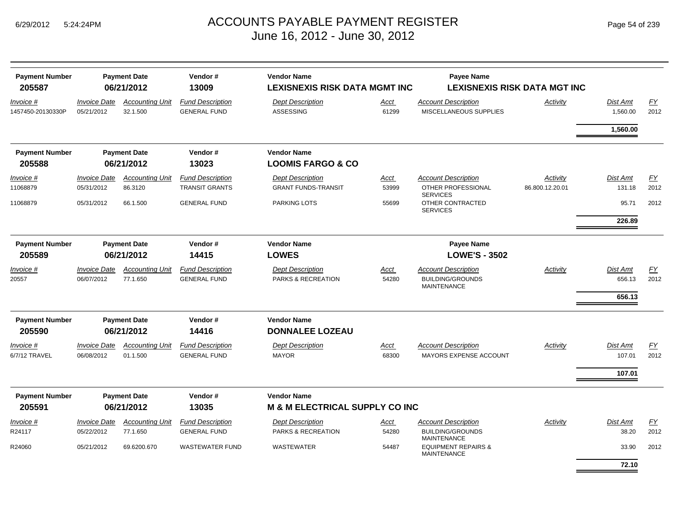| <b>Payment Number</b><br>205587 |                                   | <b>Payment Date</b><br>06/21/2012  | Vendor#<br>13009                               | <b>Vendor Name</b><br><b>LEXISNEXIS RISK DATA MGMT INC</b> |               | <b>Payee Name</b>                                    | <b>LEXISNEXIS RISK DATA MGT INC</b> |                      |            |
|---------------------------------|-----------------------------------|------------------------------------|------------------------------------------------|------------------------------------------------------------|---------------|------------------------------------------------------|-------------------------------------|----------------------|------------|
| Invoice #<br>1457450-20130330P  | <b>Invoice Date</b><br>05/21/2012 | <b>Accounting Unit</b><br>32.1.500 | <b>Fund Description</b><br><b>GENERAL FUND</b> | <b>Dept Description</b><br><b>ASSESSING</b>                | Acct<br>61299 | <b>Account Description</b><br>MISCELLANEOUS SUPPLIES | Activity                            | Dist Amt<br>1,560.00 | EY<br>2012 |
|                                 |                                   |                                    |                                                |                                                            |               |                                                      |                                     | 1,560.00             |            |
| <b>Payment Number</b><br>205588 |                                   | <b>Payment Date</b><br>06/21/2012  | Vendor#<br>13023                               | <b>Vendor Name</b><br><b>LOOMIS FARGO &amp; CO</b>         |               |                                                      |                                     |                      |            |
| Invoice #                       | <b>Invoice Date</b>               | <b>Accounting Unit</b>             | <b>Fund Description</b>                        | <b>Dept Description</b>                                    | Acct          | <b>Account Description</b>                           | Activity                            | Dist Amt             | <u>FY</u>  |
| 11068879                        | 05/31/2012                        | 86.3120                            | <b>TRANSIT GRANTS</b>                          | <b>GRANT FUNDS-TRANSIT</b>                                 | 53999         | OTHER PROFESSIONAL<br><b>SERVICES</b>                | 86.800.12.20.01                     | 131.18               | 2012       |
| 11068879                        | 05/31/2012                        | 66.1.500                           | <b>GENERAL FUND</b>                            | <b>PARKING LOTS</b>                                        | 55699         | OTHER CONTRACTED<br><b>SERVICES</b>                  |                                     | 95.71                | 2012       |
|                                 |                                   |                                    |                                                |                                                            |               |                                                      |                                     | 226.89               |            |
| <b>Payment Number</b>           |                                   | <b>Payment Date</b>                | Vendor#                                        | <b>Vendor Name</b>                                         |               | <b>Payee Name</b>                                    |                                     |                      |            |
| 205589                          |                                   | 06/21/2012                         | 14415                                          | <b>LOWES</b>                                               |               | <b>LOWE'S - 3502</b>                                 |                                     |                      |            |
| Invoice #                       | <b>Invoice Date</b>               | <b>Accounting Unit</b>             | <b>Fund Description</b>                        | <b>Dept Description</b>                                    | Acct          | <b>Account Description</b>                           | Activity                            | Dist Amt             | <u>FY</u>  |
| 20557                           | 06/07/2012                        | 77.1.650                           | <b>GENERAL FUND</b>                            | PARKS & RECREATION                                         | 54280         | <b>BUILDING/GROUNDS</b><br><b>MAINTENANCE</b>        |                                     | 656.13               | 2012       |
|                                 |                                   |                                    |                                                |                                                            |               |                                                      |                                     | 656.13               |            |
| <b>Payment Number</b>           |                                   | <b>Payment Date</b>                | Vendor#                                        | <b>Vendor Name</b>                                         |               |                                                      |                                     |                      |            |
| 205590                          |                                   | 06/21/2012                         | 14416                                          | <b>DONNALEE LOZEAU</b>                                     |               |                                                      |                                     |                      |            |
| Invoice #                       | <b>Invoice Date</b>               | <b>Accounting Unit</b>             | <b>Fund Description</b>                        | <b>Dept Description</b>                                    | <u>Acct</u>   | <b>Account Description</b>                           | Activity                            | Dist Amt             | EY         |
| 6/7/12 TRAVEL                   | 06/08/2012                        | 01.1.500                           | <b>GENERAL FUND</b>                            | <b>MAYOR</b>                                               | 68300         | MAYORS EXPENSE ACCOUNT                               |                                     | 107.01               | 2012       |
|                                 |                                   |                                    |                                                |                                                            |               |                                                      |                                     | 107.01               |            |
| <b>Payment Number</b>           |                                   | <b>Payment Date</b>                | Vendor#                                        | <b>Vendor Name</b>                                         |               |                                                      |                                     |                      |            |
| 205591                          |                                   | 06/21/2012                         | 13035                                          | <b>M &amp; M ELECTRICAL SUPPLY CO INC</b>                  |               |                                                      |                                     |                      |            |
| Invoice #                       | <b>Invoice Date</b>               | <b>Accounting Unit</b>             | <b>Fund Description</b>                        | <b>Dept Description</b>                                    | Acct          | <b>Account Description</b>                           | Activity                            | Dist Amt             | <b>FY</b>  |
| R24117                          | 05/22/2012                        | 77.1.650                           | <b>GENERAL FUND</b>                            | PARKS & RECREATION                                         | 54280         | <b>BUILDING/GROUNDS</b><br><b>MAINTENANCE</b>        |                                     | 38.20                | 2012       |
| R24060                          | 05/21/2012                        | 69.6200.670                        | <b>WASTEWATER FUND</b>                         | <b>WASTEWATER</b>                                          | 54487         | <b>EQUIPMENT REPAIRS &amp;</b><br><b>MAINTENANCE</b> |                                     | 33.90                | 2012       |
|                                 |                                   |                                    |                                                |                                                            |               |                                                      |                                     | 72.10                |            |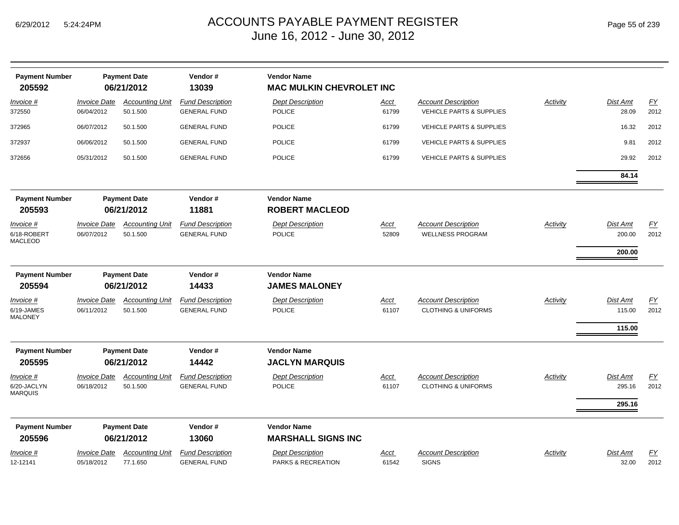| <b>Payment Number</b><br>205592            |                                   | <b>Payment Date</b><br>06/21/2012  | Vendor#<br>13039                               | <b>Vendor Name</b><br><b>MAC MULKIN CHEVROLET INC</b> |               |                                                                   |                 |                           |                          |
|--------------------------------------------|-----------------------------------|------------------------------------|------------------------------------------------|-------------------------------------------------------|---------------|-------------------------------------------------------------------|-----------------|---------------------------|--------------------------|
| Invoice #<br>372550                        | <b>Invoice Date</b><br>06/04/2012 | <b>Accounting Unit</b><br>50.1.500 | <b>Fund Description</b><br><b>GENERAL FUND</b> | <b>Dept Description</b><br><b>POLICE</b>              | Acct<br>61799 | <b>Account Description</b><br><b>VEHICLE PARTS &amp; SUPPLIES</b> | <b>Activity</b> | Dist Amt<br>28.09         | EY<br>2012               |
| 372965                                     | 06/07/2012                        | 50.1.500                           | <b>GENERAL FUND</b>                            | POLICE                                                | 61799         | <b>VEHICLE PARTS &amp; SUPPLIES</b>                               |                 | 16.32                     | 2012                     |
| 372937                                     | 06/06/2012                        | 50.1.500                           | <b>GENERAL FUND</b>                            | <b>POLICE</b>                                         | 61799         | <b>VEHICLE PARTS &amp; SUPPLIES</b>                               |                 | 9.81                      | 2012                     |
| 372656                                     | 05/31/2012                        | 50.1.500                           | <b>GENERAL FUND</b>                            | POLICE                                                | 61799         | <b>VEHICLE PARTS &amp; SUPPLIES</b>                               |                 | 29.92                     | 2012                     |
|                                            |                                   |                                    |                                                |                                                       |               |                                                                   |                 | 84.14                     |                          |
| <b>Payment Number</b><br>205593            |                                   | <b>Payment Date</b><br>06/21/2012  | Vendor#<br>11881                               | <b>Vendor Name</b><br><b>ROBERT MACLEOD</b>           |               |                                                                   |                 |                           |                          |
| Invoice #<br>6/18-ROBERT<br><b>MACLEOD</b> | <b>Invoice Date</b><br>06/07/2012 | <b>Accounting Unit</b><br>50.1.500 | <b>Fund Description</b><br><b>GENERAL FUND</b> | <b>Dept Description</b><br><b>POLICE</b>              | Acct<br>52809 | <b>Account Description</b><br><b>WELLNESS PROGRAM</b>             | <b>Activity</b> | <b>Dist Amt</b><br>200.00 | $\underline{FY}$<br>2012 |
|                                            |                                   |                                    |                                                |                                                       |               |                                                                   |                 | 200.00                    |                          |
| <b>Payment Number</b>                      |                                   | <b>Payment Date</b>                | Vendor#                                        | <b>Vendor Name</b>                                    |               |                                                                   |                 |                           |                          |
| 205594                                     |                                   | 06/21/2012                         | 14433                                          | <b>JAMES MALONEY</b>                                  |               |                                                                   |                 |                           |                          |
| Invoice #<br>6/19-JAMES<br><b>MALONEY</b>  | <b>Invoice Date</b><br>06/11/2012 | <b>Accounting Unit</b><br>50.1.500 | <b>Fund Description</b><br><b>GENERAL FUND</b> | <b>Dept Description</b><br><b>POLICE</b>              | Acct<br>61107 | <b>Account Description</b><br><b>CLOTHING &amp; UNIFORMS</b>      | Activity        | <b>Dist Amt</b><br>115.00 | EY<br>2012               |
|                                            |                                   |                                    |                                                |                                                       |               |                                                                   |                 | 115.00                    |                          |
| <b>Payment Number</b><br>205595            |                                   | <b>Payment Date</b><br>06/21/2012  | Vendor#<br>14442                               | <b>Vendor Name</b><br><b>JACLYN MARQUIS</b>           |               |                                                                   |                 |                           |                          |
| Invoice #                                  | <b>Invoice Date</b>               | <b>Accounting Unit</b>             | <b>Fund Description</b>                        | <b>Dept Description</b>                               | Acct          | <b>Account Description</b>                                        | Activity        | Dist Amt                  | $\underline{FY}$         |
| 6/20-JACLYN<br><b>MARQUIS</b>              | 06/18/2012                        | 50.1.500                           | <b>GENERAL FUND</b>                            | <b>POLICE</b>                                         | 61107         | <b>CLOTHING &amp; UNIFORMS</b>                                    |                 | 295.16                    | 2012                     |
|                                            |                                   |                                    |                                                |                                                       |               |                                                                   |                 | 295.16                    |                          |
| <b>Payment Number</b>                      |                                   | <b>Payment Date</b>                | Vendor#                                        | <b>Vendor Name</b>                                    |               |                                                                   |                 |                           |                          |
| 205596                                     |                                   | 06/21/2012                         | 13060                                          | <b>MARSHALL SIGNS INC</b>                             |               |                                                                   |                 |                           |                          |
| Invoice #                                  | <b>Invoice Date</b>               | <b>Accounting Unit</b>             | <b>Fund Description</b>                        | <b>Dept Description</b>                               | Acct          | <b>Account Description</b>                                        | Activity        | <b>Dist Amt</b>           | EY                       |
| 12-12141                                   | 05/18/2012                        | 77.1.650                           | <b>GENERAL FUND</b>                            | PARKS & RECREATION                                    | 61542         | <b>SIGNS</b>                                                      |                 | 32.00                     | 2012                     |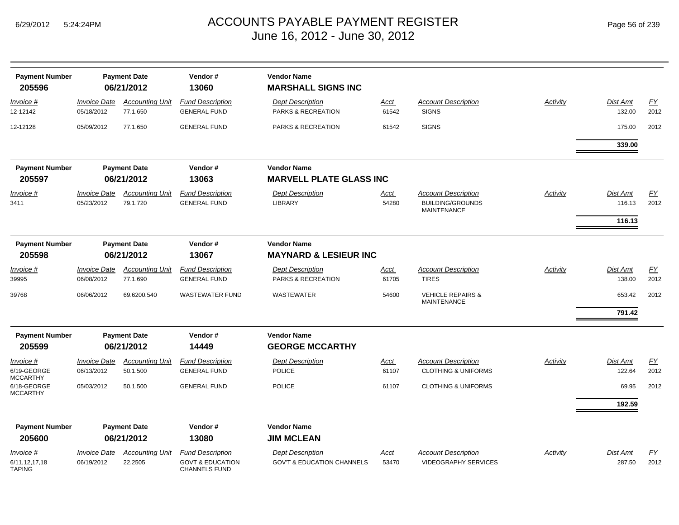| Page 56 of 239 |  |  |  |
|----------------|--|--|--|
|----------------|--|--|--|

| <b>Payment Number</b><br>205596                |                                          | <b>Payment Date</b><br>06/21/2012  | Vendor#<br>13060                                                               | <b>Vendor Name</b><br><b>MARSHALL SIGNS INC</b>                  |                      |                                                                             |                 |                    |                   |
|------------------------------------------------|------------------------------------------|------------------------------------|--------------------------------------------------------------------------------|------------------------------------------------------------------|----------------------|-----------------------------------------------------------------------------|-----------------|--------------------|-------------------|
| Invoice #<br>12-12142                          | <b>Invoice Date</b><br>05/18/2012        | <b>Accounting Unit</b><br>77.1.650 | <b>Fund Description</b><br><b>GENERAL FUND</b>                                 | <b>Dept Description</b><br>PARKS & RECREATION                    | Acct<br>61542        | <b>Account Description</b><br><b>SIGNS</b>                                  | Activity        | Dist Amt<br>132.00 | <b>FY</b><br>2012 |
| 12-12128                                       | 05/09/2012                               | 77.1.650                           | <b>GENERAL FUND</b>                                                            | PARKS & RECREATION                                               | 61542                | <b>SIGNS</b>                                                                |                 | 175.00             | 2012              |
|                                                |                                          |                                    |                                                                                |                                                                  |                      |                                                                             |                 | 339.00             |                   |
| <b>Payment Number</b><br>205597                |                                          | <b>Payment Date</b><br>06/21/2012  | Vendor#<br>13063                                                               | <b>Vendor Name</b><br><b>MARVELL PLATE GLASS INC</b>             |                      |                                                                             |                 |                    |                   |
|                                                |                                          |                                    |                                                                                |                                                                  |                      |                                                                             |                 |                    |                   |
| Invoice #<br>3411                              | <i><b>Invoice Date</b></i><br>05/23/2012 | <b>Accounting Unit</b><br>79.1.720 | <b>Fund Description</b><br><b>GENERAL FUND</b>                                 | <b>Dept Description</b><br><b>LIBRARY</b>                        | Acct<br>54280        | <b>Account Description</b><br><b>BUILDING/GROUNDS</b><br><b>MAINTENANCE</b> | <b>Activity</b> | Dist Amt<br>116.13 | <u>FY</u><br>2012 |
|                                                |                                          |                                    |                                                                                |                                                                  |                      |                                                                             |                 | 116.13             |                   |
| <b>Payment Number</b>                          |                                          | <b>Payment Date</b>                | Vendor#                                                                        | <b>Vendor Name</b>                                               |                      |                                                                             |                 |                    |                   |
| 205598                                         |                                          | 06/21/2012                         | 13067                                                                          | <b>MAYNARD &amp; LESIEUR INC</b>                                 |                      |                                                                             |                 |                    |                   |
| Invoice #<br>39995                             | <b>Invoice Date</b><br>06/08/2012        | <b>Accounting Unit</b><br>77.1.690 | <b>Fund Description</b><br><b>GENERAL FUND</b>                                 | <b>Dept Description</b><br>PARKS & RECREATION                    | Acct<br>61705        | <b>Account Description</b><br><b>TIRES</b>                                  | Activity        | Dist Amt<br>138.00 | EY<br>2012        |
| 39768                                          | 06/06/2012                               | 69.6200.540                        | <b>WASTEWATER FUND</b>                                                         | <b>WASTEWATER</b>                                                | 54600                | <b>VEHICLE REPAIRS &amp;</b><br><b>MAINTENANCE</b>                          |                 | 653.42             | 2012              |
|                                                |                                          |                                    |                                                                                |                                                                  |                      |                                                                             |                 | 791.42             |                   |
| <b>Payment Number</b>                          |                                          | <b>Payment Date</b>                | Vendor#                                                                        | <b>Vendor Name</b>                                               |                      |                                                                             |                 |                    |                   |
| 205599                                         |                                          | 06/21/2012                         | 14449                                                                          | <b>GEORGE MCCARTHY</b>                                           |                      |                                                                             |                 |                    |                   |
| Invoice #<br>6/19-GEORGE<br><b>MCCARTHY</b>    | <b>Invoice Date</b><br>06/13/2012        | <b>Accounting Unit</b><br>50.1.500 | <b>Fund Description</b><br><b>GENERAL FUND</b>                                 | <b>Dept Description</b><br><b>POLICE</b>                         | <u>Acct</u><br>61107 | <b>Account Description</b><br><b>CLOTHING &amp; UNIFORMS</b>                | Activity        | Dist Amt<br>122.64 | <u>FY</u><br>2012 |
| 6/18-GEORGE<br><b>MCCARTHY</b>                 | 05/03/2012                               | 50.1.500                           | <b>GENERAL FUND</b>                                                            | <b>POLICE</b>                                                    | 61107                | <b>CLOTHING &amp; UNIFORMS</b>                                              |                 | 69.95              | 2012              |
|                                                |                                          |                                    |                                                                                |                                                                  |                      |                                                                             |                 | 192.59             |                   |
| <b>Payment Number</b>                          |                                          | <b>Payment Date</b>                | Vendor#                                                                        | <b>Vendor Name</b>                                               |                      |                                                                             |                 |                    |                   |
| 205600                                         |                                          | 06/21/2012                         | 13080                                                                          | <b>JIM MCLEAN</b>                                                |                      |                                                                             |                 |                    |                   |
| Invoice #<br>6/11, 12, 17, 18<br><b>TAPING</b> | <i><b>Invoice Date</b></i><br>06/19/2012 | <b>Accounting Unit</b><br>22.2505  | <b>Fund Description</b><br><b>GOVT &amp; EDUCATION</b><br><b>CHANNELS FUND</b> | <b>Dept Description</b><br><b>GOV'T &amp; EDUCATION CHANNELS</b> | Acct<br>53470        | <b>Account Description</b><br><b>VIDEOGRAPHY SERVICES</b>                   | Activity        | Dist Amt<br>287.50 | EY<br>2012        |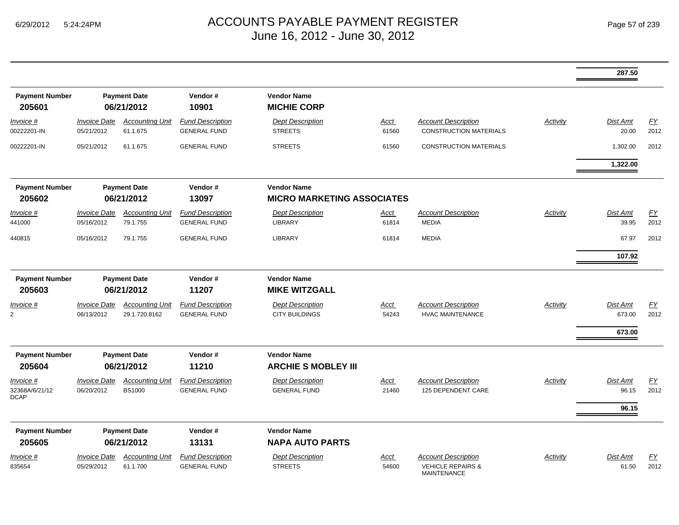|                                            |                                   |                                         |                                                |                                                         |               |                                                             |                 | 287.50                     |            |
|--------------------------------------------|-----------------------------------|-----------------------------------------|------------------------------------------------|---------------------------------------------------------|---------------|-------------------------------------------------------------|-----------------|----------------------------|------------|
| <b>Payment Number</b><br>205601            |                                   | <b>Payment Date</b><br>06/21/2012       | Vendor#<br>10901                               | <b>Vendor Name</b><br><b>MICHIE CORP</b>                |               |                                                             |                 |                            |            |
| Invoice #<br>00222201-IN                   | <b>Invoice Date</b><br>05/21/2012 | <b>Accounting Unit</b><br>61.1.675      | <b>Fund Description</b><br><b>GENERAL FUND</b> | <b>Dept Description</b><br><b>STREETS</b>               | Acct<br>61560 | <b>Account Description</b><br><b>CONSTRUCTION MATERIALS</b> | Activity        | Dist Amt<br>20.00          | EY<br>2012 |
| 00222201-IN                                | 05/21/2012                        | 61.1.675                                | <b>GENERAL FUND</b>                            | <b>STREETS</b>                                          | 61560         | <b>CONSTRUCTION MATERIALS</b>                               |                 | 1,302.00                   | 2012       |
|                                            |                                   |                                         |                                                |                                                         |               |                                                             |                 | 1,322.00                   |            |
| <b>Payment Number</b><br>205602            |                                   | <b>Payment Date</b><br>06/21/2012       | Vendor#<br>13097                               | <b>Vendor Name</b><br><b>MICRO MARKETING ASSOCIATES</b> |               |                                                             |                 |                            |            |
| Invoice #                                  | <b>Invoice Date</b>               | <b>Accounting Unit</b>                  | <b>Fund Description</b>                        | <b>Dept Description</b>                                 | <u>Acct</u>   | <b>Account Description</b>                                  | Activity        | Dist Amt                   | EY         |
| 441000                                     | 05/16/2012                        | 79.1.755                                | <b>GENERAL FUND</b>                            | LIBRARY                                                 | 61814         | <b>MEDIA</b>                                                |                 | 39.95                      | 2012       |
| 440815                                     | 05/16/2012                        | 79.1.755                                | <b>GENERAL FUND</b>                            | <b>LIBRARY</b>                                          | 61814         | <b>MEDIA</b>                                                |                 | 67.97                      | 2012       |
|                                            |                                   |                                         |                                                |                                                         |               |                                                             |                 | 107.92                     |            |
| <b>Payment Number</b>                      |                                   | <b>Payment Date</b>                     | Vendor#                                        | <b>Vendor Name</b>                                      |               |                                                             |                 |                            |            |
| 205603                                     |                                   | 06/21/2012                              | 11207                                          | <b>MIKE WITZGALL</b>                                    |               |                                                             |                 |                            |            |
| <u>Invoice #</u><br>$\overline{2}$         | <b>Invoice Date</b><br>06/13/2012 | <b>Accounting Unit</b><br>29.1.720.8162 | <b>Fund Description</b><br><b>GENERAL FUND</b> | <b>Dept Description</b><br><b>CITY BUILDINGS</b>        | Acct<br>54243 | <b>Account Description</b><br><b>HVAC MAINTENANCE</b>       | <b>Activity</b> | Dist Amt<br>673.00         | EY<br>2012 |
|                                            |                                   |                                         |                                                |                                                         |               |                                                             |                 | 673.00                     |            |
| <b>Payment Number</b><br>205604            |                                   | <b>Payment Date</b><br>06/21/2012       | Vendor#<br>11210                               | <b>Vendor Name</b><br><b>ARCHIE S MOBLEY III</b>        |               |                                                             |                 |                            |            |
| Invoice #<br>32368A/6/21/12<br><b>DCAP</b> | <b>Invoice Date</b><br>06/20/2012 | <b>Accounting Unit</b><br><b>BS1000</b> | <b>Fund Description</b><br><b>GENERAL FUND</b> | <b>Dept Description</b><br><b>GENERAL FUND</b>          | Acct<br>21460 | <b>Account Description</b><br>125 DEPENDENT CARE            | Activity        | Dist Amt<br>96.15<br>96.15 | EY<br>2012 |
|                                            |                                   |                                         |                                                |                                                         |               |                                                             |                 |                            |            |
| <b>Payment Number</b><br>205605            |                                   | <b>Payment Date</b><br>06/21/2012       | Vendor#<br>13131                               | <b>Vendor Name</b><br><b>NAPA AUTO PARTS</b>            |               |                                                             |                 |                            |            |
| Invoice #                                  | <b>Invoice Date</b>               | <b>Accounting Unit</b>                  | <b>Fund Description</b>                        | <b>Dept Description</b>                                 | <u>Acct</u>   | <b>Account Description</b>                                  | Activity        | <b>Dist Amt</b>            | <u>FY</u>  |
| 835654                                     | 05/29/2012                        | 61.1.700                                | <b>GENERAL FUND</b>                            | <b>STREETS</b>                                          | 54600         | <b>VEHICLE REPAIRS &amp;</b><br><b>MAINTENANCE</b>          |                 | 61.50                      | 2012       |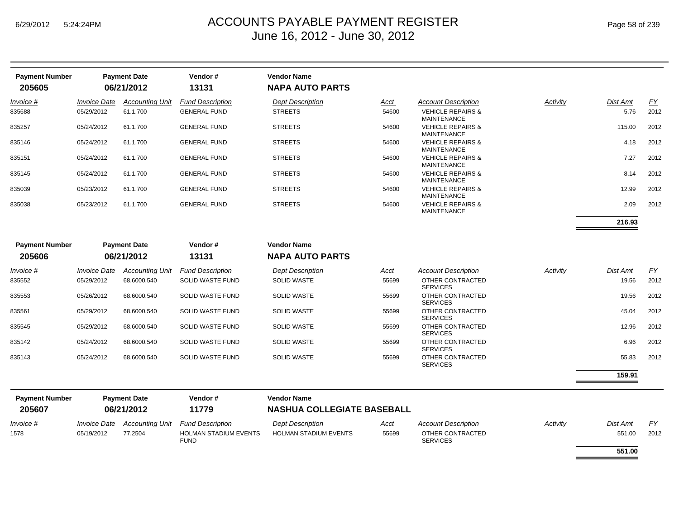| <b>Payment Number</b> | <b>Payment Date</b>        |                        | Vendor#                 | <b>Vendor Name</b>      |       |                                                    |          |          |           |
|-----------------------|----------------------------|------------------------|-------------------------|-------------------------|-------|----------------------------------------------------|----------|----------|-----------|
| 205605                |                            | 06/21/2012             | 13131                   | <b>NAPA AUTO PARTS</b>  |       |                                                    |          |          |           |
| Invoice #             | <i><b>Invoice Date</b></i> | <b>Accounting Unit</b> | <b>Fund Description</b> | <b>Dept Description</b> | Acct  | <b>Account Description</b>                         | Activity | Dist Amt | <u>FY</u> |
| 835688                | 05/29/2012                 | 61.1.700               | <b>GENERAL FUND</b>     | <b>STREETS</b>          | 54600 | <b>VEHICLE REPAIRS &amp;</b><br><b>MAINTENANCE</b> |          | 5.76     | 2012      |
| 835257                | 05/24/2012                 | 61.1.700               | <b>GENERAL FUND</b>     | <b>STREETS</b>          | 54600 | <b>VEHICLE REPAIRS &amp;</b><br>MAINTENANCE        |          | 115.00   | 2012      |
| 835146                | 05/24/2012                 | 61.1.700               | <b>GENERAL FUND</b>     | <b>STREETS</b>          | 54600 | <b>VEHICLE REPAIRS &amp;</b><br><b>MAINTENANCE</b> |          | 4.18     | 2012      |
| 835151                | 05/24/2012                 | 61.1.700               | <b>GENERAL FUND</b>     | <b>STREETS</b>          | 54600 | <b>VEHICLE REPAIRS &amp;</b><br><b>MAINTENANCE</b> |          | 7.27     | 2012      |
| 835145                | 05/24/2012                 | 61.1.700               | <b>GENERAL FUND</b>     | <b>STREETS</b>          | 54600 | <b>VEHICLE REPAIRS &amp;</b><br><b>MAINTENANCE</b> |          | 8.14     | 2012      |
| 835039                | 05/23/2012                 | 61.1.700               | <b>GENERAL FUND</b>     | <b>STREETS</b>          | 54600 | <b>VEHICLE REPAIRS &amp;</b><br><b>MAINTENANCE</b> |          | 12.99    | 2012      |
| 835038                | 05/23/2012                 | 61.1.700               | <b>GENERAL FUND</b>     | <b>STREETS</b>          | 54600 | <b>VEHICLE REPAIRS &amp;</b><br><b>MAINTENANCE</b> |          | 2.09     | 2012      |
|                       |                            |                        |                         |                         |       |                                                    |          | 216.93   |           |

| <b>Payment Number</b><br>205606 |                            | <b>Payment Date</b><br>06/21/2012 | Vendor#<br>13131        | <b>Vendor Name</b><br><b>NAPA AUTO PARTS</b> |             |                                     |          |          |           |
|---------------------------------|----------------------------|-----------------------------------|-------------------------|----------------------------------------------|-------------|-------------------------------------|----------|----------|-----------|
| Invoice #                       | <i><b>Invoice Date</b></i> | Accounting Unit                   | <b>Fund Description</b> | <b>Dept Description</b>                      | <b>Acct</b> | <b>Account Description</b>          | Activity | Dist Amt | <u>FY</u> |
| 835552                          | 05/29/2012                 | 68.6000.540                       | SOLID WASTE FUND        | <b>SOLID WASTE</b>                           | 55699       | OTHER CONTRACTED<br><b>SERVICES</b> |          | 19.56    | 2012      |
| 835553                          | 05/26/2012                 | 68.6000.540                       | SOLID WASTE FUND        | <b>SOLID WASTE</b>                           | 55699       | OTHER CONTRACTED<br><b>SERVICES</b> |          | 19.56    | 2012      |
| 835561                          | 05/29/2012                 | 68.6000.540                       | SOLID WASTE FUND        | <b>SOLID WASTE</b>                           | 55699       | OTHER CONTRACTED<br><b>SERVICES</b> |          | 45.04    | 2012      |
| 835545                          | 05/29/2012                 | 68.6000.540                       | SOLID WASTE FUND        | <b>SOLID WASTE</b>                           | 55699       | OTHER CONTRACTED<br><b>SERVICES</b> |          | 12.96    | 2012      |
| 835142                          | 05/24/2012                 | 68.6000.540                       | SOLID WASTE FUND        | <b>SOLID WASTE</b>                           | 55699       | OTHER CONTRACTED<br><b>SERVICES</b> |          | 6.96     | 2012      |
| 835143                          | 05/24/2012                 | 68.6000.540                       | SOLID WASTE FUND        | <b>SOLID WASTE</b>                           | 55699       | OTHER CONTRACTED<br><b>SERVICES</b> |          | 55.83    | 2012      |

| <b>Payment Number</b> | <b>Payment Date</b>        |                        | Vendor#                      | <b>Vendor Name</b>                |             |                            |          |          |           |  |
|-----------------------|----------------------------|------------------------|------------------------------|-----------------------------------|-------------|----------------------------|----------|----------|-----------|--|
| 205607                | 06/21/2012                 |                        | 11779                        | <b>NASHUA COLLEGIATE BASEBALL</b> |             |                            |          |          |           |  |
| $Invoice$ #           | <i><b>Invoice Date</b></i> | <b>Accounting Unit</b> | <b>Fund Description</b>      | <b>Dept Description</b>           | <u>Acct</u> | <b>Account Description</b> | Activity | Dist Amt | <u>FY</u> |  |
| 1578                  | 05/19/2012                 | 77.2504                | <b>HOLMAN STADIUM EVENTS</b> | <b>HOLMAN STADIUM EVENTS</b>      | 55699       | OTHER CONTRACTED           |          | 551.00   | 2012      |  |
|                       |                            |                        | <b>FUND</b>                  |                                   |             | <b>SERVICES</b>            |          | 551.00   |           |  |

**159.91**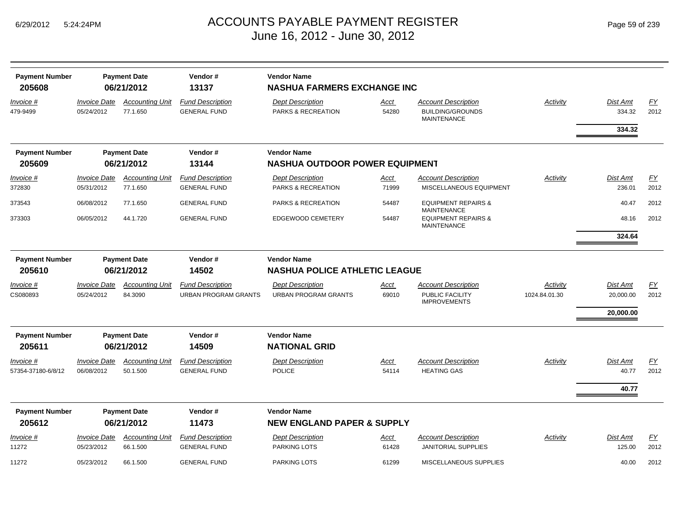| <b>Payment Number</b><br>205608 |                                                             | <b>Payment Date</b><br>06/21/2012  | Vendor#<br>13137                                       | <b>Vendor Name</b><br><b>NASHUA FARMERS EXCHANGE INC</b> |                                       |                                                                             |                           |                              |            |
|---------------------------------|-------------------------------------------------------------|------------------------------------|--------------------------------------------------------|----------------------------------------------------------|---------------------------------------|-----------------------------------------------------------------------------|---------------------------|------------------------------|------------|
| Invoice #<br>479-9499           | <b>Invoice Date</b><br>05/24/2012                           | <b>Accounting Unit</b><br>77.1.650 | <b>Fund Description</b><br><b>GENERAL FUND</b>         | <b>Dept Description</b><br><b>PARKS &amp; RECREATION</b> | Acct<br>54280                         | <b>Account Description</b><br><b>BUILDING/GROUNDS</b><br><b>MAINTENANCE</b> | <b>Activity</b>           | Dist Amt<br>334.32           | EY<br>2012 |
|                                 |                                                             |                                    |                                                        |                                                          |                                       |                                                                             |                           | 334.32                       |            |
| <b>Payment Number</b><br>205609 |                                                             | <b>Payment Date</b><br>06/21/2012  | Vendor#<br>13144                                       | <b>Vendor Name</b>                                       | <b>NASHUA OUTDOOR POWER EQUIPMENT</b> |                                                                             |                           |                              |            |
| Invoice #                       | <b>Invoice Date</b>                                         | <b>Accounting Unit</b>             | <b>Fund Description</b>                                | <b>Dept Description</b>                                  | Acct                                  | <b>Account Description</b>                                                  | <b>Activity</b>           | Dist Amt                     | EY         |
| 372830                          | 05/31/2012                                                  | 77.1.650                           | <b>GENERAL FUND</b>                                    | PARKS & RECREATION                                       | 71999                                 | MISCELLANEOUS EQUIPMENT                                                     |                           | 236.01                       | 2012       |
| 373543                          | 06/08/2012                                                  | 77.1.650                           | <b>GENERAL FUND</b>                                    | PARKS & RECREATION                                       | 54487                                 | <b>EQUIPMENT REPAIRS &amp;</b><br><b>MAINTENANCE</b>                        |                           | 40.47                        | 2012       |
| 373303                          | 06/05/2012                                                  | 44.1.720                           | <b>GENERAL FUND</b>                                    | <b>EDGEWOOD CEMETERY</b>                                 | 54487                                 | <b>EQUIPMENT REPAIRS &amp;</b><br><b>MAINTENANCE</b>                        |                           | 48.16                        | 2012       |
|                                 |                                                             |                                    |                                                        |                                                          |                                       |                                                                             |                           | 324.64                       |            |
| <b>Payment Number</b>           |                                                             | <b>Payment Date</b>                | Vendor#                                                | <b>Vendor Name</b>                                       |                                       |                                                                             |                           |                              |            |
| 205610                          | 06/21/2012<br>14502<br><b>NASHUA POLICE ATHLETIC LEAGUE</b> |                                    |                                                        |                                                          |                                       |                                                                             |                           |                              |            |
| Invoice #<br>CS080893           | <b>Invoice Date</b><br>05/24/2012                           | <b>Accounting Unit</b><br>84.3090  | <b>Fund Description</b><br><b>URBAN PROGRAM GRANTS</b> | <b>Dept Description</b><br><b>URBAN PROGRAM GRANTS</b>   | Acct<br>69010                         | <b>Account Description</b><br>PUBLIC FACILITY<br><b>IMPROVEMENTS</b>        | Activity<br>1024.84.01.30 | <b>Dist Amt</b><br>20,000.00 | EY<br>2012 |
|                                 |                                                             |                                    |                                                        |                                                          |                                       |                                                                             |                           | 20,000.00                    |            |
| <b>Payment Number</b><br>205611 |                                                             | <b>Payment Date</b><br>06/21/2012  | Vendor#<br>14509                                       | <b>Vendor Name</b><br><b>NATIONAL GRID</b>               |                                       |                                                                             |                           |                              |            |
| Invoice #<br>57354-37180-6/8/12 | <b>Invoice Date</b><br>06/08/2012                           | <b>Accounting Unit</b><br>50.1.500 | <b>Fund Description</b><br><b>GENERAL FUND</b>         | <b>Dept Description</b><br><b>POLICE</b>                 | Acct<br>54114                         | <b>Account Description</b><br><b>HEATING GAS</b>                            | Activity                  | <b>Dist Amt</b><br>40.77     | EY<br>2012 |
|                                 |                                                             |                                    |                                                        |                                                          |                                       |                                                                             |                           |                              |            |
|                                 |                                                             |                                    |                                                        |                                                          |                                       |                                                                             |                           | 40.77                        |            |
| <b>Payment Number</b>           |                                                             | <b>Payment Date</b>                | Vendor#                                                | <b>Vendor Name</b>                                       |                                       |                                                                             |                           |                              |            |
| 205612                          |                                                             | 06/21/2012                         | 11473                                                  | <b>NEW ENGLAND PAPER &amp; SUPPLY</b>                    |                                       |                                                                             |                           |                              |            |
| Invoice #<br>11272              | <b>Invoice Date</b><br>05/23/2012                           | <b>Accounting Unit</b><br>66.1.500 | <b>Fund Description</b><br><b>GENERAL FUND</b>         | <b>Dept Description</b><br><b>PARKING LOTS</b>           | Acct<br>61428                         | <b>Account Description</b><br><b>JANITORIAL SUPPLIES</b>                    | Activity                  | <b>Dist Amt</b><br>125.00    | EY<br>2012 |
| 11272                           | 05/23/2012                                                  | 66.1.500                           | <b>GENERAL FUND</b>                                    | <b>PARKING LOTS</b>                                      | 61299                                 | MISCELLANEOUS SUPPLIES                                                      |                           | 40.00                        | 2012       |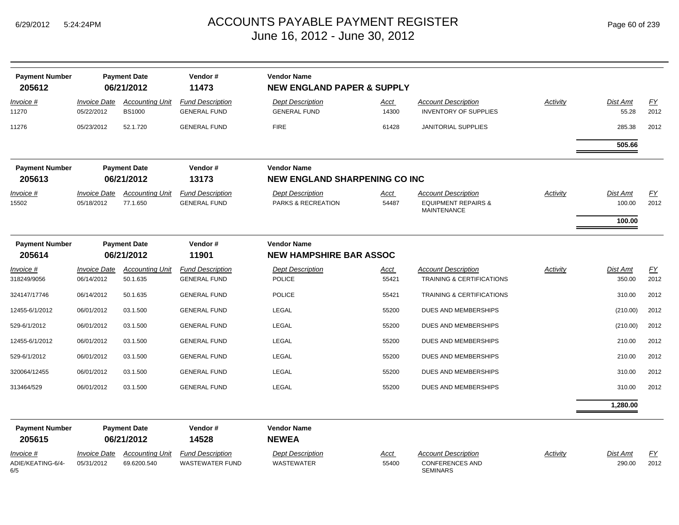| <b>Payment Number</b><br>205612       |                                   | <b>Payment Date</b><br>06/21/2012       | Vendor#<br>11473                                  | <b>Vendor Name</b><br><b>NEW ENGLAND PAPER &amp; SUPPLY</b> |                      |                                                                                    |          |                           |                   |
|---------------------------------------|-----------------------------------|-----------------------------------------|---------------------------------------------------|-------------------------------------------------------------|----------------------|------------------------------------------------------------------------------------|----------|---------------------------|-------------------|
| Invoice #<br>11270                    | <b>Invoice Date</b><br>05/22/2012 | <b>Accounting Unit</b><br><b>BS1000</b> | <b>Fund Description</b><br><b>GENERAL FUND</b>    | <b>Dept Description</b><br><b>GENERAL FUND</b>              | <u>Acct</u><br>14300 | <b>Account Description</b><br><b>INVENTORY OF SUPPLIES</b>                         | Activity | Dist Amt<br>55.28         | EY<br>2012        |
| 11276                                 | 05/23/2012                        | 52.1.720                                | <b>GENERAL FUND</b>                               | <b>FIRE</b>                                                 | 61428                | <b>JANITORIAL SUPPLIES</b>                                                         |          | 285.38                    | 2012              |
|                                       |                                   |                                         |                                                   |                                                             |                      |                                                                                    |          | 505.66                    |                   |
| <b>Payment Number</b><br>205613       |                                   | <b>Payment Date</b><br>06/21/2012       | Vendor#<br>13173                                  | <b>Vendor Name</b><br><b>NEW ENGLAND SHARPENING CO INC</b>  |                      |                                                                                    |          |                           |                   |
| <u>Invoice #</u><br>15502             | <b>Invoice Date</b><br>05/18/2012 | <b>Accounting Unit</b><br>77.1.650      | <b>Fund Description</b><br><b>GENERAL FUND</b>    | <b>Dept Description</b><br>PARKS & RECREATION               | <u>Acct</u><br>54487 | <b>Account Description</b><br><b>EQUIPMENT REPAIRS &amp;</b><br><b>MAINTENANCE</b> | Activity | Dist Amt<br>100.00        | EY<br>2012        |
|                                       |                                   |                                         |                                                   |                                                             |                      |                                                                                    |          | 100.00                    |                   |
| <b>Payment Number</b><br>205614       |                                   | <b>Payment Date</b><br>06/21/2012       | Vendor#<br>11901                                  | <b>Vendor Name</b><br><b>NEW HAMPSHIRE BAR ASSOC</b>        |                      |                                                                                    |          |                           |                   |
| Invoice #<br>318249/9056              | <b>Invoice Date</b><br>06/14/2012 | <b>Accounting Unit</b><br>50.1.635      | <b>Fund Description</b><br><b>GENERAL FUND</b>    | <b>Dept Description</b><br><b>POLICE</b>                    | <u>Acct</u><br>55421 | <b>Account Description</b><br><b>TRAINING &amp; CERTIFICATIONS</b>                 | Activity | Dist Amt<br>350.00        | <u>FY</u><br>2012 |
| 324147/17746                          | 06/14/2012                        | 50.1.635                                | <b>GENERAL FUND</b>                               | <b>POLICE</b>                                               | 55421                | <b>TRAINING &amp; CERTIFICATIONS</b>                                               |          | 310.00                    | 2012              |
| 12455-6/1/2012                        | 06/01/2012                        | 03.1.500                                | <b>GENERAL FUND</b>                               | LEGAL                                                       | 55200                | <b>DUES AND MEMBERSHIPS</b>                                                        |          | (210.00)                  | 2012              |
| 529-6/1/2012                          | 06/01/2012                        | 03.1.500                                | <b>GENERAL FUND</b>                               | LEGAL                                                       | 55200                | <b>DUES AND MEMBERSHIPS</b>                                                        |          | (210.00)                  | 2012              |
| 12455-6/1/2012                        | 06/01/2012                        | 03.1.500                                | <b>GENERAL FUND</b>                               | LEGAL                                                       | 55200                | <b>DUES AND MEMBERSHIPS</b>                                                        |          | 210.00                    | 2012              |
| 529-6/1/2012                          | 06/01/2012                        | 03.1.500                                | <b>GENERAL FUND</b>                               | LEGAL                                                       | 55200                | <b>DUES AND MEMBERSHIPS</b>                                                        |          | 210.00                    | 2012              |
| 320064/12455                          | 06/01/2012                        | 03.1.500                                | <b>GENERAL FUND</b>                               | LEGAL                                                       | 55200                | DUES AND MEMBERSHIPS                                                               |          | 310.00                    | 2012              |
| 313464/529                            | 06/01/2012                        | 03.1.500                                | <b>GENERAL FUND</b>                               | LEGAL                                                       | 55200                | DUES AND MEMBERSHIPS                                                               |          | 310.00                    | 2012              |
|                                       |                                   |                                         |                                                   |                                                             |                      |                                                                                    |          | 1,280.00                  |                   |
| <b>Payment Number</b><br>205615       |                                   | <b>Payment Date</b><br>06/21/2012       | Vendor#<br>14528                                  | <b>Vendor Name</b><br><b>NEWEA</b>                          |                      |                                                                                    |          |                           |                   |
| Invoice #<br>ADIE/KEATING-6/4-<br>6/5 | <b>Invoice Date</b><br>05/31/2012 | <b>Accounting Unit</b><br>69.6200.540   | <b>Fund Description</b><br><b>WASTEWATER FUND</b> | <b>Dept Description</b><br><b>WASTEWATER</b>                | <u>Acct</u><br>55400 | <b>Account Description</b><br><b>CONFERENCES AND</b><br><b>SEMINARS</b>            | Activity | <b>Dist Amt</b><br>290.00 | EY<br>2012        |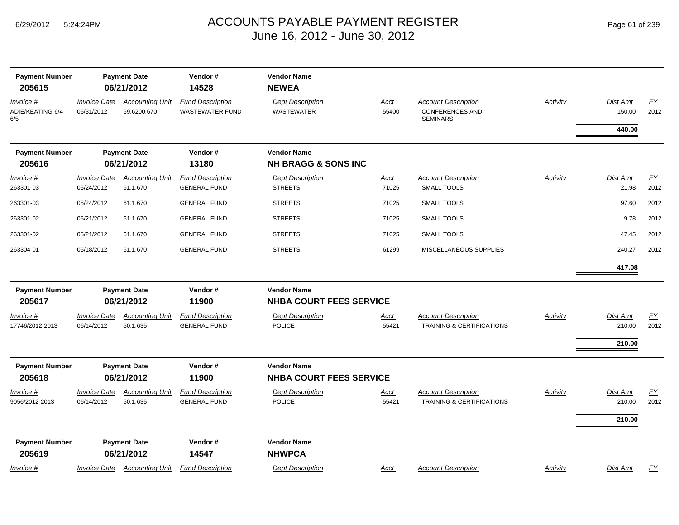| <b>Payment Number</b><br>205615       |                                   | <b>Payment Date</b><br>06/21/2012     | Vendor#<br>14528                                  | <b>Vendor Name</b><br><b>NEWEA</b>                   |                      |                                                                         |                 |                              |                   |
|---------------------------------------|-----------------------------------|---------------------------------------|---------------------------------------------------|------------------------------------------------------|----------------------|-------------------------------------------------------------------------|-----------------|------------------------------|-------------------|
| Invoice #<br>ADIE/KEATING-6/4-<br>6/5 | Invoice Date<br>05/31/2012        | <b>Accounting Unit</b><br>69.6200.670 | <b>Fund Description</b><br><b>WASTEWATER FUND</b> | <b>Dept Description</b><br><b>WASTEWATER</b>         | <u>Acct</u><br>55400 | <b>Account Description</b><br><b>CONFERENCES AND</b><br><b>SEMINARS</b> | <b>Activity</b> | Dist Amt<br>150.00           | EY<br>2012        |
|                                       |                                   |                                       |                                                   |                                                      |                      |                                                                         |                 | 440.00                       |                   |
| <b>Payment Number</b><br>205616       |                                   | <b>Payment Date</b><br>06/21/2012     | Vendor#<br>13180                                  | <b>Vendor Name</b><br><b>NH BRAGG &amp; SONS INC</b> |                      |                                                                         |                 |                              |                   |
| <u>Invoice #</u>                      | <b>Invoice Date</b>               | <b>Accounting Unit</b>                | <b>Fund Description</b>                           | <b>Dept Description</b>                              | <u>Acct</u>          | <b>Account Description</b>                                              | <b>Activity</b> | Dist Amt                     | EY                |
| 263301-03                             | 05/24/2012                        | 61.1.670                              | <b>GENERAL FUND</b>                               | <b>STREETS</b>                                       | 71025                | <b>SMALL TOOLS</b>                                                      |                 | 21.98                        | 2012              |
| 263301-03                             | 05/24/2012                        | 61.1.670                              | <b>GENERAL FUND</b>                               | <b>STREETS</b>                                       | 71025                | SMALL TOOLS                                                             |                 | 97.60                        | 2012              |
| 263301-02                             | 05/21/2012                        | 61.1.670                              | <b>GENERAL FUND</b>                               | <b>STREETS</b>                                       | 71025                | <b>SMALL TOOLS</b>                                                      |                 | 9.78                         | 2012              |
| 263301-02                             | 05/21/2012                        | 61.1.670                              | <b>GENERAL FUND</b>                               | <b>STREETS</b>                                       | 71025                | <b>SMALL TOOLS</b>                                                      |                 | 47.45                        | 2012              |
| 263304-01                             | 05/18/2012                        | 61.1.670                              | <b>GENERAL FUND</b>                               | <b>STREETS</b>                                       | 61299                | MISCELLANEOUS SUPPLIES                                                  |                 | 240.27                       | 2012              |
|                                       |                                   |                                       |                                                   |                                                      |                      |                                                                         |                 | 417.08                       |                   |
| <b>Payment Number</b><br>205617       |                                   | <b>Payment Date</b><br>06/21/2012     | Vendor#<br>11900                                  | <b>Vendor Name</b><br><b>NHBA COURT FEES SERVICE</b> |                      |                                                                         |                 |                              |                   |
| Invoice #<br>17746/2012-2013          | <b>Invoice Date</b><br>06/14/2012 | <b>Accounting Unit</b><br>50.1.635    | <b>Fund Description</b><br><b>GENERAL FUND</b>    | <b>Dept Description</b><br><b>POLICE</b>             | <u>Acct</u><br>55421 | <b>Account Description</b><br><b>TRAINING &amp; CERTIFICATIONS</b>      | <b>Activity</b> | Dist Amt<br>210.00<br>210.00 | EY<br>2012        |
| <b>Payment Number</b><br>205618       |                                   | <b>Payment Date</b><br>06/21/2012     | Vendor#<br>11900                                  | <b>Vendor Name</b><br><b>NHBA COURT FEES SERVICE</b> |                      |                                                                         |                 |                              |                   |
| Invoice #<br>9056/2012-2013           | <b>Invoice Date</b><br>06/14/2012 | <b>Accounting Unit</b><br>50.1.635    | <b>Fund Description</b><br><b>GENERAL FUND</b>    | <b>Dept Description</b><br><b>POLICE</b>             | Acct<br>55421        | <b>Account Description</b><br><b>TRAINING &amp; CERTIFICATIONS</b>      | Activity        | Dist Amt<br>210.00<br>210.00 | <u>FY</u><br>2012 |
| <b>Payment Number</b><br>205619       |                                   | <b>Payment Date</b><br>06/21/2012     | Vendor#<br>14547                                  | <b>Vendor Name</b><br><b>NHWPCA</b>                  |                      |                                                                         |                 |                              |                   |
| Invoice #                             | Invoice Date                      | <b>Accounting Unit</b>                | <b>Fund Description</b>                           | <b>Dept Description</b>                              | Acct                 | <b>Account Description</b>                                              | Activity        | <b>Dist Amt</b>              | <b>FY</b>         |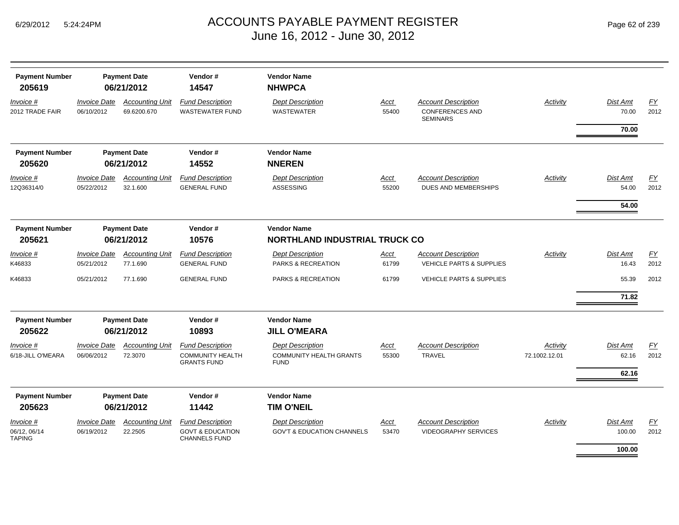| <b>Payment Number</b><br>205619     | <b>Payment Date</b><br>06/21/2012        |                                       | Vendor#<br>14547                                                               |                                                                          |               |                                                                         |                           |                          |            |
|-------------------------------------|------------------------------------------|---------------------------------------|--------------------------------------------------------------------------------|--------------------------------------------------------------------------|---------------|-------------------------------------------------------------------------|---------------------------|--------------------------|------------|
| Invoice #<br>2012 TRADE FAIR        | <b>Invoice Date</b><br>06/10/2012        | <b>Accounting Unit</b><br>69.6200.670 | <b>Fund Description</b><br><b>WASTEWATER FUND</b>                              | <b>Dept Description</b><br><b>WASTEWATER</b>                             | Acct<br>55400 | <b>Account Description</b><br><b>CONFERENCES AND</b><br><b>SEMINARS</b> | Activity                  | <b>Dist Amt</b><br>70.00 | EY<br>2012 |
|                                     |                                          |                                       |                                                                                |                                                                          |               |                                                                         |                           | 70.00                    |            |
| <b>Payment Number</b>               |                                          | <b>Payment Date</b>                   | Vendor#                                                                        | <b>Vendor Name</b>                                                       |               |                                                                         |                           |                          |            |
| 205620                              |                                          | 06/21/2012                            | 14552                                                                          | <b>NNEREN</b>                                                            |               |                                                                         |                           |                          |            |
| Invoice #<br>12Q36314/0             | <i><b>Invoice Date</b></i><br>05/22/2012 | <b>Accounting Unit</b><br>32.1.600    | <b>Fund Description</b><br><b>GENERAL FUND</b>                                 | <b>Dept Description</b><br>ASSESSING                                     | Acct<br>55200 | <b>Account Description</b><br><b>DUES AND MEMBERSHIPS</b>               | Activity                  | Dist Amt<br>54.00        | FY<br>2012 |
|                                     |                                          |                                       |                                                                                |                                                                          |               |                                                                         |                           | 54.00                    |            |
| <b>Payment Number</b>               |                                          | <b>Payment Date</b>                   | Vendor#                                                                        | <b>Vendor Name</b>                                                       |               |                                                                         |                           |                          |            |
| 205621                              |                                          | 06/21/2012                            | 10576                                                                          | <b>NORTHLAND INDUSTRIAL TRUCK CO</b>                                     |               |                                                                         |                           |                          |            |
| Invoice #                           | <b>Invoice Date</b>                      | <b>Accounting Unit</b>                | <b>Fund Description</b>                                                        | <b>Dept Description</b>                                                  | Acct          | <b>Account Description</b>                                              | Activity                  | Dist Amt                 | EY         |
| K46833                              | 05/21/2012                               | 77.1.690                              | <b>GENERAL FUND</b>                                                            | PARKS & RECREATION                                                       | 61799         | VEHICLE PARTS & SUPPLIES                                                |                           | 16.43                    | 2012       |
| K46833                              | 05/21/2012                               | 77.1.690                              | <b>GENERAL FUND</b>                                                            | PARKS & RECREATION                                                       | 61799         | <b>VEHICLE PARTS &amp; SUPPLIES</b>                                     |                           | 55.39                    | 2012       |
|                                     |                                          |                                       |                                                                                |                                                                          |               |                                                                         |                           | 71.82                    |            |
| <b>Payment Number</b>               |                                          | <b>Payment Date</b>                   | Vendor#                                                                        | <b>Vendor Name</b>                                                       |               |                                                                         |                           |                          |            |
| 205622                              |                                          | 06/21/2012                            | 10893                                                                          | <b>JILL O'MEARA</b>                                                      |               |                                                                         |                           |                          |            |
| Invoice #<br>6/18-JILL O'MEARA      | <b>Invoice Date</b><br>06/06/2012        | <b>Accounting Unit</b><br>72.3070     | <b>Fund Description</b><br><b>COMMUNITY HEALTH</b><br><b>GRANTS FUND</b>       | <b>Dept Description</b><br><b>COMMUNITY HEALTH GRANTS</b><br><b>FUND</b> | Acct<br>55300 | <b>Account Description</b><br><b>TRAVEL</b>                             | Activity<br>72.1002.12.01 | Dist Amt<br>62.16        | EY<br>2012 |
|                                     |                                          |                                       |                                                                                |                                                                          |               |                                                                         |                           | 62.16                    |            |
| <b>Payment Number</b>               |                                          | <b>Payment Date</b>                   | Vendor#                                                                        | <b>Vendor Name</b>                                                       |               |                                                                         |                           |                          |            |
| 205623                              |                                          | 06/21/2012                            | 11442                                                                          | <b>TIM O'NEIL</b>                                                        |               |                                                                         |                           |                          |            |
| Invoice #<br>06/12, 06/14<br>TAPING | <b>Invoice Date</b><br>06/19/2012        | <b>Accounting Unit</b><br>22.2505     | <b>Fund Description</b><br><b>GOVT &amp; EDUCATION</b><br><b>CHANNELS FUND</b> | <b>Dept Description</b><br><b>GOV'T &amp; EDUCATION CHANNELS</b>         | Acct<br>53470 | <b>Account Description</b><br><b>VIDEOGRAPHY SERVICES</b>               | Activity                  | Dist Amt<br>100.00       | EY<br>2012 |
|                                     |                                          |                                       |                                                                                |                                                                          |               |                                                                         |                           | 100.00                   |            |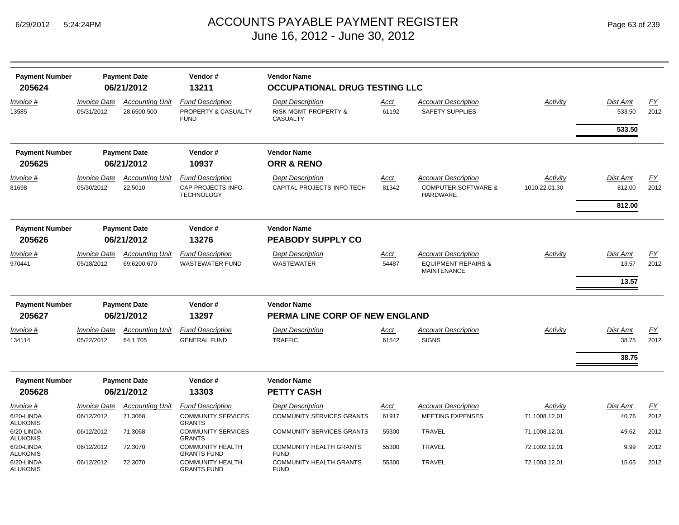| <b>Payment Number</b>         |                                          | <b>Payment Date</b>                   | Vendor#                                                           | <b>Vendor Name</b>                                                            |                      |                                                                                    |                           |                              |                          |
|-------------------------------|------------------------------------------|---------------------------------------|-------------------------------------------------------------------|-------------------------------------------------------------------------------|----------------------|------------------------------------------------------------------------------------|---------------------------|------------------------------|--------------------------|
| 205624                        |                                          | 06/21/2012                            | 13211                                                             | <b>OCCUPATIONAL DRUG TESTING LLC</b>                                          |                      |                                                                                    |                           |                              |                          |
| Invoice #<br>13585            | <b>Invoice Date</b><br>05/31/2012        | <b>Accounting Unit</b><br>28.6500.500 | <b>Fund Description</b><br>PROPERTY & CASUALTY<br><b>FUND</b>     | <b>Dept Description</b><br><b>RISK MGMT-PROPERTY &amp;</b><br><b>CASUALTY</b> | Acct<br>61192        | <b>Account Description</b><br><b>SAFETY SUPPLIES</b>                               | Activity                  | Dist Amt<br>533.50<br>533.50 | FY<br>2012               |
| <b>Payment Number</b>         |                                          | <b>Payment Date</b>                   | Vendor#                                                           | <b>Vendor Name</b>                                                            |                      |                                                                                    |                           |                              |                          |
| 205625                        |                                          | 06/21/2012                            | 10937                                                             | <b>ORR &amp; RENO</b>                                                         |                      |                                                                                    |                           |                              |                          |
| Invoice #<br>81698            | <b>Invoice Date</b><br>05/30/2012        | <b>Accounting Unit</b><br>22.5010     | <b>Fund Description</b><br>CAP PROJECTS-INFO<br><b>TECHNOLOGY</b> | <b>Dept Description</b><br>CAPITAL PROJECTS-INFO TECH                         | Acct<br>81342        | <b>Account Description</b><br><b>COMPUTER SOFTWARE &amp;</b><br>HARDWARE           | Activity<br>1010.22.01.30 | Dist Amt<br>812.00<br>812.00 | EY<br>2012               |
| <b>Payment Number</b>         |                                          | <b>Payment Date</b>                   | Vendor#                                                           | <b>Vendor Name</b>                                                            |                      |                                                                                    |                           |                              |                          |
| 205626                        |                                          | 06/21/2012                            | 13276                                                             | <b>PEABODY SUPPLY CO</b>                                                      |                      |                                                                                    |                           |                              |                          |
| Invoice #<br>970441           | <i><b>Invoice Date</b></i><br>05/18/2012 | <b>Accounting Unit</b><br>69.6200.670 | <b>Fund Description</b><br><b>WASTEWATER FUND</b>                 | <b>Dept Description</b><br><b>WASTEWATER</b>                                  | Acct<br>54487        | <b>Account Description</b><br><b>EQUIPMENT REPAIRS &amp;</b><br><b>MAINTENANCE</b> | Activity                  | Dist Amt<br>13.57            | EY<br>2012               |
|                               |                                          |                                       |                                                                   |                                                                               |                      |                                                                                    |                           | 13.57                        |                          |
| <b>Payment Number</b>         |                                          | <b>Payment Date</b>                   | Vendor#                                                           | <b>Vendor Name</b>                                                            |                      |                                                                                    |                           |                              |                          |
| 205627                        |                                          | 06/21/2012                            | 13297                                                             | PERMA LINE CORP OF NEW ENGLAND                                                |                      |                                                                                    |                           |                              |                          |
| Invoice #<br>134114           | <i><b>Invoice Date</b></i><br>05/22/2012 | <b>Accounting Unit</b><br>64.1.705    | <b>Fund Description</b><br><b>GENERAL FUND</b>                    | <b>Dept Description</b><br><b>TRAFFIC</b>                                     | <u>Acct</u><br>61542 | <b>Account Description</b><br><b>SIGNS</b>                                         | Activity                  | Dist Amt<br>38.75            | $\underline{FY}$<br>2012 |
|                               |                                          |                                       |                                                                   |                                                                               |                      |                                                                                    |                           | 38.75                        |                          |
| <b>Payment Number</b>         |                                          | <b>Payment Date</b>                   | Vendor#                                                           | <b>Vendor Name</b>                                                            |                      |                                                                                    |                           |                              |                          |
| 205628                        |                                          | 06/21/2012                            | 13303                                                             | <b>PETTY CASH</b>                                                             |                      |                                                                                    |                           |                              |                          |
| Invoice #                     | <b>Invoice Date</b>                      | <b>Accounting Unit</b>                | <b>Fund Description</b>                                           | <b>Dept Description</b>                                                       | <u>Acct</u>          | <b>Account Description</b>                                                         | Activity                  | Dist Amt                     | EY                       |
| 6/20-LINDA<br>ALUKONIS        | 06/12/2012                               | 71.3068                               | <b>COMMUNITY SERVICES</b><br><b>GRANTS</b>                        | <b>COMMUNITY SERVICES GRANTS</b>                                              | 61917                | <b>MEETING EXPENSES</b>                                                            | 71.1008.12.01             | 40.76                        | 2012                     |
| 6/20-LINDA<br><b>ALUKONIS</b> | 06/12/2012                               | 71.3068                               | <b>COMMUNITY SERVICES</b><br><b>GRANTS</b>                        | <b>COMMUNITY SERVICES GRANTS</b>                                              | 55300                | <b>TRAVEL</b>                                                                      | 71.1008.12.01             | 49.62                        | 2012                     |
| 6/20-LINDA<br><b>ALUKONIS</b> | 06/12/2012                               | 72.3070                               | <b>COMMUNITY HEALTH</b><br><b>GRANTS FUND</b>                     | <b>COMMUNITY HEALTH GRANTS</b><br><b>FUND</b>                                 | 55300                | TRAVEL                                                                             | 72.1002.12.01             | 9.99                         | 2012                     |
| 6/20-LINDA<br><b>ALUKONIS</b> | 06/12/2012                               | 72.3070                               | <b>COMMUNITY HEALTH</b><br><b>GRANTS FUND</b>                     | <b>COMMUNITY HEALTH GRANTS</b><br><b>FUND</b>                                 | 55300                | <b>TRAVEL</b>                                                                      | 72.1003.12.01             | 15.65                        | 2012                     |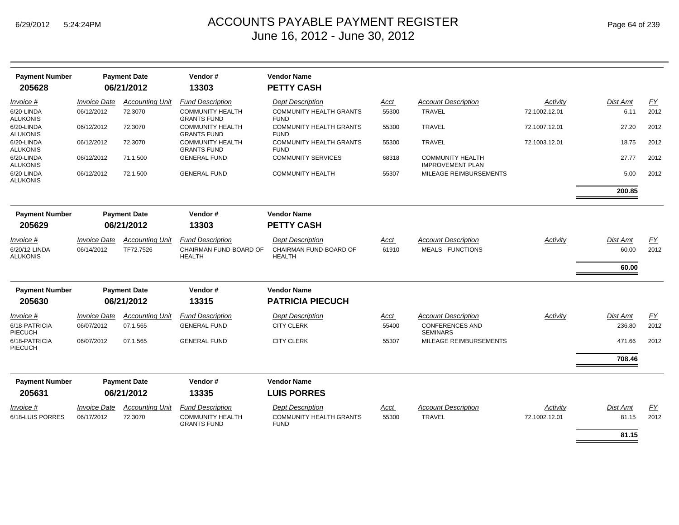| <b>Payment Number</b><br>205628  |                            | <b>Payment Date</b><br>06/21/2012 | Vendor#<br>13303                              | <b>Vendor Name</b><br><b>PETTY CASH</b>       |             |                                                    |               |                 |           |
|----------------------------------|----------------------------|-----------------------------------|-----------------------------------------------|-----------------------------------------------|-------------|----------------------------------------------------|---------------|-----------------|-----------|
| Invoice #                        | <b>Invoice Date</b>        | <b>Accounting Unit</b>            | <b>Fund Description</b>                       | <b>Dept Description</b>                       | Acct        | <b>Account Description</b>                         | Activity      | <b>Dist Amt</b> | FY        |
| 6/20-LINDA<br><b>ALUKONIS</b>    | 06/12/2012                 | 72.3070                           | <b>COMMUNITY HEALTH</b><br><b>GRANTS FUND</b> | <b>COMMUNITY HEALTH GRANTS</b><br><b>FUND</b> | 55300       | <b>TRAVEL</b>                                      | 72.1002.12.01 | 6.11            | 2012      |
| 6/20-LINDA<br><b>ALUKONIS</b>    | 06/12/2012                 | 72.3070                           | <b>COMMUNITY HEALTH</b><br><b>GRANTS FUND</b> | <b>COMMUNITY HEALTH GRANTS</b><br><b>FUND</b> | 55300       | <b>TRAVEL</b>                                      | 72.1007.12.01 | 27.20           | 2012      |
| 6/20-LINDA<br><b>ALUKONIS</b>    | 06/12/2012                 | 72.3070                           | <b>COMMUNITY HEALTH</b><br><b>GRANTS FUND</b> | <b>COMMUNITY HEALTH GRANTS</b><br><b>FUND</b> | 55300       | <b>TRAVEL</b>                                      | 72.1003.12.01 | 18.75           | 2012      |
| 6/20-LINDA<br><b>ALUKONIS</b>    | 06/12/2012                 | 71.1.500                          | <b>GENERAL FUND</b>                           | <b>COMMUNITY SERVICES</b>                     | 68318       | <b>COMMUNITY HEALTH</b><br><b>IMPROVEMENT PLAN</b> |               | 27.77           | 2012      |
| 6/20-LINDA<br><b>ALUKONIS</b>    | 06/12/2012                 | 72.1.500                          | <b>GENERAL FUND</b>                           | <b>COMMUNITY HEALTH</b>                       | 55307       | MILEAGE REIMBURSEMENTS                             |               | 5.00            | 2012      |
|                                  |                            |                                   |                                               |                                               |             |                                                    |               | 200.85          |           |
| <b>Payment Number</b>            |                            | <b>Payment Date</b>               | Vendor#                                       | <b>Vendor Name</b>                            |             |                                                    |               |                 |           |
| 205629                           | 06/21/2012                 |                                   | 13303                                         | <b>PETTY CASH</b>                             |             |                                                    |               |                 |           |
| Invoice #                        | <i><b>Invoice Date</b></i> | <b>Accounting Unit</b>            | <b>Fund Description</b>                       | <b>Dept Description</b>                       | Acct        | <b>Account Description</b>                         | Activity      | Dist Amt        | <u>FY</u> |
| 6/20/12-LINDA<br><b>ALUKONIS</b> | 06/14/2012                 | TF72.7526                         | CHAIRMAN FUND-BOARD OF<br><b>HEALTH</b>       | CHAIRMAN FUND-BOARD OF<br><b>HEALTH</b>       | 61910       | <b>MEALS - FUNCTIONS</b>                           |               | 60.00           | 2012      |
|                                  |                            |                                   |                                               |                                               |             |                                                    |               | 60.00           |           |
| <b>Payment Number</b>            |                            | <b>Payment Date</b>               | Vendor#                                       | <b>Vendor Name</b>                            |             |                                                    |               |                 |           |
| 205630                           |                            | 06/21/2012                        | 13315                                         | <b>PATRICIA PIECUCH</b>                       |             |                                                    |               |                 |           |
| Invoice #                        | <b>Invoice Date</b>        | <b>Accounting Unit</b>            | <b>Fund Description</b>                       | <b>Dept Description</b>                       | Acct        | <b>Account Description</b>                         | Activity      | <b>Dist Amt</b> | EY        |
| 6/18-PATRICIA<br><b>PIECUCH</b>  | 06/07/2012                 | 07.1.565                          | <b>GENERAL FUND</b>                           | <b>CITY CLERK</b>                             | 55400       | <b>CONFERENCES AND</b><br><b>SEMINARS</b>          |               | 236.80          | 2012      |
| 6/18-PATRICIA<br><b>PIECUCH</b>  | 06/07/2012                 | 07.1.565                          | <b>GENERAL FUND</b>                           | <b>CITY CLERK</b>                             | 55307       | MILEAGE REIMBURSEMENTS                             |               | 471.66          | 2012      |
|                                  |                            |                                   |                                               |                                               |             |                                                    |               | 708.46          |           |
| <b>Payment Number</b><br>205631  |                            | <b>Payment Date</b><br>06/21/2012 | Vendor#<br>13335                              | <b>Vendor Name</b><br><b>LUIS PORRES</b>      |             |                                                    |               |                 |           |
| Invoice #                        | <b>Invoice Date</b>        | <b>Accounting Unit</b>            | <b>Fund Description</b>                       | <b>Dept Description</b>                       | <b>Acct</b> | <b>Account Description</b>                         | Activity      | Dist Amt        | EY        |
| 6/18-LUIS PORRES                 | 06/17/2012                 | 72.3070                           | <b>COMMUNITY HEALTH</b><br><b>GRANTS FUND</b> | <b>COMMUNITY HEALTH GRANTS</b><br><b>FUND</b> | 55300       | <b>TRAVEL</b>                                      | 72.1002.12.01 | 81.15           | 2012      |
|                                  |                            |                                   |                                               |                                               |             |                                                    |               | 81.15           |           |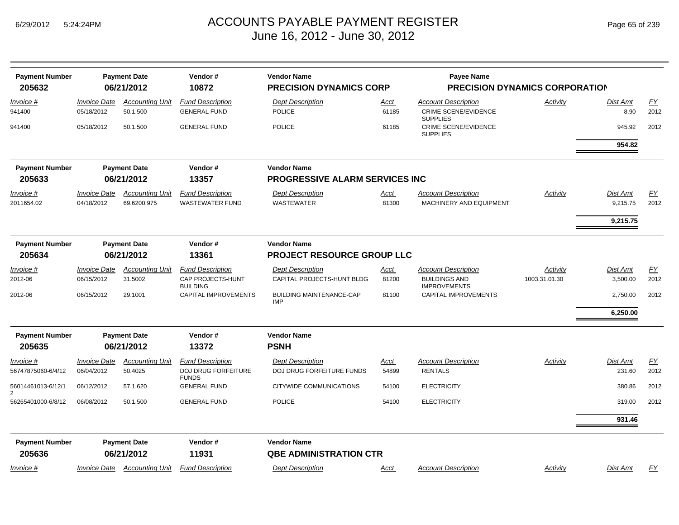| <b>Payment Number</b>   | <b>Payment Date</b>        |                        | Vendor#                              | <b>Vendor Name</b>                            |             | <b>Payee Name</b>                              |               |                 |      |  |
|-------------------------|----------------------------|------------------------|--------------------------------------|-----------------------------------------------|-------------|------------------------------------------------|---------------|-----------------|------|--|
| 205632                  |                            | 06/21/2012             | 10872                                | <b>PRECISION DYNAMICS CORP</b>                |             | <b>PRECISION DYNAMICS CORPORATION</b>          |               |                 |      |  |
| Invoice #               | <b>Invoice Date</b>        | <b>Accounting Unit</b> | <b>Fund Description</b>              | <b>Dept Description</b>                       | Acct        | <b>Account Description</b>                     | Activity      | Dist Amt        | EY   |  |
| 941400                  | 05/18/2012                 | 50.1.500               | <b>GENERAL FUND</b>                  | <b>POLICE</b>                                 | 61185       | <b>CRIME SCENE/EVIDENCE</b><br><b>SUPPLIES</b> |               | 8.90            | 2012 |  |
| 941400                  | 05/18/2012                 | 50.1.500               | <b>GENERAL FUND</b>                  | <b>POLICE</b>                                 | 61185       | <b>CRIME SCENE/EVIDENCE</b><br><b>SUPPLIES</b> |               | 945.92          | 2012 |  |
|                         |                            |                        |                                      |                                               |             |                                                |               | 954.82          |      |  |
| <b>Payment Number</b>   |                            | <b>Payment Date</b>    | Vendor#                              | <b>Vendor Name</b>                            |             |                                                |               |                 |      |  |
| 205633                  | 06/21/2012<br>13357        |                        |                                      | <b>PROGRESSIVE ALARM SERVICES INC</b>         |             |                                                |               |                 |      |  |
| <b>Invoice #</b>        | <b>Invoice Date</b>        | <b>Accounting Unit</b> | <b>Fund Description</b>              | <b>Dept Description</b>                       | <u>Acct</u> | <b>Account Description</b>                     | Activity      | Dist Amt        | EY   |  |
| 2011654.02              | 04/18/2012                 | 69.6200.975            | <b>WASTEWATER FUND</b>               | <b>WASTEWATER</b>                             | 81300       | MACHINERY AND EQUIPMENT                        |               | 9,215.75        | 2012 |  |
|                         |                            |                        |                                      |                                               |             |                                                |               | 9,215.75        |      |  |
| <b>Payment Number</b>   |                            | <b>Payment Date</b>    | Vendor#                              | <b>Vendor Name</b>                            |             |                                                |               |                 |      |  |
| 205634                  | 06/21/2012<br>13361        |                        |                                      | PROJECT RESOURCE GROUP LLC                    |             |                                                |               |                 |      |  |
| Invoice #               | <b>Invoice Date</b>        | <b>Accounting Unit</b> | <b>Fund Description</b>              | <b>Dept Description</b>                       | Acct        | <b>Account Description</b>                     | Activity      | Dist Amt        | EY   |  |
| 2012-06                 | 06/15/2012                 | 31.5002                | CAP PROJECTS-HUNT<br><b>BUILDING</b> | CAPITAL PROJECTS-HUNT BLDG                    | 81200       | <b>BUILDINGS AND</b><br><b>IMPROVEMENTS</b>    | 1003.31.01.30 | 3,500.00        | 2012 |  |
| 2012-06                 | 06/15/2012                 | 29.1001                | CAPITAL IMPROVEMENTS                 | <b>BUILDING MAINTENANCE-CAP</b><br><b>IMP</b> | 81100       | <b>CAPITAL IMPROVEMENTS</b>                    |               | 2,750.00        | 2012 |  |
|                         |                            |                        |                                      |                                               |             |                                                |               | 6,250.00        |      |  |
| <b>Payment Number</b>   |                            | <b>Payment Date</b>    | Vendor#                              | <b>Vendor Name</b>                            |             |                                                |               |                 |      |  |
| 205635                  |                            | 06/21/2012             | 13372                                | <b>PSNH</b>                                   |             |                                                |               |                 |      |  |
| Invoice #               | <b>Invoice Date</b>        | <b>Accounting Unit</b> | <b>Fund Description</b>              | <b>Dept Description</b>                       | <u>Acct</u> | <b>Account Description</b>                     | Activity      | <b>Dist Amt</b> | EY   |  |
| 56747875060-6/4/12      | 06/04/2012                 | 50.4025                | DOJ DRUG FORFEITURE<br><b>FUNDS</b>  | DOJ DRUG FORFEITURE FUNDS                     | 54899       | <b>RENTALS</b>                                 |               | 231.60          | 2012 |  |
| 56014461013-6/12/1      | 06/12/2012                 | 57.1.620               | <b>GENERAL FUND</b>                  | CITYWIDE COMMUNICATIONS                       | 54100       | <b>ELECTRICITY</b>                             |               | 380.86          | 2012 |  |
| 2<br>56265401000-6/8/12 | 06/08/2012                 | 50.1.500               | <b>GENERAL FUND</b>                  | <b>POLICE</b>                                 | 54100       | <b>ELECTRICITY</b>                             |               | 319.00          | 2012 |  |
|                         |                            |                        |                                      |                                               |             |                                                |               | 931.46          |      |  |
| <b>Payment Number</b>   |                            | <b>Payment Date</b>    | Vendor#                              | <b>Vendor Name</b>                            |             |                                                |               |                 |      |  |
| 205636                  |                            | 06/21/2012             | 11931                                | <b>QBE ADMINISTRATION CTR</b>                 |             |                                                |               |                 |      |  |
| Invoice #               | <i><b>Invoice Date</b></i> | <b>Accounting Unit</b> | <b>Fund Description</b>              | <b>Dept Description</b>                       | Acct        | <b>Account Description</b>                     | Activity      | Dist Amt        | FY   |  |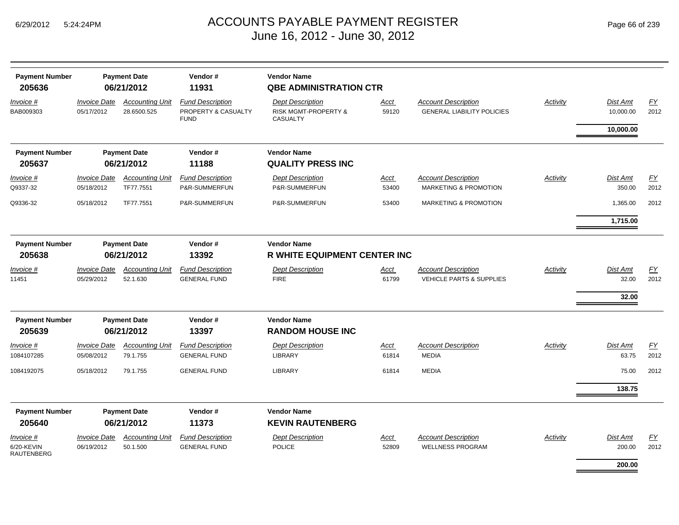| <b>Payment Number</b><br>205636              | <b>Payment Date</b><br>06/21/2012 |                                       | Vendor#<br>11931                                              |                                                                    |               |                                                                   |                 |                           |            |  |  |
|----------------------------------------------|-----------------------------------|---------------------------------------|---------------------------------------------------------------|--------------------------------------------------------------------|---------------|-------------------------------------------------------------------|-----------------|---------------------------|------------|--|--|
| Invoice #<br>BAB009303                       | <b>Invoice Date</b><br>05/17/2012 | <b>Accounting Unit</b><br>28.6500.525 | <b>Fund Description</b><br>PROPERTY & CASUALTY<br><b>FUND</b> | <b>Dept Description</b><br>RISK MGMT-PROPERTY &<br><b>CASUALTY</b> | Acct<br>59120 | <b>Account Description</b><br><b>GENERAL LIABILITY POLICIES</b>   | <b>Activity</b> | Dist Amt<br>10,000.00     | EY<br>2012 |  |  |
|                                              |                                   |                                       |                                                               |                                                                    |               |                                                                   |                 | 10,000.00                 |            |  |  |
| <b>Payment Number</b>                        | <b>Payment Date</b><br>06/21/2012 |                                       | Vendor#                                                       |                                                                    |               | <b>Vendor Name</b>                                                |                 |                           |            |  |  |
| 205637                                       |                                   |                                       | 11188                                                         | <b>QUALITY PRESS INC</b>                                           |               |                                                                   |                 |                           |            |  |  |
| Invoice #<br>Q9337-32                        | <b>Invoice Date</b><br>05/18/2012 | <b>Accounting Unit</b><br>TF77.7551   | <b>Fund Description</b><br>P&R-SUMMERFUN                      | <b>Dept Description</b><br>P&R-SUMMERFUN                           | Acct<br>53400 | <b>Account Description</b><br><b>MARKETING &amp; PROMOTION</b>    | Activity        | Dist Amt<br>350.00        | EY<br>2012 |  |  |
| Q9336-32                                     | 05/18/2012                        | TF77.7551                             | P&R-SUMMERFUN                                                 | P&R-SUMMERFUN                                                      | 53400         | MARKETING & PROMOTION                                             |                 | 1,365.00                  | 2012       |  |  |
|                                              |                                   |                                       |                                                               |                                                                    |               |                                                                   |                 | 1,715.00                  |            |  |  |
| <b>Payment Number</b>                        | Vendor#<br><b>Payment Date</b>    |                                       |                                                               | <b>Vendor Name</b>                                                 |               |                                                                   |                 |                           |            |  |  |
| 205638                                       |                                   | 06/21/2012                            | 13392                                                         | <b>R WHITE EQUIPMENT CENTER INC</b>                                |               |                                                                   |                 |                           |            |  |  |
| Invoice #<br>11451                           | <b>Invoice Date</b><br>05/29/2012 | <b>Accounting Unit</b><br>52.1.630    | <b>Fund Description</b><br><b>GENERAL FUND</b>                | <b>Dept Description</b><br><b>FIRE</b>                             | Acct<br>61799 | <b>Account Description</b><br><b>VEHICLE PARTS &amp; SUPPLIES</b> | <b>Activity</b> | <b>Dist Amt</b><br>32.00  | EY<br>2012 |  |  |
|                                              |                                   |                                       |                                                               |                                                                    |               |                                                                   |                 | 32.00                     |            |  |  |
| <b>Payment Number</b>                        |                                   | <b>Payment Date</b>                   | Vendor#                                                       | <b>Vendor Name</b>                                                 |               |                                                                   |                 |                           |            |  |  |
| 205639                                       |                                   | 06/21/2012                            | 13397                                                         | <b>RANDOM HOUSE INC</b>                                            |               |                                                                   |                 |                           |            |  |  |
| Invoice #<br>1084107285                      | <b>Invoice Date</b><br>05/08/2012 | <b>Accounting Unit</b><br>79.1.755    | <b>Fund Description</b><br><b>GENERAL FUND</b>                | <b>Dept Description</b><br>LIBRARY                                 | Acct<br>61814 | <b>Account Description</b><br><b>MEDIA</b>                        | Activity        | <b>Dist Amt</b><br>63.75  | EY<br>2012 |  |  |
| 1084192075                                   | 05/18/2012                        | 79.1.755                              | <b>GENERAL FUND</b>                                           | <b>LIBRARY</b>                                                     | 61814         | <b>MEDIA</b>                                                      |                 | 75.00                     | 2012       |  |  |
|                                              |                                   |                                       |                                                               |                                                                    |               |                                                                   |                 | 138.75                    |            |  |  |
| <b>Payment Number</b>                        |                                   | <b>Payment Date</b>                   | Vendor#                                                       | <b>Vendor Name</b>                                                 |               |                                                                   |                 |                           |            |  |  |
| 205640                                       |                                   | 06/21/2012                            | 11373                                                         | <b>KEVIN RAUTENBERG</b>                                            |               |                                                                   |                 |                           |            |  |  |
| Invoice #<br>6/20-KEVIN<br><b>RAUTENBERG</b> | <b>Invoice Date</b><br>06/19/2012 | <b>Accounting Unit</b><br>50.1.500    | <b>Fund Description</b><br><b>GENERAL FUND</b>                | <b>Dept Description</b><br><b>POLICE</b>                           | Acct<br>52809 | <b>Account Description</b><br><b>WELLNESS PROGRAM</b>             | Activity        | <b>Dist Amt</b><br>200.00 | EY<br>2012 |  |  |
|                                              |                                   |                                       |                                                               |                                                                    |               |                                                                   |                 | 200.00                    |            |  |  |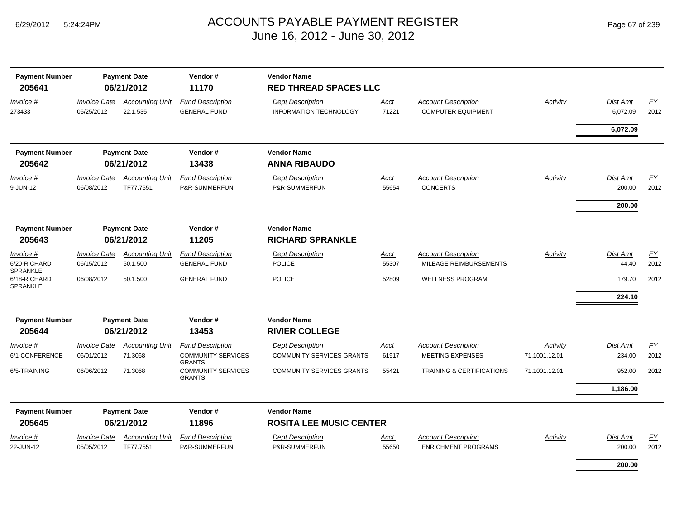| <b>Payment Number</b><br>205641              | <b>Payment Date</b><br>06/21/2012 |                                     | Vendor#<br>11170                                                      | <b>Vendor Name</b>                                          | <b>RED THREAD SPACES LLC</b> |                                                          |                           |                           |                          |  |  |  |  |
|----------------------------------------------|-----------------------------------|-------------------------------------|-----------------------------------------------------------------------|-------------------------------------------------------------|------------------------------|----------------------------------------------------------|---------------------------|---------------------------|--------------------------|--|--|--|--|
| Invoice #<br>273433                          | <b>Invoice Date</b><br>05/25/2012 | <b>Accounting Unit</b><br>22.1.535  | <b>Fund Description</b><br><b>GENERAL FUND</b>                        | <b>Dept Description</b><br><b>INFORMATION TECHNOLOGY</b>    | <u>Acct</u><br>71221         | <b>Account Description</b><br><b>COMPUTER EQUIPMENT</b>  | Activity                  | Dist Amt<br>6,072.09      | EY<br>2012               |  |  |  |  |
|                                              |                                   |                                     |                                                                       |                                                             |                              |                                                          |                           | 6,072.09                  |                          |  |  |  |  |
| <b>Payment Number</b><br>205642              |                                   | <b>Payment Date</b><br>06/21/2012   | Vendor#<br>13438                                                      | <b>Vendor Name</b><br><b>ANNA RIBAUDO</b>                   |                              |                                                          |                           |                           |                          |  |  |  |  |
| Invoice #<br>9-JUN-12                        | <b>Invoice Date</b><br>06/08/2012 | <b>Accounting Unit</b><br>TF77.7551 | <b>Fund Description</b><br>P&R-SUMMERFUN                              | <b>Dept Description</b><br>P&R-SUMMERFUN                    | Acct<br>55654                | <b>Account Description</b><br><b>CONCERTS</b>            | Activity                  | Dist Amt<br>200.00        | $\underline{FY}$<br>2012 |  |  |  |  |
|                                              |                                   |                                     |                                                                       |                                                             |                              |                                                          |                           | 200.00                    |                          |  |  |  |  |
| <b>Payment Number</b><br>205643              | <b>Payment Date</b><br>06/21/2012 |                                     | Vendor#<br>11205                                                      | <b>Vendor Name</b><br><b>RICHARD SPRANKLE</b>               |                              |                                                          |                           |                           |                          |  |  |  |  |
| Invoice #<br>6/20-RICHARD<br><b>SPRANKLE</b> | <b>Invoice Date</b><br>06/15/2012 | <b>Accounting Unit</b><br>50.1.500  | <b>Fund Description</b><br><b>GENERAL FUND</b>                        | <b>Dept Description</b><br><b>POLICE</b>                    | Acct<br>55307                | <b>Account Description</b><br>MILEAGE REIMBURSEMENTS     | Activity                  | Dist Amt<br>44.40         | EY<br>2012               |  |  |  |  |
| 6/18-RICHARD<br>SPRANKLE                     | 06/08/2012                        | 50.1.500                            | <b>GENERAL FUND</b>                                                   | <b>POLICE</b>                                               | 52809                        | <b>WELLNESS PROGRAM</b>                                  |                           | 179.70<br>224.10          | 2012                     |  |  |  |  |
| <b>Payment Number</b>                        |                                   | <b>Payment Date</b>                 | Vendor#                                                               | <b>Vendor Name</b>                                          |                              |                                                          |                           |                           |                          |  |  |  |  |
| 205644                                       |                                   | 06/21/2012                          | 13453                                                                 | <b>RIVIER COLLEGE</b>                                       |                              |                                                          |                           |                           |                          |  |  |  |  |
| Invoice #<br>6/1-CONFERENCE                  | <b>Invoice Date</b><br>06/01/2012 | <b>Accounting Unit</b><br>71.3068   | <b>Fund Description</b><br><b>COMMUNITY SERVICES</b><br><b>GRANTS</b> | <b>Dept Description</b><br><b>COMMUNITY SERVICES GRANTS</b> | Acct<br>61917                | <b>Account Description</b><br><b>MEETING EXPENSES</b>    | Activity<br>71.1001.12.01 | <b>Dist Amt</b><br>234.00 | EY<br>2012               |  |  |  |  |
| 6/5-TRAINING                                 | 06/06/2012                        | 71.3068                             | <b>COMMUNITY SERVICES</b><br><b>GRANTS</b>                            | <b>COMMUNITY SERVICES GRANTS</b>                            | 55421                        | <b>TRAINING &amp; CERTIFICATIONS</b>                     | 71.1001.12.01             | 952.00                    | 2012                     |  |  |  |  |
|                                              |                                   |                                     |                                                                       |                                                             |                              |                                                          |                           | 1,186.00                  |                          |  |  |  |  |
| <b>Payment Number</b>                        |                                   | <b>Payment Date</b>                 | Vendor#                                                               | <b>Vendor Name</b>                                          |                              |                                                          |                           |                           |                          |  |  |  |  |
| 205645                                       |                                   | 06/21/2012                          | 11896                                                                 | <b>ROSITA LEE MUSIC CENTER</b>                              |                              |                                                          |                           |                           |                          |  |  |  |  |
| <i>Invoice</i> #<br>22-JUN-12                | <b>Invoice Date</b><br>05/05/2012 | <b>Accounting Unit</b><br>TF77.7551 | <b>Fund Description</b><br>P&R-SUMMERFUN                              | <b>Dept Description</b><br>P&R-SUMMERFUN                    | <u>Acct</u><br>55650         | <b>Account Description</b><br><b>ENRICHMENT PROGRAMS</b> | Activity                  | <b>Dist Amt</b><br>200.00 | <u>FY</u><br>2012        |  |  |  |  |
|                                              |                                   |                                     |                                                                       |                                                             |                              |                                                          |                           | 200.00                    |                          |  |  |  |  |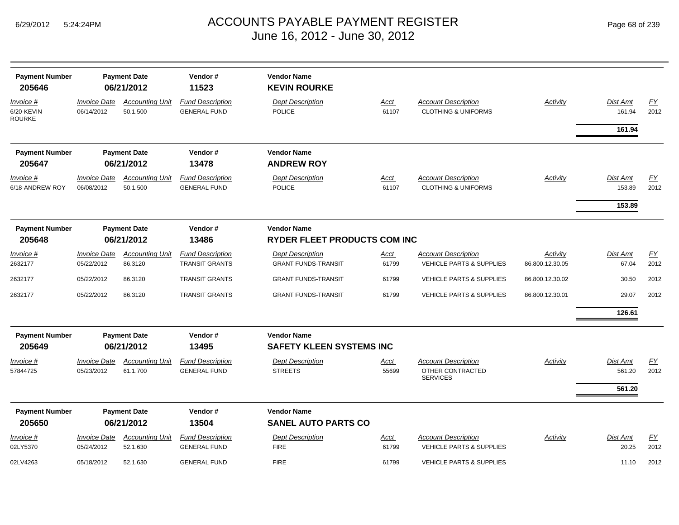| <b>Payment Number</b><br>205646          | <b>Payment Date</b><br>06/21/2012 |                                    | Vendor#<br>11523                                 | <b>Vendor Name</b><br><b>KEVIN ROURKE</b>                 |                      |                                                                   |                             |                           |                          |
|------------------------------------------|-----------------------------------|------------------------------------|--------------------------------------------------|-----------------------------------------------------------|----------------------|-------------------------------------------------------------------|-----------------------------|---------------------------|--------------------------|
| Invoice #<br>6/20-KEVIN<br><b>ROURKE</b> | <b>Invoice Date</b><br>06/14/2012 | <b>Accounting Unit</b><br>50.1.500 | <b>Fund Description</b><br><b>GENERAL FUND</b>   | <b>Dept Description</b><br><b>POLICE</b>                  | <b>Acct</b><br>61107 | <b>Account Description</b><br><b>CLOTHING &amp; UNIFORMS</b>      | <b>Activity</b>             | Dist Amt<br>161.94        | EY<br>2012               |
|                                          |                                   |                                    |                                                  |                                                           |                      |                                                                   |                             | 161.94                    |                          |
| <b>Payment Number</b><br>205647          |                                   | <b>Payment Date</b><br>06/21/2012  | Vendor#<br>13478                                 | <b>Vendor Name</b><br><b>ANDREW ROY</b>                   |                      |                                                                   |                             |                           |                          |
| Invoice #<br>6/18-ANDREW ROY             | <b>Invoice Date</b><br>06/08/2012 | <b>Accounting Unit</b><br>50.1.500 | <b>Fund Description</b><br><b>GENERAL FUND</b>   | <b>Dept Description</b><br><b>POLICE</b>                  | <b>Acct</b><br>61107 | <b>Account Description</b><br><b>CLOTHING &amp; UNIFORMS</b>      | Activity                    | <b>Dist Amt</b><br>153.89 | $\underline{FY}$<br>2012 |
|                                          |                                   |                                    |                                                  |                                                           |                      |                                                                   |                             | 153.89                    |                          |
| <b>Payment Number</b><br>205648          | <b>Payment Date</b><br>06/21/2012 |                                    | Vendor#<br>13486                                 | <b>Vendor Name</b><br><b>RYDER FLEET PRODUCTS COM INC</b> |                      |                                                                   |                             |                           |                          |
| Invoice #<br>2632177                     | <b>Invoice Date</b><br>05/22/2012 | <b>Accounting Unit</b><br>86.3120  | <b>Fund Description</b><br><b>TRANSIT GRANTS</b> | <b>Dept Description</b><br><b>GRANT FUNDS-TRANSIT</b>     | Acct<br>61799        | <b>Account Description</b><br><b>VEHICLE PARTS &amp; SUPPLIES</b> | Activity<br>86.800.12.30.05 | <b>Dist Amt</b><br>67.04  | <b>FY</b><br>2012        |
| 2632177                                  | 05/22/2012                        | 86.3120                            | <b>TRANSIT GRANTS</b>                            | <b>GRANT FUNDS-TRANSIT</b>                                | 61799                | <b>VEHICLE PARTS &amp; SUPPLIES</b>                               | 86.800.12.30.02             | 30.50                     | 2012                     |
| 2632177                                  | 05/22/2012                        | 86.3120                            | <b>TRANSIT GRANTS</b>                            | <b>GRANT FUNDS-TRANSIT</b>                                | 61799                | <b>VEHICLE PARTS &amp; SUPPLIES</b>                               | 86.800.12.30.01             | 29.07                     | 2012                     |
|                                          |                                   |                                    |                                                  |                                                           |                      |                                                                   |                             | 126.61                    |                          |
| <b>Payment Number</b><br>205649          |                                   | <b>Payment Date</b><br>06/21/2012  | Vendor#<br>13495                                 | <b>Vendor Name</b><br><b>SAFETY KLEEN SYSTEMS INC</b>     |                      |                                                                   |                             |                           |                          |
| <i>Invoice</i> #<br>57844725             | <b>Invoice Date</b><br>05/23/2012 | <b>Accounting Unit</b><br>61.1.700 | <b>Fund Description</b><br><b>GENERAL FUND</b>   | <b>Dept Description</b><br><b>STREETS</b>                 | <b>Acct</b><br>55699 | <b>Account Description</b><br>OTHER CONTRACTED<br><b>SERVICES</b> | <b>Activity</b>             | <b>Dist Amt</b><br>561.20 | $\underline{FY}$<br>2012 |
|                                          |                                   |                                    |                                                  |                                                           |                      |                                                                   |                             | 561.20                    |                          |
| <b>Payment Number</b><br>205650          |                                   | <b>Payment Date</b><br>06/21/2012  | Vendor#<br>13504                                 | <b>Vendor Name</b><br><b>SANEL AUTO PARTS CO</b>          |                      |                                                                   |                             |                           |                          |
| Invoice #<br>02LY5370                    | <b>Invoice Date</b><br>05/24/2012 | <b>Accounting Unit</b><br>52.1.630 | <b>Fund Description</b><br><b>GENERAL FUND</b>   | <b>Dept Description</b><br><b>FIRE</b>                    | <b>Acct</b><br>61799 | <b>Account Description</b><br><b>VEHICLE PARTS &amp; SUPPLIES</b> | Activity                    | Dist Amt<br>20.25         | $\underline{FY}$<br>2012 |
| 02LV4263                                 | 05/18/2012                        | 52.1.630                           | <b>GENERAL FUND</b>                              | <b>FIRE</b>                                               | 61799                | <b>VEHICLE PARTS &amp; SUPPLIES</b>                               |                             | 11.10                     | 2012                     |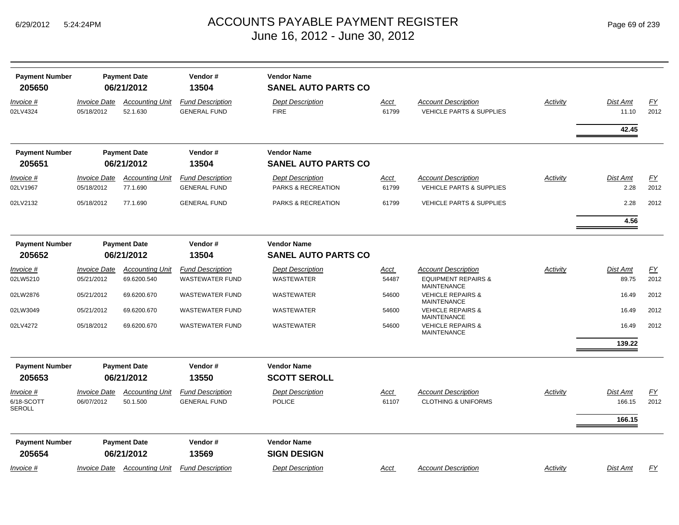| <b>Payment Number</b><br>205650          |                                          | <b>Payment Date</b><br>06/21/2012   | Vendor#<br>13504                               | <b>Vendor Name</b><br><b>SANEL AUTO PARTS CO</b> |                      |                                                                   |          |                                     |                          |
|------------------------------------------|------------------------------------------|-------------------------------------|------------------------------------------------|--------------------------------------------------|----------------------|-------------------------------------------------------------------|----------|-------------------------------------|--------------------------|
| Invoice #<br>02LV4324                    | <b>Invoice Date</b><br>05/18/2012        | <b>Accounting Unit</b><br>52.1.630  | <b>Fund Description</b><br><b>GENERAL FUND</b> | <b>Dept Description</b><br><b>FIRE</b>           | <u>Acct</u><br>61799 | <b>Account Description</b><br><b>VEHICLE PARTS &amp; SUPPLIES</b> | Activity | <b>Dist Amt</b><br>11.10            | $\underline{FY}$<br>2012 |
|                                          |                                          |                                     |                                                |                                                  |                      |                                                                   |          | 42.45                               |                          |
| <b>Payment Number</b><br>205651          |                                          | <b>Payment Date</b><br>06/21/2012   | Vendor#<br>13504                               | <b>Vendor Name</b><br><b>SANEL AUTO PARTS CO</b> |                      |                                                                   |          |                                     |                          |
| Invoice #<br>02LV1967                    | <i><b>Invoice Date</b></i><br>05/18/2012 | <b>Accounting Unit</b><br>77.1.690  | <b>Fund Description</b><br><b>GENERAL FUND</b> | <b>Dept Description</b><br>PARKS & RECREATION    | Acct<br>61799        | <b>Account Description</b><br><b>VEHICLE PARTS &amp; SUPPLIES</b> | Activity | <b>Dist Amt</b><br>2.28             | <u>FY</u><br>2012        |
| 02LV2132                                 | 05/18/2012                               | 77.1.690                            | <b>GENERAL FUND</b>                            | PARKS & RECREATION                               | 61799                | <b>VEHICLE PARTS &amp; SUPPLIES</b>                               |          | 2.28                                | 2012                     |
|                                          |                                          |                                     |                                                |                                                  |                      |                                                                   |          | 4.56                                |                          |
| <b>Payment Number</b>                    |                                          | <b>Payment Date</b>                 | Vendor#                                        | <b>Vendor Name</b>                               |                      |                                                                   |          |                                     |                          |
| 205652                                   |                                          | 06/21/2012                          | 13504                                          | <b>SANEL AUTO PARTS CO</b>                       |                      |                                                                   |          |                                     |                          |
| Invoice #                                | <i><b>Invoice Date</b></i>               | <b>Accounting Unit</b>              | <b>Fund Description</b>                        | <b>Dept Description</b>                          | <u>Acct</u>          | Account Description                                               | Activity | <b>Dist Amt</b>                     | EY                       |
| 02LW5210                                 | 05/21/2012                               | 69.6200.540                         | <b>WASTEWATER FUND</b>                         | WASTEWATER                                       | 54487                | <b>EQUIPMENT REPAIRS &amp;</b><br><b>MAINTENANCE</b>              |          | 89.75                               | 2012                     |
| 02LW2876                                 | 05/21/2012                               | 69.6200.670                         | <b>WASTEWATER FUND</b>                         | WASTEWATER                                       | 54600                | <b>VEHICLE REPAIRS &amp;</b><br><b>MAINTENANCE</b>                |          | 16.49                               | 2012                     |
| 02LW3049                                 | 05/21/2012                               | 69.6200.670                         | <b>WASTEWATER FUND</b>                         | WASTEWATER                                       | 54600                | <b>VEHICLE REPAIRS &amp;</b><br><b>MAINTENANCE</b>                |          | 16.49                               | 2012                     |
| 02LV4272                                 | 05/18/2012                               | 69.6200.670                         | <b>WASTEWATER FUND</b>                         | WASTEWATER                                       | 54600                | <b>VEHICLE REPAIRS &amp;</b><br><b>MAINTENANCE</b>                |          | 16.49                               | 2012                     |
|                                          |                                          |                                     |                                                |                                                  |                      |                                                                   |          | 139.22                              |                          |
| <b>Payment Number</b>                    |                                          | <b>Payment Date</b>                 | Vendor #                                       | <b>Vendor Name</b>                               |                      |                                                                   |          |                                     |                          |
| 205653                                   |                                          | 06/21/2012                          | 13550                                          | <b>SCOTT SEROLL</b>                              |                      |                                                                   |          |                                     |                          |
| <i>Invoice</i> #<br>6/18-SCOTT<br>SEROLL | <b>Invoice Date</b><br>06/07/2012        | <b>Accounting Unit</b><br>50.1.500  | <b>Fund Description</b><br><b>GENERAL FUND</b> | <b>Dept Description</b><br>POLICE                | Acct<br>61107        | <b>Account Description</b><br><b>CLOTHING &amp; UNIFORMS</b>      | Activity | <b>Dist Amt</b><br>166.15<br>166.15 | EY<br>2012               |
| <b>Payment Number</b><br>205654          |                                          | <b>Payment Date</b><br>06/21/2012   | Vendor#<br>13569                               | <b>Vendor Name</b><br><b>SIGN DESIGN</b>         |                      |                                                                   |          |                                     |                          |
| <u>Invoice #</u>                         |                                          | <b>Invoice Date Accounting Unit</b> | <b>Fund Description</b>                        | <b>Dept Description</b>                          | <u>Acct</u>          | <b>Account Description</b>                                        | Activity | <b>Dist Amt</b>                     | EY                       |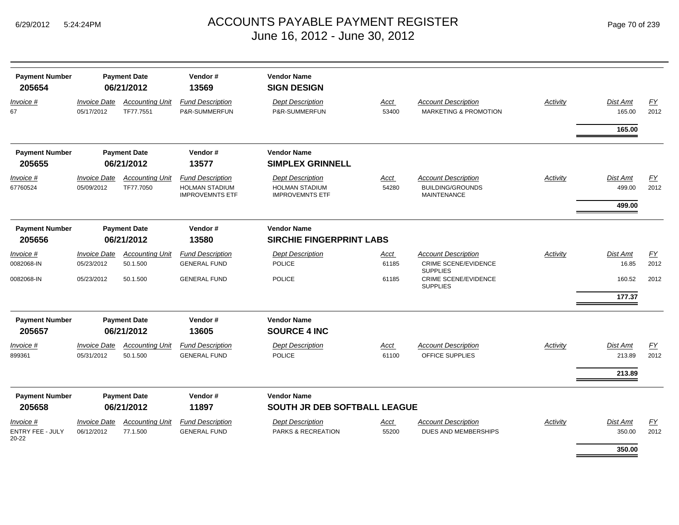|  | Page 70 of 239 |  |  |  |
|--|----------------|--|--|--|
|--|----------------|--|--|--|

| <b>Payment Number</b><br>205654  | <b>Payment Date</b><br>06/21/2012 |                                     | Vendor#<br>13569                                                           | <b>Vendor Name</b><br><b>SIGN DESIGN</b>                                   |               |                                                                             |          |                           |            |
|----------------------------------|-----------------------------------|-------------------------------------|----------------------------------------------------------------------------|----------------------------------------------------------------------------|---------------|-----------------------------------------------------------------------------|----------|---------------------------|------------|
| Invoice #<br>67                  | <b>Invoice Date</b><br>05/17/2012 | <b>Accounting Unit</b><br>TF77.7551 | <b>Fund Description</b><br>P&R-SUMMERFUN                                   | <b>Dept Description</b><br>P&R-SUMMERFUN                                   | Acct<br>53400 | <b>Account Description</b><br>MARKETING & PROMOTION                         | Activity | <b>Dist Amt</b><br>165.00 | EY<br>2012 |
|                                  |                                   |                                     |                                                                            |                                                                            |               |                                                                             |          | 165.00                    |            |
| <b>Payment Number</b>            |                                   | <b>Payment Date</b>                 | Vendor#                                                                    | <b>Vendor Name</b>                                                         |               |                                                                             |          |                           |            |
| 205655                           |                                   | 06/21/2012                          | 13577                                                                      | <b>SIMPLEX GRINNELL</b>                                                    |               |                                                                             |          |                           |            |
| Invoice #<br>67760524            | <b>Invoice Date</b><br>05/09/2012 | <b>Accounting Unit</b><br>TF77.7050 | <b>Fund Description</b><br><b>HOLMAN STADIUM</b><br><b>IMPROVEMNTS ETF</b> | <b>Dept Description</b><br><b>HOLMAN STADIUM</b><br><b>IMPROVEMNTS ETF</b> | Acct<br>54280 | <b>Account Description</b><br><b>BUILDING/GROUNDS</b><br><b>MAINTENANCE</b> | Activity | Dist Amt<br>499.00        | FY<br>2012 |
|                                  |                                   |                                     |                                                                            |                                                                            |               |                                                                             |          | 499.00                    |            |
| <b>Payment Number</b>            |                                   | <b>Payment Date</b>                 | Vendor#                                                                    | <b>Vendor Name</b>                                                         |               |                                                                             |          |                           |            |
| 205656                           |                                   | 06/21/2012                          | 13580                                                                      | <b>SIRCHIE FINGERPRINT LABS</b>                                            |               |                                                                             |          |                           |            |
| Invoice #                        | <i><b>Invoice Date</b></i>        | <b>Accounting Unit</b>              | <b>Fund Description</b>                                                    | <b>Dept Description</b>                                                    | Acct          | <b>Account Description</b>                                                  | Activity | <b>Dist Amt</b>           | EY         |
| 0082068-IN                       | 05/23/2012                        | 50.1.500                            | <b>GENERAL FUND</b>                                                        | <b>POLICE</b>                                                              | 61185         | <b>CRIME SCENE/EVIDENCE</b><br><b>SUPPLIES</b>                              |          | 16.85                     | 2012       |
| 0082068-IN                       | 05/23/2012                        | 50.1.500                            | <b>GENERAL FUND</b>                                                        | <b>POLICE</b>                                                              | 61185         | <b>CRIME SCENE/EVIDENCE</b><br><b>SUPPLIES</b>                              |          | 160.52<br>177.37          | 2012       |
|                                  |                                   |                                     |                                                                            |                                                                            |               |                                                                             |          |                           |            |
| <b>Payment Number</b>            |                                   | <b>Payment Date</b>                 | Vendor#                                                                    | <b>Vendor Name</b>                                                         |               |                                                                             |          |                           |            |
| 205657                           |                                   | 06/21/2012                          | 13605                                                                      | <b>SOURCE 4 INC</b>                                                        |               |                                                                             |          |                           |            |
| Invoice #<br>899361              | <b>Invoice Date</b><br>05/31/2012 | <b>Accounting Unit</b><br>50.1.500  | <b>Fund Description</b><br><b>GENERAL FUND</b>                             | <b>Dept Description</b><br><b>POLICE</b>                                   | Acct<br>61100 | <b>Account Description</b><br>OFFICE SUPPLIES                               | Activity | Dist Amt<br>213.89        | EY<br>2012 |
|                                  |                                   |                                     |                                                                            |                                                                            |               |                                                                             |          | 213.89                    |            |
| <b>Payment Number</b><br>205658  |                                   | <b>Payment Date</b><br>06/21/2012   | Vendor#<br>11897                                                           | <b>Vendor Name</b><br>SOUTH JR DEB SOFTBALL LEAGUE                         |               |                                                                             |          |                           |            |
| Invoice #                        | <b>Invoice Date</b>               | <b>Accounting Unit</b>              | <b>Fund Description</b>                                                    | <b>Dept Description</b>                                                    | Acct          | <b>Account Description</b>                                                  | Activity | <b>Dist Amt</b>           | EY         |
| <b>ENTRY FEE - JULY</b><br>20-22 | 06/12/2012                        | 77.1.500                            | <b>GENERAL FUND</b>                                                        | <b>PARKS &amp; RECREATION</b>                                              | 55200         | <b>DUES AND MEMBERSHIPS</b>                                                 |          | 350.00                    | 2012       |
|                                  |                                   |                                     |                                                                            |                                                                            |               |                                                                             |          | 350.00                    |            |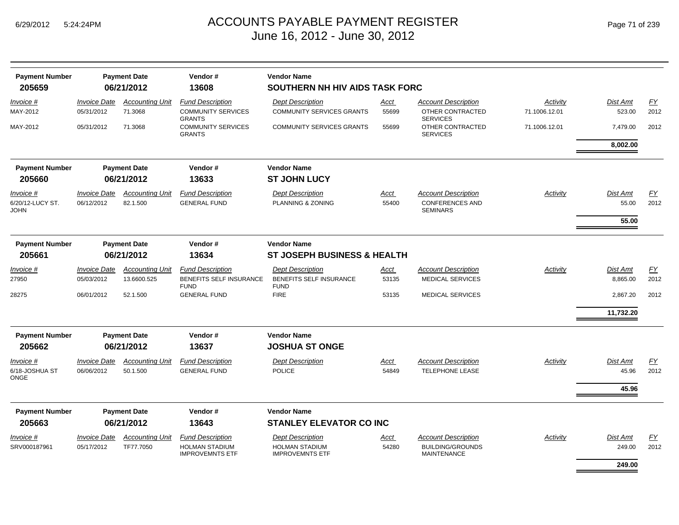| <b>Payment Number</b>           | <b>Payment Date</b>        |                                | Vendor#                                         | <b>Vendor Name</b>                              |             |                                               |                 |                 |      |  |  |
|---------------------------------|----------------------------|--------------------------------|-------------------------------------------------|-------------------------------------------------|-------------|-----------------------------------------------|-----------------|-----------------|------|--|--|
| 205659                          | 06/21/2012                 |                                | 13608                                           | SOUTHERN NH HIV AIDS TASK FORC                  |             |                                               |                 |                 |      |  |  |
| Invoice #                       | <b>Invoice Date</b>        | <b>Accounting Unit</b>         | <b>Fund Description</b>                         | <b>Dept Description</b>                         | <u>Acct</u> | <b>Account Description</b>                    | Activity        | Dist Amt        | EY   |  |  |
| MAY-2012                        | 05/31/2012                 | 71.3068                        | <b>COMMUNITY SERVICES</b><br><b>GRANTS</b>      | <b>COMMUNITY SERVICES GRANTS</b>                | 55699       | OTHER CONTRACTED<br><b>SERVICES</b>           | 71.1006.12.01   | 523.00          | 2012 |  |  |
| MAY-2012                        | 05/31/2012                 | 71.3068                        | <b>COMMUNITY SERVICES</b><br><b>GRANTS</b>      | <b>COMMUNITY SERVICES GRANTS</b>                | 55699       | OTHER CONTRACTED<br><b>SERVICES</b>           | 71.1006.12.01   | 7,479.00        | 2012 |  |  |
|                                 |                            |                                |                                                 |                                                 |             |                                               |                 | 8,002.00        |      |  |  |
| <b>Payment Number</b>           |                            | <b>Payment Date</b>            | Vendor#                                         | <b>Vendor Name</b>                              |             |                                               |                 |                 |      |  |  |
| 205660                          | 06/21/2012                 |                                | 13633                                           | <b>ST JOHN LUCY</b>                             |             |                                               |                 |                 |      |  |  |
| Invoice #                       | <b>Invoice Date</b>        | <b>Accounting Unit</b>         | <b>Fund Description</b>                         | <b>Dept Description</b>                         | Acct        | <b>Account Description</b>                    | <b>Activity</b> | <b>Dist Amt</b> | EY   |  |  |
| 6/20/12-LUCY ST.<br><b>JOHN</b> | 06/12/2012                 | 82.1.500                       | <b>GENERAL FUND</b>                             | PLANNING & ZONING                               | 55400       | <b>CONFERENCES AND</b><br><b>SEMINARS</b>     |                 | 55.00           | 2012 |  |  |
|                                 |                            |                                |                                                 |                                                 |             |                                               |                 | 55.00           |      |  |  |
| <b>Payment Number</b>           |                            | Vendor#<br><b>Payment Date</b> |                                                 | <b>Vendor Name</b>                              |             |                                               |                 |                 |      |  |  |
| 205661                          | 06/21/2012<br>13634        |                                |                                                 | <b>ST JOSEPH BUSINESS &amp; HEALTH</b>          |             |                                               |                 |                 |      |  |  |
| Invoice #                       | <b>Invoice Date</b>        | <b>Accounting Unit</b>         | <b>Fund Description</b>                         | <b>Dept Description</b>                         | <u>Acct</u> | <b>Account Description</b>                    | Activity        | Dist Amt        | EY   |  |  |
| 27950                           | 05/03/2012                 | 13.6600.525                    | BENEFITS SELF INSURANCE<br><b>FUND</b>          | <b>BENEFITS SELF INSURANCE</b><br><b>FUND</b>   | 53135       | <b>MEDICAL SERVICES</b>                       |                 | 8,865.00        | 2012 |  |  |
| 28275                           | 06/01/2012                 | 52.1.500                       | <b>GENERAL FUND</b>                             | <b>FIRE</b>                                     | 53135       | <b>MEDICAL SERVICES</b>                       |                 | 2,867.20        | 2012 |  |  |
|                                 |                            |                                |                                                 |                                                 |             |                                               |                 | 11,732.20       |      |  |  |
| <b>Payment Number</b>           |                            | <b>Payment Date</b>            | Vendor#                                         | <b>Vendor Name</b>                              |             |                                               |                 |                 |      |  |  |
| 205662                          |                            | 06/21/2012                     | 13637                                           | <b>JOSHUA ST ONGE</b>                           |             |                                               |                 |                 |      |  |  |
| Invoice #                       | <b>Invoice Date</b>        | <b>Accounting Unit</b>         | <b>Fund Description</b>                         | <b>Dept Description</b>                         | Acct        | <b>Account Description</b>                    | Activity        | Dist Amt        | EY   |  |  |
| 6/18-JOSHUA ST<br><b>ONGE</b>   | 06/06/2012                 | 50.1.500                       | <b>GENERAL FUND</b>                             | <b>POLICE</b>                                   | 54849       | <b>TELEPHONE LEASE</b>                        |                 | 45.96           | 2012 |  |  |
|                                 |                            |                                |                                                 |                                                 |             |                                               | 45.96           |                 |      |  |  |
| <b>Payment Number</b>           |                            | <b>Payment Date</b>            | Vendor#                                         | <b>Vendor Name</b>                              |             |                                               |                 |                 |      |  |  |
| 205663                          |                            | 06/21/2012                     | 13643                                           | <b>STANLEY ELEVATOR CO INC</b>                  |             |                                               |                 |                 |      |  |  |
| Invoice #                       | <i><b>Invoice Date</b></i> | <b>Accounting Unit</b>         | <b>Fund Description</b>                         | <b>Dept Description</b>                         | <u>Acct</u> | <b>Account Description</b>                    | Activity        | <b>Dist Amt</b> | EY   |  |  |
| SRV000187961                    | 05/17/2012                 | TF77.7050                      | <b>HOLMAN STADIUM</b><br><b>IMPROVEMNTS ETF</b> | <b>HOLMAN STADIUM</b><br><b>IMPROVEMNTS ETF</b> | 54280       | <b>BUILDING/GROUNDS</b><br><b>MAINTENANCE</b> |                 | 249.00          | 2012 |  |  |
|                                 |                            |                                |                                                 |                                                 |             |                                               |                 | 249.00          |      |  |  |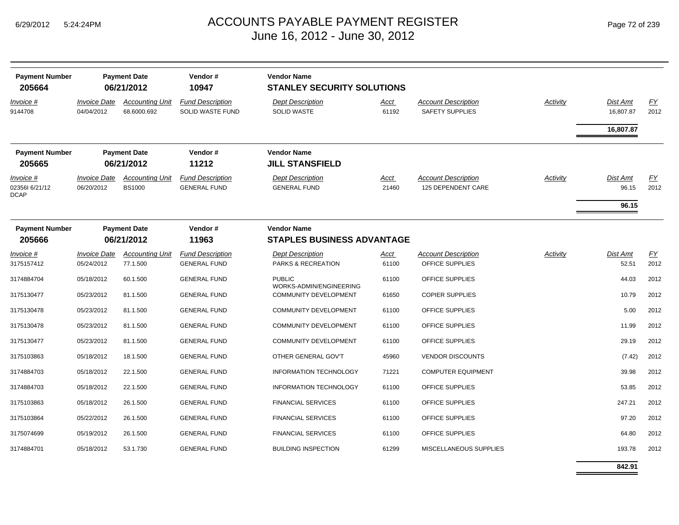| <b>Payment Number</b><br>205664                   |                                                       | <b>Vendor Name</b><br><b>Payment Date</b><br>Vendor#<br>06/21/2012<br>10947<br><b>STANLEY SECURITY SOLUTIONS</b> |                                                         |                                                |                      |                                                      |                 |                            |                  |
|---------------------------------------------------|-------------------------------------------------------|------------------------------------------------------------------------------------------------------------------|---------------------------------------------------------|------------------------------------------------|----------------------|------------------------------------------------------|-----------------|----------------------------|------------------|
| <u>Invoice #</u><br>9144708                       | <b>Invoice Date</b><br>04/04/2012                     | <b>Accounting Unit</b><br>68.6000.692                                                                            | <b>Fund Description</b><br><b>SOLID WASTE FUND</b>      | <b>Dept Description</b><br><b>SOLID WASTE</b>  | <u>Acct</u><br>61192 | <b>Account Description</b><br><b>SAFETY SUPPLIES</b> | <b>Activity</b> | Dist Amt<br>16,807.87      | EY<br>2012       |
|                                                   |                                                       |                                                                                                                  |                                                         |                                                |                      |                                                      |                 | 16,807.87                  |                  |
| <b>Payment Number</b>                             |                                                       | <b>Payment Date</b>                                                                                              | Vendor#                                                 | <b>Vendor Name</b>                             |                      |                                                      |                 |                            |                  |
| 205665                                            | 11212<br><b>JILL STANSFIELD</b><br>06/21/2012         |                                                                                                                  |                                                         |                                                |                      |                                                      |                 |                            |                  |
| <u>Invoice #</u><br>023561 6/21/12<br><b>DCAP</b> | <b>Invoice Date</b><br>06/20/2012                     | <b>Accounting Unit</b><br><b>BS1000</b>                                                                          | <b>Fund Description</b><br><b>GENERAL FUND</b>          | <b>Dept Description</b><br><b>GENERAL FUND</b> | <u>Acct</u><br>21460 | <b>Account Description</b><br>125 DEPENDENT CARE     | <b>Activity</b> | Dist Amt<br>96.15<br>96.15 | EY<br>2012       |
|                                                   |                                                       |                                                                                                                  |                                                         |                                                |                      |                                                      |                 |                            |                  |
| <b>Payment Number</b><br>205666                   | <b>Payment Date</b><br>Vendor#<br>06/21/2012<br>11963 |                                                                                                                  | <b>Vendor Name</b><br><b>STAPLES BUSINESS ADVANTAGE</b> |                                                |                      |                                                      |                 |                            |                  |
| Invoice #                                         | <i><b>Invoice Date</b></i>                            | <b>Accounting Unit</b>                                                                                           | <b>Fund Description</b>                                 | <b>Dept Description</b>                        | <u>Acct</u>          | <b>Account Description</b>                           | Activity        | Dist Amt                   | $\underline{FY}$ |
| 3175157412                                        | 05/24/2012                                            | 77.1.500                                                                                                         | <b>GENERAL FUND</b>                                     | PARKS & RECREATION                             | 61100                | OFFICE SUPPLIES                                      |                 | 52.51                      | 2012             |
| 3174884704                                        | 05/18/2012                                            | 60.1.500                                                                                                         | <b>GENERAL FUND</b>                                     | <b>PUBLIC</b><br>WORKS-ADMIN/ENGINEERING       | 61100                | OFFICE SUPPLIES                                      |                 | 44.03                      | 2012             |
| 3175130477                                        | 05/23/2012                                            | 81.1.500                                                                                                         | <b>GENERAL FUND</b>                                     | COMMUNITY DEVELOPMENT                          | 61650                | <b>COPIER SUPPLIES</b>                               |                 | 10.79                      | 2012             |
| 3175130478                                        | 05/23/2012                                            | 81.1.500                                                                                                         | <b>GENERAL FUND</b>                                     | COMMUNITY DEVELOPMENT                          | 61100                | OFFICE SUPPLIES                                      |                 | 5.00                       | 2012             |
| 3175130478                                        | 05/23/2012                                            | 81.1.500                                                                                                         | <b>GENERAL FUND</b>                                     | COMMUNITY DEVELOPMENT                          | 61100                | OFFICE SUPPLIES                                      |                 | 11.99                      | 2012             |
| 3175130477                                        | 05/23/2012                                            | 81.1.500                                                                                                         | <b>GENERAL FUND</b>                                     | <b>COMMUNITY DEVELOPMENT</b>                   | 61100                | OFFICE SUPPLIES                                      |                 | 29.19                      | 2012             |
| 3175103863                                        | 05/18/2012                                            | 18.1.500                                                                                                         | <b>GENERAL FUND</b>                                     | OTHER GENERAL GOV'T                            | 45960                | <b>VENDOR DISCOUNTS</b>                              |                 | (7.42)                     | 2012             |
| 3174884703                                        | 05/18/2012                                            | 22.1.500                                                                                                         | <b>GENERAL FUND</b>                                     | <b>INFORMATION TECHNOLOGY</b>                  | 71221                | <b>COMPUTER EQUIPMENT</b>                            |                 | 39.98                      | 2012             |
| 3174884703                                        | 05/18/2012                                            | 22.1.500                                                                                                         | <b>GENERAL FUND</b>                                     | <b>INFORMATION TECHNOLOGY</b>                  | 61100                | OFFICE SUPPLIES                                      |                 | 53.85                      | 2012             |
| 3175103863                                        | 05/18/2012                                            | 26.1.500                                                                                                         | <b>GENERAL FUND</b>                                     | <b>FINANCIAL SERVICES</b>                      | 61100                | OFFICE SUPPLIES                                      |                 | 247.21                     | 2012             |
| 3175103864                                        | 05/22/2012                                            | 26.1.500                                                                                                         | <b>GENERAL FUND</b>                                     | <b>FINANCIAL SERVICES</b>                      | 61100                | OFFICE SUPPLIES                                      |                 | 97.20                      | 2012             |
| 3175074699                                        | 05/19/2012                                            | 26.1.500                                                                                                         | <b>GENERAL FUND</b>                                     | <b>FINANCIAL SERVICES</b>                      | 61100                | OFFICE SUPPLIES                                      |                 | 64.80                      | 2012             |
| 3174884701                                        | 05/18/2012                                            | 53.1.730                                                                                                         | <b>GENERAL FUND</b>                                     | <b>BUILDING INSPECTION</b>                     | 61299                | MISCELLANEOUS SUPPLIES                               |                 | 193.78                     | 2012             |

**842.91**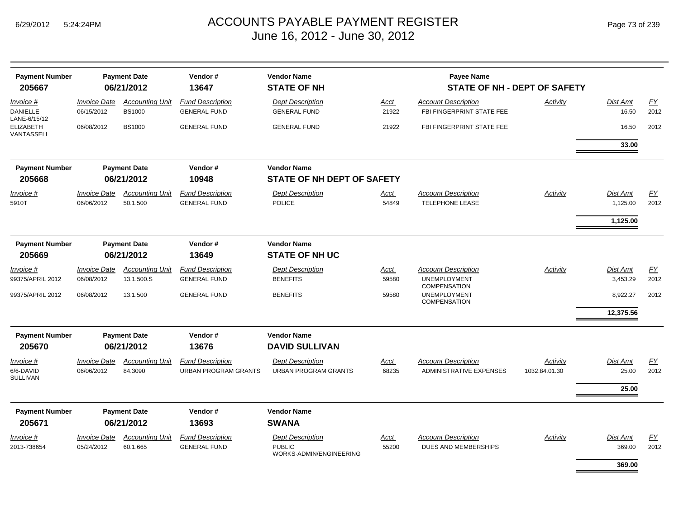| <b>Payment Number</b><br>205667                | <b>Payment Date</b><br>06/21/2012 |                                         | Vendor#<br>13647                                       | <b>Vendor Name</b><br><b>STATE OF NH</b>                            |                      |                                                                          |                           |                          |                   |
|------------------------------------------------|-----------------------------------|-----------------------------------------|--------------------------------------------------------|---------------------------------------------------------------------|----------------------|--------------------------------------------------------------------------|---------------------------|--------------------------|-------------------|
| Invoice #<br><b>DANIELLE</b>                   | <b>Invoice Date</b><br>06/15/2012 | <b>Accounting Unit</b><br><b>BS1000</b> | <b>Fund Description</b><br><b>GENERAL FUND</b>         | <b>Dept Description</b><br><b>GENERAL FUND</b>                      | Acct<br>21922        | <b>Account Description</b><br>FBI FINGERPRINT STATE FEE                  | Activity                  | <b>Dist Amt</b><br>16.50 | EY<br>2012        |
| LANE-6/15/12<br><b>ELIZABETH</b><br>VANTASSELL | 06/08/2012                        | <b>BS1000</b>                           | <b>GENERAL FUND</b>                                    | <b>GENERAL FUND</b>                                                 | 21922                | FBI FINGERPRINT STATE FEE                                                |                           | 16.50                    | 2012              |
|                                                |                                   |                                         |                                                        |                                                                     |                      |                                                                          |                           | 33.00                    |                   |
| <b>Payment Number</b><br>205668                |                                   | <b>Payment Date</b><br>06/21/2012       | Vendor#<br>10948                                       | <b>Vendor Name</b><br>STATE OF NH DEPT OF SAFETY                    |                      |                                                                          |                           |                          |                   |
| Invoice #                                      | <b>Invoice Date</b>               | <b>Accounting Unit</b>                  | <b>Fund Description</b>                                | <b>Dept Description</b>                                             | Acct                 | <b>Account Description</b>                                               | Activity                  | Dist Amt                 | FY                |
| 5910T                                          | 06/06/2012                        | 50.1.500                                | <b>GENERAL FUND</b>                                    | <b>POLICE</b>                                                       | 54849                | <b>TELEPHONE LEASE</b>                                                   |                           | 1,125.00                 | 2012              |
|                                                |                                   |                                         |                                                        |                                                                     |                      |                                                                          |                           | 1,125.00                 |                   |
| <b>Payment Number</b><br>205669                | <b>Payment Date</b><br>06/21/2012 |                                         | Vendor#<br>13649                                       | <b>Vendor Name</b><br><b>STATE OF NH UC</b>                         |                      |                                                                          |                           |                          |                   |
| Invoice #<br>99375/APRIL 2012                  | <b>Invoice Date</b><br>06/08/2012 | <b>Accounting Unit</b><br>13.1.500.S    | <b>Fund Description</b><br><b>GENERAL FUND</b>         | <b>Dept Description</b><br><b>BENEFITS</b>                          | Acct<br>59580        | <b>Account Description</b><br><b>UNEMPLOYMENT</b><br><b>COMPENSATION</b> | Activity                  | Dist Amt<br>3,453.29     | <u>FY</u><br>2012 |
| 99375/APRIL 2012                               | 06/08/2012                        | 13.1.500                                | <b>GENERAL FUND</b>                                    | <b>BENEFITS</b>                                                     | 59580                | <b>UNEMPLOYMENT</b><br><b>COMPENSATION</b>                               |                           | 8,922.27                 | 2012              |
|                                                |                                   |                                         |                                                        |                                                                     |                      |                                                                          |                           | 12,375.56                |                   |
| <b>Payment Number</b><br>205670                |                                   | <b>Payment Date</b><br>06/21/2012       | Vendor#<br>13676                                       | <b>Vendor Name</b><br><b>DAVID SULLIVAN</b>                         |                      |                                                                          |                           |                          |                   |
| Invoice #<br>6/6-DAVID<br><b>SULLIVAN</b>      | <b>Invoice Date</b><br>06/06/2012 | <b>Accounting Unit</b><br>84.3090       | <b>Fund Description</b><br><b>URBAN PROGRAM GRANTS</b> | <b>Dept Description</b><br><b>URBAN PROGRAM GRANTS</b>              | <b>Acct</b><br>68235 | <b>Account Description</b><br><b>ADMINISTRATIVE EXPENSES</b>             | Activity<br>1032.84.01.30 | <b>Dist Amt</b><br>25.00 | EY<br>2012        |
|                                                |                                   |                                         |                                                        |                                                                     |                      |                                                                          |                           | 25.00                    |                   |
| <b>Payment Number</b><br>205671                |                                   | <b>Payment Date</b><br>06/21/2012       | Vendor#<br>13693                                       | <b>Vendor Name</b><br><b>SWANA</b>                                  |                      |                                                                          |                           |                          |                   |
| Invoice #<br>2013-738654                       | <b>Invoice Date</b><br>05/24/2012 | <b>Accounting Unit</b><br>60.1.665      | <b>Fund Description</b><br><b>GENERAL FUND</b>         | <b>Dept Description</b><br><b>PUBLIC</b><br>WORKS-ADMIN/ENGINEERING | Acct<br>55200        | <b>Account Description</b><br>DUES AND MEMBERSHIPS                       | Activity                  | Dist Amt<br>369.00       | <u>FY</u><br>2012 |
|                                                |                                   |                                         |                                                        |                                                                     |                      |                                                                          |                           | 369.00                   |                   |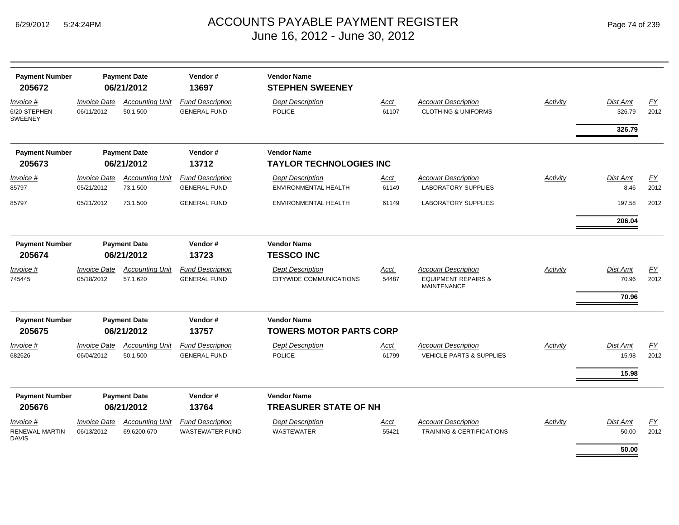|  | Page 74 of 239 |  |  |  |
|--|----------------|--|--|--|
|--|----------------|--|--|--|

| <b>Payment Number</b><br>205672             |                                   | <b>Payment Date</b><br>06/21/2012     | Vendor#<br>13697                                  | <b>Vendor Name</b><br><b>STEPHEN SWEENEY</b>         |                      |                                                                                    |          |                            |                   |
|---------------------------------------------|-----------------------------------|---------------------------------------|---------------------------------------------------|------------------------------------------------------|----------------------|------------------------------------------------------------------------------------|----------|----------------------------|-------------------|
| Invoice #<br>6/20-STEPHEN<br><b>SWEENEY</b> | <b>Invoice Date</b><br>06/11/2012 | <b>Accounting Unit</b><br>50.1.500    | <b>Fund Description</b><br><b>GENERAL FUND</b>    | <b>Dept Description</b><br><b>POLICE</b>             | <b>Acct</b><br>61107 | <b>Account Description</b><br><b>CLOTHING &amp; UNIFORMS</b>                       | Activity | Dist Amt<br>326.79         | EY<br>2012        |
|                                             |                                   |                                       |                                                   |                                                      |                      |                                                                                    |          | 326.79                     |                   |
| <b>Payment Number</b><br>205673             |                                   | <b>Payment Date</b><br>06/21/2012     | Vendor#<br>13712                                  | <b>Vendor Name</b><br><b>TAYLOR TECHNOLOGIES INC</b> |                      |                                                                                    |          |                            |                   |
| Invoice #<br>85797                          | <b>Invoice Date</b><br>05/21/2012 | <b>Accounting Unit</b><br>73.1.500    | <b>Fund Description</b><br><b>GENERAL FUND</b>    | <b>Dept Description</b><br>ENVIRONMENTAL HEALTH      | <b>Acct</b><br>61149 | <b>Account Description</b><br><b>LABORATORY SUPPLIES</b>                           | Activity | Dist Amt<br>8.46           | EY<br>2012        |
| 85797                                       | 05/21/2012                        | 73.1.500                              | <b>GENERAL FUND</b>                               | ENVIRONMENTAL HEALTH                                 | 61149                | <b>LABORATORY SUPPLIES</b>                                                         |          | 197.58                     | 2012              |
|                                             |                                   |                                       |                                                   |                                                      |                      |                                                                                    |          | 206.04                     |                   |
| <b>Payment Number</b><br>205674             | <b>Payment Date</b><br>06/21/2012 |                                       | Vendor#<br>13723                                  | <b>Vendor Name</b><br><b>TESSCO INC</b>              |                      |                                                                                    |          |                            |                   |
| Invoice #<br>745445                         | <b>Invoice Date</b><br>05/18/2012 | <b>Accounting Unit</b><br>57.1.620    | <b>Fund Description</b><br><b>GENERAL FUND</b>    | <b>Dept Description</b><br>CITYWIDE COMMUNICATIONS   | Acct<br>54487        | <b>Account Description</b><br><b>EQUIPMENT REPAIRS &amp;</b><br><b>MAINTENANCE</b> | Activity | Dist Amt<br>70.96<br>70.96 | EY<br>2012        |
| <b>Payment Number</b><br>205675             |                                   | <b>Payment Date</b><br>06/21/2012     | Vendor#<br>13757                                  | <b>Vendor Name</b><br><b>TOWERS MOTOR PARTS CORP</b> |                      |                                                                                    |          |                            |                   |
| Invoice #<br>682626                         | <b>Invoice Date</b><br>06/04/2012 | <b>Accounting Unit</b><br>50.1.500    | <b>Fund Description</b><br><b>GENERAL FUND</b>    | <b>Dept Description</b><br><b>POLICE</b>             | <b>Acct</b><br>61799 | <b>Account Description</b><br><b>VEHICLE PARTS &amp; SUPPLIES</b>                  | Activity | Dist Amt<br>15.98<br>15.98 | <u>FY</u><br>2012 |
| <b>Payment Number</b><br>205676             |                                   | <b>Payment Date</b><br>06/21/2012     | Vendor#<br>13764                                  | <b>Vendor Name</b><br><b>TREASURER STATE OF NH</b>   |                      |                                                                                    |          |                            |                   |
| Invoice #<br><b>RENEWAL-MARTIN</b><br>DAVIS | <b>Invoice Date</b><br>06/13/2012 | <b>Accounting Unit</b><br>69.6200.670 | <b>Fund Description</b><br><b>WASTEWATER FUND</b> | <b>Dept Description</b><br><b>WASTEWATER</b>         | <u>Acct</u><br>55421 | <b>Account Description</b><br><b>TRAINING &amp; CERTIFICATIONS</b>                 | Activity | Dist Amt<br>50.00          | EY<br>2012        |
|                                             |                                   |                                       |                                                   |                                                      |                      |                                                                                    |          | 50.00                      |                   |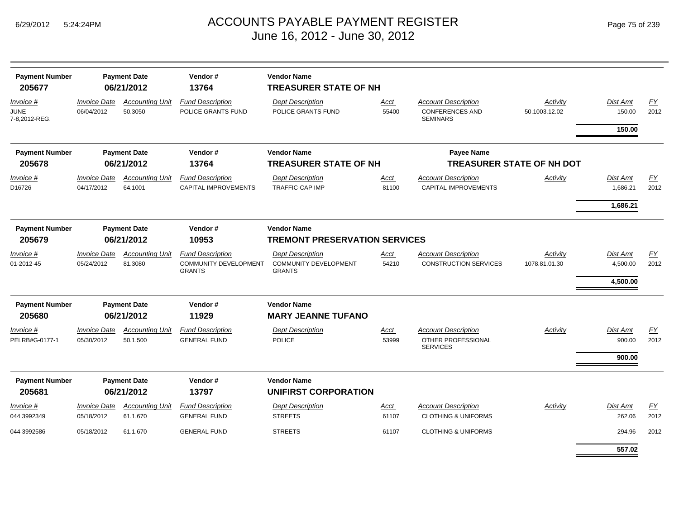| <b>Payment Number</b><br>205677                  |                                          | Vendor#<br><b>Payment Date</b><br>06/21/2012<br>13764 |                                                        | <b>Vendor Name</b><br><b>TREASURER STATE OF NH</b>               |               |                                                                         |                           |                      |                   |
|--------------------------------------------------|------------------------------------------|-------------------------------------------------------|--------------------------------------------------------|------------------------------------------------------------------|---------------|-------------------------------------------------------------------------|---------------------------|----------------------|-------------------|
| <i>Invoice</i> #<br><b>JUNE</b><br>7-8,2012-REG. | <b>Invoice Date</b><br>06/04/2012        | <b>Accounting Unit</b><br>50.3050                     | <b>Fund Description</b><br>POLICE GRANTS FUND          | <b>Dept Description</b><br>POLICE GRANTS FUND                    | Acct<br>55400 | <b>Account Description</b><br><b>CONFERENCES AND</b><br><b>SEMINARS</b> | Activity<br>50.1003.12.02 | Dist Amt<br>150.00   | EY<br>2012        |
|                                                  |                                          |                                                       |                                                        |                                                                  |               |                                                                         |                           | 150.00               |                   |
| <b>Payment Number</b>                            |                                          | <b>Payment Date</b>                                   | Vendor#                                                | <b>Vendor Name</b>                                               |               | <b>Payee Name</b>                                                       |                           |                      |                   |
| 205678                                           | 06/21/2012                               |                                                       | 13764                                                  | <b>TREASURER STATE OF NH</b><br><b>TREASURER STATE OF NH DOT</b> |               |                                                                         |                           |                      |                   |
| Invoice #<br>D16726                              | <i><b>Invoice Date</b></i><br>04/17/2012 | <b>Accounting Unit</b><br>64.1001                     | <b>Fund Description</b><br><b>CAPITAL IMPROVEMENTS</b> | <b>Dept Description</b><br><b>TRAFFIC-CAP IMP</b>                | Acct<br>81100 | <b>Account Description</b><br><b>CAPITAL IMPROVEMENTS</b>               | Activity                  | Dist Amt<br>1,686.21 | <u>FY</u><br>2012 |
|                                                  |                                          |                                                       |                                                        |                                                                  |               |                                                                         |                           | 1,686.21             |                   |
| <b>Payment Number</b>                            |                                          | <b>Payment Date</b>                                   | Vendor#                                                | <b>Vendor Name</b>                                               |               |                                                                         |                           |                      |                   |
| 205679                                           | 06/21/2012<br>10953                      |                                                       |                                                        | <b>TREMONT PRESERVATION SERVICES</b>                             |               |                                                                         |                           |                      |                   |
| <i>Invoice</i> #                                 | <b>Invoice Date</b>                      | <b>Accounting Unit</b>                                | <b>Fund Description</b>                                | <b>Dept Description</b>                                          | Acct          | <b>Account Description</b>                                              | Activity                  | Dist Amt             | EY                |
| 01-2012-45                                       | 05/24/2012                               | 81.3080                                               | COMMUNITY DEVELOPMENT<br><b>GRANTS</b>                 | <b>COMMUNITY DEVELOPMENT</b><br><b>GRANTS</b>                    | 54210         | <b>CONSTRUCTION SERVICES</b>                                            | 1078.81.01.30             | 4,500.00             | 2012              |
|                                                  |                                          |                                                       |                                                        |                                                                  |               |                                                                         |                           | 4,500.00             |                   |
| <b>Payment Number</b>                            |                                          | <b>Payment Date</b>                                   | Vendor#                                                | <b>Vendor Name</b>                                               |               |                                                                         |                           |                      |                   |
| 205680                                           |                                          | 06/21/2012                                            | 11929                                                  | <b>MARY JEANNE TUFANO</b>                                        |               |                                                                         |                           |                      |                   |
| Invoice #<br>PELRB#G-0177-1                      | <b>Invoice Date</b><br>05/30/2012        | <b>Accounting Unit</b><br>50.1.500                    | <b>Fund Description</b><br><b>GENERAL FUND</b>         | <b>Dept Description</b><br><b>POLICE</b>                         | Acct<br>53999 | Account Description<br>OTHER PROFESSIONAL<br><b>SERVICES</b>            | Activity                  | Dist Amt<br>900.00   | EY<br>2012        |
|                                                  |                                          |                                                       |                                                        |                                                                  |               |                                                                         |                           | 900.00               |                   |
| <b>Payment Number</b>                            |                                          | <b>Payment Date</b>                                   | Vendor#                                                | <b>Vendor Name</b>                                               |               |                                                                         |                           |                      |                   |
| 205681                                           |                                          | 06/21/2012                                            | 13797                                                  | <b>UNIFIRST CORPORATION</b>                                      |               |                                                                         |                           |                      |                   |
| Invoice #                                        | <b>Invoice Date</b>                      | <b>Accounting Unit</b>                                | <b>Fund Description</b>                                | <b>Dept Description</b>                                          | Acct          | <b>Account Description</b>                                              | Activity                  | Dist Amt             | <u>FY</u>         |
| 044 3992349                                      | 05/18/2012                               | 61.1.670                                              | <b>GENERAL FUND</b>                                    | <b>STREETS</b>                                                   | 61107         | <b>CLOTHING &amp; UNIFORMS</b>                                          |                           | 262.06               | 2012              |
| 044 3992586                                      | 05/18/2012                               | 61.1.670                                              | <b>GENERAL FUND</b>                                    | <b>STREETS</b>                                                   | 61107         | <b>CLOTHING &amp; UNIFORMS</b>                                          |                           | 294.96               | 2012              |
|                                                  |                                          |                                                       |                                                        |                                                                  |               |                                                                         |                           | 557.02               |                   |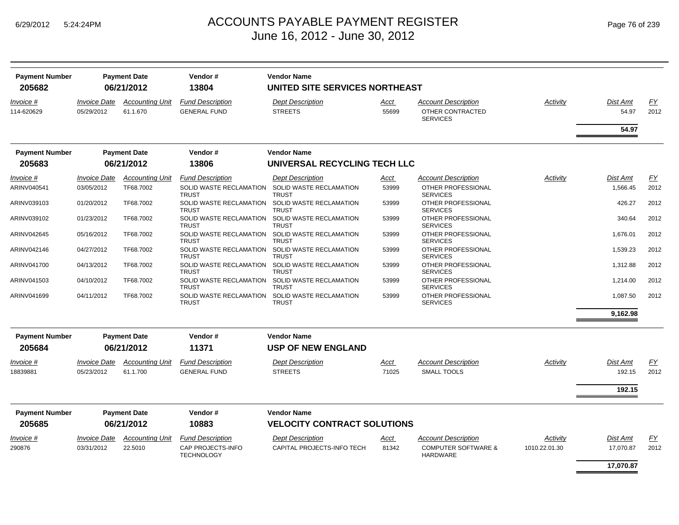| <b>Payment Number</b><br>205682 | <b>Payment Date</b><br>06/21/2012 |                                    | Vendor#<br>13804                               | <b>Vendor Name</b><br>UNITED SITE SERVICES NORTHEAST |               |                                                                   |               |                   |            |  |
|---------------------------------|-----------------------------------|------------------------------------|------------------------------------------------|------------------------------------------------------|---------------|-------------------------------------------------------------------|---------------|-------------------|------------|--|
| Invoice #<br>114-620629         | <b>Invoice Date</b><br>05/29/2012 | <b>Accounting Unit</b><br>61.1.670 | <b>Fund Description</b><br><b>GENERAL FUND</b> | <b>Dept Description</b><br><b>STREETS</b>            | Acct<br>55699 | <b>Account Description</b><br>OTHER CONTRACTED<br><b>SERVICES</b> | Activity      | Dist Amt<br>54.97 | EY<br>2012 |  |
|                                 |                                   |                                    |                                                |                                                      |               |                                                                   |               | 54.97             |            |  |
| <b>Payment Number</b>           |                                   | <b>Payment Date</b>                | Vendor#                                        | <b>Vendor Name</b>                                   |               |                                                                   |               |                   |            |  |
| 205683                          |                                   | 06/21/2012                         | 13806                                          | UNIVERSAL RECYCLING TECH LLC                         |               |                                                                   |               |                   |            |  |
| Invoice #                       | <b>Invoice Date</b>               | <b>Accounting Unit</b>             | <b>Fund Description</b>                        | <b>Dept Description</b>                              | Acct          | <b>Account Description</b>                                        | Activity      | Dist Amt          | FY         |  |
| ARINV040541                     | 03/05/2012                        | TF68.7002                          | SOLID WASTE RECLAMATION<br><b>TRUST</b>        | SOLID WASTE RECLAMATION<br><b>TRUST</b>              | 53999         | OTHER PROFESSIONAL<br><b>SERVICES</b>                             |               | 1,566.45          | 2012       |  |
| ARINV039103                     | 01/20/2012                        | TF68.7002                          | SOLID WASTE RECLAMATION<br><b>TRUST</b>        | SOLID WASTE RECLAMATION<br><b>TRUST</b>              | 53999         | OTHER PROFESSIONAL<br><b>SERVICES</b>                             |               | 426.27            | 2012       |  |
| ARINV039102                     | 01/23/2012                        | TF68.7002                          | SOLID WASTE RECLAMATION<br><b>TRUST</b>        | SOLID WASTE RECLAMATION<br><b>TRUST</b>              | 53999         | OTHER PROFESSIONAL<br><b>SERVICES</b>                             |               | 340.64            | 2012       |  |
| ARINV042645                     | 05/16/2012                        | TF68.7002                          | SOLID WASTE RECLAMATION<br><b>TRUST</b>        | SOLID WASTE RECLAMATION<br><b>TRUST</b>              | 53999         | OTHER PROFESSIONAL<br><b>SERVICES</b>                             |               | 1.676.01          | 2012       |  |
| ARINV042146                     | 04/27/2012                        | TF68.7002                          | SOLID WASTE RECLAMATION<br><b>TRUST</b>        | SOLID WASTE RECLAMATION<br><b>TRUST</b>              | 53999         | OTHER PROFESSIONAL<br><b>SERVICES</b>                             |               | 1,539.23          | 2012       |  |
| ARINV041700                     | 04/13/2012                        | TF68.7002                          | SOLID WASTE RECLAMATION<br><b>TRUST</b>        | SOLID WASTE RECLAMATION<br><b>TRUST</b>              | 53999         | OTHER PROFESSIONAL<br><b>SERVICES</b>                             |               | 1,312.88          | 2012       |  |
| ARINV041503                     | 04/10/2012                        | TF68.7002                          | SOLID WASTE RECLAMATION<br><b>TRUST</b>        | SOLID WASTE RECLAMATION<br><b>TRUST</b>              | 53999         | OTHER PROFESSIONAL<br><b>SERVICES</b>                             |               | 1,214.00          | 2012       |  |
| ARINV041699                     | 04/11/2012                        | TF68.7002                          | SOLID WASTE RECLAMATION<br><b>TRUST</b>        | SOLID WASTE RECLAMATION<br><b>TRUST</b>              | 53999         | OTHER PROFESSIONAL<br><b>SERVICES</b>                             |               | 1.087.50          | 2012       |  |
|                                 |                                   |                                    |                                                |                                                      |               |                                                                   |               | 9,162.98          |            |  |
| <b>Payment Number</b>           |                                   | <b>Payment Date</b>                | Vendor#                                        | <b>Vendor Name</b>                                   |               |                                                                   |               |                   |            |  |
| 205684                          |                                   | 06/21/2012                         | 11371                                          | <b>USP OF NEW ENGLAND</b>                            |               |                                                                   |               |                   |            |  |
| Invoice #                       | <b>Invoice Date</b>               | <b>Accounting Unit</b>             | <b>Fund Description</b>                        | <b>Dept Description</b>                              | Acct          | <b>Account Description</b>                                        | Activity      | Dist Amt          | EY         |  |
| 18839881                        | 05/23/2012                        | 61.1.700                           | <b>GENERAL FUND</b>                            | <b>STREETS</b>                                       | 71025         | <b>SMALL TOOLS</b>                                                |               | 192.15            | 2012       |  |
|                                 |                                   |                                    |                                                |                                                      |               |                                                                   |               | 192.15            |            |  |
| <b>Payment Number</b>           |                                   | <b>Payment Date</b>                | Vendor#                                        | <b>Vendor Name</b>                                   |               |                                                                   |               |                   |            |  |
| 205685                          |                                   | 06/21/2012                         | 10883                                          | <b>VELOCITY CONTRACT SOLUTIONS</b>                   |               |                                                                   |               |                   |            |  |
| Invoice #                       | <b>Invoice Date</b>               | <b>Accounting Unit</b>             | <b>Fund Description</b>                        | <b>Dept Description</b>                              | Acct          | <b>Account Description</b>                                        | Activity      | Dist Amt          | EY         |  |
| 290876                          | 03/31/2012                        | 22.5010                            | CAP PROJECTS-INFO<br><b>TECHNOLOGY</b>         | CAPITAL PROJECTS-INFO TECH                           | 81342         | <b>COMPUTER SOFTWARE &amp;</b><br><b>HARDWARE</b>                 | 1010.22.01.30 | 17,070.87         | 2012       |  |
|                                 |                                   |                                    |                                                |                                                      |               |                                                                   |               | 17,070.87         |            |  |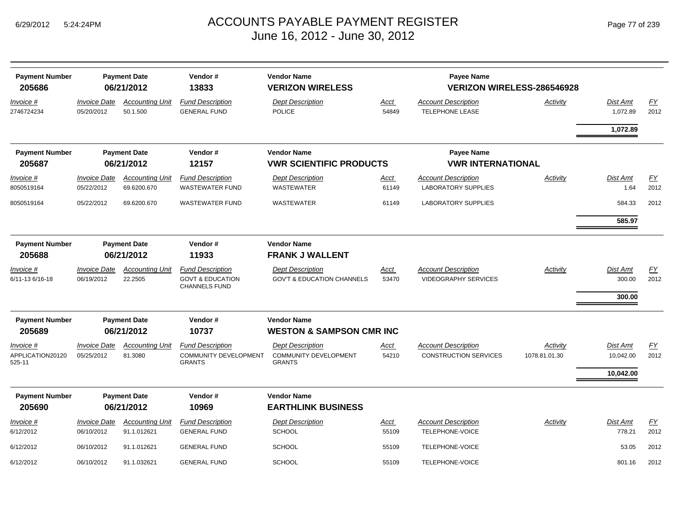| <b>Payment Number</b><br>205686         | <b>Payment Date</b><br>06/21/2012 |                                       | <b>Vendor Name</b><br>Vendor#<br>13833<br><b>VERIZON WIRELESS</b>              |                                                                          |                      | <b>Payee Name</b>                                         | VERIZON WIRELESS-286546928 |                                    |            |
|-----------------------------------------|-----------------------------------|---------------------------------------|--------------------------------------------------------------------------------|--------------------------------------------------------------------------|----------------------|-----------------------------------------------------------|----------------------------|------------------------------------|------------|
| Invoice #<br>2746724234                 | <b>Invoice Date</b><br>05/20/2012 | <b>Accounting Unit</b><br>50.1.500    | <b>Fund Description</b><br><b>GENERAL FUND</b>                                 | <b>Dept Description</b><br><b>POLICE</b>                                 | <b>Acct</b><br>54849 | <b>Account Description</b><br><b>TELEPHONE LEASE</b>      | Activity                   | Dist Amt<br>1,072.89               | EY<br>2012 |
|                                         |                                   |                                       |                                                                                |                                                                          |                      |                                                           |                            | 1,072.89                           |            |
| <b>Payment Number</b><br>205687         |                                   | <b>Payment Date</b><br>06/21/2012     | Vendor#<br>12157                                                               | <b>Vendor Name</b><br><b>VWR SCIENTIFIC PRODUCTS</b>                     |                      | <b>Payee Name</b><br><b>VWR INTERNATIONAL</b>             |                            |                                    |            |
| Invoice #<br>8050519164                 | <b>Invoice Date</b><br>05/22/2012 | <b>Accounting Unit</b><br>69.6200.670 | <b>Fund Description</b><br><b>WASTEWATER FUND</b>                              | <b>Dept Description</b><br><b>WASTEWATER</b>                             | <u>Acct</u><br>61149 | <b>Account Description</b><br><b>LABORATORY SUPPLIES</b>  | Activity                   | <b>Dist Amt</b><br>1.64            | EY<br>2012 |
| 8050519164                              | 05/22/2012                        | 69.6200.670                           | <b>WASTEWATER FUND</b>                                                         | <b>WASTEWATER</b>                                                        | 61149                | <b>LABORATORY SUPPLIES</b>                                |                            | 584.33                             | 2012       |
|                                         |                                   |                                       |                                                                                |                                                                          |                      |                                                           |                            | 585.97                             |            |
| <b>Payment Number</b><br>205688         | <b>Payment Date</b><br>06/21/2012 |                                       | Vendor#<br>11933                                                               | <b>Vendor Name</b><br><b>FRANK J WALLENT</b>                             |                      |                                                           |                            |                                    |            |
| Invoice #<br>6/11-13 6/16-18            | <b>Invoice Date</b><br>06/19/2012 | <b>Accounting Unit</b><br>22.2505     | <b>Fund Description</b><br><b>GOVT &amp; EDUCATION</b><br><b>CHANNELS FUND</b> | <b>Dept Description</b><br><b>GOV'T &amp; EDUCATION CHANNELS</b>         | Acct<br>53470        | <b>Account Description</b><br><b>VIDEOGRAPHY SERVICES</b> | Activity                   | Dist Amt<br>300.00<br>300.00       | EY<br>2012 |
| <b>Payment Number</b><br>205689         |                                   | <b>Payment Date</b><br>06/21/2012     | Vendor#<br>10737                                                               | <b>Vendor Name</b><br><b>WESTON &amp; SAMPSON CMR INC</b>                |                      |                                                           |                            |                                    |            |
| Invoice #<br>APPLICATION20120<br>525-11 | <b>Invoice Date</b><br>05/25/2012 | <b>Accounting Unit</b><br>81.3080     | <b>Fund Description</b><br>COMMUNITY DEVELOPMENT<br><b>GRANTS</b>              | <b>Dept Description</b><br><b>COMMUNITY DEVELOPMENT</b><br><b>GRANTS</b> | Acct<br>54210        | <b>Account Description</b><br>CONSTRUCTION SERVICES       | Activity<br>1078.81.01.30  | Dist Amt<br>10,042.00<br>10,042.00 | EY<br>2012 |
| <b>Payment Number</b>                   |                                   | <b>Payment Date</b>                   | Vendor#                                                                        | <b>Vendor Name</b>                                                       |                      |                                                           |                            |                                    |            |
| 205690                                  |                                   | 06/21/2012                            | 10969                                                                          | <b>EARTHLINK BUSINESS</b>                                                |                      |                                                           |                            |                                    |            |
| Invoice #<br>6/12/2012                  | <b>Invoice Date</b><br>06/10/2012 | <b>Accounting Unit</b><br>91.1.012621 | <b>Fund Description</b><br><b>GENERAL FUND</b>                                 | <b>Dept Description</b><br><b>SCHOOL</b>                                 | <b>Acct</b><br>55109 | <b>Account Description</b><br>TELEPHONE-VOICE             | Activity                   | <b>Dist Amt</b><br>778.21          | EY<br>2012 |
| 6/12/2012                               | 06/10/2012                        | 91.1.012621                           | <b>GENERAL FUND</b>                                                            | <b>SCHOOL</b>                                                            | 55109                | <b>TELEPHONE-VOICE</b>                                    |                            | 53.05                              | 2012       |
| 6/12/2012                               | 06/10/2012                        | 91.1.032621                           | <b>GENERAL FUND</b>                                                            | SCHOOL                                                                   | 55109                | TELEPHONE-VOICE                                           |                            | 801.16                             | 2012       |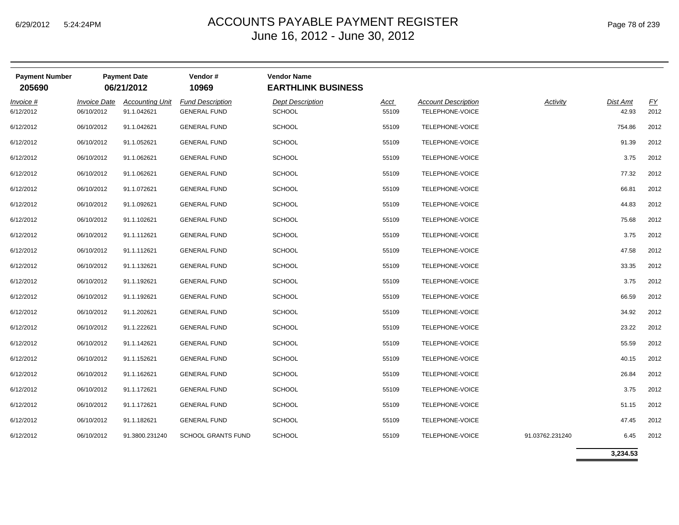| <b>Payment Number</b><br>205690 |                     | <b>Payment Date</b><br>06/21/2012 | Vendor#<br>10969          | <b>Vendor Name</b><br><b>EARTHLINK BUSINESS</b> |             |                            |                 |          |                  |
|---------------------------------|---------------------|-----------------------------------|---------------------------|-------------------------------------------------|-------------|----------------------------|-----------------|----------|------------------|
| Invoice #                       | <b>Invoice Date</b> | <b>Accounting Unit</b>            | <b>Fund Description</b>   | <b>Dept Description</b>                         | <b>Acct</b> | <b>Account Description</b> | Activity        | Dist Amt | $\underline{FY}$ |
| 6/12/2012                       | 06/10/2012          | 91.1.042621                       | <b>GENERAL FUND</b>       | <b>SCHOOL</b>                                   | 55109       | TELEPHONE-VOICE            |                 | 42.93    | 2012             |
| 6/12/2012                       | 06/10/2012          | 91.1.042621                       | <b>GENERAL FUND</b>       | <b>SCHOOL</b>                                   | 55109       | TELEPHONE-VOICE            |                 | 754.86   | 2012             |
| 6/12/2012                       | 06/10/2012          | 91.1.052621                       | <b>GENERAL FUND</b>       | <b>SCHOOL</b>                                   | 55109       | TELEPHONE-VOICE            |                 | 91.39    | 2012             |
| 6/12/2012                       | 06/10/2012          | 91.1.062621                       | <b>GENERAL FUND</b>       | <b>SCHOOL</b>                                   | 55109       | TELEPHONE-VOICE            |                 | 3.75     | 2012             |
| 6/12/2012                       | 06/10/2012          | 91.1.062621                       | <b>GENERAL FUND</b>       | <b>SCHOOL</b>                                   | 55109       | TELEPHONE-VOICE            |                 | 77.32    | 2012             |
| 6/12/2012                       | 06/10/2012          | 91.1.072621                       | <b>GENERAL FUND</b>       | <b>SCHOOL</b>                                   | 55109       | TELEPHONE-VOICE            |                 | 66.81    | 2012             |
| 6/12/2012                       | 06/10/2012          | 91.1.092621                       | <b>GENERAL FUND</b>       | <b>SCHOOL</b>                                   | 55109       | TELEPHONE-VOICE            |                 | 44.83    | 2012             |
| 6/12/2012                       | 06/10/2012          | 91.1.102621                       | <b>GENERAL FUND</b>       | <b>SCHOOL</b>                                   | 55109       | TELEPHONE-VOICE            |                 | 75.68    | 2012             |
| 6/12/2012                       | 06/10/2012          | 91.1.112621                       | <b>GENERAL FUND</b>       | <b>SCHOOL</b>                                   | 55109       | TELEPHONE-VOICE            |                 | 3.75     | 2012             |
| 6/12/2012                       | 06/10/2012          | 91.1.112621                       | <b>GENERAL FUND</b>       | <b>SCHOOL</b>                                   | 55109       | TELEPHONE-VOICE            |                 | 47.58    | 2012             |
| 6/12/2012                       | 06/10/2012          | 91.1.132621                       | <b>GENERAL FUND</b>       | <b>SCHOOL</b>                                   | 55109       | TELEPHONE-VOICE            |                 | 33.35    | 2012             |
| 6/12/2012                       | 06/10/2012          | 91.1.192621                       | <b>GENERAL FUND</b>       | <b>SCHOOL</b>                                   | 55109       | TELEPHONE-VOICE            |                 | 3.75     | 2012             |
| 6/12/2012                       | 06/10/2012          | 91.1.192621                       | <b>GENERAL FUND</b>       | <b>SCHOOL</b>                                   | 55109       | TELEPHONE-VOICE            |                 | 66.59    | 2012             |
| 6/12/2012                       | 06/10/2012          | 91.1.202621                       | <b>GENERAL FUND</b>       | SCHOOL                                          | 55109       | TELEPHONE-VOICE            |                 | 34.92    | 2012             |
| 6/12/2012                       | 06/10/2012          | 91.1.222621                       | <b>GENERAL FUND</b>       | <b>SCHOOL</b>                                   | 55109       | TELEPHONE-VOICE            |                 | 23.22    | 2012             |
| 6/12/2012                       | 06/10/2012          | 91.1.142621                       | <b>GENERAL FUND</b>       | <b>SCHOOL</b>                                   | 55109       | TELEPHONE-VOICE            |                 | 55.59    | 2012             |
| 6/12/2012                       | 06/10/2012          | 91.1.152621                       | <b>GENERAL FUND</b>       | <b>SCHOOL</b>                                   | 55109       | TELEPHONE-VOICE            |                 | 40.15    | 2012             |
| 6/12/2012                       | 06/10/2012          | 91.1.162621                       | <b>GENERAL FUND</b>       | <b>SCHOOL</b>                                   | 55109       | TELEPHONE-VOICE            |                 | 26.84    | 2012             |
| 6/12/2012                       | 06/10/2012          | 91.1.172621                       | <b>GENERAL FUND</b>       | <b>SCHOOL</b>                                   | 55109       | TELEPHONE-VOICE            |                 | 3.75     | 2012             |
| 6/12/2012                       | 06/10/2012          | 91.1.172621                       | <b>GENERAL FUND</b>       | <b>SCHOOL</b>                                   | 55109       | TELEPHONE-VOICE            |                 | 51.15    | 2012             |
| 6/12/2012                       | 06/10/2012          | 91.1.182621                       | <b>GENERAL FUND</b>       | <b>SCHOOL</b>                                   | 55109       | TELEPHONE-VOICE            |                 | 47.45    | 2012             |
| 6/12/2012                       | 06/10/2012          | 91.3800.231240                    | <b>SCHOOL GRANTS FUND</b> | <b>SCHOOL</b>                                   | 55109       | TELEPHONE-VOICE            | 91.03762.231240 | 6.45     | 2012             |
|                                 |                     |                                   |                           |                                                 |             |                            |                 |          |                  |

**3,234.53**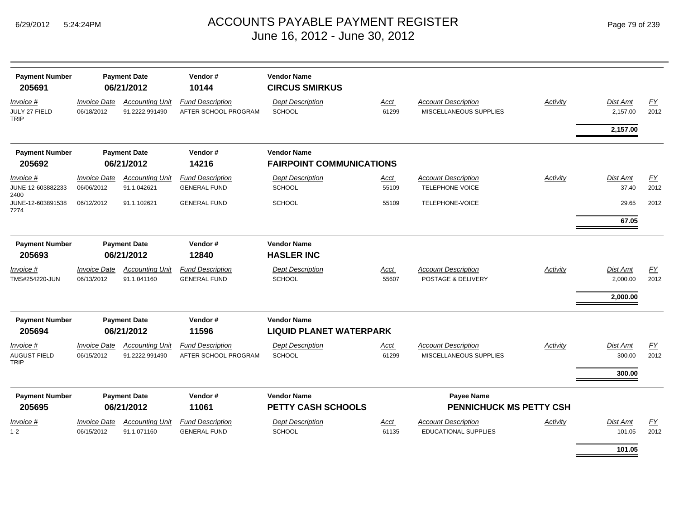| <b>Payment Number</b><br>205691                 | <b>Payment Date</b><br>06/21/2012 |                                          | Vendor#<br>10144                                | <b>Vendor Name</b><br><b>CIRCUS SMIRKUS</b> |                      |                                                      |                 |                      |                          |
|-------------------------------------------------|-----------------------------------|------------------------------------------|-------------------------------------------------|---------------------------------------------|----------------------|------------------------------------------------------|-----------------|----------------------|--------------------------|
| Invoice #<br>JULY 27 FIELD<br><b>TRIP</b>       | <b>Invoice Date</b><br>06/18/2012 | <b>Accounting Unit</b><br>91.2222.991490 | <b>Fund Description</b><br>AFTER SCHOOL PROGRAM | <b>Dept Description</b><br><b>SCHOOL</b>    | <b>Acct</b><br>61299 | <b>Account Description</b><br>MISCELLANEOUS SUPPLIES | <b>Activity</b> | Dist Amt<br>2,157.00 | $\underline{FY}$<br>2012 |
|                                                 |                                   |                                          |                                                 |                                             |                      |                                                      |                 | 2,157.00             |                          |
| <b>Payment Number</b>                           |                                   | <b>Payment Date</b>                      | Vendor#                                         | <b>Vendor Name</b>                          |                      |                                                      |                 |                      |                          |
| 205692                                          | 06/21/2012                        |                                          | 14216                                           | <b>FAIRPOINT COMMUNICATIONS</b>             |                      |                                                      |                 |                      |                          |
| Invoice #<br>JUNE-12-603882233<br>2400          | <b>Invoice Date</b><br>06/06/2012 | <b>Accounting Unit</b><br>91.1.042621    | <b>Fund Description</b><br><b>GENERAL FUND</b>  | <b>Dept Description</b><br><b>SCHOOL</b>    | Acct<br>55109        | <b>Account Description</b><br>TELEPHONE-VOICE        | Activity        | Dist Amt<br>37.40    | <u>FY</u><br>2012        |
| JUNE-12-603891538<br>7274                       | 06/12/2012                        | 91.1.102621                              | <b>GENERAL FUND</b>                             | <b>SCHOOL</b>                               | 55109                | TELEPHONE-VOICE                                      |                 | 29.65                | 2012                     |
|                                                 |                                   |                                          |                                                 |                                             |                      |                                                      |                 | 67.05                |                          |
| <b>Payment Number</b>                           |                                   | <b>Payment Date</b>                      | Vendor#                                         | <b>Vendor Name</b>                          |                      |                                                      |                 |                      |                          |
| 205693                                          | 06/21/2012<br>12840               |                                          | <b>HASLER INC</b>                               |                                             |                      |                                                      |                 |                      |                          |
| Invoice #                                       | <i><b>Invoice Date</b></i>        | <b>Accounting Unit</b>                   | <b>Fund Description</b>                         | <b>Dept Description</b>                     | Acct                 | <b>Account Description</b>                           | Activity        | Dist Amt             | <u>FY</u>                |
| TMS#254220-JUN                                  | 06/13/2012                        | 91.1.041160                              | <b>GENERAL FUND</b>                             | <b>SCHOOL</b>                               | 55607                | POSTAGE & DELIVERY                                   |                 | 2,000.00             | 2012                     |
|                                                 |                                   |                                          |                                                 |                                             |                      |                                                      |                 | 2,000.00             |                          |
| <b>Payment Number</b>                           |                                   | <b>Payment Date</b>                      | Vendor#                                         | <b>Vendor Name</b>                          |                      |                                                      |                 |                      |                          |
| 205694                                          |                                   | 06/21/2012                               | 11596                                           | <b>LIQUID PLANET WATERPARK</b>              |                      |                                                      |                 |                      |                          |
| Invoice #<br><b>AUGUST FIELD</b><br><b>TRIP</b> | <b>Invoice Date</b><br>06/15/2012 | <b>Accounting Unit</b><br>91.2222.991490 | <b>Fund Description</b><br>AFTER SCHOOL PROGRAM | <b>Dept Description</b><br><b>SCHOOL</b>    | <u>Acct</u><br>61299 | <b>Account Description</b><br>MISCELLANEOUS SUPPLIES | <b>Activity</b> | Dist Amt<br>300.00   | EY<br>2012               |
|                                                 |                                   |                                          |                                                 |                                             |                      |                                                      |                 | 300.00               |                          |
| <b>Payment Number</b><br>205695                 |                                   | <b>Payment Date</b><br>06/21/2012        | Vendor#<br>11061                                | <b>Vendor Name</b><br>PETTY CASH SCHOOLS    |                      | Payee Name<br>PENNICHUCK MS PETTY CSH                |                 |                      |                          |
| Invoice #                                       | <b>Invoice Date</b>               | <b>Accounting Unit</b>                   | <b>Fund Description</b>                         | <b>Dept Description</b>                     | <b>Acct</b>          | <b>Account Description</b>                           | Activity        | Dist Amt             | <u>FY</u>                |
| $1 - 2$                                         | 06/15/2012                        | 91.1.071160                              | <b>GENERAL FUND</b>                             | SCHOOL                                      | 61135                | <b>EDUCATIONAL SUPPLIES</b>                          |                 | 101.05               | 2012                     |
|                                                 |                                   |                                          |                                                 |                                             |                      |                                                      |                 | 101.05               |                          |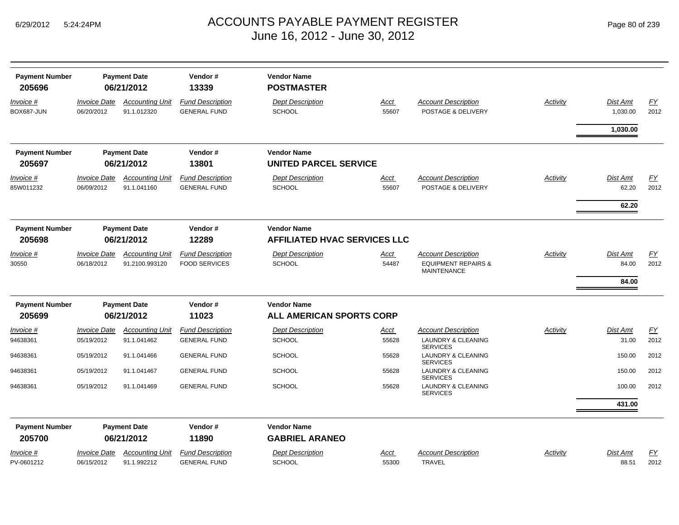| Page 80 of 239 |  |  |
|----------------|--|--|
|                |  |  |

| <b>Payment Number</b><br>205696 |                                          | <b>Payment Date</b><br>06/21/2012        | Vendor#<br>13339                                | <b>Vendor Name</b><br><b>POSTMASTER</b>                   |                      |                                                                                    |          |                                   |                   |
|---------------------------------|------------------------------------------|------------------------------------------|-------------------------------------------------|-----------------------------------------------------------|----------------------|------------------------------------------------------------------------------------|----------|-----------------------------------|-------------------|
| Invoice #<br>BOX687-JUN         | <b>Invoice Date</b><br>06/20/2012        | <b>Accounting Unit</b><br>91.1.012320    | <b>Fund Description</b><br><b>GENERAL FUND</b>  | <b>Dept Description</b><br>SCHOOL                         | <u>Acct</u><br>55607 | <b>Account Description</b><br>POSTAGE & DELIVERY                                   | Activity | <b>Dist Amt</b><br>1,030.00       | EY<br>2012        |
|                                 |                                          |                                          |                                                 |                                                           |                      |                                                                                    |          | 1,030.00                          |                   |
| <b>Payment Number</b><br>205697 |                                          | <b>Payment Date</b><br>06/21/2012        | Vendor#<br>13801                                | <b>Vendor Name</b><br><b>UNITED PARCEL SERVICE</b>        |                      |                                                                                    |          |                                   |                   |
| Invoice #<br>85W011232          | <b>Invoice Date</b><br>06/09/2012        | <b>Accounting Unit</b><br>91.1.041160    | <b>Fund Description</b><br><b>GENERAL FUND</b>  | <b>Dept Description</b><br>SCHOOL                         | <u>Acct</u><br>55607 | <b>Account Description</b><br>POSTAGE & DELIVERY                                   | Activity | <b>Dist Amt</b><br>62.20<br>62.20 | <b>FY</b><br>2012 |
| <b>Payment Number</b><br>205698 |                                          | <b>Payment Date</b><br>06/21/2012        | Vendor#<br>12289                                | <b>Vendor Name</b><br><b>AFFILIATED HVAC SERVICES LLC</b> |                      |                                                                                    |          |                                   |                   |
| Invoice #<br>30550              | <b>Invoice Date</b><br>06/18/2012        | <b>Accounting Unit</b><br>91.2100.993120 | <b>Fund Description</b><br><b>FOOD SERVICES</b> | <b>Dept Description</b><br><b>SCHOOL</b>                  | Acct<br>54487        | <b>Account Description</b><br><b>EQUIPMENT REPAIRS &amp;</b><br><b>MAINTENANCE</b> | Activity | <b>Dist Amt</b><br>84.00<br>84.00 | FY<br>2012        |
| <b>Payment Number</b><br>205699 |                                          | <b>Payment Date</b><br>06/21/2012        | Vendor#<br>11023                                | <b>Vendor Name</b><br><b>ALL AMERICAN SPORTS CORP</b>     |                      |                                                                                    |          |                                   |                   |
| Invoice #<br>94638361           | <i><b>Invoice Date</b></i><br>05/19/2012 | <b>Accounting Unit</b><br>91.1.041462    | <b>Fund Description</b><br><b>GENERAL FUND</b>  | <b>Dept Description</b><br><b>SCHOOL</b>                  | Acct<br>55628        | <b>Account Description</b><br>LAUNDRY & CLEANING<br><b>SERVICES</b>                | Activity | <b>Dist Amt</b><br>31.00          | EY<br>2012        |
| 94638361                        | 05/19/2012                               | 91.1.041466                              | <b>GENERAL FUND</b>                             | <b>SCHOOL</b>                                             | 55628                | LAUNDRY & CLEANING<br><b>SERVICES</b>                                              |          | 150.00                            | 2012              |
| 94638361                        | 05/19/2012                               | 91.1.041467                              | <b>GENERAL FUND</b>                             | <b>SCHOOL</b>                                             | 55628                | <b>LAUNDRY &amp; CLEANING</b><br><b>SERVICES</b>                                   |          | 150.00                            | 2012              |
| 94638361                        | 05/19/2012                               | 91.1.041469                              | <b>GENERAL FUND</b>                             | <b>SCHOOL</b>                                             | 55628                | LAUNDRY & CLEANING<br><b>SERVICES</b>                                              |          | 100.00                            | 2012              |
|                                 |                                          |                                          |                                                 |                                                           |                      |                                                                                    |          | 431.00                            |                   |
| <b>Payment Number</b><br>205700 |                                          | <b>Payment Date</b><br>06/21/2012        | Vendor#<br>11890                                | <b>Vendor Name</b><br><b>GABRIEL ARANEO</b>               |                      |                                                                                    |          |                                   |                   |
| Invoice #<br>PV-0601212         | <b>Invoice Date</b><br>06/15/2012        | <b>Accounting Unit</b><br>91.1.992212    | <b>Fund Description</b><br><b>GENERAL FUND</b>  | <b>Dept Description</b><br><b>SCHOOL</b>                  | <u>Acct</u><br>55300 | <b>Account Description</b><br><b>TRAVEL</b>                                        | Activity | Dist Amt<br>88.51                 | EY<br>2012        |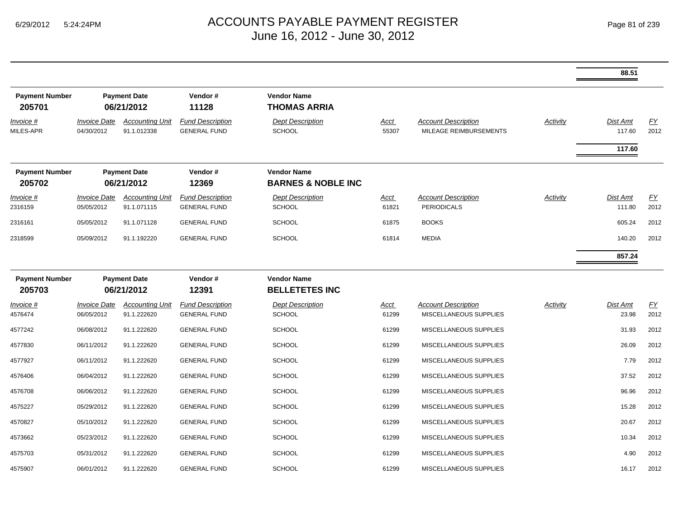|                                 |                                   |                                       |                                                |                                                     |                      |                                                      |                 | 88.51              |                   |
|---------------------------------|-----------------------------------|---------------------------------------|------------------------------------------------|-----------------------------------------------------|----------------------|------------------------------------------------------|-----------------|--------------------|-------------------|
| <b>Payment Number</b><br>205701 |                                   | <b>Payment Date</b><br>06/21/2012     | Vendor#<br>11128                               | <b>Vendor Name</b><br><b>THOMAS ARRIA</b>           |                      |                                                      |                 |                    |                   |
| Invoice #<br>MILES-APR          | <b>Invoice Date</b><br>04/30/2012 | <b>Accounting Unit</b><br>91.1.012338 | <b>Fund Description</b><br><b>GENERAL FUND</b> | <b>Dept Description</b><br><b>SCHOOL</b>            | <u>Acct</u><br>55307 | <b>Account Description</b><br>MILEAGE REIMBURSEMENTS | <b>Activity</b> | Dist Amt<br>117.60 | <u>FY</u><br>2012 |
|                                 |                                   |                                       |                                                |                                                     |                      |                                                      |                 | 117.60             |                   |
| <b>Payment Number</b><br>205702 |                                   | <b>Payment Date</b><br>06/21/2012     | Vendor#<br>12369                               | <b>Vendor Name</b><br><b>BARNES &amp; NOBLE INC</b> |                      |                                                      |                 |                    |                   |
| $Invoice$ #                     | <b>Invoice Date</b>               | <b>Accounting Unit</b>                | <b>Fund Description</b>                        | <b>Dept Description</b>                             | <u>Acct</u>          | <b>Account Description</b>                           | <b>Activity</b> | Dist Amt           | EY                |
| 2316159                         | 05/05/2012                        | 91.1.071115                           | <b>GENERAL FUND</b>                            | <b>SCHOOL</b>                                       | 61821                | <b>PERIODICALS</b>                                   |                 | 111.80             | 2012              |
| 2316161                         | 05/05/2012                        | 91.1.071128                           | <b>GENERAL FUND</b>                            | <b>SCHOOL</b>                                       | 61875                | <b>BOOKS</b>                                         |                 | 605.24             | 2012              |
| 2318599                         | 05/09/2012                        | 91.1.192220                           | <b>GENERAL FUND</b>                            | <b>SCHOOL</b>                                       | 61814                | <b>MEDIA</b>                                         |                 | 140.20             | 2012              |
|                                 |                                   |                                       |                                                |                                                     |                      |                                                      |                 | 857.24             |                   |
| <b>Payment Number</b>           |                                   | <b>Payment Date</b>                   | Vendor#                                        | <b>Vendor Name</b>                                  |                      |                                                      |                 |                    |                   |
| 205703                          |                                   | 06/21/2012                            | 12391                                          | <b>BELLETETES INC</b>                               |                      |                                                      |                 |                    |                   |
| Invoice #<br>4576474            | <b>Invoice Date</b><br>06/05/2012 | <b>Accounting Unit</b><br>91.1.222620 | <b>Fund Description</b><br><b>GENERAL FUND</b> | <b>Dept Description</b><br><b>SCHOOL</b>            | <b>Acct</b><br>61299 | <b>Account Description</b><br>MISCELLANEOUS SUPPLIES | Activity        | Dist Amt<br>23.98  | <u>FY</u><br>2012 |
| 4577242                         | 06/08/2012                        | 91.1.222620                           | <b>GENERAL FUND</b>                            | <b>SCHOOL</b>                                       | 61299                | MISCELLANEOUS SUPPLIES                               |                 | 31.93              | 2012              |
| 4577830                         | 06/11/2012                        | 91.1.222620                           | <b>GENERAL FUND</b>                            | <b>SCHOOL</b>                                       | 61299                | MISCELLANEOUS SUPPLIES                               |                 | 26.09              | 2012              |
| 4577927                         | 06/11/2012                        | 91.1.222620                           | <b>GENERAL FUND</b>                            | <b>SCHOOL</b>                                       | 61299                | MISCELLANEOUS SUPPLIES                               |                 | 7.79               | 2012              |
| 4576406                         | 06/04/2012                        | 91.1.222620                           | <b>GENERAL FUND</b>                            | <b>SCHOOL</b>                                       | 61299                | MISCELLANEOUS SUPPLIES                               |                 | 37.52              | 2012              |
| 4576708                         | 06/06/2012                        | 91.1.222620                           | <b>GENERAL FUND</b>                            | <b>SCHOOL</b>                                       | 61299                | MISCELLANEOUS SUPPLIES                               |                 | 96.96              | 2012              |
| 4575227                         | 05/29/2012                        | 91.1.222620                           | <b>GENERAL FUND</b>                            | <b>SCHOOL</b>                                       | 61299                | MISCELLANEOUS SUPPLIES                               |                 | 15.28              | 2012              |
| 4570827                         | 05/10/2012                        | 91.1.222620                           | <b>GENERAL FUND</b>                            | <b>SCHOOL</b>                                       | 61299                | MISCELLANEOUS SUPPLIES                               |                 | 20.67              | 2012              |
| 4573662                         | 05/23/2012                        | 91.1.222620                           | <b>GENERAL FUND</b>                            | <b>SCHOOL</b>                                       | 61299                | MISCELLANEOUS SUPPLIES                               |                 | 10.34              | 2012              |
| 4575703                         | 05/31/2012                        | 91.1.222620                           | <b>GENERAL FUND</b>                            | <b>SCHOOL</b>                                       | 61299                | MISCELLANEOUS SUPPLIES                               |                 | 4.90               | 2012              |
| 4575907                         | 06/01/2012                        | 91.1.222620                           | <b>GENERAL FUND</b>                            | <b>SCHOOL</b>                                       | 61299                | <b>MISCELLANEOUS SUPPLIES</b>                        |                 | 16.17              | 2012              |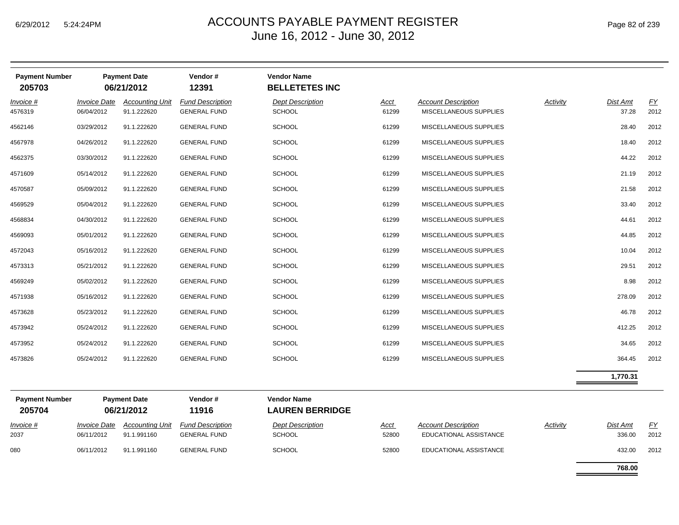| <b>Payment Number</b><br>205703 |                                   | <b>Payment Date</b><br>06/21/2012     | Vendor#<br>12391                               | <b>Vendor Name</b><br><b>BELLETETES INC</b> |               |                                                      |          |                   |            |
|---------------------------------|-----------------------------------|---------------------------------------|------------------------------------------------|---------------------------------------------|---------------|------------------------------------------------------|----------|-------------------|------------|
| <i>Invoice</i> #<br>4576319     | <b>Invoice Date</b><br>06/04/2012 | <b>Accounting Unit</b><br>91.1.222620 | <b>Fund Description</b><br><b>GENERAL FUND</b> | <b>Dept Description</b><br><b>SCHOOL</b>    | Acct<br>61299 | <b>Account Description</b><br>MISCELLANEOUS SUPPLIES | Activity | Dist Amt<br>37.28 | FY<br>2012 |
| 4562146                         | 03/29/2012                        | 91.1.222620                           | <b>GENERAL FUND</b>                            | <b>SCHOOL</b>                               | 61299         | MISCELLANEOUS SUPPLIES                               |          | 28.40             | 2012       |
| 4567978                         | 04/26/2012                        | 91.1.222620                           | <b>GENERAL FUND</b>                            | <b>SCHOOL</b>                               | 61299         | MISCELLANEOUS SUPPLIES                               |          | 18.40             | 2012       |
| 4562375                         | 03/30/2012                        | 91.1.222620                           | <b>GENERAL FUND</b>                            | <b>SCHOOL</b>                               | 61299         | MISCELLANEOUS SUPPLIES                               |          | 44.22             | 2012       |
| 4571609                         | 05/14/2012                        | 91.1.222620                           | <b>GENERAL FUND</b>                            | <b>SCHOOL</b>                               | 61299         | MISCELLANEOUS SUPPLIES                               |          | 21.19             | 2012       |
| 4570587                         | 05/09/2012                        | 91.1.222620                           | <b>GENERAL FUND</b>                            | <b>SCHOOL</b>                               | 61299         | MISCELLANEOUS SUPPLIES                               |          | 21.58             | 2012       |
| 4569529                         | 05/04/2012                        | 91.1.222620                           | <b>GENERAL FUND</b>                            | <b>SCHOOL</b>                               | 61299         | MISCELLANEOUS SUPPLIES                               |          | 33.40             | 2012       |
| 4568834                         | 04/30/2012                        | 91.1.222620                           | <b>GENERAL FUND</b>                            | <b>SCHOOL</b>                               | 61299         | MISCELLANEOUS SUPPLIES                               |          | 44.61             | 2012       |
| 4569093                         | 05/01/2012                        | 91.1.222620                           | <b>GENERAL FUND</b>                            | <b>SCHOOL</b>                               | 61299         | MISCELLANEOUS SUPPLIES                               |          | 44.85             | 2012       |
| 4572043                         | 05/16/2012                        | 91.1.222620                           | <b>GENERAL FUND</b>                            | <b>SCHOOL</b>                               | 61299         | MISCELLANEOUS SUPPLIES                               |          | 10.04             | 2012       |
| 4573313                         | 05/21/2012                        | 91.1.222620                           | <b>GENERAL FUND</b>                            | <b>SCHOOL</b>                               | 61299         | MISCELLANEOUS SUPPLIES                               |          | 29.51             | 2012       |
| 4569249                         | 05/02/2012                        | 91.1.222620                           | <b>GENERAL FUND</b>                            | <b>SCHOOL</b>                               | 61299         | MISCELLANEOUS SUPPLIES                               |          | 8.98              | 2012       |
| 4571938                         | 05/16/2012                        | 91.1.222620                           | <b>GENERAL FUND</b>                            | SCHOOL                                      | 61299         | MISCELLANEOUS SUPPLIES                               |          | 278.09            | 2012       |
| 4573628                         | 05/23/2012                        | 91.1.222620                           | <b>GENERAL FUND</b>                            | <b>SCHOOL</b>                               | 61299         | MISCELLANEOUS SUPPLIES                               |          | 46.78             | 2012       |
| 4573942                         | 05/24/2012                        | 91.1.222620                           | <b>GENERAL FUND</b>                            | <b>SCHOOL</b>                               | 61299         | MISCELLANEOUS SUPPLIES                               |          | 412.25            | 2012       |
| 4573952                         | 05/24/2012                        | 91.1.222620                           | <b>GENERAL FUND</b>                            | <b>SCHOOL</b>                               | 61299         | MISCELLANEOUS SUPPLIES                               |          | 34.65             | 2012       |
| 4573826                         | 05/24/2012                        | 91.1.222620                           | <b>GENERAL FUND</b>                            | <b>SCHOOL</b>                               | 61299         | MISCELLANEOUS SUPPLIES                               |          | 364.45            | 2012       |
|                                 |                                   |                                       |                                                |                                             |               |                                                      |          | 1,770.31          |            |
| Downant Number                  |                                   | Downant Data                          | $V$ andar #                                    | <i>Monder</i> Name                          |               |                                                      |          |                   |            |

| <b>Payment Number</b><br>205704 |                                          | <b>Payment Date</b><br>06/21/2012 | Vendor#<br>11916                               | <b>Vendor Name</b><br><b>LAUREN BERRIDGE</b> |                      |                                                      |                 |                           |             |
|---------------------------------|------------------------------------------|-----------------------------------|------------------------------------------------|----------------------------------------------|----------------------|------------------------------------------------------|-----------------|---------------------------|-------------|
| <b>Invoice</b> #<br>2037        | <i><b>Invoice Date</b></i><br>06/11/2012 | Accounting Unit<br>91.1.991160    | <b>Fund Description</b><br><b>GENERAL FUND</b> | <b>Dept Description</b><br><b>SCHOOL</b>     | <u>Acct</u><br>52800 | <b>Account Description</b><br>EDUCATIONAL ASSISTANCE | <b>Activity</b> | <b>Dist Amt</b><br>336.00 | FY.<br>2012 |
| 080                             | 06/11/2012                               | 91.1.991160                       | <b>GENERAL FUND</b>                            | <b>SCHOOL</b>                                | 52800                | EDUCATIONAL ASSISTANCE                               |                 | 432.00                    | 2012        |

**768.00**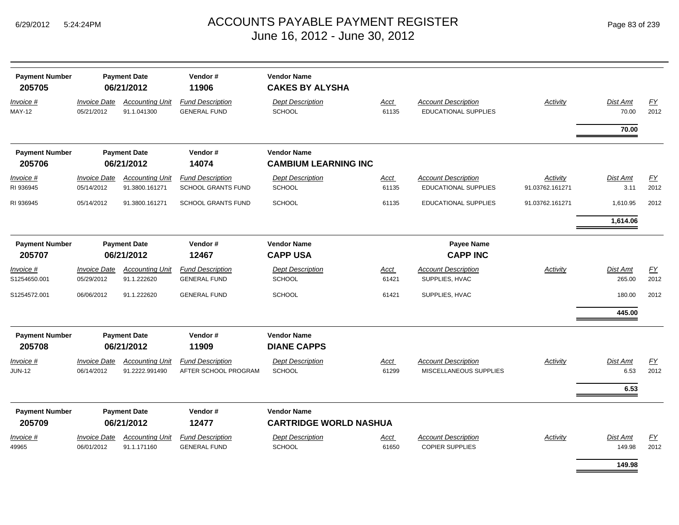| Page 83 of 239 |
|----------------|
|----------------|

| <b>Payment Number</b><br>205705 | <b>Payment Date</b><br>06/21/2012 |                                       | Vendor#<br>11906                               | <b>Vendor Name</b><br><b>CAKES BY ALYSHA</b>      |                      |                                                      |                 |                    |            |
|---------------------------------|-----------------------------------|---------------------------------------|------------------------------------------------|---------------------------------------------------|----------------------|------------------------------------------------------|-----------------|--------------------|------------|
| Invoice #<br><b>MAY-12</b>      | <b>Invoice Date</b><br>05/21/2012 | <b>Accounting Unit</b><br>91.1.041300 | <b>Fund Description</b><br><b>GENERAL FUND</b> | <b>Dept Description</b><br><b>SCHOOL</b>          | Acct<br>61135        | <b>Account Description</b><br>EDUCATIONAL SUPPLIES   | <b>Activity</b> | Dist Amt<br>70.00  | EY<br>2012 |
|                                 |                                   |                                       |                                                |                                                   |                      |                                                      |                 | 70.00              |            |
| <b>Payment Number</b><br>205706 |                                   | <b>Payment Date</b><br>06/21/2012     | Vendor#<br>14074                               | <b>Vendor Name</b><br><b>CAMBIUM LEARNING INC</b> |                      |                                                      |                 |                    |            |
| Invoice #                       | <b>Invoice Date</b>               | <b>Accounting Unit</b>                | <b>Fund Description</b>                        | <b>Dept Description</b>                           | Acct                 | <b>Account Description</b>                           | Activity        | <b>Dist Amt</b>    | FY         |
| RI 936945                       | 05/14/2012                        | 91.3800.161271                        | SCHOOL GRANTS FUND                             | SCHOOL                                            | 61135                | <b>EDUCATIONAL SUPPLIES</b>                          | 91.03762.161271 | 3.11               | 2012       |
| RI 936945                       | 05/14/2012                        | 91.3800.161271                        | <b>SCHOOL GRANTS FUND</b>                      | <b>SCHOOL</b>                                     | 61135                | EDUCATIONAL SUPPLIES                                 | 91.03762.161271 | 1,610.95           | 2012       |
|                                 |                                   |                                       |                                                |                                                   |                      |                                                      |                 | 1,614.06           |            |
| <b>Payment Number</b><br>205707 | <b>Payment Date</b><br>06/21/2012 |                                       | Vendor#<br>12467                               | <b>Vendor Name</b><br><b>CAPP USA</b>             |                      | Payee Name<br><b>CAPP INC</b>                        |                 |                    |            |
| <u>Invoice #</u>                | <b>Invoice Date</b>               | <b>Accounting Unit</b>                | <b>Fund Description</b>                        | <b>Dept Description</b>                           | Acct                 | <b>Account Description</b>                           | Activity        | Dist Amt           | EY         |
| S1254650.001                    | 05/29/2012                        | 91.1.222620                           | <b>GENERAL FUND</b>                            | <b>SCHOOL</b>                                     | 61421                | SUPPLIES, HVAC                                       |                 | 265.00             | 2012       |
| S1254572.001                    | 06/06/2012                        | 91.1.222620                           | <b>GENERAL FUND</b>                            | <b>SCHOOL</b>                                     | 61421                | SUPPLIES, HVAC                                       |                 | 180.00             | 2012       |
|                                 |                                   |                                       |                                                |                                                   |                      |                                                      |                 | 445.00             |            |
| <b>Payment Number</b>           |                                   | <b>Payment Date</b>                   | Vendor#                                        | <b>Vendor Name</b>                                |                      |                                                      |                 |                    |            |
| 205708                          |                                   | 06/21/2012                            | 11909                                          | <b>DIANE CAPPS</b>                                |                      |                                                      |                 |                    |            |
| <u>Invoice #</u>                | <b>Invoice Date</b>               | <b>Accounting Unit</b>                | <b>Fund Description</b>                        | <b>Dept Description</b>                           | <u>Acct</u>          | <b>Account Description</b>                           | <b>Activity</b> | Dist Amt           | EY         |
| <b>JUN-12</b>                   | 06/14/2012                        | 91.2222.991490                        | AFTER SCHOOL PROGRAM                           | SCHOOL                                            | 61299                | MISCELLANEOUS SUPPLIES                               |                 | 6.53               | 2012       |
|                                 |                                   |                                       |                                                |                                                   |                      |                                                      |                 | 6.53               |            |
| <b>Payment Number</b>           |                                   | <b>Payment Date</b>                   | Vendor#                                        | <b>Vendor Name</b>                                |                      |                                                      |                 |                    |            |
| 205709                          |                                   | 06/21/2012                            | 12477                                          | <b>CARTRIDGE WORLD NASHUA</b>                     |                      |                                                      |                 |                    |            |
| <u>Invoice #</u><br>49965       | <b>Invoice Date</b><br>06/01/2012 | <b>Accounting Unit</b><br>91.1.171160 | <b>Fund Description</b><br><b>GENERAL FUND</b> | <b>Dept Description</b><br>SCHOOL                 | <u>Acct</u><br>61650 | <b>Account Description</b><br><b>COPIER SUPPLIES</b> | Activity        | Dist Amt<br>149.98 | EY<br>2012 |
|                                 |                                   |                                       |                                                |                                                   |                      |                                                      |                 | 149.98             |            |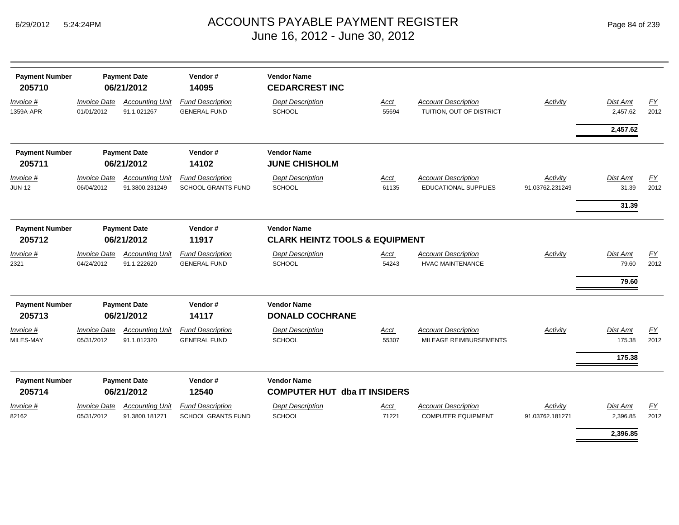| Page 84 of 239 |  |  |  |
|----------------|--|--|--|
|----------------|--|--|--|

| <b>Payment Number</b><br>205710 | <b>Payment Date</b><br>06/21/2012                     |                                          | Vendor#<br>14095                                     | <b>Vendor Name</b><br><b>CEDARCREST INC</b>                     |                      |                                                           |                             |                                  |            |
|---------------------------------|-------------------------------------------------------|------------------------------------------|------------------------------------------------------|-----------------------------------------------------------------|----------------------|-----------------------------------------------------------|-----------------------------|----------------------------------|------------|
| Invoice #<br>1359A-APR          | <b>Invoice Date</b><br>01/01/2012                     | <b>Accounting Unit</b><br>91.1.021267    | <b>Fund Description</b><br><b>GENERAL FUND</b>       | <b>Dept Description</b><br>SCHOOL                               | Acct<br>55694        | <b>Account Description</b><br>TUITION, OUT OF DISTRICT    | <b>Activity</b>             | Dist Amt<br>2,457.62             | EY<br>2012 |
|                                 |                                                       |                                          |                                                      |                                                                 |                      |                                                           |                             | 2,457.62                         |            |
| <b>Payment Number</b><br>205711 |                                                       | <b>Payment Date</b><br>06/21/2012        | Vendor#<br>14102                                     | <b>Vendor Name</b><br><b>JUNE CHISHOLM</b>                      |                      |                                                           |                             |                                  |            |
| Invoice #<br><b>JUN-12</b>      | <b>Invoice Date</b><br>06/04/2012                     | <b>Accounting Unit</b><br>91.3800.231249 | <b>Fund Description</b><br><b>SCHOOL GRANTS FUND</b> | <b>Dept Description</b><br>SCHOOL                               | Acct<br>61135        | <b>Account Description</b><br><b>EDUCATIONAL SUPPLIES</b> | Activity<br>91.03762.231249 | Dist Amt<br>31.39                | EY<br>2012 |
| <b>Payment Number</b><br>205712 |                                                       | <b>Payment Date</b><br>06/21/2012        | Vendor#<br>11917                                     | <b>Vendor Name</b><br><b>CLARK HEINTZ TOOLS &amp; EQUIPMENT</b> |                      |                                                           |                             | 31.39                            |            |
| Invoice #<br>2321               | <b>Invoice Date</b><br>04/24/2012                     | <b>Accounting Unit</b><br>91.1.222620    | <b>Fund Description</b><br><b>GENERAL FUND</b>       | <b>Dept Description</b><br>SCHOOL                               | <b>Acct</b><br>54243 | <b>Account Description</b><br><b>HVAC MAINTENANCE</b>     | Activity                    | Dist Amt<br>79.60<br>79.60       | EY<br>2012 |
| <b>Payment Number</b><br>205713 |                                                       | <b>Payment Date</b><br>06/21/2012        | Vendor#<br>14117                                     | <b>Vendor Name</b><br><b>DONALD COCHRANE</b>                    |                      |                                                           |                             |                                  |            |
| <i>Invoice</i> #<br>MILES-MAY   | <b>Invoice Date</b><br>05/31/2012                     | <b>Accounting Unit</b><br>91.1.012320    | <b>Fund Description</b><br><b>GENERAL FUND</b>       | <b>Dept Description</b><br><b>SCHOOL</b>                        | Acct<br>55307        | <b>Account Description</b><br>MILEAGE REIMBURSEMENTS      | Activity                    | Dist Amt<br>175.38               | EY<br>2012 |
| <b>Payment Number</b><br>205714 | <b>Payment Date</b><br>Vendor#<br>06/21/2012<br>12540 |                                          |                                                      | <b>Vendor Name</b><br><b>COMPUTER HUT dba IT INSIDERS</b>       |                      |                                                           |                             | 175.38                           |            |
| Invoice #<br>82162              | <b>Invoice Date</b><br>05/31/2012                     | <b>Accounting Unit</b><br>91.3800.181271 | <b>Fund Description</b><br><b>SCHOOL GRANTS FUND</b> | <b>Dept Description</b><br>SCHOOL                               | <b>Acct</b><br>71221 | <b>Account Description</b><br><b>COMPUTER EQUIPMENT</b>   | Activity<br>91.03762.181271 | Dist Amt<br>2,396.85<br>2.396.85 | EY<br>2012 |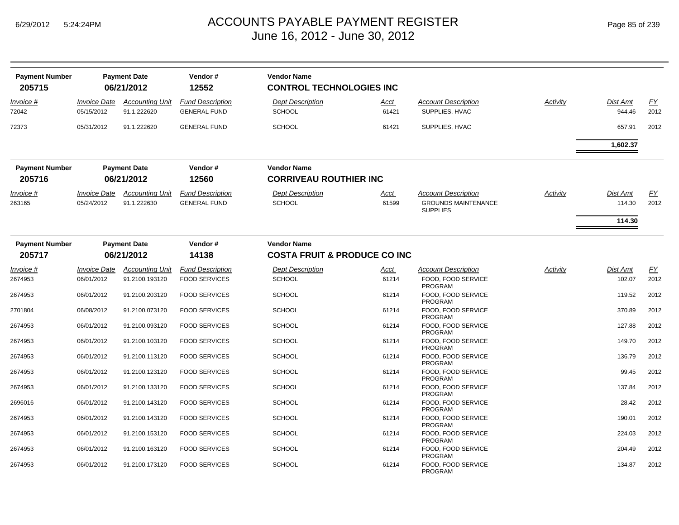| <b>Payment Number</b><br>205715 |                                          | <b>Payment Date</b><br>06/21/2012        | Vendor#<br>12552                                | <b>Vendor Name</b><br><b>CONTROL TECHNOLOGIES INC</b>         |               |                                                                             |                 |                    |                   |
|---------------------------------|------------------------------------------|------------------------------------------|-------------------------------------------------|---------------------------------------------------------------|---------------|-----------------------------------------------------------------------------|-----------------|--------------------|-------------------|
| Invoice #<br>72042              | <b>Invoice Date</b><br>05/15/2012        | <b>Accounting Unit</b><br>91.1.222620    | <b>Fund Description</b><br><b>GENERAL FUND</b>  | <b>Dept Description</b><br><b>SCHOOL</b>                      | Acct<br>61421 | <b>Account Description</b><br>SUPPLIES, HVAC                                | <b>Activity</b> | Dist Amt<br>944.46 | EY<br>2012        |
| 72373                           | 05/31/2012                               | 91.1.222620                              | <b>GENERAL FUND</b>                             | <b>SCHOOL</b>                                                 | 61421         | SUPPLIES, HVAC                                                              |                 | 657.91             | 2012              |
|                                 |                                          |                                          |                                                 |                                                               |               |                                                                             |                 | 1,602.37           |                   |
| <b>Payment Number</b><br>205716 |                                          | <b>Payment Date</b><br>06/21/2012        | Vendor#<br>12560                                | <b>Vendor Name</b><br><b>CORRIVEAU ROUTHIER INC</b>           |               |                                                                             |                 |                    |                   |
| Invoice #<br>263165             | <i><b>Invoice Date</b></i><br>05/24/2012 | <b>Accounting Unit</b><br>91.1.222630    | <b>Fund Description</b><br><b>GENERAL FUND</b>  | <b>Dept Description</b><br><b>SCHOOL</b>                      | Acct<br>61599 | <b>Account Description</b><br><b>GROUNDS MAINTENANCE</b><br><b>SUPPLIES</b> | Activity        | Dist Amt<br>114.30 | EY<br>2012        |
|                                 |                                          |                                          |                                                 |                                                               |               |                                                                             |                 | 114.30             |                   |
| <b>Payment Number</b><br>205717 |                                          | <b>Payment Date</b><br>06/21/2012        | Vendor#<br>14138                                | <b>Vendor Name</b><br><b>COSTA FRUIT &amp; PRODUCE CO INC</b> |               |                                                                             |                 |                    |                   |
|                                 |                                          |                                          |                                                 |                                                               |               |                                                                             |                 |                    |                   |
| <i>Invoice</i> #<br>2674953     | <i><b>Invoice Date</b></i><br>06/01/2012 | <b>Accounting Unit</b><br>91.2100.193120 | <b>Fund Description</b><br><b>FOOD SERVICES</b> | <b>Dept Description</b><br><b>SCHOOL</b>                      | Acct<br>61214 | <b>Account Description</b><br>FOOD. FOOD SERVICE<br><b>PROGRAM</b>          | Activity        | Dist Amt<br>102.07 | <u>FY</u><br>2012 |
| 2674953                         | 06/01/2012                               | 91.2100.203120                           | <b>FOOD SERVICES</b>                            | <b>SCHOOL</b>                                                 | 61214         | FOOD, FOOD SERVICE<br><b>PROGRAM</b>                                        |                 | 119.52             | 2012              |
| 2701804                         | 06/08/2012                               | 91.2100.073120                           | <b>FOOD SERVICES</b>                            | <b>SCHOOL</b>                                                 | 61214         | FOOD, FOOD SERVICE<br><b>PROGRAM</b>                                        |                 | 370.89             | 2012              |
| 2674953                         | 06/01/2012                               | 91.2100.093120                           | <b>FOOD SERVICES</b>                            | <b>SCHOOL</b>                                                 | 61214         | FOOD. FOOD SERVICE<br>PROGRAM                                               |                 | 127.88             | 2012              |
| 2674953                         | 06/01/2012                               | 91.2100.103120                           | <b>FOOD SERVICES</b>                            | <b>SCHOOL</b>                                                 | 61214         | FOOD. FOOD SERVICE<br><b>PROGRAM</b>                                        |                 | 149.70             | 2012              |
| 2674953                         | 06/01/2012                               | 91.2100.113120                           | <b>FOOD SERVICES</b>                            | <b>SCHOOL</b>                                                 | 61214         | FOOD, FOOD SERVICE<br><b>PROGRAM</b>                                        |                 | 136.79             | 2012              |
| 2674953                         | 06/01/2012                               | 91.2100.123120                           | <b>FOOD SERVICES</b>                            | <b>SCHOOL</b>                                                 | 61214         | FOOD, FOOD SERVICE<br><b>PROGRAM</b>                                        |                 | 99.45              | 2012              |
| 2674953                         | 06/01/2012                               | 91.2100.133120                           | <b>FOOD SERVICES</b>                            | <b>SCHOOL</b>                                                 | 61214         | FOOD, FOOD SERVICE<br><b>PROGRAM</b>                                        |                 | 137.84             | 2012              |
| 2696016                         | 06/01/2012                               | 91.2100.143120                           | <b>FOOD SERVICES</b>                            | <b>SCHOOL</b>                                                 | 61214         | FOOD, FOOD SERVICE<br><b>PROGRAM</b>                                        |                 | 28.42              | 2012              |
| 2674953                         | 06/01/2012                               | 91.2100.143120                           | <b>FOOD SERVICES</b>                            | <b>SCHOOL</b>                                                 | 61214         | FOOD. FOOD SERVICE<br><b>PROGRAM</b>                                        |                 | 190.01             | 2012              |
| 2674953                         | 06/01/2012                               | 91.2100.153120                           | <b>FOOD SERVICES</b>                            | <b>SCHOOL</b>                                                 | 61214         | FOOD. FOOD SERVICE<br>PROGRAM                                               |                 | 224.03             | 2012              |
| 2674953                         | 06/01/2012                               | 91.2100.163120                           | <b>FOOD SERVICES</b>                            | <b>SCHOOL</b>                                                 | 61214         | FOOD, FOOD SERVICE<br><b>PROGRAM</b>                                        |                 | 204.49             | 2012              |
| 2674953                         | 06/01/2012                               | 91.2100.173120                           | <b>FOOD SERVICES</b>                            | <b>SCHOOL</b>                                                 | 61214         | FOOD, FOOD SERVICE<br><b>PROGRAM</b>                                        |                 | 134.87             | 2012              |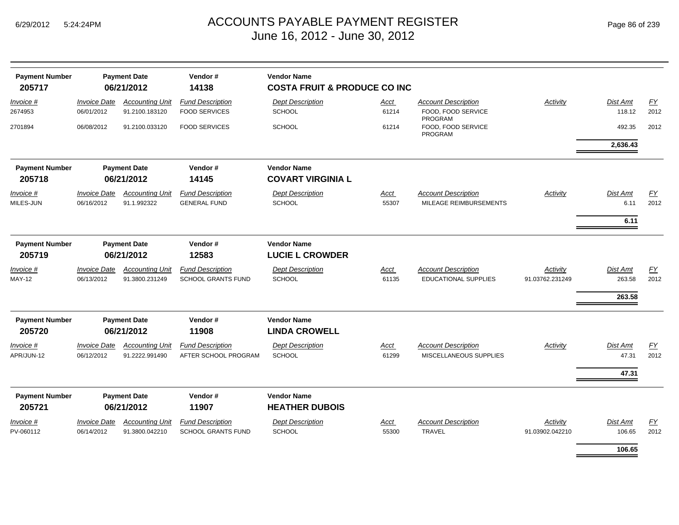| <b>Payment Number</b><br>205717 |                                   | <b>Payment Date</b><br>06/21/2012     | Vendor#<br>14138          | <b>Vendor Name</b><br><b>COSTA FRUIT &amp; PRODUCE CO INC</b> |               |                                                      |                 |                  |                  |  |  |
|---------------------------------|-----------------------------------|---------------------------------------|---------------------------|---------------------------------------------------------------|---------------|------------------------------------------------------|-----------------|------------------|------------------|--|--|
| <i>Invoice</i> #                | <b>Invoice Date</b>               | <b>Accounting Unit</b>                | <b>Fund Description</b>   | <b>Dept Description</b>                                       | Acct          | <b>Account Description</b>                           | Activity        | <b>Dist Amt</b>  | <u>FY</u>        |  |  |
| 2674953                         | 06/01/2012                        | 91.2100.183120                        | <b>FOOD SERVICES</b>      | <b>SCHOOL</b>                                                 | 61214         | FOOD, FOOD SERVICE<br><b>PROGRAM</b>                 |                 | 118.12           | 2012             |  |  |
| 2701894                         | 06/08/2012                        | 91.2100.033120                        | <b>FOOD SERVICES</b>      | <b>SCHOOL</b>                                                 | 61214         | FOOD, FOOD SERVICE<br><b>PROGRAM</b>                 |                 | 492.35           | 2012             |  |  |
|                                 |                                   |                                       |                           |                                                               |               |                                                      |                 | 2,636.43         |                  |  |  |
| <b>Payment Number</b><br>205718 |                                   | <b>Payment Date</b><br>06/21/2012     | Vendor#<br>14145          | <b>Vendor Name</b><br><b>COVART VIRGINIA L</b>                |               |                                                      |                 |                  |                  |  |  |
|                                 |                                   |                                       | <b>Fund Description</b>   |                                                               |               |                                                      |                 |                  |                  |  |  |
| <i>Invoice</i> #<br>MILES-JUN   | <b>Invoice Date</b><br>06/16/2012 | <b>Accounting Unit</b><br>91.1.992322 | <b>GENERAL FUND</b>       | <b>Dept Description</b><br>SCHOOL                             | Acct<br>55307 | <b>Account Description</b><br>MILEAGE REIMBURSEMENTS | Activity        | Dist Amt<br>6.11 | EY<br>2012       |  |  |
|                                 |                                   |                                       |                           |                                                               |               |                                                      |                 | 6.11             |                  |  |  |
|                                 |                                   |                                       |                           |                                                               |               |                                                      |                 |                  |                  |  |  |
| <b>Payment Number</b>           |                                   | <b>Payment Date</b>                   | Vendor#                   | <b>Vendor Name</b>                                            |               |                                                      |                 |                  |                  |  |  |
| 205719                          |                                   | 06/21/2012                            | 12583                     | <b>LUCIE L CROWDER</b>                                        |               |                                                      |                 |                  |                  |  |  |
| <u>Invoice #</u>                | <b>Invoice Date</b>               | <b>Accounting Unit</b>                | <b>Fund Description</b>   | <b>Dept Description</b>                                       | <b>Acct</b>   | <b>Account Description</b>                           | Activity        | <b>Dist Amt</b>  | $\underline{FY}$ |  |  |
| <b>MAY-12</b>                   | 06/13/2012                        | 91.3800.231249                        | <b>SCHOOL GRANTS FUND</b> | <b>SCHOOL</b>                                                 | 61135         | <b>EDUCATIONAL SUPPLIES</b>                          | 91.03762.231249 | 263.58           | 2012             |  |  |
|                                 |                                   |                                       |                           |                                                               |               |                                                      |                 | 263.58           |                  |  |  |
| <b>Payment Number</b>           |                                   | <b>Payment Date</b>                   | Vendor#                   | <b>Vendor Name</b>                                            |               |                                                      |                 |                  |                  |  |  |
| 205720                          |                                   | 06/21/2012                            | 11908                     | <b>LINDA CROWELL</b>                                          |               |                                                      |                 |                  |                  |  |  |
| Invoice #                       | <b>Invoice Date</b>               | <b>Accounting Unit</b>                | <b>Fund Description</b>   | <b>Dept Description</b>                                       | <u>Acct</u>   | <b>Account Description</b>                           | <b>Activity</b> | <b>Dist Amt</b>  | <u>FY</u>        |  |  |
| APR/JUN-12                      | 06/12/2012                        | 91.2222.991490                        | AFTER SCHOOL PROGRAM      | <b>SCHOOL</b>                                                 | 61299         | MISCELLANEOUS SUPPLIES                               |                 | 47.31            | 2012             |  |  |
|                                 |                                   |                                       |                           |                                                               |               |                                                      |                 | 47.31            |                  |  |  |
| <b>Payment Number</b>           |                                   | <b>Payment Date</b>                   | Vendor#                   | <b>Vendor Name</b>                                            |               |                                                      |                 |                  |                  |  |  |
| 205721                          |                                   | 06/21/2012                            | 11907                     | <b>HEATHER DUBOIS</b>                                         |               |                                                      |                 |                  |                  |  |  |
| <i>Invoice</i> #                | <b>Invoice Date</b>               | <b>Accounting Unit</b>                | <b>Fund Description</b>   | <b>Dept Description</b>                                       | Acct          | <b>Account Description</b>                           | Activity        | <b>Dist Amt</b>  | EY               |  |  |
| PV-060112                       | 06/14/2012                        | 91.3800.042210                        | <b>SCHOOL GRANTS FUND</b> | <b>SCHOOL</b>                                                 | 55300         | <b>TRAVEL</b>                                        | 91.03902.042210 | 106.65           | 2012             |  |  |
|                                 |                                   |                                       |                           |                                                               |               |                                                      |                 | 106.65           |                  |  |  |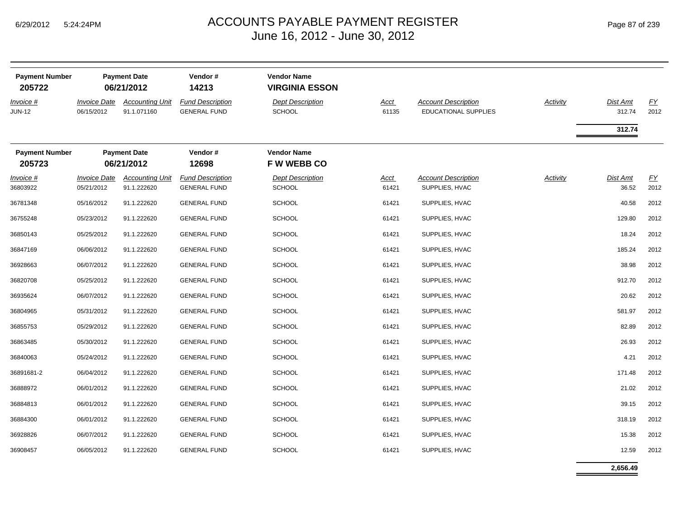| <b>Payment Number</b>           | <b>Payment Date</b>                      |                                       | Vendor#                                        | <b>Vendor Name</b>                       |               |                                                           |          |                    |            |
|---------------------------------|------------------------------------------|---------------------------------------|------------------------------------------------|------------------------------------------|---------------|-----------------------------------------------------------|----------|--------------------|------------|
| 205722                          |                                          | 06/21/2012                            | 14213                                          | <b>VIRGINIA ESSON</b>                    |               |                                                           |          |                    |            |
| Invoice #<br>JUN-12             | <i><b>Invoice Date</b></i><br>06/15/2012 | <b>Accounting Unit</b><br>91.1.071160 | <b>Fund Description</b><br><b>GENERAL FUND</b> | <b>Dept Description</b><br><b>SCHOOL</b> | Acct<br>61135 | <b>Account Description</b><br><b>EDUCATIONAL SUPPLIES</b> | Activity | Dist Amt<br>312.74 | FY<br>2012 |
|                                 |                                          |                                       |                                                |                                          |               |                                                           |          | 312.74             |            |
| <b>Payment Number</b><br>205723 | <b>Payment Date</b><br>06/21/2012        |                                       | Vendor#<br>12698                               | <b>Vendor Name</b><br><b>FW WEBB CO</b>  |               |                                                           |          |                    |            |
| $Invoice$ #<br>36803922         | <b>Invoice Date</b><br>05/21/2012        | <b>Accounting Unit</b><br>91.1.222620 | <b>Fund Description</b><br><b>GENERAL FUND</b> | <b>Dept Description</b><br><b>SCHOOL</b> | Acct<br>61421 | <b>Account Description</b><br>SUPPLIES, HVAC              | Activity | Dist Amt<br>36.52  | EY<br>2012 |
| 36781348                        | 05/16/2012                               | 91.1.222620                           | <b>GENERAL FUND</b>                            | <b>SCHOOL</b>                            | 61421         | SUPPLIES, HVAC                                            |          | 40.58              | 2012       |
| 36755248                        | 05/23/2012                               | 91.1.222620                           | <b>GENERAL FUND</b>                            | <b>SCHOOL</b>                            | 61421         | SUPPLIES, HVAC                                            |          | 129.80             | 2012       |
| 36850143                        | 05/25/2012                               | 91.1.222620                           | <b>GENERAL FUND</b>                            | <b>SCHOOL</b>                            | 61421         | SUPPLIES, HVAC                                            |          | 18.24              | 2012       |
| 36847169                        | 06/06/2012                               | 91.1.222620                           | <b>GENERAL FUND</b>                            | <b>SCHOOL</b>                            | 61421         | SUPPLIES, HVAC                                            |          | 185.24             | 2012       |
| 36928663                        | 06/07/2012                               | 91.1.222620                           | <b>GENERAL FUND</b>                            | <b>SCHOOL</b>                            | 61421         | SUPPLIES, HVAC                                            |          | 38.98              | 2012       |
| 36820708                        | 05/25/2012                               | 91.1.222620                           | <b>GENERAL FUND</b>                            | <b>SCHOOL</b>                            | 61421         | SUPPLIES, HVAC                                            |          | 912.70             | 2012       |
| 36935624                        | 06/07/2012                               | 91.1.222620                           | <b>GENERAL FUND</b>                            | <b>SCHOOL</b>                            | 61421         | SUPPLIES, HVAC                                            |          | 20.62              | 2012       |
| 36804965                        | 05/31/2012                               | 91.1.222620                           | <b>GENERAL FUND</b>                            | <b>SCHOOL</b>                            | 61421         | SUPPLIES, HVAC                                            |          | 581.97             | 2012       |
| 36855753                        | 05/29/2012                               | 91.1.222620                           | <b>GENERAL FUND</b>                            | <b>SCHOOL</b>                            | 61421         | SUPPLIES, HVAC                                            |          | 82.89              | 2012       |
| 36863485                        | 05/30/2012                               | 91.1.222620                           | <b>GENERAL FUND</b>                            | <b>SCHOOL</b>                            | 61421         | SUPPLIES, HVAC                                            |          | 26.93              | 2012       |
| 36840063                        | 05/24/2012                               | 91.1.222620                           | <b>GENERAL FUND</b>                            | <b>SCHOOL</b>                            | 61421         | SUPPLIES, HVAC                                            |          | 4.21               | 2012       |
| 36891681-2                      | 06/04/2012                               | 91.1.222620                           | <b>GENERAL FUND</b>                            | <b>SCHOOL</b>                            | 61421         | SUPPLIES, HVAC                                            |          | 171.48             | 2012       |
| 36888972                        | 06/01/2012                               | 91.1.222620                           | <b>GENERAL FUND</b>                            | <b>SCHOOL</b>                            | 61421         | SUPPLIES, HVAC                                            |          | 21.02              | 2012       |
| 36884813                        | 06/01/2012                               | 91.1.222620                           | <b>GENERAL FUND</b>                            | <b>SCHOOL</b>                            | 61421         | SUPPLIES, HVAC                                            |          | 39.15              | 2012       |
| 36884300                        | 06/01/2012                               | 91.1.222620                           | <b>GENERAL FUND</b>                            | <b>SCHOOL</b>                            | 61421         | SUPPLIES, HVAC                                            |          | 318.19             | 2012       |
| 36928826                        | 06/07/2012                               | 91.1.222620                           | <b>GENERAL FUND</b>                            | <b>SCHOOL</b>                            | 61421         | SUPPLIES, HVAC                                            |          | 15.38              | 2012       |
| 36908457                        | 06/05/2012                               | 91.1.222620                           | <b>GENERAL FUND</b>                            | <b>SCHOOL</b>                            | 61421         | SUPPLIES, HVAC                                            |          | 12.59              | 2012       |

**2,656.49**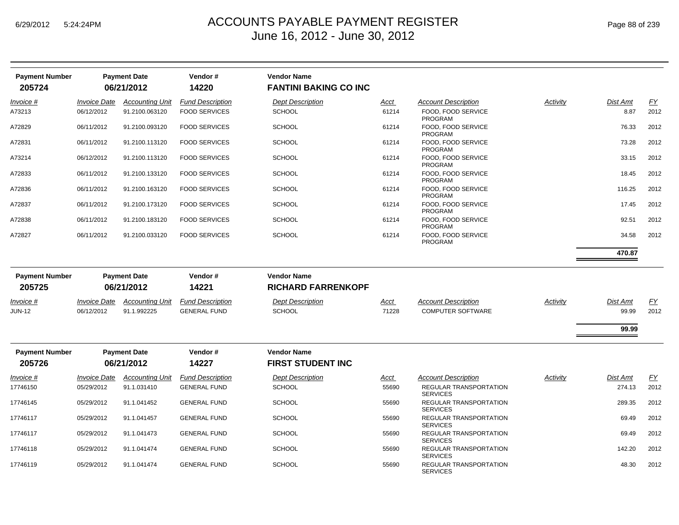| <b>Payment Number</b><br>205724 |                                   | <b>Payment Date</b><br>06/21/2012 | Vendor#<br>14220        | <b>Vendor Name</b><br><b>FANTINI BAKING CO INC</b> |       |                                                  |          |          |           |
|---------------------------------|-----------------------------------|-----------------------------------|-------------------------|----------------------------------------------------|-------|--------------------------------------------------|----------|----------|-----------|
| Invoice #                       | <b>Invoice Date</b>               | <b>Accounting Unit</b>            | <b>Fund Description</b> | <b>Dept Description</b>                            | Acct  | <b>Account Description</b>                       | Activity | Dist Amt | EY        |
| A73213                          | 06/12/2012                        | 91.2100.063120                    | <b>FOOD SERVICES</b>    | <b>SCHOOL</b>                                      | 61214 | FOOD, FOOD SERVICE<br><b>PROGRAM</b>             |          | 8.87     | 2012      |
| A72829                          | 06/11/2012                        | 91.2100.093120                    | <b>FOOD SERVICES</b>    | <b>SCHOOL</b>                                      | 61214 | FOOD, FOOD SERVICE<br><b>PROGRAM</b>             |          | 76.33    | 2012      |
| A72831                          | 06/11/2012                        | 91.2100.113120                    | <b>FOOD SERVICES</b>    | <b>SCHOOL</b>                                      | 61214 | FOOD, FOOD SERVICE<br><b>PROGRAM</b>             |          | 73.28    | 2012      |
| A73214                          | 06/12/2012                        | 91.2100.113120                    | <b>FOOD SERVICES</b>    | <b>SCHOOL</b>                                      | 61214 | FOOD, FOOD SERVICE<br><b>PROGRAM</b>             |          | 33.15    | 2012      |
| A72833                          | 06/11/2012                        | 91.2100.133120                    | <b>FOOD SERVICES</b>    | <b>SCHOOL</b>                                      | 61214 | FOOD. FOOD SERVICE<br><b>PROGRAM</b>             |          | 18.45    | 2012      |
| A72836                          | 06/11/2012                        | 91.2100.163120                    | <b>FOOD SERVICES</b>    | <b>SCHOOL</b>                                      | 61214 | FOOD. FOOD SERVICE<br>PROGRAM                    |          | 116.25   | 2012      |
| A72837                          | 06/11/2012                        | 91.2100.173120                    | <b>FOOD SERVICES</b>    | <b>SCHOOL</b>                                      | 61214 | FOOD, FOOD SERVICE<br><b>PROGRAM</b>             |          | 17.45    | 2012      |
| A72838                          | 06/11/2012                        | 91.2100.183120                    | <b>FOOD SERVICES</b>    | <b>SCHOOL</b>                                      | 61214 | FOOD, FOOD SERVICE<br><b>PROGRAM</b>             |          | 92.51    | 2012      |
| A72827                          | 06/11/2012                        | 91.2100.033120                    | <b>FOOD SERVICES</b>    | <b>SCHOOL</b>                                      | 61214 | FOOD. FOOD SERVICE<br><b>PROGRAM</b>             |          | 34.58    | 2012      |
|                                 |                                   |                                   |                         |                                                    |       |                                                  |          | 470.87   |           |
| <b>Payment Number</b><br>205725 | <b>Payment Date</b><br>06/21/2012 |                                   | Vendor#<br>14221        | <b>Vendor Name</b><br><b>RICHARD FARRENKOPF</b>    |       |                                                  |          |          |           |
| Invoice #                       | <b>Invoice Date</b>               | <b>Accounting Unit</b>            | <b>Fund Description</b> | <b>Dept Description</b>                            | Acct  | <b>Account Description</b>                       | Activity | Dist Amt | <u>FY</u> |
| <b>JUN-12</b>                   | 06/12/2012                        | 91.1.992225                       | <b>GENERAL FUND</b>     | <b>SCHOOL</b>                                      | 71228 | <b>COMPUTER SOFTWARE</b>                         |          | 99.99    | 2012      |
|                                 |                                   |                                   |                         |                                                    |       |                                                  |          | 99.99    |           |
| <b>Payment Number</b>           |                                   | <b>Payment Date</b>               | Vendor#                 | <b>Vendor Name</b>                                 |       |                                                  |          |          |           |
| 205726                          |                                   | 06/21/2012                        | 14227                   | <b>FIRST STUDENT INC</b>                           |       |                                                  |          |          |           |
| Invoice #                       | <b>Invoice Date</b>               | <b>Accounting Unit</b>            | <b>Fund Description</b> | <b>Dept Description</b>                            | Acct  | <b>Account Description</b>                       | Activity | Dist Amt | EY        |
| 17746150                        | 05/29/2012                        | 91.1.031410                       | <b>GENERAL FUND</b>     | <b>SCHOOL</b>                                      | 55690 | <b>REGULAR TRANSPORTATION</b><br><b>SERVICES</b> |          | 274.13   | 2012      |
| 17746145                        | 05/29/2012                        | 91.1.041452                       | <b>GENERAL FUND</b>     | <b>SCHOOL</b>                                      | 55690 | REGULAR TRANSPORTATION<br><b>SERVICES</b>        |          | 289.35   | 2012      |
| 17746117                        | 05/29/2012                        | 91.1.041457                       | <b>GENERAL FUND</b>     | <b>SCHOOL</b>                                      | 55690 | REGULAR TRANSPORTATION<br><b>SERVICES</b>        |          | 69.49    | 2012      |
| 17746117                        | 05/29/2012                        | 91.1.041473                       | <b>GENERAL FUND</b>     | <b>SCHOOL</b>                                      | 55690 | REGULAR TRANSPORTATION<br><b>SERVICES</b>        |          | 69.49    | 2012      |
| 17746118                        | 05/29/2012                        | 91.1.041474                       | <b>GENERAL FUND</b>     | <b>SCHOOL</b>                                      | 55690 | REGULAR TRANSPORTATION<br><b>SERVICES</b>        |          | 142.20   | 2012      |
| 17746119                        | 05/29/2012                        | 91.1.041474                       | <b>GENERAL FUND</b>     | <b>SCHOOL</b>                                      | 55690 | REGULAR TRANSPORTATION<br><b>SERVICES</b>        |          | 48.30    | 2012      |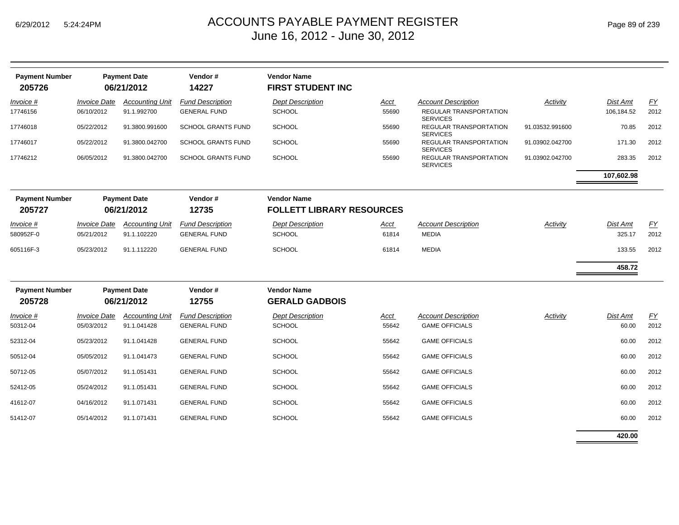| <b>Payment Number</b><br>205726 |                            | <b>Payment Date</b><br>06/21/2012 | Vendor#<br>14227          | <b>Vendor Name</b><br><b>FIRST STUDENT INC</b>         |       |                                           |                 |                 |           |
|---------------------------------|----------------------------|-----------------------------------|---------------------------|--------------------------------------------------------|-------|-------------------------------------------|-----------------|-----------------|-----------|
| Invoice #                       | <b>Invoice Date</b>        | <b>Accounting Unit</b>            | <b>Fund Description</b>   | <b>Dept Description</b>                                | Acct  | <b>Account Description</b>                | Activity        | Dist Amt        | EY        |
| 17746156                        | 06/10/2012                 | 91.1.992700                       | <b>GENERAL FUND</b>       | SCHOOL                                                 | 55690 | REGULAR TRANSPORTATION<br><b>SERVICES</b> |                 | 106,184.52      | 2012      |
| 17746018                        | 05/22/2012                 | 91.3800.991600                    | <b>SCHOOL GRANTS FUND</b> | <b>SCHOOL</b>                                          | 55690 | REGULAR TRANSPORTATION<br><b>SERVICES</b> | 91.03532.991600 | 70.85           | 2012      |
| 17746017                        | 05/22/2012                 | 91.3800.042700                    | <b>SCHOOL GRANTS FUND</b> | <b>SCHOOL</b>                                          | 55690 | REGULAR TRANSPORTATION<br><b>SERVICES</b> | 91.03902.042700 | 171.30          | 2012      |
| 17746212                        | 06/05/2012                 | 91.3800.042700                    | <b>SCHOOL GRANTS FUND</b> | SCHOOL                                                 | 55690 | REGULAR TRANSPORTATION<br><b>SERVICES</b> | 91.03902.042700 | 283.35          | 2012      |
|                                 |                            |                                   |                           |                                                        |       |                                           |                 | 107,602.98      |           |
| <b>Payment Number</b><br>205727 |                            | <b>Payment Date</b><br>06/21/2012 | Vendor#<br>12735          | <b>Vendor Name</b><br><b>FOLLETT LIBRARY RESOURCES</b> |       |                                           |                 |                 |           |
| <i>Invoice</i> #                | <i><b>Invoice Date</b></i> | <b>Accounting Unit</b>            | <b>Fund Description</b>   | <b>Dept Description</b>                                | Acct  | <b>Account Description</b>                | Activity        | <b>Dist Amt</b> | <u>FY</u> |
| 580952F-0                       | 05/21/2012                 | 91.1.102220                       | <b>GENERAL FUND</b>       | SCHOOL                                                 | 61814 | <b>MEDIA</b>                              |                 | 325.17          | 2012      |
| 605116F-3                       | 05/23/2012                 | 91.1.112220                       | <b>GENERAL FUND</b>       | <b>SCHOOL</b>                                          | 61814 | <b>MEDIA</b>                              |                 | 133.55          | 2012      |
|                                 |                            |                                   |                           |                                                        |       |                                           |                 | 458.72          |           |
| <b>Payment Number</b><br>205728 |                            | <b>Payment Date</b><br>06/21/2012 | Vendor#<br>12755          | <b>Vendor Name</b><br><b>GERALD GADBOIS</b>            |       |                                           |                 |                 |           |
| <i>Invoice</i> #                | <b>Invoice Date</b>        | <b>Accounting Unit</b>            | <b>Fund Description</b>   | <b>Dept Description</b>                                | Acct  | <b>Account Description</b>                | Activity        | Dist Amt        | EY        |
| 50312-04                        | 05/03/2012                 | 91.1.041428                       | <b>GENERAL FUND</b>       | <b>SCHOOL</b>                                          | 55642 | <b>GAME OFFICIALS</b>                     |                 | 60.00           | 2012      |
| 52312-04                        | 05/23/2012                 | 91.1.041428                       | <b>GENERAL FUND</b>       | <b>SCHOOL</b>                                          | 55642 | <b>GAME OFFICIALS</b>                     |                 | 60.00           | 2012      |
| 50512-04                        | 05/05/2012                 | 91.1.041473                       | <b>GENERAL FUND</b>       | SCHOOL                                                 | 55642 | <b>GAME OFFICIALS</b>                     |                 | 60.00           | 2012      |
| 50712-05                        | 05/07/2012                 | 91.1.051431                       | <b>GENERAL FUND</b>       | <b>SCHOOL</b>                                          | 55642 | <b>GAME OFFICIALS</b>                     |                 | 60.00           | 2012      |
| 52412-05                        | 05/24/2012                 | 91.1.051431                       | <b>GENERAL FUND</b>       | SCHOOL                                                 | 55642 | <b>GAME OFFICIALS</b>                     |                 | 60.00           | 2012      |
| 41612-07                        | 04/16/2012                 | 91.1.071431                       | <b>GENERAL FUND</b>       | <b>SCHOOL</b>                                          | 55642 | <b>GAME OFFICIALS</b>                     |                 | 60.00           | 2012      |
| 51412-07                        | 05/14/2012                 | 91.1.071431                       | <b>GENERAL FUND</b>       | <b>SCHOOL</b>                                          | 55642 | <b>GAME OFFICIALS</b>                     |                 | 60.00           | 2012      |
|                                 |                            |                                   |                           |                                                        |       |                                           |                 |                 |           |

**420.00**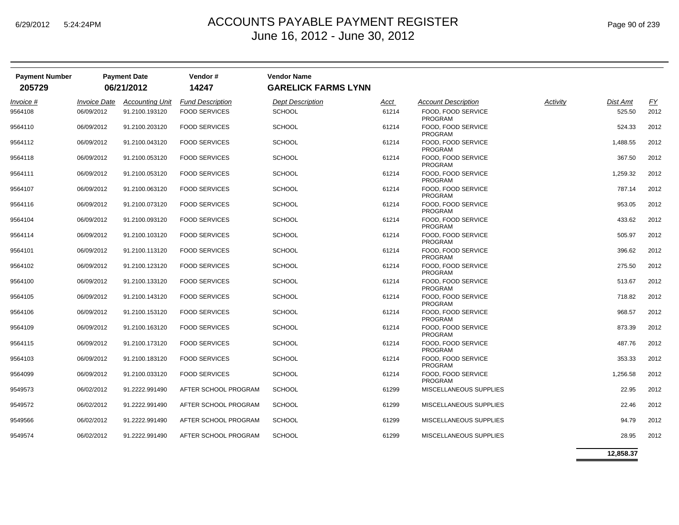| <b>Payment Number</b><br>205729 |                            | <b>Payment Date</b><br>06/21/2012 | Vendor#<br>14247        | <b>Vendor Name</b><br><b>GARELICK FARMS LYNN</b> |       |                                      |          |                 |           |
|---------------------------------|----------------------------|-----------------------------------|-------------------------|--------------------------------------------------|-------|--------------------------------------|----------|-----------------|-----------|
| Invoice #                       | <i><b>Invoice Date</b></i> | <b>Accounting Unit</b>            | <b>Fund Description</b> | <b>Dept Description</b>                          | Acct  | <b>Account Description</b>           | Activity | <b>Dist Amt</b> | <u>FY</u> |
| 9564108                         | 06/09/2012                 | 91.2100.193120                    | <b>FOOD SERVICES</b>    | <b>SCHOOL</b>                                    | 61214 | FOOD, FOOD SERVICE<br><b>PROGRAM</b> |          | 525.50          | 2012      |
| 9564110                         | 06/09/2012                 | 91.2100.203120                    | <b>FOOD SERVICES</b>    | <b>SCHOOL</b>                                    | 61214 | FOOD. FOOD SERVICE<br><b>PROGRAM</b> |          | 524.33          | 2012      |
| 9564112                         | 06/09/2012                 | 91.2100.043120                    | <b>FOOD SERVICES</b>    | <b>SCHOOL</b>                                    | 61214 | FOOD, FOOD SERVICE<br><b>PROGRAM</b> |          | 1,488.55        | 2012      |
| 9564118                         | 06/09/2012                 | 91.2100.053120                    | <b>FOOD SERVICES</b>    | <b>SCHOOL</b>                                    | 61214 | FOOD, FOOD SERVICE<br><b>PROGRAM</b> |          | 367.50          | 2012      |
| 9564111                         | 06/09/2012                 | 91.2100.053120                    | <b>FOOD SERVICES</b>    | <b>SCHOOL</b>                                    | 61214 | FOOD, FOOD SERVICE<br><b>PROGRAM</b> |          | 1,259.32        | 2012      |
| 9564107                         | 06/09/2012                 | 91.2100.063120                    | <b>FOOD SERVICES</b>    | <b>SCHOOL</b>                                    | 61214 | FOOD, FOOD SERVICE<br><b>PROGRAM</b> |          | 787.14          | 2012      |
| 9564116                         | 06/09/2012                 | 91.2100.073120                    | <b>FOOD SERVICES</b>    | <b>SCHOOL</b>                                    | 61214 | FOOD. FOOD SERVICE<br><b>PROGRAM</b> |          | 953.05          | 2012      |
| 9564104                         | 06/09/2012                 | 91.2100.093120                    | <b>FOOD SERVICES</b>    | <b>SCHOOL</b>                                    | 61214 | FOOD, FOOD SERVICE<br><b>PROGRAM</b> |          | 433.62          | 2012      |
| 9564114                         | 06/09/2012                 | 91.2100.103120                    | <b>FOOD SERVICES</b>    | SCHOOL                                           | 61214 | FOOD, FOOD SERVICE<br><b>PROGRAM</b> |          | 505.97          | 2012      |
| 9564101                         | 06/09/2012                 | 91.2100.113120                    | <b>FOOD SERVICES</b>    | <b>SCHOOL</b>                                    | 61214 | FOOD. FOOD SERVICE<br><b>PROGRAM</b> |          | 396.62          | 2012      |
| 9564102                         | 06/09/2012                 | 91.2100.123120                    | <b>FOOD SERVICES</b>    | <b>SCHOOL</b>                                    | 61214 | FOOD, FOOD SERVICE<br><b>PROGRAM</b> |          | 275.50          | 2012      |
| 9564100                         | 06/09/2012                 | 91.2100.133120                    | <b>FOOD SERVICES</b>    | <b>SCHOOL</b>                                    | 61214 | FOOD, FOOD SERVICE<br><b>PROGRAM</b> |          | 513.67          | 2012      |
| 9564105                         | 06/09/2012                 | 91.2100.143120                    | <b>FOOD SERVICES</b>    | <b>SCHOOL</b>                                    | 61214 | FOOD. FOOD SERVICE<br><b>PROGRAM</b> |          | 718.82          | 2012      |
| 9564106                         | 06/09/2012                 | 91.2100.153120                    | <b>FOOD SERVICES</b>    | <b>SCHOOL</b>                                    | 61214 | FOOD, FOOD SERVICE<br><b>PROGRAM</b> |          | 968.57          | 2012      |
| 9564109                         | 06/09/2012                 | 91.2100.163120                    | <b>FOOD SERVICES</b>    | <b>SCHOOL</b>                                    | 61214 | FOOD. FOOD SERVICE<br><b>PROGRAM</b> |          | 873.39          | 2012      |
| 9564115                         | 06/09/2012                 | 91.2100.173120                    | <b>FOOD SERVICES</b>    | <b>SCHOOL</b>                                    | 61214 | FOOD, FOOD SERVICE<br><b>PROGRAM</b> |          | 487.76          | 2012      |
| 9564103                         | 06/09/2012                 | 91.2100.183120                    | <b>FOOD SERVICES</b>    | <b>SCHOOL</b>                                    | 61214 | FOOD, FOOD SERVICE<br><b>PROGRAM</b> |          | 353.33          | 2012      |
| 9564099                         | 06/09/2012                 | 91.2100.033120                    | <b>FOOD SERVICES</b>    | <b>SCHOOL</b>                                    | 61214 | FOOD, FOOD SERVICE<br><b>PROGRAM</b> |          | 1,256.58        | 2012      |
| 9549573                         | 06/02/2012                 | 91.2222.991490                    | AFTER SCHOOL PROGRAM    | <b>SCHOOL</b>                                    | 61299 | MISCELLANEOUS SUPPLIES               |          | 22.95           | 2012      |
| 9549572                         | 06/02/2012                 | 91.2222.991490                    | AFTER SCHOOL PROGRAM    | <b>SCHOOL</b>                                    | 61299 | MISCELLANEOUS SUPPLIES               |          | 22.46           | 2012      |
| 9549566                         | 06/02/2012                 | 91.2222.991490                    | AFTER SCHOOL PROGRAM    | <b>SCHOOL</b>                                    | 61299 | MISCELLANEOUS SUPPLIES               |          | 94.79           | 2012      |
| 9549574                         | 06/02/2012                 | 91.2222.991490                    | AFTER SCHOOL PROGRAM    | <b>SCHOOL</b>                                    | 61299 | MISCELLANEOUS SUPPLIES               |          | 28.95           | 2012      |

**12,858.37**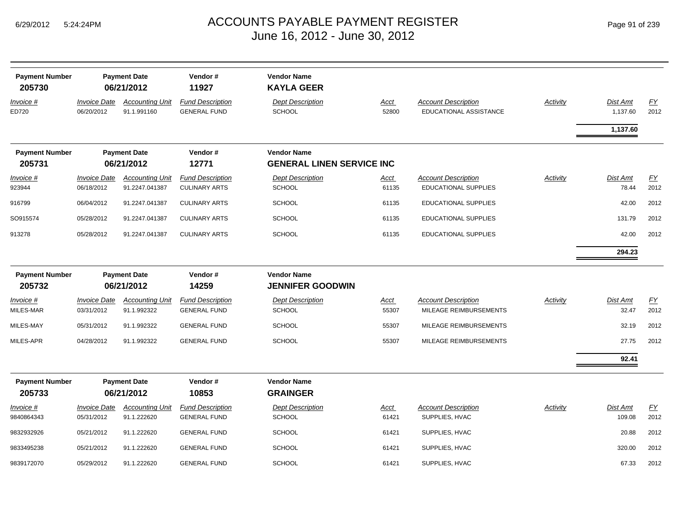| <b>Payment Number</b><br>205730 |                                   | <b>Payment Date</b><br>06/21/2012     | Vendor#<br>11927                               | <b>Vendor Name</b><br><b>KAYLA GEER</b>                |                      |                                                      |                 |                          |            |
|---------------------------------|-----------------------------------|---------------------------------------|------------------------------------------------|--------------------------------------------------------|----------------------|------------------------------------------------------|-----------------|--------------------------|------------|
| Invoice #<br>ED720              | <b>Invoice Date</b><br>06/20/2012 | <b>Accounting Unit</b><br>91.1.991160 | <b>Fund Description</b><br><b>GENERAL FUND</b> | <b>Dept Description</b><br><b>SCHOOL</b>               | <b>Acct</b><br>52800 | <b>Account Description</b><br>EDUCATIONAL ASSISTANCE | <b>Activity</b> | Dist Amt<br>1,137.60     | EY<br>2012 |
|                                 |                                   |                                       |                                                |                                                        |                      |                                                      |                 | 1,137.60                 |            |
| <b>Payment Number</b><br>205731 |                                   | <b>Payment Date</b><br>06/21/2012     | Vendor#<br>12771                               | <b>Vendor Name</b><br><b>GENERAL LINEN SERVICE INC</b> |                      |                                                      |                 |                          |            |
| Invoice #                       | <b>Invoice Date</b>               | <b>Accounting Unit</b>                | <b>Fund Description</b>                        | <b>Dept Description</b>                                | <u>Acct</u>          | <b>Account Description</b>                           | <b>Activity</b> | <b>Dist Amt</b>          | EY         |
| 923944                          | 06/18/2012                        | 91.2247.041387                        | <b>CULINARY ARTS</b>                           | <b>SCHOOL</b>                                          | 61135                | <b>EDUCATIONAL SUPPLIES</b>                          |                 | 78.44                    | 2012       |
| 916799                          | 06/04/2012                        | 91.2247.041387                        | <b>CULINARY ARTS</b>                           | <b>SCHOOL</b>                                          | 61135                | <b>EDUCATIONAL SUPPLIES</b>                          |                 | 42.00                    | 2012       |
| SO915574                        | 05/28/2012                        | 91.2247.041387                        | <b>CULINARY ARTS</b>                           | <b>SCHOOL</b>                                          | 61135                | EDUCATIONAL SUPPLIES                                 |                 | 131.79                   | 2012       |
| 913278                          | 05/28/2012                        | 91.2247.041387                        | <b>CULINARY ARTS</b>                           | <b>SCHOOL</b>                                          | 61135                | <b>EDUCATIONAL SUPPLIES</b>                          |                 | 42.00                    | 2012       |
|                                 |                                   |                                       |                                                |                                                        |                      |                                                      |                 | 294.23                   |            |
| <b>Payment Number</b><br>205732 |                                   | <b>Payment Date</b><br>06/21/2012     | Vendor#<br>14259                               | <b>Vendor Name</b><br><b>JENNIFER GOODWIN</b>          |                      |                                                      |                 |                          |            |
| Invoice #<br>MILES-MAR          | <b>Invoice Date</b><br>03/31/2012 | <b>Accounting Unit</b><br>91.1.992322 | <b>Fund Description</b><br><b>GENERAL FUND</b> | <b>Dept Description</b><br><b>SCHOOL</b>               | <u>Acct</u><br>55307 | <b>Account Description</b><br>MILEAGE REIMBURSEMENTS | <b>Activity</b> | <b>Dist Amt</b><br>32.47 | EY<br>2012 |
| MILES-MAY                       | 05/31/2012                        | 91.1.992322                           | <b>GENERAL FUND</b>                            | <b>SCHOOL</b>                                          | 55307                | MILEAGE REIMBURSEMENTS                               |                 | 32.19                    | 2012       |
| MILES-APR                       | 04/28/2012                        | 91.1.992322                           | <b>GENERAL FUND</b>                            | SCHOOL                                                 | 55307                | MILEAGE REIMBURSEMENTS                               |                 | 27.75                    | 2012       |
|                                 |                                   |                                       |                                                |                                                        |                      |                                                      |                 | 92.41                    |            |
| <b>Payment Number</b><br>205733 |                                   | <b>Payment Date</b><br>06/21/2012     | Vendor#<br>10853                               | <b>Vendor Name</b><br><b>GRAINGER</b>                  |                      |                                                      |                 |                          |            |
| Invoice #<br>9840864343         | <b>Invoice Date</b><br>05/31/2012 | <b>Accounting Unit</b><br>91.1.222620 | <b>Fund Description</b><br><b>GENERAL FUND</b> | <b>Dept Description</b><br>SCHOOL                      | Acct<br>61421        | <b>Account Description</b><br>SUPPLIES, HVAC         | Activity        | Dist Amt<br>109.08       | EY<br>2012 |
| 9832932926                      | 05/21/2012                        | 91.1.222620                           | <b>GENERAL FUND</b>                            | <b>SCHOOL</b>                                          | 61421                | SUPPLIES, HVAC                                       |                 | 20.88                    | 2012       |
| 9833495238                      | 05/21/2012                        | 91.1.222620                           | <b>GENERAL FUND</b>                            | <b>SCHOOL</b>                                          | 61421                | SUPPLIES, HVAC                                       |                 | 320.00                   | 2012       |
| 9839172070                      | 05/29/2012                        | 91.1.222620                           | <b>GENERAL FUND</b>                            | SCHOOL                                                 | 61421                | SUPPLIES, HVAC                                       |                 | 67.33                    | 2012       |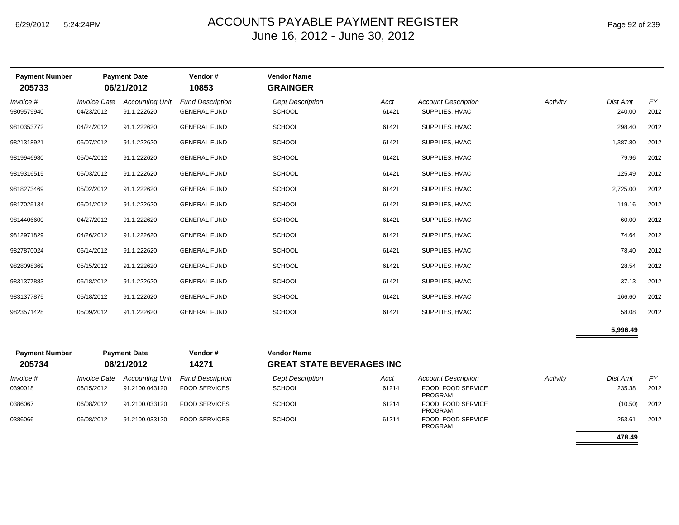| <b>Payment Number</b><br>205733 |                                   | <b>Payment Date</b><br>06/21/2012     | Vendor#<br>10853                               | <b>Vendor Name</b><br><b>GRAINGER</b>                  |               |                                              |                 |                    |            |
|---------------------------------|-----------------------------------|---------------------------------------|------------------------------------------------|--------------------------------------------------------|---------------|----------------------------------------------|-----------------|--------------------|------------|
| Invoice #<br>9809579940         | <b>Invoice Date</b><br>04/23/2012 | <b>Accounting Unit</b><br>91.1.222620 | <b>Fund Description</b><br><b>GENERAL FUND</b> | <b>Dept Description</b><br><b>SCHOOL</b>               | Acct<br>61421 | <b>Account Description</b><br>SUPPLIES, HVAC | <b>Activity</b> | Dist Amt<br>240.00 | EY<br>2012 |
| 9810353772                      | 04/24/2012                        | 91.1.222620                           | <b>GENERAL FUND</b>                            | <b>SCHOOL</b>                                          | 61421         | SUPPLIES, HVAC                               |                 | 298.40             | 2012       |
| 9821318921                      | 05/07/2012                        | 91.1.222620                           | <b>GENERAL FUND</b>                            | <b>SCHOOL</b>                                          | 61421         | SUPPLIES, HVAC                               |                 | 1,387.80           | 2012       |
| 9819946980                      | 05/04/2012                        | 91.1.222620                           | <b>GENERAL FUND</b>                            | <b>SCHOOL</b>                                          | 61421         | SUPPLIES, HVAC                               |                 | 79.96              | 2012       |
| 9819316515                      | 05/03/2012                        | 91.1.222620                           | <b>GENERAL FUND</b>                            | <b>SCHOOL</b>                                          | 61421         | SUPPLIES, HVAC                               |                 | 125.49             | 2012       |
| 9818273469                      | 05/02/2012                        | 91.1.222620                           | <b>GENERAL FUND</b>                            | <b>SCHOOL</b>                                          | 61421         | SUPPLIES, HVAC                               |                 | 2,725.00           | 2012       |
| 9817025134                      | 05/01/2012                        | 91.1.222620                           | <b>GENERAL FUND</b>                            | SCHOOL                                                 | 61421         | SUPPLIES, HVAC                               |                 | 119.16             | 2012       |
| 9814406600                      | 04/27/2012                        | 91.1.222620                           | <b>GENERAL FUND</b>                            | <b>SCHOOL</b>                                          | 61421         | SUPPLIES, HVAC                               |                 | 60.00              | 2012       |
| 9812971829                      | 04/26/2012                        | 91.1.222620                           | <b>GENERAL FUND</b>                            | <b>SCHOOL</b>                                          | 61421         | SUPPLIES, HVAC                               |                 | 74.64              | 2012       |
| 9827870024                      | 05/14/2012                        | 91.1.222620                           | <b>GENERAL FUND</b>                            | <b>SCHOOL</b>                                          | 61421         | SUPPLIES, HVAC                               |                 | 78.40              | 2012       |
| 9828098369                      | 05/15/2012                        | 91.1.222620                           | <b>GENERAL FUND</b>                            | <b>SCHOOL</b>                                          | 61421         | SUPPLIES, HVAC                               |                 | 28.54              | 2012       |
| 9831377883                      | 05/18/2012                        | 91.1.222620                           | <b>GENERAL FUND</b>                            | <b>SCHOOL</b>                                          | 61421         | SUPPLIES, HVAC                               |                 | 37.13              | 2012       |
| 9831377875                      | 05/18/2012                        | 91.1.222620                           | <b>GENERAL FUND</b>                            | <b>SCHOOL</b>                                          | 61421         | SUPPLIES, HVAC                               |                 | 166.60             | 2012       |
| 9823571428                      | 05/09/2012                        | 91.1.222620                           | <b>GENERAL FUND</b>                            | <b>SCHOOL</b>                                          | 61421         | SUPPLIES, HVAC                               |                 | 58.08              | 2012       |
|                                 |                                   |                                       |                                                |                                                        |               |                                              |                 | 5,996.49           |            |
| <b>Payment Number</b><br>205734 |                                   | <b>Payment Date</b><br>06/21/2012     | Vendor#<br>14271                               | <b>Vendor Name</b><br><b>GREAT STATE BEVERAGES INC</b> |               |                                              |                 |                    |            |
| Invoice #                       | <i><b>Invoice Date</b></i>        | <b>Accounting Unit</b>                | <b>Fund Description</b>                        | <b>Dept Description</b>                                | Acct          | <b>Account Description</b>                   | Activity        | Dist Amt           | FY         |

| 2057.34   |                     | UOLIIZUIZ              | 1427T                   |
|-----------|---------------------|------------------------|-------------------------|
| Invoice # | <b>Invoice Date</b> | <b>Accounting Unit</b> | <b>Fund Description</b> |
| 0390018   | 06/15/2012          | 91.2100.043120         | <b>FOOD SERVICES</b>    |
| 0386067   | 06/08/2012          | 91.2100.033120         | <b>FOOD SERVICES</b>    |
| 0386066   | 06/08/2012          | 91.2100.033120         | <b>FOOD SERVICES</b>    |

| Init | <b>Fund Description</b> | <b>Dept Description</b> | <u>Acct</u> | <b>Account Description</b>    | Activity | Dist Amt | FY   |
|------|-------------------------|-------------------------|-------------|-------------------------------|----------|----------|------|
|      | <b>FOOD SERVICES</b>    | <b>SCHOOL</b>           | 61214       | FOOD, FOOD SERVICE<br>PROGRAM |          | 235.38   | 2012 |
|      | <b>FOOD SERVICES</b>    | <b>SCHOOL</b>           | 61214       | FOOD, FOOD SERVICE<br>PROGRAM |          | (10.50)  | 2012 |
|      | <b>FOOD SERVICES</b>    | <b>SCHOOL</b>           | 61214       | FOOD, FOOD SERVICE<br>PROGRAM |          | 253.61   | 2012 |
|      |                         |                         |             |                               |          | 478.49   |      |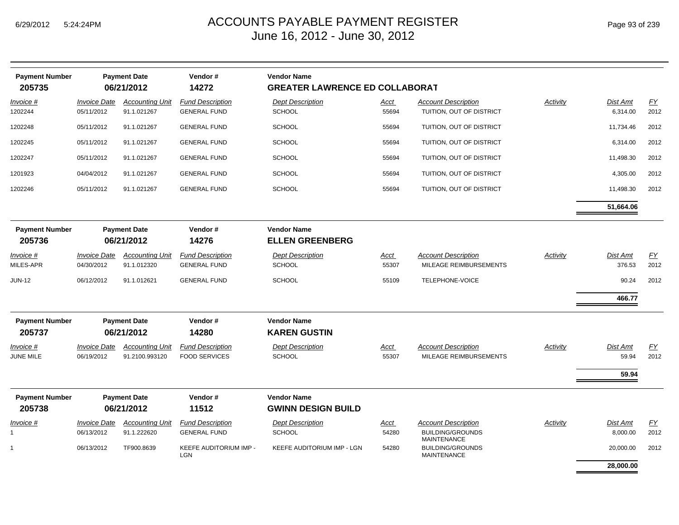| <b>Payment Number</b><br>205735 |                                   | <b>Payment Date</b><br>06/21/2012        | Vendor#<br>14272                                | <b>Vendor Name</b><br><b>GREATER LAWRENCE ED COLLABORAT</b> |                      |                                                                     |          |                      |                          |
|---------------------------------|-----------------------------------|------------------------------------------|-------------------------------------------------|-------------------------------------------------------------|----------------------|---------------------------------------------------------------------|----------|----------------------|--------------------------|
| Invoice #<br>1202244            | <b>Invoice Date</b><br>05/11/2012 | <b>Accounting Unit</b><br>91.1.021267    | <b>Fund Description</b><br><b>GENERAL FUND</b>  | <b>Dept Description</b><br><b>SCHOOL</b>                    | <u>Acct</u><br>55694 | <b>Account Description</b><br>TUITION, OUT OF DISTRICT              | Activity | Dist Amt<br>6,314.00 | $\underline{FY}$<br>2012 |
| 1202248                         | 05/11/2012                        | 91.1.021267                              | <b>GENERAL FUND</b>                             | <b>SCHOOL</b>                                               | 55694                | TUITION, OUT OF DISTRICT                                            |          | 11,734.46            | 2012                     |
| 1202245                         | 05/11/2012                        | 91.1.021267                              | <b>GENERAL FUND</b>                             | <b>SCHOOL</b>                                               | 55694                | TUITION, OUT OF DISTRICT                                            |          | 6,314.00             | 2012                     |
| 1202247                         | 05/11/2012                        | 91.1.021267                              | <b>GENERAL FUND</b>                             | <b>SCHOOL</b>                                               | 55694                | TUITION, OUT OF DISTRICT                                            |          | 11,498.30            | 2012                     |
| 1201923                         | 04/04/2012                        | 91.1.021267                              | <b>GENERAL FUND</b>                             | <b>SCHOOL</b>                                               | 55694                | TUITION, OUT OF DISTRICT                                            |          | 4,305.00             | 2012                     |
| 1202246                         | 05/11/2012                        | 91.1.021267                              | <b>GENERAL FUND</b>                             | <b>SCHOOL</b>                                               | 55694                | TUITION, OUT OF DISTRICT                                            |          | 11,498.30            | 2012                     |
|                                 |                                   |                                          |                                                 |                                                             |                      |                                                                     |          | 51,664.06            |                          |
| <b>Payment Number</b><br>205736 |                                   | <b>Payment Date</b><br>06/21/2012        | Vendor#<br>14276                                | <b>Vendor Name</b><br><b>ELLEN GREENBERG</b>                |                      |                                                                     |          |                      |                          |
| Invoice #<br>MILES-APR          | <i>Invoice Date</i><br>04/30/2012 | <b>Accounting Unit</b><br>91.1.012320    | <b>Fund Description</b><br><b>GENERAL FUND</b>  | <b>Dept Description</b><br><b>SCHOOL</b>                    | <u>Acct</u><br>55307 | <b>Account Description</b><br>MILEAGE REIMBURSEMENTS                | Activity | Dist Amt<br>376.53   | $\underline{FY}$<br>2012 |
| <b>JUN-12</b>                   | 06/12/2012                        | 91.1.012621                              | <b>GENERAL FUND</b>                             | <b>SCHOOL</b>                                               | 55109                | TELEPHONE-VOICE                                                     |          | 90.24                | 2012                     |
|                                 |                                   |                                          |                                                 |                                                             |                      |                                                                     |          | 466.77               |                          |
| <b>Payment Number</b><br>205737 |                                   | <b>Payment Date</b><br>06/21/2012        | Vendor#<br>14280                                | <b>Vendor Name</b><br><b>KAREN GUSTIN</b>                   |                      |                                                                     |          |                      |                          |
| Invoice #<br>JUNE MILE          | <b>Invoice Date</b><br>06/19/2012 | <b>Accounting Unit</b><br>91.2100.993120 | <b>Fund Description</b><br><b>FOOD SERVICES</b> | <b>Dept Description</b><br><b>SCHOOL</b>                    | Acct<br>55307        | <b>Account Description</b><br>MILEAGE REIMBURSEMENTS                | Activity | Dist Amt<br>59.94    | EY<br>2012               |
|                                 |                                   |                                          |                                                 |                                                             |                      |                                                                     |          | 59.94                |                          |
| <b>Payment Number</b><br>205738 |                                   | <b>Payment Date</b><br>06/21/2012        | Vendor#<br>11512                                | <b>Vendor Name</b><br><b>GWINN DESIGN BUILD</b>             |                      |                                                                     |          |                      |                          |
| Invoice #                       | <b>Invoice Date</b><br>06/13/2012 | <b>Accounting Unit</b><br>91.1.222620    | <b>Fund Description</b><br><b>GENERAL FUND</b>  | <b>Dept Description</b><br><b>SCHOOL</b>                    | <u>Acct</u><br>54280 | <b>Account Description</b><br><b>BUILDING/GROUNDS</b>               | Activity | Dist Amt<br>8,000.00 | $\underline{FY}$<br>2012 |
|                                 | 06/13/2012                        | TF900.8639                               | KEEFE AUDITORIUM IMP -<br><b>LGN</b>            | KEEFE AUDITORIUM IMP - LGN                                  | 54280                | <b>MAINTENANCE</b><br><b>BUILDING/GROUNDS</b><br><b>MAINTENANCE</b> |          | 20,000.00            | 2012                     |
|                                 |                                   |                                          |                                                 |                                                             |                      |                                                                     |          | 28,000.00            |                          |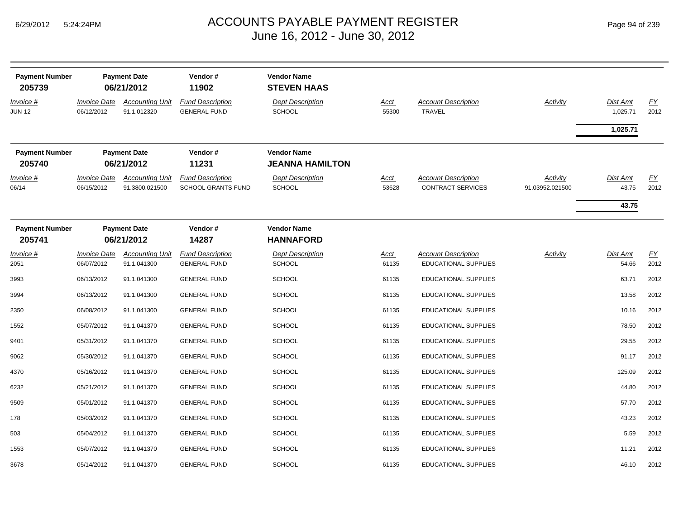| <b>Payment Number</b><br>205739   |                                   | <b>Payment Date</b><br>06/21/2012        | Vendor#<br>11902                                     | <b>Vendor Name</b><br><b>STEVEN HAAS</b>     |                      |                                                           |                                    |                                   |                          |
|-----------------------------------|-----------------------------------|------------------------------------------|------------------------------------------------------|----------------------------------------------|----------------------|-----------------------------------------------------------|------------------------------------|-----------------------------------|--------------------------|
| <u>Invoice #</u><br><b>JUN-12</b> | <b>Invoice Date</b><br>06/12/2012 | <b>Accounting Unit</b><br>91.1.012320    | <b>Fund Description</b><br><b>GENERAL FUND</b>       | <b>Dept Description</b><br><b>SCHOOL</b>     | <u>Acct</u><br>55300 | <b>Account Description</b><br><b>TRAVEL</b>               | <b>Activity</b>                    | Dist Amt<br>1,025.71              | EY<br>2012               |
|                                   |                                   |                                          |                                                      |                                              |                      |                                                           |                                    | 1,025.71                          |                          |
| <b>Payment Number</b><br>205740   |                                   | <b>Payment Date</b><br>06/21/2012        | Vendor#<br>11231                                     | <b>Vendor Name</b><br><b>JEANNA HAMILTON</b> |                      |                                                           |                                    |                                   |                          |
| <u>Invoice #</u><br>06/14         | <b>Invoice Date</b><br>06/15/2012 | <b>Accounting Unit</b><br>91.3800.021500 | <b>Fund Description</b><br><b>SCHOOL GRANTS FUND</b> | <b>Dept Description</b><br>SCHOOL            | <u>Acct</u><br>53628 | <b>Account Description</b><br><b>CONTRACT SERVICES</b>    | <b>Activity</b><br>91.03952.021500 | <b>Dist Amt</b><br>43.75<br>43.75 | EY<br>2012               |
| <b>Payment Number</b><br>205741   |                                   | <b>Payment Date</b><br>06/21/2012        | Vendor#<br>14287                                     | <b>Vendor Name</b><br><b>HANNAFORD</b>       |                      |                                                           |                                    |                                   |                          |
| $Invoice$ #<br>2051               | <b>Invoice Date</b><br>06/07/2012 | <b>Accounting Unit</b><br>91.1.041300    | <b>Fund Description</b><br><b>GENERAL FUND</b>       | <b>Dept Description</b><br><b>SCHOOL</b>     | <u>Acct</u><br>61135 | <b>Account Description</b><br><b>EDUCATIONAL SUPPLIES</b> | Activity                           | <b>Dist Amt</b><br>54.66          | $\underline{FY}$<br>2012 |
| 3993                              | 06/13/2012                        | 91.1.041300                              | <b>GENERAL FUND</b>                                  | <b>SCHOOL</b>                                | 61135                | <b>EDUCATIONAL SUPPLIES</b>                               |                                    | 63.71                             | 2012                     |
| 3994                              | 06/13/2012                        | 91.1.041300                              | <b>GENERAL FUND</b>                                  | <b>SCHOOL</b>                                | 61135                | <b>EDUCATIONAL SUPPLIES</b>                               |                                    | 13.58                             | 2012                     |
| 2350                              | 06/08/2012                        | 91.1.041300                              | <b>GENERAL FUND</b>                                  | <b>SCHOOL</b>                                | 61135                | <b>EDUCATIONAL SUPPLIES</b>                               |                                    | 10.16                             | 2012                     |
| 1552                              | 05/07/2012                        | 91.1.041370                              | <b>GENERAL FUND</b>                                  | <b>SCHOOL</b>                                | 61135                | <b>EDUCATIONAL SUPPLIES</b>                               |                                    | 78.50                             | 2012                     |
| 9401                              | 05/31/2012                        | 91.1.041370                              | <b>GENERAL FUND</b>                                  | <b>SCHOOL</b>                                | 61135                | <b>EDUCATIONAL SUPPLIES</b>                               |                                    | 29.55                             | 2012                     |
| 9062                              | 05/30/2012                        | 91.1.041370                              | <b>GENERAL FUND</b>                                  | <b>SCHOOL</b>                                | 61135                | EDUCATIONAL SUPPLIES                                      |                                    | 91.17                             | 2012                     |
| 4370                              | 05/16/2012                        | 91.1.041370                              | <b>GENERAL FUND</b>                                  | <b>SCHOOL</b>                                | 61135                | <b>EDUCATIONAL SUPPLIES</b>                               |                                    | 125.09                            | 2012                     |
| 6232                              | 05/21/2012                        | 91.1.041370                              | <b>GENERAL FUND</b>                                  | <b>SCHOOL</b>                                | 61135                | EDUCATIONAL SUPPLIES                                      |                                    | 44.80                             | 2012                     |
| 9509                              | 05/01/2012                        | 91.1.041370                              | <b>GENERAL FUND</b>                                  | <b>SCHOOL</b>                                | 61135                | <b>EDUCATIONAL SUPPLIES</b>                               |                                    | 57.70                             | 2012                     |
| 178                               | 05/03/2012                        | 91.1.041370                              | <b>GENERAL FUND</b>                                  | <b>SCHOOL</b>                                | 61135                | <b>EDUCATIONAL SUPPLIES</b>                               |                                    | 43.23                             | 2012                     |
| 503                               | 05/04/2012                        | 91.1.041370                              | <b>GENERAL FUND</b>                                  | <b>SCHOOL</b>                                | 61135                | <b>EDUCATIONAL SUPPLIES</b>                               |                                    | 5.59                              | 2012                     |
| 1553                              | 05/07/2012                        | 91.1.041370                              | <b>GENERAL FUND</b>                                  | <b>SCHOOL</b>                                | 61135                | <b>EDUCATIONAL SUPPLIES</b>                               |                                    | 11.21                             | 2012                     |
| 3678                              | 05/14/2012                        | 91.1.041370                              | <b>GENERAL FUND</b>                                  | <b>SCHOOL</b>                                | 61135                | <b>EDUCATIONAL SUPPLIES</b>                               |                                    | 46.10                             | 2012                     |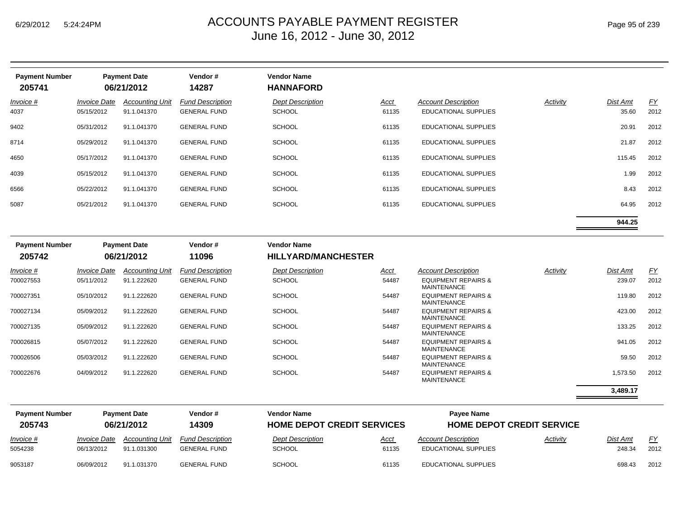| <b>Payment Number</b><br>205741 |                                   | <b>Payment Date</b><br>06/21/2012     | Vendor#<br>14287                               | <b>Vendor Name</b><br><b>HANNAFORD</b>   |               |                                                           |          |                   |                   |
|---------------------------------|-----------------------------------|---------------------------------------|------------------------------------------------|------------------------------------------|---------------|-----------------------------------------------------------|----------|-------------------|-------------------|
| $Invoice$ #<br>4037             | <b>Invoice Date</b><br>05/15/2012 | <b>Accounting Unit</b><br>91.1.041370 | <b>Fund Description</b><br><b>GENERAL FUND</b> | <b>Dept Description</b><br><b>SCHOOL</b> | Acct<br>61135 | <b>Account Description</b><br><b>EDUCATIONAL SUPPLIES</b> | Activity | Dist Amt<br>35.60 | <u>FY</u><br>2012 |
| 9402                            | 05/31/2012                        | 91.1.041370                           | <b>GENERAL FUND</b>                            | <b>SCHOOL</b>                            | 61135         | <b>EDUCATIONAL SUPPLIES</b>                               |          | 20.91             | 2012              |
| 8714                            | 05/29/2012                        | 91.1.041370                           | <b>GENERAL FUND</b>                            | <b>SCHOOL</b>                            | 61135         | <b>EDUCATIONAL SUPPLIES</b>                               |          | 21.87             | 2012              |
| 4650                            | 05/17/2012                        | 91.1.041370                           | <b>GENERAL FUND</b>                            | <b>SCHOOL</b>                            | 61135         | <b>EDUCATIONAL SUPPLIES</b>                               |          | 115.45            | 2012              |
| 4039                            | 05/15/2012                        | 91.1.041370                           | <b>GENERAL FUND</b>                            | <b>SCHOOL</b>                            | 61135         | <b>EDUCATIONAL SUPPLIES</b>                               |          | 1.99              | 2012              |
| 6566                            | 05/22/2012                        | 91.1.041370                           | <b>GENERAL FUND</b>                            | <b>SCHOOL</b>                            | 61135         | <b>EDUCATIONAL SUPPLIES</b>                               |          | 8.43              | 2012              |
| 5087                            | 05/21/2012                        | 91.1.041370                           | <b>GENERAL FUND</b>                            | <b>SCHOOL</b>                            | 61135         | <b>EDUCATIONAL SUPPLIES</b>                               |          | 64.95             | 2012              |
|                                 |                                   |                                       |                                                |                                          |               |                                                           |          |                   |                   |

| <b>Payment Number</b><br>205742 |                            | <b>Payment Date</b><br>06/21/2012 | Vendor#<br>11096        | <b>Vendor Name</b><br><b>HILLYARD/MANCHESTER</b> |             |                                                      |          |                 |           |
|---------------------------------|----------------------------|-----------------------------------|-------------------------|--------------------------------------------------|-------------|------------------------------------------------------|----------|-----------------|-----------|
| Invoice #                       | <i><b>Invoice Date</b></i> | <b>Accounting Unit</b>            | <b>Fund Description</b> | <b>Dept Description</b>                          | <u>Acct</u> | <b>Account Description</b>                           | Activity | <b>Dist Amt</b> | <u>FY</u> |
| 700027553                       | 05/11/2012                 | 91.1.222620                       | <b>GENERAL FUND</b>     | <b>SCHOOL</b>                                    | 54487       | <b>EQUIPMENT REPAIRS &amp;</b><br><b>MAINTENANCE</b> |          | 239.07          | 2012      |
| 700027351                       | 05/10/2012                 | 91.1.222620                       | <b>GENERAL FUND</b>     | <b>SCHOOL</b>                                    | 54487       | <b>EQUIPMENT REPAIRS &amp;</b><br><b>MAINTENANCE</b> |          | 119.80          | 2012      |
| 700027134                       | 05/09/2012                 | 91.1.222620                       | <b>GENERAL FUND</b>     | <b>SCHOOL</b>                                    | 54487       | <b>EQUIPMENT REPAIRS &amp;</b><br><b>MAINTENANCE</b> |          | 423.00          | 2012      |
| 700027135                       | 05/09/2012                 | 91.1.222620                       | <b>GENERAL FUND</b>     | <b>SCHOOL</b>                                    | 54487       | <b>EQUIPMENT REPAIRS &amp;</b><br><b>MAINTENANCE</b> |          | 133.25          | 2012      |
| 700026815                       | 05/07/2012                 | 91.1.222620                       | <b>GENERAL FUND</b>     | <b>SCHOOL</b>                                    | 54487       | <b>EQUIPMENT REPAIRS &amp;</b><br><b>MAINTENANCE</b> |          | 941.05          | 2012      |
| 700026506                       | 05/03/2012                 | 91.1.222620                       | <b>GENERAL FUND</b>     | <b>SCHOOL</b>                                    | 54487       | <b>EQUIPMENT REPAIRS &amp;</b><br><b>MAINTENANCE</b> |          | 59.50           | 2012      |
| 700022676                       | 04/09/2012                 | 91.1.222620                       | <b>GENERAL FUND</b>     | <b>SCHOOL</b>                                    | 54487       | <b>EQUIPMENT REPAIRS &amp;</b><br><b>MAINTENANCE</b> |          | 1,573.50        | 2012      |
|                                 |                            |                                   |                         |                                                  |             |                                                      |          | 3,489.17        |           |

| <b>Payment Number</b><br>205743 | <b>Payment Date</b><br>06/21/2012        |                                       | Vendor #<br>14309                              | <b>Vendor Name</b><br><b>HOME DEPOT CREDIT SERVICES</b> |               | Pavee Name<br><b>HOME DEPOT CREDIT SERVICE</b>            |          |                    |            |
|---------------------------------|------------------------------------------|---------------------------------------|------------------------------------------------|---------------------------------------------------------|---------------|-----------------------------------------------------------|----------|--------------------|------------|
| $Invoice$ #<br>5054238          | <i><b>Invoice Date</b></i><br>06/13/2012 | <b>Accounting Unit</b><br>91.1.031300 | <b>Fund Description</b><br><b>GENERAL FUND</b> | <b>Dept Description</b><br><b>SCHOOL</b>                | Acct<br>61135 | <b>Account Description</b><br><b>EDUCATIONAL SUPPLIES</b> | Activity | Dist Amt<br>248.34 | FY<br>2012 |
| 9053187                         | 06/09/2012                               | 91.1.031370                           | <b>GENERAL FUND</b>                            | <b>SCHOOL</b>                                           | 61135         | EDUCATIONAL SUPPLIES                                      |          | 698.43             | 2012       |

**944.25**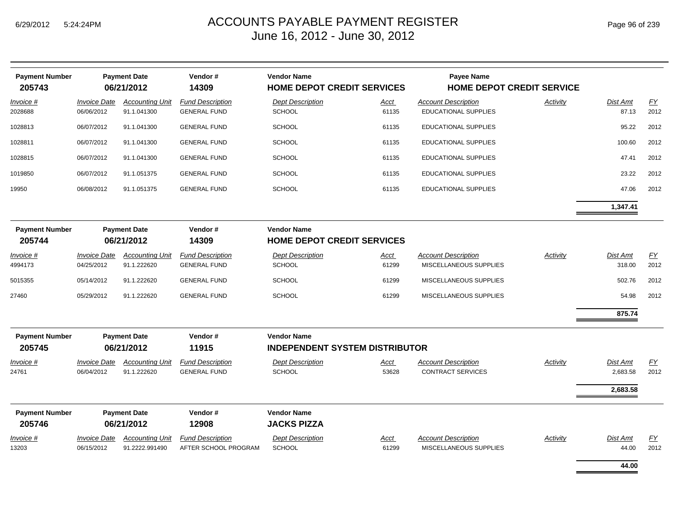| <b>Payment Number</b><br>205743 |                                   | <b>Payment Date</b><br>06/21/2012        | Vendor#<br>14309                                | <b>Vendor Name</b><br><b>HOME DEPOT CREDIT SERVICES</b>     |                      | Payee Name<br><b>HOME DEPOT CREDIT SERVICE</b>       |                 |                    |                          |
|---------------------------------|-----------------------------------|------------------------------------------|-------------------------------------------------|-------------------------------------------------------------|----------------------|------------------------------------------------------|-----------------|--------------------|--------------------------|
| Invoice #<br>2028688            | <b>Invoice Date</b><br>06/06/2012 | <b>Accounting Unit</b><br>91.1.041300    | <b>Fund Description</b><br><b>GENERAL FUND</b>  | <b>Dept Description</b><br><b>SCHOOL</b>                    | Acct<br>61135        | <b>Account Description</b><br>EDUCATIONAL SUPPLIES   | Activity        | Dist Amt<br>87.13  | $\underline{FY}$<br>2012 |
| 1028813                         | 06/07/2012                        | 91.1.041300                              | <b>GENERAL FUND</b>                             | <b>SCHOOL</b>                                               | 61135                | <b>EDUCATIONAL SUPPLIES</b>                          |                 | 95.22              | 2012                     |
| 1028811                         | 06/07/2012                        | 91.1.041300                              | <b>GENERAL FUND</b>                             | <b>SCHOOL</b>                                               | 61135                | EDUCATIONAL SUPPLIES                                 |                 | 100.60             | 2012                     |
| 1028815                         | 06/07/2012                        | 91.1.041300                              | <b>GENERAL FUND</b>                             | <b>SCHOOL</b>                                               | 61135                | <b>EDUCATIONAL SUPPLIES</b>                          |                 | 47.41              | 2012                     |
| 1019850                         | 06/07/2012                        | 91.1.051375                              | <b>GENERAL FUND</b>                             | SCHOOL                                                      | 61135                | <b>EDUCATIONAL SUPPLIES</b>                          |                 | 23.22              | 2012                     |
| 19950                           | 06/08/2012                        | 91.1.051375                              | <b>GENERAL FUND</b>                             | <b>SCHOOL</b>                                               | 61135                | EDUCATIONAL SUPPLIES                                 |                 | 47.06              | 2012                     |
|                                 |                                   |                                          |                                                 |                                                             |                      |                                                      |                 | 1,347.41           |                          |
| <b>Payment Number</b><br>205744 |                                   | <b>Payment Date</b><br>06/21/2012        | Vendor#<br>14309                                | <b>Vendor Name</b><br><b>HOME DEPOT CREDIT SERVICES</b>     |                      |                                                      |                 |                    |                          |
| Invoice #<br>4994173            | <b>Invoice Date</b><br>04/25/2012 | <b>Accounting Unit</b><br>91.1.222620    | <b>Fund Description</b><br><b>GENERAL FUND</b>  | <b>Dept Description</b><br><b>SCHOOL</b>                    | Acct<br>61299        | <b>Account Description</b><br>MISCELLANEOUS SUPPLIES | <b>Activity</b> | Dist Amt<br>318.00 | EY<br>2012               |
| 5015355                         | 05/14/2012                        | 91.1.222620                              | <b>GENERAL FUND</b>                             | <b>SCHOOL</b>                                               | 61299                | MISCELLANEOUS SUPPLIES                               |                 | 502.76             | 2012                     |
| 27460                           | 05/29/2012                        | 91.1.222620                              | <b>GENERAL FUND</b>                             | <b>SCHOOL</b>                                               | 61299                | MISCELLANEOUS SUPPLIES                               |                 | 54.98              | 2012                     |
|                                 |                                   |                                          |                                                 |                                                             |                      |                                                      |                 | 875.74             |                          |
| <b>Payment Number</b><br>205745 |                                   | <b>Payment Date</b><br>06/21/2012        | Vendor#<br>11915                                | <b>Vendor Name</b><br><b>INDEPENDENT SYSTEM DISTRIBUTOR</b> |                      |                                                      |                 |                    |                          |
| Invoice #                       | <b>Invoice Date</b>               | <b>Accounting Unit</b>                   | <b>Fund Description</b>                         | <b>Dept Description</b>                                     | <b>Acct</b>          | <b>Account Description</b>                           | Activity        | Dist Amt           | EY                       |
| 24761                           | 06/04/2012                        | 91.1.222620                              | <b>GENERAL FUND</b>                             | <b>SCHOOL</b>                                               | 53628                | <b>CONTRACT SERVICES</b>                             |                 | 2,683.58           | 2012                     |
|                                 |                                   |                                          |                                                 |                                                             |                      |                                                      |                 | 2,683.58           |                          |
| <b>Payment Number</b>           |                                   | <b>Payment Date</b>                      | Vendor#                                         | <b>Vendor Name</b>                                          |                      |                                                      |                 |                    |                          |
| 205746                          |                                   | 06/21/2012                               | 12908                                           | <b>JACKS PIZZA</b>                                          |                      |                                                      |                 |                    |                          |
| $Invoice$ #<br>13203            | <b>Invoice Date</b><br>06/15/2012 | <b>Accounting Unit</b><br>91.2222.991490 | <b>Fund Description</b><br>AFTER SCHOOL PROGRAM | <b>Dept Description</b><br>SCHOOL                           | <u>Acct</u><br>61299 | <b>Account Description</b><br>MISCELLANEOUS SUPPLIES | Activity        | Dist Amt<br>44.00  | $\underline{FY}$<br>2012 |
|                                 |                                   |                                          |                                                 |                                                             |                      |                                                      |                 | 44.00              |                          |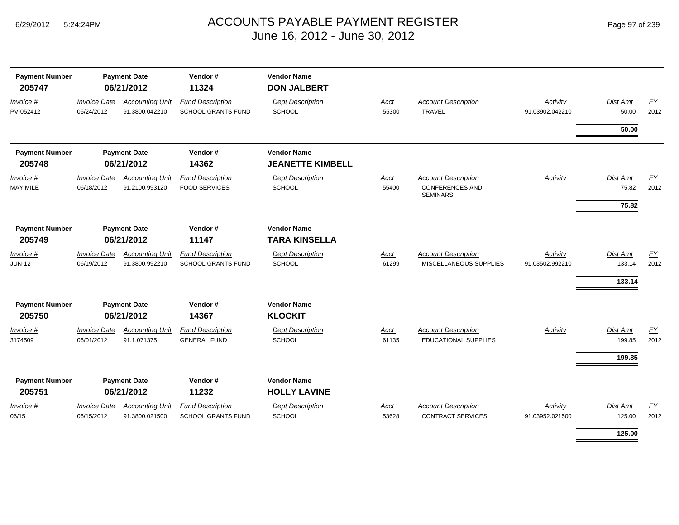|  | Page 97 of 239 |  |  |  |
|--|----------------|--|--|--|
|--|----------------|--|--|--|

| <b>Payment Number</b><br>205747 |                                   | <b>Payment Date</b><br>06/21/2012        | Vendor#<br>11324                                     | <b>Vendor Name</b><br><b>DON JALBERT</b>  |               |                                                                         |                             |                              |            |
|---------------------------------|-----------------------------------|------------------------------------------|------------------------------------------------------|-------------------------------------------|---------------|-------------------------------------------------------------------------|-----------------------------|------------------------------|------------|
| Invoice #<br>PV-052412          | <b>Invoice Date</b><br>05/24/2012 | <b>Accounting Unit</b><br>91.3800.042210 | <b>Fund Description</b><br><b>SCHOOL GRANTS FUND</b> | <b>Dept Description</b><br><b>SCHOOL</b>  | Acct<br>55300 | <b>Account Description</b><br><b>TRAVEL</b>                             | Activity<br>91.03902.042210 | Dist Amt<br>50.00            | FY<br>2012 |
|                                 |                                   |                                          |                                                      |                                           |               |                                                                         |                             | 50.00                        |            |
| <b>Payment Number</b>           |                                   | <b>Payment Date</b>                      | Vendor#                                              | <b>Vendor Name</b>                        |               |                                                                         |                             |                              |            |
| 205748                          |                                   | 06/21/2012                               | 14362                                                | <b>JEANETTE KIMBELL</b>                   |               |                                                                         |                             |                              |            |
| Invoice #<br><b>MAY MILE</b>    | <b>Invoice Date</b><br>06/18/2012 | <b>Accounting Unit</b><br>91.2100.993120 | <b>Fund Description</b><br><b>FOOD SERVICES</b>      | <b>Dept Description</b><br>SCHOOL         | Acct<br>55400 | <b>Account Description</b><br><b>CONFERENCES AND</b><br><b>SEMINARS</b> | Activity                    | Dist Amt<br>75.82            | EY<br>2012 |
|                                 |                                   |                                          |                                                      |                                           |               |                                                                         |                             | 75.82                        |            |
| <b>Payment Number</b>           |                                   | <b>Payment Date</b>                      | Vendor#                                              | <b>Vendor Name</b>                        |               |                                                                         |                             |                              |            |
| 205749                          |                                   | 06/21/2012                               | 11147                                                | <b>TARA KINSELLA</b>                      |               |                                                                         |                             |                              |            |
| Invoice #<br><b>JUN-12</b>      | <b>Invoice Date</b><br>06/19/2012 | <b>Accounting Unit</b><br>91.3800.992210 | <b>Fund Description</b><br><b>SCHOOL GRANTS FUND</b> | <b>Dept Description</b><br>SCHOOL         | Acct<br>61299 | <b>Account Description</b><br>MISCELLANEOUS SUPPLIES                    | Activity<br>91.03502.992210 | Dist Amt<br>133.14<br>133.14 | EY<br>2012 |
| <b>Payment Number</b><br>205750 |                                   | <b>Payment Date</b><br>06/21/2012        | Vendor#<br>14367                                     | <b>Vendor Name</b><br><b>KLOCKIT</b>      |               |                                                                         |                             |                              |            |
| Invoice #<br>3174509            | <b>Invoice Date</b><br>06/01/2012 | <b>Accounting Unit</b><br>91.1.071375    | <b>Fund Description</b><br><b>GENERAL FUND</b>       | <b>Dept Description</b><br><b>SCHOOL</b>  | Acct<br>61135 | <b>Account Description</b><br><b>EDUCATIONAL SUPPLIES</b>               | <b>Activity</b>             | Dist Amt<br>199.85<br>199.85 | EY<br>2012 |
| <b>Payment Number</b><br>205751 |                                   | <b>Payment Date</b><br>06/21/2012        | Vendor#<br>11232                                     | <b>Vendor Name</b><br><b>HOLLY LAVINE</b> |               |                                                                         |                             |                              |            |
| Invoice #<br>06/15              | <b>Invoice Date</b><br>06/15/2012 | <b>Accounting Unit</b><br>91.3800.021500 | <b>Fund Description</b><br><b>SCHOOL GRANTS FUND</b> | <b>Dept Description</b><br>SCHOOL         | Acct<br>53628 | <b>Account Description</b><br><b>CONTRACT SERVICES</b>                  | Activity<br>91.03952.021500 | Dist Amt<br>125.00           | EY<br>2012 |
|                                 |                                   |                                          |                                                      |                                           |               |                                                                         |                             | 125.00                       |            |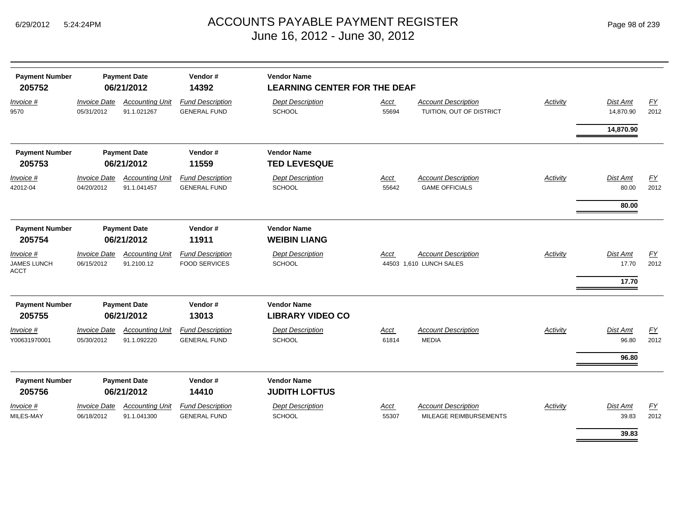| <b>Payment Number</b><br>205752           |                                   | <b>Payment Date</b><br>06/21/2012     | Vendor#<br>14392                                | <b>Vendor Name</b><br><b>LEARNING CENTER FOR THE DEAF</b> |                      |                                                        |                 |                            |            |
|-------------------------------------------|-----------------------------------|---------------------------------------|-------------------------------------------------|-----------------------------------------------------------|----------------------|--------------------------------------------------------|-----------------|----------------------------|------------|
| Invoice #<br>9570                         | <b>Invoice Date</b><br>05/31/2012 | <b>Accounting Unit</b><br>91.1.021267 | <b>Fund Description</b><br><b>GENERAL FUND</b>  | <b>Dept Description</b><br>SCHOOL                         | Acct<br>55694        | <b>Account Description</b><br>TUITION, OUT OF DISTRICT | Activity        | Dist Amt<br>14,870.90      | EY<br>2012 |
|                                           |                                   |                                       |                                                 |                                                           |                      |                                                        |                 | 14,870.90                  |            |
| <b>Payment Number</b><br>205753           |                                   | <b>Payment Date</b><br>06/21/2012     | Vendor#<br>11559                                | <b>Vendor Name</b><br><b>TED LEVESQUE</b>                 |                      |                                                        |                 |                            |            |
| Invoice #<br>42012-04                     | <b>Invoice Date</b><br>04/20/2012 | <b>Accounting Unit</b><br>91.1.041457 | <b>Fund Description</b><br><b>GENERAL FUND</b>  | <b>Dept Description</b><br><b>SCHOOL</b>                  | <b>Acct</b><br>55642 | <b>Account Description</b><br><b>GAME OFFICIALS</b>    | Activity        | Dist Amt<br>80.00          | EY<br>2012 |
|                                           |                                   |                                       |                                                 |                                                           |                      |                                                        |                 | 80.00                      |            |
| <b>Payment Number</b><br>205754           |                                   | <b>Payment Date</b><br>06/21/2012     | Vendor#<br>11911                                | <b>Vendor Name</b><br><b>WEIBIN LIANG</b>                 |                      |                                                        |                 |                            |            |
| $Invoice$ #<br>JAMES LUNCH<br><b>ACCT</b> | <b>Invoice Date</b><br>06/15/2012 | <b>Accounting Unit</b><br>91.2100.12  | <b>Fund Description</b><br><b>FOOD SERVICES</b> | <b>Dept Description</b><br>SCHOOL                         | Acct                 | <b>Account Description</b><br>44503 1,610 LUNCH SALES  | <b>Activity</b> | Dist Amt<br>17.70<br>17.70 | EY<br>2012 |
| <b>Payment Number</b><br>205755           |                                   | <b>Payment Date</b><br>06/21/2012     | Vendor#<br>13013                                | <b>Vendor Name</b><br><b>LIBRARY VIDEO CO</b>             |                      |                                                        |                 |                            |            |
| Invoice #<br>Y00631970001                 | <b>Invoice Date</b><br>05/30/2012 | <b>Accounting Unit</b><br>91.1.092220 | <b>Fund Description</b><br><b>GENERAL FUND</b>  | <b>Dept Description</b><br>SCHOOL                         | Acct<br>61814        | <b>Account Description</b><br><b>MEDIA</b>             | Activity        | Dist Amt<br>96.80          | EY<br>2012 |
| <b>Payment Number</b><br>205756           |                                   | <b>Payment Date</b><br>06/21/2012     | Vendor#<br>14410                                | <b>Vendor Name</b><br><b>JUDITH LOFTUS</b>                |                      |                                                        |                 | 96.80                      |            |
| Invoice #<br>MILES-MAY                    | <b>Invoice Date</b><br>06/18/2012 | <b>Accounting Unit</b><br>91.1.041300 | <b>Fund Description</b><br><b>GENERAL FUND</b>  | <b>Dept Description</b><br><b>SCHOOL</b>                  | <b>Acct</b><br>55307 | <b>Account Description</b><br>MILEAGE REIMBURSEMENTS   | Activity        | Dist Amt<br>39.83          | EY<br>2012 |
|                                           |                                   |                                       |                                                 |                                                           |                      |                                                        |                 | 39.83                      |            |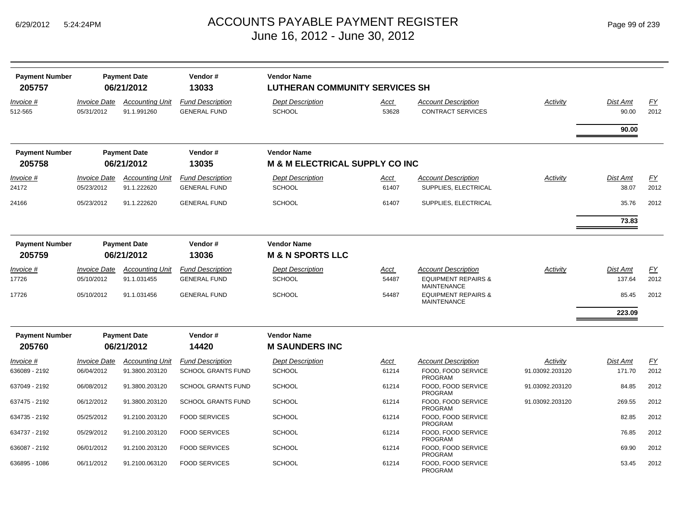| <b>Payment Number</b>           |                                          | <b>Payment Date</b>                   | Vendor#                                        | <b>Vendor Name</b>                                              |               |                                                        |                 |                   |            |
|---------------------------------|------------------------------------------|---------------------------------------|------------------------------------------------|-----------------------------------------------------------------|---------------|--------------------------------------------------------|-----------------|-------------------|------------|
| 205757                          |                                          | 06/21/2012                            | 13033                                          | <b>LUTHERAN COMMUNITY SERVICES SH</b>                           |               |                                                        |                 |                   |            |
| Invoice #<br>512-565            | <i><b>Invoice Date</b></i><br>05/31/2012 | <b>Accounting Unit</b><br>91.1.991260 | <b>Fund Description</b><br><b>GENERAL FUND</b> | <b>Dept Description</b><br><b>SCHOOL</b>                        | Acct<br>53628 | <b>Account Description</b><br><b>CONTRACT SERVICES</b> | Activity        | Dist Amt<br>90.00 | EY<br>2012 |
|                                 |                                          |                                       |                                                |                                                                 |               |                                                        |                 | 90.00             |            |
| <b>Payment Number</b><br>205758 |                                          | <b>Payment Date</b><br>06/21/2012     | Vendor#<br>13035                               | <b>Vendor Name</b><br><b>M &amp; M ELECTRICAL SUPPLY CO INC</b> |               |                                                        |                 |                   |            |
| Invoice #                       | <b>Invoice Date</b>                      | <b>Accounting Unit</b>                | <b>Fund Description</b>                        | <b>Dept Description</b>                                         | Acct          | <b>Account Description</b>                             | Activity        | <b>Dist Amt</b>   | FY         |
| 24172                           | 05/23/2012                               | 91.1.222620                           | <b>GENERAL FUND</b>                            | <b>SCHOOL</b>                                                   | 61407         | SUPPLIES, ELECTRICAL                                   |                 | 38.07             | 2012       |
| 24166                           | 05/23/2012                               | 91.1.222620                           | <b>GENERAL FUND</b>                            | <b>SCHOOL</b>                                                   | 61407         | SUPPLIES, ELECTRICAL                                   |                 | 35.76             | 2012       |
|                                 |                                          |                                       |                                                |                                                                 |               |                                                        |                 | 73.83             |            |
| <b>Payment Number</b>           |                                          | <b>Payment Date</b>                   | Vendor#                                        | <b>Vendor Name</b>                                              |               |                                                        |                 |                   |            |
| 205759                          |                                          | 06/21/2012                            | 13036                                          | <b>M &amp; N SPORTS LLC</b>                                     |               |                                                        |                 |                   |            |
| Invoice #                       | <b>Invoice Date</b>                      | <b>Accounting Unit</b>                | <b>Fund Description</b>                        | <b>Dept Description</b>                                         | <u>Acct</u>   | Account Description                                    | Activity        | <b>Dist Amt</b>   | FY         |
| 17726                           | 05/10/2012                               | 91.1.031455                           | <b>GENERAL FUND</b>                            | <b>SCHOOL</b>                                                   | 54487         | <b>EQUIPMENT REPAIRS &amp;</b><br><b>MAINTENANCE</b>   |                 | 137.64            | 2012       |
| 17726                           | 05/10/2012                               | 91.1.031456                           | <b>GENERAL FUND</b>                            | <b>SCHOOL</b>                                                   | 54487         | <b>EQUIPMENT REPAIRS &amp;</b><br><b>MAINTENANCE</b>   |                 | 85.45             | 2012       |
|                                 |                                          |                                       |                                                |                                                                 |               |                                                        |                 | 223.09            |            |
| <b>Payment Number</b>           |                                          | <b>Payment Date</b>                   | Vendor#                                        | <b>Vendor Name</b>                                              |               |                                                        |                 |                   |            |
| 205760                          |                                          | 06/21/2012                            | 14420                                          | <b>M SAUNDERS INC</b>                                           |               |                                                        |                 |                   |            |
| Invoice #                       | <b>Invoice Date</b>                      | <b>Accounting Unit</b>                | <b>Fund Description</b>                        | <b>Dept Description</b>                                         | Acct          | <b>Account Description</b>                             | Activity        | <b>Dist Amt</b>   | FY         |
| 636089 - 2192                   | 06/04/2012                               | 91.3800.203120                        | SCHOOL GRANTS FUND                             | <b>SCHOOL</b>                                                   | 61214         | FOOD. FOOD SERVICE<br><b>PROGRAM</b>                   | 91.03092.203120 | 171.70            | 2012       |
| 637049 - 2192                   | 06/08/2012                               | 91.3800.203120                        | <b>SCHOOL GRANTS FUND</b>                      | <b>SCHOOL</b>                                                   | 61214         | FOOD, FOOD SERVICE<br><b>PROGRAM</b>                   | 91.03092.203120 | 84.85             | 2012       |
| 637475 - 2192                   | 06/12/2012                               | 91.3800.203120                        | <b>SCHOOL GRANTS FUND</b>                      | <b>SCHOOL</b>                                                   | 61214         | FOOD, FOOD SERVICE<br><b>PROGRAM</b>                   | 91.03092.203120 | 269.55            | 2012       |
| 634735 - 2192                   | 05/25/2012                               | 91.2100.203120                        | <b>FOOD SERVICES</b>                           | <b>SCHOOL</b>                                                   | 61214         | FOOD, FOOD SERVICE<br><b>PROGRAM</b>                   |                 | 82.85             | 2012       |
| 634737 - 2192                   | 05/29/2012                               | 91.2100.203120                        | <b>FOOD SERVICES</b>                           | <b>SCHOOL</b>                                                   | 61214         | FOOD, FOOD SERVICE<br>PROGRAM                          |                 | 76.85             | 2012       |
| 636087 - 2192                   | 06/01/2012                               | 91.2100.203120                        | <b>FOOD SERVICES</b>                           | <b>SCHOOL</b>                                                   | 61214         | FOOD, FOOD SERVICE<br><b>PROGRAM</b>                   |                 | 69.90             | 2012       |
| 636895 - 1086                   | 06/11/2012                               | 91.2100.063120                        | <b>FOOD SERVICES</b>                           | <b>SCHOOL</b>                                                   | 61214         | FOOD. FOOD SERVICE<br><b>PROGRAM</b>                   |                 | 53.45             | 2012       |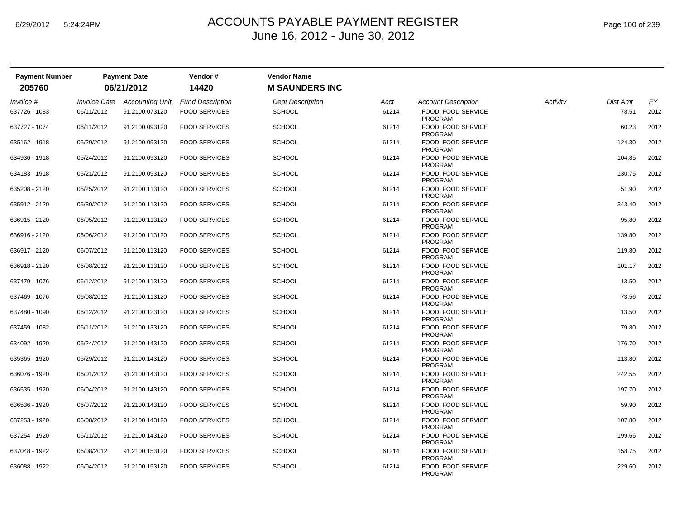| <b>Payment Number</b><br>205760 |                     | <b>Payment Date</b><br>06/21/2012 | Vendor#<br>14420        | <b>Vendor Name</b><br><b>M SAUNDERS INC</b> |             |                                      |          |          |      |
|---------------------------------|---------------------|-----------------------------------|-------------------------|---------------------------------------------|-------------|--------------------------------------|----------|----------|------|
|                                 |                     |                                   |                         |                                             |             |                                      |          |          |      |
| Invoice #                       | <b>Invoice Date</b> | <b>Accounting Unit</b>            | <b>Fund Description</b> | <b>Dept Description</b>                     | <u>Acct</u> | <b>Account Description</b>           | Activity | Dist Amt | EY   |
| 637726 - 1083                   | 06/11/2012          | 91.2100.073120                    | <b>FOOD SERVICES</b>    | <b>SCHOOL</b>                               | 61214       | FOOD, FOOD SERVICE<br>PROGRAM        |          | 78.51    | 2012 |
| 637727 - 1074                   | 06/11/2012          | 91.2100.093120                    | <b>FOOD SERVICES</b>    | <b>SCHOOL</b>                               | 61214       | FOOD. FOOD SERVICE<br>PROGRAM        |          | 60.23    | 2012 |
| 635162 - 1918                   | 05/29/2012          | 91.2100.093120                    | <b>FOOD SERVICES</b>    | <b>SCHOOL</b>                               | 61214       | FOOD. FOOD SERVICE<br>PROGRAM        |          | 124.30   | 2012 |
| 634936 - 1918                   | 05/24/2012          | 91.2100.093120                    | <b>FOOD SERVICES</b>    | <b>SCHOOL</b>                               | 61214       | FOOD. FOOD SERVICE<br>PROGRAM        |          | 104.85   | 2012 |
| 634183 - 1918                   | 05/21/2012          | 91.2100.093120                    | <b>FOOD SERVICES</b>    | <b>SCHOOL</b>                               | 61214       | FOOD, FOOD SERVICE<br><b>PROGRAM</b> |          | 130.75   | 2012 |
| 635208 - 2120                   | 05/25/2012          | 91.2100.113120                    | <b>FOOD SERVICES</b>    | <b>SCHOOL</b>                               | 61214       | FOOD, FOOD SERVICE<br>PROGRAM        |          | 51.90    | 2012 |
| 635912 - 2120                   | 05/30/2012          | 91.2100.113120                    | <b>FOOD SERVICES</b>    | <b>SCHOOL</b>                               | 61214       | FOOD. FOOD SERVICE<br><b>PROGRAM</b> |          | 343.40   | 2012 |
| 636915 - 2120                   | 06/05/2012          | 91.2100.113120                    | <b>FOOD SERVICES</b>    | <b>SCHOOL</b>                               | 61214       | FOOD. FOOD SERVICE<br><b>PROGRAM</b> |          | 95.80    | 2012 |
| 636916 - 2120                   | 06/06/2012          | 91.2100.113120                    | <b>FOOD SERVICES</b>    | <b>SCHOOL</b>                               | 61214       | FOOD, FOOD SERVICE<br>PROGRAM        |          | 139.80   | 2012 |
| 636917 - 2120                   | 06/07/2012          | 91.2100.113120                    | <b>FOOD SERVICES</b>    | <b>SCHOOL</b>                               | 61214       | FOOD, FOOD SERVICE<br><b>PROGRAM</b> |          | 119.80   | 2012 |
| 636918 - 2120                   | 06/08/2012          | 91.2100.113120                    | <b>FOOD SERVICES</b>    | <b>SCHOOL</b>                               | 61214       | FOOD, FOOD SERVICE<br>PROGRAM        |          | 101.17   | 2012 |
| 637479 - 1076                   | 06/12/2012          | 91.2100.113120                    | <b>FOOD SERVICES</b>    | <b>SCHOOL</b>                               | 61214       | FOOD, FOOD SERVICE<br><b>PROGRAM</b> |          | 13.50    | 2012 |
| 637469 - 1076                   | 06/08/2012          | 91.2100.113120                    | <b>FOOD SERVICES</b>    | <b>SCHOOL</b>                               | 61214       | FOOD, FOOD SERVICE<br><b>PROGRAM</b> |          | 73.56    | 2012 |
| 637480 - 1090                   | 06/12/2012          | 91.2100.123120                    | <b>FOOD SERVICES</b>    | <b>SCHOOL</b>                               | 61214       | FOOD, FOOD SERVICE<br>PROGRAM        |          | 13.50    | 2012 |
| 637459 - 1082                   | 06/11/2012          | 91.2100.133120                    | <b>FOOD SERVICES</b>    | <b>SCHOOL</b>                               | 61214       | FOOD, FOOD SERVICE<br><b>PROGRAM</b> |          | 79.80    | 2012 |
| 634092 - 1920                   | 05/24/2012          | 91.2100.143120                    | <b>FOOD SERVICES</b>    | <b>SCHOOL</b>                               | 61214       | FOOD, FOOD SERVICE<br>PROGRAM        |          | 176.70   | 2012 |
| 635365 - 1920                   | 05/29/2012          | 91.2100.143120                    | <b>FOOD SERVICES</b>    | <b>SCHOOL</b>                               | 61214       | FOOD, FOOD SERVICE<br>PROGRAM        |          | 113.80   | 2012 |
| 636076 - 1920                   | 06/01/2012          | 91.2100.143120                    | <b>FOOD SERVICES</b>    | <b>SCHOOL</b>                               | 61214       | FOOD, FOOD SERVICE<br>PROGRAM        |          | 242.55   | 2012 |
| 636535 - 1920                   | 06/04/2012          | 91.2100.143120                    | <b>FOOD SERVICES</b>    | <b>SCHOOL</b>                               | 61214       | FOOD, FOOD SERVICE<br><b>PROGRAM</b> |          | 197.70   | 2012 |
| 636536 - 1920                   | 06/07/2012          | 91.2100.143120                    | <b>FOOD SERVICES</b>    | <b>SCHOOL</b>                               | 61214       | FOOD, FOOD SERVICE<br><b>PROGRAM</b> |          | 59.90    | 2012 |
| 637253 - 1920                   | 06/08/2012          | 91.2100.143120                    | <b>FOOD SERVICES</b>    | <b>SCHOOL</b>                               | 61214       | FOOD, FOOD SERVICE<br><b>PROGRAM</b> |          | 107.80   | 2012 |
| 637254 - 1920                   | 06/11/2012          | 91.2100.143120                    | <b>FOOD SERVICES</b>    | <b>SCHOOL</b>                               | 61214       | FOOD, FOOD SERVICE<br>PROGRAM        |          | 199.65   | 2012 |
| 637048 - 1922                   | 06/08/2012          | 91.2100.153120                    | <b>FOOD SERVICES</b>    | <b>SCHOOL</b>                               | 61214       | FOOD, FOOD SERVICE<br><b>PROGRAM</b> |          | 158.75   | 2012 |
| 636088 - 1922                   | 06/04/2012          | 91.2100.153120                    | <b>FOOD SERVICES</b>    | <b>SCHOOL</b>                               | 61214       | FOOD, FOOD SERVICE<br><b>PROGRAM</b> |          | 229.60   | 2012 |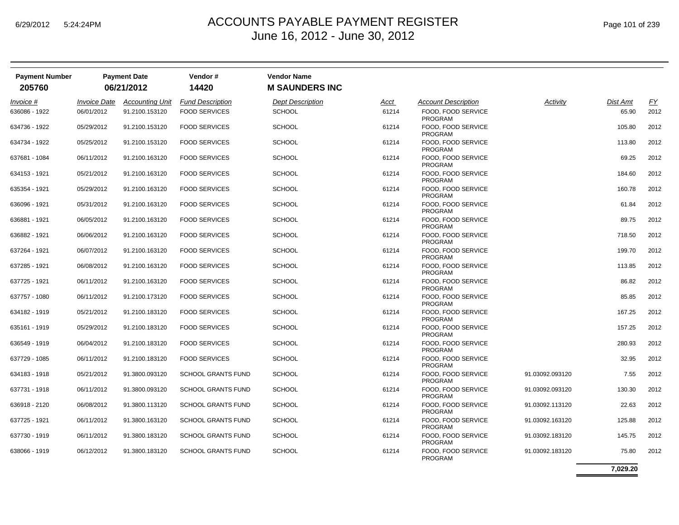| <b>Payment Number</b><br>205760 |                            | <b>Payment Date</b><br>06/21/2012 | Vendor#<br>14420          | <b>Vendor Name</b><br><b>M SAUNDERS INC</b> |             |                                      |                 |                 |      |
|---------------------------------|----------------------------|-----------------------------------|---------------------------|---------------------------------------------|-------------|--------------------------------------|-----------------|-----------------|------|
| Invoice #                       | <i><b>Invoice Date</b></i> | <b>Accounting Unit</b>            | <b>Fund Description</b>   | <b>Dept Description</b>                     | <u>Acct</u> | <b>Account Description</b>           | Activity        | <b>Dist Amt</b> | EY   |
| 636086 - 1922                   | 06/01/2012                 | 91.2100.153120                    | <b>FOOD SERVICES</b>      | <b>SCHOOL</b>                               | 61214       | FOOD. FOOD SERVICE<br><b>PROGRAM</b> |                 | 65.90           | 2012 |
| 634736 - 1922                   | 05/29/2012                 | 91.2100.153120                    | <b>FOOD SERVICES</b>      | <b>SCHOOL</b>                               | 61214       | FOOD, FOOD SERVICE<br><b>PROGRAM</b> |                 | 105.80          | 2012 |
| 634734 - 1922                   | 05/25/2012                 | 91.2100.153120                    | <b>FOOD SERVICES</b>      | <b>SCHOOL</b>                               | 61214       | FOOD, FOOD SERVICE<br><b>PROGRAM</b> |                 | 113.80          | 2012 |
| 637681 - 1084                   | 06/11/2012                 | 91.2100.163120                    | <b>FOOD SERVICES</b>      | <b>SCHOOL</b>                               | 61214       | FOOD, FOOD SERVICE<br><b>PROGRAM</b> |                 | 69.25           | 2012 |
| 634153 - 1921                   | 05/21/2012                 | 91.2100.163120                    | <b>FOOD SERVICES</b>      | <b>SCHOOL</b>                               | 61214       | FOOD, FOOD SERVICE<br><b>PROGRAM</b> |                 | 184.60          | 2012 |
| 635354 - 1921                   | 05/29/2012                 | 91.2100.163120                    | <b>FOOD SERVICES</b>      | <b>SCHOOL</b>                               | 61214       | FOOD, FOOD SERVICE<br><b>PROGRAM</b> |                 | 160.78          | 2012 |
| 636096 - 1921                   | 05/31/2012                 | 91.2100.163120                    | <b>FOOD SERVICES</b>      | <b>SCHOOL</b>                               | 61214       | FOOD, FOOD SERVICE<br><b>PROGRAM</b> |                 | 61.84           | 2012 |
| 636881 - 1921                   | 06/05/2012                 | 91.2100.163120                    | <b>FOOD SERVICES</b>      | <b>SCHOOL</b>                               | 61214       | FOOD, FOOD SERVICE<br><b>PROGRAM</b> |                 | 89.75           | 2012 |
| 636882 - 1921                   | 06/06/2012                 | 91.2100.163120                    | <b>FOOD SERVICES</b>      | <b>SCHOOL</b>                               | 61214       | FOOD, FOOD SERVICE<br><b>PROGRAM</b> |                 | 718.50          | 2012 |
| 637264 - 1921                   | 06/07/2012                 | 91.2100.163120                    | <b>FOOD SERVICES</b>      | <b>SCHOOL</b>                               | 61214       | FOOD, FOOD SERVICE<br><b>PROGRAM</b> |                 | 199.70          | 2012 |
| 637285 - 1921                   | 06/08/2012                 | 91.2100.163120                    | <b>FOOD SERVICES</b>      | <b>SCHOOL</b>                               | 61214       | FOOD, FOOD SERVICE<br><b>PROGRAM</b> |                 | 113.85          | 2012 |
| 637725 - 1921                   | 06/11/2012                 | 91.2100.163120                    | <b>FOOD SERVICES</b>      | <b>SCHOOL</b>                               | 61214       | FOOD, FOOD SERVICE<br><b>PROGRAM</b> |                 | 86.82           | 2012 |
| 637757 - 1080                   | 06/11/2012                 | 91.2100.173120                    | <b>FOOD SERVICES</b>      | <b>SCHOOL</b>                               | 61214       | FOOD, FOOD SERVICE<br><b>PROGRAM</b> |                 | 85.85           | 2012 |
| 634182 - 1919                   | 05/21/2012                 | 91.2100.183120                    | <b>FOOD SERVICES</b>      | <b>SCHOOL</b>                               | 61214       | FOOD, FOOD SERVICE<br><b>PROGRAM</b> |                 | 167.25          | 2012 |
| 635161 - 1919                   | 05/29/2012                 | 91.2100.183120                    | <b>FOOD SERVICES</b>      | <b>SCHOOL</b>                               | 61214       | FOOD, FOOD SERVICE<br><b>PROGRAM</b> |                 | 157.25          | 2012 |
| 636549 - 1919                   | 06/04/2012                 | 91.2100.183120                    | <b>FOOD SERVICES</b>      | <b>SCHOOL</b>                               | 61214       | FOOD, FOOD SERVICE<br><b>PROGRAM</b> |                 | 280.93          | 2012 |
| 637729 - 1085                   | 06/11/2012                 | 91.2100.183120                    | <b>FOOD SERVICES</b>      | <b>SCHOOL</b>                               | 61214       | FOOD, FOOD SERVICE<br><b>PROGRAM</b> |                 | 32.95           | 2012 |
| 634183 - 1918                   | 05/21/2012                 | 91.3800.093120                    | <b>SCHOOL GRANTS FUND</b> | <b>SCHOOL</b>                               | 61214       | FOOD, FOOD SERVICE<br><b>PROGRAM</b> | 91.03092.093120 | 7.55            | 2012 |
| 637731 - 1918                   | 06/11/2012                 | 91.3800.093120                    | <b>SCHOOL GRANTS FUND</b> | <b>SCHOOL</b>                               | 61214       | FOOD, FOOD SERVICE<br><b>PROGRAM</b> | 91.03092.093120 | 130.30          | 2012 |
| 636918 - 2120                   | 06/08/2012                 | 91.3800.113120                    | <b>SCHOOL GRANTS FUND</b> | <b>SCHOOL</b>                               | 61214       | FOOD, FOOD SERVICE<br><b>PROGRAM</b> | 91.03092.113120 | 22.63           | 2012 |
| 637725 - 1921                   | 06/11/2012                 | 91.3800.163120                    | <b>SCHOOL GRANTS FUND</b> | <b>SCHOOL</b>                               | 61214       | FOOD, FOOD SERVICE<br><b>PROGRAM</b> | 91.03092.163120 | 125.88          | 2012 |
| 637730 - 1919                   | 06/11/2012                 | 91.3800.183120                    | <b>SCHOOL GRANTS FUND</b> | <b>SCHOOL</b>                               | 61214       | FOOD, FOOD SERVICE<br><b>PROGRAM</b> | 91.03092.183120 | 145.75          | 2012 |
| 638066 - 1919                   | 06/12/2012                 | 91.3800.183120                    | <b>SCHOOL GRANTS FUND</b> | <b>SCHOOL</b>                               | 61214       | FOOD, FOOD SERVICE<br>PROGRAM        | 91.03092.183120 | 75.80           | 2012 |

**7,029.20**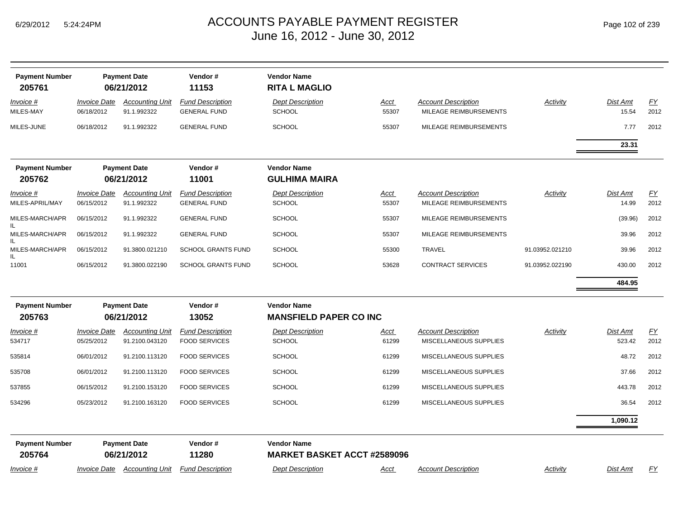| Page 102 of 239 |  |  |  |  |
|-----------------|--|--|--|--|
|-----------------|--|--|--|--|

| <b>Payment Number</b><br>205761     |                                          | <b>Payment Date</b><br>06/21/2012                     | Vendor#<br>11153                                | <b>Vendor Name</b><br><b>RITA L MAGLIO</b>               |                      |                                                      |                 |                           |            |
|-------------------------------------|------------------------------------------|-------------------------------------------------------|-------------------------------------------------|----------------------------------------------------------|----------------------|------------------------------------------------------|-----------------|---------------------------|------------|
| Invoice #<br>MILES-MAY              | Invoice Date<br>06/18/2012               | <b>Accounting Unit</b><br>91.1.992322                 | <b>Fund Description</b><br><b>GENERAL FUND</b>  | <b>Dept Description</b><br><b>SCHOOL</b>                 | <u>Acct</u><br>55307 | <b>Account Description</b><br>MILEAGE REIMBURSEMENTS | <b>Activity</b> | <b>Dist Amt</b><br>15.54  | EY<br>2012 |
| MILES-JUNE                          | 06/18/2012                               | 91.1.992322                                           | <b>GENERAL FUND</b>                             | <b>SCHOOL</b>                                            | 55307                | MILEAGE REIMBURSEMENTS                               |                 | 7.77                      | 2012       |
|                                     |                                          |                                                       |                                                 |                                                          |                      |                                                      |                 | 23.31                     |            |
| <b>Payment Number</b><br>205762     |                                          | <b>Payment Date</b><br>06/21/2012                     | Vendor#<br>11001                                | <b>Vendor Name</b><br><b>GULHIMA MAIRA</b>               |                      |                                                      |                 |                           |            |
| <u>Invoice #</u><br>MILES-APRIL/MAY | <b>Invoice Date</b><br>06/15/2012        | <b>Accounting Unit</b><br>91.1.992322                 | <b>Fund Description</b><br><b>GENERAL FUND</b>  | <b>Dept Description</b><br><b>SCHOOL</b>                 | <u>Acct</u><br>55307 | <b>Account Description</b><br>MILEAGE REIMBURSEMENTS | Activity        | <b>Dist Amt</b><br>14.99  | EY<br>2012 |
| MILES-MARCH/APR                     | 06/15/2012                               | 91.1.992322                                           | <b>GENERAL FUND</b>                             | <b>SCHOOL</b>                                            | 55307                | MILEAGE REIMBURSEMENTS                               |                 | (39.96)                   | 2012       |
| MILES-MARCH/APR                     | 06/15/2012                               | 91.1.992322                                           | <b>GENERAL FUND</b>                             | <b>SCHOOL</b>                                            | 55307                | MILEAGE REIMBURSEMENTS                               |                 | 39.96                     | 2012       |
| MILES-MARCH/APR                     | 06/15/2012                               | 91.3800.021210                                        | <b>SCHOOL GRANTS FUND</b>                       | <b>SCHOOL</b>                                            | 55300                | <b>TRAVEL</b>                                        | 91.03952.021210 | 39.96                     | 2012       |
| 11001                               | 06/15/2012                               | 91.3800.022190                                        | <b>SCHOOL GRANTS FUND</b>                       | <b>SCHOOL</b>                                            | 53628                | <b>CONTRACT SERVICES</b>                             | 91.03952.022190 | 430.00                    | 2012       |
|                                     |                                          |                                                       |                                                 |                                                          |                      |                                                      |                 | 484.95                    |            |
| <b>Payment Number</b><br>205763     |                                          | Vendor#<br><b>Payment Date</b><br>13052<br>06/21/2012 |                                                 | <b>Vendor Name</b><br><b>MANSFIELD PAPER CO INC</b>      |                      |                                                      |                 |                           |            |
| Invoice #<br>534717                 | <i><b>Invoice Date</b></i><br>05/25/2012 | <b>Accounting Unit</b><br>91.2100.043120              | <b>Fund Description</b><br><b>FOOD SERVICES</b> | <b>Dept Description</b><br><b>SCHOOL</b>                 | Acct<br>61299        | <b>Account Description</b><br>MISCELLANEOUS SUPPLIES | Activity        | <b>Dist Amt</b><br>523.42 | EY<br>2012 |
| 535814                              | 06/01/2012                               | 91.2100.113120                                        | <b>FOOD SERVICES</b>                            | <b>SCHOOL</b>                                            | 61299                | MISCELLANEOUS SUPPLIES                               |                 | 48.72                     | 2012       |
| 535708                              | 06/01/2012                               | 91.2100.113120                                        | <b>FOOD SERVICES</b>                            | <b>SCHOOL</b>                                            | 61299                | MISCELLANEOUS SUPPLIES                               |                 | 37.66                     | 2012       |
| 537855                              | 06/15/2012                               | 91.2100.153120                                        | <b>FOOD SERVICES</b>                            | <b>SCHOOL</b>                                            | 61299                | MISCELLANEOUS SUPPLIES                               |                 | 443.78                    | 2012       |
| 534296                              | 05/23/2012                               | 91.2100.163120                                        | <b>FOOD SERVICES</b>                            | <b>SCHOOL</b>                                            | 61299                | MISCELLANEOUS SUPPLIES                               |                 | 36.54                     | 2012       |
|                                     |                                          |                                                       |                                                 |                                                          |                      |                                                      |                 | 1,090.12                  |            |
| <b>Payment Number</b><br>205764     |                                          | <b>Payment Date</b><br>06/21/2012                     | Vendor#<br>11280                                | <b>Vendor Name</b><br><b>MARKET BASKET ACCT #2589096</b> |                      |                                                      |                 |                           |            |
| Invoice #                           | Invoice Date                             | <b>Accounting Unit</b>                                | <b>Fund Description</b>                         | <b>Dept Description</b>                                  | Acct                 | <b>Account Description</b>                           | Activity        | <b>Dist Amt</b>           | <u>FY</u>  |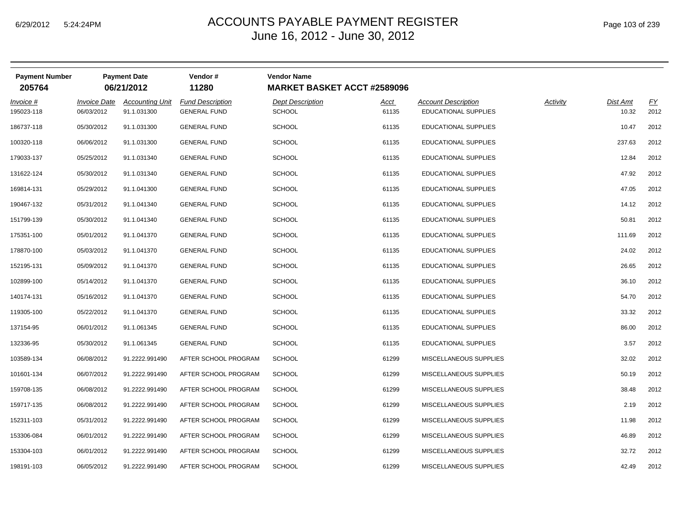|  | Page 103 of 239 |  |  |  |
|--|-----------------|--|--|--|
|--|-----------------|--|--|--|

| <b>Payment Number</b><br>205764 |                                          | <b>Payment Date</b><br>06/21/2012     | Vendor #<br>11280                              | <b>Vendor Name</b><br><b>MARKET BASKET ACCT #2589096</b> |                      |                                                    |                 |                          |                   |
|---------------------------------|------------------------------------------|---------------------------------------|------------------------------------------------|----------------------------------------------------------|----------------------|----------------------------------------------------|-----------------|--------------------------|-------------------|
| <u>Invoice #</u><br>195023-118  | <i><b>Invoice Date</b></i><br>06/03/2012 | <b>Accounting Unit</b><br>91.1.031300 | <b>Fund Description</b><br><b>GENERAL FUND</b> | <b>Dept Description</b><br><b>SCHOOL</b>                 | <u>Acct</u><br>61135 | <b>Account Description</b><br>EDUCATIONAL SUPPLIES | <b>Activity</b> | <b>Dist Amt</b><br>10.32 | <u>FY</u><br>2012 |
| 186737-118                      | 05/30/2012                               | 91.1.031300                           | <b>GENERAL FUND</b>                            | <b>SCHOOL</b>                                            | 61135                | <b>EDUCATIONAL SUPPLIES</b>                        |                 | 10.47                    | 2012              |
| 100320-118                      | 06/06/2012                               | 91.1.031300                           | <b>GENERAL FUND</b>                            | <b>SCHOOL</b>                                            | 61135                | EDUCATIONAL SUPPLIES                               |                 | 237.63                   | 2012              |
| 179033-137                      | 05/25/2012                               | 91.1.031340                           | <b>GENERAL FUND</b>                            | <b>SCHOOL</b>                                            | 61135                | <b>EDUCATIONAL SUPPLIES</b>                        |                 | 12.84                    | 2012              |
| 131622-124                      | 05/30/2012                               | 91.1.031340                           | <b>GENERAL FUND</b>                            | <b>SCHOOL</b>                                            | 61135                | EDUCATIONAL SUPPLIES                               |                 | 47.92                    | 2012              |
| 169814-131                      | 05/29/2012                               | 91.1.041300                           | <b>GENERAL FUND</b>                            | <b>SCHOOL</b>                                            | 61135                | EDUCATIONAL SUPPLIES                               |                 | 47.05                    | 2012              |
| 190467-132                      | 05/31/2012                               | 91.1.041340                           | <b>GENERAL FUND</b>                            | <b>SCHOOL</b>                                            | 61135                | EDUCATIONAL SUPPLIES                               |                 | 14.12                    | 2012              |
| 151799-139                      | 05/30/2012                               | 91.1.041340                           | <b>GENERAL FUND</b>                            | <b>SCHOOL</b>                                            | 61135                | <b>EDUCATIONAL SUPPLIES</b>                        |                 | 50.81                    | 2012              |
| 175351-100                      | 05/01/2012                               | 91.1.041370                           | <b>GENERAL FUND</b>                            | <b>SCHOOL</b>                                            | 61135                | EDUCATIONAL SUPPLIES                               |                 | 111.69                   | 2012              |
| 178870-100                      | 05/03/2012                               | 91.1.041370                           | <b>GENERAL FUND</b>                            | <b>SCHOOL</b>                                            | 61135                | EDUCATIONAL SUPPLIES                               |                 | 24.02                    | 2012              |
| 152195-131                      | 05/09/2012                               | 91.1.041370                           | <b>GENERAL FUND</b>                            | <b>SCHOOL</b>                                            | 61135                | EDUCATIONAL SUPPLIES                               |                 | 26.65                    | 2012              |
| 102899-100                      | 05/14/2012                               | 91.1.041370                           | <b>GENERAL FUND</b>                            | <b>SCHOOL</b>                                            | 61135                | EDUCATIONAL SUPPLIES                               |                 | 36.10                    | 2012              |
| 140174-131                      | 05/16/2012                               | 91.1.041370                           | <b>GENERAL FUND</b>                            | <b>SCHOOL</b>                                            | 61135                | EDUCATIONAL SUPPLIES                               |                 | 54.70                    | 2012              |
| 119305-100                      | 05/22/2012                               | 91.1.041370                           | <b>GENERAL FUND</b>                            | <b>SCHOOL</b>                                            | 61135                | EDUCATIONAL SUPPLIES                               |                 | 33.32                    | 2012              |
| 137154-95                       | 06/01/2012                               | 91.1.061345                           | <b>GENERAL FUND</b>                            | <b>SCHOOL</b>                                            | 61135                | <b>EDUCATIONAL SUPPLIES</b>                        |                 | 86.00                    | 2012              |
| 132336-95                       | 05/30/2012                               | 91.1.061345                           | <b>GENERAL FUND</b>                            | <b>SCHOOL</b>                                            | 61135                | EDUCATIONAL SUPPLIES                               |                 | 3.57                     | 2012              |
| 103589-134                      | 06/08/2012                               | 91.2222.991490                        | AFTER SCHOOL PROGRAM                           | <b>SCHOOL</b>                                            | 61299                | MISCELLANEOUS SUPPLIES                             |                 | 32.02                    | 2012              |
| 101601-134                      | 06/07/2012                               | 91.2222.991490                        | AFTER SCHOOL PROGRAM                           | <b>SCHOOL</b>                                            | 61299                | MISCELLANEOUS SUPPLIES                             |                 | 50.19                    | 2012              |
| 159708-135                      | 06/08/2012                               | 91.2222.991490                        | AFTER SCHOOL PROGRAM                           | <b>SCHOOL</b>                                            | 61299                | MISCELLANEOUS SUPPLIES                             |                 | 38.48                    | 2012              |
| 159717-135                      | 06/08/2012                               | 91.2222.991490                        | AFTER SCHOOL PROGRAM                           | <b>SCHOOL</b>                                            | 61299                | MISCELLANEOUS SUPPLIES                             |                 | 2.19                     | 2012              |
| 152311-103                      | 05/31/2012                               | 91.2222.991490                        | AFTER SCHOOL PROGRAM                           | <b>SCHOOL</b>                                            | 61299                | MISCELLANEOUS SUPPLIES                             |                 | 11.98                    | 2012              |
| 153306-084                      | 06/01/2012                               | 91.2222.991490                        | AFTER SCHOOL PROGRAM                           | <b>SCHOOL</b>                                            | 61299                | MISCELLANEOUS SUPPLIES                             |                 | 46.89                    | 2012              |
| 153304-103                      | 06/01/2012                               | 91.2222.991490                        | AFTER SCHOOL PROGRAM                           | <b>SCHOOL</b>                                            | 61299                | MISCELLANEOUS SUPPLIES                             |                 | 32.72                    | 2012              |
| 198191-103                      | 06/05/2012                               | 91.2222.991490                        | AFTER SCHOOL PROGRAM                           | <b>SCHOOL</b>                                            | 61299                | MISCELLANEOUS SUPPLIES                             |                 | 42.49                    | 2012              |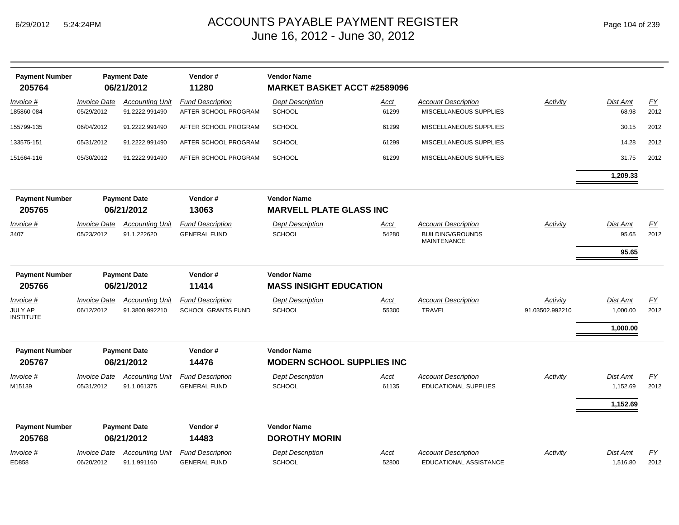| <b>Payment Number</b><br>205764          |                                          | <b>Payment Date</b><br>06/21/2012        | Vendor#<br>11280                                     | <b>Vendor Name</b><br><b>MARKET BASKET ACCT #2589096</b> |                      |                                                                             |                             |                                  |                          |
|------------------------------------------|------------------------------------------|------------------------------------------|------------------------------------------------------|----------------------------------------------------------|----------------------|-----------------------------------------------------------------------------|-----------------------------|----------------------------------|--------------------------|
| Invoice #<br>185860-084                  | <b>Invoice Date</b><br>05/29/2012        | <b>Accounting Unit</b><br>91.2222.991490 | <b>Fund Description</b><br>AFTER SCHOOL PROGRAM      | <b>Dept Description</b><br><b>SCHOOL</b>                 | <u>Acct</u><br>61299 | <b>Account Description</b><br>MISCELLANEOUS SUPPLIES                        | <b>Activity</b>             | Dist Amt<br>68.98                | $\underline{FY}$<br>2012 |
| 155799-135                               | 06/04/2012                               | 91.2222.991490                           | AFTER SCHOOL PROGRAM                                 | <b>SCHOOL</b>                                            | 61299                | MISCELLANEOUS SUPPLIES                                                      |                             | 30.15                            | 2012                     |
| 133575-151                               | 05/31/2012                               | 91.2222.991490                           | AFTER SCHOOL PROGRAM                                 | <b>SCHOOL</b>                                            | 61299                | MISCELLANEOUS SUPPLIES                                                      |                             | 14.28                            | 2012                     |
| 151664-116                               | 05/30/2012                               | 91.2222.991490                           | AFTER SCHOOL PROGRAM                                 | <b>SCHOOL</b>                                            | 61299                | MISCELLANEOUS SUPPLIES                                                      |                             | 31.75                            | 2012                     |
|                                          |                                          |                                          |                                                      |                                                          |                      |                                                                             |                             | 1,209.33                         |                          |
| <b>Payment Number</b><br>205765          |                                          | <b>Payment Date</b><br>06/21/2012        | Vendor#<br>13063                                     | <b>Vendor Name</b><br><b>MARVELL PLATE GLASS INC</b>     |                      |                                                                             |                             |                                  |                          |
|                                          |                                          |                                          |                                                      |                                                          |                      |                                                                             |                             |                                  |                          |
| Invoice #<br>3407                        | <b>Invoice Date</b><br>05/23/2012        | <b>Accounting Unit</b><br>91.1.222620    | <b>Fund Description</b><br><b>GENERAL FUND</b>       | <b>Dept Description</b><br><b>SCHOOL</b>                 | <u>Acct</u><br>54280 | <b>Account Description</b><br><b>BUILDING/GROUNDS</b><br><b>MAINTENANCE</b> | Activity                    | Dist Amt<br>95.65                | EY<br>2012               |
|                                          |                                          |                                          |                                                      |                                                          |                      |                                                                             |                             | 95.65                            |                          |
| <b>Payment Number</b>                    |                                          | <b>Payment Date</b>                      | Vendor#                                              | <b>Vendor Name</b>                                       |                      |                                                                             |                             |                                  |                          |
| 205766                                   |                                          | 06/21/2012                               | 11414                                                | <b>MASS INSIGHT EDUCATION</b>                            |                      |                                                                             |                             |                                  |                          |
| Invoice #<br>JULY AP<br><b>INSTITUTE</b> | <b>Invoice Date</b><br>06/12/2012        | <b>Accounting Unit</b><br>91.3800.992210 | <b>Fund Description</b><br><b>SCHOOL GRANTS FUND</b> | <b>Dept Description</b><br><b>SCHOOL</b>                 | <u>Acct</u><br>55300 | <b>Account Description</b><br><b>TRAVEL</b>                                 | Activity<br>91.03502.992210 | Dist Amt<br>1,000.00<br>1,000.00 | $\underline{FY}$<br>2012 |
| <b>Payment Number</b><br>205767          |                                          | <b>Payment Date</b><br>06/21/2012        | Vendor#<br>14476                                     | <b>Vendor Name</b><br><b>MODERN SCHOOL SUPPLIES INC</b>  |                      |                                                                             |                             |                                  |                          |
| <u>Invoice #</u><br>M15139               | <i><b>Invoice Date</b></i><br>05/31/2012 | <b>Accounting Unit</b><br>91.1.061375    | <b>Fund Description</b><br><b>GENERAL FUND</b>       | <b>Dept Description</b><br><b>SCHOOL</b>                 | <u>Acct</u><br>61135 | <b>Account Description</b><br><b>EDUCATIONAL SUPPLIES</b>                   | <b>Activity</b>             | <b>Dist Amt</b><br>1,152.69      | $\underline{FY}$<br>2012 |
|                                          |                                          |                                          |                                                      |                                                          |                      |                                                                             |                             | 1,152.69                         |                          |
| <b>Payment Number</b><br>205768          |                                          | <b>Payment Date</b><br>06/21/2012        | Vendor#<br>14483                                     | <b>Vendor Name</b><br><b>DOROTHY MORIN</b>               |                      |                                                                             |                             |                                  |                          |
| <u>Invoice #</u><br>ED858                | <b>Invoice Date</b><br>06/20/2012        | <b>Accounting Unit</b><br>91.1.991160    | <b>Fund Description</b><br><b>GENERAL FUND</b>       | <b>Dept Description</b><br>SCHOOL                        | <u>Acct</u><br>52800 | <b>Account Description</b><br>EDUCATIONAL ASSISTANCE                        | <b>Activity</b>             | <b>Dist Amt</b><br>1,516.80      | $\underline{FY}$<br>2012 |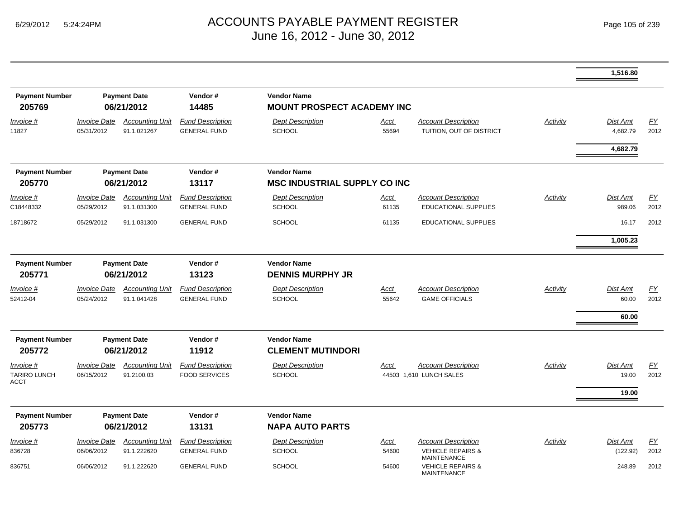|                                                 |                                   |                                       |                                                 |                                                           |                      |                                                           |                 | 1,516.80                  |                   |
|-------------------------------------------------|-----------------------------------|---------------------------------------|-------------------------------------------------|-----------------------------------------------------------|----------------------|-----------------------------------------------------------|-----------------|---------------------------|-------------------|
| <b>Payment Number</b><br>205769                 | <b>Payment Date</b><br>06/21/2012 |                                       | Vendor#<br>14485                                | <b>Vendor Name</b><br><b>MOUNT PROSPECT ACADEMY INC</b>   |                      |                                                           |                 |                           |                   |
| Invoice #<br>11827                              | <b>Invoice Date</b><br>05/31/2012 | <b>Accounting Unit</b><br>91.1.021267 | <b>Fund Description</b><br><b>GENERAL FUND</b>  | <b>Dept Description</b><br><b>SCHOOL</b>                  | <u>Acct</u><br>55694 | <b>Account Description</b><br>TUITION, OUT OF DISTRICT    | <b>Activity</b> | Dist Amt<br>4,682.79      | EY<br>2012        |
|                                                 |                                   |                                       |                                                 |                                                           |                      |                                                           |                 | 4,682.79                  |                   |
| <b>Payment Number</b><br>205770                 | <b>Payment Date</b><br>06/21/2012 |                                       | Vendor#<br>13117                                | <b>Vendor Name</b><br><b>MSC INDUSTRIAL SUPPLY CO INC</b> |                      |                                                           |                 |                           |                   |
| $Invoice$ #<br>C18448332                        | <b>Invoice Date</b><br>05/29/2012 | <b>Accounting Unit</b><br>91.1.031300 | <b>Fund Description</b><br><b>GENERAL FUND</b>  | <b>Dept Description</b><br><b>SCHOOL</b>                  | <u>Acct</u><br>61135 | <b>Account Description</b><br><b>EDUCATIONAL SUPPLIES</b> | <b>Activity</b> | <b>Dist Amt</b><br>989.06 | EY<br>2012        |
| 18718672                                        | 05/29/2012                        | 91.1.031300                           | <b>GENERAL FUND</b>                             | <b>SCHOOL</b>                                             | 61135                | EDUCATIONAL SUPPLIES                                      |                 | 16.17                     | 2012              |
|                                                 |                                   |                                       |                                                 |                                                           |                      |                                                           |                 | 1,005.23                  |                   |
| <b>Payment Number</b><br>205771                 | <b>Payment Date</b><br>06/21/2012 |                                       | Vendor#<br>13123                                | <b>Vendor Name</b><br><b>DENNIS MURPHY JR</b>             |                      |                                                           |                 |                           |                   |
| $Invoice$ #<br>52412-04                         | <b>Invoice Date</b><br>05/24/2012 | <b>Accounting Unit</b><br>91.1.041428 | <b>Fund Description</b><br><b>GENERAL FUND</b>  | <b>Dept Description</b><br><b>SCHOOL</b>                  | <u>Acct</u><br>55642 | <b>Account Description</b><br><b>GAME OFFICIALS</b>       | Activity        | Dist Amt<br>60.00         | <u>FY</u><br>2012 |
|                                                 |                                   |                                       |                                                 |                                                           |                      |                                                           |                 | 60.00                     |                   |
| <b>Payment Number</b><br>205772                 | <b>Payment Date</b><br>06/21/2012 |                                       | Vendor#<br>11912                                | <b>Vendor Name</b><br><b>CLEMENT MUTINDORI</b>            |                      |                                                           |                 |                           |                   |
| Invoice #<br><b>TARIRO LUNCH</b><br><b>ACCT</b> | <b>Invoice Date</b><br>06/15/2012 | <b>Accounting Unit</b><br>91.2100.03  | <b>Fund Description</b><br><b>FOOD SERVICES</b> | <b>Dept Description</b><br><b>SCHOOL</b>                  | Acct                 | <b>Account Description</b><br>44503 1.610 LUNCH SALES     | Activity        | Dist Amt<br>19.00         | EY<br>2012        |
|                                                 |                                   |                                       |                                                 |                                                           |                      |                                                           |                 | 19.00                     |                   |
| <b>Payment Number</b><br>205773                 | <b>Payment Date</b><br>06/21/2012 |                                       | Vendor#<br>13131                                | <b>Vendor Name</b><br><b>NAPA AUTO PARTS</b>              |                      |                                                           |                 |                           |                   |
| Invoice #                                       | <b>Invoice Date</b>               | <b>Accounting Unit</b>                | <b>Fund Description</b>                         | <b>Dept Description</b>                                   | Acct                 | <b>Account Description</b>                                | Activity        | Dist Amt                  | EY                |
| 836728                                          | 06/06/2012                        | 91.1.222620                           | <b>GENERAL FUND</b>                             | <b>SCHOOL</b>                                             | 54600                | <b>VEHICLE REPAIRS &amp;</b><br><b>MAINTENANCE</b>        |                 | (122.92)                  | 2012              |
| 836751                                          | 06/06/2012                        | 91.1.222620                           | <b>GENERAL FUND</b>                             | <b>SCHOOL</b>                                             | 54600                | <b>VEHICLE REPAIRS &amp;</b><br><b>MAINTENANCE</b>        |                 | 248.89                    | 2012              |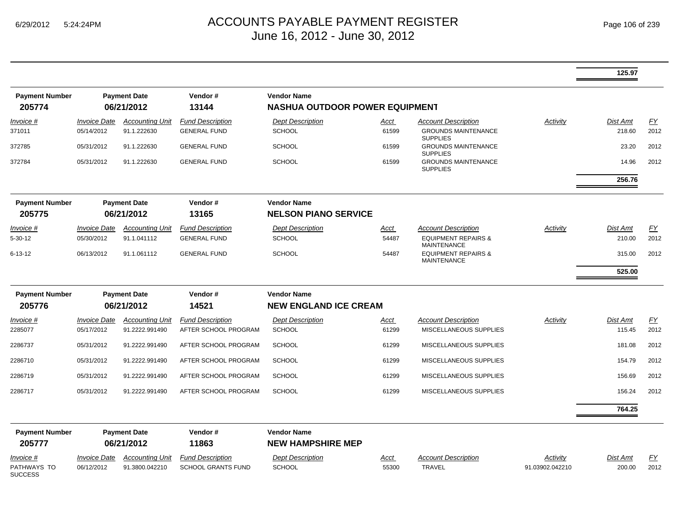|                               |                                |                        |                           |                                       |             |                                                      |                 | 125.97          |           |
|-------------------------------|--------------------------------|------------------------|---------------------------|---------------------------------------|-------------|------------------------------------------------------|-----------------|-----------------|-----------|
| <b>Payment Number</b>         |                                | <b>Payment Date</b>    | Vendor#                   | <b>Vendor Name</b>                    |             |                                                      |                 |                 |           |
| 205774                        | 06/21/2012                     |                        | 13144                     | <b>NASHUA OUTDOOR POWER EQUIPMENT</b> |             |                                                      |                 |                 |           |
| Invoice #                     | <b>Invoice Date</b>            | <b>Accounting Unit</b> | <b>Fund Description</b>   | <b>Dept Description</b>               | Acct        | <b>Account Description</b>                           | Activity        | <b>Dist Amt</b> | FY        |
| 371011                        | 05/14/2012                     | 91.1.222630            | <b>GENERAL FUND</b>       | <b>SCHOOL</b>                         | 61599       | <b>GROUNDS MAINTENANCE</b><br><b>SUPPLIES</b>        |                 | 218.60          | 2012      |
| 372785                        | 05/31/2012                     | 91.1.222630            | <b>GENERAL FUND</b>       | <b>SCHOOL</b>                         | 61599       | <b>GROUNDS MAINTENANCE</b><br><b>SUPPLIES</b>        |                 | 23.20           | 2012      |
| 372784                        | 05/31/2012                     | 91.1.222630            | <b>GENERAL FUND</b>       | <b>SCHOOL</b>                         | 61599       | <b>GROUNDS MAINTENANCE</b><br><b>SUPPLIES</b>        |                 | 14.96           | 2012      |
|                               |                                |                        |                           |                                       |             |                                                      |                 | 256.76          |           |
| <b>Payment Number</b>         |                                | <b>Payment Date</b>    | Vendor#                   | <b>Vendor Name</b>                    |             |                                                      |                 |                 |           |
| 205775                        |                                | 06/21/2012             | 13165                     | <b>NELSON PIANO SERVICE</b>           |             |                                                      |                 |                 |           |
| Invoice #                     | <i><b>Invoice Date</b></i>     | <b>Accounting Unit</b> | <b>Fund Description</b>   | <b>Dept Description</b>               | <u>Acct</u> | <b>Account Description</b>                           | Activity        | <b>Dist Amt</b> | EY        |
| $5 - 30 - 12$                 | 05/30/2012                     | 91.1.041112            | <b>GENERAL FUND</b>       | <b>SCHOOL</b>                         | 54487       | <b>EQUIPMENT REPAIRS &amp;</b><br><b>MAINTENANCE</b> |                 | 210.00          | 2012      |
| 6-13-12                       | 06/13/2012                     | 91.1.061112            | <b>GENERAL FUND</b>       | <b>SCHOOL</b>                         | 54487       | <b>EQUIPMENT REPAIRS &amp;</b><br><b>MAINTENANCE</b> |                 | 315.00          | 2012      |
|                               |                                |                        |                           |                                       |             |                                                      |                 | 525.00          |           |
| <b>Payment Number</b>         | <b>Payment Date</b><br>Vendor# |                        | <b>Vendor Name</b>        |                                       |             |                                                      |                 |                 |           |
| 205776                        | 06/21/2012                     |                        | 14521                     | <b>NEW ENGLAND ICE CREAM</b>          |             |                                                      |                 |                 |           |
| Invoice #                     | <i><b>Invoice Date</b></i>     | <b>Accounting Unit</b> | <b>Fund Description</b>   | <b>Dept Description</b>               | Acct        | <b>Account Description</b>                           | Activity        | <b>Dist Amt</b> | EY        |
| 2285077                       | 05/17/2012                     | 91.2222.991490         | AFTER SCHOOL PROGRAM      | <b>SCHOOL</b>                         | 61299       | MISCELLANEOUS SUPPLIES                               |                 | 115.45          | 2012      |
| 2286737                       | 05/31/2012                     | 91.2222.991490         | AFTER SCHOOL PROGRAM      | <b>SCHOOL</b>                         | 61299       | MISCELLANEOUS SUPPLIES                               |                 | 181.08          | 2012      |
| 2286710                       | 05/31/2012                     | 91.2222.991490         | AFTER SCHOOL PROGRAM      | <b>SCHOOL</b>                         | 61299       | MISCELLANEOUS SUPPLIES                               |                 | 154.79          | 2012      |
| 2286719                       | 05/31/2012                     | 91.2222.991490         | AFTER SCHOOL PROGRAM      | <b>SCHOOL</b>                         | 61299       | MISCELLANEOUS SUPPLIES                               |                 | 156.69          | 2012      |
| 2286717                       | 05/31/2012                     | 91.2222.991490         | AFTER SCHOOL PROGRAM      | <b>SCHOOL</b>                         | 61299       | MISCELLANEOUS SUPPLIES                               |                 | 156.24          | 2012      |
|                               |                                |                        |                           |                                       |             |                                                      |                 | 764.25          |           |
| <b>Payment Number</b>         |                                | <b>Payment Date</b>    | Vendor#                   | <b>Vendor Name</b>                    |             |                                                      |                 |                 |           |
| 205777                        |                                | 06/21/2012             | 11863                     | <b>NEW HAMPSHIRE MEP</b>              |             |                                                      |                 |                 |           |
| Invoice #                     | <b>Invoice Date</b>            | <b>Accounting Unit</b> | <b>Fund Description</b>   | <b>Dept Description</b>               | <u>Acct</u> | <b>Account Description</b>                           | Activity        | Dist Amt        | <u>FY</u> |
| PATHWAYS TO<br><b>SUCCESS</b> | 06/12/2012                     | 91.3800.042210         | <b>SCHOOL GRANTS FUND</b> | <b>SCHOOL</b>                         | 55300       | TRAVEL                                               | 91.03902.042210 | 200.00          | 2012      |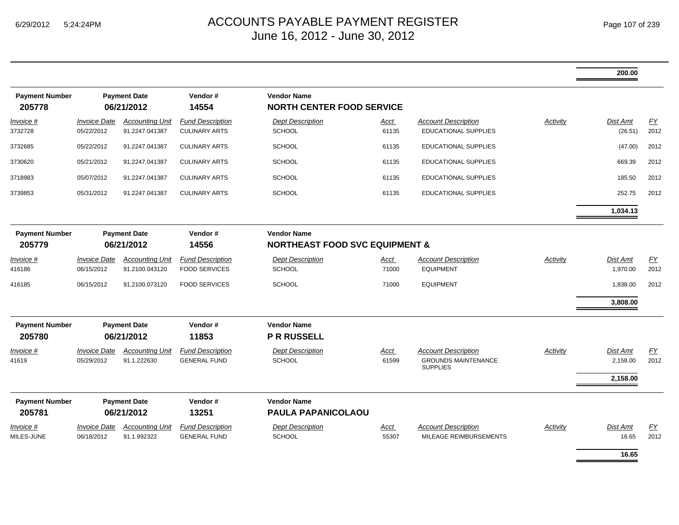|                                 |                                                       |                                          |                                                 |                                                                 |                      |                                                                             |                 | 200.00                      |            |
|---------------------------------|-------------------------------------------------------|------------------------------------------|-------------------------------------------------|-----------------------------------------------------------------|----------------------|-----------------------------------------------------------------------------|-----------------|-----------------------------|------------|
| <b>Payment Number</b><br>205778 | <b>Payment Date</b><br>06/21/2012                     |                                          | Vendor#<br>14554                                | <b>Vendor Name</b><br><b>NORTH CENTER FOOD SERVICE</b>          |                      |                                                                             |                 |                             |            |
| Invoice #                       | <b>Invoice Date</b><br>05/22/2012                     | <b>Accounting Unit</b>                   | <b>Fund Description</b><br><b>CULINARY ARTS</b> | <b>Dept Description</b>                                         | <u>Acct</u><br>61135 | <b>Account Description</b><br><b>EDUCATIONAL SUPPLIES</b>                   | <b>Activity</b> | Dist Amt                    | FY<br>2012 |
| 3732728                         |                                                       | 91.2247.041387                           |                                                 | <b>SCHOOL</b>                                                   |                      |                                                                             |                 | (26.51)                     |            |
| 3732685                         | 05/22/2012                                            | 91.2247.041387                           | <b>CULINARY ARTS</b>                            | <b>SCHOOL</b>                                                   | 61135                | <b>EDUCATIONAL SUPPLIES</b>                                                 |                 | (47.00)                     | 2012       |
| 3730620                         | 05/21/2012                                            | 91.2247.041387                           | <b>CULINARY ARTS</b>                            | <b>SCHOOL</b>                                                   | 61135                | <b>EDUCATIONAL SUPPLIES</b>                                                 |                 | 669.39                      | 2012       |
| 3718983                         | 05/07/2012                                            | 91.2247.041387                           | <b>CULINARY ARTS</b>                            | <b>SCHOOL</b>                                                   | 61135                | <b>EDUCATIONAL SUPPLIES</b>                                                 |                 | 185.50                      | 2012       |
| 3739853                         | 05/31/2012                                            | 91.2247.041387                           | <b>CULINARY ARTS</b>                            | <b>SCHOOL</b>                                                   | 61135                | <b>EDUCATIONAL SUPPLIES</b>                                                 |                 | 252.75                      | 2012       |
|                                 |                                                       |                                          |                                                 |                                                                 |                      |                                                                             |                 | 1,034.13                    |            |
| <b>Payment Number</b><br>205779 | <b>Payment Date</b><br>Vendor#<br>06/21/2012<br>14556 |                                          |                                                 | <b>Vendor Name</b><br><b>NORTHEAST FOOD SVC EQUIPMENT &amp;</b> |                      |                                                                             |                 |                             |            |
| Invoice #<br>416186             | <b>Invoice Date</b><br>06/15/2012                     | <b>Accounting Unit</b><br>91.2100.043120 | <b>Fund Description</b><br><b>FOOD SERVICES</b> | <b>Dept Description</b><br><b>SCHOOL</b>                        | Acct<br>71000        | <b>Account Description</b><br><b>EQUIPMENT</b>                              | <b>Activity</b> | Dist Amt<br>1,970.00        | EY<br>2012 |
| 416185                          | 06/15/2012                                            | 91.2100.073120                           | <b>FOOD SERVICES</b>                            | <b>SCHOOL</b>                                                   | 71000                | <b>EQUIPMENT</b>                                                            |                 | 1,838.00                    | 2012       |
|                                 |                                                       |                                          |                                                 |                                                                 |                      |                                                                             |                 | 3,808.00                    |            |
| <b>Payment Number</b><br>205780 | <b>Payment Date</b><br>06/21/2012                     |                                          | Vendor#<br>11853                                | <b>Vendor Name</b><br><b>P R RUSSELL</b>                        |                      |                                                                             |                 |                             |            |
| Invoice #<br>41619              | <b>Invoice Date</b><br>05/29/2012                     | <b>Accounting Unit</b><br>91.1.222630    | <b>Fund Description</b><br><b>GENERAL FUND</b>  | <b>Dept Description</b><br><b>SCHOOL</b>                        | Acct<br>61599        | <b>Account Description</b><br><b>GROUNDS MAINTENANCE</b><br><b>SUPPLIES</b> | <b>Activity</b> | <b>Dist Amt</b><br>2,158.00 | EY<br>2012 |
|                                 |                                                       |                                          |                                                 |                                                                 |                      |                                                                             |                 | 2,158.00                    |            |
| <b>Payment Number</b><br>205781 | <b>Payment Date</b><br>06/21/2012                     |                                          | Vendor#<br>13251                                | <b>Vendor Name</b><br><b>PAULA PAPANICOLAOU</b>                 |                      |                                                                             |                 |                             |            |
| Invoice #<br>MILES-JUNE         | <b>Invoice Date</b><br>06/18/2012                     | <b>Accounting Unit</b><br>91.1.992322    | <b>Fund Description</b><br><b>GENERAL FUND</b>  | <b>Dept Description</b><br><b>SCHOOL</b>                        | Acct<br>55307        | <b>Account Description</b><br>MILEAGE REIMBURSEMENTS                        | Activity        | <b>Dist Amt</b><br>16.65    | EY<br>2012 |
|                                 |                                                       |                                          |                                                 |                                                                 |                      |                                                                             |                 | 16.65                       |            |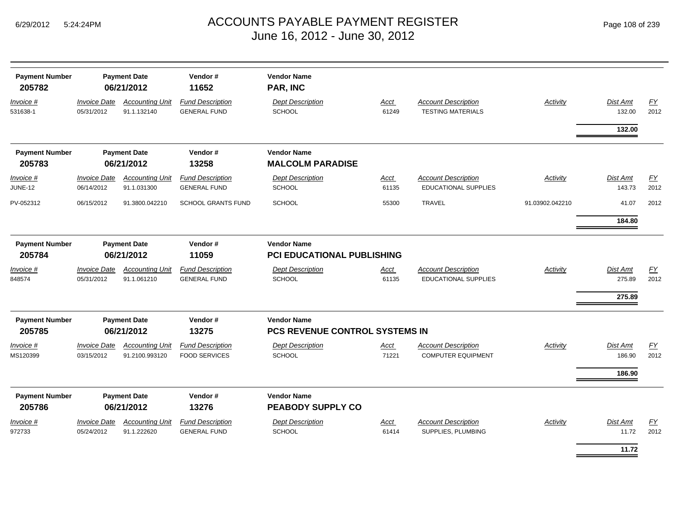| <b>Payment Number</b><br>205782 | <b>Payment Date</b><br>06/21/2012 |                                          | Vendor#<br>11652                                | <b>Vendor Name</b><br>PAR, INC                   |                                                      |                                                           |                 |                              |                   |
|---------------------------------|-----------------------------------|------------------------------------------|-------------------------------------------------|--------------------------------------------------|------------------------------------------------------|-----------------------------------------------------------|-----------------|------------------------------|-------------------|
| Invoice #<br>531638-1           | <b>Invoice Date</b><br>05/31/2012 | <b>Accounting Unit</b><br>91.1.132140    | <b>Fund Description</b><br><b>GENERAL FUND</b>  | <b>Dept Description</b><br><b>SCHOOL</b>         | Acct<br>61249                                        | <b>Account Description</b><br><b>TESTING MATERIALS</b>    | <b>Activity</b> | <b>Dist Amt</b><br>132.00    | FY<br>2012        |
|                                 |                                   |                                          |                                                 |                                                  |                                                      |                                                           |                 | 132.00                       |                   |
| <b>Payment Number</b><br>205783 | <b>Payment Date</b><br>06/21/2012 |                                          | Vendor#<br>13258                                | <b>Vendor Name</b><br><b>MALCOLM PARADISE</b>    |                                                      |                                                           |                 |                              |                   |
| Invoice #<br>JUNE-12            | <b>Invoice Date</b><br>06/14/2012 | <b>Accounting Unit</b><br>91.1.031300    | <b>Fund Description</b><br><b>GENERAL FUND</b>  | <b>Dept Description</b><br><b>SCHOOL</b>         | Acct<br>61135                                        | <b>Account Description</b><br><b>EDUCATIONAL SUPPLIES</b> | Activity        | <b>Dist Amt</b><br>143.73    | <u>FY</u><br>2012 |
| PV-052312                       | 06/15/2012                        | 91.3800.042210                           | <b>SCHOOL GRANTS FUND</b>                       | <b>SCHOOL</b>                                    | 55300                                                | <b>TRAVEL</b>                                             | 91.03902.042210 | 41.07                        | 2012              |
|                                 |                                   |                                          |                                                 |                                                  |                                                      |                                                           |                 | 184.80                       |                   |
| <b>Payment Number</b><br>205784 | <b>Payment Date</b><br>06/21/2012 |                                          | Vendor#<br>11059                                | <b>Vendor Name</b><br>PCI EDUCATIONAL PUBLISHING |                                                      |                                                           |                 |                              |                   |
| Invoice #<br>848574             | <b>Invoice Date</b><br>05/31/2012 | <b>Accounting Unit</b><br>91.1.061210    | <b>Fund Description</b><br><b>GENERAL FUND</b>  | <b>Dept Description</b><br>SCHOOL                | Acct<br>61135                                        | <b>Account Description</b><br><b>EDUCATIONAL SUPPLIES</b> | Activity        | Dist Amt<br>275.89<br>275.89 | EY<br>2012        |
| <b>Payment Number</b><br>205785 | <b>Payment Date</b><br>06/21/2012 |                                          | Vendor#<br>13275                                |                                                  | <b>Vendor Name</b><br>PCS REVENUE CONTROL SYSTEMS IN |                                                           |                 |                              |                   |
| <u>Invoice #</u><br>MS120399    | <b>Invoice Date</b><br>03/15/2012 | <b>Accounting Unit</b><br>91.2100.993120 | <b>Fund Description</b><br><b>FOOD SERVICES</b> | <b>Dept Description</b><br><b>SCHOOL</b>         | Acct<br>71221                                        | <b>Account Description</b><br><b>COMPUTER EQUIPMENT</b>   | Activity        | Dist Amt<br>186.90<br>186.90 | EY<br>2012        |
| <b>Payment Number</b><br>205786 | <b>Payment Date</b><br>06/21/2012 |                                          | Vendor#<br>13276                                | <b>Vendor Name</b><br><b>PEABODY SUPPLY CO</b>   |                                                      |                                                           |                 |                              |                   |
| Invoice #<br>972733             | <b>Invoice Date</b><br>05/24/2012 | <b>Accounting Unit</b><br>91.1.222620    | <b>Fund Description</b><br><b>GENERAL FUND</b>  | <b>Dept Description</b><br><b>SCHOOL</b>         | Acct<br>61414                                        | <b>Account Description</b><br>SUPPLIES, PLUMBING          | Activity        | Dist Amt<br>11.72            | EY<br>2012        |
|                                 |                                   |                                          |                                                 |                                                  |                                                      |                                                           |                 | 11.72                        |                   |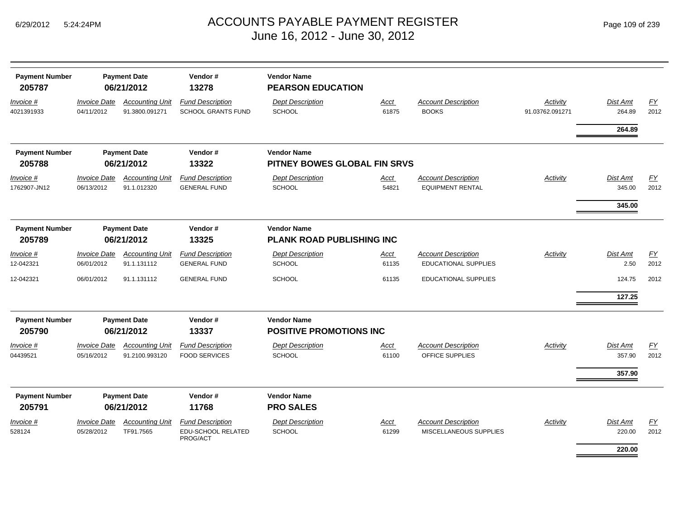| <b>Payment Number</b><br>205787 |                                   | <b>Payment Date</b><br>06/21/2012                      | Vendor#<br>13278                                          | <b>Vendor Name</b><br><b>PEARSON EDUCATION</b>                             |                      |                                                           |                             |                              |                   |
|---------------------------------|-----------------------------------|--------------------------------------------------------|-----------------------------------------------------------|----------------------------------------------------------------------------|----------------------|-----------------------------------------------------------|-----------------------------|------------------------------|-------------------|
| Invoice #<br>4021391933         | <b>Invoice Date</b><br>04/11/2012 | <b>Accounting Unit</b><br>91.3800.091271               | <b>Fund Description</b><br><b>SCHOOL GRANTS FUND</b>      | <b>Dept Description</b><br><b>SCHOOL</b>                                   | Acct<br>61875        | <b>Account Description</b><br><b>BOOKS</b>                | Activity<br>91.03762.091271 | <b>Dist Amt</b><br>264.89    | EY<br>2012        |
|                                 |                                   |                                                        |                                                           |                                                                            |                      |                                                           |                             | 264.89                       |                   |
| <b>Payment Number</b><br>205788 |                                   | <b>Payment Date</b><br>06/21/2012                      | Vendor#<br>13322                                          | <b>Vendor Name</b><br>PITNEY BOWES GLOBAL FIN SRVS                         |                      |                                                           |                             |                              |                   |
| Invoice #<br>1762907-JN12       | <b>Invoice Date</b><br>06/13/2012 | <b>Accounting Unit</b><br>91.1.012320                  | <b>Fund Description</b><br><b>GENERAL FUND</b>            | <b>Dept Description</b><br>SCHOOL                                          | <u>Acct</u><br>54821 | <b>Account Description</b><br><b>EQUIPMENT RENTAL</b>     | <b>Activity</b>             | Dist Amt<br>345.00           | EY<br>2012        |
|                                 |                                   |                                                        |                                                           |                                                                            |                      |                                                           |                             | 345.00                       |                   |
| <b>Payment Number</b><br>205789 |                                   | <b>Payment Date</b><br>06/21/2012                      | Vendor#<br>13325                                          | <b>Vendor Name</b><br><b>PLANK ROAD PUBLISHING INC</b>                     |                      |                                                           |                             |                              |                   |
| Invoice #<br>12-042321          | <b>Invoice Date</b><br>06/01/2012 | <b>Accounting Unit</b><br>91.1.131112                  | <b>Fund Description</b><br><b>GENERAL FUND</b>            | <b>Dept Description</b><br><b>SCHOOL</b>                                   | Acct<br>61135        | <b>Account Description</b><br><b>EDUCATIONAL SUPPLIES</b> | Activity                    | Dist Amt<br>2.50             | EY<br>2012        |
| 12-042321                       | 06/01/2012                        | 91.1.131112                                            | <b>GENERAL FUND</b>                                       | <b>SCHOOL</b>                                                              | 61135                | <b>EDUCATIONAL SUPPLIES</b>                               |                             | 124.75<br>127.25             | 2012              |
| <b>Payment Number</b>           |                                   | <b>Payment Date</b>                                    | Vendor#                                                   | <b>Vendor Name</b>                                                         |                      |                                                           |                             |                              |                   |
| 205790<br>Invoice #<br>04439521 | <b>Invoice Date</b><br>05/16/2012 | 06/21/2012<br><b>Accounting Unit</b><br>91.2100.993120 | 13337<br><b>Fund Description</b><br><b>FOOD SERVICES</b>  | <b>POSITIVE PROMOTIONS INC</b><br><b>Dept Description</b><br><b>SCHOOL</b> | <b>Acct</b><br>61100 | <b>Account Description</b><br><b>OFFICE SUPPLIES</b>      | Activity                    | Dist Amt<br>357.90<br>357.90 | <u>FY</u><br>2012 |
| <b>Payment Number</b><br>205791 |                                   | <b>Payment Date</b><br>06/21/2012                      | Vendor#<br>11768                                          | <b>Vendor Name</b><br><b>PRO SALES</b>                                     |                      |                                                           |                             |                              |                   |
| Invoice #<br>528124             | <b>Invoice Date</b><br>05/28/2012 | <b>Accounting Unit</b><br>TF91.7565                    | <b>Fund Description</b><br>EDU-SCHOOL RELATED<br>PROG/ACT | <b>Dept Description</b><br>SCHOOL                                          | Acct<br>61299        | <b>Account Description</b><br>MISCELLANEOUS SUPPLIES      | Activity                    | Dist Amt<br>220.00           | EY<br>2012        |
|                                 |                                   |                                                        |                                                           |                                                                            |                      |                                                           |                             | 220.00                       |                   |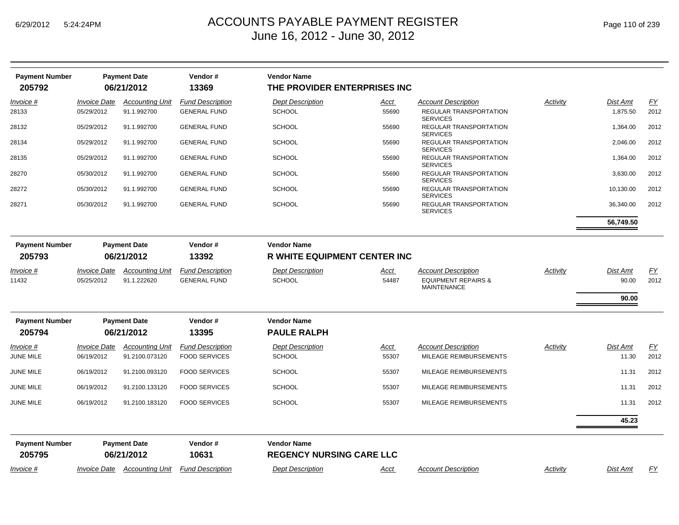| <b>Payment Number</b><br>205792 |                                   | <b>Payment Date</b><br>06/21/2012        | Vendor#<br>13369                                | <b>Vendor Name</b><br>THE PROVIDER ENTERPRISES INC    |               |                                                      |          |                          |            |
|---------------------------------|-----------------------------------|------------------------------------------|-------------------------------------------------|-------------------------------------------------------|---------------|------------------------------------------------------|----------|--------------------------|------------|
| Invoice #                       | <b>Invoice Date</b>               | <b>Accounting Unit</b>                   | <b>Fund Description</b>                         | <b>Dept Description</b>                               | Acct          | <b>Account Description</b>                           | Activity | Dist Amt                 | EY         |
| 28133                           | 05/29/2012                        | 91.1.992700                              | <b>GENERAL FUND</b>                             | <b>SCHOOL</b>                                         | 55690         | REGULAR TRANSPORTATION<br><b>SERVICES</b>            |          | 1,875.50                 | 2012       |
| 28132                           | 05/29/2012                        | 91.1.992700                              | <b>GENERAL FUND</b>                             | <b>SCHOOL</b>                                         | 55690         | REGULAR TRANSPORTATION<br><b>SERVICES</b>            |          | 1,364.00                 | 2012       |
| 28134                           | 05/29/2012                        | 91.1.992700                              | <b>GENERAL FUND</b>                             | <b>SCHOOL</b>                                         | 55690         | REGULAR TRANSPORTATION<br><b>SERVICES</b>            |          | 2,046.00                 | 2012       |
| 28135                           | 05/29/2012                        | 91.1.992700                              | <b>GENERAL FUND</b>                             | <b>SCHOOL</b>                                         | 55690         | REGULAR TRANSPORTATION<br><b>SERVICES</b>            |          | 1,364.00                 | 2012       |
| 28270                           | 05/30/2012                        | 91.1.992700                              | <b>GENERAL FUND</b>                             | <b>SCHOOL</b>                                         | 55690         | REGULAR TRANSPORTATION<br><b>SERVICES</b>            |          | 3,630.00                 | 2012       |
| 28272                           | 05/30/2012                        | 91.1.992700                              | <b>GENERAL FUND</b>                             | <b>SCHOOL</b>                                         | 55690         | REGULAR TRANSPORTATION<br><b>SERVICES</b>            |          | 10,130.00                | 2012       |
| 28271                           | 05/30/2012                        | 91.1.992700                              | <b>GENERAL FUND</b>                             | <b>SCHOOL</b>                                         | 55690         | REGULAR TRANSPORTATION<br><b>SERVICES</b>            |          | 36,340.00                | 2012       |
|                                 |                                   |                                          |                                                 |                                                       |               |                                                      |          | 56,749.50                |            |
| <b>Payment Number</b>           |                                   | <b>Payment Date</b>                      | Vendor#                                         | <b>Vendor Name</b>                                    |               |                                                      |          |                          |            |
| 205793                          | 06/21/2012<br>13392               |                                          | <b>R WHITE EQUIPMENT CENTER INC</b>             |                                                       |               |                                                      |          |                          |            |
| Invoice #                       | <b>Invoice Date</b>               | <b>Accounting Unit</b>                   | <b>Fund Description</b>                         | <b>Dept Description</b>                               | Acct          | <b>Account Description</b>                           | Activity | <b>Dist Amt</b>          | EY         |
| 11432                           | 05/25/2012                        | 91.1.222620                              | <b>GENERAL FUND</b>                             | <b>SCHOOL</b>                                         | 54487         | <b>EQUIPMENT REPAIRS &amp;</b><br><b>MAINTENANCE</b> |          | 90.00                    | 2012       |
|                                 |                                   |                                          |                                                 |                                                       |               |                                                      |          | 90.00                    |            |
| <b>Payment Number</b>           |                                   | <b>Payment Date</b>                      | Vendor#                                         | <b>Vendor Name</b>                                    |               |                                                      |          |                          |            |
| 205794                          |                                   | 06/21/2012                               | 13395                                           | <b>PAULE RALPH</b>                                    |               |                                                      |          |                          |            |
| Invoice #<br>JUNE MILE          | <b>Invoice Date</b><br>06/19/2012 | <b>Accounting Unit</b><br>91.2100.073120 | <b>Fund Description</b><br><b>FOOD SERVICES</b> | <b>Dept Description</b><br>SCHOOL                     | Acct<br>55307 | <b>Account Description</b><br>MILEAGE REIMBURSEMENTS | Activity | <b>Dist Amt</b><br>11.30 | FY<br>2012 |
| JUNE MILE                       | 06/19/2012                        | 91.2100.093120                           | <b>FOOD SERVICES</b>                            | <b>SCHOOL</b>                                         | 55307         | MILEAGE REIMBURSEMENTS                               |          | 11.31                    | 2012       |
| JUNE MILE                       | 06/19/2012                        | 91.2100.133120                           | <b>FOOD SERVICES</b>                            | <b>SCHOOL</b>                                         | 55307         | MILEAGE REIMBURSEMENTS                               |          | 11.31                    | 2012       |
| JUNE MILE                       | 06/19/2012                        | 91.2100.183120                           | <b>FOOD SERVICES</b>                            | <b>SCHOOL</b>                                         | 55307         | MILEAGE REIMBURSEMENTS                               |          | 11.31                    | 2012       |
|                                 |                                   |                                          |                                                 |                                                       |               |                                                      |          | 45.23                    |            |
| <b>Payment Number</b><br>205795 |                                   | <b>Payment Date</b><br>06/21/2012        | Vendor#<br>10631                                | <b>Vendor Name</b><br><b>REGENCY NURSING CARE LLC</b> |               |                                                      |          |                          |            |
| Invoice #                       | <i><b>Invoice Date</b></i>        | <b>Accounting Unit</b>                   | <b>Fund Description</b>                         | <b>Dept Description</b>                               | Acct          | <b>Account Description</b>                           | Activity | <b>Dist Amt</b>          | EY         |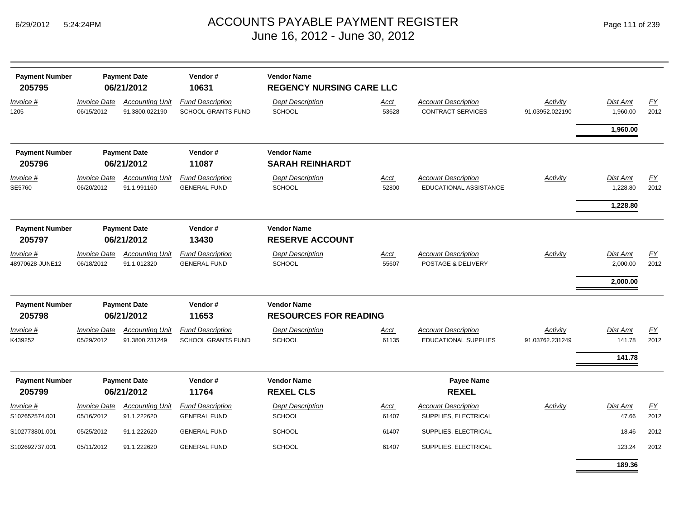| <b>Payment Number</b><br>205795 |                                   | <b>Payment Date</b><br>06/21/2012        | Vendor#<br>10631                                     | <b>Vendor Name</b><br><b>REGENCY NURSING CARE LLC</b> |                      |                                                           |                             |                             |            |
|---------------------------------|-----------------------------------|------------------------------------------|------------------------------------------------------|-------------------------------------------------------|----------------------|-----------------------------------------------------------|-----------------------------|-----------------------------|------------|
| Invoice #<br>1205               | <b>Invoice Date</b><br>06/15/2012 | <b>Accounting Unit</b><br>91.3800.022190 | <b>Fund Description</b><br>SCHOOL GRANTS FUND        | <b>Dept Description</b><br><b>SCHOOL</b>              | Acct<br>53628        | <b>Account Description</b><br><b>CONTRACT SERVICES</b>    | Activity<br>91.03952.022190 | <b>Dist Amt</b><br>1,960.00 | EY<br>2012 |
|                                 |                                   |                                          |                                                      |                                                       |                      |                                                           |                             | 1,960.00                    |            |
| <b>Payment Number</b><br>205796 |                                   | <b>Payment Date</b><br>06/21/2012        | Vendor#<br>11087                                     | <b>Vendor Name</b><br><b>SARAH REINHARDT</b>          |                      |                                                           |                             |                             |            |
| Invoice #<br>SE5760             | <b>Invoice Date</b><br>06/20/2012 | <b>Accounting Unit</b><br>91.1.991160    | <b>Fund Description</b><br><b>GENERAL FUND</b>       | <b>Dept Description</b><br>SCHOOL                     | Acct<br>52800        | <b>Account Description</b><br>EDUCATIONAL ASSISTANCE      | <b>Activity</b>             | Dist Amt<br>1,228.80        | FY<br>2012 |
|                                 |                                   |                                          |                                                      |                                                       |                      |                                                           |                             | 1,228.80                    |            |
| <b>Payment Number</b><br>205797 |                                   | <b>Payment Date</b><br>06/21/2012        | Vendor#<br>13430                                     | <b>Vendor Name</b><br><b>RESERVE ACCOUNT</b>          |                      |                                                           |                             |                             |            |
| Invoice #<br>48970628-JUNE12    | <b>Invoice Date</b><br>06/18/2012 | <b>Accounting Unit</b><br>91.1.012320    | <b>Fund Description</b><br><b>GENERAL FUND</b>       | <b>Dept Description</b><br><b>SCHOOL</b>              | <u>Acct</u><br>55607 | <b>Account Description</b><br>POSTAGE & DELIVERY          | Activity                    | Dist Amt<br>2,000.00        | EY<br>2012 |
|                                 |                                   |                                          |                                                      |                                                       |                      |                                                           |                             | 2,000.00                    |            |
| <b>Payment Number</b><br>205798 |                                   | <b>Payment Date</b><br>06/21/2012        | Vendor#<br>11653                                     | <b>Vendor Name</b><br><b>RESOURCES FOR READING</b>    |                      |                                                           |                             |                             |            |
| Invoice #<br>K439252            | <b>Invoice Date</b><br>05/29/2012 | <b>Accounting Unit</b><br>91.3800.231249 | <b>Fund Description</b><br><b>SCHOOL GRANTS FUND</b> | <b>Dept Description</b><br><b>SCHOOL</b>              | Acct<br>61135        | <b>Account Description</b><br><b>EDUCATIONAL SUPPLIES</b> | Activity<br>91.03762.231249 | <b>Dist Amt</b><br>141.78   | EY<br>2012 |
|                                 |                                   |                                          |                                                      |                                                       |                      |                                                           |                             | 141.78                      |            |
| <b>Payment Number</b><br>205799 |                                   | <b>Payment Date</b><br>06/21/2012        | Vendor#<br>11764                                     | <b>Vendor Name</b><br><b>REXEL CLS</b>                |                      | <b>Payee Name</b><br><b>REXEL</b>                         |                             |                             |            |
| Invoice #<br>S102652574.001     | <b>Invoice Date</b><br>05/16/2012 | <b>Accounting Unit</b><br>91.1.222620    | <b>Fund Description</b><br><b>GENERAL FUND</b>       | <b>Dept Description</b><br><b>SCHOOL</b>              | <u>Acct</u><br>61407 | <b>Account Description</b><br>SUPPLIES, ELECTRICAL        | <b>Activity</b>             | <b>Dist Amt</b><br>47.66    | EY<br>2012 |
| S102773801.001                  | 05/25/2012                        | 91.1.222620                              | <b>GENERAL FUND</b>                                  | <b>SCHOOL</b>                                         | 61407                | SUPPLIES, ELECTRICAL                                      |                             | 18.46                       | 2012       |
| S102692737.001                  | 05/11/2012                        | 91.1.222620                              | <b>GENERAL FUND</b>                                  | <b>SCHOOL</b>                                         | 61407                | SUPPLIES, ELECTRICAL                                      |                             | 123.24                      | 2012       |
|                                 |                                   |                                          |                                                      |                                                       |                      |                                                           |                             | 189.36                      |            |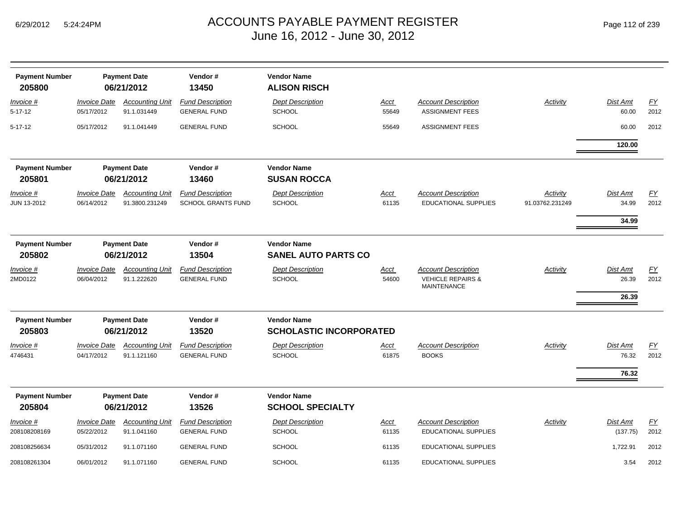| <b>Payment Number</b><br>205800        |                                   | <b>Payment Date</b><br>06/21/2012        | Vendor#<br>13450                                     | <b>Vendor Name</b><br><b>ALISON RISCH</b>            |                      |                                                                                  |                                    |                                   |                          |
|----------------------------------------|-----------------------------------|------------------------------------------|------------------------------------------------------|------------------------------------------------------|----------------------|----------------------------------------------------------------------------------|------------------------------------|-----------------------------------|--------------------------|
| <i>Invoice</i> #<br>5-17-12            | <b>Invoice Date</b><br>05/17/2012 | <b>Accounting Unit</b><br>91.1.031449    | <b>Fund Description</b><br><b>GENERAL FUND</b>       | <b>Dept Description</b><br><b>SCHOOL</b>             | Acct<br>55649        | <b>Account Description</b><br><b>ASSIGNMENT FEES</b>                             | <b>Activity</b>                    | <b>Dist Amt</b><br>60.00          | EY<br>2012               |
| 5-17-12                                | 05/17/2012                        | 91.1.041449                              | <b>GENERAL FUND</b>                                  | <b>SCHOOL</b>                                        | 55649                | <b>ASSIGNMENT FEES</b>                                                           |                                    | 60.00                             | 2012                     |
|                                        |                                   |                                          |                                                      |                                                      |                      |                                                                                  |                                    | 120.00                            |                          |
| <b>Payment Number</b><br>205801        |                                   | <b>Payment Date</b><br>06/21/2012        | Vendor#<br>13460                                     | <b>Vendor Name</b><br><b>SUSAN ROCCA</b>             |                      |                                                                                  |                                    |                                   |                          |
| <u>Invoice #</u><br><b>JUN 13-2012</b> | <b>Invoice Date</b><br>06/14/2012 | <b>Accounting Unit</b><br>91.3800.231249 | <b>Fund Description</b><br><b>SCHOOL GRANTS FUND</b> | <b>Dept Description</b><br><b>SCHOOL</b>             | <u>Acct</u><br>61135 | <b>Account Description</b><br><b>EDUCATIONAL SUPPLIES</b>                        | <b>Activity</b><br>91.03762.231249 | <u>Dist Amt</u><br>34.99          | EY<br>2012               |
|                                        |                                   |                                          |                                                      |                                                      |                      |                                                                                  |                                    | 34.99                             |                          |
| <b>Payment Number</b><br>205802        |                                   | <b>Payment Date</b><br>06/21/2012        | Vendor#<br>13504                                     | <b>Vendor Name</b><br><b>SANEL AUTO PARTS CO</b>     |                      |                                                                                  |                                    |                                   |                          |
| Invoice #<br>2MD0122                   | <b>Invoice Date</b><br>06/04/2012 | <b>Accounting Unit</b><br>91.1.222620    | <b>Fund Description</b><br><b>GENERAL FUND</b>       | <b>Dept Description</b><br><b>SCHOOL</b>             | Acct<br>54600        | <b>Account Description</b><br><b>VEHICLE REPAIRS &amp;</b><br><b>MAINTENANCE</b> | Activity                           | <b>Dist Amt</b><br>26.39<br>26.39 | $\underline{FY}$<br>2012 |
| <b>Payment Number</b><br>205803        |                                   | <b>Payment Date</b><br>06/21/2012        | Vendor#<br>13520                                     | <b>Vendor Name</b><br><b>SCHOLASTIC INCORPORATED</b> |                      |                                                                                  |                                    |                                   |                          |
| Invoice #<br>4746431                   | <b>Invoice Date</b><br>04/17/2012 | <b>Accounting Unit</b><br>91.1.121160    | <b>Fund Description</b><br><b>GENERAL FUND</b>       | <b>Dept Description</b><br><b>SCHOOL</b>             | <u>Acct</u><br>61875 | <b>Account Description</b><br><b>BOOKS</b>                                       | <b>Activity</b>                    | <b>Dist Amt</b><br>76.32<br>76.32 | EY<br>2012               |
| <b>Payment Number</b><br>205804        |                                   | <b>Payment Date</b><br>06/21/2012        | Vendor#<br>13526                                     | <b>Vendor Name</b><br><b>SCHOOL SPECIALTY</b>        |                      |                                                                                  |                                    |                                   |                          |
| Invoice #<br>208108208169              | Invoice Date<br>05/22/2012        | <b>Accounting Unit</b><br>91.1.041160    | <b>Fund Description</b><br><b>GENERAL FUND</b>       | <b>Dept Description</b><br><b>SCHOOL</b>             | Acct<br>61135        | <b>Account Description</b><br><b>EDUCATIONAL SUPPLIES</b>                        | Activity                           | Dist Amt<br>(137.75)              | EY<br>2012               |
| 208108256634                           | 05/31/2012                        | 91.1.071160                              | <b>GENERAL FUND</b>                                  | <b>SCHOOL</b>                                        | 61135                | <b>EDUCATIONAL SUPPLIES</b>                                                      |                                    | 1,722.91                          | 2012                     |
| 208108261304                           | 06/01/2012                        | 91.1.071160                              | <b>GENERAL FUND</b>                                  | <b>SCHOOL</b>                                        | 61135                | <b>EDUCATIONAL SUPPLIES</b>                                                      |                                    | 3.54                              | 2012                     |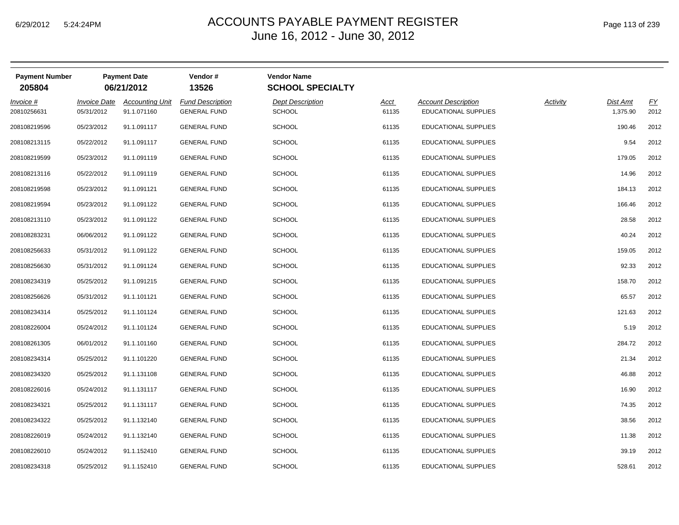| <b>Payment Number</b><br>205804 |                     | <b>Payment Date</b><br>06/21/2012 | Vendor#<br>13526        | <b>Vendor Name</b><br><b>SCHOOL SPECIALTY</b> |             |                             |          |          |      |
|---------------------------------|---------------------|-----------------------------------|-------------------------|-----------------------------------------------|-------------|-----------------------------|----------|----------|------|
| Invoice #                       | <b>Invoice Date</b> | <b>Accounting Unit</b>            | <b>Fund Description</b> | <b>Dept Description</b>                       | <b>Acct</b> | <b>Account Description</b>  | Activity | Dist Amt | EY   |
| 20810256631                     | 05/31/2012          | 91.1.071160                       | <b>GENERAL FUND</b>     | <b>SCHOOL</b>                                 | 61135       | <b>EDUCATIONAL SUPPLIES</b> |          | 1,375.90 | 2012 |
| 208108219596                    | 05/23/2012          | 91.1.091117                       | <b>GENERAL FUND</b>     | <b>SCHOOL</b>                                 | 61135       | <b>EDUCATIONAL SUPPLIES</b> |          | 190.46   | 2012 |
| 208108213115                    | 05/22/2012          | 91.1.091117                       | <b>GENERAL FUND</b>     | <b>SCHOOL</b>                                 | 61135       | <b>EDUCATIONAL SUPPLIES</b> |          | 9.54     | 2012 |
| 208108219599                    | 05/23/2012          | 91.1.091119                       | <b>GENERAL FUND</b>     | <b>SCHOOL</b>                                 | 61135       | EDUCATIONAL SUPPLIES        |          | 179.05   | 2012 |
| 208108213116                    | 05/22/2012          | 91.1.091119                       | <b>GENERAL FUND</b>     | <b>SCHOOL</b>                                 | 61135       | EDUCATIONAL SUPPLIES        |          | 14.96    | 2012 |
| 208108219598                    | 05/23/2012          | 91.1.091121                       | <b>GENERAL FUND</b>     | <b>SCHOOL</b>                                 | 61135       | <b>EDUCATIONAL SUPPLIES</b> |          | 184.13   | 2012 |
| 208108219594                    | 05/23/2012          | 91.1.091122                       | <b>GENERAL FUND</b>     | <b>SCHOOL</b>                                 | 61135       | <b>EDUCATIONAL SUPPLIES</b> |          | 166.46   | 2012 |
| 208108213110                    | 05/23/2012          | 91.1.091122                       | <b>GENERAL FUND</b>     | <b>SCHOOL</b>                                 | 61135       | <b>EDUCATIONAL SUPPLIES</b> |          | 28.58    | 2012 |
| 208108283231                    | 06/06/2012          | 91.1.091122                       | <b>GENERAL FUND</b>     | <b>SCHOOL</b>                                 | 61135       | EDUCATIONAL SUPPLIES        |          | 40.24    | 2012 |
| 208108256633                    | 05/31/2012          | 91.1.091122                       | <b>GENERAL FUND</b>     | <b>SCHOOL</b>                                 | 61135       | <b>EDUCATIONAL SUPPLIES</b> |          | 159.05   | 2012 |
| 208108256630                    | 05/31/2012          | 91.1.091124                       | <b>GENERAL FUND</b>     | <b>SCHOOL</b>                                 | 61135       | <b>EDUCATIONAL SUPPLIES</b> |          | 92.33    | 2012 |
| 208108234319                    | 05/25/2012          | 91.1.091215                       | <b>GENERAL FUND</b>     | <b>SCHOOL</b>                                 | 61135       | EDUCATIONAL SUPPLIES        |          | 158.70   | 2012 |
| 208108256626                    | 05/31/2012          | 91.1.101121                       | <b>GENERAL FUND</b>     | <b>SCHOOL</b>                                 | 61135       | <b>EDUCATIONAL SUPPLIES</b> |          | 65.57    | 2012 |
| 208108234314                    | 05/25/2012          | 91.1.101124                       | <b>GENERAL FUND</b>     | <b>SCHOOL</b>                                 | 61135       | EDUCATIONAL SUPPLIES        |          | 121.63   | 2012 |
| 208108226004                    | 05/24/2012          | 91.1.101124                       | <b>GENERAL FUND</b>     | <b>SCHOOL</b>                                 | 61135       | EDUCATIONAL SUPPLIES        |          | 5.19     | 2012 |
| 208108261305                    | 06/01/2012          | 91.1.101160                       | <b>GENERAL FUND</b>     | <b>SCHOOL</b>                                 | 61135       | <b>EDUCATIONAL SUPPLIES</b> |          | 284.72   | 2012 |
| 208108234314                    | 05/25/2012          | 91.1.101220                       | <b>GENERAL FUND</b>     | <b>SCHOOL</b>                                 | 61135       | EDUCATIONAL SUPPLIES        |          | 21.34    | 2012 |
| 208108234320                    | 05/25/2012          | 91.1.131108                       | <b>GENERAL FUND</b>     | <b>SCHOOL</b>                                 | 61135       | <b>EDUCATIONAL SUPPLIES</b> |          | 46.88    | 2012 |
| 208108226016                    | 05/24/2012          | 91.1.131117                       | <b>GENERAL FUND</b>     | <b>SCHOOL</b>                                 | 61135       | EDUCATIONAL SUPPLIES        |          | 16.90    | 2012 |
| 208108234321                    | 05/25/2012          | 91.1.131117                       | <b>GENERAL FUND</b>     | <b>SCHOOL</b>                                 | 61135       | <b>EDUCATIONAL SUPPLIES</b> |          | 74.35    | 2012 |
| 208108234322                    | 05/25/2012          | 91.1.132140                       | <b>GENERAL FUND</b>     | <b>SCHOOL</b>                                 | 61135       | <b>EDUCATIONAL SUPPLIES</b> |          | 38.56    | 2012 |
| 208108226019                    | 05/24/2012          | 91.1.132140                       | <b>GENERAL FUND</b>     | <b>SCHOOL</b>                                 | 61135       | EDUCATIONAL SUPPLIES        |          | 11.38    | 2012 |
| 208108226010                    | 05/24/2012          | 91.1.152410                       | <b>GENERAL FUND</b>     | <b>SCHOOL</b>                                 | 61135       | <b>EDUCATIONAL SUPPLIES</b> |          | 39.19    | 2012 |
| 208108234318                    | 05/25/2012          | 91.1.152410                       | <b>GENERAL FUND</b>     | <b>SCHOOL</b>                                 | 61135       | <b>EDUCATIONAL SUPPLIES</b> |          | 528.61   | 2012 |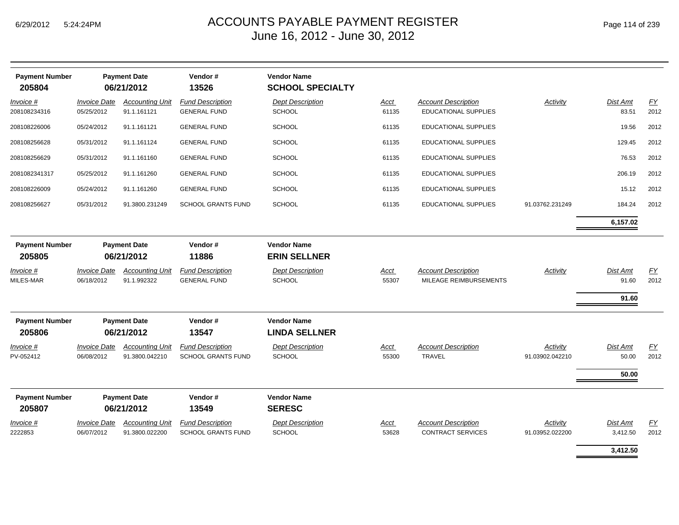| <b>Payment Number</b><br>205804 |                                   | <b>Payment Date</b><br>06/21/2012        | Vendor#<br>13526                                     | <b>Vendor Name</b><br><b>SCHOOL SPECIALTY</b> |                      |                                                           |                             |                            |                          |
|---------------------------------|-----------------------------------|------------------------------------------|------------------------------------------------------|-----------------------------------------------|----------------------|-----------------------------------------------------------|-----------------------------|----------------------------|--------------------------|
| Invoice #<br>208108234316       | <b>Invoice Date</b><br>05/25/2012 | <b>Accounting Unit</b><br>91.1.161121    | <b>Fund Description</b><br><b>GENERAL FUND</b>       | <b>Dept Description</b><br><b>SCHOOL</b>      | Acct<br>61135        | <b>Account Description</b><br><b>EDUCATIONAL SUPPLIES</b> | Activity                    | Dist Amt<br>83.51          | EY<br>2012               |
| 208108226006                    | 05/24/2012                        | 91.1.161121                              | <b>GENERAL FUND</b>                                  | <b>SCHOOL</b>                                 | 61135                | <b>EDUCATIONAL SUPPLIES</b>                               |                             | 19.56                      | 2012                     |
| 208108256628                    | 05/31/2012                        | 91.1.161124                              | <b>GENERAL FUND</b>                                  | <b>SCHOOL</b>                                 | 61135                | <b>EDUCATIONAL SUPPLIES</b>                               |                             | 129.45                     | 2012                     |
| 208108256629                    | 05/31/2012                        | 91.1.161160                              | <b>GENERAL FUND</b>                                  | <b>SCHOOL</b>                                 | 61135                | EDUCATIONAL SUPPLIES                                      |                             | 76.53                      | 2012                     |
| 2081082341317                   | 05/25/2012                        | 91.1.161260                              | <b>GENERAL FUND</b>                                  | <b>SCHOOL</b>                                 | 61135                | EDUCATIONAL SUPPLIES                                      |                             | 206.19                     | 2012                     |
| 208108226009                    | 05/24/2012                        | 91.1.161260                              | <b>GENERAL FUND</b>                                  | <b>SCHOOL</b>                                 | 61135                | <b>EDUCATIONAL SUPPLIES</b>                               |                             | 15.12                      | 2012                     |
| 208108256627                    | 05/31/2012                        | 91.3800.231249                           | <b>SCHOOL GRANTS FUND</b>                            | <b>SCHOOL</b>                                 | 61135                | EDUCATIONAL SUPPLIES                                      | 91.03762.231249             | 184.24                     | 2012                     |
|                                 |                                   |                                          |                                                      |                                               |                      |                                                           |                             | 6,157.02                   |                          |
| <b>Payment Number</b><br>205805 |                                   | <b>Payment Date</b><br>06/21/2012        | Vendor#<br>11886                                     | <b>Vendor Name</b><br><b>ERIN SELLNER</b>     |                      |                                                           |                             |                            |                          |
| Invoice #<br>MILES-MAR          | <b>Invoice Date</b><br>06/18/2012 | <b>Accounting Unit</b><br>91.1.992322    | <b>Fund Description</b><br><b>GENERAL FUND</b>       | <b>Dept Description</b><br><b>SCHOOL</b>      | Acct<br>55307        | <b>Account Description</b><br>MILEAGE REIMBURSEMENTS      | <b>Activity</b>             | Dist Amt<br>91.60<br>91.60 | $\underline{FY}$<br>2012 |
| <b>Payment Number</b><br>205806 |                                   | <b>Payment Date</b><br>06/21/2012        | Vendor#<br>13547                                     | <b>Vendor Name</b><br><b>LINDA SELLNER</b>    |                      |                                                           |                             |                            |                          |
| Invoice #<br>PV-052412          | <b>Invoice Date</b><br>06/08/2012 | <b>Accounting Unit</b><br>91.3800.042210 | <b>Fund Description</b><br><b>SCHOOL GRANTS FUND</b> | <b>Dept Description</b><br>SCHOOL             | <b>Acct</b><br>55300 | <b>Account Description</b><br><b>TRAVEL</b>               | Activity<br>91.03902.042210 | Dist Amt<br>50.00          | EY<br>2012               |
|                                 |                                   |                                          |                                                      |                                               |                      |                                                           |                             | 50.00                      |                          |
| <b>Payment Number</b><br>205807 |                                   | <b>Payment Date</b><br>06/21/2012        | Vendor#<br>13549                                     | <b>Vendor Name</b><br><b>SERESC</b>           |                      |                                                           |                             |                            |                          |
| Invoice #<br>2222853            | <b>Invoice Date</b><br>06/07/2012 | <b>Accounting Unit</b><br>91.3800.022200 | <b>Fund Description</b><br><b>SCHOOL GRANTS FUND</b> | <b>Dept Description</b><br><b>SCHOOL</b>      | <b>Acct</b><br>53628 | <b>Account Description</b><br><b>CONTRACT SERVICES</b>    | Activity<br>91.03952.022200 | Dist Amt<br>3,412.50       | EY<br>2012               |
|                                 |                                   |                                          |                                                      |                                               |                      |                                                           |                             | 3,412.50                   |                          |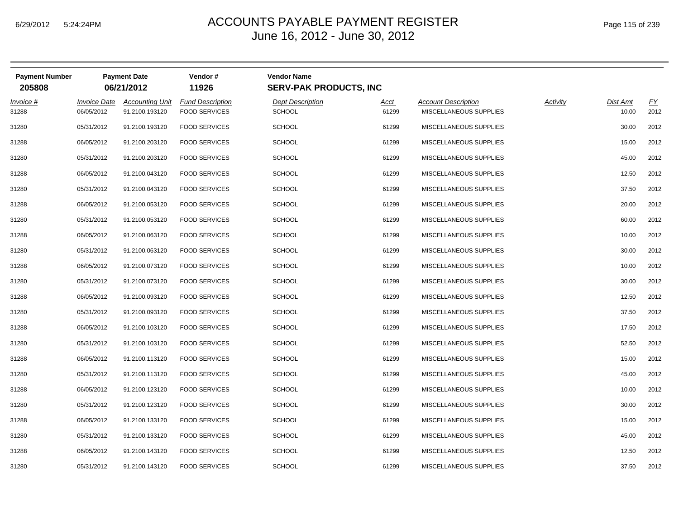| Page 115 of 239 |  |  |  |
|-----------------|--|--|--|
|-----------------|--|--|--|

| <b>Payment Number</b><br>205808 |                                          | <b>Payment Date</b><br>06/21/2012        | Vendor#<br>11926                                | <b>Vendor Name</b><br><b>SERV-PAK PRODUCTS, INC</b> |                      |                                                      |                 |                          |            |
|---------------------------------|------------------------------------------|------------------------------------------|-------------------------------------------------|-----------------------------------------------------|----------------------|------------------------------------------------------|-----------------|--------------------------|------------|
| $Invoice$ #<br>31288            | <i><b>Invoice Date</b></i><br>06/05/2012 | <b>Accounting Unit</b><br>91.2100.193120 | <b>Fund Description</b><br><b>FOOD SERVICES</b> | <b>Dept Description</b><br><b>SCHOOL</b>            | <u>Acct</u><br>61299 | <b>Account Description</b><br>MISCELLANEOUS SUPPLIES | <b>Activity</b> | <b>Dist Amt</b><br>10.00 | EY<br>2012 |
| 31280                           | 05/31/2012                               | 91.2100.193120                           | <b>FOOD SERVICES</b>                            | SCHOOL                                              | 61299                | MISCELLANEOUS SUPPLIES                               |                 | 30.00                    | 2012       |
| 31288                           | 06/05/2012                               | 91.2100.203120                           | <b>FOOD SERVICES</b>                            | <b>SCHOOL</b>                                       | 61299                | MISCELLANEOUS SUPPLIES                               |                 | 15.00                    | 2012       |
| 31280                           | 05/31/2012                               | 91.2100.203120                           | <b>FOOD SERVICES</b>                            | <b>SCHOOL</b>                                       | 61299                | MISCELLANEOUS SUPPLIES                               |                 | 45.00                    | 2012       |
| 31288                           | 06/05/2012                               | 91.2100.043120                           | <b>FOOD SERVICES</b>                            | <b>SCHOOL</b>                                       | 61299                | MISCELLANEOUS SUPPLIES                               |                 | 12.50                    | 2012       |
| 31280                           | 05/31/2012                               | 91.2100.043120                           | <b>FOOD SERVICES</b>                            | <b>SCHOOL</b>                                       | 61299                | MISCELLANEOUS SUPPLIES                               |                 | 37.50                    | 2012       |
| 31288                           | 06/05/2012                               | 91.2100.053120                           | <b>FOOD SERVICES</b>                            | <b>SCHOOL</b>                                       | 61299                | MISCELLANEOUS SUPPLIES                               |                 | 20.00                    | 2012       |
| 31280                           | 05/31/2012                               | 91.2100.053120                           | <b>FOOD SERVICES</b>                            | <b>SCHOOL</b>                                       | 61299                | MISCELLANEOUS SUPPLIES                               |                 | 60.00                    | 2012       |
| 31288                           | 06/05/2012                               | 91.2100.063120                           | <b>FOOD SERVICES</b>                            | <b>SCHOOL</b>                                       | 61299                | MISCELLANEOUS SUPPLIES                               |                 | 10.00                    | 2012       |
| 31280                           | 05/31/2012                               | 91.2100.063120                           | <b>FOOD SERVICES</b>                            | <b>SCHOOL</b>                                       | 61299                | MISCELLANEOUS SUPPLIES                               |                 | 30.00                    | 2012       |
| 31288                           | 06/05/2012                               | 91.2100.073120                           | <b>FOOD SERVICES</b>                            | <b>SCHOOL</b>                                       | 61299                | MISCELLANEOUS SUPPLIES                               |                 | 10.00                    | 2012       |
| 31280                           | 05/31/2012                               | 91.2100.073120                           | <b>FOOD SERVICES</b>                            | <b>SCHOOL</b>                                       | 61299                | MISCELLANEOUS SUPPLIES                               |                 | 30.00                    | 2012       |
| 31288                           | 06/05/2012                               | 91.2100.093120                           | <b>FOOD SERVICES</b>                            | <b>SCHOOL</b>                                       | 61299                | MISCELLANEOUS SUPPLIES                               |                 | 12.50                    | 2012       |
| 31280                           | 05/31/2012                               | 91.2100.093120                           | <b>FOOD SERVICES</b>                            | <b>SCHOOL</b>                                       | 61299                | MISCELLANEOUS SUPPLIES                               |                 | 37.50                    | 2012       |
| 31288                           | 06/05/2012                               | 91.2100.103120                           | <b>FOOD SERVICES</b>                            | <b>SCHOOL</b>                                       | 61299                | MISCELLANEOUS SUPPLIES                               |                 | 17.50                    | 2012       |
| 31280                           | 05/31/2012                               | 91.2100.103120                           | <b>FOOD SERVICES</b>                            | <b>SCHOOL</b>                                       | 61299                | MISCELLANEOUS SUPPLIES                               |                 | 52.50                    | 2012       |
| 31288                           | 06/05/2012                               | 91.2100.113120                           | <b>FOOD SERVICES</b>                            | <b>SCHOOL</b>                                       | 61299                | MISCELLANEOUS SUPPLIES                               |                 | 15.00                    | 2012       |
| 31280                           | 05/31/2012                               | 91.2100.113120                           | <b>FOOD SERVICES</b>                            | <b>SCHOOL</b>                                       | 61299                | MISCELLANEOUS SUPPLIES                               |                 | 45.00                    | 2012       |
| 31288                           | 06/05/2012                               | 91.2100.123120                           | <b>FOOD SERVICES</b>                            | <b>SCHOOL</b>                                       | 61299                | MISCELLANEOUS SUPPLIES                               |                 | 10.00                    | 2012       |
| 31280                           | 05/31/2012                               | 91.2100.123120                           | <b>FOOD SERVICES</b>                            | <b>SCHOOL</b>                                       | 61299                | MISCELLANEOUS SUPPLIES                               |                 | 30.00                    | 2012       |
| 31288                           | 06/05/2012                               | 91.2100.133120                           | <b>FOOD SERVICES</b>                            | <b>SCHOOL</b>                                       | 61299                | MISCELLANEOUS SUPPLIES                               |                 | 15.00                    | 2012       |
| 31280                           | 05/31/2012                               | 91.2100.133120                           | <b>FOOD SERVICES</b>                            | <b>SCHOOL</b>                                       | 61299                | MISCELLANEOUS SUPPLIES                               |                 | 45.00                    | 2012       |
| 31288                           | 06/05/2012                               | 91.2100.143120                           | <b>FOOD SERVICES</b>                            | <b>SCHOOL</b>                                       | 61299                | MISCELLANEOUS SUPPLIES                               |                 | 12.50                    | 2012       |
| 31280                           | 05/31/2012                               | 91.2100.143120                           | <b>FOOD SERVICES</b>                            | <b>SCHOOL</b>                                       | 61299                | MISCELLANEOUS SUPPLIES                               |                 | 37.50                    | 2012       |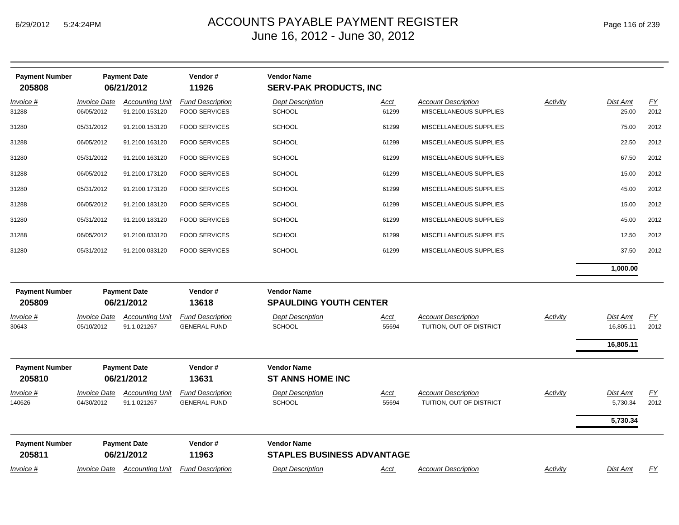| <b>Payment Number</b><br>205808 |                                   | <b>Payment Date</b><br>06/21/2012        | Vendor#<br>11926                                | <b>Vendor Name</b><br><b>SERV-PAK PRODUCTS, INC</b>     |                      |                                                        |          |                                    |                          |
|---------------------------------|-----------------------------------|------------------------------------------|-------------------------------------------------|---------------------------------------------------------|----------------------|--------------------------------------------------------|----------|------------------------------------|--------------------------|
| <u>Invoice #</u><br>31288       | <b>Invoice Date</b><br>06/05/2012 | <b>Accounting Unit</b><br>91.2100.153120 | <b>Fund Description</b><br><b>FOOD SERVICES</b> | <b>Dept Description</b><br><b>SCHOOL</b>                | <u>Acct</u><br>61299 | <b>Account Description</b><br>MISCELLANEOUS SUPPLIES   | Activity | Dist Amt<br>25.00                  | EY<br>2012               |
| 31280                           | 05/31/2012                        | 91.2100.153120                           | <b>FOOD SERVICES</b>                            | <b>SCHOOL</b>                                           | 61299                | MISCELLANEOUS SUPPLIES                                 |          | 75.00                              | 2012                     |
| 31288                           | 06/05/2012                        | 91.2100.163120                           | <b>FOOD SERVICES</b>                            | <b>SCHOOL</b>                                           | 61299                | MISCELLANEOUS SUPPLIES                                 |          | 22.50                              | 2012                     |
| 31280                           | 05/31/2012                        | 91.2100.163120                           | <b>FOOD SERVICES</b>                            | <b>SCHOOL</b>                                           | 61299                | MISCELLANEOUS SUPPLIES                                 |          | 67.50                              | 2012                     |
| 31288                           | 06/05/2012                        | 91.2100.173120                           | <b>FOOD SERVICES</b>                            | <b>SCHOOL</b>                                           | 61299                | MISCELLANEOUS SUPPLIES                                 |          | 15.00                              | 2012                     |
| 31280                           | 05/31/2012                        | 91.2100.173120                           | <b>FOOD SERVICES</b>                            | <b>SCHOOL</b>                                           | 61299                | MISCELLANEOUS SUPPLIES                                 |          | 45.00                              | 2012                     |
| 31288                           | 06/05/2012                        | 91.2100.183120                           | <b>FOOD SERVICES</b>                            | <b>SCHOOL</b>                                           | 61299                | MISCELLANEOUS SUPPLIES                                 |          | 15.00                              | 2012                     |
| 31280                           | 05/31/2012                        | 91.2100.183120                           | <b>FOOD SERVICES</b>                            | <b>SCHOOL</b>                                           | 61299                | MISCELLANEOUS SUPPLIES                                 |          | 45.00                              | 2012                     |
| 31288                           | 06/05/2012                        | 91.2100.033120                           | <b>FOOD SERVICES</b>                            | <b>SCHOOL</b>                                           | 61299                | MISCELLANEOUS SUPPLIES                                 |          | 12.50                              | 2012                     |
| 31280                           | 05/31/2012                        | 91.2100.033120                           | <b>FOOD SERVICES</b>                            | <b>SCHOOL</b>                                           | 61299                | MISCELLANEOUS SUPPLIES                                 |          | 37.50                              | 2012                     |
|                                 |                                   |                                          |                                                 |                                                         |                      |                                                        |          | 1,000.00                           |                          |
| <b>Payment Number</b><br>205809 |                                   | <b>Payment Date</b><br>06/21/2012        | Vendor#<br>13618                                | <b>Vendor Name</b><br><b>SPAULDING YOUTH CENTER</b>     |                      |                                                        |          |                                    |                          |
| Invoice #<br>30643              | <b>Invoice Date</b><br>05/10/2012 | <b>Accounting Unit</b><br>91.1.021267    | <b>Fund Description</b><br><b>GENERAL FUND</b>  | <b>Dept Description</b><br><b>SCHOOL</b>                | Acct<br>55694        | <b>Account Description</b><br>TUITION, OUT OF DISTRICT | Activity | Dist Amt<br>16,805.11<br>16,805.11 | EY<br>2012               |
| <b>Payment Number</b><br>205810 |                                   | <b>Payment Date</b><br>06/21/2012        | Vendor#<br>13631                                | <b>Vendor Name</b><br><b>ST ANNS HOME INC</b>           |                      |                                                        |          |                                    |                          |
| <u>Invoice #</u><br>140626      | <b>Invoice Date</b><br>04/30/2012 | <b>Accounting Unit</b><br>91.1.021267    | <b>Fund Description</b><br><b>GENERAL FUND</b>  | <b>Dept Description</b><br><b>SCHOOL</b>                | <u>Acct</u><br>55694 | <b>Account Description</b><br>TUITION, OUT OF DISTRICT | Activity | Dist Amt<br>5,730.34<br>5,730.34   | $\underline{FY}$<br>2012 |
| <b>Payment Number</b><br>205811 |                                   | <b>Payment Date</b><br>06/21/2012        | Vendor#<br>11963                                | <b>Vendor Name</b><br><b>STAPLES BUSINESS ADVANTAGE</b> |                      |                                                        |          |                                    |                          |
| Invoice #                       | <b>Invoice Date</b>               | <b>Accounting Unit</b>                   | <b>Fund Description</b>                         | <b>Dept Description</b>                                 | Acct                 | <b>Account Description</b>                             | Activity | Dist Amt                           | <u>FY</u>                |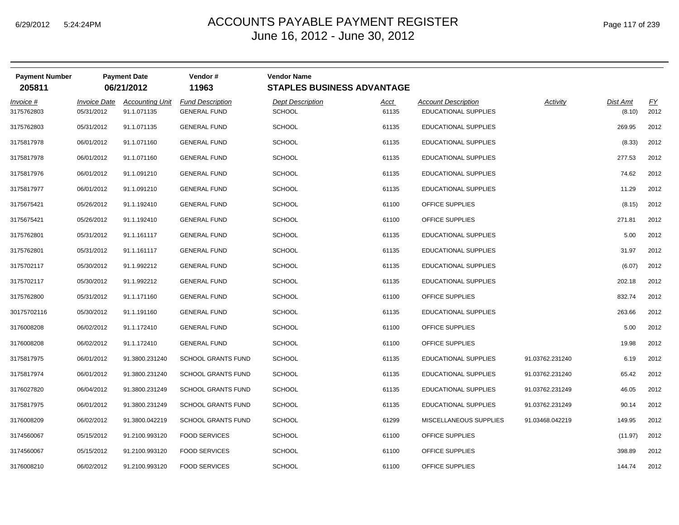|  | Page 117 of 239 |  |  |  |
|--|-----------------|--|--|--|
|--|-----------------|--|--|--|

| <b>Payment Number</b><br>205811 |                            | <b>Payment Date</b><br>06/21/2012 | Vendor#<br>11963          | <b>Vendor Name</b><br><b>STAPLES BUSINESS ADVANTAGE</b> |       |                             |                 |          |      |
|---------------------------------|----------------------------|-----------------------------------|---------------------------|---------------------------------------------------------|-------|-----------------------------|-----------------|----------|------|
| $Invoice$ #                     | <i><b>Invoice Date</b></i> | <b>Accounting Unit</b>            | <b>Fund Description</b>   | <b>Dept Description</b>                                 | Acct  | <b>Account Description</b>  | Activity        | Dist Amt | EY   |
| 3175762803                      | 05/31/2012                 | 91.1.071135                       | <b>GENERAL FUND</b>       | <b>SCHOOL</b>                                           | 61135 | EDUCATIONAL SUPPLIES        |                 | (8.10)   | 2012 |
| 3175762803                      | 05/31/2012                 | 91.1.071135                       | <b>GENERAL FUND</b>       | <b>SCHOOL</b>                                           | 61135 | <b>EDUCATIONAL SUPPLIES</b> |                 | 269.95   | 2012 |
| 3175817978                      | 06/01/2012                 | 91.1.071160                       | <b>GENERAL FUND</b>       | <b>SCHOOL</b>                                           | 61135 | EDUCATIONAL SUPPLIES        |                 | (8.33)   | 2012 |
| 3175817978                      | 06/01/2012                 | 91.1.071160                       | <b>GENERAL FUND</b>       | <b>SCHOOL</b>                                           | 61135 | <b>EDUCATIONAL SUPPLIES</b> |                 | 277.53   | 2012 |
| 3175817976                      | 06/01/2012                 | 91.1.091210                       | <b>GENERAL FUND</b>       | <b>SCHOOL</b>                                           | 61135 | EDUCATIONAL SUPPLIES        |                 | 74.62    | 2012 |
| 3175817977                      | 06/01/2012                 | 91.1.091210                       | <b>GENERAL FUND</b>       | <b>SCHOOL</b>                                           | 61135 | EDUCATIONAL SUPPLIES        |                 | 11.29    | 2012 |
| 3175675421                      | 05/26/2012                 | 91.1.192410                       | <b>GENERAL FUND</b>       | <b>SCHOOL</b>                                           | 61100 | OFFICE SUPPLIES             |                 | (8.15)   | 2012 |
| 3175675421                      | 05/26/2012                 | 91.1.192410                       | <b>GENERAL FUND</b>       | <b>SCHOOL</b>                                           | 61100 | OFFICE SUPPLIES             |                 | 271.81   | 2012 |
| 3175762801                      | 05/31/2012                 | 91.1.161117                       | <b>GENERAL FUND</b>       | <b>SCHOOL</b>                                           | 61135 | EDUCATIONAL SUPPLIES        |                 | 5.00     | 2012 |
| 3175762801                      | 05/31/2012                 | 91.1.161117                       | <b>GENERAL FUND</b>       | <b>SCHOOL</b>                                           | 61135 | EDUCATIONAL SUPPLIES        |                 | 31.97    | 2012 |
| 3175702117                      | 05/30/2012                 | 91.1.992212                       | <b>GENERAL FUND</b>       | <b>SCHOOL</b>                                           | 61135 | EDUCATIONAL SUPPLIES        |                 | (6.07)   | 2012 |
| 3175702117                      | 05/30/2012                 | 91.1.992212                       | <b>GENERAL FUND</b>       | <b>SCHOOL</b>                                           | 61135 | EDUCATIONAL SUPPLIES        |                 | 202.18   | 2012 |
| 3175762800                      | 05/31/2012                 | 91.1.171160                       | <b>GENERAL FUND</b>       | <b>SCHOOL</b>                                           | 61100 | OFFICE SUPPLIES             |                 | 832.74   | 2012 |
| 30175702116                     | 05/30/2012                 | 91.1.191160                       | <b>GENERAL FUND</b>       | <b>SCHOOL</b>                                           | 61135 | EDUCATIONAL SUPPLIES        |                 | 263.66   | 2012 |
| 3176008208                      | 06/02/2012                 | 91.1.172410                       | <b>GENERAL FUND</b>       | <b>SCHOOL</b>                                           | 61100 | OFFICE SUPPLIES             |                 | 5.00     | 2012 |
| 3176008208                      | 06/02/2012                 | 91.1.172410                       | <b>GENERAL FUND</b>       | <b>SCHOOL</b>                                           | 61100 | OFFICE SUPPLIES             |                 | 19.98    | 2012 |
| 3175817975                      | 06/01/2012                 | 91.3800.231240                    | <b>SCHOOL GRANTS FUND</b> | <b>SCHOOL</b>                                           | 61135 | EDUCATIONAL SUPPLIES        | 91.03762.231240 | 6.19     | 2012 |
| 3175817974                      | 06/01/2012                 | 91.3800.231240                    | <b>SCHOOL GRANTS FUND</b> | <b>SCHOOL</b>                                           | 61135 | <b>EDUCATIONAL SUPPLIES</b> | 91.03762.231240 | 65.42    | 2012 |
| 3176027820                      | 06/04/2012                 | 91.3800.231249                    | <b>SCHOOL GRANTS FUND</b> | <b>SCHOOL</b>                                           | 61135 | EDUCATIONAL SUPPLIES        | 91.03762.231249 | 46.05    | 2012 |
| 3175817975                      | 06/01/2012                 | 91.3800.231249                    | <b>SCHOOL GRANTS FUND</b> | <b>SCHOOL</b>                                           | 61135 | EDUCATIONAL SUPPLIES        | 91.03762.231249 | 90.14    | 2012 |
| 3176008209                      | 06/02/2012                 | 91.3800.042219                    | <b>SCHOOL GRANTS FUND</b> | <b>SCHOOL</b>                                           | 61299 | MISCELLANEOUS SUPPLIES      | 91.03468.042219 | 149.95   | 2012 |
| 3174560067                      | 05/15/2012                 | 91.2100.993120                    | <b>FOOD SERVICES</b>      | <b>SCHOOL</b>                                           | 61100 | OFFICE SUPPLIES             |                 | (11.97)  | 2012 |
| 3174560067                      | 05/15/2012                 | 91.2100.993120                    | <b>FOOD SERVICES</b>      | <b>SCHOOL</b>                                           | 61100 | OFFICE SUPPLIES             |                 | 398.89   | 2012 |
| 3176008210                      | 06/02/2012                 | 91.2100.993120                    | <b>FOOD SERVICES</b>      | <b>SCHOOL</b>                                           | 61100 | OFFICE SUPPLIES             |                 | 144.74   | 2012 |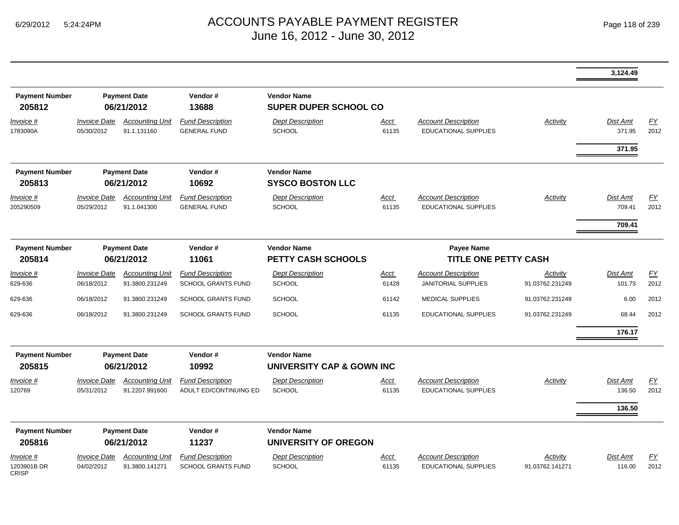|                                   |                                                       |                                          |                                                      |                                                    |                      |                                                           |                             | 3,124.49                  |                          |
|-----------------------------------|-------------------------------------------------------|------------------------------------------|------------------------------------------------------|----------------------------------------------------|----------------------|-----------------------------------------------------------|-----------------------------|---------------------------|--------------------------|
| <b>Payment Number</b><br>205812   |                                                       | <b>Payment Date</b><br>06/21/2012        | Vendor#<br>13688                                     | <b>Vendor Name</b><br><b>SUPER DUPER SCHOOL CO</b> |                      |                                                           |                             |                           |                          |
| <u>Invoice #</u><br>1783090A      | <b>Invoice Date</b><br>05/30/2012                     | <b>Accounting Unit</b><br>91.1.131160    | <b>Fund Description</b><br><b>GENERAL FUND</b>       | <b>Dept Description</b><br>SCHOOL                  | <u>Acct</u><br>61135 | <b>Account Description</b><br><b>EDUCATIONAL SUPPLIES</b> | <b>Activity</b>             | <b>Dist Amt</b><br>371.95 | EY<br>2012               |
|                                   |                                                       |                                          |                                                      |                                                    |                      |                                                           |                             | 371.95                    |                          |
| <b>Payment Number</b><br>205813   |                                                       | <b>Payment Date</b><br>06/21/2012        | Vendor#<br>10692                                     | <b>Vendor Name</b><br><b>SYSCO BOSTON LLC</b>      |                      |                                                           |                             |                           |                          |
| Invoice #<br>205290509            | <b>Invoice Date</b><br>05/29/2012                     | <b>Accounting Unit</b><br>91.1.041300    | <b>Fund Description</b><br><b>GENERAL FUND</b>       | <b>Dept Description</b><br><b>SCHOOL</b>           | <u>Acct</u><br>61135 | <b>Account Description</b><br><b>EDUCATIONAL SUPPLIES</b> | Activity                    | Dist Amt<br>709.41        | $\underline{FY}$<br>2012 |
| <b>Payment Number</b>             |                                                       |                                          | Vendor#                                              | <b>Vendor Name</b>                                 |                      | <b>Payee Name</b>                                         |                             | 709.41                    |                          |
| 205814                            | <b>Payment Date</b><br>06/21/2012<br>11061            |                                          |                                                      | <b>PETTY CASH SCHOOLS</b>                          |                      | <b>TITLE ONE PETTY CASH</b>                               |                             |                           |                          |
| Invoice #<br>629-636              | <b>Invoice Date</b><br>06/18/2012                     | <b>Accounting Unit</b><br>91.3800.231249 | <b>Fund Description</b><br><b>SCHOOL GRANTS FUND</b> | <b>Dept Description</b><br><b>SCHOOL</b>           | <u>Acct</u><br>61428 | <b>Account Description</b><br><b>JANITORIAL SUPPLIES</b>  | Activity<br>91.03762.231249 | Dist Amt<br>101.73        | <u>FY</u><br>2012        |
| 629-636                           | 06/18/2012                                            | 91.3800.231249                           | <b>SCHOOL GRANTS FUND</b>                            | <b>SCHOOL</b>                                      | 61142                | <b>MEDICAL SUPPLIES</b>                                   | 91.03762.231249             | 6.00                      | 2012                     |
| 629-636                           | 06/18/2012                                            | 91.3800.231249                           | <b>SCHOOL GRANTS FUND</b>                            | <b>SCHOOL</b>                                      | 61135                | <b>EDUCATIONAL SUPPLIES</b>                               | 91.03762.231249             | 68.44                     | 2012                     |
|                                   |                                                       |                                          |                                                      |                                                    |                      |                                                           |                             | 176.17                    |                          |
| <b>Payment Number</b><br>205815   |                                                       | <b>Payment Date</b><br>06/21/2012        | Vendor#<br>10992                                     | <b>Vendor Name</b><br>UNIVERSITY CAP & GOWN INC    |                      |                                                           |                             |                           |                          |
| Invoice #<br>120769               | <b>Invoice Date</b><br>05/31/2012                     | <b>Accounting Unit</b><br>91.2207.991600 | <b>Fund Description</b><br>ADULT ED/CONTINUING ED    | <b>Dept Description</b><br><b>SCHOOL</b>           | <u>Acct</u><br>61135 | <b>Account Description</b><br><b>EDUCATIONAL SUPPLIES</b> | <b>Activity</b>             | <b>Dist Amt</b><br>136.50 | EY<br>2012               |
|                                   |                                                       |                                          |                                                      |                                                    |                      |                                                           |                             | 136.50                    |                          |
| <b>Payment Number</b><br>205816   | <b>Payment Date</b><br>Vendor#<br>06/21/2012<br>11237 |                                          |                                                      | <b>Vendor Name</b><br><b>UNIVERSITY OF OREGON</b>  |                      |                                                           |                             |                           |                          |
| Invoice #<br>1203901B DR<br>CRISP | <b>Invoice Date</b><br>04/02/2012                     | <b>Accounting Unit</b><br>91.3800.141271 | <b>Fund Description</b><br><b>SCHOOL GRANTS FUND</b> | <b>Dept Description</b><br><b>SCHOOL</b>           | <u>Acct</u><br>61135 | <b>Account Description</b><br>EDUCATIONAL SUPPLIES        | Activity<br>91.03762.141271 | <b>Dist Amt</b><br>116.00 | $\underline{FY}$<br>2012 |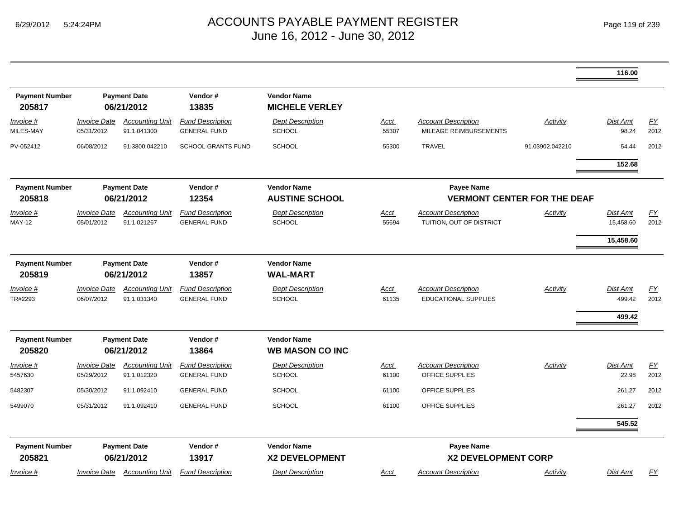|                                 |                                          |                                       |                                                |                                              |                      |                                                           |                                    | 116.00                       |                          |
|---------------------------------|------------------------------------------|---------------------------------------|------------------------------------------------|----------------------------------------------|----------------------|-----------------------------------------------------------|------------------------------------|------------------------------|--------------------------|
| <b>Payment Number</b><br>205817 |                                          | <b>Payment Date</b><br>06/21/2012     | Vendor#<br>13835                               | <b>Vendor Name</b><br><b>MICHELE VERLEY</b>  |                      |                                                           |                                    |                              |                          |
| Invoice #<br>MILES-MAY          | <i><b>Invoice Date</b></i><br>05/31/2012 | <b>Accounting Unit</b><br>91.1.041300 | <b>Fund Description</b><br><b>GENERAL FUND</b> | <b>Dept Description</b><br><b>SCHOOL</b>     | Acct<br>55307        | <b>Account Description</b><br>MILEAGE REIMBURSEMENTS      | Activity                           | Dist Amt<br>98.24            | EY<br>2012               |
| PV-052412                       | 06/08/2012                               | 91.3800.042210                        | <b>SCHOOL GRANTS FUND</b>                      | <b>SCHOOL</b>                                | 55300                | TRAVEL                                                    | 91.03902.042210                    | 54.44                        | 2012                     |
|                                 |                                          |                                       |                                                |                                              |                      |                                                           |                                    | 152.68                       |                          |
| <b>Payment Number</b><br>205818 |                                          | <b>Payment Date</b><br>06/21/2012     | Vendor#<br>12354                               | <b>Vendor Name</b><br><b>AUSTINE SCHOOL</b>  |                      | Payee Name                                                | <b>VERMONT CENTER FOR THE DEAF</b> |                              |                          |
| Invoice #<br>MAY-12             | <b>Invoice Date</b><br>05/01/2012        | <b>Accounting Unit</b><br>91.1.021267 | <b>Fund Description</b><br><b>GENERAL FUND</b> | <b>Dept Description</b><br><b>SCHOOL</b>     | Acct<br>55694        | <b>Account Description</b><br>TUITION, OUT OF DISTRICT    | Activity                           | <b>Dist Amt</b><br>15,458.60 | $\underline{FY}$<br>2012 |
|                                 |                                          |                                       |                                                |                                              |                      |                                                           |                                    | 15,458.60                    |                          |
| <b>Payment Number</b><br>205819 | <b>Payment Date</b><br>06/21/2012        |                                       | Vendor#<br>13857                               | <b>Vendor Name</b><br><b>WAL-MART</b>        |                      |                                                           |                                    |                              |                          |
| <u>Invoice #</u><br>TR#2293     | <b>Invoice Date</b><br>06/07/2012        | <b>Accounting Unit</b><br>91.1.031340 | <b>Fund Description</b><br><b>GENERAL FUND</b> | <b>Dept Description</b><br><b>SCHOOL</b>     | <u>Acct</u><br>61135 | <b>Account Description</b><br><b>EDUCATIONAL SUPPLIES</b> | <b>Activity</b>                    | Dist Amt<br>499.42           | $\underline{FY}$<br>2012 |
|                                 |                                          |                                       |                                                |                                              |                      |                                                           |                                    | 499.42                       |                          |
| <b>Payment Number</b><br>205820 |                                          | <b>Payment Date</b><br>06/21/2012     | Vendor#<br>13864                               | <b>Vendor Name</b><br><b>WB MASON CO INC</b> |                      |                                                           |                                    |                              |                          |
| Invoice #<br>5457630            | <b>Invoice Date</b><br>05/29/2012        | <b>Accounting Unit</b><br>91.1.012320 | <b>Fund Description</b><br><b>GENERAL FUND</b> | <b>Dept Description</b><br>SCHOOL            | Acct<br>61100        | <b>Account Description</b><br><b>OFFICE SUPPLIES</b>      | Activity                           | Dist Amt<br>22.98            | EY<br>2012               |
| 5482307                         | 05/30/2012                               | 91.1.092410                           | <b>GENERAL FUND</b>                            | <b>SCHOOL</b>                                | 61100                | OFFICE SUPPLIES                                           |                                    | 261.27                       | 2012                     |
| 5499070                         | 05/31/2012                               | 91.1.092410                           | <b>GENERAL FUND</b>                            | <b>SCHOOL</b>                                | 61100                | OFFICE SUPPLIES                                           |                                    | 261.27                       | 2012                     |
|                                 |                                          |                                       |                                                |                                              |                      |                                                           |                                    | 545.52                       |                          |
| <b>Payment Number</b><br>205821 | <b>Payment Date</b><br>06/21/2012        |                                       | Vendor#<br>13917                               | <b>Vendor Name</b><br><b>X2 DEVELOPMENT</b>  |                      | Payee Name<br><b>X2 DEVELOPMENT CORP</b>                  |                                    |                              |                          |
| Invoice #                       | Invoice Date                             | <b>Accounting Unit</b>                | <b>Fund Description</b>                        | <b>Dept Description</b>                      | Acct                 | <b>Account Description</b>                                | Activity                           | Dist Amt                     | <u>FY</u>                |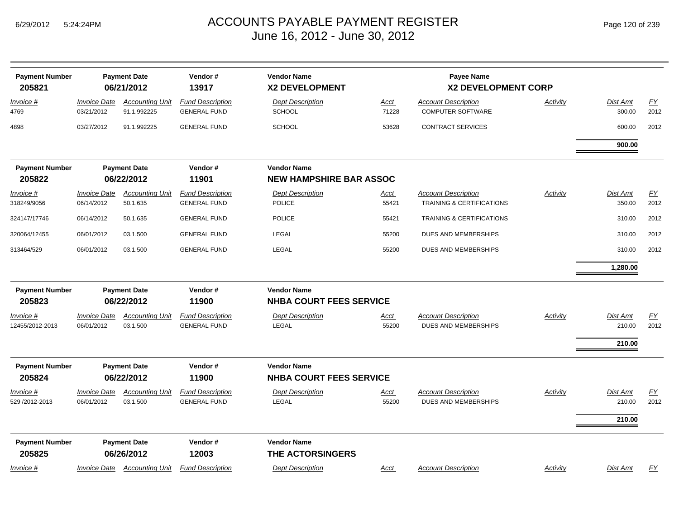| <b>Payment Number</b>               |                                   | <b>Payment Date</b>                   | Vendor#                                        | <b>Vendor Name</b>                                   |                      | <b>Payee Name</b>                                      |                 |                              |                          |
|-------------------------------------|-----------------------------------|---------------------------------------|------------------------------------------------|------------------------------------------------------|----------------------|--------------------------------------------------------|-----------------|------------------------------|--------------------------|
| 205821                              |                                   | 06/21/2012                            | 13917                                          | X2 DEVELOPMENT                                       |                      | X2 DEVELOPMENT CORP                                    |                 |                              |                          |
| <u>Invoice #</u><br>4769            | <b>Invoice Date</b><br>03/21/2012 | <b>Accounting Unit</b><br>91.1.992225 | <b>Fund Description</b><br><b>GENERAL FUND</b> | <b>Dept Description</b><br><b>SCHOOL</b>             | <u>Acct</u><br>71228 | <b>Account Description</b><br><b>COMPUTER SOFTWARE</b> | <b>Activity</b> | Dist Amt<br>300.00           | <u>FY</u><br>2012        |
| 4898                                | 03/27/2012                        | 91.1.992225                           | <b>GENERAL FUND</b>                            | <b>SCHOOL</b>                                        | 53628                | <b>CONTRACT SERVICES</b>                               |                 | 600.00                       | 2012                     |
|                                     |                                   |                                       |                                                |                                                      |                      |                                                        |                 | 900.00                       |                          |
| <b>Payment Number</b><br>205822     |                                   | <b>Payment Date</b><br>06/22/2012     | Vendor#<br>11901                               | <b>Vendor Name</b><br><b>NEW HAMPSHIRE BAR ASSOC</b> |                      |                                                        |                 |                              |                          |
| Invoice #                           | <b>Invoice Date</b>               | <b>Accounting Unit</b>                | <b>Fund Description</b>                        | <b>Dept Description</b>                              | Acct                 | <b>Account Description</b>                             | Activity        | Dist Amt                     | EY                       |
| 318249/9056                         | 06/14/2012                        | 50.1.635                              | <b>GENERAL FUND</b>                            | <b>POLICE</b>                                        | 55421                | <b>TRAINING &amp; CERTIFICATIONS</b>                   |                 | 350.00                       | 2012                     |
| 324147/17746                        | 06/14/2012                        | 50.1.635                              | <b>GENERAL FUND</b>                            | <b>POLICE</b>                                        | 55421                | TRAINING & CERTIFICATIONS                              |                 | 310.00                       | 2012                     |
| 320064/12455                        | 06/01/2012                        | 03.1.500                              | <b>GENERAL FUND</b>                            | LEGAL                                                | 55200                | DUES AND MEMBERSHIPS                                   |                 | 310.00                       | 2012                     |
| 313464/529                          | 06/01/2012                        | 03.1.500                              | <b>GENERAL FUND</b>                            | LEGAL                                                | 55200                | DUES AND MEMBERSHIPS                                   |                 | 310.00                       | 2012                     |
|                                     |                                   |                                       |                                                |                                                      |                      |                                                        |                 | 1,280.00                     |                          |
| <b>Payment Number</b><br>205823     |                                   | <b>Payment Date</b><br>06/22/2012     | Vendor#<br>11900                               | <b>Vendor Name</b><br><b>NHBA COURT FEES SERVICE</b> |                      |                                                        |                 |                              |                          |
| <u>Invoice #</u><br>12455/2012-2013 | <b>Invoice Date</b><br>06/01/2012 | <b>Accounting Unit</b><br>03.1.500    | <b>Fund Description</b><br><b>GENERAL FUND</b> | <b>Dept Description</b><br>LEGAL                     | <u>Acct</u><br>55200 | <b>Account Description</b><br>DUES AND MEMBERSHIPS     | <b>Activity</b> | Dist Amt<br>210.00<br>210.00 | $\underline{FY}$<br>2012 |
| <b>Payment Number</b><br>205824     |                                   | <b>Payment Date</b><br>06/22/2012     | Vendor#<br>11900                               | <b>Vendor Name</b><br><b>NHBA COURT FEES SERVICE</b> |                      |                                                        |                 |                              |                          |
| Invoice #<br>529 /2012-2013         | <b>Invoice Date</b><br>06/01/2012 | <b>Accounting Unit</b><br>03.1.500    | <b>Fund Description</b><br><b>GENERAL FUND</b> | <b>Dept Description</b><br>LEGAL                     | <u>Acct</u><br>55200 | <b>Account Description</b><br>DUES AND MEMBERSHIPS     | Activity        | Dist Amt<br>210.00<br>210.00 | EY<br>2012               |
| <b>Payment Number</b>               |                                   | <b>Payment Date</b>                   | Vendor#                                        | <b>Vendor Name</b>                                   |                      |                                                        |                 |                              |                          |
| 205825<br>Invoice #                 | <b>Invoice Date</b>               | 06/26/2012<br><b>Accounting Unit</b>  | 12003<br><b>Fund Description</b>               | THE ACTORSINGERS<br><b>Dept Description</b>          | Acct                 | <b>Account Description</b>                             | Activity        | Dist Amt                     | EY                       |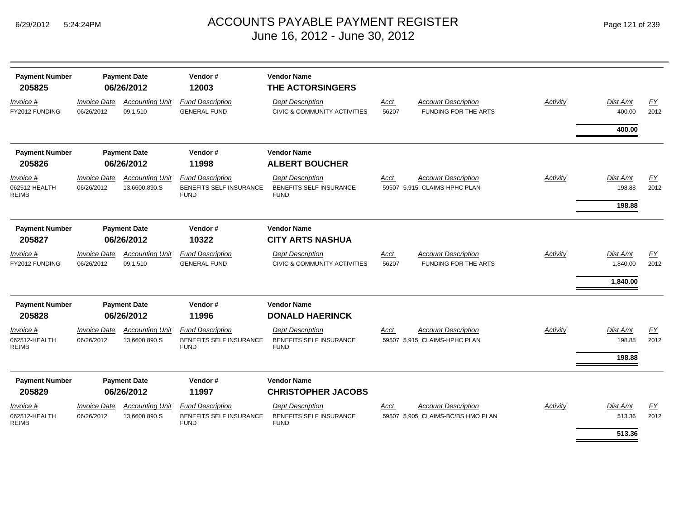| <b>Payment Number</b><br>205825            |                                   | <b>Payment Date</b><br>06/26/2012       | Vendor#<br>12003                                                         | <b>Vendor Name</b><br><b>THE ACTORSINGERS</b>                            |               |                                                            |                 |                           |            |  |  |
|--------------------------------------------|-----------------------------------|-----------------------------------------|--------------------------------------------------------------------------|--------------------------------------------------------------------------|---------------|------------------------------------------------------------|-----------------|---------------------------|------------|--|--|
| <u>Invoice</u> #<br>FY2012 FUNDING         | <b>Invoice Date</b><br>06/26/2012 | <b>Accounting Unit</b><br>09.1.510      | <b>Fund Description</b><br><b>GENERAL FUND</b>                           | <b>Dept Description</b><br>CIVIC & COMMUNITY ACTIVITIES                  | Acct<br>56207 | <b>Account Description</b><br><b>FUNDING FOR THE ARTS</b>  | Activity        | <b>Dist Amt</b><br>400.00 | EY<br>2012 |  |  |
|                                            |                                   |                                         |                                                                          |                                                                          |               |                                                            |                 | 400.00                    |            |  |  |
| <b>Payment Number</b>                      |                                   | <b>Payment Date</b>                     | Vendor#                                                                  | <b>Vendor Name</b>                                                       |               |                                                            |                 |                           |            |  |  |
| 205826                                     |                                   | 06/26/2012                              | 11998                                                                    | <b>ALBERT BOUCHER</b>                                                    |               |                                                            |                 |                           |            |  |  |
| Invoice #<br>062512-HEALTH<br><b>REIMB</b> | <b>Invoice Date</b><br>06/26/2012 | <b>Accounting Unit</b><br>13.6600.890.S | <b>Fund Description</b><br>BENEFITS SELF INSURANCE<br><b>FUND</b>        | <b>Dept Description</b><br>BENEFITS SELF INSURANCE<br><b>FUND</b>        | Acct          | <b>Account Description</b><br>59507 5,915 CLAIMS-HPHC PLAN | Activity        | <b>Dist Amt</b><br>198.88 | FY<br>2012 |  |  |
|                                            |                                   |                                         |                                                                          |                                                                          |               |                                                            |                 | 198.88                    |            |  |  |
| <b>Payment Number</b>                      | <b>Payment Date</b>               |                                         |                                                                          |                                                                          | Vendor#       | <b>Vendor Name</b>                                         |                 |                           |            |  |  |
| 205827                                     | 06/26/2012                        |                                         | 10322                                                                    | <b>CITY ARTS NASHUA</b>                                                  |               |                                                            |                 |                           |            |  |  |
| Invoice #<br>FY2012 FUNDING                | <b>Invoice Date</b><br>06/26/2012 | <b>Accounting Unit</b><br>09.1.510      | <b>Fund Description</b><br><b>GENERAL FUND</b>                           | <b>Dept Description</b><br>CIVIC & COMMUNITY ACTIVITIES                  | Acct<br>56207 | <b>Account Description</b><br><b>FUNDING FOR THE ARTS</b>  | <b>Activity</b> | Dist Amt<br>1,840.00      | EY<br>2012 |  |  |
|                                            |                                   |                                         |                                                                          |                                                                          |               |                                                            |                 | 1,840.00                  |            |  |  |
| <b>Payment Number</b>                      |                                   | <b>Payment Date</b>                     | Vendor#                                                                  | <b>Vendor Name</b>                                                       |               |                                                            |                 |                           |            |  |  |
| 205828                                     |                                   | 06/26/2012                              | 11996                                                                    | <b>DONALD HAERINCK</b>                                                   |               |                                                            |                 |                           |            |  |  |
| Invoice #<br>062512-HEALTH<br><b>REIMB</b> | <b>Invoice Date</b><br>06/26/2012 | <b>Accounting Unit</b><br>13.6600.890.S | <b>Fund Description</b><br><b>BENEFITS SELF INSURANCE</b><br><b>FUND</b> | <b>Dept Description</b><br><b>BENEFITS SELF INSURANCE</b><br><b>FUND</b> | Acct          | <b>Account Description</b><br>59507 5,915 CLAIMS-HPHC PLAN | Activity        | Dist Amt<br>198.88        | EY<br>2012 |  |  |
|                                            |                                   |                                         |                                                                          |                                                                          |               |                                                            |                 | 198.88                    |            |  |  |
| <b>Payment Number</b><br>205829            |                                   | <b>Payment Date</b><br>06/26/2012       | Vendor#<br>11997                                                         | <b>Vendor Name</b><br><b>CHRISTOPHER JACOBS</b>                          |               |                                                            |                 |                           |            |  |  |
| Invoice #<br>062512-HEALTH<br><b>REIMB</b> | <b>Invoice Date</b><br>06/26/2012 | <b>Accounting Unit</b><br>13.6600.890.S | <b>Fund Description</b><br><b>BENEFITS SELF INSURANCE</b><br><b>FUND</b> | <b>Dept Description</b><br><b>BENEFITS SELF INSURANCE</b><br><b>FUND</b> | Acct<br>59507 | <b>Account Description</b><br>5.905 CLAIMS-BC/BS HMO PLAN  | Activity        | <b>Dist Amt</b><br>513.36 | EY<br>2012 |  |  |
|                                            |                                   |                                         |                                                                          |                                                                          |               |                                                            |                 | 513.36                    |            |  |  |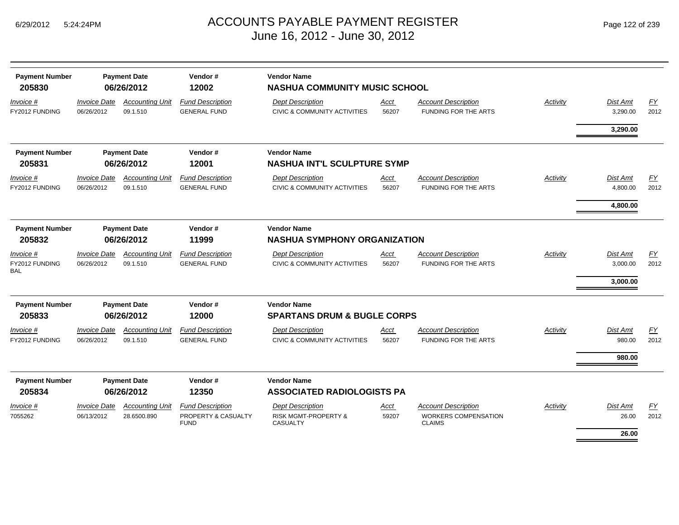| <b>Payment Number</b><br>205830           |                                   | Vendor#<br><b>Vendor Name</b><br><b>Payment Date</b><br>06/26/2012<br>12002<br><b>NASHUA COMMUNITY MUSIC SCHOOL</b> |                                                               |                                                                               |                                     |                                                                            |                 |                                         |                   |
|-------------------------------------------|-----------------------------------|---------------------------------------------------------------------------------------------------------------------|---------------------------------------------------------------|-------------------------------------------------------------------------------|-------------------------------------|----------------------------------------------------------------------------|-----------------|-----------------------------------------|-------------------|
| Invoice #<br>FY2012 FUNDING               | <b>Invoice Date</b><br>06/26/2012 | <b>Accounting Unit</b><br>09.1.510                                                                                  | <b>Fund Description</b><br><b>GENERAL FUND</b>                | <b>Dept Description</b><br>CIVIC & COMMUNITY ACTIVITIES                       | Acct<br>56207                       | <b>Account Description</b><br><b>FUNDING FOR THE ARTS</b>                  | <b>Activity</b> | Dist Amt<br>3,290.00                    | EY<br>2012        |
|                                           |                                   |                                                                                                                     |                                                               |                                                                               |                                     |                                                                            |                 | 3,290.00                                |                   |
| <b>Payment Number</b>                     |                                   | <b>Payment Date</b>                                                                                                 | Vendor#                                                       | <b>Vendor Name</b>                                                            |                                     |                                                                            |                 |                                         |                   |
| 205831                                    |                                   | 06/26/2012                                                                                                          | 12001                                                         | <b>NASHUA INT'L SCULPTURE SYMP</b>                                            |                                     |                                                                            |                 |                                         |                   |
| Invoice #<br>FY2012 FUNDING               | <b>Invoice Date</b><br>06/26/2012 | <b>Accounting Unit</b><br>09.1.510                                                                                  | <b>Fund Description</b><br><b>GENERAL FUND</b>                | <b>Dept Description</b><br>CIVIC & COMMUNITY ACTIVITIES                       | Acct<br>56207                       | <b>Account Description</b><br>FUNDING FOR THE ARTS                         | Activity        | <b>Dist Amt</b><br>4,800.00             | FY<br>2012        |
|                                           |                                   |                                                                                                                     |                                                               |                                                                               |                                     |                                                                            |                 | 4,800.00                                |                   |
| <b>Payment Number</b><br>205832           |                                   | <b>Payment Date</b><br>06/26/2012                                                                                   | Vendor#<br>11999                                              | <b>Vendor Name</b>                                                            | <b>NASHUA SYMPHONY ORGANIZATION</b> |                                                                            |                 |                                         |                   |
| Invoice #<br>FY2012 FUNDING<br><b>BAL</b> | <b>Invoice Date</b><br>06/26/2012 | <b>Accounting Unit</b><br>09.1.510                                                                                  | <b>Fund Description</b><br><b>GENERAL FUND</b>                | <b>Dept Description</b><br><b>CIVIC &amp; COMMUNITY ACTIVITIES</b>            | Acct<br>56207                       | <b>Account Description</b><br><b>FUNDING FOR THE ARTS</b>                  | <b>Activity</b> | <b>Dist Amt</b><br>3,000.00<br>3,000.00 | EY<br>2012        |
| <b>Payment Number</b><br>205833           |                                   | <b>Payment Date</b><br>06/26/2012                                                                                   | Vendor#<br>12000                                              | <b>Vendor Name</b><br><b>SPARTANS DRUM &amp; BUGLE CORPS</b>                  |                                     |                                                                            |                 |                                         |                   |
| <i>Invoice</i> #<br>FY2012 FUNDING        | <b>Invoice Date</b><br>06/26/2012 | <b>Accounting Unit</b><br>09.1.510                                                                                  | <b>Fund Description</b><br><b>GENERAL FUND</b>                | <b>Dept Description</b><br>CIVIC & COMMUNITY ACTIVITIES                       | Acct<br>56207                       | <b>Account Description</b><br><b>FUNDING FOR THE ARTS</b>                  | Activity        | <b>Dist Amt</b><br>980.00               | <b>FY</b><br>2012 |
|                                           |                                   |                                                                                                                     |                                                               |                                                                               |                                     |                                                                            |                 | 980.00                                  |                   |
| <b>Payment Number</b><br>205834           |                                   | <b>Payment Date</b><br>06/26/2012                                                                                   | Vendor#<br>12350                                              | <b>Vendor Name</b><br><b>ASSOCIATED RADIOLOGISTS PA</b>                       |                                     |                                                                            |                 |                                         |                   |
| Invoice #<br>7055262                      | <b>Invoice Date</b><br>06/13/2012 | <b>Accounting Unit</b><br>28.6500.890                                                                               | <b>Fund Description</b><br>PROPERTY & CASUALTY<br><b>FUND</b> | <b>Dept Description</b><br><b>RISK MGMT-PROPERTY &amp;</b><br><b>CASUALTY</b> | Acct<br>59207                       | <b>Account Description</b><br><b>WORKERS COMPENSATION</b><br><b>CLAIMS</b> | Activity        | <b>Dist Amt</b><br>26.00                | EY<br>2012        |
|                                           |                                   |                                                                                                                     |                                                               |                                                                               |                                     |                                                                            |                 | 26.00                                   |                   |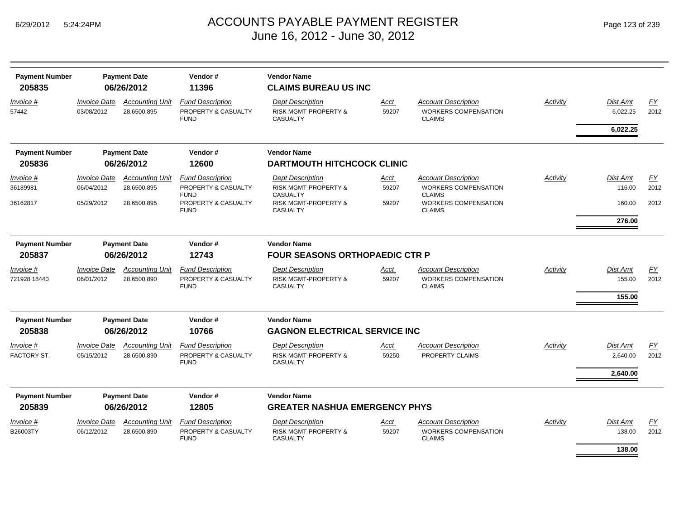| <b>Payment Number</b><br>205835 | Vendor#<br><b>Payment Date</b><br><b>Vendor Name</b><br>06/26/2012<br>11396<br><b>CLAIMS BUREAU US INC</b> |                                       |                                                               |                                                                               |               |                                                                            |          |                           |                   |
|---------------------------------|------------------------------------------------------------------------------------------------------------|---------------------------------------|---------------------------------------------------------------|-------------------------------------------------------------------------------|---------------|----------------------------------------------------------------------------|----------|---------------------------|-------------------|
| Invoice #<br>57442              | <b>Invoice Date</b><br>03/08/2012                                                                          | <b>Accounting Unit</b><br>28.6500.895 | <b>Fund Description</b><br>PROPERTY & CASUALTY<br><b>FUND</b> | <b>Dept Description</b><br><b>RISK MGMT-PROPERTY &amp;</b><br><b>CASUALTY</b> | Acct<br>59207 | <b>Account Description</b><br><b>WORKERS COMPENSATION</b><br><b>CLAIMS</b> | Activity | Dist Amt<br>6,022.25      | EY<br>2012        |
|                                 |                                                                                                            |                                       |                                                               |                                                                               |               |                                                                            |          | 6,022.25                  |                   |
| <b>Payment Number</b>           |                                                                                                            | <b>Payment Date</b>                   | Vendor#                                                       | <b>Vendor Name</b>                                                            |               |                                                                            |          |                           |                   |
| 205836                          |                                                                                                            | 06/26/2012                            | 12600                                                         | <b>DARTMOUTH HITCHCOCK CLINIC</b>                                             |               |                                                                            |          |                           |                   |
| <i>Invoice</i> #<br>36189981    | <i><b>Invoice Date</b></i><br>06/04/2012                                                                   | <b>Accounting Unit</b><br>28.6500.895 | <b>Fund Description</b><br>PROPERTY & CASUALTY<br><b>FUND</b> | <b>Dept Description</b><br><b>RISK MGMT-PROPERTY &amp;</b><br><b>CASUALTY</b> | Acct<br>59207 | Account Description<br><b>WORKERS COMPENSATION</b><br><b>CLAIMS</b>        | Activity | <b>Dist Amt</b><br>116.00 | FΥ<br>2012        |
| 36162817                        | 05/29/2012                                                                                                 | 28.6500.895                           | PROPERTY & CASUALTY<br><b>FUND</b>                            | <b>RISK MGMT-PROPERTY &amp;</b><br><b>CASUALTY</b>                            | 59207         | <b>WORKERS COMPENSATION</b><br><b>CLAIMS</b>                               |          | 160.00<br>276.00          | 2012              |
| <b>Payment Number</b>           |                                                                                                            | <b>Payment Date</b>                   | Vendor#                                                       | <b>Vendor Name</b>                                                            |               |                                                                            |          |                           |                   |
| 205837                          |                                                                                                            | 06/26/2012                            | 12743                                                         | <b>FOUR SEASONS ORTHOPAEDIC CTR P</b>                                         |               |                                                                            |          |                           |                   |
| Invoice #                       | <b>Invoice Date</b>                                                                                        | <b>Accounting Unit</b>                | <b>Fund Description</b>                                       | <b>Dept Description</b>                                                       | Acct          | <b>Account Description</b>                                                 | Activity | Dist Amt                  | EY                |
| 721928 18440                    | 06/01/2012                                                                                                 | 28.6500.890                           | PROPERTY & CASUALTY<br><b>FUND</b>                            | <b>RISK MGMT-PROPERTY &amp;</b><br><b>CASUALTY</b>                            | 59207         | <b>WORKERS COMPENSATION</b><br><b>CLAIMS</b>                               |          | 155.00<br>155.00          | 2012              |
| <b>Payment Number</b>           |                                                                                                            | <b>Payment Date</b>                   | Vendor#                                                       | <b>Vendor Name</b>                                                            |               |                                                                            |          |                           |                   |
| 205838                          |                                                                                                            | 06/26/2012                            | 10766                                                         | <b>GAGNON ELECTRICAL SERVICE INC</b>                                          |               |                                                                            |          |                           |                   |
| <i>Invoice</i> #<br>FACTORY ST. | <b>Invoice Date</b><br>05/15/2012                                                                          | <b>Accounting Unit</b><br>28.6500.890 | <b>Fund Description</b><br>PROPERTY & CASUALTY<br><b>FUND</b> | <b>Dept Description</b><br><b>RISK MGMT-PROPERTY &amp;</b><br><b>CASUALTY</b> | Acct<br>59250 | <b>Account Description</b><br>PROPERTY CLAIMS                              | Activity | Dist Amt<br>2,640.00      | <u>FY</u><br>2012 |
|                                 |                                                                                                            |                                       |                                                               |                                                                               |               |                                                                            |          | 2,640.00                  |                   |
| <b>Payment Number</b>           |                                                                                                            | <b>Payment Date</b>                   | Vendor#                                                       | <b>Vendor Name</b>                                                            |               |                                                                            |          |                           |                   |
| 205839                          |                                                                                                            | 06/26/2012                            | 12805                                                         | <b>GREATER NASHUA EMERGENCY PHYS</b>                                          |               |                                                                            |          |                           |                   |
| <i>Invoice</i> #<br>B26003TY    | <i><b>Invoice Date</b></i><br>06/12/2012                                                                   | <b>Accounting Unit</b><br>28.6500.890 | <b>Fund Description</b><br>PROPERTY & CASUALTY<br><b>FUND</b> | <b>Dept Description</b><br><b>RISK MGMT-PROPERTY &amp;</b><br><b>CASUALTY</b> | Acct<br>59207 | <b>Account Description</b><br><b>WORKERS COMPENSATION</b><br><b>CLAIMS</b> | Activity | Dist Amt<br>138.00        | EY<br>2012        |
|                                 |                                                                                                            |                                       |                                                               |                                                                               |               |                                                                            |          | 138.00                    |                   |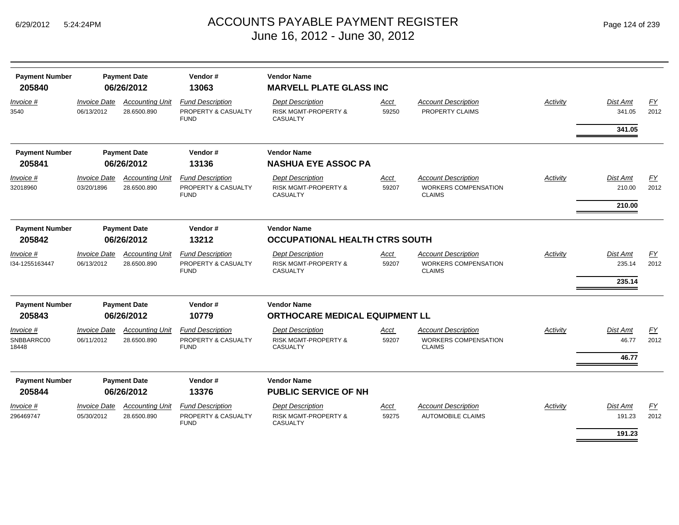| <b>Payment Number</b><br>205840  |                                          | <b>Payment Date</b><br>06/26/2012     | Vendor#<br>13063                                              | <b>Vendor Name</b><br><b>MARVELL PLATE GLASS INC</b>                                                                   |               |                                                                            |          |                                     |            |
|----------------------------------|------------------------------------------|---------------------------------------|---------------------------------------------------------------|------------------------------------------------------------------------------------------------------------------------|---------------|----------------------------------------------------------------------------|----------|-------------------------------------|------------|
| Invoice #<br>3540                | <i><b>Invoice Date</b></i><br>06/13/2012 | <b>Accounting Unit</b><br>28.6500.890 | <b>Fund Description</b><br>PROPERTY & CASUALTY<br><b>FUND</b> | <b>Dept Description</b><br><b>RISK MGMT-PROPERTY &amp;</b><br><b>CASUALTY</b>                                          | Acct<br>59250 | <b>Account Description</b><br>PROPERTY CLAIMS                              | Activity | Dist Amt<br>341.05<br>341.05        | FY<br>2012 |
| <b>Payment Number</b><br>205841  |                                          | <b>Payment Date</b><br>06/26/2012     | Vendor#<br>13136                                              | <b>Vendor Name</b><br><b>NASHUA EYE ASSOC PA</b>                                                                       |               |                                                                            |          |                                     |            |
| Invoice #<br>32018960            | <b>Invoice Date</b><br>03/20/1896        | <b>Accounting Unit</b><br>28.6500.890 | <b>Fund Description</b><br>PROPERTY & CASUALTY<br><b>FUND</b> | <b>Dept Description</b><br><b>RISK MGMT-PROPERTY &amp;</b><br><b>CASUALTY</b>                                          | Acct<br>59207 | <b>Account Description</b><br><b>WORKERS COMPENSATION</b><br><b>CLAIMS</b> | Activity | <b>Dist Amt</b><br>210.00<br>210.00 | EY<br>2012 |
| <b>Payment Number</b>            |                                          | <b>Payment Date</b>                   | Vendor#                                                       | <b>Vendor Name</b>                                                                                                     |               |                                                                            |          |                                     |            |
| 205842                           |                                          | 06/26/2012                            | 13212                                                         | OCCUPATIONAL HEALTH CTRS SOUTH                                                                                         |               |                                                                            |          |                                     |            |
| Invoice #<br>134-1255163447      | <b>Invoice Date</b><br>06/13/2012        | <b>Accounting Unit</b><br>28.6500.890 | <b>Fund Description</b><br>PROPERTY & CASUALTY<br><b>FUND</b> | <b>Dept Description</b><br><b>RISK MGMT-PROPERTY &amp;</b><br><b>CASUALTY</b>                                          | Acct<br>59207 | <b>Account Description</b><br><b>WORKERS COMPENSATION</b><br><b>CLAIMS</b> | Activity | <b>Dist Amt</b><br>235.14<br>235.14 | EY<br>2012 |
| <b>Payment Number</b><br>205843  |                                          | <b>Payment Date</b><br>06/26/2012     | Vendor#<br>10779                                              | <b>Vendor Name</b>                                                                                                     |               |                                                                            |          |                                     |            |
| Invoice #<br>SNBBARRC00<br>18448 | <b>Invoice Date</b><br>06/11/2012        | <b>Accounting Unit</b><br>28.6500.890 | <b>Fund Description</b><br>PROPERTY & CASUALTY<br><b>FUND</b> | <b>ORTHOCARE MEDICAL EQUIPMENT LL</b><br><b>Dept Description</b><br><b>RISK MGMT-PROPERTY &amp;</b><br><b>CASUALTY</b> | Acct<br>59207 | <b>Account Description</b><br><b>WORKERS COMPENSATION</b><br><b>CLAIMS</b> | Activity | Dist Amt<br>46.77<br>46.77          | EY<br>2012 |
| <b>Payment Number</b><br>205844  |                                          | <b>Payment Date</b><br>06/26/2012     | Vendor#<br>13376                                              | <b>Vendor Name</b><br><b>PUBLIC SERVICE OF NH</b>                                                                      |               |                                                                            |          |                                     |            |
| <i>Invoice</i> #<br>296469747    | <i><b>Invoice Date</b></i><br>05/30/2012 | <b>Accounting Unit</b><br>28.6500.890 | <b>Fund Description</b><br>PROPERTY & CASUALTY<br><b>FUND</b> | <b>Dept Description</b><br><b>RISK MGMT-PROPERTY &amp;</b><br><b>CASUALTY</b>                                          | Acct<br>59275 | <b>Account Description</b><br><b>AUTOMOBILE CLAIMS</b>                     | Activity | <b>Dist Amt</b><br>191.23<br>191.23 | EY<br>2012 |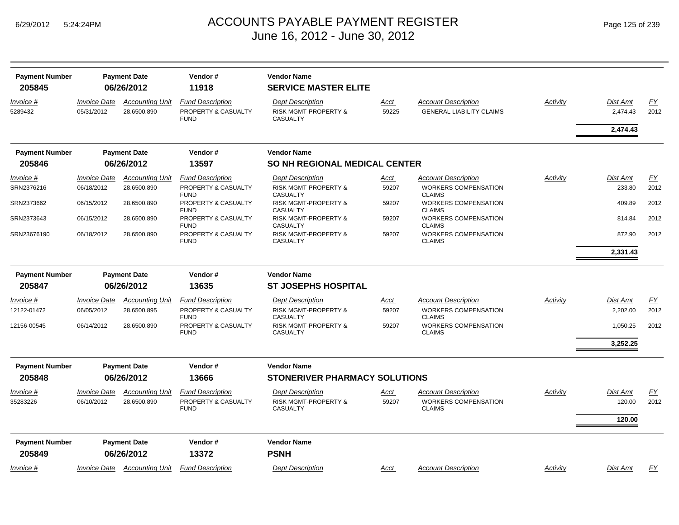| <b>Payment Number</b><br>205845 |                                   | <b>Payment Date</b><br>06/26/2012     | Vendor#<br>11918                                              | <b>Vendor Name</b><br><b>SERVICE MASTER ELITE</b>                             |               |                                                               |                 |                             |                   |
|---------------------------------|-----------------------------------|---------------------------------------|---------------------------------------------------------------|-------------------------------------------------------------------------------|---------------|---------------------------------------------------------------|-----------------|-----------------------------|-------------------|
| Invoice #<br>5289432            | <i>Invoice Date</i><br>05/31/2012 | <b>Accounting Unit</b><br>28.6500.890 | <b>Fund Description</b><br>PROPERTY & CASUALTY<br><b>FUND</b> | <b>Dept Description</b><br><b>RISK MGMT-PROPERTY &amp;</b><br><b>CASUALTY</b> | Acct<br>59225 | <b>Account Description</b><br><b>GENERAL LIABILITY CLAIMS</b> | Activity        | <b>Dist Amt</b><br>2,474.43 | <u>FY</u><br>2012 |
|                                 |                                   |                                       |                                                               |                                                                               |               |                                                               |                 | 2,474.43                    |                   |
| <b>Payment Number</b>           |                                   | <b>Payment Date</b>                   | Vendor#                                                       | <b>Vendor Name</b>                                                            |               |                                                               |                 |                             |                   |
| 205846                          |                                   | 06/26/2012                            | 13597                                                         | <b>SO NH REGIONAL MEDICAL CENTER</b>                                          |               |                                                               |                 |                             |                   |
| Invoice #                       | <i><b>Invoice Date</b></i>        | <b>Accounting Unit</b>                | <b>Fund Description</b>                                       | <b>Dept Description</b>                                                       | Acct          | <b>Account Description</b>                                    | <b>Activity</b> | <b>Dist Amt</b>             | EY                |
| SRN2376216                      | 06/18/2012                        | 28.6500.890                           | PROPERTY & CASUALTY<br><b>FUND</b>                            | <b>RISK MGMT-PROPERTY &amp;</b><br><b>CASUALTY</b>                            | 59207         | <b>WORKERS COMPENSATION</b><br><b>CLAIMS</b>                  |                 | 233.80                      | 2012              |
| SRN2373662                      | 06/15/2012                        | 28.6500.890                           | PROPERTY & CASUALTY<br><b>FUND</b>                            | <b>RISK MGMT-PROPERTY &amp;</b><br><b>CASUALTY</b>                            | 59207         | <b>WORKERS COMPENSATION</b><br><b>CLAIMS</b>                  |                 | 409.89                      | 2012              |
| SRN2373643                      | 06/15/2012                        | 28.6500.890                           | PROPERTY & CASUALTY<br><b>FUND</b>                            | RISK MGMT-PROPERTY &<br><b>CASUALTY</b>                                       | 59207         | <b>WORKERS COMPENSATION</b><br><b>CLAIMS</b>                  |                 | 814.84                      | 2012              |
| SRN23676190                     | 06/18/2012                        | 28.6500.890                           | PROPERTY & CASUALTY<br><b>FUND</b>                            | <b>RISK MGMT-PROPERTY &amp;</b><br>CASUALTY                                   | 59207         | <b>WORKERS COMPENSATION</b><br><b>CLAIMS</b>                  |                 | 872.90                      | 2012              |
|                                 |                                   |                                       |                                                               |                                                                               |               |                                                               |                 | 2,331.43                    |                   |
| <b>Payment Number</b>           |                                   | <b>Payment Date</b>                   | Vendor#                                                       | <b>Vendor Name</b>                                                            |               |                                                               |                 |                             |                   |
| 205847                          |                                   | 06/26/2012                            | 13635                                                         | <b>ST JOSEPHS HOSPITAL</b>                                                    |               |                                                               |                 |                             |                   |
| Invoice #                       | <i><b>Invoice Date</b></i>        | <b>Accounting Unit</b>                | <b>Fund Description</b>                                       | <b>Dept Description</b>                                                       | <u>Acct</u>   | <b>Account Description</b>                                    | Activity        | <b>Dist Amt</b>             | EY                |
| 12122-01472                     | 06/05/2012                        | 28.6500.895                           | PROPERTY & CASUALTY<br><b>FUND</b>                            | <b>RISK MGMT-PROPERTY &amp;</b><br><b>CASUALTY</b>                            | 59207         | <b>WORKERS COMPENSATION</b><br><b>CLAIMS</b>                  |                 | 2,202.00                    | 2012              |
| 12156-00545                     | 06/14/2012                        | 28.6500.890                           | PROPERTY & CASUALTY<br><b>FUND</b>                            | <b>RISK MGMT-PROPERTY &amp;</b><br><b>CASUALTY</b>                            | 59207         | <b>WORKERS COMPENSATION</b><br><b>CLAIMS</b>                  |                 | 1,050.25                    | 2012              |
|                                 |                                   |                                       |                                                               |                                                                               |               |                                                               |                 | 3,252.25                    |                   |
| <b>Payment Number</b>           |                                   | <b>Payment Date</b>                   | Vendor#                                                       | <b>Vendor Name</b>                                                            |               |                                                               |                 |                             |                   |
| 205848                          |                                   | 06/26/2012                            | 13666                                                         | STONERIVER PHARMACY SOLUTIONS                                                 |               |                                                               |                 |                             |                   |
| Invoice #                       | <i><b>Invoice Date</b></i>        | <b>Accounting Unit</b>                | <b>Fund Description</b>                                       | <b>Dept Description</b>                                                       | Acct          | <b>Account Description</b>                                    | Activity        | <b>Dist Amt</b>             | <u>FY</u>         |
| 35283226                        | 06/10/2012                        | 28.6500.890                           | PROPERTY & CASUALTY<br><b>FUND</b>                            | <b>RISK MGMT-PROPERTY &amp;</b><br><b>CASUALTY</b>                            | 59207         | <b>WORKERS COMPENSATION</b><br><b>CLAIMS</b>                  |                 | 120.00                      | 2012              |
|                                 |                                   |                                       |                                                               |                                                                               |               |                                                               |                 | 120.00                      |                   |
| <b>Payment Number</b>           |                                   | <b>Payment Date</b>                   | Vendor#                                                       | <b>Vendor Name</b>                                                            |               |                                                               |                 |                             |                   |
| 205849                          |                                   | 06/26/2012                            | 13372                                                         | <b>PSNH</b>                                                                   |               |                                                               |                 |                             |                   |
| Invoice #                       | Invoice Date                      | <b>Accounting Unit</b>                | <b>Fund Description</b>                                       | <b>Dept Description</b>                                                       | Acct          | <b>Account Description</b>                                    | Activity        | <b>Dist Amt</b>             | <u>FY</u>         |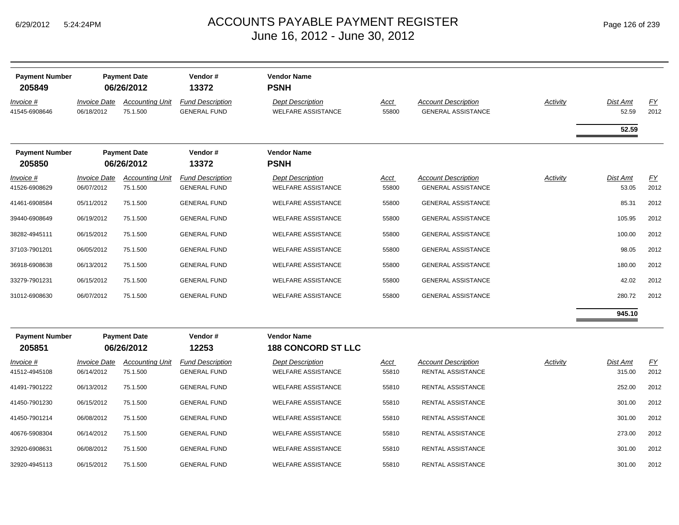|  | Page 126 of 239 |  |  |  |
|--|-----------------|--|--|--|
|--|-----------------|--|--|--|

| <b>Payment Number</b><br>205849 |                                   | <b>Payment Date</b><br>06/26/2012  | Vendor#<br>13372                               | <b>Vendor Name</b><br><b>PSNH</b>                    |                      |                                                         |                 |                   |                   |
|---------------------------------|-----------------------------------|------------------------------------|------------------------------------------------|------------------------------------------------------|----------------------|---------------------------------------------------------|-----------------|-------------------|-------------------|
| Invoice #<br>41545-6908646      | <b>Invoice Date</b><br>06/18/2012 | <b>Accounting Unit</b><br>75.1.500 | <b>Fund Description</b><br><b>GENERAL FUND</b> | <b>Dept Description</b><br><b>WELFARE ASSISTANCE</b> | <u>Acct</u><br>55800 | <b>Account Description</b><br><b>GENERAL ASSISTANCE</b> | <b>Activity</b> | Dist Amt<br>52.59 | <u>FY</u><br>2012 |
|                                 |                                   |                                    |                                                |                                                      |                      |                                                         |                 | 52.59             |                   |
| <b>Payment Number</b><br>205850 |                                   | <b>Payment Date</b><br>06/26/2012  | Vendor#<br>13372                               | <b>Vendor Name</b><br><b>PSNH</b>                    |                      |                                                         |                 |                   |                   |
| Invoice #<br>41526-6908629      | <b>Invoice Date</b><br>06/07/2012 | <b>Accounting Unit</b><br>75.1.500 | <b>Fund Description</b><br><b>GENERAL FUND</b> | <b>Dept Description</b><br><b>WELFARE ASSISTANCE</b> | <u>Acct</u><br>55800 | <b>Account Description</b><br><b>GENERAL ASSISTANCE</b> | <b>Activity</b> | Dist Amt<br>53.05 | EY<br>2012        |
| 41461-6908584                   | 05/11/2012                        | 75.1.500                           | <b>GENERAL FUND</b>                            | <b>WELFARE ASSISTANCE</b>                            | 55800                | <b>GENERAL ASSISTANCE</b>                               |                 | 85.31             | 2012              |
| 39440-6908649                   | 06/19/2012                        | 75.1.500                           | <b>GENERAL FUND</b>                            | <b>WELFARE ASSISTANCE</b>                            | 55800                | <b>GENERAL ASSISTANCE</b>                               |                 | 105.95            | 2012              |
| 38282-4945111                   | 06/15/2012                        | 75.1.500                           | <b>GENERAL FUND</b>                            | WELFARE ASSISTANCE                                   | 55800                | <b>GENERAL ASSISTANCE</b>                               |                 | 100.00            | 2012              |
| 37103-7901201                   | 06/05/2012                        | 75.1.500                           | <b>GENERAL FUND</b>                            | <b>WELFARE ASSISTANCE</b>                            | 55800                | <b>GENERAL ASSISTANCE</b>                               |                 | 98.05             | 2012              |
| 36918-6908638                   | 06/13/2012                        | 75.1.500                           | <b>GENERAL FUND</b>                            | <b>WELFARE ASSISTANCE</b>                            | 55800                | <b>GENERAL ASSISTANCE</b>                               |                 | 180.00            | 2012              |
| 33279-7901231                   | 06/15/2012                        | 75.1.500                           | <b>GENERAL FUND</b>                            | <b>WELFARE ASSISTANCE</b>                            | 55800                | <b>GENERAL ASSISTANCE</b>                               |                 | 42.02             | 2012              |
| 31012-6908630                   | 06/07/2012                        | 75.1.500                           | <b>GENERAL FUND</b>                            | <b>WELFARE ASSISTANCE</b>                            | 55800                | <b>GENERAL ASSISTANCE</b>                               |                 | 280.72            | 2012              |
|                                 |                                   |                                    |                                                |                                                      |                      |                                                         |                 | 945.10            |                   |
| <b>Payment Number</b><br>205851 |                                   | <b>Payment Date</b><br>06/26/2012  | Vendor#<br>12253                               | <b>Vendor Name</b><br><b>188 CONCORD ST LLC</b>      |                      |                                                         |                 |                   |                   |
| Invoice #                       | <b>Invoice Date</b>               | <b>Accounting Unit</b>             | <b>Fund Description</b>                        | <b>Dept Description</b>                              | <u>Acct</u>          | <b>Account Description</b>                              | <b>Activity</b> | Dist Amt          | EY                |
| 41512-4945108                   | 06/14/2012                        | 75.1.500                           | <b>GENERAL FUND</b>                            | <b>WELFARE ASSISTANCE</b>                            | 55810                | RENTAL ASSISTANCE                                       |                 | 315.00            | 2012              |
| 41491-7901222                   | 06/13/2012                        | 75.1.500                           | <b>GENERAL FUND</b>                            | <b>WELFARE ASSISTANCE</b>                            | 55810                | RENTAL ASSISTANCE                                       |                 | 252.00            | 2012              |
| 41450-7901230                   | 06/15/2012                        | 75.1.500                           | <b>GENERAL FUND</b>                            | <b>WELFARE ASSISTANCE</b>                            | 55810                | RENTAL ASSISTANCE                                       |                 | 301.00            | 2012              |
| 41450-7901214                   | 06/08/2012                        | 75.1.500                           | <b>GENERAL FUND</b>                            | <b>WELFARE ASSISTANCE</b>                            | 55810                | RENTAL ASSISTANCE                                       |                 | 301.00            | 2012              |
| 40676-5908304                   | 06/14/2012                        | 75.1.500                           | <b>GENERAL FUND</b>                            | <b>WELFARE ASSISTANCE</b>                            | 55810                | RENTAL ASSISTANCE                                       |                 | 273.00            | 2012              |
| 32920-6908631                   | 06/08/2012                        | 75.1.500                           | <b>GENERAL FUND</b>                            | <b>WELFARE ASSISTANCE</b>                            | 55810                | RENTAL ASSISTANCE                                       |                 | 301.00            | 2012              |
| 32920-4945113                   | 06/15/2012                        | 75.1.500                           | <b>GENERAL FUND</b>                            | <b>WELFARE ASSISTANCE</b>                            | 55810                | <b>RENTAL ASSISTANCE</b>                                |                 | 301.00            | 2012              |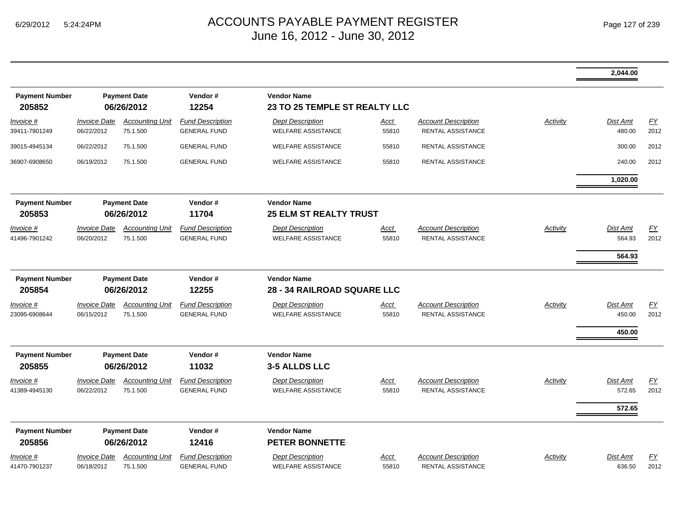|                                 |                                                                                                                                                                                                                                                                              |                                    |                                                |                                                      |                      |                                                        |          | 2,044.00                     |                          |
|---------------------------------|------------------------------------------------------------------------------------------------------------------------------------------------------------------------------------------------------------------------------------------------------------------------------|------------------------------------|------------------------------------------------|------------------------------------------------------|----------------------|--------------------------------------------------------|----------|------------------------------|--------------------------|
| <b>Payment Number</b><br>205852 |                                                                                                                                                                                                                                                                              | <b>Payment Date</b><br>06/26/2012  | Vendor#<br>12254                               | <b>Vendor Name</b><br>23 TO 25 TEMPLE ST REALTY LLC  |                      |                                                        |          |                              |                          |
| Invoice #<br>39411-7901249      | <b>Invoice Date</b><br>06/22/2012                                                                                                                                                                                                                                            | <b>Accounting Unit</b><br>75.1.500 | <b>Fund Description</b><br><b>GENERAL FUND</b> | <b>Dept Description</b><br><b>WELFARE ASSISTANCE</b> | <u>Acct</u><br>55810 | <b>Account Description</b><br>RENTAL ASSISTANCE        | Activity | Dist Amt<br>480.00           | EY<br>2012               |
| 39015-4945134                   | 06/22/2012                                                                                                                                                                                                                                                                   | 75.1.500                           | <b>GENERAL FUND</b>                            | <b>WELFARE ASSISTANCE</b>                            | 55810                | <b>RENTAL ASSISTANCE</b>                               |          | 300.00                       | 2012                     |
| 36907-6908650                   | 06/19/2012                                                                                                                                                                                                                                                                   | 75.1.500                           | <b>GENERAL FUND</b>                            | <b>WELFARE ASSISTANCE</b>                            | 55810                | <b>RENTAL ASSISTANCE</b>                               |          | 240.00                       | 2012                     |
|                                 |                                                                                                                                                                                                                                                                              |                                    |                                                |                                                      |                      |                                                        |          | 1,020.00                     |                          |
| <b>Payment Number</b><br>205853 | <b>Vendor Name</b><br><b>Payment Date</b><br>Vendor#<br>11704<br><b>25 ELM ST REALTY TRUST</b><br>06/26/2012<br><b>Fund Description</b><br><b>Account Description</b><br><b>Invoice Date</b><br><b>Accounting Unit</b><br><b>Dept Description</b><br><b>Acct</b><br>Activity |                                    |                                                |                                                      |                      |                                                        |          |                              |                          |
| Invoice #<br>41496-7901242      | 06/20/2012                                                                                                                                                                                                                                                                   | 75.1.500                           | <b>GENERAL FUND</b>                            | <b>WELFARE ASSISTANCE</b>                            | 55810                | <b>RENTAL ASSISTANCE</b>                               |          | Dist Amt<br>564.93<br>564.93 | EY<br>2012               |
| <b>Payment Number</b><br>205854 |                                                                                                                                                                                                                                                                              | <b>Payment Date</b><br>06/26/2012  | Vendor#<br>12255                               | <b>Vendor Name</b><br>28 - 34 RAILROAD SQUARE LLC    |                      |                                                        |          |                              |                          |
| Invoice #<br>23095-6908644      | <b>Invoice Date</b><br>06/15/2012                                                                                                                                                                                                                                            | <b>Accounting Unit</b><br>75.1.500 | <b>Fund Description</b><br><b>GENERAL FUND</b> | <b>Dept Description</b><br><b>WELFARE ASSISTANCE</b> | Acct<br>55810        | <b>Account Description</b><br><b>RENTAL ASSISTANCE</b> | Activity | Dist Amt<br>450.00<br>450.00 | $\underline{FY}$<br>2012 |
| <b>Payment Number</b><br>205855 |                                                                                                                                                                                                                                                                              | <b>Payment Date</b><br>06/26/2012  | Vendor#<br>11032                               | <b>Vendor Name</b><br>3-5 ALLDS LLC                  |                      |                                                        |          |                              |                          |
| Invoice #<br>41389-4945130      | <b>Invoice Date</b><br>06/22/2012                                                                                                                                                                                                                                            | <b>Accounting Unit</b><br>75.1.500 | <b>Fund Description</b><br><b>GENERAL FUND</b> | <b>Dept Description</b><br><b>WELFARE ASSISTANCE</b> | Acct<br>55810        | <b>Account Description</b><br>RENTAL ASSISTANCE        | Activity | Dist Amt<br>572.65<br>572.65 | EY<br>2012               |
| <b>Payment Number</b><br>205856 |                                                                                                                                                                                                                                                                              | <b>Payment Date</b><br>06/26/2012  | Vendor#<br>12416                               | <b>Vendor Name</b><br><b>PETER BONNETTE</b>          |                      |                                                        |          |                              |                          |
| Invoice #<br>41470-7901237      | <b>Invoice Date</b><br>06/18/2012                                                                                                                                                                                                                                            | <b>Accounting Unit</b><br>75.1.500 | <b>Fund Description</b><br><b>GENERAL FUND</b> | <b>Dept Description</b><br><b>WELFARE ASSISTANCE</b> | <u>Acct</u><br>55810 | <b>Account Description</b><br><b>RENTAL ASSISTANCE</b> | Activity | <b>Dist Amt</b><br>636.50    | EY<br>2012               |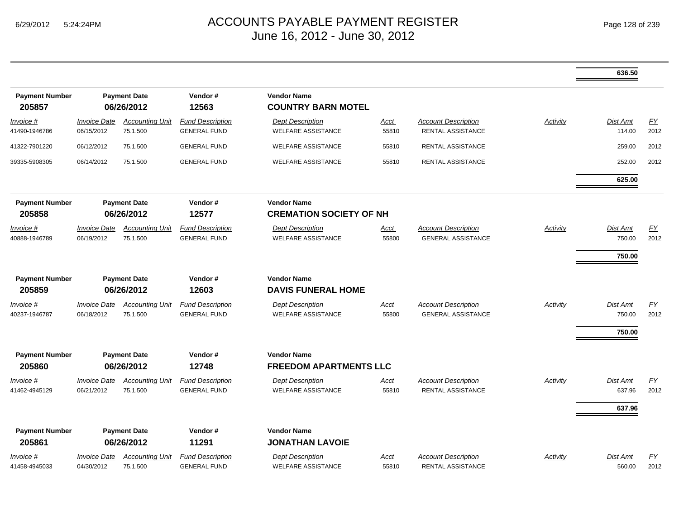|                                   |                                   |                                    |                                                |                                                      |                      |                                                         |                 | 636.50                              |                          |
|-----------------------------------|-----------------------------------|------------------------------------|------------------------------------------------|------------------------------------------------------|----------------------|---------------------------------------------------------|-----------------|-------------------------------------|--------------------------|
| <b>Payment Number</b><br>205857   |                                   | <b>Payment Date</b><br>06/26/2012  | Vendor#<br>12563                               | <b>Vendor Name</b><br><b>COUNTRY BARN MOTEL</b>      |                      |                                                         |                 |                                     |                          |
| Invoice #<br>41490-1946786        | <b>Invoice Date</b><br>06/15/2012 | <b>Accounting Unit</b><br>75.1.500 | <b>Fund Description</b><br><b>GENERAL FUND</b> | <b>Dept Description</b><br><b>WELFARE ASSISTANCE</b> | <u>Acct</u><br>55810 | <b>Account Description</b><br>RENTAL ASSISTANCE         | <b>Activity</b> | Dist Amt<br>114.00                  | EY<br>2012               |
| 41322-7901220                     | 06/12/2012                        | 75.1.500                           | <b>GENERAL FUND</b>                            | <b>WELFARE ASSISTANCE</b>                            | 55810                | RENTAL ASSISTANCE                                       |                 | 259.00                              | 2012                     |
| 39335-5908305                     | 06/14/2012                        | 75.1.500                           | <b>GENERAL FUND</b>                            | <b>WELFARE ASSISTANCE</b>                            | 55810                | <b>RENTAL ASSISTANCE</b>                                |                 | 252.00                              | 2012                     |
|                                   |                                   |                                    |                                                |                                                      |                      |                                                         |                 | 625.00                              |                          |
| <b>Payment Number</b><br>205858   |                                   | <b>Payment Date</b><br>06/26/2012  | Vendor#<br>12577                               | <b>Vendor Name</b><br><b>CREMATION SOCIETY OF NH</b> |                      |                                                         |                 |                                     |                          |
| <u>Invoice #</u><br>40888-1946789 | <b>Invoice Date</b><br>06/19/2012 | <b>Accounting Unit</b><br>75.1.500 | <b>Fund Description</b><br><b>GENERAL FUND</b> | <b>Dept Description</b><br><b>WELFARE ASSISTANCE</b> | <u>Acct</u><br>55800 | <b>Account Description</b><br><b>GENERAL ASSISTANCE</b> | Activity        | Dist Amt<br>750.00<br>750.00        | $\underline{FY}$<br>2012 |
| <b>Payment Number</b><br>205859   |                                   | <b>Payment Date</b><br>06/26/2012  | Vendor#<br>12603                               | <b>Vendor Name</b><br><b>DAVIS FUNERAL HOME</b>      |                      |                                                         |                 |                                     |                          |
| Invoice #<br>40237-1946787        | <b>Invoice Date</b><br>06/18/2012 | <b>Accounting Unit</b><br>75.1.500 | <b>Fund Description</b><br><b>GENERAL FUND</b> | <b>Dept Description</b><br><b>WELFARE ASSISTANCE</b> | Acct<br>55800        | <b>Account Description</b><br><b>GENERAL ASSISTANCE</b> | Activity        | <b>Dist Amt</b><br>750.00<br>750.00 | EY<br>2012               |
| <b>Payment Number</b><br>205860   |                                   | <b>Payment Date</b><br>06/26/2012  | Vendor#<br>12748                               | <b>Vendor Name</b><br><b>FREEDOM APARTMENTS LLC</b>  |                      |                                                         |                 |                                     |                          |
| <u>Invoice #</u><br>41462-4945129 | <b>Invoice Date</b><br>06/21/2012 | <b>Accounting Unit</b><br>75.1.500 | <b>Fund Description</b><br><b>GENERAL FUND</b> | <b>Dept Description</b><br><b>WELFARE ASSISTANCE</b> | <u>Acct</u><br>55810 | <b>Account Description</b><br><b>RENTAL ASSISTANCE</b>  | <b>Activity</b> | Dist Amt<br>637.96                  | EY<br>2012               |
| <b>Payment Number</b><br>205861   |                                   | <b>Payment Date</b><br>06/26/2012  | Vendor#<br>11291                               | <b>Vendor Name</b><br><b>JONATHAN LAVOIE</b>         |                      |                                                         |                 | 637.96                              |                          |
| <u>Invoice #</u><br>41458-4945033 | <b>Invoice Date</b><br>04/30/2012 | <b>Accounting Unit</b><br>75.1.500 | <b>Fund Description</b><br><b>GENERAL FUND</b> | <b>Dept Description</b><br><b>WELFARE ASSISTANCE</b> | <u>Acct</u><br>55810 | <b>Account Description</b><br>RENTAL ASSISTANCE         | Activity        | Dist Amt<br>560.00                  | EY<br>2012               |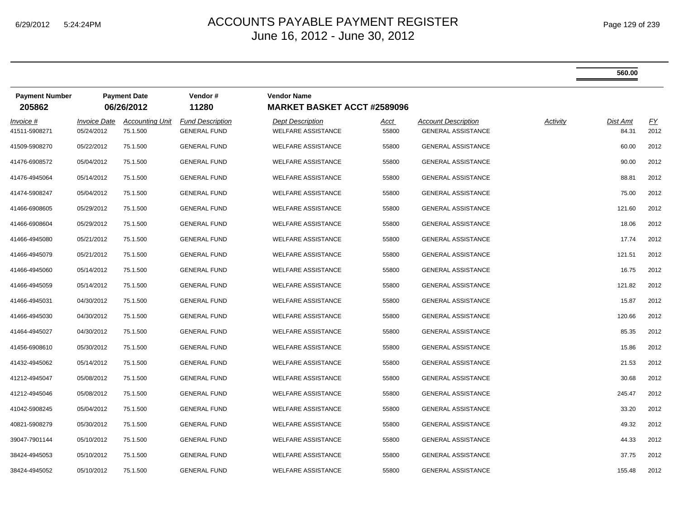|                                 |                                   |                                                       |                                                |                                                          |                      |                                                         |          | 560.00            |            |
|---------------------------------|-----------------------------------|-------------------------------------------------------|------------------------------------------------|----------------------------------------------------------|----------------------|---------------------------------------------------------|----------|-------------------|------------|
| <b>Payment Number</b><br>205862 |                                   | <b>Payment Date</b><br>Vendor#<br>11280<br>06/26/2012 |                                                | <b>Vendor Name</b><br><b>MARKET BASKET ACCT #2589096</b> |                      |                                                         |          |                   |            |
| Invoice #<br>41511-5908271      | <b>Invoice Date</b><br>05/24/2012 | <b>Accounting Unit</b><br>75.1.500                    | <b>Fund Description</b><br><b>GENERAL FUND</b> | <b>Dept Description</b><br><b>WELFARE ASSISTANCE</b>     | <u>Acct</u><br>55800 | <b>Account Description</b><br><b>GENERAL ASSISTANCE</b> | Activity | Dist Amt<br>84.31 | EY<br>2012 |
| 41509-5908270                   | 05/22/2012                        | 75.1.500                                              | <b>GENERAL FUND</b>                            | <b>WELFARE ASSISTANCE</b>                                | 55800                | <b>GENERAL ASSISTANCE</b>                               |          | 60.00             | 2012       |
| 41476-6908572                   | 05/04/2012                        | 75.1.500                                              | <b>GENERAL FUND</b>                            | <b>WELFARE ASSISTANCE</b>                                | 55800                | <b>GENERAL ASSISTANCE</b>                               |          | 90.00             | 2012       |
| 41476-4945064                   | 05/14/2012                        | 75.1.500                                              | <b>GENERAL FUND</b>                            | <b>WELFARE ASSISTANCE</b>                                | 55800                | <b>GENERAL ASSISTANCE</b>                               |          | 88.81             | 2012       |
| 41474-5908247                   | 05/04/2012                        | 75.1.500                                              | <b>GENERAL FUND</b>                            | <b>WELFARE ASSISTANCE</b>                                | 55800                | <b>GENERAL ASSISTANCE</b>                               |          | 75.00             | 2012       |
| 41466-6908605                   | 05/29/2012                        | 75.1.500                                              | <b>GENERAL FUND</b>                            | <b>WELFARE ASSISTANCE</b>                                | 55800                | <b>GENERAL ASSISTANCE</b>                               |          | 121.60            | 2012       |
| 41466-6908604                   | 05/29/2012                        | 75.1.500                                              | <b>GENERAL FUND</b>                            | <b>WELFARE ASSISTANCE</b>                                | 55800                | <b>GENERAL ASSISTANCE</b>                               |          | 18.06             | 2012       |
| 41466-4945080                   | 05/21/2012                        | 75.1.500                                              | <b>GENERAL FUND</b>                            | <b>WELFARE ASSISTANCE</b>                                | 55800                | <b>GENERAL ASSISTANCE</b>                               |          | 17.74             | 2012       |
| 41466-4945079                   | 05/21/2012                        | 75.1.500                                              | <b>GENERAL FUND</b>                            | <b>WELFARE ASSISTANCE</b>                                | 55800                | <b>GENERAL ASSISTANCE</b>                               |          | 121.51            | 2012       |
| 41466-4945060                   | 05/14/2012                        | 75.1.500                                              | <b>GENERAL FUND</b>                            | <b>WELFARE ASSISTANCE</b>                                | 55800                | <b>GENERAL ASSISTANCE</b>                               |          | 16.75             | 2012       |
| 41466-4945059                   | 05/14/2012                        | 75.1.500                                              | <b>GENERAL FUND</b>                            | <b>WELFARE ASSISTANCE</b>                                | 55800                | <b>GENERAL ASSISTANCE</b>                               |          | 121.82            | 2012       |
| 41466-4945031                   | 04/30/2012                        | 75.1.500                                              | <b>GENERAL FUND</b>                            | <b>WELFARE ASSISTANCE</b>                                | 55800                | <b>GENERAL ASSISTANCE</b>                               |          | 15.87             | 2012       |
| 41466-4945030                   | 04/30/2012                        | 75.1.500                                              | <b>GENERAL FUND</b>                            | <b>WELFARE ASSISTANCE</b>                                | 55800                | <b>GENERAL ASSISTANCE</b>                               |          | 120.66            | 2012       |
| 41464-4945027                   | 04/30/2012                        | 75.1.500                                              | <b>GENERAL FUND</b>                            | <b>WELFARE ASSISTANCE</b>                                | 55800                | <b>GENERAL ASSISTANCE</b>                               |          | 85.35             | 2012       |
| 41456-6908610                   | 05/30/2012                        | 75.1.500                                              | <b>GENERAL FUND</b>                            | <b>WELFARE ASSISTANCE</b>                                | 55800                | <b>GENERAL ASSISTANCE</b>                               |          | 15.86             | 2012       |
| 41432-4945062                   | 05/14/2012                        | 75.1.500                                              | <b>GENERAL FUND</b>                            | <b>WELFARE ASSISTANCE</b>                                | 55800                | <b>GENERAL ASSISTANCE</b>                               |          | 21.53             | 2012       |
| 41212-4945047                   | 05/08/2012                        | 75.1.500                                              | <b>GENERAL FUND</b>                            | <b>WELFARE ASSISTANCE</b>                                | 55800                | <b>GENERAL ASSISTANCE</b>                               |          | 30.68             | 2012       |
| 41212-4945046                   | 05/08/2012                        | 75.1.500                                              | <b>GENERAL FUND</b>                            | <b>WELFARE ASSISTANCE</b>                                | 55800                | <b>GENERAL ASSISTANCE</b>                               |          | 245.47            | 2012       |
| 41042-5908245                   | 05/04/2012                        | 75.1.500                                              | <b>GENERAL FUND</b>                            | <b>WELFARE ASSISTANCE</b>                                | 55800                | <b>GENERAL ASSISTANCE</b>                               |          | 33.20             | 2012       |
| 40821-5908279                   | 05/30/2012                        | 75.1.500                                              | <b>GENERAL FUND</b>                            | <b>WELFARE ASSISTANCE</b>                                | 55800                | <b>GENERAL ASSISTANCE</b>                               |          | 49.32             | 2012       |
| 39047-7901144                   | 05/10/2012                        | 75.1.500                                              | <b>GENERAL FUND</b>                            | <b>WELFARE ASSISTANCE</b>                                | 55800                | <b>GENERAL ASSISTANCE</b>                               |          | 44.33             | 2012       |
| 38424-4945053                   | 05/10/2012                        | 75.1.500                                              | <b>GENERAL FUND</b>                            | <b>WELFARE ASSISTANCE</b>                                | 55800                | <b>GENERAL ASSISTANCE</b>                               |          | 37.75             | 2012       |
| 38424-4945052                   | 05/10/2012                        | 75.1.500                                              | <b>GENERAL FUND</b>                            | <b>WELFARE ASSISTANCE</b>                                | 55800                | <b>GENERAL ASSISTANCE</b>                               |          | 155.48            | 2012       |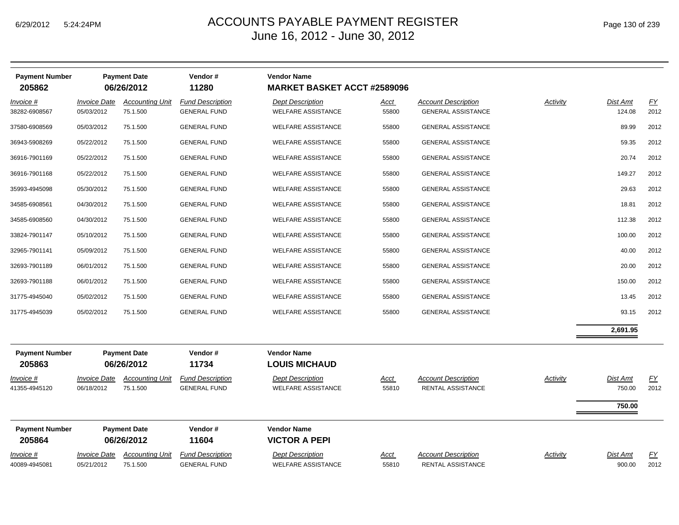|  | Page 130 of 239 |  |  |  |
|--|-----------------|--|--|--|
|--|-----------------|--|--|--|

| <b>Payment Number</b><br>205862   |                                   | <b>Payment Date</b><br>06/26/2012  | Vendor#<br>11280                               | <b>Vendor Name</b><br><b>MARKET BASKET ACCT #2589096</b> |                      |                                                         |                 |                           |                          |
|-----------------------------------|-----------------------------------|------------------------------------|------------------------------------------------|----------------------------------------------------------|----------------------|---------------------------------------------------------|-----------------|---------------------------|--------------------------|
| Invoice #<br>38282-6908567        | <b>Invoice Date</b><br>05/03/2012 | <b>Accounting Unit</b><br>75.1.500 | <b>Fund Description</b><br><b>GENERAL FUND</b> | <b>Dept Description</b><br><b>WELFARE ASSISTANCE</b>     | <u>Acct</u><br>55800 | <b>Account Description</b><br><b>GENERAL ASSISTANCE</b> | <b>Activity</b> | <b>Dist Amt</b><br>124.08 | $\underline{FY}$<br>2012 |
| 37580-6908569                     | 05/03/2012                        | 75.1.500                           | <b>GENERAL FUND</b>                            | <b>WELFARE ASSISTANCE</b>                                | 55800                | <b>GENERAL ASSISTANCE</b>                               |                 | 89.99                     | 2012                     |
| 36943-5908269                     | 05/22/2012                        | 75.1.500                           | <b>GENERAL FUND</b>                            | <b>WELFARE ASSISTANCE</b>                                | 55800                | <b>GENERAL ASSISTANCE</b>                               |                 | 59.35                     | 2012                     |
| 36916-7901169                     | 05/22/2012                        | 75.1.500                           | <b>GENERAL FUND</b>                            | <b>WELFARE ASSISTANCE</b>                                | 55800                | <b>GENERAL ASSISTANCE</b>                               |                 | 20.74                     | 2012                     |
| 36916-7901168                     | 05/22/2012                        | 75.1.500                           | <b>GENERAL FUND</b>                            | <b>WELFARE ASSISTANCE</b>                                | 55800                | <b>GENERAL ASSISTANCE</b>                               |                 | 149.27                    | 2012                     |
| 35993-4945098                     | 05/30/2012                        | 75.1.500                           | <b>GENERAL FUND</b>                            | <b>WELFARE ASSISTANCE</b>                                | 55800                | <b>GENERAL ASSISTANCE</b>                               |                 | 29.63                     | 2012                     |
| 34585-6908561                     | 04/30/2012                        | 75.1.500                           | <b>GENERAL FUND</b>                            | <b>WELFARE ASSISTANCE</b>                                | 55800                | <b>GENERAL ASSISTANCE</b>                               |                 | 18.81                     | 2012                     |
| 34585-6908560                     | 04/30/2012                        | 75.1.500                           | <b>GENERAL FUND</b>                            | <b>WELFARE ASSISTANCE</b>                                | 55800                | <b>GENERAL ASSISTANCE</b>                               |                 | 112.38                    | 2012                     |
| 33824-7901147                     | 05/10/2012                        | 75.1.500                           | <b>GENERAL FUND</b>                            | <b>WELFARE ASSISTANCE</b>                                | 55800                | <b>GENERAL ASSISTANCE</b>                               |                 | 100.00                    | 2012                     |
| 32965-7901141                     | 05/09/2012                        | 75.1.500                           | <b>GENERAL FUND</b>                            | <b>WELFARE ASSISTANCE</b>                                | 55800                | <b>GENERAL ASSISTANCE</b>                               |                 | 40.00                     | 2012                     |
| 32693-7901189                     | 06/01/2012                        | 75.1.500                           | <b>GENERAL FUND</b>                            | <b>WELFARE ASSISTANCE</b>                                | 55800                | <b>GENERAL ASSISTANCE</b>                               |                 | 20.00                     | 2012                     |
| 32693-7901188                     | 06/01/2012                        | 75.1.500                           | <b>GENERAL FUND</b>                            | <b>WELFARE ASSISTANCE</b>                                | 55800                | <b>GENERAL ASSISTANCE</b>                               |                 | 150.00                    | 2012                     |
| 31775-4945040                     | 05/02/2012                        | 75.1.500                           | <b>GENERAL FUND</b>                            | <b>WELFARE ASSISTANCE</b>                                | 55800                | <b>GENERAL ASSISTANCE</b>                               |                 | 13.45                     | 2012                     |
| 31775-4945039                     | 05/02/2012                        | 75.1.500                           | <b>GENERAL FUND</b>                            | <b>WELFARE ASSISTANCE</b>                                | 55800                | <b>GENERAL ASSISTANCE</b>                               |                 | 93.15                     | 2012                     |
|                                   |                                   |                                    |                                                |                                                          |                      |                                                         |                 | 2,691.95                  |                          |
| <b>Payment Number</b><br>205863   |                                   | <b>Payment Date</b><br>06/26/2012  | Vendor#<br>11734                               | <b>Vendor Name</b><br><b>LOUIS MICHAUD</b>               |                      |                                                         |                 |                           |                          |
| Invoice #<br>41355-4945120        | <b>Invoice Date</b><br>06/18/2012 | <b>Accounting Unit</b><br>75.1.500 | <b>Fund Description</b><br><b>GENERAL FUND</b> | <b>Dept Description</b><br><b>WELFARE ASSISTANCE</b>     | <u>Acct</u><br>55810 | <b>Account Description</b><br>RENTAL ASSISTANCE         | <b>Activity</b> | Dist Amt<br>750.00        | EY<br>2012               |
|                                   |                                   |                                    |                                                |                                                          |                      |                                                         |                 | 750.00                    |                          |
| <b>Payment Number</b><br>205864   |                                   | <b>Payment Date</b><br>06/26/2012  | Vendor#<br>11604                               | <b>Vendor Name</b><br><b>VICTOR A PEPI</b>               |                      |                                                         |                 |                           |                          |
| <b>Invoice #</b><br>40089-4945081 | <b>Invoice Date</b><br>05/21/2012 | <b>Accounting Unit</b><br>75.1.500 | <b>Fund Description</b><br><b>GENERAL FUND</b> | <b>Dept Description</b><br><b>WELFARE ASSISTANCE</b>     | Acct<br>55810        | <b>Account Description</b><br>RENTAL ASSISTANCE         | Activity        | <b>Dist Amt</b><br>900.00 | <u>FY</u><br>2012        |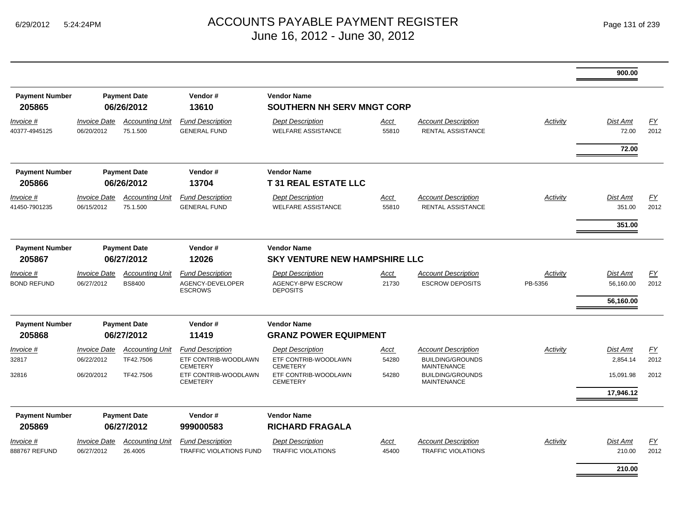٠

|                                        |                                                       |                                         |                                                                    |                                                                    |                      |                                                                             |                     | 900.00                                    |                   |
|----------------------------------------|-------------------------------------------------------|-----------------------------------------|--------------------------------------------------------------------|--------------------------------------------------------------------|----------------------|-----------------------------------------------------------------------------|---------------------|-------------------------------------------|-------------------|
| <b>Payment Number</b><br>205865        |                                                       | <b>Payment Date</b><br>06/26/2012       | Vendor#<br>13610                                                   | <b>Vendor Name</b><br>SOUTHERN NH SERV MNGT CORP                   |                      |                                                                             |                     |                                           |                   |
| Invoice #<br>40377-4945125             | <b>Invoice Date</b><br>06/20/2012                     | <b>Accounting Unit</b><br>75.1.500      | <b>Fund Description</b><br><b>GENERAL FUND</b>                     | <b>Dept Description</b><br><b>WELFARE ASSISTANCE</b>               | Acct<br>55810        | <b>Account Description</b><br><b>RENTAL ASSISTANCE</b>                      | Activity            | <b>Dist Amt</b><br>72.00                  | FY<br>2012        |
|                                        |                                                       |                                         |                                                                    |                                                                    |                      |                                                                             |                     | 72.00                                     |                   |
| <b>Payment Number</b><br>205866        |                                                       | <b>Payment Date</b><br>06/26/2012       | Vendor#<br>13704                                                   | <b>Vendor Name</b><br><b>T31 REAL ESTATE LLC</b>                   |                      |                                                                             |                     |                                           |                   |
| Invoice #<br>41450-7901235             | <b>Invoice Date</b><br>06/15/2012                     | <b>Accounting Unit</b><br>75.1.500      | <b>Fund Description</b><br><b>GENERAL FUND</b>                     | <b>Dept Description</b><br><b>WELFARE ASSISTANCE</b>               | Acct<br>55810        | <b>Account Description</b><br>RENTAL ASSISTANCE                             | Activity            | <b>Dist Amt</b><br>351.00                 | EY<br>2012        |
|                                        |                                                       |                                         |                                                                    |                                                                    |                      |                                                                             |                     | 351.00                                    |                   |
| <b>Payment Number</b><br>205867        |                                                       | <b>Payment Date</b><br>06/27/2012       | Vendor#<br>12026                                                   | <b>Vendor Name</b><br><b>SKY VENTURE NEW HAMPSHIRE LLC</b>         |                      |                                                                             |                     |                                           |                   |
| <i>Invoice</i> #<br><b>BOND REFUND</b> | <b>Invoice Date</b><br>06/27/2012                     | <b>Accounting Unit</b><br><b>BS8400</b> | <b>Fund Description</b><br>AGENCY-DEVELOPER<br><b>ESCROWS</b>      | <b>Dept Description</b><br>AGENCY-BPW ESCROW<br><b>DEPOSITS</b>    | Acct<br>21730        | <b>Account Description</b><br><b>ESCROW DEPOSITS</b>                        | Activity<br>PB-5356 | <b>Dist Amt</b><br>56,160.00<br>56.160.00 | EY<br>2012        |
| <b>Payment Number</b><br>205868        | <b>Payment Date</b><br>Vendor#<br>06/27/2012<br>11419 |                                         | <b>Vendor Name</b><br><b>GRANZ POWER EQUIPMENT</b>                 |                                                                    |                      |                                                                             |                     |                                           |                   |
| Invoice #<br>32817                     | <b>Invoice Date</b><br>06/22/2012                     | <b>Accounting Unit</b><br>TF42.7506     | <b>Fund Description</b><br>ETF CONTRIB-WOODLAWN<br><b>CEMETERY</b> | <b>Dept Description</b><br>ETF CONTRIB-WOODLAWN<br><b>CEMETERY</b> | Acct<br>54280        | <b>Account Description</b><br><b>BUILDING/GROUNDS</b><br><b>MAINTENANCE</b> | Activity            | Dist Amt<br>2.854.14                      | EY<br>2012        |
| 32816                                  | 06/20/2012                                            | TF42.7506                               | ETF CONTRIB-WOODLAWN<br><b>CEMETERY</b>                            | ETF CONTRIB-WOODLAWN<br><b>CEMETERY</b>                            | 54280                | <b>BUILDING/GROUNDS</b><br><b>MAINTENANCE</b>                               |                     | 15,091.98<br>17,946.12                    | 2012              |
|                                        |                                                       |                                         |                                                                    |                                                                    |                      |                                                                             |                     |                                           |                   |
| <b>Payment Number</b><br>205869        |                                                       | <b>Payment Date</b><br>06/27/2012       | Vendor#<br>999000583                                               | <b>Vendor Name</b><br><b>RICHARD FRAGALA</b>                       |                      |                                                                             |                     |                                           |                   |
| <i>Invoice</i> #<br>888767 REFUND      | <b>Invoice Date</b><br>06/27/2012                     | <b>Accounting Unit</b><br>26.4005       | <b>Fund Description</b><br>TRAFFIC VIOLATIONS FUND                 | <b>Dept Description</b><br><b>TRAFFIC VIOLATIONS</b>               | <u>Acct</u><br>45400 | <b>Account Description</b><br><b>TRAFFIC VIOLATIONS</b>                     | Activity            | <b>Dist Amt</b><br>210.00                 | <u>FY</u><br>2012 |
|                                        |                                                       |                                         |                                                                    |                                                                    |                      |                                                                             |                     | 210.00                                    |                   |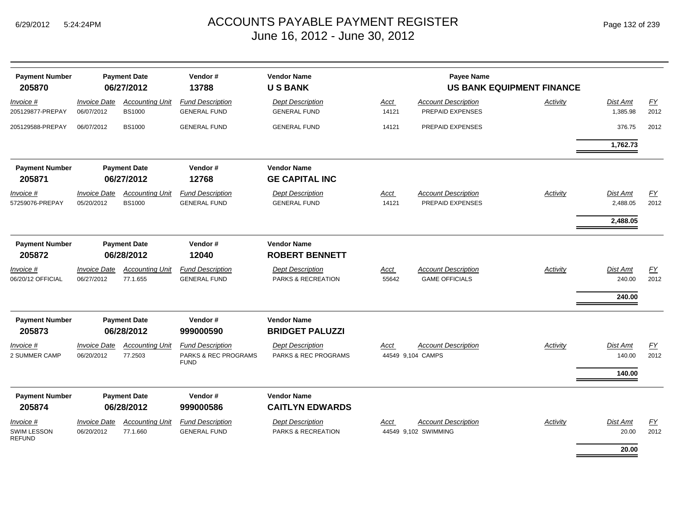| <b>Payment Number</b><br><b>Payment Date</b><br>205870 |                                   | 06/27/2012                              | Vendor#<br>13788                                               | <b>Vendor Name</b><br><b>USBANK</b>             |               | <b>Payee Name</b>                                   | <b>US BANK EQUIPMENT FINANCE</b> |                              |                          |
|--------------------------------------------------------|-----------------------------------|-----------------------------------------|----------------------------------------------------------------|-------------------------------------------------|---------------|-----------------------------------------------------|----------------------------------|------------------------------|--------------------------|
| Invoice #<br>205129877-PREPAY                          | <b>Invoice Date</b><br>06/07/2012 | <b>Accounting Unit</b><br><b>BS1000</b> | <b>Fund Description</b><br><b>GENERAL FUND</b>                 | <b>Dept Description</b><br><b>GENERAL FUND</b>  | Acct<br>14121 | <b>Account Description</b><br>PREPAID EXPENSES      | Activity                         | <b>Dist Amt</b><br>1,385.98  | $\underline{FY}$<br>2012 |
| 205129588-PREPAY                                       | 06/07/2012                        | <b>BS1000</b>                           | <b>GENERAL FUND</b>                                            | <b>GENERAL FUND</b>                             | 14121         | PREPAID EXPENSES                                    |                                  | 376.75                       | 2012                     |
|                                                        |                                   |                                         |                                                                |                                                 |               |                                                     |                                  | 1,762.73                     |                          |
| <b>Payment Number</b><br>205871                        |                                   | <b>Payment Date</b><br>06/27/2012       | Vendor#<br>12768                                               | <b>Vendor Name</b><br><b>GE CAPITAL INC</b>     |               |                                                     |                                  |                              |                          |
| Invoice #<br>57259076-PREPAY                           | <b>Invoice Date</b><br>05/20/2012 | <b>Accounting Unit</b><br><b>BS1000</b> | <b>Fund Description</b><br><b>GENERAL FUND</b>                 | <b>Dept Description</b><br><b>GENERAL FUND</b>  | Acct<br>14121 | <b>Account Description</b><br>PREPAID EXPENSES      | Activity                         | Dist Amt<br>2,488.05         | EY<br>2012               |
|                                                        |                                   |                                         |                                                                |                                                 |               |                                                     |                                  | 2,488.05                     |                          |
| <b>Payment Number</b><br>205872                        |                                   | <b>Payment Date</b><br>06/28/2012       | Vendor#<br>12040                                               | <b>Vendor Name</b><br><b>ROBERT BENNETT</b>     |               |                                                     |                                  |                              |                          |
| Invoice #<br>06/20/12 OFFICIAL                         | <b>Invoice Date</b><br>06/27/2012 | <b>Accounting Unit</b><br>77.1.655      | <b>Fund Description</b><br><b>GENERAL FUND</b>                 | <b>Dept Description</b><br>PARKS & RECREATION   | Acct<br>55642 | <b>Account Description</b><br><b>GAME OFFICIALS</b> | Activity                         | Dist Amt<br>240.00<br>240.00 | EY<br>2012               |
| <b>Payment Number</b><br>205873                        |                                   | <b>Payment Date</b><br>06/28/2012       | Vendor#<br>999000590                                           | <b>Vendor Name</b><br><b>BRIDGET PALUZZI</b>    |               |                                                     |                                  |                              |                          |
| Invoice #<br>2 SUMMER CAMP                             | <b>Invoice Date</b><br>06/20/2012 | <b>Accounting Unit</b><br>77.2503       | <b>Fund Description</b><br>PARKS & REC PROGRAMS<br><b>FUND</b> | <b>Dept Description</b><br>PARKS & REC PROGRAMS | Acct          | <b>Account Description</b><br>44549 9,104 CAMPS     | Activity                         | <b>Dist Amt</b><br>140.00    | <b>FY</b><br>2012        |
|                                                        |                                   |                                         |                                                                |                                                 |               |                                                     |                                  | 140.00                       |                          |
| <b>Payment Number</b><br>205874                        |                                   | <b>Payment Date</b><br>06/28/2012       | Vendor#<br>999000586                                           | <b>Vendor Name</b><br><b>CAITLYN EDWARDS</b>    |               |                                                     |                                  |                              |                          |
| Invoice #<br>SWIM LESSON                               | <b>Invoice Date</b><br>06/20/2012 | <b>Accounting Unit</b><br>77.1.660      | <b>Fund Description</b><br><b>GENERAL FUND</b>                 | <b>Dept Description</b><br>PARKS & RECREATION   | Acct          | <b>Account Description</b><br>44549 9,102 SWIMMING  | Activity                         | Dist Amt<br>20.00            | EY<br>2012               |
| <b>REFUND</b>                                          |                                   |                                         |                                                                |                                                 |               |                                                     |                                  | 20.00                        |                          |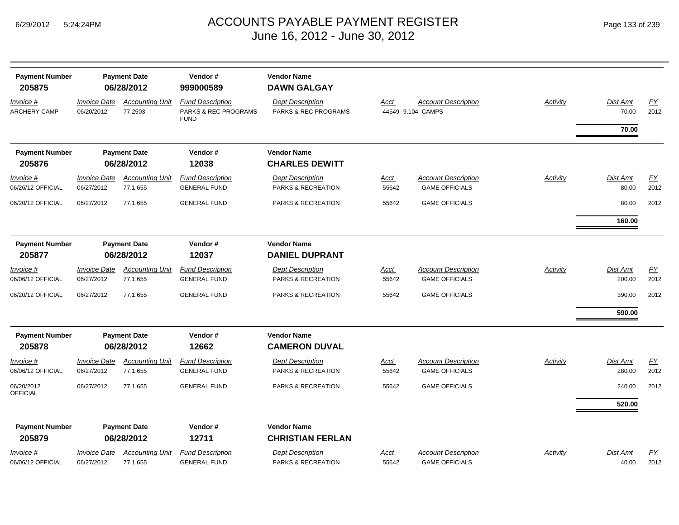| <b>Payment Number</b>            |                                   | <b>Payment Date</b>               | Vendor#                                                    | <b>Vendor Name</b>                                         |             |                                                 |                 |                   |            |
|----------------------------------|-----------------------------------|-----------------------------------|------------------------------------------------------------|------------------------------------------------------------|-------------|-------------------------------------------------|-----------------|-------------------|------------|
| 205875                           |                                   | 06/28/2012                        | 999000589                                                  | <b>DAWN GALGAY</b>                                         |             |                                                 |                 |                   |            |
| Invoice #<br><b>ARCHERY CAMP</b> | <b>Invoice Date</b><br>06/20/2012 | <b>Accounting Unit</b><br>77.2503 | <b>Fund Description</b><br><b>PARKS &amp; REC PROGRAMS</b> | <b>Dept Description</b><br><b>PARKS &amp; REC PROGRAMS</b> | <b>Acct</b> | <b>Account Description</b><br>44549 9,104 CAMPS | <b>Activity</b> | Dist Amt<br>70.00 | EY<br>2012 |
|                                  |                                   |                                   | <b>FUND</b>                                                |                                                            |             |                                                 |                 | 70.00             |            |
| <b>Payment Number</b>            |                                   | <b>Payment Date</b>               | Vendor#                                                    | <b>Vendor Name</b>                                         |             |                                                 |                 |                   |            |
| 205876                           |                                   | 06/28/2012                        | 12038                                                      | <b>CHARLES DEWITT</b>                                      |             |                                                 |                 |                   |            |
| Invoice #                        | <b>Invoice Date</b>               | <b>Accounting Unit</b>            | <b>Fund Description</b>                                    | <b>Dept Description</b>                                    | Acct        | <b>Account Description</b>                      | Activity        | Dist Amt          | EY         |
| 06/26/12 OFFICIAL                | 06/27/2012                        | 77.1.655                          | <b>GENERAL FUND</b>                                        | PARKS & RECREATION                                         | 55642       | <b>GAME OFFICIALS</b>                           |                 | 80.00             | 2012       |
| 06/20/12 OFFICIAL                | 06/27/2012                        | 77.1.655                          | <b>GENERAL FUND</b>                                        | PARKS & RECREATION                                         | 55642       | <b>GAME OFFICIALS</b>                           |                 | 80.00             | 2012       |
|                                  |                                   |                                   |                                                            |                                                            |             |                                                 |                 | 160.00            |            |
| <b>Payment Number</b>            |                                   | <b>Payment Date</b>               | Vendor#                                                    | <b>Vendor Name</b>                                         |             |                                                 |                 |                   |            |
| 205877                           |                                   | 06/28/2012                        | 12037                                                      | <b>DANIEL DUPRANT</b>                                      |             |                                                 |                 |                   |            |
| <u>Invoice #</u>                 | <b>Invoice Date</b>               | <b>Accounting Unit</b>            | <b>Fund Description</b>                                    | <b>Dept Description</b>                                    | Acct        | <b>Account Description</b>                      | Activity        | <b>Dist Amt</b>   | <b>FY</b>  |
| 06/06/12 OFFICIAL                | 06/27/2012                        | 77.1.655                          | <b>GENERAL FUND</b>                                        | PARKS & RECREATION                                         | 55642       | <b>GAME OFFICIALS</b>                           |                 | 200.00            | 2012       |
| 06/20/12 OFFICIAL                | 06/27/2012                        | 77.1.655                          | <b>GENERAL FUND</b>                                        | PARKS & RECREATION                                         | 55642       | <b>GAME OFFICIALS</b>                           |                 | 390.00            | 2012       |
|                                  |                                   |                                   |                                                            |                                                            |             |                                                 |                 | 590.00            |            |
| <b>Payment Number</b>            |                                   | <b>Payment Date</b>               | Vendor#                                                    | <b>Vendor Name</b>                                         |             |                                                 |                 |                   |            |
| 205878                           |                                   | 06/28/2012                        | 12662                                                      | <b>CAMERON DUVAL</b>                                       |             |                                                 |                 |                   |            |
| Invoice #                        | <b>Invoice Date</b>               | <b>Accounting Unit</b>            | <b>Fund Description</b>                                    | <b>Dept Description</b>                                    | Acct        | <b>Account Description</b>                      | Activity        | <b>Dist Amt</b>   | <b>FY</b>  |
| 06/06/12 OFFICIAL                | 06/27/2012                        | 77.1.655                          | <b>GENERAL FUND</b>                                        | PARKS & RECREATION                                         | 55642       | <b>GAME OFFICIALS</b>                           |                 | 280.00            | 2012       |
| 06/20/2012<br><b>OFFICIAL</b>    | 06/27/2012                        | 77.1.655                          | <b>GENERAL FUND</b>                                        | <b>PARKS &amp; RECREATION</b>                              | 55642       | <b>GAME OFFICIALS</b>                           |                 | 240.00            | 2012       |
|                                  |                                   |                                   |                                                            |                                                            |             |                                                 |                 | 520.00            |            |
| <b>Payment Number</b>            |                                   | <b>Payment Date</b>               | Vendor#                                                    | <b>Vendor Name</b>                                         |             |                                                 |                 |                   |            |
| 205879                           |                                   | 06/28/2012                        | 12711                                                      | <b>CHRISTIAN FERLAN</b>                                    |             |                                                 |                 |                   |            |
| Invoice #                        | <b>Invoice Date</b>               | <b>Accounting Unit</b>            | <b>Fund Description</b>                                    | <b>Dept Description</b>                                    | Acct        | <b>Account Description</b>                      | Activity        | <b>Dist Amt</b>   | <u>FY</u>  |
| 06/06/12 OFFICIAL                | 06/27/2012                        | 77.1.655                          | <b>GENERAL FUND</b>                                        | PARKS & RECREATION                                         | 55642       | <b>GAME OFFICIALS</b>                           |                 | 40.00             | 2012       |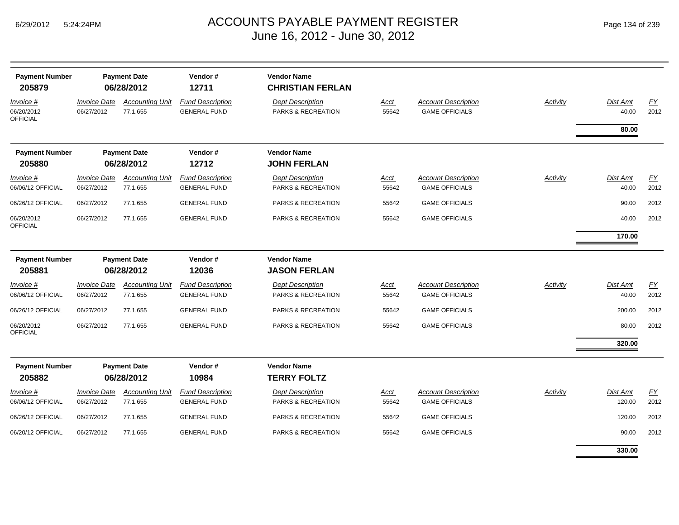| <b>Payment Number</b><br>205879            | <b>Payment Date</b><br>06/28/2012        |                                    | Vendor#<br>12711                               | <b>Vendor Name</b><br><b>CHRISTIAN FERLAN</b> |                      |                                                     |          |                          |                          |
|--------------------------------------------|------------------------------------------|------------------------------------|------------------------------------------------|-----------------------------------------------|----------------------|-----------------------------------------------------|----------|--------------------------|--------------------------|
| Invoice #<br>06/20/2012<br><b>OFFICIAL</b> | <i><b>Invoice Date</b></i><br>06/27/2012 | <b>Accounting Unit</b><br>77.1.655 | <b>Fund Description</b><br><b>GENERAL FUND</b> | <b>Dept Description</b><br>PARKS & RECREATION | <b>Acct</b><br>55642 | <b>Account Description</b><br><b>GAME OFFICIALS</b> | Activity | Dist Amt<br>40.00        | EY<br>2012               |
|                                            |                                          |                                    |                                                |                                               |                      |                                                     |          | 80.00                    |                          |
| <b>Payment Number</b>                      |                                          | <b>Payment Date</b>                | Vendor#                                        | <b>Vendor Name</b>                            |                      |                                                     |          |                          |                          |
| 205880                                     |                                          | 06/28/2012                         | 12712                                          | <b>JOHN FERLAN</b>                            |                      |                                                     |          |                          |                          |
| Invoice #<br>06/06/12 OFFICIAL             | <b>Invoice Date</b><br>06/27/2012        | <b>Accounting Unit</b><br>77.1.655 | <b>Fund Description</b><br><b>GENERAL FUND</b> | <b>Dept Description</b><br>PARKS & RECREATION | Acct<br>55642        | <b>Account Description</b><br><b>GAME OFFICIALS</b> | Activity | <b>Dist Amt</b><br>40.00 | EY<br>2012               |
| 06/26/12 OFFICIAL                          | 06/27/2012                               | 77.1.655                           | <b>GENERAL FUND</b>                            | PARKS & RECREATION                            | 55642                | <b>GAME OFFICIALS</b>                               |          | 90.00                    | 2012                     |
| 06/20/2012<br><b>OFFICIAL</b>              | 06/27/2012                               | 77.1.655                           | <b>GENERAL FUND</b>                            | <b>PARKS &amp; RECREATION</b>                 | 55642                | <b>GAME OFFICIALS</b>                               |          | 40.00                    | 2012                     |
|                                            |                                          |                                    |                                                |                                               |                      |                                                     |          | 170.00                   |                          |
| <b>Payment Number</b>                      | <b>Payment Date</b>                      |                                    | Vendor#                                        | <b>Vendor Name</b>                            |                      |                                                     |          |                          |                          |
| 205881                                     |                                          | 06/28/2012                         | 12036                                          | <b>JASON FERLAN</b>                           |                      |                                                     |          |                          |                          |
| Invoice #<br>06/06/12 OFFICIAL             | <b>Invoice Date</b><br>06/27/2012        | <b>Accounting Unit</b><br>77.1.655 | <b>Fund Description</b><br><b>GENERAL FUND</b> | <b>Dept Description</b><br>PARKS & RECREATION | Acct<br>55642        | <b>Account Description</b><br><b>GAME OFFICIALS</b> | Activity | <b>Dist Amt</b><br>40.00 | <b>FY</b><br>2012        |
| 06/26/12 OFFICIAL                          | 06/27/2012                               | 77.1.655                           | <b>GENERAL FUND</b>                            | PARKS & RECREATION                            | 55642                | <b>GAME OFFICIALS</b>                               |          | 200.00                   | 2012                     |
| 06/20/2012<br><b>OFFICIAL</b>              | 06/27/2012                               | 77.1.655                           | <b>GENERAL FUND</b>                            | PARKS & RECREATION                            | 55642                | <b>GAME OFFICIALS</b>                               |          | 80.00                    | 2012                     |
|                                            |                                          |                                    |                                                |                                               |                      |                                                     |          | 320.00                   |                          |
| <b>Payment Number</b><br>205882            |                                          | <b>Payment Date</b><br>06/28/2012  | Vendor#<br>10984                               | <b>Vendor Name</b><br><b>TERRY FOLTZ</b>      |                      |                                                     |          |                          |                          |
| Invoice #<br>06/06/12 OFFICIAL             | <b>Invoice Date</b><br>06/27/2012        | <b>Accounting Unit</b><br>77.1.655 | <b>Fund Description</b><br><b>GENERAL FUND</b> | <b>Dept Description</b><br>PARKS & RECREATION | <u>Acct</u><br>55642 | <b>Account Description</b><br><b>GAME OFFICIALS</b> | Activity | Dist Amt<br>120.00       | $\underline{FY}$<br>2012 |
| 06/26/12 OFFICIAL                          | 06/27/2012                               | 77.1.655                           | <b>GENERAL FUND</b>                            | PARKS & RECREATION                            | 55642                | <b>GAME OFFICIALS</b>                               |          | 120.00                   | 2012                     |
| 06/20/12 OFFICIAL                          | 06/27/2012                               | 77.1.655                           | <b>GENERAL FUND</b>                            | PARKS & RECREATION                            | 55642                | <b>GAME OFFICIALS</b>                               |          | 90.00                    | 2012                     |
|                                            |                                          |                                    |                                                |                                               |                      |                                                     |          | 330.00                   |                          |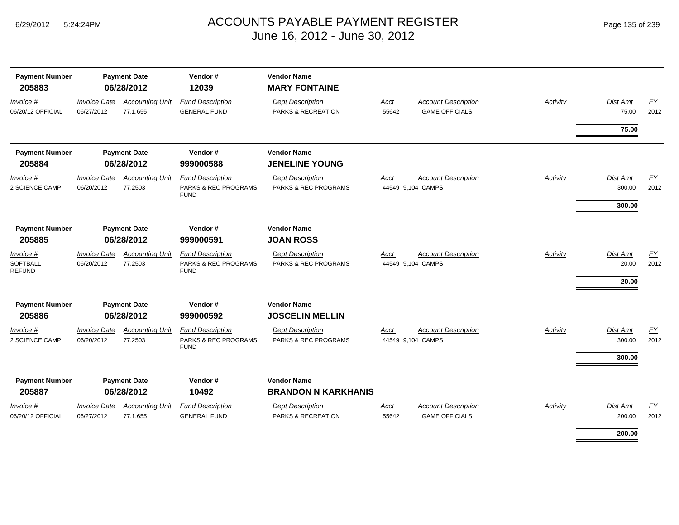| <b>Payment Number</b><br>205883               |                                   | <b>Payment Date</b><br>06/28/2012  | Vendor#<br>12039                                                          | <b>Vendor Name</b><br><b>MARY FONTAINE</b>                 |               |                                                     |          |                                   |                   |
|-----------------------------------------------|-----------------------------------|------------------------------------|---------------------------------------------------------------------------|------------------------------------------------------------|---------------|-----------------------------------------------------|----------|-----------------------------------|-------------------|
| Invoice #<br>06/20/12 OFFICIAL                | <b>Invoice Date</b><br>06/27/2012 | <b>Accounting Unit</b><br>77.1.655 | <b>Fund Description</b><br><b>GENERAL FUND</b>                            | <b>Dept Description</b><br>PARKS & RECREATION              | Acct<br>55642 | <b>Account Description</b><br><b>GAME OFFICIALS</b> | Activity | <b>Dist Amt</b><br>75.00          | EY<br>2012        |
|                                               |                                   |                                    |                                                                           |                                                            |               |                                                     |          | 75.00                             |                   |
| <b>Payment Number</b>                         |                                   | <b>Payment Date</b>                | Vendor#                                                                   | <b>Vendor Name</b>                                         |               |                                                     |          |                                   |                   |
| 205884                                        |                                   | 06/28/2012                         | 999000588                                                                 | <b>JENELINE YOUNG</b>                                      |               |                                                     |          |                                   |                   |
| <i>Invoice</i> #<br>2 SCIENCE CAMP            | <b>Invoice Date</b><br>06/20/2012 | <b>Accounting Unit</b><br>77.2503  | <b>Fund Description</b><br>PARKS & REC PROGRAMS<br><b>FUND</b>            | <b>Dept Description</b><br>PARKS & REC PROGRAMS            | Acct          | <b>Account Description</b><br>44549 9,104 CAMPS     | Activity | Dist Amt<br>300.00<br>300.00      | EY<br>2012        |
|                                               |                                   |                                    |                                                                           |                                                            |               |                                                     |          |                                   |                   |
| <b>Payment Number</b>                         |                                   | <b>Payment Date</b>                | Vendor#                                                                   | <b>Vendor Name</b>                                         |               |                                                     |          |                                   |                   |
| 205885                                        |                                   | 06/28/2012                         | 999000591                                                                 | <b>JOAN ROSS</b>                                           |               |                                                     |          |                                   |                   |
| Invoice #<br><b>SOFTBALL</b><br><b>REFUND</b> | <b>Invoice Date</b><br>06/20/2012 | <b>Accounting Unit</b><br>77.2503  | <b>Fund Description</b><br><b>PARKS &amp; REC PROGRAMS</b><br><b>FUND</b> | <b>Dept Description</b><br><b>PARKS &amp; REC PROGRAMS</b> | Acct          | <b>Account Description</b><br>44549 9,104 CAMPS     | Activity | <b>Dist Amt</b><br>20.00<br>20.00 | <b>FY</b><br>2012 |
| <b>Payment Number</b>                         |                                   | <b>Payment Date</b>                | Vendor#                                                                   | <b>Vendor Name</b>                                         |               |                                                     |          |                                   |                   |
| 205886                                        |                                   | 06/28/2012                         | 999000592                                                                 | <b>JOSCELIN MELLIN</b>                                     |               |                                                     |          |                                   |                   |
| Invoice #<br><b>2 SCIENCE CAMP</b>            | <b>Invoice Date</b><br>06/20/2012 | <b>Accounting Unit</b><br>77.2503  | <b>Fund Description</b><br>PARKS & REC PROGRAMS<br><b>FUND</b>            | <b>Dept Description</b><br><b>PARKS &amp; REC PROGRAMS</b> | Acct          | <b>Account Description</b><br>44549 9,104 CAMPS     | Activity | <b>Dist Amt</b><br>300.00         | EY<br>2012        |
|                                               |                                   |                                    |                                                                           |                                                            |               |                                                     |          | 300.00                            |                   |
| <b>Payment Number</b>                         |                                   | <b>Payment Date</b>                | Vendor#                                                                   | <b>Vendor Name</b>                                         |               |                                                     |          |                                   |                   |
| 205887                                        |                                   | 06/28/2012                         | 10492                                                                     | <b>BRANDON N KARKHANIS</b>                                 |               |                                                     |          |                                   |                   |
| Invoice #                                     | <b>Invoice Date</b>               | <b>Accounting Unit</b>             | <b>Fund Description</b>                                                   | <b>Dept Description</b>                                    | Acct          | <b>Account Description</b>                          | Activity | <b>Dist Amt</b>                   | EY                |
| 06/20/12 OFFICIAL                             | 06/27/2012                        | 77.1.655                           | <b>GENERAL FUND</b>                                                       | PARKS & RECREATION                                         | 55642         | <b>GAME OFFICIALS</b>                               |          | 200.00                            | 2012              |
|                                               |                                   |                                    |                                                                           |                                                            |               |                                                     |          | 200.00                            |                   |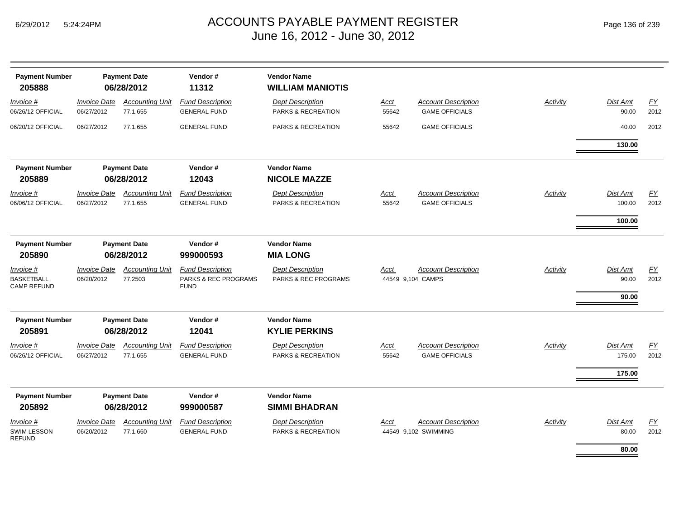*Invoice #*

*Invoice #*

06/06/12 OFFICIAL

06/26/12 OFFICIAL

06/20/12 OFFICIAL

#### $_{\mathsf{M}}$   $\blacksquare$   $\blacksquare$   $\blacksquare$   $\blacksquare$   $\blacksquare$   $\blacksquare$   $\blacksquare$   $\blacksquare$   $\blacksquare$   $\blacksquare$   $\blacksquare$   $\blacksquare$   $\blacksquare$   $\blacksquare$   $\blacksquare$   $\blacksquare$   $\blacksquare$   $\blacksquare$   $\blacksquare$   $\blacksquare$   $\blacksquare$   $\blacksquare$   $\blacksquare$   $\blacksquare$   $\blacksquare$   $\blacksquare$   $\blacksquare$   $\blacksquare$   $\blacksquare$   $\blacksquare$  June 16, 2012 - J

|                                  |                                          |                                    |                                                | June 16, 2012 - June 30, 2012                            |                      |                                                     |          |                    |                   |
|----------------------------------|------------------------------------------|------------------------------------|------------------------------------------------|----------------------------------------------------------|----------------------|-----------------------------------------------------|----------|--------------------|-------------------|
| Payment Number<br>205888         | <b>Payment Date</b><br>06/28/2012        |                                    | Vendor#<br>11312                               | <b>Vendor Name</b><br><b>WILLIAM MANIOTIS</b>            |                      |                                                     |          |                    |                   |
| <u>voice #</u>                   | <b>Invoice Date</b>                      | <b>Accounting Unit</b>             | <b>Fund Description</b>                        | <b>Dept Description</b>                                  | <u>Acct</u>          | <b>Account Description</b>                          | Activity | Dist Amt           | <u>FY</u>         |
| 26/12 OFFICIAL                   | 06/27/2012                               | 77.1.655                           | <b>GENERAL FUND</b>                            | PARKS & RECREATION                                       | 55642                | <b>GAME OFFICIALS</b>                               |          | 90.00              | 2012              |
| 20/12 OFFICIAL                   | 06/27/2012                               | 77.1.655                           | <b>GENERAL FUND</b>                            | PARKS & RECREATION                                       | 55642                | <b>GAME OFFICIALS</b>                               |          | 40.00              | 2012              |
|                                  |                                          |                                    |                                                |                                                          |                      |                                                     |          | 130.00             |                   |
| Payment Number<br>205889         |                                          | <b>Payment Date</b><br>06/28/2012  | Vendor#<br>12043                               | <b>Vendor Name</b><br><b>NICOLE MAZZE</b>                |                      |                                                     |          |                    |                   |
| <u>voice #</u><br>06/12 OFFICIAL | <i><b>Invoice Date</b></i><br>06/27/2012 | <b>Accounting Unit</b><br>77.1.655 | <b>Fund Description</b><br><b>GENERAL FUND</b> | <b>Dept Description</b><br><b>PARKS &amp; RECREATION</b> | <b>Acct</b><br>55642 | <b>Account Description</b><br><b>GAME OFFICIALS</b> | Activity | Dist Amt<br>100.00 | <u>FY</u><br>2012 |
|                                  |                                          |                                    |                                                |                                                          |                      |                                                     |          | 100.00             |                   |
| Payment Number                   |                                          | <b>Payment Date</b>                | Vendor#                                        | <b>Vendor Name</b>                                       |                      |                                                     |          |                    |                   |
| 205890                           |                                          | 06/28/2012                         | 999000593                                      | <b>MIA LONG</b>                                          |                      |                                                     |          |                    |                   |

| <b>Payment Number</b><br>205890                      | <b>Payment Date</b><br>06/28/2012                     |                                    | Vendor#<br>999000593                                                      | <b>Vendor Name</b><br><b>MIA LONG</b>                      |                      |                                                     |          |                              |                   |
|------------------------------------------------------|-------------------------------------------------------|------------------------------------|---------------------------------------------------------------------------|------------------------------------------------------------|----------------------|-----------------------------------------------------|----------|------------------------------|-------------------|
| Invoice #<br><b>BASKETBALL</b><br><b>CAMP REFUND</b> | <b>Invoice Date</b><br>06/20/2012                     | <b>Accounting Unit</b><br>77.2503  | <b>Fund Description</b><br><b>PARKS &amp; REC PROGRAMS</b><br><b>FUND</b> | <b>Dept Description</b><br><b>PARKS &amp; REC PROGRAMS</b> | Acct                 | <b>Account Description</b><br>44549 9,104 CAMPS     | Activity | Dist Amt<br>90.00<br>90.00   | <u>FY</u><br>2012 |
| <b>Payment Number</b><br>205891                      | <b>Payment Date</b><br>Vendor#<br>06/28/2012<br>12041 |                                    | <b>Vendor Name</b><br><b>KYLIE PERKINS</b>                                |                                                            |                      |                                                     |          |                              |                   |
| Invoice #<br>06/26/12 OFFICIAL                       | <i><b>Invoice Date</b></i><br>06/27/2012              | <b>Accounting Unit</b><br>77.1.655 | <b>Fund Description</b><br><b>GENERAL FUND</b>                            | <b>Dept Description</b><br>PARKS & RECREATION              | <b>Acct</b><br>55642 | <b>Account Description</b><br><b>GAME OFFICIALS</b> | Activity | Dist Amt<br>175.00<br>175.00 | <u>FY</u><br>2012 |
| <b>Payment Number</b><br>205892                      |                                                       | <b>Payment Date</b><br>06/28/2012  | Vendor#<br>999000587                                                      | <b>Vendor Name</b><br><b>SIMMI BHADRAN</b>                 |                      |                                                     |          |                              |                   |
| Invoice #<br>SWIM LESSON                             | <b>Invoice Date</b><br>06/20/2012                     | <b>Accounting Unit</b><br>77.1.660 | <b>Fund Description</b><br><b>GENERAL FUND</b>                            | <b>Dept Description</b><br><b>PARKS &amp; RECREATION</b>   | Acct                 | <b>Account Description</b><br>44549 9,102 SWIMMING  | Activity | Dist Amt<br>80.00            | <u>FY</u><br>2012 |

REFUND

**80.00**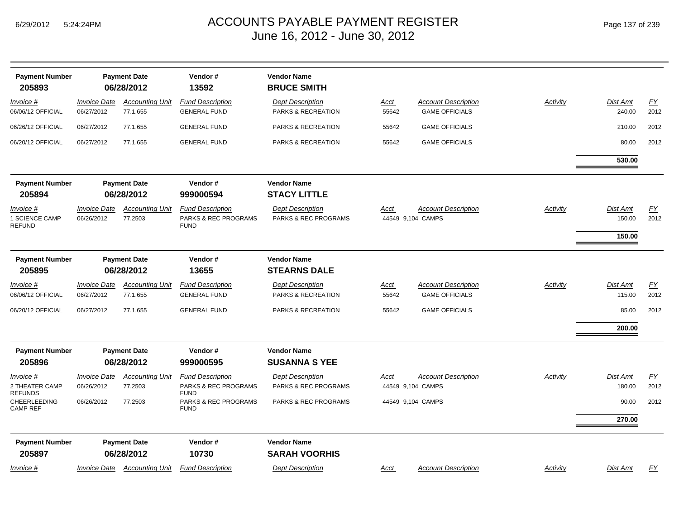| <b>Payment Number</b><br>205893               |                                   | <b>Payment Date</b><br>06/28/2012  | Vendor#<br>13592                                               | <b>Vendor Name</b><br><b>BRUCE SMITH</b>                 |                      |                                                     |          |                           |                   |
|-----------------------------------------------|-----------------------------------|------------------------------------|----------------------------------------------------------------|----------------------------------------------------------|----------------------|-----------------------------------------------------|----------|---------------------------|-------------------|
| Invoice #<br>06/06/12 OFFICIAL                | <b>Invoice Date</b><br>06/27/2012 | <b>Accounting Unit</b><br>77.1.655 | <b>Fund Description</b><br><b>GENERAL FUND</b>                 | <b>Dept Description</b><br><b>PARKS &amp; RECREATION</b> | <u>Acct</u><br>55642 | <b>Account Description</b><br><b>GAME OFFICIALS</b> | Activity | <b>Dist Amt</b><br>240.00 | EY<br>2012        |
| 06/26/12 OFFICIAL                             | 06/27/2012                        | 77.1.655                           | <b>GENERAL FUND</b>                                            | PARKS & RECREATION                                       | 55642                | <b>GAME OFFICIALS</b>                               |          | 210.00                    | 2012              |
| 06/20/12 OFFICIAL                             | 06/27/2012                        | 77.1.655                           | <b>GENERAL FUND</b>                                            | PARKS & RECREATION                                       | 55642                | <b>GAME OFFICIALS</b>                               |          | 80.00                     | 2012              |
|                                               |                                   |                                    |                                                                |                                                          |                      |                                                     |          | 530.00                    |                   |
| <b>Payment Number</b><br>205894               |                                   | <b>Payment Date</b><br>06/28/2012  | Vendor#<br>999000594                                           | <b>Vendor Name</b><br><b>STACY LITTLE</b>                |                      |                                                     |          |                           |                   |
| Invoice #<br>1 SCIENCE CAMP<br><b>REFUND</b>  | <b>Invoice Date</b><br>06/26/2012 | <b>Accounting Unit</b><br>77.2503  | <b>Fund Description</b><br>PARKS & REC PROGRAMS<br><b>FUND</b> | <b>Dept Description</b><br>PARKS & REC PROGRAMS          | Acct                 | <b>Account Description</b><br>44549 9,104 CAMPS     | Activity | Dist Amt<br>150.00        | <u>FY</u><br>2012 |
|                                               |                                   |                                    |                                                                |                                                          |                      |                                                     |          | 150.00                    |                   |
| <b>Payment Number</b><br>205895               |                                   | <b>Payment Date</b><br>06/28/2012  | Vendor#<br>13655                                               | <b>Vendor Name</b><br><b>STEARNS DALE</b>                |                      |                                                     |          |                           |                   |
| Invoice #<br>06/06/12 OFFICIAL                | <b>Invoice Date</b><br>06/27/2012 | <b>Accounting Unit</b><br>77.1.655 | <b>Fund Description</b><br><b>GENERAL FUND</b>                 | <b>Dept Description</b><br>PARKS & RECREATION            | Acct<br>55642        | <b>Account Description</b><br><b>GAME OFFICIALS</b> | Activity | Dist Amt<br>115.00        | <u>FY</u><br>2012 |
| 06/20/12 OFFICIAL                             | 06/27/2012                        | 77.1.655                           | <b>GENERAL FUND</b>                                            | PARKS & RECREATION                                       | 55642                | <b>GAME OFFICIALS</b>                               |          | 85.00                     | 2012              |
|                                               |                                   |                                    |                                                                |                                                          |                      |                                                     |          | 200.00                    |                   |
| <b>Payment Number</b><br>205896               |                                   | <b>Payment Date</b><br>06/28/2012  | Vendor#<br>999000595                                           | <b>Vendor Name</b><br><b>SUSANNA S YEE</b>               |                      |                                                     |          |                           |                   |
| Invoice #<br>2 THEATER CAMP<br><b>REFUNDS</b> | <b>Invoice Date</b><br>06/26/2012 | <b>Accounting Unit</b><br>77.2503  | <b>Fund Description</b><br>PARKS & REC PROGRAMS<br><b>FUND</b> | <b>Dept Description</b><br>PARKS & REC PROGRAMS          | Acct                 | <b>Account Description</b><br>44549 9,104 CAMPS     | Activity | Dist Amt<br>180.00        | EY<br>2012        |
| <b>CHEERLEEDING</b><br><b>CAMP REF</b>        | 06/26/2012                        | 77.2503                            | PARKS & REC PROGRAMS<br><b>FUND</b>                            | PARKS & REC PROGRAMS                                     |                      | 44549 9,104 CAMPS                                   |          | 90.00                     | 2012              |
|                                               |                                   |                                    |                                                                |                                                          |                      |                                                     |          | 270.00                    |                   |
| <b>Payment Number</b><br>205897               |                                   | <b>Payment Date</b><br>06/28/2012  | Vendor#<br>10730                                               | <b>Vendor Name</b><br><b>SARAH VOORHIS</b>               |                      |                                                     |          |                           |                   |
| Invoice #                                     |                                   | Invoice Date Accounting Unit       | <b>Fund Description</b>                                        | <b>Dept Description</b>                                  | <u>Acct</u>          | <b>Account Description</b>                          | Activity | <b>Dist Amt</b>           | EY                |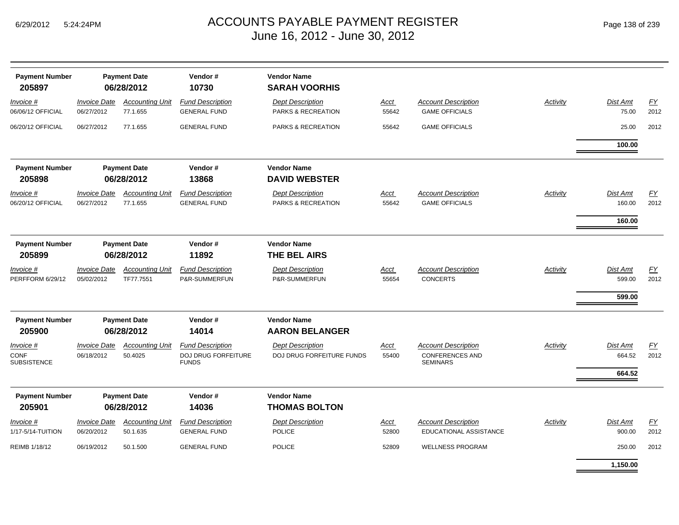| <b>Payment Number</b><br>205897                  | <b>Payment Date</b><br>06/28/2012 |                                     | Vendor#<br>10730                                               | <b>Vendor Name</b><br><b>SARAH VOORHIS</b>                  |                      |                                                                         |          |                              |                   |
|--------------------------------------------------|-----------------------------------|-------------------------------------|----------------------------------------------------------------|-------------------------------------------------------------|----------------------|-------------------------------------------------------------------------|----------|------------------------------|-------------------|
| Invoice #<br>06/06/12 OFFICIAL                   | <b>Invoice Date</b><br>06/27/2012 | <b>Accounting Unit</b><br>77.1.655  | <b>Fund Description</b><br><b>GENERAL FUND</b>                 | <b>Dept Description</b><br>PARKS & RECREATION               | <u>Acct</u><br>55642 | <b>Account Description</b><br><b>GAME OFFICIALS</b>                     | Activity | Dist Amt<br>75.00            | EY<br>2012        |
| 06/20/12 OFFICIAL                                | 06/27/2012                        | 77.1.655                            | <b>GENERAL FUND</b>                                            | PARKS & RECREATION                                          | 55642                | <b>GAME OFFICIALS</b>                                                   |          | 25.00                        | 2012              |
|                                                  |                                   |                                     |                                                                |                                                             |                      |                                                                         |          | 100.00                       |                   |
| <b>Payment Number</b><br>205898                  |                                   | <b>Payment Date</b><br>06/28/2012   | Vendor#<br>13868                                               | <b>Vendor Name</b><br><b>DAVID WEBSTER</b>                  |                      |                                                                         |          |                              |                   |
| Invoice #<br>06/20/12 OFFICIAL                   | <b>Invoice Date</b><br>06/27/2012 | <b>Accounting Unit</b><br>77.1.655  | <b>Fund Description</b><br><b>GENERAL FUND</b>                 | <b>Dept Description</b><br>PARKS & RECREATION               | Acct<br>55642        | <b>Account Description</b><br><b>GAME OFFICIALS</b>                     | Activity | Dist Amt<br>160.00           | <u>FY</u><br>2012 |
| <b>Payment Number</b>                            |                                   | <b>Payment Date</b>                 | Vendor#                                                        | <b>Vendor Name</b>                                          |                      |                                                                         |          | 160.00                       |                   |
| 205899                                           |                                   | 06/28/2012                          | 11892                                                          | THE BEL AIRS                                                |                      |                                                                         |          |                              |                   |
| Invoice #<br>PERFFORM 6/29/12                    | <b>Invoice Date</b><br>05/02/2012 | <b>Accounting Unit</b><br>TF77.7551 | <b>Fund Description</b><br>P&R-SUMMERFUN                       | <b>Dept Description</b><br>P&R-SUMMERFUN                    | Acct<br>55654        | <b>Account Description</b><br><b>CONCERTS</b>                           | Activity | Dist Amt<br>599.00           | EY<br>2012        |
| <b>Payment Number</b>                            |                                   | <b>Payment Date</b>                 | Vendor#                                                        | <b>Vendor Name</b>                                          |                      |                                                                         |          | 599.00                       |                   |
| 205900                                           |                                   | 06/28/2012                          | 14014                                                          | <b>AARON BELANGER</b>                                       |                      |                                                                         |          |                              |                   |
| $Invoice$ #<br><b>CONF</b><br><b>SUBSISTENCE</b> | <b>Invoice Date</b><br>06/18/2012 | <b>Accounting Unit</b><br>50.4025   | <b>Fund Description</b><br>DOJ DRUG FORFEITURE<br><b>FUNDS</b> | <b>Dept Description</b><br><b>DOJ DRUG FORFEITURE FUNDS</b> | Acct<br>55400        | <b>Account Description</b><br><b>CONFERENCES AND</b><br><b>SEMINARS</b> | Activity | Dist Amt<br>664.52<br>664.52 | EY<br>2012        |
| <b>Payment Number</b>                            |                                   | <b>Payment Date</b>                 | Vendor#                                                        | <b>Vendor Name</b>                                          |                      |                                                                         |          |                              |                   |
| 205901                                           |                                   | 06/28/2012                          | 14036                                                          | <b>THOMAS BOLTON</b>                                        |                      |                                                                         |          |                              |                   |
| Invoice #<br>1/17-5/14-TUITION                   | <b>Invoice Date</b><br>06/20/2012 | <b>Accounting Unit</b><br>50.1.635  | <b>Fund Description</b><br><b>GENERAL FUND</b>                 | <b>Dept Description</b><br><b>POLICE</b>                    | <b>Acct</b><br>52800 | <b>Account Description</b><br>EDUCATIONAL ASSISTANCE                    | Activity | Dist Amt<br>900.00           | EY<br>2012        |
| REIMB 1/18/12                                    | 06/19/2012                        | 50.1.500                            | <b>GENERAL FUND</b>                                            | <b>POLICE</b>                                               | 52809                | <b>WELLNESS PROGRAM</b>                                                 |          | 250.00                       | 2012              |
|                                                  |                                   |                                     |                                                                |                                                             |                      |                                                                         |          | 1,150.00                     |                   |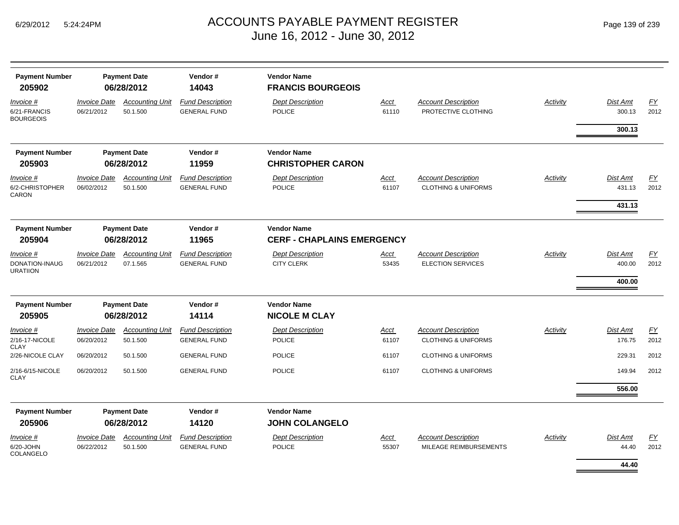| <b>Payment Number</b><br>205902                |                                   | <b>Payment Date</b><br>06/28/2012  | Vendor#<br>14043                               | <b>Vendor Name</b><br><b>FRANCIS BOURGEOIS</b>          |                      |                                                              |                 |                              |                   |
|------------------------------------------------|-----------------------------------|------------------------------------|------------------------------------------------|---------------------------------------------------------|----------------------|--------------------------------------------------------------|-----------------|------------------------------|-------------------|
| Invoice #<br>6/21-FRANCIS<br><b>BOURGEOIS</b>  | <b>Invoice Date</b><br>06/21/2012 | <b>Accounting Unit</b><br>50.1.500 | <b>Fund Description</b><br><b>GENERAL FUND</b> | <b>Dept Description</b><br>POLICE                       | <u>Acct</u><br>61110 | <b>Account Description</b><br>PROTECTIVE CLOTHING            | Activity        | Dist Amt<br>300.13           | <u>FY</u><br>2012 |
|                                                |                                   |                                    |                                                |                                                         |                      |                                                              |                 | 300.13                       |                   |
| <b>Payment Number</b><br>205903                |                                   | <b>Payment Date</b><br>06/28/2012  | Vendor#<br>11959                               | <b>Vendor Name</b><br><b>CHRISTOPHER CARON</b>          |                      |                                                              |                 |                              |                   |
| Invoice #<br>6/2-CHRISTOPHER<br>CARON          | <b>Invoice Date</b><br>06/02/2012 | <b>Accounting Unit</b><br>50.1.500 | <b>Fund Description</b><br><b>GENERAL FUND</b> | <b>Dept Description</b><br><b>POLICE</b>                | <u>Acct</u><br>61107 | <b>Account Description</b><br><b>CLOTHING &amp; UNIFORMS</b> | <b>Activity</b> | Dist Amt<br>431.13           | EY<br>2012        |
|                                                |                                   |                                    |                                                |                                                         |                      |                                                              |                 | 431.13                       |                   |
| <b>Payment Number</b><br>205904                |                                   | <b>Payment Date</b><br>06/28/2012  | Vendor#<br>11965                               | <b>Vendor Name</b><br><b>CERF - CHAPLAINS EMERGENCY</b> |                      |                                                              |                 |                              |                   |
| Invoice #<br>DONATION-INAUG<br><b>URATIION</b> | <b>Invoice Date</b><br>06/21/2012 | <b>Accounting Unit</b><br>07.1.565 | <b>Fund Description</b><br><b>GENERAL FUND</b> | <b>Dept Description</b><br><b>CITY CLERK</b>            | <u>Acct</u><br>53435 | <b>Account Description</b><br><b>ELECTION SERVICES</b>       | <b>Activity</b> | Dist Amt<br>400.00<br>400.00 | EY<br>2012        |
| <b>Payment Number</b>                          |                                   | <b>Payment Date</b>                | Vendor#                                        | <b>Vendor Name</b>                                      |                      |                                                              |                 |                              |                   |
| 205905                                         |                                   | 06/28/2012                         | 14114                                          | <b>NICOLE M CLAY</b>                                    |                      |                                                              |                 |                              |                   |
| Invoice #<br>2/16-17-NICOLE                    | <b>Invoice Date</b><br>06/20/2012 | <b>Accounting Unit</b><br>50.1.500 | <b>Fund Description</b><br><b>GENERAL FUND</b> | <b>Dept Description</b><br><b>POLICE</b>                | <u>Acct</u><br>61107 | <b>Account Description</b><br><b>CLOTHING &amp; UNIFORMS</b> | Activity        | Dist Amt<br>176.75           | EY<br>2012        |
| CLAY<br>2/26-NICOLE CLAY                       | 06/20/2012                        | 50.1.500                           | <b>GENERAL FUND</b>                            | <b>POLICE</b>                                           | 61107                | <b>CLOTHING &amp; UNIFORMS</b>                               |                 | 229.31                       | 2012              |
| 2/16-6/15-NICOLE<br>CLAY                       | 06/20/2012                        | 50.1.500                           | <b>GENERAL FUND</b>                            | <b>POLICE</b>                                           | 61107                | <b>CLOTHING &amp; UNIFORMS</b>                               |                 | 149.94                       | 2012              |
|                                                |                                   |                                    |                                                |                                                         |                      |                                                              |                 | 556.00                       |                   |
| <b>Payment Number</b><br>205906                |                                   | <b>Payment Date</b><br>06/28/2012  | Vendor#<br>14120                               | <b>Vendor Name</b><br><b>JOHN COLANGELO</b>             |                      |                                                              |                 |                              |                   |
| Invoice #<br>6/20-JOHN<br>COLANGELO            | <b>Invoice Date</b><br>06/22/2012 | <b>Accounting Unit</b><br>50.1.500 | <b>Fund Description</b><br><b>GENERAL FUND</b> | <b>Dept Description</b><br><b>POLICE</b>                | Acct<br>55307        | <b>Account Description</b><br><b>MILEAGE REIMBURSEMENTS</b>  | <b>Activity</b> | Dist Amt<br>44.40            | <u>FY</u><br>2012 |
|                                                |                                   |                                    |                                                |                                                         |                      |                                                              |                 | 44.40                        |                   |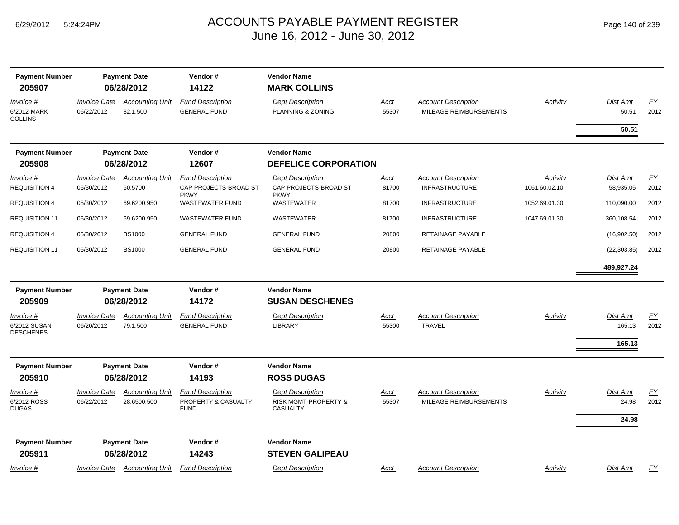|  | Page 140 of 239 |  |  |  |
|--|-----------------|--|--|--|
|--|-----------------|--|--|--|

| <b>Payment Number</b><br>205907          |                                   | <b>Payment Date</b><br>06/28/2012     | Vendor#<br>14122                                                | <b>Vendor Name</b><br><b>MARK COLLINS</b>                              |                      |                                                      |                           |                          |            |
|------------------------------------------|-----------------------------------|---------------------------------------|-----------------------------------------------------------------|------------------------------------------------------------------------|----------------------|------------------------------------------------------|---------------------------|--------------------------|------------|
| Invoice #<br>6/2012-MARK<br>COLLINS      | <b>Invoice Date</b><br>06/22/2012 | <b>Accounting Unit</b><br>82.1.500    | <b>Fund Description</b><br><b>GENERAL FUND</b>                  | <b>Dept Description</b><br>PLANNING & ZONING                           | <u>Acct</u><br>55307 | <b>Account Description</b><br>MILEAGE REIMBURSEMENTS | Activity                  | <b>Dist Amt</b><br>50.51 | EY<br>2012 |
|                                          |                                   |                                       |                                                                 |                                                                        |                      |                                                      |                           | 50.51                    |            |
| <b>Payment Number</b><br>205908          |                                   | <b>Payment Date</b><br>06/28/2012     | Vendor#<br>12607                                                | <b>Vendor Name</b><br><b>DEFELICE CORPORATION</b>                      |                      |                                                      |                           |                          |            |
|                                          |                                   |                                       |                                                                 |                                                                        |                      |                                                      |                           |                          |            |
| <i>Invoice</i> #<br><b>REQUISITION 4</b> | <b>Invoice Date</b><br>05/30/2012 | <b>Accounting Unit</b><br>60.5700     | <b>Fund Description</b><br>CAP PROJECTS-BROAD ST<br><b>PKWY</b> | <b>Dept Description</b><br>CAP PROJECTS-BROAD ST<br><b>PKWY</b>        | <b>Acct</b><br>81700 | <b>Account Description</b><br><b>INFRASTRUCTURE</b>  | Activity<br>1061.60.02.10 | Dist Amt<br>58,935.05    | EY<br>2012 |
| <b>REQUISITION 4</b>                     | 05/30/2012                        | 69.6200.950                           | <b>WASTEWATER FUND</b>                                          | <b>WASTEWATER</b>                                                      | 81700                | <b>INFRASTRUCTURE</b>                                | 1052.69.01.30             | 110,090.00               | 2012       |
| <b>REQUISITION 11</b>                    | 05/30/2012                        | 69.6200.950                           | <b>WASTEWATER FUND</b>                                          | WASTEWATER                                                             | 81700                | <b>INFRASTRUCTURE</b>                                | 1047.69.01.30             | 360,108.54               | 2012       |
| <b>REQUISITION 4</b>                     | 05/30/2012                        | <b>BS1000</b>                         | <b>GENERAL FUND</b>                                             | <b>GENERAL FUND</b>                                                    | 20800                | RETAINAGE PAYABLE                                    |                           | (16,902.50)              | 2012       |
| <b>REQUISITION 11</b>                    | 05/30/2012                        | <b>BS1000</b>                         | <b>GENERAL FUND</b>                                             | <b>GENERAL FUND</b>                                                    | 20800                | RETAINAGE PAYABLE                                    |                           | (22, 303.85)             | 2012       |
|                                          |                                   |                                       |                                                                 |                                                                        |                      |                                                      |                           | 489,927.24               |            |
| <b>Payment Number</b><br>205909          |                                   | <b>Payment Date</b><br>06/28/2012     | Vendor#<br>14172                                                | <b>Vendor Name</b><br><b>SUSAN DESCHENES</b>                           |                      |                                                      |                           |                          |            |
| Invoice #                                | <b>Invoice Date</b>               | <b>Accounting Unit</b>                | <b>Fund Description</b>                                         | <b>Dept Description</b>                                                | Acct                 | <b>Account Description</b>                           | Activity                  | <b>Dist Amt</b>          | FY         |
| 6/2012-SUSAN<br><b>DESCHENES</b>         | 06/20/2012                        | 79.1.500                              | <b>GENERAL FUND</b>                                             | <b>LIBRARY</b>                                                         | 55300                | <b>TRAVEL</b>                                        |                           | 165.13<br>165.13         | 2012       |
| <b>Payment Number</b>                    |                                   | <b>Payment Date</b>                   | Vendor#                                                         | <b>Vendor Name</b>                                                     |                      |                                                      |                           |                          |            |
| 205910                                   |                                   | 06/28/2012                            | 14193                                                           | <b>ROSS DUGAS</b>                                                      |                      |                                                      |                           |                          |            |
| Invoice #<br>6/2012-ROSS<br><b>DUGAS</b> | <b>Invoice Date</b><br>06/22/2012 | <b>Accounting Unit</b><br>28.6500.500 | <b>Fund Description</b><br>PROPERTY & CASUALTY<br><b>FUND</b>   | <b>Dept Description</b><br><b>RISK MGMT-PROPERTY &amp;</b><br>CASUALTY | Acct<br>55307        | <b>Account Description</b><br>MILEAGE REIMBURSEMENTS | Activity                  | <b>Dist Amt</b><br>24.98 | EY<br>2012 |
|                                          |                                   |                                       |                                                                 |                                                                        |                      |                                                      |                           | 24.98                    |            |
| <b>Payment Number</b>                    |                                   | <b>Payment Date</b>                   | Vendor#                                                         | <b>Vendor Name</b>                                                     |                      |                                                      |                           |                          |            |
| 205911                                   |                                   | 06/28/2012                            | 14243                                                           | <b>STEVEN GALIPEAU</b>                                                 |                      |                                                      |                           |                          |            |
| $Invoice$ #                              | <b>Invoice Date</b>               | <b>Accounting Unit</b>                | <b>Fund Description</b>                                         | <b>Dept Description</b>                                                | Acct                 | <b>Account Description</b>                           | Activity                  | <b>Dist Amt</b>          | EY         |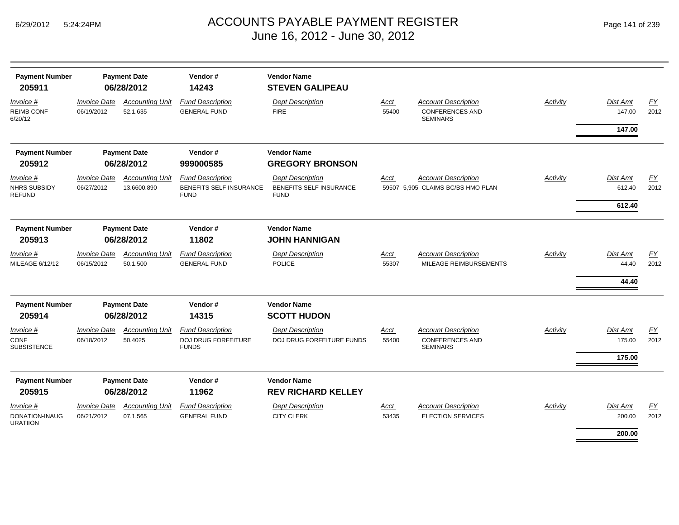| <b>Payment Number</b><br>205911            | <b>Payment Date</b><br>06/28/2012        |                                       | Vendor#<br>14243                                                  | <b>Vendor Name</b><br><b>STEVEN GALIPEAU</b>                      |                      |                                                                         |                 |                    |                          |  |  |
|--------------------------------------------|------------------------------------------|---------------------------------------|-------------------------------------------------------------------|-------------------------------------------------------------------|----------------------|-------------------------------------------------------------------------|-----------------|--------------------|--------------------------|--|--|
| Invoice #<br><b>REIMB CONF</b><br>6/20/12  | <b>Invoice Date</b><br>06/19/2012        | <b>Accounting Unit</b><br>52.1.635    | <b>Fund Description</b><br><b>GENERAL FUND</b>                    | <b>Dept Description</b><br><b>FIRE</b>                            | Acct<br>55400        | <b>Account Description</b><br><b>CONFERENCES AND</b><br><b>SEMINARS</b> | <b>Activity</b> | Dist Amt<br>147.00 | EY<br>2012               |  |  |
|                                            |                                          |                                       |                                                                   |                                                                   |                      |                                                                         |                 | 147.00             |                          |  |  |
| <b>Payment Number</b>                      | <b>Payment Date</b>                      |                                       |                                                                   |                                                                   | Vendor#              | <b>Vendor Name</b>                                                      |                 |                    |                          |  |  |
| 205912                                     | 06/28/2012                               |                                       | 999000585                                                         | <b>GREGORY BRONSON</b>                                            |                      |                                                                         |                 |                    |                          |  |  |
| Invoice #<br>NHRS SUBSIDY<br><b>REFUND</b> | <b>Invoice Date</b><br>06/27/2012        | <b>Accounting Unit</b><br>13.6600.890 | <b>Fund Description</b><br>BENEFITS SELF INSURANCE<br><b>FUND</b> | <b>Dept Description</b><br>BENEFITS SELF INSURANCE<br><b>FUND</b> | Acct                 | <b>Account Description</b><br>59507 5,905 CLAIMS-BC/BS HMO PLAN         | <b>Activity</b> | Dist Amt<br>612.40 | $\underline{FY}$<br>2012 |  |  |
|                                            |                                          |                                       |                                                                   |                                                                   |                      |                                                                         |                 | 612.40             |                          |  |  |
| <b>Payment Number</b>                      |                                          | <b>Payment Date</b>                   | Vendor#                                                           | <b>Vendor Name</b>                                                |                      |                                                                         |                 |                    |                          |  |  |
| 205913                                     | 06/28/2012                               |                                       | 11802                                                             | <b>JOHN HANNIGAN</b>                                              |                      |                                                                         |                 |                    |                          |  |  |
| Invoice #<br>MILEAGE 6/12/12               | <b>Invoice Date</b><br>06/15/2012        | <b>Accounting Unit</b><br>50.1.500    | <b>Fund Description</b><br><b>GENERAL FUND</b>                    | <b>Dept Description</b><br><b>POLICE</b>                          | Acct<br>55307        | <b>Account Description</b><br>MILEAGE REIMBURSEMENTS                    | <b>Activity</b> | Dist Amt<br>44.40  | EY<br>2012               |  |  |
|                                            |                                          |                                       |                                                                   |                                                                   |                      |                                                                         |                 | 44.40              |                          |  |  |
| <b>Payment Number</b>                      | <b>Payment Date</b>                      |                                       |                                                                   |                                                                   | Vendor#              | <b>Vendor Name</b>                                                      |                 |                    |                          |  |  |
| 205914                                     | 06/28/2012                               |                                       | 14315                                                             | <b>SCOTT HUDON</b>                                                |                      |                                                                         |                 |                    |                          |  |  |
| Invoice #<br>CONF<br><b>SUBSISTENCE</b>    | <b>Invoice Date</b><br>06/18/2012        | <b>Accounting Unit</b><br>50.4025     | <b>Fund Description</b><br>DOJ DRUG FORFEITURE<br><b>FUNDS</b>    | <b>Dept Description</b><br>DOJ DRUG FORFEITURE FUNDS              | <b>Acct</b><br>55400 | <b>Account Description</b><br><b>CONFERENCES AND</b><br><b>SEMINARS</b> | Activity        | Dist Amt<br>175.00 | $\underline{FY}$<br>2012 |  |  |
|                                            |                                          |                                       |                                                                   |                                                                   |                      |                                                                         |                 | 175.00             |                          |  |  |
| <b>Payment Number</b><br>205915            | <b>Payment Date</b><br>06/28/2012        |                                       | Vendor#<br>11962                                                  | <b>Vendor Name</b><br><b>REV RICHARD KELLEY</b>                   |                      |                                                                         |                 |                    |                          |  |  |
| Invoice #<br>DONATION-INAUG<br>URATIION    | <i><b>Invoice Date</b></i><br>06/21/2012 | <b>Accounting Unit</b><br>07.1.565    | <b>Fund Description</b><br><b>GENERAL FUND</b>                    | <b>Dept Description</b><br><b>CITY CLERK</b>                      | <b>Acct</b><br>53435 | <b>Account Description</b><br><b>ELECTION SERVICES</b>                  | Activity        | Dist Amt<br>200.00 | EY<br>2012               |  |  |
|                                            |                                          |                                       |                                                                   |                                                                   |                      |                                                                         |                 | 200.00             |                          |  |  |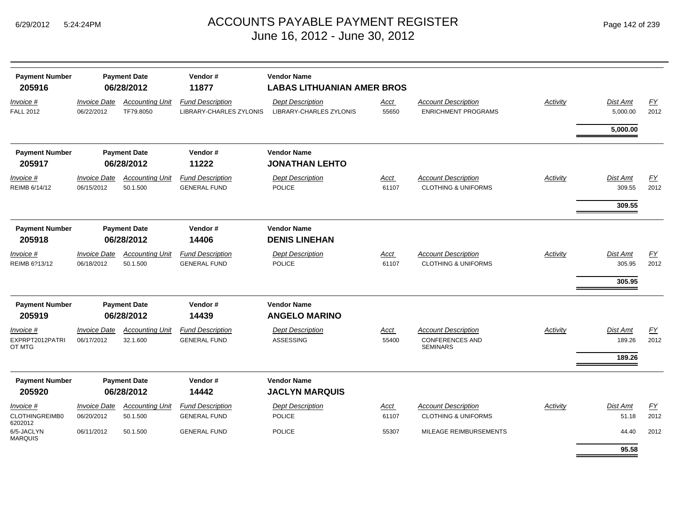| <b>Payment Number</b>                  | Vendor#<br><b>Payment Date</b><br>06/28/2012 |                                    | <b>Vendor Name</b><br><b>LABAS LITHUANIAN AMER BROS</b> |                                             |                      |                                                                         |                 |                           |            |  |  |
|----------------------------------------|----------------------------------------------|------------------------------------|---------------------------------------------------------|---------------------------------------------|----------------------|-------------------------------------------------------------------------|-----------------|---------------------------|------------|--|--|
| 205916<br>Invoice #                    | <b>Invoice Date</b>                          | <b>Accounting Unit</b>             | 11877<br><b>Fund Description</b>                        | <b>Dept Description</b>                     | <u>Acct</u>          | <b>Account Description</b>                                              | Activity        | <b>Dist Amt</b>           | EY         |  |  |
| <b>FALL 2012</b>                       | 06/22/2012                                   | TF79.8050                          | LIBRARY-CHARLES ZYLONIS                                 | LIBRARY-CHARLES ZYLONIS                     | 55650                | <b>ENRICHMENT PROGRAMS</b>                                              |                 | 5,000.00                  | 2012       |  |  |
|                                        |                                              |                                    |                                                         |                                             |                      |                                                                         |                 | 5,000.00                  |            |  |  |
| <b>Payment Number</b>                  |                                              | <b>Payment Date</b>                | Vendor#                                                 | <b>Vendor Name</b>                          |                      |                                                                         |                 |                           |            |  |  |
| 205917                                 |                                              | 06/28/2012                         | 11222                                                   | <b>JONATHAN LEHTO</b>                       |                      |                                                                         |                 |                           |            |  |  |
| Invoice #<br>REIMB 6/14/12             | <b>Invoice Date</b><br>06/15/2012            | <b>Accounting Unit</b><br>50.1.500 | <b>Fund Description</b><br><b>GENERAL FUND</b>          | <b>Dept Description</b><br><b>POLICE</b>    | Acct<br>61107        | <b>Account Description</b><br><b>CLOTHING &amp; UNIFORMS</b>            | Activity        | <b>Dist Amt</b><br>309.55 | EY<br>2012 |  |  |
|                                        |                                              |                                    |                                                         |                                             |                      |                                                                         |                 | 309.55                    |            |  |  |
| <b>Payment Number</b><br>205918        | <b>Payment Date</b><br>06/28/2012            |                                    | Vendor#<br>14406                                        | <b>Vendor Name</b><br><b>DENIS LINEHAN</b>  |                      |                                                                         |                 |                           |            |  |  |
| Invoice #                              | <b>Invoice Date</b>                          | <b>Accounting Unit</b>             | <b>Fund Description</b>                                 | <b>Dept Description</b>                     | <u>Acct</u>          | <b>Account Description</b>                                              | <b>Activity</b> | <b>Dist Amt</b>           | EY         |  |  |
| REIMB 6?13/12                          | 06/18/2012                                   | 50.1.500                           | <b>GENERAL FUND</b>                                     | <b>POLICE</b>                               | 61107                | <b>CLOTHING &amp; UNIFORMS</b>                                          |                 | 305.95                    | 2012       |  |  |
|                                        |                                              |                                    |                                                         |                                             |                      |                                                                         |                 | 305.95                    |            |  |  |
| <b>Payment Number</b>                  | <b>Payment Date</b>                          |                                    | Vendor#                                                 | <b>Vendor Name</b>                          |                      |                                                                         |                 |                           |            |  |  |
| 205919                                 | 06/28/2012                                   |                                    | 14439                                                   | <b>ANGELO MARINO</b>                        |                      |                                                                         |                 |                           |            |  |  |
| Invoice #<br>EXPRPT2012PATRI<br>OT MTG | <b>Invoice Date</b><br>06/17/2012            | <b>Accounting Unit</b><br>32.1.600 | <b>Fund Description</b><br><b>GENERAL FUND</b>          | <b>Dept Description</b><br><b>ASSESSING</b> | <u>Acct</u><br>55400 | <b>Account Description</b><br><b>CONFERENCES AND</b><br><b>SEMINARS</b> | Activity        | <b>Dist Amt</b><br>189.26 | EY<br>2012 |  |  |
|                                        |                                              |                                    |                                                         |                                             |                      |                                                                         |                 | 189.26                    |            |  |  |
| <b>Payment Number</b>                  | <b>Payment Date</b>                          |                                    |                                                         |                                             | Vendor#              | <b>Vendor Name</b>                                                      |                 |                           |            |  |  |
| 205920                                 |                                              | 06/28/2012                         | 14442                                                   | <b>JACLYN MARQUIS</b>                       |                      |                                                                         |                 |                           |            |  |  |
| <u>Invoice #</u>                       | <b>Invoice Date</b>                          | <b>Accounting Unit</b>             | <b>Fund Description</b>                                 | <b>Dept Description</b>                     | Acct                 | <b>Account Description</b>                                              | Activity        | <b>Dist Amt</b>           | EY         |  |  |
| CLOTHINGREIMB0<br>6202012              | 06/20/2012                                   | 50.1.500                           | <b>GENERAL FUND</b>                                     | <b>POLICE</b>                               | 61107                | <b>CLOTHING &amp; UNIFORMS</b>                                          |                 | 51.18                     | 2012       |  |  |
| 6/5-JACLYN<br><b>MARQUIS</b>           | 06/11/2012                                   | 50.1.500                           | <b>GENERAL FUND</b>                                     | <b>POLICE</b>                               | 55307                | MILEAGE REIMBURSEMENTS                                                  |                 | 44.40<br>95.58            | 2012       |  |  |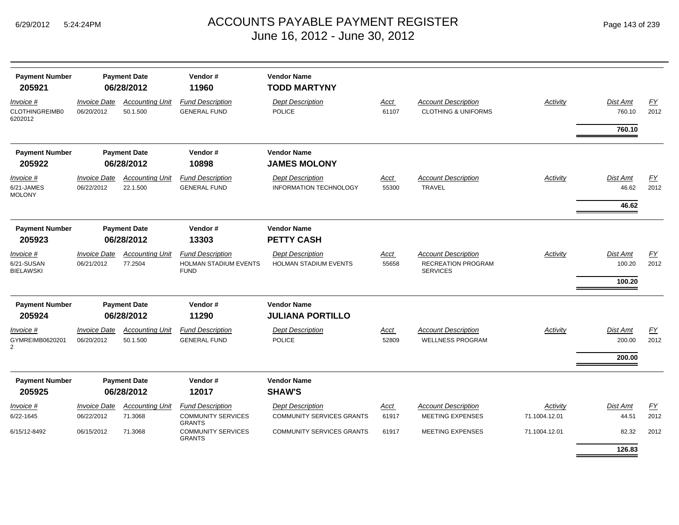|  | Page 143 of 239 |  |  |  |
|--|-----------------|--|--|--|
|--|-----------------|--|--|--|

| <b>Payment Number</b><br>205921                | <b>Payment Date</b><br>06/28/2012 |                                    | Vendor#<br>11960                                                      | <b>Vendor Name</b><br><b>TODD MARTYNY</b>                   |                      |                                                                     |                           |                              |                          |  |  |
|------------------------------------------------|-----------------------------------|------------------------------------|-----------------------------------------------------------------------|-------------------------------------------------------------|----------------------|---------------------------------------------------------------------|---------------------------|------------------------------|--------------------------|--|--|
| Invoice #<br><b>CLOTHINGREIMB0</b><br>6202012  | <b>Invoice Date</b><br>06/20/2012 | <b>Accounting Unit</b><br>50.1.500 | <b>Fund Description</b><br><b>GENERAL FUND</b>                        | <b>Dept Description</b><br><b>POLICE</b>                    | <u>Acct</u><br>61107 | <b>Account Description</b><br><b>CLOTHING &amp; UNIFORMS</b>        | <b>Activity</b>           | Dist Amt<br>760.10           | EY<br>2012               |  |  |
|                                                |                                   |                                    |                                                                       |                                                             |                      |                                                                     |                           | 760.10                       |                          |  |  |
| <b>Payment Number</b>                          | <b>Payment Date</b>               |                                    | Vendor#                                                               | <b>Vendor Name</b>                                          |                      |                                                                     |                           |                              |                          |  |  |
| 205922                                         | 06/28/2012                        |                                    | 10898                                                                 | <b>JAMES MOLONY</b>                                         |                      |                                                                     |                           |                              |                          |  |  |
| Invoice #<br>6/21-JAMES<br><b>MOLONY</b>       | <b>Invoice Date</b><br>06/22/2012 | <b>Accounting Unit</b><br>22.1.500 | <b>Fund Description</b><br><b>GENERAL FUND</b>                        | <b>Dept Description</b><br><b>INFORMATION TECHNOLOGY</b>    | Acct<br>55300        | <b>Account Description</b><br><b>TRAVEL</b>                         | Activity                  | Dist Amt<br>46.62            | FΥ<br>2012               |  |  |
|                                                |                                   |                                    |                                                                       |                                                             |                      |                                                                     |                           | 46.62                        |                          |  |  |
| <b>Payment Number</b><br>205923                | <b>Payment Date</b><br>06/28/2012 |                                    | Vendor#<br>13303                                                      | <b>Vendor Name</b><br><b>PETTY CASH</b>                     |                      |                                                                     |                           |                              |                          |  |  |
| Invoice #<br>6/21-SUSAN<br><b>BIELAWSKI</b>    | <b>Invoice Date</b><br>06/21/2012 | <b>Accounting Unit</b><br>77.2504  | <b>Fund Description</b><br>HOLMAN STADIUM EVENTS<br><b>FUND</b>       | <b>Dept Description</b><br>HOLMAN STADIUM EVENTS            | <b>Acct</b><br>55658 | <b>Account Description</b><br>RECREATION PROGRAM<br><b>SERVICES</b> | Activity                  | Dist Amt<br>100.20<br>100.20 | $\underline{FY}$<br>2012 |  |  |
| <b>Payment Number</b><br>205924                | <b>Payment Date</b><br>06/28/2012 |                                    |                                                                       |                                                             | Vendor#<br>11290     | <b>Vendor Name</b><br><b>JULIANA PORTILLO</b>                       |                           |                              |                          |  |  |
| Invoice #<br>GYMREIMB0620201<br>$\overline{2}$ | <b>Invoice Date</b><br>06/20/2012 | <b>Accounting Unit</b><br>50.1.500 | <b>Fund Description</b><br><b>GENERAL FUND</b>                        | <b>Dept Description</b><br><b>POLICE</b>                    | Acct<br>52809        | <b>Account Description</b><br><b>WELLNESS PROGRAM</b>               | Activity                  | <b>Dist Amt</b><br>200.00    | EY<br>2012               |  |  |
|                                                |                                   |                                    |                                                                       |                                                             |                      |                                                                     |                           | 200.00                       |                          |  |  |
| <b>Payment Number</b>                          | <b>Payment Date</b>               |                                    | Vendor#                                                               | <b>Vendor Name</b>                                          |                      |                                                                     |                           |                              |                          |  |  |
| 205925                                         | 06/28/2012                        |                                    | 12017                                                                 | <b>SHAW'S</b>                                               |                      |                                                                     |                           |                              |                          |  |  |
| <u>Invoice #</u><br>6/22-1645                  | <b>Invoice Date</b><br>06/22/2012 | <b>Accounting Unit</b><br>71.3068  | <b>Fund Description</b><br><b>COMMUNITY SERVICES</b><br><b>GRANTS</b> | <b>Dept Description</b><br><b>COMMUNITY SERVICES GRANTS</b> | <u>Acct</u><br>61917 | <b>Account Description</b><br><b>MEETING EXPENSES</b>               | Activity<br>71.1004.12.01 | Dist Amt<br>44.51            | EY<br>2012               |  |  |
| 6/15/12-8492                                   | 06/15/2012                        | 71.3068                            | <b>COMMUNITY SERVICES</b><br><b>GRANTS</b>                            | <b>COMMUNITY SERVICES GRANTS</b>                            | 61917                | <b>MEETING EXPENSES</b>                                             | 71.1004.12.01             | 82.32<br>126.83              | 2012                     |  |  |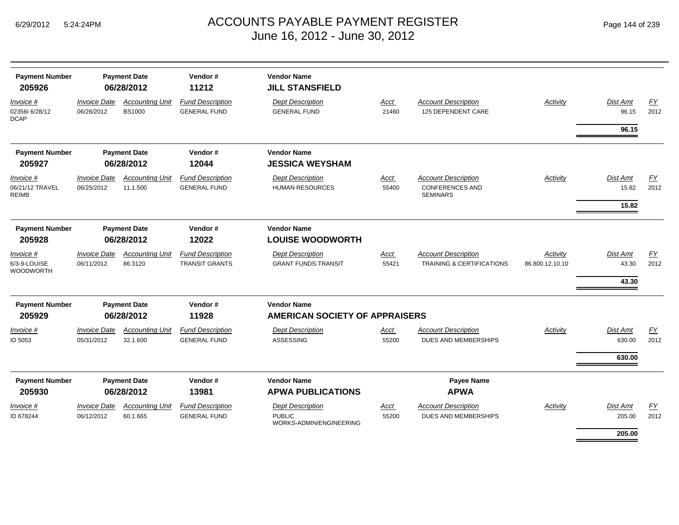| <b>Payment Number</b>                         | <b>Payment Date</b>               |                                         | Vendor#                                          | <b>Vendor Name</b>                                                  |                      |                                                                         |                             |                                   |            |  |  |
|-----------------------------------------------|-----------------------------------|-----------------------------------------|--------------------------------------------------|---------------------------------------------------------------------|----------------------|-------------------------------------------------------------------------|-----------------------------|-----------------------------------|------------|--|--|
| 205926                                        | 06/28/2012                        |                                         | 11212                                            | <b>JILL STANSFIELD</b>                                              |                      |                                                                         |                             |                                   |            |  |  |
| Invoice #<br>023561 6/28/12<br><b>DCAP</b>    | <b>Invoice Date</b><br>06/26/2012 | <b>Accounting Unit</b><br><b>BS1000</b> | <b>Fund Description</b><br><b>GENERAL FUND</b>   | <b>Dept Description</b><br><b>GENERAL FUND</b>                      | Acct<br>21460        | <b>Account Description</b><br>125 DEPENDENT CARE                        | Activity                    | <b>Dist Amt</b><br>96.15<br>96.15 | EY<br>2012 |  |  |
| <b>Payment Number</b><br>205927               | <b>Payment Date</b><br>06/28/2012 |                                         | Vendor#<br>12044                                 | <b>Vendor Name</b><br><b>JESSICA WEYSHAM</b>                        |                      |                                                                         |                             |                                   |            |  |  |
| Invoice #<br>06/21/12 TRAVEL<br><b>REIMB</b>  | <b>Invoice Date</b><br>06/25/2012 | <b>Accounting Unit</b><br>11.1.500      | <b>Fund Description</b><br><b>GENERAL FUND</b>   | <b>Dept Description</b><br><b>HUMAN RESOURCES</b>                   | Acct<br>55400        | <b>Account Description</b><br><b>CONFERENCES AND</b><br><b>SEMINARS</b> | Activity                    | Dist Amt<br>15.82<br>15.82        | EY<br>2012 |  |  |
| <b>Payment Number</b><br>205928               | <b>Payment Date</b><br>06/28/2012 |                                         | Vendor#<br>12022                                 | <b>Vendor Name</b><br><b>LOUISE WOODWORTH</b>                       |                      |                                                                         |                             |                                   |            |  |  |
| Invoice #<br>6/3-9-LOUISE<br><b>WOODWORTH</b> | <b>Invoice Date</b><br>06/11/2012 | <b>Accounting Unit</b><br>86.3120       | <b>Fund Description</b><br><b>TRANSIT GRANTS</b> | <b>Dept Description</b><br><b>GRANT FUNDS-TRANSIT</b>               | Acct<br>55421        | <b>Account Description</b><br><b>TRAINING &amp; CERTIFICATIONS</b>      | Activity<br>86.800.12.10.10 | Dist Amt<br>43.30<br>43.30        | FY<br>2012 |  |  |
| <b>Payment Number</b><br>205929               | <b>Payment Date</b><br>06/28/2012 |                                         |                                                  |                                                                     | Vendor#<br>11928     | <b>Vendor Name</b><br>AMERICAN SOCIETY OF APPRAISERS                    |                             |                                   |            |  |  |
| Invoice #<br>ID 5053                          | <b>Invoice Date</b><br>05/31/2012 | <b>Accounting Unit</b><br>32.1.600      | <b>Fund Description</b><br><b>GENERAL FUND</b>   | <b>Dept Description</b><br><b>ASSESSING</b>                         | Acct<br>55200        | <b>Account Description</b><br><b>DUES AND MEMBERSHIPS</b>               | Activity                    | Dist Amt<br>630.00<br>630.00      | EY<br>2012 |  |  |
| <b>Payment Number</b><br>205930               | <b>Payment Date</b><br>06/28/2012 |                                         | Vendor#<br>13981                                 | <b>Vendor Name</b><br><b>APWA PUBLICATIONS</b>                      |                      | Payee Name<br><b>APWA</b>                                               |                             |                                   |            |  |  |
| Invoice #<br>ID 678244                        | <b>Invoice Date</b><br>06/12/2012 | <b>Accounting Unit</b><br>60.1.665      | <b>Fund Description</b><br><b>GENERAL FUND</b>   | <b>Dept Description</b><br><b>PUBLIC</b><br>WORKS-ADMIN/ENGINEERING | <b>Acct</b><br>55200 | <b>Account Description</b><br><b>DUES AND MEMBERSHIPS</b>               | Activity                    | Dist Amt<br>205.00<br>205.00      | EY<br>2012 |  |  |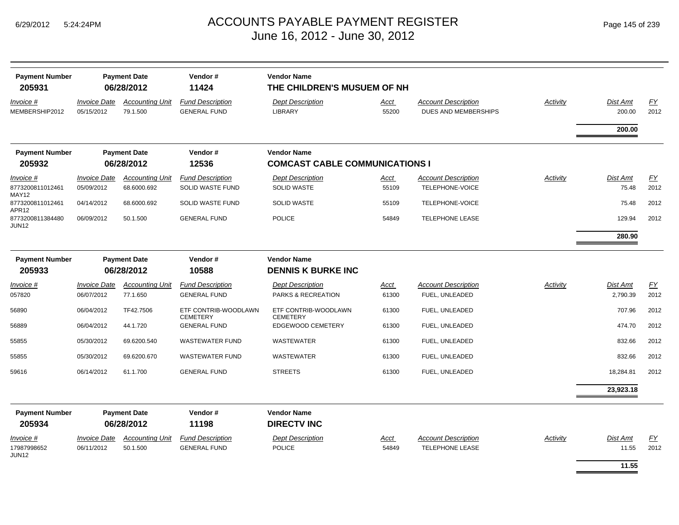| <b>Payment Number</b><br>205931       |                                   | <b>Payment Date</b><br>06/28/2012  | Vendor#<br>11424                               | <b>Vendor Name</b><br>THE CHILDREN'S MUSUEM OF NH           |               |                                                    |                 |                    |            |
|---------------------------------------|-----------------------------------|------------------------------------|------------------------------------------------|-------------------------------------------------------------|---------------|----------------------------------------------------|-----------------|--------------------|------------|
| <i>Invoice</i> #<br>MEMBERSHIP2012    | <b>Invoice Date</b><br>05/15/2012 | <b>Accounting Unit</b><br>79.1.500 | <b>Fund Description</b><br><b>GENERAL FUND</b> | <b>Dept Description</b><br>LIBRARY                          | Acct<br>55200 | <b>Account Description</b><br>DUES AND MEMBERSHIPS | <b>Activity</b> | Dist Amt<br>200.00 | EY<br>2012 |
|                                       |                                   |                                    |                                                |                                                             |               |                                                    |                 | 200.00             |            |
| <b>Payment Number</b><br>205932       |                                   | <b>Payment Date</b><br>06/28/2012  | Vendor#<br>12536                               | <b>Vendor Name</b><br><b>COMCAST CABLE COMMUNICATIONS I</b> |               |                                                    |                 |                    |            |
| Invoice #                             | <b>Invoice Date</b>               | <b>Accounting Unit</b>             | <b>Fund Description</b>                        | <b>Dept Description</b>                                     | <u>Acct</u>   | <b>Account Description</b>                         | Activity        | Dist Amt           | EY         |
| 8773200811012461<br>MAY12             | 05/09/2012                        | 68.6000.692                        | SOLID WASTE FUND                               | <b>SOLID WASTE</b>                                          | 55109         | TELEPHONE-VOICE                                    |                 | 75.48              | 2012       |
| 8773200811012461<br>APR12             | 04/14/2012                        | 68.6000.692                        | SOLID WASTE FUND                               | <b>SOLID WASTE</b>                                          | 55109         | TELEPHONE-VOICE                                    |                 | 75.48              | 2012       |
| 8773200811384480<br>JUN <sub>12</sub> | 06/09/2012                        | 50.1.500                           | <b>GENERAL FUND</b>                            | <b>POLICE</b>                                               | 54849         | <b>TELEPHONE LEASE</b>                             |                 | 129.94             | 2012       |
|                                       |                                   |                                    |                                                |                                                             |               |                                                    |                 | 280.90             |            |
| <b>Payment Number</b>                 |                                   | <b>Payment Date</b>                | Vendor#                                        | <b>Vendor Name</b>                                          |               |                                                    |                 |                    |            |
| 205933                                |                                   | 06/28/2012                         | 10588                                          | <b>DENNIS K BURKE INC</b>                                   |               |                                                    |                 |                    |            |
| Invoice #                             | <b>Invoice Date</b>               | <b>Accounting Unit</b>             | <b>Fund Description</b>                        | <b>Dept Description</b>                                     | Acct          | <b>Account Description</b>                         | Activity        | Dist Amt           | EY         |
| 057820                                | 06/07/2012                        | 77.1.650                           | <b>GENERAL FUND</b>                            | PARKS & RECREATION                                          | 61300         | FUEL, UNLEADED                                     |                 | 2,790.39           | 2012       |
| 56890                                 | 06/04/2012                        | TF42.7506                          | ETF CONTRIB-WOODLAWN<br><b>CEMETERY</b>        | ETF CONTRIB-WOODLAWN<br><b>CEMETERY</b>                     | 61300         | FUEL, UNLEADED                                     |                 | 707.96             | 2012       |
| 56889                                 | 06/04/2012                        | 44.1.720                           | <b>GENERAL FUND</b>                            | EDGEWOOD CEMETERY                                           | 61300         | FUEL, UNLEADED                                     |                 | 474.70             | 2012       |
| 55855                                 | 05/30/2012                        | 69.6200.540                        | <b>WASTEWATER FUND</b>                         | <b>WASTEWATER</b>                                           | 61300         | FUEL, UNLEADED                                     |                 | 832.66             | 2012       |
| 55855                                 | 05/30/2012                        | 69.6200.670                        | <b>WASTEWATER FUND</b>                         | <b>WASTEWATER</b>                                           | 61300         | FUEL, UNLEADED                                     |                 | 832.66             | 2012       |
| 59616                                 | 06/14/2012                        | 61.1.700                           | <b>GENERAL FUND</b>                            | <b>STREETS</b>                                              | 61300         | FUEL, UNLEADED                                     |                 | 18,284.81          | 2012       |
|                                       |                                   |                                    |                                                |                                                             |               |                                                    |                 | 23,923.18          |            |
| <b>Payment Number</b><br>205934       |                                   | <b>Payment Date</b><br>06/28/2012  | Vendor#<br>11198                               | <b>Vendor Name</b><br><b>DIRECTV INC</b>                    |               |                                                    |                 |                    |            |
| Invoice #                             | <b>Invoice Date</b>               | <b>Accounting Unit</b>             | <b>Fund Description</b>                        | <b>Dept Description</b>                                     | Acct          | <b>Account Description</b>                         | Activity        | Dist Amt           | EY         |
| 17987998652<br><b>JUN12</b>           | 06/11/2012                        | 50.1.500                           | <b>GENERAL FUND</b>                            | <b>POLICE</b>                                               | 54849         | <b>TELEPHONE LEASE</b>                             |                 | 11.55              | 2012       |
|                                       |                                   |                                    |                                                |                                                             |               |                                                    |                 | 11.55              |            |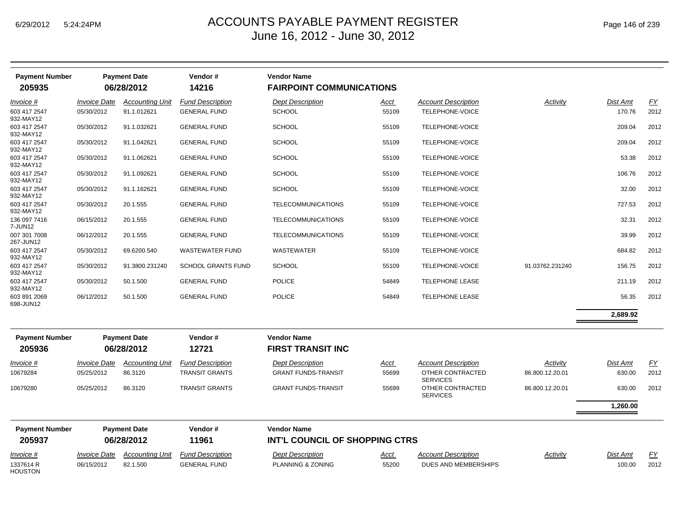| <b>Payment Number</b>     |                            | <b>Payment Date</b>    | Vendor#                   | <b>Vendor Name</b>              |       |                                     |                 |          |           |
|---------------------------|----------------------------|------------------------|---------------------------|---------------------------------|-------|-------------------------------------|-----------------|----------|-----------|
| 205935                    |                            | 06/28/2012             | 14216                     | <b>FAIRPOINT COMMUNICATIONS</b> |       |                                     |                 |          |           |
| Invoice #                 | <b>Invoice Date</b>        | <b>Accounting Unit</b> | <b>Fund Description</b>   | <b>Dept Description</b>         | Acct  | <b>Account Description</b>          | Activity        | Dist Amt | EY        |
| 603 417 2547<br>932-MAY12 | 05/30/2012                 | 91.1.012621            | <b>GENERAL FUND</b>       | <b>SCHOOL</b>                   | 55109 | TELEPHONE-VOICE                     |                 | 170.76   | 2012      |
| 603 417 2547<br>932-MAY12 | 05/30/2012                 | 91.1.032621            | <b>GENERAL FUND</b>       | <b>SCHOOL</b>                   | 55109 | TELEPHONE-VOICE                     |                 | 209.04   | 2012      |
| 603 417 2547<br>932-MAY12 | 05/30/2012                 | 91.1.042621            | <b>GENERAL FUND</b>       | <b>SCHOOL</b>                   | 55109 | TELEPHONE-VOICE                     |                 | 209.04   | 2012      |
| 603 417 2547<br>932-MAY12 | 05/30/2012                 | 91.1.062621            | <b>GENERAL FUND</b>       | <b>SCHOOL</b>                   | 55109 | TELEPHONE-VOICE                     |                 | 53.38    | 2012      |
| 603 417 2547<br>932-MAY12 | 05/30/2012                 | 91.1.092621            | <b>GENERAL FUND</b>       | <b>SCHOOL</b>                   | 55109 | TELEPHONE-VOICE                     |                 | 106.76   | 2012      |
| 603 417 2547<br>932-MAY12 | 05/30/2012                 | 91.1.162621            | <b>GENERAL FUND</b>       | <b>SCHOOL</b>                   | 55109 | TELEPHONE-VOICE                     |                 | 32.00    | 2012      |
| 603 417 2547<br>932-MAY12 | 05/30/2012                 | 20.1.555               | <b>GENERAL FUND</b>       | TELECOMMUNICATIONS              | 55109 | TELEPHONE-VOICE                     |                 | 727.53   | 2012      |
| 136 097 7416<br>7-JUN12   | 06/15/2012                 | 20.1.555               | <b>GENERAL FUND</b>       | TELECOMMUNICATIONS              | 55109 | TELEPHONE-VOICE                     |                 | 32.31    | 2012      |
| 007 301 7008<br>267-JUN12 | 06/12/2012                 | 20.1.555               | <b>GENERAL FUND</b>       | <b>TELECOMMUNICATIONS</b>       | 55109 | TELEPHONE-VOICE                     |                 | 39.99    | 2012      |
| 603 417 2547<br>932-MAY12 | 05/30/2012                 | 69.6200.540            | <b>WASTEWATER FUND</b>    | <b>WASTEWATER</b>               | 55109 | TELEPHONE-VOICE                     |                 | 684.82   | 2012      |
| 603 417 2547<br>932-MAY12 | 05/30/2012                 | 91.3800.231240         | <b>SCHOOL GRANTS FUND</b> | <b>SCHOOL</b>                   | 55109 | TELEPHONE-VOICE                     | 91.03762.231240 | 156.75   | 2012      |
| 603 417 2547<br>932-MAY12 | 05/30/2012                 | 50.1.500               | <b>GENERAL FUND</b>       | <b>POLICE</b>                   | 54849 | <b>TELEPHONE LEASE</b>              |                 | 211.19   | 2012      |
| 603 891 2069<br>698-JUN12 | 06/12/2012                 | 50.1.500               | <b>GENERAL FUND</b>       | <b>POLICE</b>                   | 54849 | <b>TELEPHONE LEASE</b>              |                 | 56.35    | 2012      |
|                           |                            |                        |                           |                                 |       |                                     |                 | 2,689.92 |           |
| <b>Payment Number</b>     |                            | <b>Payment Date</b>    | Vendor#                   | <b>Vendor Name</b>              |       |                                     |                 |          |           |
| 205936                    |                            | 06/28/2012             | 12721                     | <b>FIRST TRANSIT INC</b>        |       |                                     |                 |          |           |
| Invoice #                 | <i><b>Invoice Date</b></i> | <b>Accounting Unit</b> | <b>Fund Description</b>   | <b>Dept Description</b>         | Acct  | <b>Account Description</b>          | Activity        | Dist Amt | EY        |
| 10679284                  | 05/25/2012                 | 86.3120                | <b>TRANSIT GRANTS</b>     | <b>GRANT FUNDS-TRANSIT</b>      | 55699 | OTHER CONTRACTED<br><b>SERVICES</b> | 86.800.12.20.01 | 630.00   | 2012      |
| 10679280                  | 05/25/2012                 | 86.3120                | <b>TRANSIT GRANTS</b>     | <b>GRANT FUNDS-TRANSIT</b>      | 55699 | OTHER CONTRACTED<br><b>SERVICES</b> | 86.800.12.20.01 | 630.00   | 2012      |
|                           |                            |                        |                           |                                 |       |                                     |                 | 1,260.00 |           |
| <b>Payment Number</b>     |                            | <b>Payment Date</b>    | Vendor#                   | <b>Vendor Name</b>              |       |                                     |                 |          |           |
| 205937                    |                            | 06/28/2012             | 11961                     | INT'L COUNCIL OF SHOPPING CTRS  |       |                                     |                 |          |           |
| Invoice #                 | <b>Invoice Date</b>        | <b>Accounting Unit</b> | <b>Fund Description</b>   | <b>Dept Description</b>         | Acct  | <b>Account Description</b>          | Activity        | Dist Amt | <u>FY</u> |
| 1337614 R<br>HOUSTON      | 06/15/2012                 | 82.1.500               | <b>GENERAL FUND</b>       | PLANNING & ZONING               | 55200 | DUES AND MEMBERSHIPS                |                 | 100.00   | 2012      |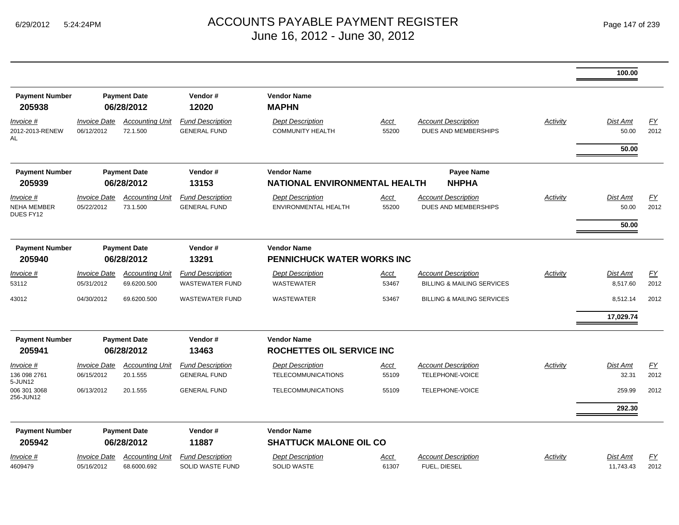|                                              |                                   |                                                                                                |                                                   |                                                        |                      |                                                                     |          | 100.00                     |            |
|----------------------------------------------|-----------------------------------|------------------------------------------------------------------------------------------------|---------------------------------------------------|--------------------------------------------------------|----------------------|---------------------------------------------------------------------|----------|----------------------------|------------|
| <b>Payment Number</b><br>205938              |                                   | <b>Payment Date</b><br>06/28/2012                                                              | Vendor#<br>12020                                  | <b>Vendor Name</b><br><b>MAPHN</b>                     |                      |                                                                     |          |                            |            |
| Invoice #<br>2012-2013-RENEW<br>AL           | <b>Invoice Date</b><br>06/12/2012 | <b>Accounting Unit</b><br>72.1.500                                                             | <b>Fund Description</b><br><b>GENERAL FUND</b>    | <b>Dept Description</b><br><b>COMMUNITY HEALTH</b>     | <b>Acct</b><br>55200 | <b>Account Description</b><br>DUES AND MEMBERSHIPS                  | Activity | Dist Amt<br>50.00          | EY<br>2012 |
|                                              |                                   |                                                                                                |                                                   |                                                        |                      |                                                                     |          | 50.00                      |            |
| <b>Payment Number</b><br>205939              |                                   | <b>Payment Date</b><br>06/28/2012                                                              | Vendor#<br>13153                                  | <b>Vendor Name</b><br>NATIONAL ENVIRONMENTAL HEALTH    |                      | Payee Name<br><b>NHPHA</b>                                          |          |                            |            |
| Invoice #<br><b>NEHA MEMBER</b><br>DUES FY12 | <b>Invoice Date</b><br>05/22/2012 | <b>Accounting Unit</b><br>73.1.500                                                             | <b>Fund Description</b><br><b>GENERAL FUND</b>    | <b>Dept Description</b><br><b>ENVIRONMENTAL HEALTH</b> | Acct<br>55200        | <b>Account Description</b><br>DUES AND MEMBERSHIPS                  | Activity | Dist Amt<br>50.00<br>50.00 | FY<br>2012 |
| <b>Payment Number</b><br>205940              |                                   | <b>Payment Date</b><br>Vendor#<br>06/28/2012<br>13291<br><b>Accounting Unit</b><br>69.6200.500 |                                                   | <b>Vendor Name</b><br>PENNICHUCK WATER WORKS INC       |                      |                                                                     |          |                            |            |
| $Invoice$ #<br>53112                         | <b>Invoice Date</b><br>05/31/2012 |                                                                                                | <b>Fund Description</b><br><b>WASTEWATER FUND</b> | <b>Dept Description</b><br><b>WASTEWATER</b>           | Acct<br>53467        | <b>Account Description</b><br><b>BILLING &amp; MAILING SERVICES</b> | Activity | Dist Amt<br>8,517.60       | EY<br>2012 |
| 43012                                        | 04/30/2012                        | 69.6200.500                                                                                    | <b>WASTEWATER FUND</b>                            | <b>WASTEWATER</b>                                      | 53467                | <b>BILLING &amp; MAILING SERVICES</b>                               |          | 8,512.14                   | 2012       |
|                                              |                                   |                                                                                                |                                                   |                                                        |                      |                                                                     |          | 17,029.74                  |            |
| <b>Payment Number</b><br>205941              |                                   | <b>Payment Date</b><br>06/28/2012                                                              | Vendor#<br>13463                                  | <b>Vendor Name</b><br><b>ROCHETTES OIL SERVICE INC</b> |                      |                                                                     |          |                            |            |
| $Invoice$ #                                  | <b>Invoice Date</b>               | <b>Accounting Unit</b>                                                                         | <b>Fund Description</b>                           | <b>Dept Description</b>                                | Acct                 | <b>Account Description</b>                                          | Activity | <b>Dist Amt</b>            | EY         |
| 136 098 2761<br>5-JUN12                      | 06/15/2012                        | 20.1.555                                                                                       | <b>GENERAL FUND</b>                               | <b>TELECOMMUNICATIONS</b>                              | 55109                | TELEPHONE-VOICE                                                     |          | 32.31                      | 2012       |
| 006 301 3068<br>256-JUN12                    | 06/13/2012                        | 20.1.555                                                                                       | <b>GENERAL FUND</b>                               | <b>TELECOMMUNICATIONS</b>                              | 55109                | TELEPHONE-VOICE                                                     |          | 259.99                     | 2012       |
|                                              |                                   |                                                                                                |                                                   |                                                        |                      |                                                                     |          | 292.30                     |            |
| <b>Payment Number</b>                        |                                   | <b>Payment Date</b>                                                                            | Vendor#                                           | <b>Vendor Name</b>                                     |                      |                                                                     |          |                            |            |
| 205942                                       |                                   | 06/28/2012                                                                                     | 11887                                             | <b>SHATTUCK MALONE OIL CO</b>                          |                      |                                                                     |          |                            |            |
| <u>Invoice #</u>                             | <b>Invoice Date</b>               | <b>Accounting Unit</b>                                                                         | <b>Fund Description</b>                           | <b>Dept Description</b>                                | Acct                 | <b>Account Description</b>                                          | Activity | Dist Amt                   | EY         |
| 4609479                                      | 05/16/2012                        | 68.6000.692                                                                                    | <b>SOLID WASTE FUND</b>                           | <b>SOLID WASTE</b>                                     | 61307                | FUEL. DIESEL                                                        |          | 11,743.43                  | 2012       |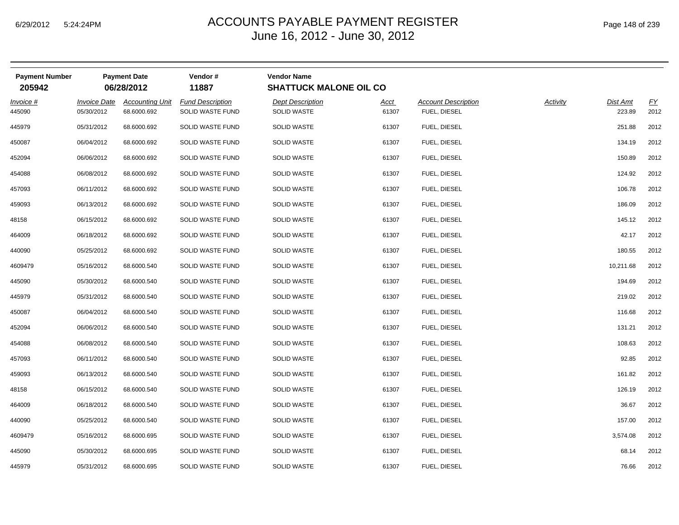| Page 148 of 239 |
|-----------------|
|-----------------|

| <b>Payment Number</b><br>205942 |                                   | <b>Payment Date</b><br>06/28/2012     | Vendor#<br>11887                            | <b>Vendor Name</b><br><b>SHATTUCK MALONE OIL CO</b> |               |                                            |          |                           |                   |
|---------------------------------|-----------------------------------|---------------------------------------|---------------------------------------------|-----------------------------------------------------|---------------|--------------------------------------------|----------|---------------------------|-------------------|
| Invoice #<br>445090             | <b>Invoice Date</b><br>05/30/2012 | <b>Accounting Unit</b><br>68.6000.692 | <b>Fund Description</b><br>SOLID WASTE FUND | <b>Dept Description</b><br><b>SOLID WASTE</b>       | Acct<br>61307 | <b>Account Description</b><br>FUEL, DIESEL | Activity | <b>Dist Amt</b><br>223.89 | <u>FY</u><br>2012 |
| 445979                          | 05/31/2012                        | 68.6000.692                           | SOLID WASTE FUND                            | <b>SOLID WASTE</b>                                  | 61307         | FUEL, DIESEL                               |          | 251.88                    | 2012              |
| 450087                          | 06/04/2012                        | 68.6000.692                           | SOLID WASTE FUND                            | <b>SOLID WASTE</b>                                  | 61307         | FUEL, DIESEL                               |          | 134.19                    | 2012              |
| 452094                          | 06/06/2012                        | 68.6000.692                           | SOLID WASTE FUND                            | <b>SOLID WASTE</b>                                  | 61307         | FUEL, DIESEL                               |          | 150.89                    | 2012              |
| 454088                          | 06/08/2012                        | 68.6000.692                           | SOLID WASTE FUND                            | <b>SOLID WASTE</b>                                  | 61307         | FUEL, DIESEL                               |          | 124.92                    | 2012              |
| 457093                          | 06/11/2012                        | 68.6000.692                           | SOLID WASTE FUND                            | <b>SOLID WASTE</b>                                  | 61307         | FUEL, DIESEL                               |          | 106.78                    | 2012              |
| 459093                          | 06/13/2012                        | 68.6000.692                           | SOLID WASTE FUND                            | <b>SOLID WASTE</b>                                  | 61307         | FUEL, DIESEL                               |          | 186.09                    | 2012              |
| 48158                           | 06/15/2012                        | 68.6000.692                           | SOLID WASTE FUND                            | <b>SOLID WASTE</b>                                  | 61307         | FUEL, DIESEL                               |          | 145.12                    | 2012              |
| 464009                          | 06/18/2012                        | 68.6000.692                           | SOLID WASTE FUND                            | <b>SOLID WASTE</b>                                  | 61307         | FUEL, DIESEL                               |          | 42.17                     | 2012              |
| 440090                          | 05/25/2012                        | 68.6000.692                           | SOLID WASTE FUND                            | <b>SOLID WASTE</b>                                  | 61307         | FUEL, DIESEL                               |          | 180.55                    | 2012              |
| 4609479                         | 05/16/2012                        | 68.6000.540                           | SOLID WASTE FUND                            | <b>SOLID WASTE</b>                                  | 61307         | FUEL, DIESEL                               |          | 10,211.68                 | 2012              |
| 445090                          | 05/30/2012                        | 68.6000.540                           | SOLID WASTE FUND                            | <b>SOLID WASTE</b>                                  | 61307         | FUEL, DIESEL                               |          | 194.69                    | 2012              |
| 445979                          | 05/31/2012                        | 68.6000.540                           | SOLID WASTE FUND                            | <b>SOLID WASTE</b>                                  | 61307         | FUEL, DIESEL                               |          | 219.02                    | 2012              |
| 450087                          | 06/04/2012                        | 68.6000.540                           | SOLID WASTE FUND                            | <b>SOLID WASTE</b>                                  | 61307         | FUEL, DIESEL                               |          | 116.68                    | 2012              |
| 452094                          | 06/06/2012                        | 68.6000.540                           | SOLID WASTE FUND                            | <b>SOLID WASTE</b>                                  | 61307         | FUEL, DIESEL                               |          | 131.21                    | 2012              |
| 454088                          | 06/08/2012                        | 68.6000.540                           | SOLID WASTE FUND                            | <b>SOLID WASTE</b>                                  | 61307         | FUEL, DIESEL                               |          | 108.63                    | 2012              |
| 457093                          | 06/11/2012                        | 68.6000.540                           | SOLID WASTE FUND                            | <b>SOLID WASTE</b>                                  | 61307         | FUEL, DIESEL                               |          | 92.85                     | 2012              |
| 459093                          | 06/13/2012                        | 68.6000.540                           | SOLID WASTE FUND                            | <b>SOLID WASTE</b>                                  | 61307         | FUEL, DIESEL                               |          | 161.82                    | 2012              |
| 48158                           | 06/15/2012                        | 68.6000.540                           | SOLID WASTE FUND                            | <b>SOLID WASTE</b>                                  | 61307         | FUEL, DIESEL                               |          | 126.19                    | 2012              |
| 464009                          | 06/18/2012                        | 68.6000.540                           | SOLID WASTE FUND                            | <b>SOLID WASTE</b>                                  | 61307         | FUEL, DIESEL                               |          | 36.67                     | 2012              |
| 440090                          | 05/25/2012                        | 68.6000.540                           | SOLID WASTE FUND                            | <b>SOLID WASTE</b>                                  | 61307         | FUEL, DIESEL                               |          | 157.00                    | 2012              |
| 4609479                         | 05/16/2012                        | 68.6000.695                           | SOLID WASTE FUND                            | <b>SOLID WASTE</b>                                  | 61307         | FUEL, DIESEL                               |          | 3,574.08                  | 2012              |
| 445090                          | 05/30/2012                        | 68.6000.695                           | SOLID WASTE FUND                            | <b>SOLID WASTE</b>                                  | 61307         | FUEL, DIESEL                               |          | 68.14                     | 2012              |
| 445979                          | 05/31/2012                        | 68.6000.695                           | SOLID WASTE FUND                            | <b>SOLID WASTE</b>                                  | 61307         | FUEL, DIESEL                               |          | 76.66                     | 2012              |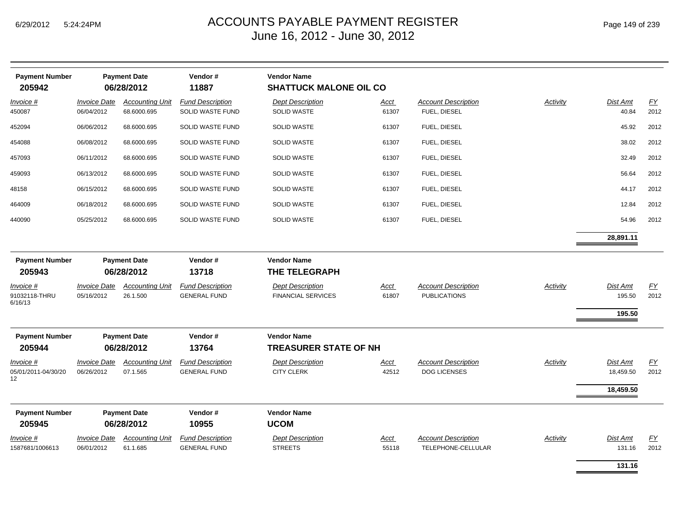| <b>Payment Number</b><br>205942         |                                   | <b>Payment Date</b><br>06/28/2012     | Vendor#<br>11887                               | <b>Vendor Name</b><br><b>SHATTUCK MALONE OIL CO</b>  |                      |                                                   |                 |                                     |                          |
|-----------------------------------------|-----------------------------------|---------------------------------------|------------------------------------------------|------------------------------------------------------|----------------------|---------------------------------------------------|-----------------|-------------------------------------|--------------------------|
| Invoice #<br>450087                     | <b>Invoice Date</b><br>06/04/2012 | <b>Accounting Unit</b><br>68.6000.695 | <b>Fund Description</b><br>SOLID WASTE FUND    | <b>Dept Description</b><br><b>SOLID WASTE</b>        | Acct<br>61307        | <b>Account Description</b><br>FUEL, DIESEL        | Activity        | Dist Amt<br>40.84                   | $\underline{FY}$<br>2012 |
| 452094                                  | 06/06/2012                        | 68.6000.695                           | SOLID WASTE FUND                               | <b>SOLID WASTE</b>                                   | 61307                | FUEL, DIESEL                                      |                 | 45.92                               | 2012                     |
| 454088                                  | 06/08/2012                        | 68.6000.695                           | SOLID WASTE FUND                               | <b>SOLID WASTE</b>                                   | 61307                | FUEL, DIESEL                                      |                 | 38.02                               | 2012                     |
| 457093                                  | 06/11/2012                        | 68.6000.695                           | SOLID WASTE FUND                               | <b>SOLID WASTE</b>                                   | 61307                | FUEL, DIESEL                                      |                 | 32.49                               | 2012                     |
| 459093                                  | 06/13/2012                        | 68.6000.695                           | SOLID WASTE FUND                               | <b>SOLID WASTE</b>                                   | 61307                | FUEL, DIESEL                                      |                 | 56.64                               | 2012                     |
| 48158                                   | 06/15/2012                        | 68.6000.695                           | SOLID WASTE FUND                               | <b>SOLID WASTE</b>                                   | 61307                | FUEL, DIESEL                                      |                 | 44.17                               | 2012                     |
| 464009                                  | 06/18/2012                        | 68.6000.695                           | SOLID WASTE FUND                               | <b>SOLID WASTE</b>                                   | 61307                | FUEL, DIESEL                                      |                 | 12.84                               | 2012                     |
| 440090                                  | 05/25/2012                        | 68.6000.695                           | SOLID WASTE FUND                               | <b>SOLID WASTE</b>                                   | 61307                | FUEL, DIESEL                                      |                 | 54.96                               | 2012                     |
|                                         |                                   |                                       |                                                |                                                      |                      |                                                   |                 | 28,891.11                           |                          |
| <b>Payment Number</b><br>205943         |                                   | <b>Payment Date</b><br>06/28/2012     | Vendor#<br>13718                               | <b>Vendor Name</b><br>THE TELEGRAPH                  |                      |                                                   |                 |                                     |                          |
| Invoice #<br>91032118-THRU<br>6/16/13   | <b>Invoice Date</b><br>05/16/2012 | <b>Accounting Unit</b><br>26.1.500    | <b>Fund Description</b><br><b>GENERAL FUND</b> | <b>Dept Description</b><br><b>FINANCIAL SERVICES</b> | Acct<br>61807        | <b>Account Description</b><br><b>PUBLICATIONS</b> | Activity        | <b>Dist Amt</b><br>195.50<br>195.50 | $\underline{FY}$<br>2012 |
| <b>Payment Number</b><br>205944         |                                   | <b>Payment Date</b><br>06/28/2012     | Vendor#<br>13764                               | <b>Vendor Name</b><br><b>TREASURER STATE OF NH</b>   |                      |                                                   |                 |                                     |                          |
| Invoice #<br>05/01/2011-04/30/20<br>12. | <b>Invoice Date</b><br>06/26/2012 | <b>Accounting Unit</b><br>07.1.565    | <b>Fund Description</b><br><b>GENERAL FUND</b> | <b>Dept Description</b><br><b>CITY CLERK</b>         | Acct<br>42512        | <b>Account Description</b><br><b>DOG LICENSES</b> | Activity        | Dist Amt<br>18,459.50               | EY<br>2012               |
|                                         |                                   |                                       |                                                |                                                      |                      |                                                   |                 | 18,459.50                           |                          |
| <b>Payment Number</b><br>205945         |                                   | <b>Payment Date</b><br>06/28/2012     | Vendor#<br>10955                               | <b>Vendor Name</b><br><b>UCOM</b>                    |                      |                                                   |                 |                                     |                          |
| Invoice #<br>1587681/1006613            | <b>Invoice Date</b><br>06/01/2012 | <b>Accounting Unit</b><br>61.1.685    | <b>Fund Description</b><br><b>GENERAL FUND</b> | <b>Dept Description</b><br><b>STREETS</b>            | <u>Acct</u><br>55118 | <b>Account Description</b><br>TELEPHONE-CELLULAR  | <b>Activity</b> | Dist Amt<br>131.16                  | $\underline{FY}$<br>2012 |
|                                         |                                   |                                       |                                                |                                                      |                      |                                                   |                 | 131.16                              |                          |

۰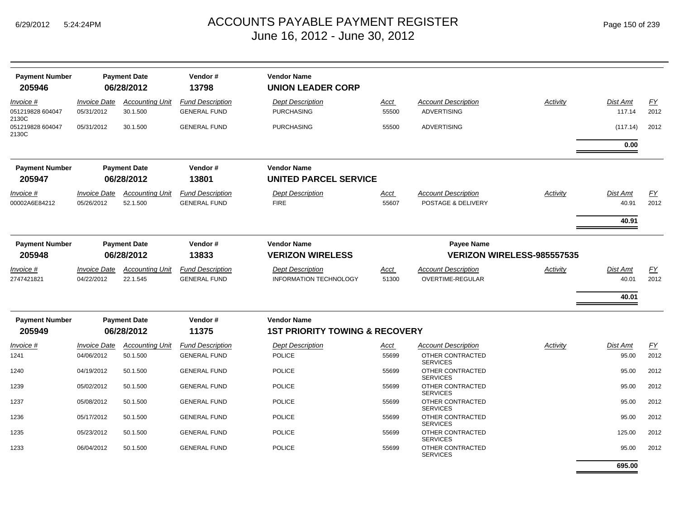| Page 150 of 239 |  |  |  |
|-----------------|--|--|--|
|-----------------|--|--|--|

|                                    |                                          |                                    |                                                | <b>Vendor Name</b>                                       |                      |                                                  |          |                    |                          |
|------------------------------------|------------------------------------------|------------------------------------|------------------------------------------------|----------------------------------------------------------|----------------------|--------------------------------------------------|----------|--------------------|--------------------------|
| <b>Payment Number</b><br>205946    |                                          | <b>Payment Date</b><br>06/28/2012  | Vendor#<br>13798                               | <b>UNION LEADER CORP</b>                                 |                      |                                                  |          |                    |                          |
| Invoice #<br>051219828 604047      | <i><b>Invoice Date</b></i><br>05/31/2012 | <b>Accounting Unit</b><br>30.1.500 | <b>Fund Description</b><br><b>GENERAL FUND</b> | <b>Dept Description</b><br><b>PURCHASING</b>             | <u>Acct</u><br>55500 | <b>Account Description</b><br><b>ADVERTISING</b> | Activity | Dist Amt<br>117.14 | $\underline{FY}$<br>2012 |
| 2130C<br>051219828 604047<br>2130C | 05/31/2012                               | 30.1.500                           | <b>GENERAL FUND</b>                            | <b>PURCHASING</b>                                        | 55500                | <b>ADVERTISING</b>                               |          | (117.14)           | 2012                     |
|                                    |                                          |                                    |                                                |                                                          |                      |                                                  |          | 0.00               |                          |
| <b>Payment Number</b><br>205947    |                                          | <b>Payment Date</b><br>06/28/2012  | Vendor#<br>13801                               | <b>Vendor Name</b><br><b>UNITED PARCEL SERVICE</b>       |                      |                                                  |          |                    |                          |
| Invoice #<br>00002A6E84212         | <b>Invoice Date</b><br>05/26/2012        | <b>Accounting Unit</b><br>52.1.500 | <b>Fund Description</b><br><b>GENERAL FUND</b> | <b>Dept Description</b><br><b>FIRE</b>                   | Acct<br>55607        | <b>Account Description</b><br>POSTAGE & DELIVERY | Activity | Dist Amt<br>40.91  | EY<br>2012               |
|                                    |                                          |                                    |                                                |                                                          |                      |                                                  |          | 40.91              |                          |
| <b>Payment Number</b>              |                                          | <b>Payment Date</b>                | Vendor#                                        | <b>Vendor Name</b>                                       |                      | <b>Payee Name</b>                                |          |                    |                          |
| 205948                             | 06/28/2012                               |                                    | 13833                                          | <b>VERIZON WIRELESS</b>                                  |                      | <b>VERIZON WIRELESS-985557535</b>                |          |                    |                          |
| Invoice #<br>2747421821            | <b>Invoice Date</b><br>04/22/2012        | <b>Accounting Unit</b><br>22.1.545 | <b>Fund Description</b><br><b>GENERAL FUND</b> | <b>Dept Description</b><br><b>INFORMATION TECHNOLOGY</b> | Acct<br>51300        | <b>Account Description</b><br>OVERTIME-REGULAR   | Activity | Dist Amt<br>40.01  | EY<br>2012               |
|                                    |                                          |                                    |                                                |                                                          |                      |                                                  |          | 40.01              |                          |
| <b>Payment Number</b>              |                                          | <b>Payment Date</b>                | Vendor#                                        | <b>Vendor Name</b>                                       |                      |                                                  |          |                    |                          |
| 205949                             |                                          | 06/28/2012                         | 11375                                          | <b>1ST PRIORITY TOWING &amp; RECOVERY</b>                |                      |                                                  |          |                    |                          |
| Invoice #                          | <b>Invoice Date</b>                      | <b>Accounting Unit</b>             | <b>Fund Description</b>                        | <b>Dept Description</b>                                  | <u>Acct</u>          | <b>Account Description</b>                       | Activity | Dist Amt           | EY                       |
| 1241                               | 04/06/2012                               | 50.1.500                           | <b>GENERAL FUND</b>                            | <b>POLICE</b>                                            | 55699                | OTHER CONTRACTED<br><b>SERVICES</b>              |          | 95.00              | 2012                     |
| 1240                               | 04/19/2012                               | 50.1.500                           | <b>GENERAL FUND</b>                            | <b>POLICE</b>                                            | 55699                | OTHER CONTRACTED<br><b>SERVICES</b>              |          | 95.00              | 2012                     |
| 1239                               | 05/02/2012                               | 50.1.500                           | <b>GENERAL FUND</b>                            | <b>POLICE</b>                                            | 55699                | OTHER CONTRACTED<br><b>SERVICES</b>              |          | 95.00              | 2012                     |
| 1237                               | 05/08/2012                               | 50.1.500                           | <b>GENERAL FUND</b>                            | <b>POLICE</b>                                            | 55699                | OTHER CONTRACTED<br><b>SERVICES</b>              |          | 95.00              | 2012                     |
| 1236                               | 05/17/2012                               | 50.1.500                           | <b>GENERAL FUND</b>                            | <b>POLICE</b>                                            | 55699                | OTHER CONTRACTED<br><b>SERVICES</b>              |          | 95.00              | 2012                     |
| 1235                               | 05/23/2012                               | 50.1.500                           | <b>GENERAL FUND</b>                            | <b>POLICE</b>                                            | 55699                | OTHER CONTRACTED<br><b>SERVICES</b>              |          | 125.00             | 2012                     |
| 1233                               | 06/04/2012                               | 50.1.500                           | <b>GENERAL FUND</b>                            | <b>POLICE</b>                                            | 55699                | OTHER CONTRACTED<br><b>SERVICES</b>              |          | 95.00              | 2012                     |
|                                    |                                          |                                    |                                                |                                                          |                      |                                                  |          | 695.00             |                          |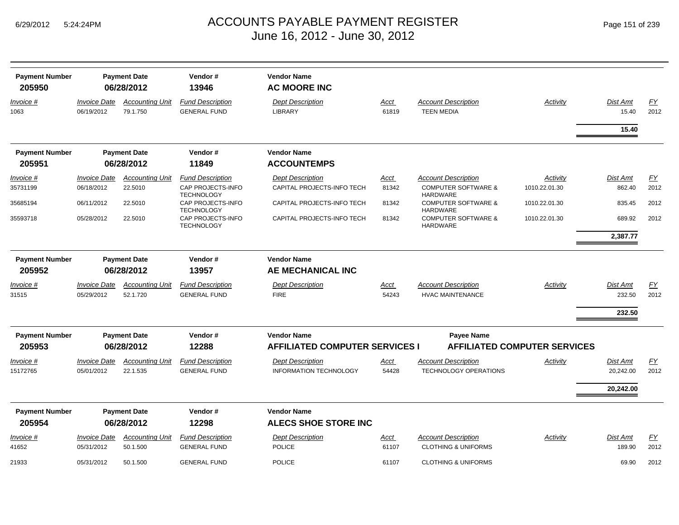| <b>Payment Number</b><br>205950 |                                   | <b>Payment Date</b><br>06/28/2012  | Vendor#<br>13946                               | <b>Vendor Name</b><br><b>AC MOORE INC</b> |                      |                                                              |                                     |                    |            |
|---------------------------------|-----------------------------------|------------------------------------|------------------------------------------------|-------------------------------------------|----------------------|--------------------------------------------------------------|-------------------------------------|--------------------|------------|
| Invoice #<br>1063               | <b>Invoice Date</b><br>06/19/2012 | <b>Accounting Unit</b><br>79.1.750 | <b>Fund Description</b><br><b>GENERAL FUND</b> | <b>Dept Description</b><br><b>LIBRARY</b> | Acct<br>61819        | <b>Account Description</b><br><b>TEEN MEDIA</b>              | Activity                            | Dist Amt<br>15.40  | EY<br>2012 |
|                                 |                                   |                                    |                                                |                                           |                      |                                                              |                                     | 15.40              |            |
| <b>Payment Number</b>           |                                   | <b>Payment Date</b>                | Vendor#                                        | <b>Vendor Name</b>                        |                      |                                                              |                                     |                    |            |
| 205951                          |                                   | 06/28/2012                         | 11849                                          | <b>ACCOUNTEMPS</b>                        |                      |                                                              |                                     |                    |            |
| Invoice #                       | <b>Invoice Date</b>               | <b>Accounting Unit</b>             | <b>Fund Description</b>                        | <b>Dept Description</b>                   | <u>Acct</u>          | <b>Account Description</b>                                   | Activity                            | Dist Amt           | EY         |
| 35731199                        | 06/18/2012                        | 22.5010                            | CAP PROJECTS-INFO<br><b>TECHNOLOGY</b>         | CAPITAL PROJECTS-INFO TECH                | 81342                | <b>COMPUTER SOFTWARE &amp;</b><br><b>HARDWARE</b>            | 1010.22.01.30                       | 862.40             | 2012       |
| 35685194                        | 06/11/2012                        | 22.5010                            | CAP PROJECTS-INFO<br><b>TECHNOLOGY</b>         | CAPITAL PROJECTS-INFO TECH                | 81342                | <b>COMPUTER SOFTWARE &amp;</b><br><b>HARDWARE</b>            | 1010.22.01.30                       | 835.45             | 2012       |
| 35593718                        | 05/28/2012                        | 22.5010                            | CAP PROJECTS-INFO<br><b>TECHNOLOGY</b>         | CAPITAL PROJECTS-INFO TECH                | 81342                | <b>COMPUTER SOFTWARE &amp;</b><br><b>HARDWARE</b>            | 1010.22.01.30                       | 689.92             | 2012       |
|                                 |                                   |                                    |                                                |                                           |                      |                                                              |                                     | 2,387.77           |            |
| <b>Payment Number</b>           |                                   | <b>Payment Date</b>                | Vendor#                                        | <b>Vendor Name</b>                        |                      |                                                              |                                     |                    |            |
| 205952                          |                                   | 06/28/2012                         | 13957                                          | AE MECHANICAL INC                         |                      |                                                              |                                     |                    |            |
| Invoice #                       | <b>Invoice Date</b>               | <b>Accounting Unit</b>             | <b>Fund Description</b>                        | <b>Dept Description</b>                   | <u>Acct</u>          | Account Description                                          | Activity                            | Dist Amt           | <u>FY</u>  |
| 31515                           | 05/29/2012                        | 52.1.720                           | <b>GENERAL FUND</b>                            | <b>FIRE</b>                               | 54243                | <b>HVAC MAINTENANCE</b>                                      |                                     | 232.50             | 2012       |
|                                 |                                   |                                    |                                                |                                           |                      |                                                              |                                     | 232.50             |            |
| <b>Payment Number</b>           |                                   | <b>Payment Date</b>                | Vendor#                                        | <b>Vendor Name</b>                        |                      | <b>Payee Name</b>                                            |                                     |                    |            |
| 205953                          |                                   | 06/28/2012                         | 12288                                          | <b>AFFILIATED COMPUTER SERVICES I</b>     |                      |                                                              | <b>AFFILIATED COMPUTER SERVICES</b> |                    |            |
| Invoice #                       | <b>Invoice Date</b>               | <b>Accounting Unit</b>             | <b>Fund Description</b>                        | <b>Dept Description</b>                   | Acct                 | <b>Account Description</b>                                   | Activity                            | Dist Amt           | EY         |
| 15172765                        | 05/01/2012                        | 22.1.535                           | <b>GENERAL FUND</b>                            | <b>INFORMATION TECHNOLOGY</b>             | 54428                | <b>TECHNOLOGY OPERATIONS</b>                                 |                                     | 20,242.00          | 2012       |
|                                 |                                   |                                    |                                                |                                           |                      |                                                              |                                     | 20,242.00          |            |
| <b>Payment Number</b>           |                                   | <b>Payment Date</b>                | Vendor#                                        | <b>Vendor Name</b>                        |                      |                                                              |                                     |                    |            |
| 205954                          |                                   | 06/28/2012                         | 12298                                          | <b>ALECS SHOE STORE INC</b>               |                      |                                                              |                                     |                    |            |
| Invoice #<br>41652              | <b>Invoice Date</b><br>05/31/2012 | <b>Accounting Unit</b><br>50.1.500 | <b>Fund Description</b><br><b>GENERAL FUND</b> | <b>Dept Description</b><br><b>POLICE</b>  | <u>Acct</u><br>61107 | <b>Account Description</b><br><b>CLOTHING &amp; UNIFORMS</b> | Activity                            | Dist Amt<br>189.90 | EY<br>2012 |
|                                 |                                   |                                    |                                                |                                           |                      |                                                              |                                     |                    |            |
| 21933                           | 05/31/2012                        | 50.1.500                           | <b>GENERAL FUND</b>                            | <b>POLICE</b>                             | 61107                | <b>CLOTHING &amp; UNIFORMS</b>                               |                                     | 69.90              | 2012       |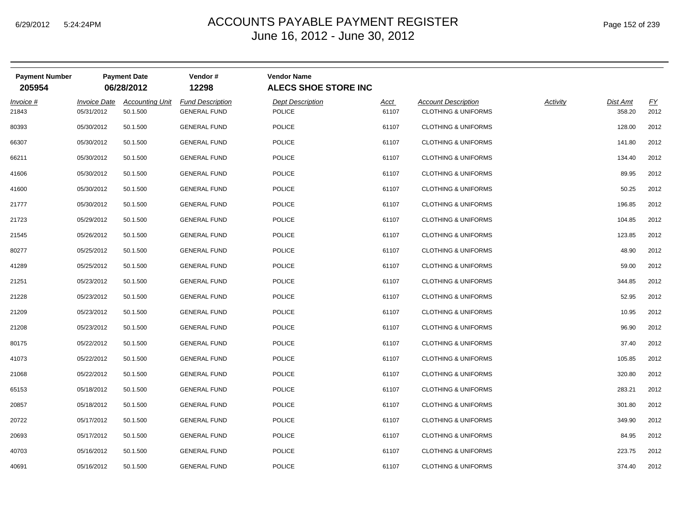| <b>Payment Number</b><br>205954 |                                   | <b>Payment Date</b><br>06/28/2012  | Vendor#<br>12298                               | <b>Vendor Name</b><br><b>ALECS SHOE STORE INC</b> |               |                                                              |          |                    |            |
|---------------------------------|-----------------------------------|------------------------------------|------------------------------------------------|---------------------------------------------------|---------------|--------------------------------------------------------------|----------|--------------------|------------|
| Invoice #<br>21843              | <b>Invoice Date</b><br>05/31/2012 | <b>Accounting Unit</b><br>50.1.500 | <b>Fund Description</b><br><b>GENERAL FUND</b> | <b>Dept Description</b><br><b>POLICE</b>          | Acct<br>61107 | <b>Account Description</b><br><b>CLOTHING &amp; UNIFORMS</b> | Activity | Dist Amt<br>358.20 | EY<br>2012 |
| 80393                           | 05/30/2012                        | 50.1.500                           | <b>GENERAL FUND</b>                            | <b>POLICE</b>                                     | 61107         | <b>CLOTHING &amp; UNIFORMS</b>                               |          | 128.00             | 2012       |
| 66307                           | 05/30/2012                        | 50.1.500                           | <b>GENERAL FUND</b>                            | POLICE                                            | 61107         | <b>CLOTHING &amp; UNIFORMS</b>                               |          | 141.80             | 2012       |
| 66211                           | 05/30/2012                        | 50.1.500                           | <b>GENERAL FUND</b>                            | <b>POLICE</b>                                     | 61107         | <b>CLOTHING &amp; UNIFORMS</b>                               |          | 134.40             | 2012       |
| 41606                           | 05/30/2012                        | 50.1.500                           | <b>GENERAL FUND</b>                            | POLICE                                            | 61107         | <b>CLOTHING &amp; UNIFORMS</b>                               |          | 89.95              | 2012       |
| 41600                           | 05/30/2012                        | 50.1.500                           | <b>GENERAL FUND</b>                            | <b>POLICE</b>                                     | 61107         | <b>CLOTHING &amp; UNIFORMS</b>                               |          | 50.25              | 2012       |
| 21777                           | 05/30/2012                        | 50.1.500                           | <b>GENERAL FUND</b>                            | <b>POLICE</b>                                     | 61107         | <b>CLOTHING &amp; UNIFORMS</b>                               |          | 196.85             | 2012       |
| 21723                           | 05/29/2012                        | 50.1.500                           | <b>GENERAL FUND</b>                            | <b>POLICE</b>                                     | 61107         | <b>CLOTHING &amp; UNIFORMS</b>                               |          | 104.85             | 2012       |
| 21545                           | 05/26/2012                        | 50.1.500                           | <b>GENERAL FUND</b>                            | <b>POLICE</b>                                     | 61107         | <b>CLOTHING &amp; UNIFORMS</b>                               |          | 123.85             | 2012       |
| 80277                           | 05/25/2012                        | 50.1.500                           | <b>GENERAL FUND</b>                            | POLICE                                            | 61107         | <b>CLOTHING &amp; UNIFORMS</b>                               |          | 48.90              | 2012       |
| 41289                           | 05/25/2012                        | 50.1.500                           | <b>GENERAL FUND</b>                            | <b>POLICE</b>                                     | 61107         | <b>CLOTHING &amp; UNIFORMS</b>                               |          | 59.00              | 2012       |
| 21251                           | 05/23/2012                        | 50.1.500                           | <b>GENERAL FUND</b>                            | <b>POLICE</b>                                     | 61107         | <b>CLOTHING &amp; UNIFORMS</b>                               |          | 344.85             | 2012       |
| 21228                           | 05/23/2012                        | 50.1.500                           | <b>GENERAL FUND</b>                            | <b>POLICE</b>                                     | 61107         | <b>CLOTHING &amp; UNIFORMS</b>                               |          | 52.95              | 2012       |
| 21209                           | 05/23/2012                        | 50.1.500                           | <b>GENERAL FUND</b>                            | <b>POLICE</b>                                     | 61107         | <b>CLOTHING &amp; UNIFORMS</b>                               |          | 10.95              | 2012       |
| 21208                           | 05/23/2012                        | 50.1.500                           | <b>GENERAL FUND</b>                            | <b>POLICE</b>                                     | 61107         | <b>CLOTHING &amp; UNIFORMS</b>                               |          | 96.90              | 2012       |
| 80175                           | 05/22/2012                        | 50.1.500                           | <b>GENERAL FUND</b>                            | POLICE                                            | 61107         | <b>CLOTHING &amp; UNIFORMS</b>                               |          | 37.40              | 2012       |
| 41073                           | 05/22/2012                        | 50.1.500                           | <b>GENERAL FUND</b>                            | <b>POLICE</b>                                     | 61107         | <b>CLOTHING &amp; UNIFORMS</b>                               |          | 105.85             | 2012       |
| 21068                           | 05/22/2012                        | 50.1.500                           | <b>GENERAL FUND</b>                            | <b>POLICE</b>                                     | 61107         | <b>CLOTHING &amp; UNIFORMS</b>                               |          | 320.80             | 2012       |
| 65153                           | 05/18/2012                        | 50.1.500                           | <b>GENERAL FUND</b>                            | <b>POLICE</b>                                     | 61107         | <b>CLOTHING &amp; UNIFORMS</b>                               |          | 283.21             | 2012       |
| 20857                           | 05/18/2012                        | 50.1.500                           | <b>GENERAL FUND</b>                            | <b>POLICE</b>                                     | 61107         | <b>CLOTHING &amp; UNIFORMS</b>                               |          | 301.80             | 2012       |
| 20722                           | 05/17/2012                        | 50.1.500                           | <b>GENERAL FUND</b>                            | <b>POLICE</b>                                     | 61107         | <b>CLOTHING &amp; UNIFORMS</b>                               |          | 349.90             | 2012       |
| 20693                           | 05/17/2012                        | 50.1.500                           | <b>GENERAL FUND</b>                            | <b>POLICE</b>                                     | 61107         | <b>CLOTHING &amp; UNIFORMS</b>                               |          | 84.95              | 2012       |
| 40703                           | 05/16/2012                        | 50.1.500                           | <b>GENERAL FUND</b>                            | POLICE                                            | 61107         | <b>CLOTHING &amp; UNIFORMS</b>                               |          | 223.75             | 2012       |
| 40691                           | 05/16/2012                        | 50.1.500                           | <b>GENERAL FUND</b>                            | <b>POLICE</b>                                     | 61107         | <b>CLOTHING &amp; UNIFORMS</b>                               |          | 374.40             | 2012       |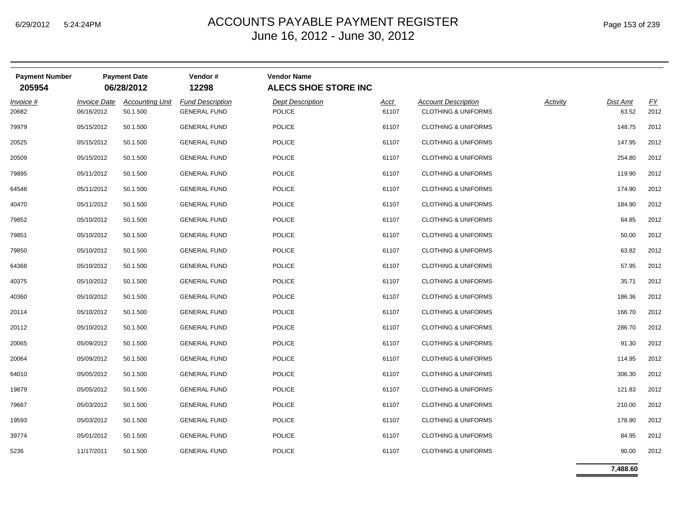#### $_{\mathsf{M}}$   $\blacksquare$   $\blacksquare$   $\blacksquare$   $\blacksquare$   $\blacksquare$   $\blacksquare$   $\blacksquare$   $\blacksquare$   $\blacksquare$   $\blacksquare$   $\blacksquare$   $\blacksquare$   $\blacksquare$   $\blacksquare$   $\blacksquare$   $\blacksquare$   $\blacksquare$   $\blacksquare$   $\blacksquare$   $\blacksquare$   $\blacksquare$   $\blacksquare$   $\blacksquare$   $\blacksquare$   $\blacksquare$   $\blacksquare$   $\blacksquare$   $\blacksquare$   $\blacksquare$   $\blacksquare$  June 16, 2012 - June 30, 2012

| <b>Payment Number</b><br>205954 |                     | <b>Payment Date</b><br>06/28/2012 | Vendor#<br>12298        | <b>Vendor Name</b><br><b>ALECS SHOE STORE INC</b> |             |                                |                 |          |      |
|---------------------------------|---------------------|-----------------------------------|-------------------------|---------------------------------------------------|-------------|--------------------------------|-----------------|----------|------|
| Invoice #                       | <b>Invoice Date</b> | <b>Accounting Unit</b>            | <b>Fund Description</b> | <b>Dept Description</b>                           | <u>Acct</u> | <b>Account Description</b>     | <b>Activity</b> | Dist Amt | EY   |
| 20682                           | 06/16/2012          | 50.1.500                          | <b>GENERAL FUND</b>     | POLICE                                            | 61107       | <b>CLOTHING &amp; UNIFORMS</b> |                 | 63.52    | 2012 |
| 79979                           | 05/15/2012          | 50.1.500                          | <b>GENERAL FUND</b>     | <b>POLICE</b>                                     | 61107       | <b>CLOTHING &amp; UNIFORMS</b> |                 | 148.75   | 2012 |
| 20525                           | 05/15/2012          | 50.1.500                          | <b>GENERAL FUND</b>     | <b>POLICE</b>                                     | 61107       | <b>CLOTHING &amp; UNIFORMS</b> |                 | 147.95   | 2012 |
| 20509                           | 05/15/2012          | 50.1.500                          | <b>GENERAL FUND</b>     | <b>POLICE</b>                                     | 61107       | <b>CLOTHING &amp; UNIFORMS</b> |                 | 254.80   | 2012 |
| 79895                           | 05/11/2012          | 50.1.500                          | <b>GENERAL FUND</b>     | <b>POLICE</b>                                     | 61107       | <b>CLOTHING &amp; UNIFORMS</b> |                 | 119.90   | 2012 |
| 64548                           | 05/11/2012          | 50.1.500                          | <b>GENERAL FUND</b>     | <b>POLICE</b>                                     | 61107       | <b>CLOTHING &amp; UNIFORMS</b> |                 | 174.90   | 2012 |
| 40470                           | 05/11/2012          | 50.1.500                          | <b>GENERAL FUND</b>     | <b>POLICE</b>                                     | 61107       | <b>CLOTHING &amp; UNIFORMS</b> |                 | 184.90   | 2012 |
| 79852                           | 05/10/2012          | 50.1.500                          | <b>GENERAL FUND</b>     | <b>POLICE</b>                                     | 61107       | <b>CLOTHING &amp; UNIFORMS</b> |                 | 64.85    | 2012 |
| 79851                           | 05/10/2012          | 50.1.500                          | <b>GENERAL FUND</b>     | POLICE                                            | 61107       | <b>CLOTHING &amp; UNIFORMS</b> |                 | 50.00    | 2012 |
| 79850                           | 05/10/2012          | 50.1.500                          | <b>GENERAL FUND</b>     | <b>POLICE</b>                                     | 61107       | <b>CLOTHING &amp; UNIFORMS</b> |                 | 63.82    | 2012 |
| 64368                           | 05/10/2012          | 50.1.500                          | <b>GENERAL FUND</b>     | POLICE                                            | 61107       | <b>CLOTHING &amp; UNIFORMS</b> |                 | 57.95    | 2012 |
| 40375                           | 05/10/2012          | 50.1.500                          | <b>GENERAL FUND</b>     | POLICE                                            | 61107       | <b>CLOTHING &amp; UNIFORMS</b> |                 | 35.71    | 2012 |
| 40360                           | 05/10/2012          | 50.1.500                          | <b>GENERAL FUND</b>     | POLICE                                            | 61107       | <b>CLOTHING &amp; UNIFORMS</b> |                 | 186.36   | 2012 |
| 20114                           | 05/10/2012          | 50.1.500                          | <b>GENERAL FUND</b>     | <b>POLICE</b>                                     | 61107       | <b>CLOTHING &amp; UNIFORMS</b> |                 | 166.70   | 2012 |
| 20112                           | 05/10/2012          | 50.1.500                          | <b>GENERAL FUND</b>     | <b>POLICE</b>                                     | 61107       | <b>CLOTHING &amp; UNIFORMS</b> |                 | 286.70   | 2012 |
| 20065                           | 05/09/2012          | 50.1.500                          | <b>GENERAL FUND</b>     | <b>POLICE</b>                                     | 61107       | <b>CLOTHING &amp; UNIFORMS</b> |                 | 91.30    | 2012 |
| 20064                           | 05/09/2012          | 50.1.500                          | <b>GENERAL FUND</b>     | <b>POLICE</b>                                     | 61107       | <b>CLOTHING &amp; UNIFORMS</b> |                 | 114.95   | 2012 |
| 64010                           | 05/05/2012          | 50.1.500                          | <b>GENERAL FUND</b>     | <b>POLICE</b>                                     | 61107       | <b>CLOTHING &amp; UNIFORMS</b> |                 | 306.30   | 2012 |
| 19879                           | 05/05/2012          | 50.1.500                          | <b>GENERAL FUND</b>     | <b>POLICE</b>                                     | 61107       | <b>CLOTHING &amp; UNIFORMS</b> |                 | 121.83   | 2012 |
| 79667                           | 05/03/2012          | 50.1.500                          | <b>GENERAL FUND</b>     | <b>POLICE</b>                                     | 61107       | <b>CLOTHING &amp; UNIFORMS</b> |                 | 210.00   | 2012 |
| 19593                           | 05/03/2012          | 50.1.500                          | <b>GENERAL FUND</b>     | <b>POLICE</b>                                     | 61107       | <b>CLOTHING &amp; UNIFORMS</b> |                 | 178.90   | 2012 |
| 39774                           | 05/01/2012          | 50.1.500                          | <b>GENERAL FUND</b>     | <b>POLICE</b>                                     | 61107       | <b>CLOTHING &amp; UNIFORMS</b> |                 | 84.95    | 2012 |
| 5236                            | 11/17/2011          | 50.1.500                          | <b>GENERAL FUND</b>     | <b>POLICE</b>                                     | 61107       | <b>CLOTHING &amp; UNIFORMS</b> |                 | 90.00    | 2012 |

**7,488.60**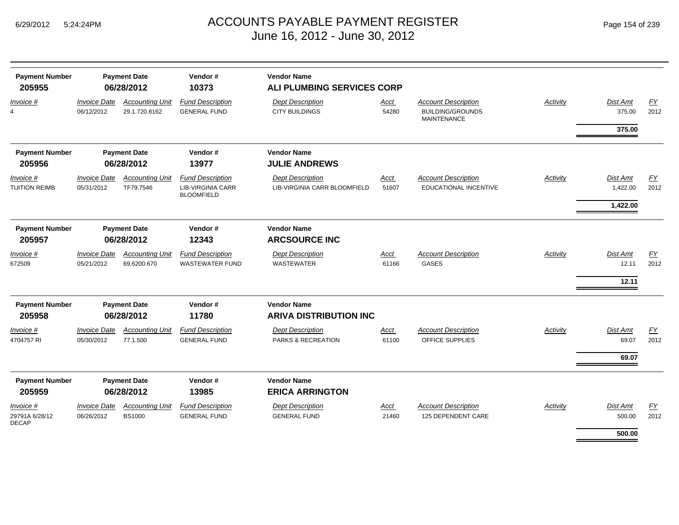| <b>Payment Number</b><br>205955                    |                                   | <b>Payment Date</b><br>06/28/2012       | Vendor#<br>10373                                                         | <b>Vendor Name</b><br>ALI PLUMBING SERVICES CORP        |               |                                                                             |          |                      |                   |
|----------------------------------------------------|-----------------------------------|-----------------------------------------|--------------------------------------------------------------------------|---------------------------------------------------------|---------------|-----------------------------------------------------------------------------|----------|----------------------|-------------------|
| Invoice #                                          | <b>Invoice Date</b><br>06/12/2012 | <b>Accounting Unit</b><br>29.1.720.8162 | <b>Fund Description</b><br><b>GENERAL FUND</b>                           | <b>Dept Description</b><br><b>CITY BUILDINGS</b>        | Acct<br>54280 | <b>Account Description</b><br><b>BUILDING/GROUNDS</b><br><b>MAINTENANCE</b> | Activity | Dist Amt<br>375.00   | <u>FY</u><br>2012 |
|                                                    |                                   |                                         |                                                                          |                                                         |               |                                                                             |          | 375.00               |                   |
| <b>Payment Number</b>                              |                                   | <b>Payment Date</b>                     | Vendor#                                                                  | <b>Vendor Name</b>                                      |               |                                                                             |          |                      |                   |
| 205956                                             |                                   | 06/28/2012                              | 13977                                                                    | <b>JULIE ANDREWS</b>                                    |               |                                                                             |          |                      |                   |
| <i>Invoice</i> #<br>TUITION REIMB                  | <b>Invoice Date</b><br>05/31/2012 | <b>Accounting Unit</b><br>TF79.7546     | <b>Fund Description</b><br><b>LIB-VIRGINIA CARR</b><br><b>BLOOMFIELD</b> | <b>Dept Description</b><br>LIB-VIRGINIA CARR BLOOMFIELD | Acct<br>51607 | <b>Account Description</b><br><b>EDUCATIONAL INCENTIVE</b>                  | Activity | Dist Amt<br>1,422.00 | <u>FY</u><br>2012 |
|                                                    |                                   |                                         |                                                                          |                                                         |               |                                                                             |          | 1,422.00             |                   |
| <b>Payment Number</b>                              |                                   | <b>Payment Date</b>                     | Vendor#                                                                  | <b>Vendor Name</b>                                      |               |                                                                             |          |                      |                   |
| 205957                                             |                                   | 06/28/2012                              | 12343                                                                    | <b>ARCSOURCE INC</b>                                    |               |                                                                             |          |                      |                   |
| Invoice #<br>672509                                | <b>Invoice Date</b><br>05/21/2012 | <b>Accounting Unit</b><br>69.6200.670   | <b>Fund Description</b><br><b>WASTEWATER FUND</b>                        | <b>Dept Description</b><br><b>WASTEWATER</b>            | Acct<br>61166 | <b>Account Description</b><br><b>GASES</b>                                  | Activity | Dist Amt<br>12.11    | EY<br>2012        |
|                                                    |                                   |                                         |                                                                          |                                                         |               |                                                                             |          | 12.11                |                   |
| <b>Payment Number</b>                              |                                   | <b>Payment Date</b>                     | Vendor#                                                                  | <b>Vendor Name</b>                                      |               |                                                                             |          |                      |                   |
| 205958                                             |                                   | 06/28/2012                              | 11780                                                                    | <b>ARIVA DISTRIBUTION INC</b>                           |               |                                                                             |          |                      |                   |
| Invoice #<br>4704757 RI                            | <b>Invoice Date</b><br>05/30/2012 | <b>Accounting Unit</b><br>77.1.500      | <b>Fund Description</b><br><b>GENERAL FUND</b>                           | <b>Dept Description</b><br>PARKS & RECREATION           | Acct<br>61100 | <b>Account Description</b><br>OFFICE SUPPLIES                               | Activity | Dist Amt<br>69.07    | EY<br>2012        |
|                                                    |                                   |                                         |                                                                          |                                                         |               |                                                                             |          | 69.07                |                   |
| <b>Payment Number</b><br>205959                    |                                   | <b>Payment Date</b><br>06/28/2012       | Vendor#<br>13985                                                         | <b>Vendor Name</b><br><b>ERICA ARRINGTON</b>            |               |                                                                             |          |                      |                   |
| <i>Invoice</i> #<br>29791A 6/28/12<br><b>DECAP</b> | <b>Invoice Date</b><br>06/26/2012 | <b>Accounting Unit</b><br><b>BS1000</b> | <b>Fund Description</b><br><b>GENERAL FUND</b>                           | <b>Dept Description</b><br><b>GENERAL FUND</b>          | Acct<br>21460 | <b>Account Description</b><br>125 DEPENDENT CARE                            | Activity | Dist Amt<br>500.00   | EY<br>2012        |
|                                                    |                                   |                                         |                                                                          |                                                         |               |                                                                             |          | 500.00               |                   |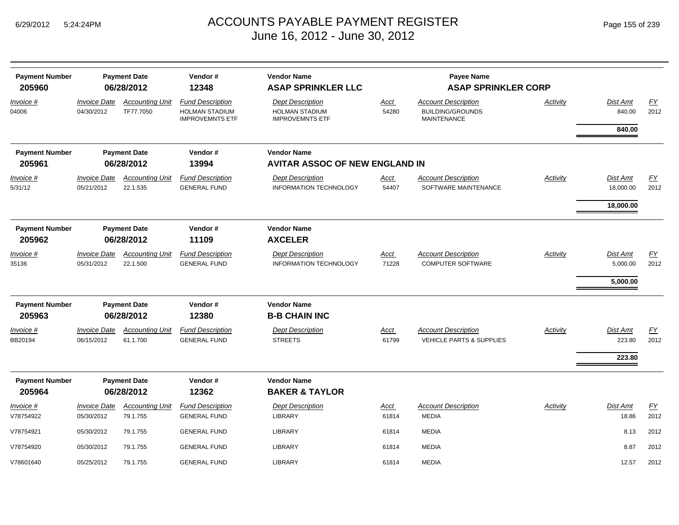| <b>Payment Number</b><br>205960 |                                          | <b>Payment Date</b><br>06/28/2012   | Vendor#<br>12348                                                           | <b>Vendor Name</b><br><b>ASAP SPRINKLER LLC</b>                            |               | <b>Payee Name</b><br><b>ASAP SPRINKLER CORP</b>                             |                 |                                  |                   |
|---------------------------------|------------------------------------------|-------------------------------------|----------------------------------------------------------------------------|----------------------------------------------------------------------------|---------------|-----------------------------------------------------------------------------|-----------------|----------------------------------|-------------------|
| Invoice #<br>04006              | <b>Invoice Date</b><br>04/30/2012        | <b>Accounting Unit</b><br>TF77.7050 | <b>Fund Description</b><br><b>HOLMAN STADIUM</b><br><b>IMPROVEMNTS ETF</b> | <b>Dept Description</b><br><b>HOLMAN STADIUM</b><br><b>IMPROVEMNTS ETF</b> | Acct<br>54280 | <b>Account Description</b><br><b>BUILDING/GROUNDS</b><br><b>MAINTENANCE</b> | <b>Activity</b> | Dist Amt<br>840.00               | <u>FY</u><br>2012 |
|                                 |                                          |                                     |                                                                            |                                                                            |               |                                                                             |                 | 840.00                           |                   |
| <b>Payment Number</b><br>205961 |                                          | <b>Payment Date</b><br>06/28/2012   | Vendor#<br>13994                                                           | <b>Vendor Name</b><br><b>AVITAR ASSOC OF NEW ENGLAND IN</b>                |               |                                                                             |                 |                                  |                   |
| Invoice #                       | <i><b>Invoice Date</b></i>               | <b>Accounting Unit</b>              | <b>Fund Description</b>                                                    | <b>Dept Description</b>                                                    | <u>Acct</u>   | <b>Account Description</b>                                                  | Activity        | Dist Amt                         | <b>FY</b>         |
| 5/31/12                         | 05/21/2012                               | 22.1.535                            | <b>GENERAL FUND</b>                                                        | <b>INFORMATION TECHNOLOGY</b>                                              | 54407         | SOFTWARE MAINTENANCE                                                        |                 | 18,000.00                        | 2012              |
|                                 |                                          |                                     |                                                                            |                                                                            |               |                                                                             |                 | 18,000.00                        |                   |
| <b>Payment Number</b><br>205962 |                                          | <b>Payment Date</b><br>06/28/2012   | Vendor#<br>11109                                                           | <b>Vendor Name</b><br><b>AXCELER</b>                                       |               |                                                                             |                 |                                  |                   |
| Invoice #<br>35136              | <b>Invoice Date</b><br>05/31/2012        | <b>Accounting Unit</b><br>22.1.500  | <b>Fund Description</b><br><b>GENERAL FUND</b>                             | <b>Dept Description</b><br>INFORMATION TECHNOLOGY                          | Acct<br>71228 | <b>Account Description</b><br><b>COMPUTER SOFTWARE</b>                      | Activity        | Dist Amt<br>5,000.00<br>5,000.00 | <u>FY</u><br>2012 |
| <b>Payment Number</b><br>205963 |                                          | <b>Payment Date</b><br>06/28/2012   | Vendor#<br>12380                                                           | <b>Vendor Name</b><br><b>B-B CHAIN INC</b>                                 |               |                                                                             |                 |                                  |                   |
| Invoice #<br>BB20194            | <i><b>Invoice Date</b></i><br>06/15/2012 | <b>Accounting Unit</b><br>61.1.700  | <b>Fund Description</b><br><b>GENERAL FUND</b>                             | <b>Dept Description</b><br><b>STREETS</b>                                  | Acct<br>61799 | <b>Account Description</b><br><b>VEHICLE PARTS &amp; SUPPLIES</b>           | Activity        | Dist Amt<br>223.80<br>223.80     | FY<br>2012        |
| <b>Payment Number</b><br>205964 |                                          | <b>Payment Date</b><br>06/28/2012   | Vendor#<br>12362                                                           | <b>Vendor Name</b><br><b>BAKER &amp; TAYLOR</b>                            |               |                                                                             |                 |                                  |                   |
| Invoice #<br>V78754922          | <b>Invoice Date</b><br>05/30/2012        | <b>Accounting Unit</b><br>79.1.755  | <b>Fund Description</b><br><b>GENERAL FUND</b>                             | <b>Dept Description</b><br><b>LIBRARY</b>                                  | Acct<br>61814 | <b>Account Description</b><br><b>MEDIA</b>                                  | Activity        | Dist Amt<br>18.86                | <u>FY</u><br>2012 |
| V78754921                       | 05/30/2012                               | 79.1.755                            | <b>GENERAL FUND</b>                                                        | <b>LIBRARY</b>                                                             | 61814         | <b>MEDIA</b>                                                                |                 | 8.13                             | 2012              |
| V78754920                       | 05/30/2012                               | 79.1.755                            | <b>GENERAL FUND</b>                                                        | <b>LIBRARY</b>                                                             | 61814         | <b>MEDIA</b>                                                                |                 | 8.87                             | 2012              |
| V78601640                       | 05/25/2012                               | 79.1.755                            | <b>GENERAL FUND</b>                                                        | LIBRARY                                                                    | 61814         | <b>MEDIA</b>                                                                |                 | 12.57                            | 2012              |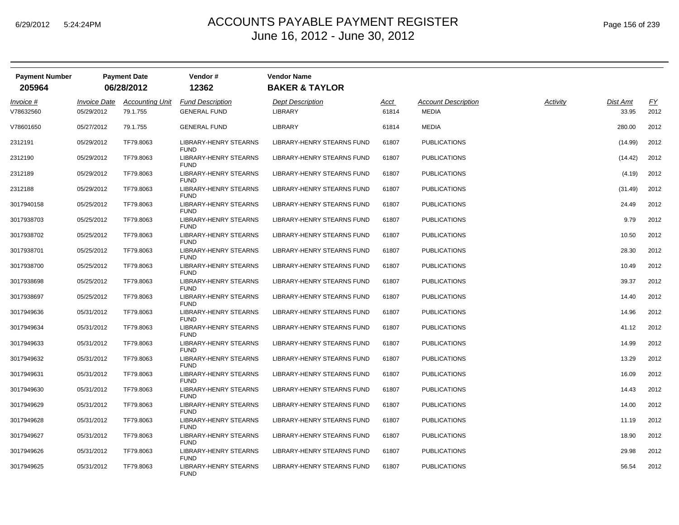| <b>Payment Number</b><br>205964 |                     | <b>Payment Date</b>    | Vendor#<br>12362                            | <b>Vendor Name</b><br><b>BAKER &amp; TAYLOR</b> |       |                            |          |          |      |
|---------------------------------|---------------------|------------------------|---------------------------------------------|-------------------------------------------------|-------|----------------------------|----------|----------|------|
|                                 |                     | 06/28/2012             |                                             |                                                 |       |                            |          |          |      |
| <u>Invoice</u> #                | <b>Invoice Date</b> | <b>Accounting Unit</b> | <b>Fund Description</b>                     | <b>Dept Description</b>                         | Acct  | <b>Account Description</b> | Activity | Dist Amt | EY   |
| V78632560                       | 05/29/2012          | 79.1.755               | <b>GENERAL FUND</b>                         | <b>LIBRARY</b>                                  | 61814 | MEDIA                      |          | 33.95    | 2012 |
| V78601650                       | 05/27/2012          | 79.1.755               | <b>GENERAL FUND</b>                         | <b>LIBRARY</b>                                  | 61814 | <b>MEDIA</b>               |          | 280.00   | 2012 |
| 2312191                         | 05/29/2012          | TF79.8063              | LIBRARY-HENRY STEARNS<br><b>FUND</b>        | LIBRARY-HENRY STEARNS FUND                      | 61807 | <b>PUBLICATIONS</b>        |          | (14.99)  | 2012 |
| 2312190                         | 05/29/2012          | TF79.8063              | LIBRARY-HENRY STEARNS<br><b>FUND</b>        | LIBRARY-HENRY STEARNS FUND                      | 61807 | <b>PUBLICATIONS</b>        |          | (14.42)  | 2012 |
| 2312189                         | 05/29/2012          | TF79.8063              | <b>LIBRARY-HENRY STEARNS</b><br><b>FUND</b> | LIBRARY-HENRY STEARNS FUND                      | 61807 | <b>PUBLICATIONS</b>        |          | (4.19)   | 2012 |
| 2312188                         | 05/29/2012          | TF79.8063              | <b>LIBRARY-HENRY STEARNS</b><br><b>FUND</b> | LIBRARY-HENRY STEARNS FUND                      | 61807 | <b>PUBLICATIONS</b>        |          | (31.49)  | 2012 |
| 3017940158                      | 05/25/2012          | TF79.8063              | <b>LIBRARY-HENRY STEARNS</b><br><b>FUND</b> | LIBRARY-HENRY STEARNS FUND                      | 61807 | <b>PUBLICATIONS</b>        |          | 24.49    | 2012 |
| 3017938703                      | 05/25/2012          | TF79.8063              | LIBRARY-HENRY STEARNS<br><b>FUND</b>        | LIBRARY-HENRY STEARNS FUND                      | 61807 | <b>PUBLICATIONS</b>        |          | 9.79     | 2012 |
| 3017938702                      | 05/25/2012          | TF79.8063              | LIBRARY-HENRY STEARNS<br><b>FUND</b>        | LIBRARY-HENRY STEARNS FUND                      | 61807 | <b>PUBLICATIONS</b>        |          | 10.50    | 2012 |
| 3017938701                      | 05/25/2012          | TF79.8063              | LIBRARY-HENRY STEARNS<br><b>FUND</b>        | LIBRARY-HENRY STEARNS FUND                      | 61807 | <b>PUBLICATIONS</b>        |          | 28.30    | 2012 |
| 3017938700                      | 05/25/2012          | TF79.8063              | LIBRARY-HENRY STEARNS<br><b>FUND</b>        | LIBRARY-HENRY STEARNS FUND                      | 61807 | <b>PUBLICATIONS</b>        |          | 10.49    | 2012 |
| 3017938698                      | 05/25/2012          | TF79.8063              | <b>LIBRARY-HENRY STEARNS</b><br><b>FUND</b> | LIBRARY-HENRY STEARNS FUND                      | 61807 | <b>PUBLICATIONS</b>        |          | 39.37    | 2012 |
| 3017938697                      | 05/25/2012          | TF79.8063              | <b>LIBRARY-HENRY STEARNS</b><br><b>FUND</b> | LIBRARY-HENRY STEARNS FUND                      | 61807 | <b>PUBLICATIONS</b>        |          | 14.40    | 2012 |
| 3017949636                      | 05/31/2012          | TF79.8063              | <b>LIBRARY-HENRY STEARNS</b><br><b>FUND</b> | LIBRARY-HENRY STEARNS FUND                      | 61807 | <b>PUBLICATIONS</b>        |          | 14.96    | 2012 |
| 3017949634                      | 05/31/2012          | TF79.8063              | LIBRARY-HENRY STEARNS<br><b>FUND</b>        | LIBRARY-HENRY STEARNS FUND                      | 61807 | <b>PUBLICATIONS</b>        |          | 41.12    | 2012 |
| 3017949633                      | 05/31/2012          | TF79.8063              | LIBRARY-HENRY STEARNS<br><b>FUND</b>        | LIBRARY-HENRY STEARNS FUND                      | 61807 | <b>PUBLICATIONS</b>        |          | 14.99    | 2012 |
| 3017949632                      | 05/31/2012          | TF79.8063              | <b>LIBRARY-HENRY STEARNS</b><br><b>FUND</b> | LIBRARY-HENRY STEARNS FUND                      | 61807 | <b>PUBLICATIONS</b>        |          | 13.29    | 2012 |
| 3017949631                      | 05/31/2012          | TF79.8063              | <b>LIBRARY-HENRY STEARNS</b><br><b>FUND</b> | LIBRARY-HENRY STEARNS FUND                      | 61807 | <b>PUBLICATIONS</b>        |          | 16.09    | 2012 |
| 3017949630                      | 05/31/2012          | TF79.8063              | LIBRARY-HENRY STEARNS<br><b>FUND</b>        | LIBRARY-HENRY STEARNS FUND                      | 61807 | <b>PUBLICATIONS</b>        |          | 14.43    | 2012 |
| 3017949629                      | 05/31/2012          | TF79.8063              | <b>LIBRARY-HENRY STEARNS</b><br><b>FUND</b> | LIBRARY-HENRY STEARNS FUND                      | 61807 | <b>PUBLICATIONS</b>        |          | 14.00    | 2012 |
| 3017949628                      | 05/31/2012          | TF79.8063              | LIBRARY-HENRY STEARNS<br><b>FUND</b>        | LIBRARY-HENRY STEARNS FUND                      | 61807 | <b>PUBLICATIONS</b>        |          | 11.19    | 2012 |
| 3017949627                      | 05/31/2012          | TF79.8063              | LIBRARY-HENRY STEARNS<br><b>FUND</b>        | LIBRARY-HENRY STEARNS FUND                      | 61807 | <b>PUBLICATIONS</b>        |          | 18.90    | 2012 |
| 3017949626                      | 05/31/2012          | TF79.8063              | LIBRARY-HENRY STEARNS<br><b>FUND</b>        | LIBRARY-HENRY STEARNS FUND                      | 61807 | <b>PUBLICATIONS</b>        |          | 29.98    | 2012 |
| 3017949625                      | 05/31/2012          | TF79.8063              | LIBRARY-HENRY STEARNS<br><b>FUND</b>        | LIBRARY-HENRY STEARNS FUND                      | 61807 | <b>PUBLICATIONS</b>        |          | 56.54    | 2012 |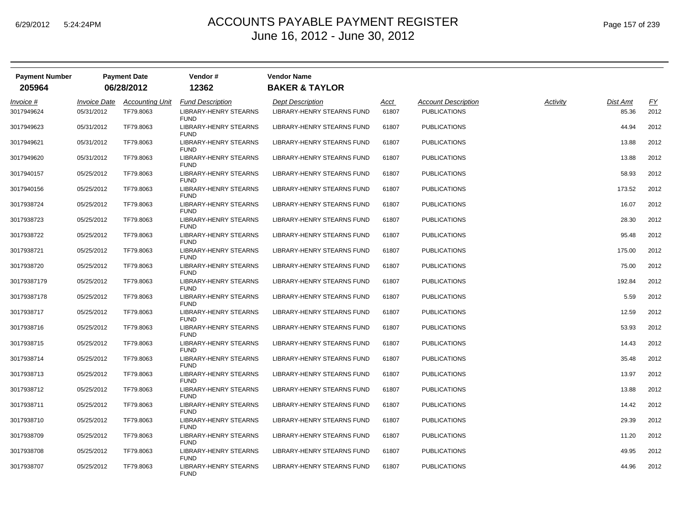| <b>Payment Number</b> |                     | <b>Payment Date</b>    | Vendor#                                     | <b>Vendor Name</b>                |             |                            |          |          |                  |
|-----------------------|---------------------|------------------------|---------------------------------------------|-----------------------------------|-------------|----------------------------|----------|----------|------------------|
| 205964                |                     | 06/28/2012             | 12362                                       | <b>BAKER &amp; TAYLOR</b>         |             |                            |          |          |                  |
| Invoice #             | <b>Invoice Date</b> | <b>Accounting Unit</b> | <b>Fund Description</b>                     | <b>Dept Description</b>           | <u>Acct</u> | <b>Account Description</b> | Activity | Dist Amt | $\underline{FY}$ |
| 3017949624            | 05/31/2012          | TF79.8063              | <b>LIBRARY-HENRY STEARNS</b><br><b>FUND</b> | <b>LIBRARY-HENRY STEARNS FUND</b> | 61807       | <b>PUBLICATIONS</b>        |          | 85.36    | 2012             |
| 3017949623            | 05/31/2012          | TF79.8063              | LIBRARY-HENRY STEARNS<br><b>FUND</b>        | LIBRARY-HENRY STEARNS FUND        | 61807       | <b>PUBLICATIONS</b>        |          | 44.94    | 2012             |
| 3017949621            | 05/31/2012          | TF79.8063              | LIBRARY-HENRY STEARNS<br><b>FUND</b>        | LIBRARY-HENRY STEARNS FUND        | 61807       | <b>PUBLICATIONS</b>        |          | 13.88    | 2012             |
| 3017949620            | 05/31/2012          | TF79.8063              | LIBRARY-HENRY STEARNS<br><b>FUND</b>        | LIBRARY-HENRY STEARNS FUND        | 61807       | <b>PUBLICATIONS</b>        |          | 13.88    | 2012             |
| 3017940157            | 05/25/2012          | TF79.8063              | LIBRARY-HENRY STEARNS<br><b>FUND</b>        | LIBRARY-HENRY STEARNS FUND        | 61807       | <b>PUBLICATIONS</b>        |          | 58.93    | 2012             |
| 3017940156            | 05/25/2012          | TF79.8063              | LIBRARY-HENRY STEARNS<br><b>FUND</b>        | LIBRARY-HENRY STEARNS FUND        | 61807       | <b>PUBLICATIONS</b>        |          | 173.52   | 2012             |
| 3017938724            | 05/25/2012          | TF79.8063              | LIBRARY-HENRY STEARNS<br><b>FUND</b>        | LIBRARY-HENRY STEARNS FUND        | 61807       | <b>PUBLICATIONS</b>        |          | 16.07    | 2012             |
| 3017938723            | 05/25/2012          | TF79.8063              | LIBRARY-HENRY STEARNS<br><b>FUND</b>        | LIBRARY-HENRY STEARNS FUND        | 61807       | <b>PUBLICATIONS</b>        |          | 28.30    | 2012             |
| 3017938722            | 05/25/2012          | TF79.8063              | LIBRARY-HENRY STEARNS<br><b>FUND</b>        | LIBRARY-HENRY STEARNS FUND        | 61807       | <b>PUBLICATIONS</b>        |          | 95.48    | 2012             |
| 3017938721            | 05/25/2012          | TF79.8063              | LIBRARY-HENRY STEARNS<br><b>FUND</b>        | LIBRARY-HENRY STEARNS FUND        | 61807       | <b>PUBLICATIONS</b>        |          | 175.00   | 2012             |
| 3017938720            | 05/25/2012          | TF79.8063              | LIBRARY-HENRY STEARNS<br><b>FUND</b>        | LIBRARY-HENRY STEARNS FUND        | 61807       | <b>PUBLICATIONS</b>        |          | 75.00    | 2012             |
| 30179387179           | 05/25/2012          | TF79.8063              | LIBRARY-HENRY STEARNS<br><b>FUND</b>        | LIBRARY-HENRY STEARNS FUND        | 61807       | <b>PUBLICATIONS</b>        |          | 192.84   | 2012             |
| 30179387178           | 05/25/2012          | TF79.8063              | LIBRARY-HENRY STEARNS<br><b>FUND</b>        | LIBRARY-HENRY STEARNS FUND        | 61807       | <b>PUBLICATIONS</b>        |          | 5.59     | 2012             |
| 3017938717            | 05/25/2012          | TF79.8063              | LIBRARY-HENRY STEARNS<br><b>FUND</b>        | LIBRARY-HENRY STEARNS FUND        | 61807       | <b>PUBLICATIONS</b>        |          | 12.59    | 2012             |
| 3017938716            | 05/25/2012          | TF79.8063              | LIBRARY-HENRY STEARNS<br><b>FUND</b>        | LIBRARY-HENRY STEARNS FUND        | 61807       | <b>PUBLICATIONS</b>        |          | 53.93    | 2012             |
| 3017938715            | 05/25/2012          | TF79.8063              | LIBRARY-HENRY STEARNS<br><b>FUND</b>        | LIBRARY-HENRY STEARNS FUND        | 61807       | <b>PUBLICATIONS</b>        |          | 14.43    | 2012             |
| 3017938714            | 05/25/2012          | TF79.8063              | LIBRARY-HENRY STEARNS<br><b>FUND</b>        | LIBRARY-HENRY STEARNS FUND        | 61807       | <b>PUBLICATIONS</b>        |          | 35.48    | 2012             |
| 3017938713            | 05/25/2012          | TF79.8063              | LIBRARY-HENRY STEARNS<br><b>FUND</b>        | LIBRARY-HENRY STEARNS FUND        | 61807       | PUBLICATIONS               |          | 13.97    | 2012             |
| 3017938712            | 05/25/2012          | TF79.8063              | LIBRARY-HENRY STEARNS<br><b>FUND</b>        | LIBRARY-HENRY STEARNS FUND        | 61807       | <b>PUBLICATIONS</b>        |          | 13.88    | 2012             |
| 3017938711            | 05/25/2012          | TF79.8063              | LIBRARY-HENRY STEARNS<br><b>FUND</b>        | LIBRARY-HENRY STEARNS FUND        | 61807       | <b>PUBLICATIONS</b>        |          | 14.42    | 2012             |
| 3017938710            | 05/25/2012          | TF79.8063              | LIBRARY-HENRY STEARNS<br><b>FUND</b>        | LIBRARY-HENRY STEARNS FUND        | 61807       | <b>PUBLICATIONS</b>        |          | 29.39    | 2012             |
| 3017938709            | 05/25/2012          | TF79.8063              | LIBRARY-HENRY STEARNS<br><b>FUND</b>        | LIBRARY-HENRY STEARNS FUND        | 61807       | <b>PUBLICATIONS</b>        |          | 11.20    | 2012             |
| 3017938708            | 05/25/2012          | TF79.8063              | LIBRARY-HENRY STEARNS<br><b>FUND</b>        | LIBRARY-HENRY STEARNS FUND        | 61807       | <b>PUBLICATIONS</b>        |          | 49.95    | 2012             |
| 3017938707            | 05/25/2012          | TF79.8063              | LIBRARY-HENRY STEARNS<br><b>FUND</b>        | LIBRARY-HENRY STEARNS FUND        | 61807       | <b>PUBLICATIONS</b>        |          | 44.96    | 2012             |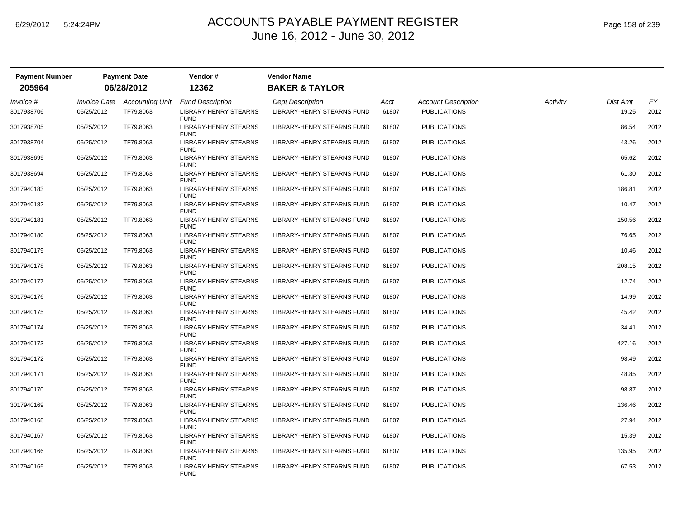| <b>Payment Number</b> |                     | <b>Payment Date</b>    | Vendor#                                     | <b>Vendor Name</b>                |       |                            |          |          |                  |
|-----------------------|---------------------|------------------------|---------------------------------------------|-----------------------------------|-------|----------------------------|----------|----------|------------------|
| 205964                |                     | 06/28/2012             | 12362                                       | <b>BAKER &amp; TAYLOR</b>         |       |                            |          |          |                  |
| Invoice #             | <b>Invoice Date</b> | <b>Accounting Unit</b> | <b>Fund Description</b>                     | <b>Dept Description</b>           | Acct  | <b>Account Description</b> | Activity | Dist Amt | $\underline{FY}$ |
| 3017938706            | 05/25/2012          | TF79.8063              | <b>LIBRARY-HENRY STEARNS</b><br><b>FUND</b> | <b>LIBRARY-HENRY STEARNS FUND</b> | 61807 | <b>PUBLICATIONS</b>        |          | 19.25    | 2012             |
| 3017938705            | 05/25/2012          | TF79.8063              | LIBRARY-HENRY STEARNS<br><b>FUND</b>        | LIBRARY-HENRY STEARNS FUND        | 61807 | <b>PUBLICATIONS</b>        |          | 86.54    | 2012             |
| 3017938704            | 05/25/2012          | TF79.8063              | <b>LIBRARY-HENRY STEARNS</b><br><b>FUND</b> | LIBRARY-HENRY STEARNS FUND        | 61807 | <b>PUBLICATIONS</b>        |          | 43.26    | 2012             |
| 3017938699            | 05/25/2012          | TF79.8063              | LIBRARY-HENRY STEARNS<br><b>FUND</b>        | LIBRARY-HENRY STEARNS FUND        | 61807 | <b>PUBLICATIONS</b>        |          | 65.62    | 2012             |
| 3017938694            | 05/25/2012          | TF79.8063              | LIBRARY-HENRY STEARNS<br><b>FUND</b>        | LIBRARY-HENRY STEARNS FUND        | 61807 | <b>PUBLICATIONS</b>        |          | 61.30    | 2012             |
| 3017940183            | 05/25/2012          | TF79.8063              | LIBRARY-HENRY STEARNS<br><b>FUND</b>        | LIBRARY-HENRY STEARNS FUND        | 61807 | <b>PUBLICATIONS</b>        |          | 186.81   | 2012             |
| 3017940182            | 05/25/2012          | TF79.8063              | LIBRARY-HENRY STEARNS<br><b>FUND</b>        | LIBRARY-HENRY STEARNS FUND        | 61807 | <b>PUBLICATIONS</b>        |          | 10.47    | 2012             |
| 3017940181            | 05/25/2012          | TF79.8063              | <b>LIBRARY-HENRY STEARNS</b><br><b>FUND</b> | LIBRARY-HENRY STEARNS FUND        | 61807 | <b>PUBLICATIONS</b>        |          | 150.56   | 2012             |
| 3017940180            | 05/25/2012          | TF79.8063              | LIBRARY-HENRY STEARNS<br><b>FUND</b>        | LIBRARY-HENRY STEARNS FUND        | 61807 | <b>PUBLICATIONS</b>        |          | 76.65    | 2012             |
| 3017940179            | 05/25/2012          | TF79.8063              | LIBRARY-HENRY STEARNS<br><b>FUND</b>        | LIBRARY-HENRY STEARNS FUND        | 61807 | <b>PUBLICATIONS</b>        |          | 10.46    | 2012             |
| 3017940178            | 05/25/2012          | TF79.8063              | LIBRARY-HENRY STEARNS<br><b>FUND</b>        | LIBRARY-HENRY STEARNS FUND        | 61807 | <b>PUBLICATIONS</b>        |          | 208.15   | 2012             |
| 3017940177            | 05/25/2012          | TF79.8063              | <b>LIBRARY-HENRY STEARNS</b><br><b>FUND</b> | LIBRARY-HENRY STEARNS FUND        | 61807 | <b>PUBLICATIONS</b>        |          | 12.74    | 2012             |
| 3017940176            | 05/25/2012          | TF79.8063              | LIBRARY-HENRY STEARNS<br><b>FUND</b>        | LIBRARY-HENRY STEARNS FUND        | 61807 | <b>PUBLICATIONS</b>        |          | 14.99    | 2012             |
| 3017940175            | 05/25/2012          | TF79.8063              | LIBRARY-HENRY STEARNS<br><b>FUND</b>        | LIBRARY-HENRY STEARNS FUND        | 61807 | <b>PUBLICATIONS</b>        |          | 45.42    | 2012             |
| 3017940174            | 05/25/2012          | TF79.8063              | LIBRARY-HENRY STEARNS<br><b>FUND</b>        | LIBRARY-HENRY STEARNS FUND        | 61807 | <b>PUBLICATIONS</b>        |          | 34.41    | 2012             |
| 3017940173            | 05/25/2012          | TF79.8063              | LIBRARY-HENRY STEARNS<br><b>FUND</b>        | LIBRARY-HENRY STEARNS FUND        | 61807 | <b>PUBLICATIONS</b>        |          | 427.16   | 2012             |
| 3017940172            | 05/25/2012          | TF79.8063              | <b>LIBRARY-HENRY STEARNS</b><br><b>FUND</b> | LIBRARY-HENRY STEARNS FUND        | 61807 | <b>PUBLICATIONS</b>        |          | 98.49    | 2012             |
| 3017940171            | 05/25/2012          | TF79.8063              | LIBRARY-HENRY STEARNS<br><b>FUND</b>        | LIBRARY-HENRY STEARNS FUND        | 61807 | <b>PUBLICATIONS</b>        |          | 48.85    | 2012             |
| 3017940170            | 05/25/2012          | TF79.8063              | LIBRARY-HENRY STEARNS<br><b>FUND</b>        | LIBRARY-HENRY STEARNS FUND        | 61807 | <b>PUBLICATIONS</b>        |          | 98.87    | 2012             |
| 3017940169            | 05/25/2012          | TF79.8063              | LIBRARY-HENRY STEARNS<br><b>FUND</b>        | LIBRARY-HENRY STEARNS FUND        | 61807 | <b>PUBLICATIONS</b>        |          | 136.46   | 2012             |
| 3017940168            | 05/25/2012          | TF79.8063              | LIBRARY-HENRY STEARNS<br><b>FUND</b>        | LIBRARY-HENRY STEARNS FUND        | 61807 | <b>PUBLICATIONS</b>        |          | 27.94    | 2012             |
| 3017940167            | 05/25/2012          | TF79.8063              | LIBRARY-HENRY STEARNS<br><b>FUND</b>        | LIBRARY-HENRY STEARNS FUND        | 61807 | <b>PUBLICATIONS</b>        |          | 15.39    | 2012             |
| 3017940166            | 05/25/2012          | TF79.8063              | LIBRARY-HENRY STEARNS<br><b>FUND</b>        | LIBRARY-HENRY STEARNS FUND        | 61807 | <b>PUBLICATIONS</b>        |          | 135.95   | 2012             |
| 3017940165            | 05/25/2012          | TF79.8063              | <b>LIBRARY-HENRY STEARNS</b><br><b>FUND</b> | LIBRARY-HENRY STEARNS FUND        | 61807 | <b>PUBLICATIONS</b>        |          | 67.53    | 2012             |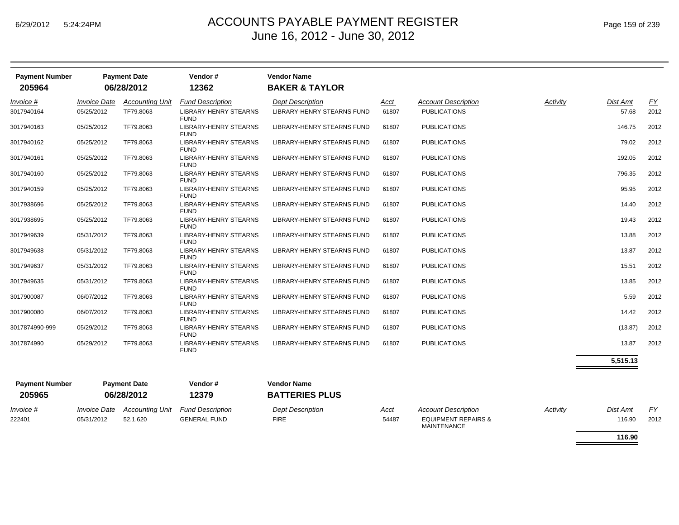| <b>Payment Number</b><br>205964 |                     | <b>Payment Date</b><br>06/28/2012 | Vendor#<br>12362                            | <b>Vendor Name</b><br><b>BAKER &amp; TAYLOR</b> |       |                                                      |          |          |           |
|---------------------------------|---------------------|-----------------------------------|---------------------------------------------|-------------------------------------------------|-------|------------------------------------------------------|----------|----------|-----------|
| Invoice #                       | <b>Invoice Date</b> | <b>Accounting Unit</b>            | <b>Fund Description</b>                     | <b>Dept Description</b>                         | Acct  | <b>Account Description</b>                           | Activity | Dist Amt | <u>FY</u> |
| 3017940164                      | 05/25/2012          | TF79.8063                         | <b>LIBRARY-HENRY STEARNS</b><br><b>FUND</b> | LIBRARY-HENRY STEARNS FUND                      | 61807 | <b>PUBLICATIONS</b>                                  |          | 57.68    | 2012      |
| 3017940163                      | 05/25/2012          | TF79.8063                         | LIBRARY-HENRY STEARNS<br><b>FUND</b>        | LIBRARY-HENRY STEARNS FUND                      | 61807 | <b>PUBLICATIONS</b>                                  |          | 146.75   | 2012      |
| 3017940162                      | 05/25/2012          | TF79.8063                         | LIBRARY-HENRY STEARNS<br><b>FUND</b>        | LIBRARY-HENRY STEARNS FUND                      | 61807 | <b>PUBLICATIONS</b>                                  |          | 79.02    | 2012      |
| 3017940161                      | 05/25/2012          | TF79.8063                         | LIBRARY-HENRY STEARNS<br><b>FUND</b>        | LIBRARY-HENRY STEARNS FUND                      | 61807 | <b>PUBLICATIONS</b>                                  |          | 192.05   | 2012      |
| 3017940160                      | 05/25/2012          | TF79.8063                         | LIBRARY-HENRY STEARNS<br><b>FUND</b>        | LIBRARY-HENRY STEARNS FUND                      | 61807 | <b>PUBLICATIONS</b>                                  |          | 796.35   | 2012      |
| 3017940159                      | 05/25/2012          | TF79.8063                         | LIBRARY-HENRY STEARNS<br><b>FUND</b>        | LIBRARY-HENRY STEARNS FUND                      | 61807 | <b>PUBLICATIONS</b>                                  |          | 95.95    | 2012      |
| 3017938696                      | 05/25/2012          | TF79.8063                         | LIBRARY-HENRY STEARNS<br><b>FUND</b>        | LIBRARY-HENRY STEARNS FUND                      | 61807 | <b>PUBLICATIONS</b>                                  |          | 14.40    | 2012      |
| 3017938695                      | 05/25/2012          | TF79.8063                         | LIBRARY-HENRY STEARNS<br><b>FUND</b>        | LIBRARY-HENRY STEARNS FUND                      | 61807 | <b>PUBLICATIONS</b>                                  |          | 19.43    | 2012      |
| 3017949639                      | 05/31/2012          | TF79.8063                         | LIBRARY-HENRY STEARNS<br><b>FUND</b>        | LIBRARY-HENRY STEARNS FUND                      | 61807 | <b>PUBLICATIONS</b>                                  |          | 13.88    | 2012      |
| 3017949638                      | 05/31/2012          | TF79.8063                         | <b>LIBRARY-HENRY STEARNS</b><br><b>FUND</b> | LIBRARY-HENRY STEARNS FUND                      | 61807 | <b>PUBLICATIONS</b>                                  |          | 13.87    | 2012      |
| 3017949637                      | 05/31/2012          | TF79.8063                         | <b>LIBRARY-HENRY STEARNS</b><br><b>FUND</b> | LIBRARY-HENRY STEARNS FUND                      | 61807 | <b>PUBLICATIONS</b>                                  |          | 15.51    | 2012      |
| 3017949635                      | 05/31/2012          | TF79.8063                         | LIBRARY-HENRY STEARNS<br><b>FUND</b>        | LIBRARY-HENRY STEARNS FUND                      | 61807 | <b>PUBLICATIONS</b>                                  |          | 13.85    | 2012      |
| 3017900087                      | 06/07/2012          | TF79.8063                         | LIBRARY-HENRY STEARNS<br><b>FUND</b>        | LIBRARY-HENRY STEARNS FUND                      | 61807 | <b>PUBLICATIONS</b>                                  |          | 5.59     | 2012      |
| 3017900080                      | 06/07/2012          | TF79.8063                         | LIBRARY-HENRY STEARNS<br><b>FUND</b>        | LIBRARY-HENRY STEARNS FUND                      | 61807 | <b>PUBLICATIONS</b>                                  |          | 14.42    | 2012      |
| 3017874990-999                  | 05/29/2012          | TF79.8063                         | <b>LIBRARY-HENRY STEARNS</b><br><b>FUND</b> | LIBRARY-HENRY STEARNS FUND                      | 61807 | <b>PUBLICATIONS</b>                                  |          | (13.87)  | 2012      |
| 3017874990                      | 05/29/2012          | TF79.8063                         | <b>LIBRARY-HENRY STEARNS</b><br><b>FUND</b> | <b>LIBRARY-HENRY STEARNS FUND</b>               | 61807 | <b>PUBLICATIONS</b>                                  |          | 13.87    | 2012      |
|                                 |                     |                                   |                                             |                                                 |       |                                                      |          | 5,515.13 |           |
| <b>Payment Number</b><br>205965 |                     | <b>Payment Date</b><br>06/28/2012 | Vendor#<br>12379                            | <b>Vendor Name</b><br><b>BATTERIES PLUS</b>     |       |                                                      |          |          |           |
| Invoice #                       | <b>Invoice Date</b> | <b>Accounting Unit</b>            | <b>Fund Description</b>                     | <b>Dept Description</b>                         | Acct  | <b>Account Description</b>                           | Activity | Dist Amt | EY        |
| 222401                          | 05/31/2012          | 52.1.620                          | <b>GENERAL FUND</b>                         | <b>FIRE</b>                                     | 54487 | <b>EQUIPMENT REPAIRS &amp;</b><br><b>MAINTENANCE</b> |          | 116.90   | 2012      |
|                                 |                     |                                   |                                             |                                                 |       |                                                      |          | 116.90   |           |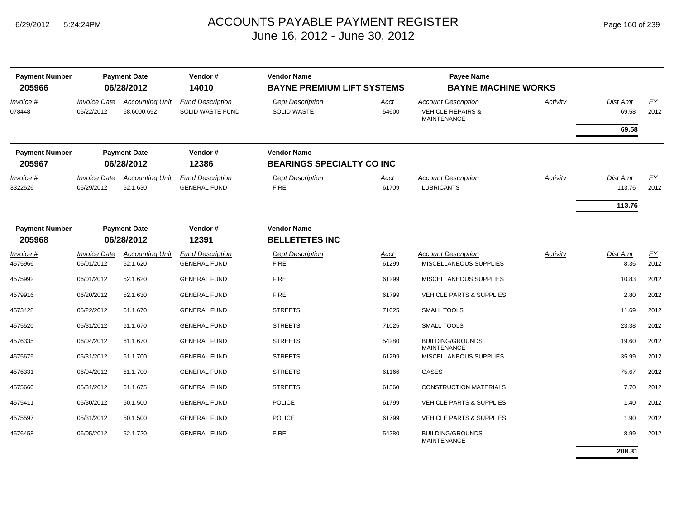| <b>Payment Number</b><br>205966 |                                   | <b>Payment Date</b><br>06/28/2012     | Vendor#<br>14010                                   | <b>Vendor Name</b><br><b>BAYNE PREMIUM LIFT SYSTEMS</b> |                      | <b>Payee Name</b><br><b>BAYNE MACHINE WORKS</b>                                  |          |                              |                   |
|---------------------------------|-----------------------------------|---------------------------------------|----------------------------------------------------|---------------------------------------------------------|----------------------|----------------------------------------------------------------------------------|----------|------------------------------|-------------------|
| Invoice #<br>078448             | <b>Invoice Date</b><br>05/22/2012 | <b>Accounting Unit</b><br>68.6000.692 | <b>Fund Description</b><br><b>SOLID WASTE FUND</b> | <b>Dept Description</b><br>SOLID WASTE                  | Acct<br>54600        | <b>Account Description</b><br><b>VEHICLE REPAIRS &amp;</b><br><b>MAINTENANCE</b> | Activity | Dist Amt<br>69.58            | FY<br>2012        |
|                                 |                                   |                                       |                                                    |                                                         |                      |                                                                                  |          | 69.58                        |                   |
| <b>Payment Number</b><br>205967 |                                   | <b>Payment Date</b><br>06/28/2012     | Vendor#<br>12386                                   | <b>Vendor Name</b><br><b>BEARINGS SPECIALTY CO INC</b>  |                      |                                                                                  |          |                              |                   |
| Invoice #<br>3322526            | <b>Invoice Date</b><br>05/29/2012 | <b>Accounting Unit</b><br>52.1.630    | <b>Fund Description</b><br><b>GENERAL FUND</b>     | <b>Dept Description</b><br><b>FIRE</b>                  | Acct<br>61709        | <b>Account Description</b><br><b>LUBRICANTS</b>                                  | Activity | Dist Amt<br>113.76<br>113.76 | <u>FY</u><br>2012 |
| <b>Payment Number</b><br>205968 |                                   | <b>Payment Date</b><br>06/28/2012     | Vendor#<br>12391                                   | <b>Vendor Name</b><br><b>BELLETETES INC</b>             |                      |                                                                                  |          |                              |                   |
| Invoice #<br>4575966            | <b>Invoice Date</b><br>06/01/2012 | <b>Accounting Unit</b><br>52.1.620    | <b>Fund Description</b><br><b>GENERAL FUND</b>     | <b>Dept Description</b><br><b>FIRE</b>                  | <b>Acct</b><br>61299 | <b>Account Description</b><br>MISCELLANEOUS SUPPLIES                             | Activity | Dist Amt<br>8.36             | EY<br>2012        |
| 4575992                         | 06/01/2012                        | 52.1.620                              | <b>GENERAL FUND</b>                                | <b>FIRE</b>                                             | 61299                | MISCELLANEOUS SUPPLIES                                                           |          | 10.83                        | 2012              |
| 4579916                         | 06/20/2012                        | 52.1.630                              | <b>GENERAL FUND</b>                                | <b>FIRE</b>                                             | 61799                | <b>VEHICLE PARTS &amp; SUPPLIES</b>                                              |          | 2.80                         | 2012              |
| 4573428                         | 05/22/2012                        | 61.1.670                              | <b>GENERAL FUND</b>                                | <b>STREETS</b>                                          | 71025                | SMALL TOOLS                                                                      |          | 11.69                        | 2012              |
| 4575520                         | 05/31/2012                        | 61.1.670                              | <b>GENERAL FUND</b>                                | <b>STREETS</b>                                          | 71025                | <b>SMALL TOOLS</b>                                                               |          | 23.38                        | 2012              |
| 4576335                         | 06/04/2012                        | 61.1.670                              | <b>GENERAL FUND</b>                                | <b>STREETS</b>                                          | 54280                | <b>BUILDING/GROUNDS</b><br><b>MAINTENANCE</b>                                    |          | 19.60                        | 2012              |
| 4575675                         | 05/31/2012                        | 61.1.700                              | <b>GENERAL FUND</b>                                | <b>STREETS</b>                                          | 61299                | MISCELLANEOUS SUPPLIES                                                           |          | 35.99                        | 2012              |
| 4576331                         | 06/04/2012                        | 61.1.700                              | <b>GENERAL FUND</b>                                | <b>STREETS</b>                                          | 61166                | <b>GASES</b>                                                                     |          | 75.67                        | 2012              |
| 4575660                         | 05/31/2012                        | 61.1.675                              | <b>GENERAL FUND</b>                                | <b>STREETS</b>                                          | 61560                | <b>CONSTRUCTION MATERIALS</b>                                                    |          | 7.70                         | 2012              |
| 4575411                         | 05/30/2012                        | 50.1.500                              | <b>GENERAL FUND</b>                                | <b>POLICE</b>                                           | 61799                | VEHICLE PARTS & SUPPLIES                                                         |          | 1.40                         | 2012              |
| 4575597                         | 05/31/2012                        | 50.1.500                              | <b>GENERAL FUND</b>                                | <b>POLICE</b>                                           | 61799                | <b>VEHICLE PARTS &amp; SUPPLIES</b>                                              |          | 1.90                         | 2012              |
| 4576458                         | 06/05/2012                        | 52.1.720                              | <b>GENERAL FUND</b>                                | <b>FIRE</b>                                             | 54280                | <b>BUILDING/GROUNDS</b><br><b>MAINTENANCE</b>                                    |          | 8.99                         | 2012              |
|                                 |                                   |                                       |                                                    |                                                         |                      |                                                                                  |          | 208.31                       |                   |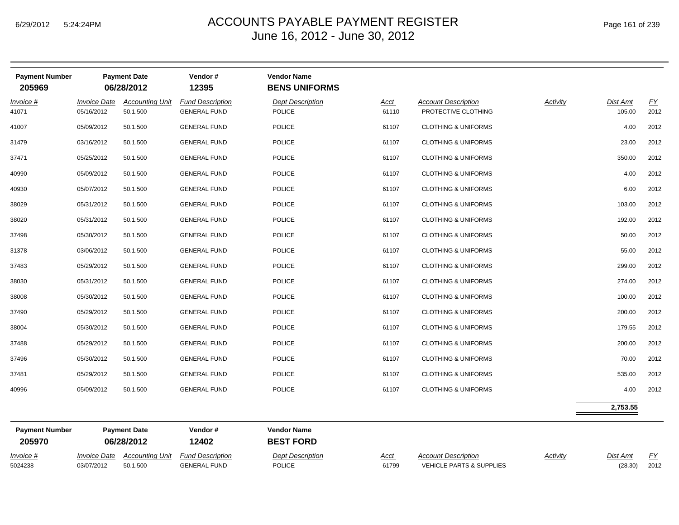| <b>Payment Number</b>                    | <b>Payment Date</b>                | Vendor#<br>12395                               | <b>Vendor Name</b><br><b>BENS UNIFORMS</b> |               |                                                   |          |                    |            |
|------------------------------------------|------------------------------------|------------------------------------------------|--------------------------------------------|---------------|---------------------------------------------------|----------|--------------------|------------|
| <i><b>Invoice Date</b></i><br>05/16/2012 | <b>Accounting Unit</b><br>50.1.500 | <b>Fund Description</b><br><b>GENERAL FUND</b> | Dept Description<br>POLICE                 | Acct<br>61110 | <b>Account Description</b><br>PROTECTIVE CLOTHING | Activity | Dist Amt<br>105.00 | EY<br>2012 |
| 05/09/2012                               | 50.1.500                           | <b>GENERAL FUND</b>                            | <b>POLICE</b>                              | 61107         | <b>CLOTHING &amp; UNIFORMS</b>                    |          | 4.00               | 2012       |
| 03/16/2012                               | 50.1.500                           | <b>GENERAL FUND</b>                            | POLICE                                     | 61107         | <b>CLOTHING &amp; UNIFORMS</b>                    |          | 23.00              | 2012       |
| 05/25/2012                               | 50.1.500                           | <b>GENERAL FUND</b>                            | POLICE                                     | 61107         | <b>CLOTHING &amp; UNIFORMS</b>                    |          | 350.00             | 2012       |
| 05/09/2012                               | 50.1.500                           | <b>GENERAL FUND</b>                            | <b>POLICE</b>                              | 61107         | <b>CLOTHING &amp; UNIFORMS</b>                    |          | 4.00               | 2012       |
| 05/07/2012                               | 50.1.500                           | <b>GENERAL FUND</b>                            | POLICE                                     | 61107         | <b>CLOTHING &amp; UNIFORMS</b>                    |          | 6.00               | 2012       |
| 05/31/2012                               | 50.1.500                           | <b>GENERAL FUND</b>                            | <b>POLICE</b>                              | 61107         | <b>CLOTHING &amp; UNIFORMS</b>                    |          | 103.00             | 2012       |
| 05/31/2012                               | 50.1.500                           | <b>GENERAL FUND</b>                            | <b>POLICE</b>                              | 61107         | <b>CLOTHING &amp; UNIFORMS</b>                    |          | 192.00             | 2012       |
| 05/30/2012                               | 50.1.500                           | <b>GENERAL FUND</b>                            | <b>POLICE</b>                              | 61107         | <b>CLOTHING &amp; UNIFORMS</b>                    |          | 50.00              | 2012       |
| 03/06/2012                               | 50.1.500                           | <b>GENERAL FUND</b>                            | POLICE                                     | 61107         | <b>CLOTHING &amp; UNIFORMS</b>                    |          | 55.00              | 2012       |
| 05/29/2012                               | 50.1.500                           | <b>GENERAL FUND</b>                            | POLICE                                     | 61107         | <b>CLOTHING &amp; UNIFORMS</b>                    |          | 299.00             | 2012       |
| 05/31/2012                               | 50.1.500                           | <b>GENERAL FUND</b>                            | <b>POLICE</b>                              | 61107         | <b>CLOTHING &amp; UNIFORMS</b>                    |          | 274.00             | 2012       |
| 05/30/2012                               | 50.1.500                           | <b>GENERAL FUND</b>                            | POLICE                                     | 61107         | <b>CLOTHING &amp; UNIFORMS</b>                    |          | 100.00             | 2012       |
| 05/29/2012                               | 50.1.500                           | <b>GENERAL FUND</b>                            | <b>POLICE</b>                              | 61107         | <b>CLOTHING &amp; UNIFORMS</b>                    |          | 200.00             | 2012       |
| 05/30/2012                               | 50.1.500                           | <b>GENERAL FUND</b>                            | POLICE                                     | 61107         | <b>CLOTHING &amp; UNIFORMS</b>                    |          | 179.55             | 2012       |
| 05/29/2012                               | 50.1.500                           | <b>GENERAL FUND</b>                            | <b>POLICE</b>                              | 61107         | <b>CLOTHING &amp; UNIFORMS</b>                    |          | 200.00             | 2012       |
| 05/30/2012                               | 50.1.500                           | <b>GENERAL FUND</b>                            | <b>POLICE</b>                              | 61107         | <b>CLOTHING &amp; UNIFORMS</b>                    |          | 70.00              | 2012       |
| 05/29/2012                               | 50.1.500                           | <b>GENERAL FUND</b>                            | POLICE                                     | 61107         | <b>CLOTHING &amp; UNIFORMS</b>                    |          | 535.00             | 2012       |
| 05/09/2012                               | 50.1.500                           | <b>GENERAL FUND</b>                            | <b>POLICE</b>                              | 61107         | <b>CLOTHING &amp; UNIFORMS</b>                    |          | 4.00               | 2012       |
|                                          |                                    |                                                |                                            |               |                                                   |          | 2,753.55           |            |
|                                          |                                    | 06/28/2012                                     |                                            |               |                                                   |          |                    |            |

| <b>Payment Number</b><br>205970 |                            | <b>Payment Date</b><br>06/28/2012 | Vendor #<br>12402       | <b>Vendor Name</b><br><b>BEST FORD</b> |             |                                     |                 |          |      |
|---------------------------------|----------------------------|-----------------------------------|-------------------------|----------------------------------------|-------------|-------------------------------------|-----------------|----------|------|
| Invoice #                       | <i><b>Invoice Date</b></i> | Accountina Unit                   | <b>Fund Description</b> | <b>Dept Description</b>                | <u>Acct</u> | <b>Account Description</b>          | <b>Activity</b> | Dist Amt | FY.  |
| 5024238                         | 03/07/2012                 | 50.1.500                          | <b>GENERAL FUND</b>     | <b>POLICE</b>                          | 61799       | <b>VEHICLE PARTS &amp; SUPPLIES</b> |                 | (28.30)  | 2012 |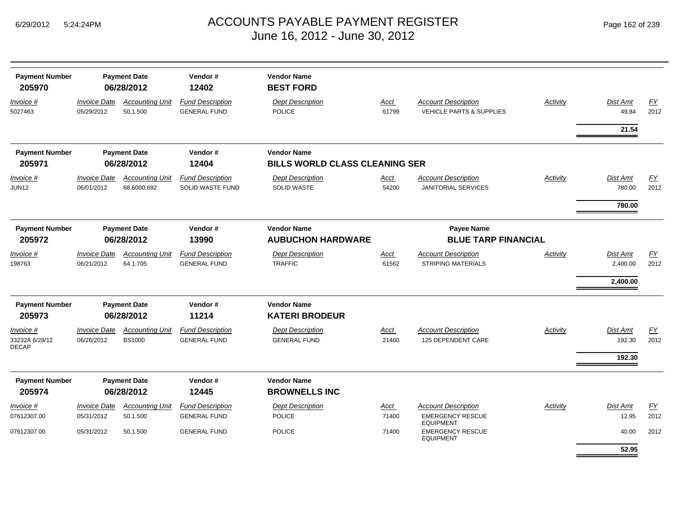| Page 162 of 239 |  |  |  |  |
|-----------------|--|--|--|--|
|-----------------|--|--|--|--|

| <b>Payment Number</b><br>205970             |                                   | <b>Payment Date</b><br>06/28/2012       | Vendor#<br>12402                               | <b>Vendor Name</b><br><b>BEST FORD</b>         |               |                                                                   |                 |                    |            |
|---------------------------------------------|-----------------------------------|-----------------------------------------|------------------------------------------------|------------------------------------------------|---------------|-------------------------------------------------------------------|-----------------|--------------------|------------|
| Invoice #<br>5027463                        | <b>Invoice Date</b><br>05/29/2012 | <b>Accounting Unit</b><br>50.1.500      | <b>Fund Description</b><br><b>GENERAL FUND</b> | <b>Dept Description</b><br><b>POLICE</b>       | Acct<br>61799 | <b>Account Description</b><br><b>VEHICLE PARTS &amp; SUPPLIES</b> | <b>Activity</b> | Dist Amt<br>49.84  | EY<br>2012 |
|                                             |                                   |                                         |                                                |                                                |               |                                                                   |                 | 21.54              |            |
| <b>Payment Number</b>                       |                                   | <b>Payment Date</b>                     | Vendor#                                        | <b>Vendor Name</b>                             |               |                                                                   |                 |                    |            |
| 205971                                      |                                   | 06/28/2012                              | 12404                                          | <b>BILLS WORLD CLASS CLEANING SER</b>          |               |                                                                   |                 |                    |            |
| Invoice #<br><b>JUN12</b>                   | <b>Invoice Date</b><br>06/01/2012 | <b>Accounting Unit</b><br>68.6000.692   | <b>Fund Description</b><br>SOLID WASTE FUND    | <b>Dept Description</b><br><b>SOLID WASTE</b>  | Acct<br>54200 | <b>Account Description</b><br><b>JANITORIAL SERVICES</b>          | Activity        | Dist Amt<br>780.00 | FY<br>2012 |
|                                             |                                   |                                         |                                                |                                                |               |                                                                   |                 | 780.00             |            |
| <b>Payment Number</b><br>205972             |                                   | <b>Payment Date</b><br>06/28/2012       | Vendor#<br>13990                               | <b>Vendor Name</b><br><b>AUBUCHON HARDWARE</b> |               | <b>Payee Name</b><br><b>BLUE TARP FINANCIAL</b>                   |                 |                    |            |
| Invoice #                                   | <b>Invoice Date</b>               | <b>Accounting Unit</b>                  | <b>Fund Description</b>                        | <b>Dept Description</b>                        | Acct          | <b>Account Description</b>                                        | Activity        | Dist Amt           | FY         |
| 198763                                      | 06/21/2012                        | 64.1.705                                | <b>GENERAL FUND</b>                            | <b>TRAFFIC</b>                                 | 61562         | <b>STRIPING MATERIALS</b>                                         |                 | 2,400.00           | 2012       |
|                                             |                                   |                                         |                                                |                                                |               |                                                                   |                 | 2,400.00           |            |
| <b>Payment Number</b>                       |                                   | <b>Payment Date</b>                     | Vendor#                                        | <b>Vendor Name</b>                             |               |                                                                   |                 |                    |            |
| 205973                                      |                                   | 06/28/2012                              | 11214                                          | <b>KATERI BRODEUR</b>                          |               |                                                                   |                 |                    |            |
| Invoice #<br>33232A 6/28/12<br><b>DECAP</b> | <b>Invoice Date</b><br>06/26/2012 | <b>Accounting Unit</b><br><b>BS1000</b> | <b>Fund Description</b><br><b>GENERAL FUND</b> | <b>Dept Description</b><br><b>GENERAL FUND</b> | Acct<br>21460 | <b>Account Description</b><br>125 DEPENDENT CARE                  | Activity        | Dist Amt<br>192.30 | FY<br>2012 |
|                                             |                                   |                                         |                                                |                                                |               |                                                                   |                 | 192.30             |            |
| <b>Payment Number</b><br>205974             |                                   | <b>Payment Date</b><br>06/28/2012       | Vendor#<br>12445                               | <b>Vendor Name</b><br><b>BROWNELLS INC</b>     |               |                                                                   |                 |                    |            |
| <i>Invoice</i> #                            | <b>Invoice Date</b>               | <b>Accounting Unit</b>                  | <b>Fund Description</b>                        | <b>Dept Description</b>                        | Acct          | <b>Account Description</b>                                        | Activity        | <b>Dist Amt</b>    | <u>FY</u>  |
| 07612307.00                                 | 05/31/2012                        | 50.1.500                                | <b>GENERAL FUND</b>                            | <b>POLICE</b>                                  | 71400         | <b>EMERGENCY RESCUE</b><br><b>EQUIPMENT</b>                       |                 | 12.95              | 2012       |
| 07612307.00                                 | 05/31/2012                        | 50.1.500                                | <b>GENERAL FUND</b>                            | <b>POLICE</b>                                  | 71400         | <b>EMERGENCY RESCUE</b><br><b>EQUIPMENT</b>                       |                 | 40.00              | 2012       |
|                                             |                                   |                                         |                                                |                                                |               |                                                                   |                 | 52.95              |            |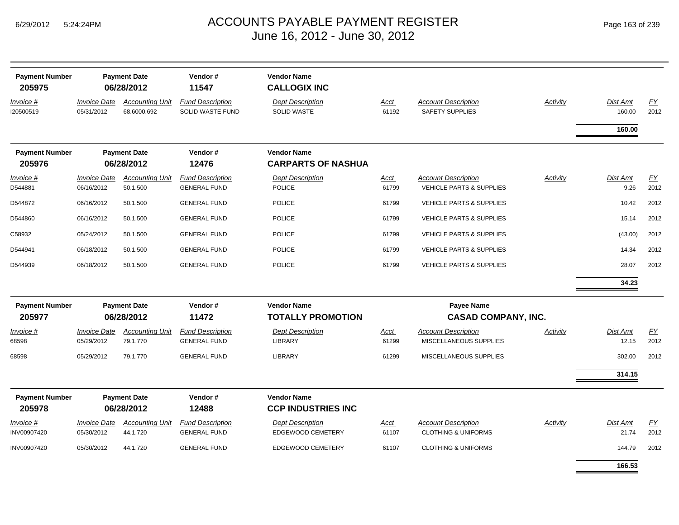| Page 163 of 239 |  |  |
|-----------------|--|--|
|-----------------|--|--|

| <b>Payment Number</b><br>205975 |                                   | <b>Payment Date</b><br>06/28/2012     | Vendor#<br>11547                               | <b>Vendor Name</b><br><b>CALLOGIX INC</b>       |                      |                                                                   |                 |                    |            |
|---------------------------------|-----------------------------------|---------------------------------------|------------------------------------------------|-------------------------------------------------|----------------------|-------------------------------------------------------------------|-----------------|--------------------|------------|
| Invoice #<br>120500519          | <b>Invoice Date</b><br>05/31/2012 | <b>Accounting Unit</b><br>68.6000.692 | <b>Fund Description</b><br>SOLID WASTE FUND    | <b>Dept Description</b><br><b>SOLID WASTE</b>   | Acct<br>61192        | <b>Account Description</b><br>SAFETY SUPPLIES                     | Activity        | Dist Amt<br>160.00 | EY<br>2012 |
|                                 |                                   |                                       |                                                |                                                 |                      |                                                                   |                 | 160.00             |            |
| <b>Payment Number</b><br>205976 |                                   | <b>Payment Date</b><br>06/28/2012     | Vendor#<br>12476                               | <b>Vendor Name</b><br><b>CARPARTS OF NASHUA</b> |                      |                                                                   |                 |                    |            |
| Invoice #<br>D544881            | <b>Invoice Date</b><br>06/16/2012 | <b>Accounting Unit</b><br>50.1.500    | <b>Fund Description</b><br><b>GENERAL FUND</b> | <b>Dept Description</b><br><b>POLICE</b>        | Acct<br>61799        | <b>Account Description</b><br><b>VEHICLE PARTS &amp; SUPPLIES</b> | <b>Activity</b> | Dist Amt<br>9.26   | EY<br>2012 |
| D544872                         | 06/16/2012                        | 50.1.500                              | <b>GENERAL FUND</b>                            | <b>POLICE</b>                                   | 61799                | <b>VEHICLE PARTS &amp; SUPPLIES</b>                               |                 | 10.42              | 2012       |
| D544860                         | 06/16/2012                        | 50.1.500                              | <b>GENERAL FUND</b>                            | <b>POLICE</b>                                   | 61799                | <b>VEHICLE PARTS &amp; SUPPLIES</b>                               |                 | 15.14              | 2012       |
| C58932                          | 05/24/2012                        | 50.1.500                              | <b>GENERAL FUND</b>                            | <b>POLICE</b>                                   | 61799                | <b>VEHICLE PARTS &amp; SUPPLIES</b>                               |                 | (43.00)            | 2012       |
| D544941                         | 06/18/2012                        | 50.1.500                              | <b>GENERAL FUND</b>                            | <b>POLICE</b>                                   | 61799                | <b>VEHICLE PARTS &amp; SUPPLIES</b>                               |                 | 14.34              | 2012       |
| D544939                         | 06/18/2012                        | 50.1.500                              | <b>GENERAL FUND</b>                            | <b>POLICE</b>                                   | 61799                | <b>VEHICLE PARTS &amp; SUPPLIES</b>                               |                 | 28.07              | 2012       |
|                                 |                                   |                                       |                                                |                                                 |                      |                                                                   |                 | 34.23              |            |
| <b>Payment Number</b><br>205977 |                                   | <b>Payment Date</b><br>06/28/2012     | Vendor#<br>11472                               | <b>Vendor Name</b><br><b>TOTALLY PROMOTION</b>  |                      | <b>Payee Name</b><br><b>CASAD COMPANY, INC.</b>                   |                 |                    |            |
| <u>Invoice #</u><br>68598       | <b>Invoice Date</b><br>05/29/2012 | <b>Accounting Unit</b><br>79.1.770    | <b>Fund Description</b><br><b>GENERAL FUND</b> | <b>Dept Description</b><br><b>LIBRARY</b>       | <u>Acct</u><br>61299 | <b>Account Description</b><br>MISCELLANEOUS SUPPLIES              | Activity        | Dist Amt<br>12.15  | EY<br>2012 |
| 68598                           | 05/29/2012                        | 79.1.770                              | <b>GENERAL FUND</b>                            | LIBRARY                                         | 61299                | MISCELLANEOUS SUPPLIES                                            |                 | 302.00             | 2012       |
|                                 |                                   |                                       |                                                |                                                 |                      |                                                                   |                 | 314.15             |            |
| <b>Payment Number</b>           |                                   | <b>Payment Date</b>                   | Vendor#                                        | <b>Vendor Name</b>                              |                      |                                                                   |                 |                    |            |
| 205978                          |                                   | 06/28/2012                            | 12488                                          | <b>CCP INDUSTRIES INC</b>                       |                      |                                                                   |                 |                    |            |
| Invoice #<br>INV00907420        | <b>Invoice Date</b><br>05/30/2012 | <b>Accounting Unit</b><br>44.1.720    | <b>Fund Description</b><br><b>GENERAL FUND</b> | <b>Dept Description</b><br>EDGEWOOD CEMETERY    | Acct<br>61107        | <b>Account Description</b><br><b>CLOTHING &amp; UNIFORMS</b>      | Activity        | Dist Amt<br>21.74  | EY<br>2012 |
| INV00907420                     | 05/30/2012                        | 44.1.720                              | <b>GENERAL FUND</b>                            | EDGEWOOD CEMETERY                               | 61107                | <b>CLOTHING &amp; UNIFORMS</b>                                    |                 | 144.79             | 2012       |
|                                 |                                   |                                       |                                                |                                                 |                      |                                                                   |                 | 166.53             |            |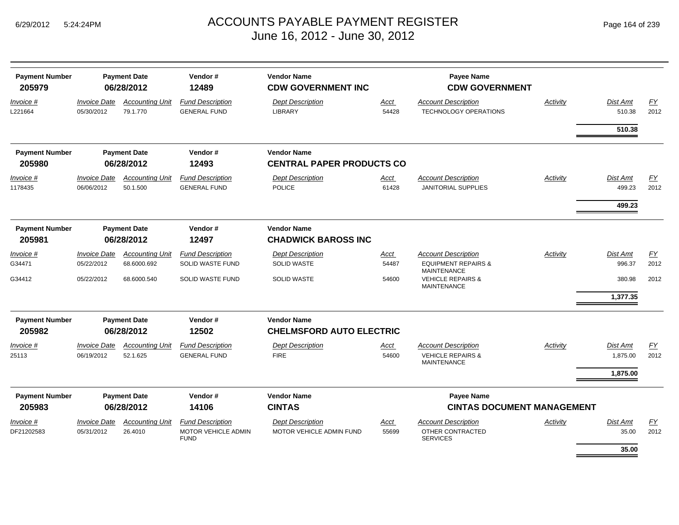| <b>Payment Number</b><br>205979 |                                   | <b>Payment Date</b><br>06/28/2012  | Vendor#<br>12489                                                     | <b>Vendor Name</b><br><b>CDW GOVERNMENT INC</b>       |               | Payee Name<br><b>CDW GOVERNMENT</b>                                              |          |                      |                   |
|---------------------------------|-----------------------------------|------------------------------------|----------------------------------------------------------------------|-------------------------------------------------------|---------------|----------------------------------------------------------------------------------|----------|----------------------|-------------------|
| Invoice #<br>L221664            | <b>Invoice Date</b><br>05/30/2012 | <b>Accounting Unit</b><br>79.1.770 | <b>Fund Description</b><br><b>GENERAL FUND</b>                       | <b>Dept Description</b><br><b>LIBRARY</b>             | Acct<br>54428 | <b>Account Description</b><br><b>TECHNOLOGY OPERATIONS</b>                       | Activity | Dist Amt<br>510.38   | FY<br>2012        |
|                                 |                                   |                                    |                                                                      |                                                       |               |                                                                                  |          | 510.38               |                   |
| <b>Payment Number</b>           |                                   | <b>Payment Date</b>                | Vendor#                                                              | <b>Vendor Name</b>                                    |               |                                                                                  |          |                      |                   |
| 205980                          |                                   | 06/28/2012                         | 12493                                                                | <b>CENTRAL PAPER PRODUCTS CO</b>                      |               |                                                                                  |          |                      |                   |
| Invoice #<br>1178435            | <b>Invoice Date</b><br>06/06/2012 | <b>Accounting Unit</b><br>50.1.500 | <b>Fund Description</b><br><b>GENERAL FUND</b>                       | <b>Dept Description</b><br><b>POLICE</b>              | Acct<br>61428 | <b>Account Description</b><br><b>JANITORIAL SUPPLIES</b>                         | Activity | Dist Amt<br>499.23   | EY<br>2012        |
|                                 |                                   |                                    |                                                                      |                                                       |               |                                                                                  |          | 499.23               |                   |
| <b>Payment Number</b><br>205981 |                                   | <b>Payment Date</b><br>06/28/2012  | Vendor#<br>12497                                                     | <b>Vendor Name</b><br><b>CHADWICK BAROSS INC</b>      |               |                                                                                  |          |                      |                   |
| Invoice #                       | <b>Invoice Date</b>               | <b>Accounting Unit</b>             | <b>Fund Description</b>                                              | <b>Dept Description</b>                               | <b>Acct</b>   | <b>Account Description</b>                                                       | Activity | <b>Dist Amt</b>      | EY                |
| G34471                          | 05/22/2012                        | 68.6000.692                        | <b>SOLID WASTE FUND</b>                                              | <b>SOLID WASTE</b>                                    | 54487         | <b>EQUIPMENT REPAIRS &amp;</b><br><b>MAINTENANCE</b>                             |          | 996.37               | 2012              |
| G34412                          | 05/22/2012                        | 68.6000.540                        | <b>SOLID WASTE FUND</b>                                              | <b>SOLID WASTE</b>                                    | 54600         | <b>VEHICLE REPAIRS &amp;</b><br><b>MAINTENANCE</b>                               |          | 380.98<br>1,377.35   | 2012              |
| <b>Payment Number</b><br>205982 |                                   | <b>Payment Date</b><br>06/28/2012  | Vendor#<br>12502                                                     | <b>Vendor Name</b><br><b>CHELMSFORD AUTO ELECTRIC</b> |               |                                                                                  |          |                      |                   |
| Invoice #<br>25113              | <b>Invoice Date</b><br>06/19/2012 | <b>Accounting Unit</b><br>52.1.625 | <b>Fund Description</b><br><b>GENERAL FUND</b>                       | <b>Dept Description</b><br><b>FIRE</b>                | Acct<br>54600 | <b>Account Description</b><br><b>VEHICLE REPAIRS &amp;</b><br><b>MAINTENANCE</b> | Activity | Dist Amt<br>1,875.00 | FY<br>2012        |
|                                 |                                   |                                    |                                                                      |                                                       |               |                                                                                  |          | 1,875.00             |                   |
| <b>Payment Number</b>           |                                   | <b>Payment Date</b>                | Vendor#                                                              | <b>Vendor Name</b>                                    |               | <b>Payee Name</b>                                                                |          |                      |                   |
| 205983                          |                                   | 06/28/2012                         | 14106                                                                | <b>CINTAS</b>                                         |               | <b>CINTAS DOCUMENT MANAGEMENT</b>                                                |          |                      |                   |
| Invoice #<br>DF21202583         | <b>Invoice Date</b><br>05/31/2012 | <b>Accounting Unit</b><br>26.4010  | <b>Fund Description</b><br><b>MOTOR VEHICLE ADMIN</b><br><b>FUND</b> | <b>Dept Description</b><br>MOTOR VEHICLE ADMIN FUND   | Acct<br>55699 | <b>Account Description</b><br>OTHER CONTRACTED<br><b>SERVICES</b>                | Activity | Dist Amt<br>35.00    | <u>FY</u><br>2012 |
|                                 |                                   |                                    |                                                                      |                                                       |               |                                                                                  |          | 35.00                |                   |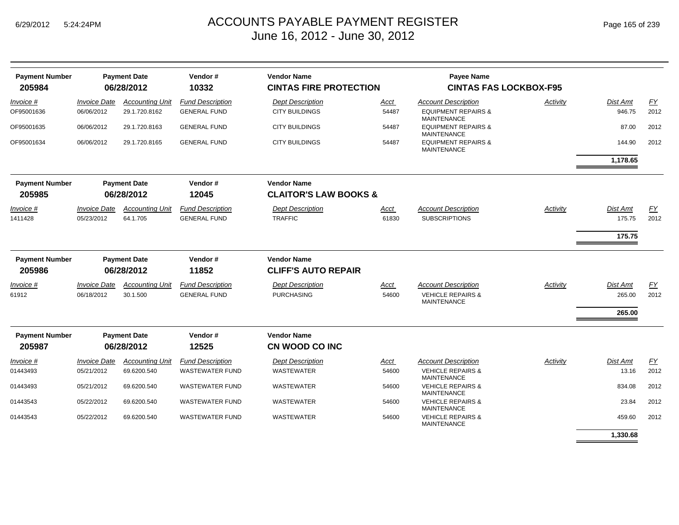| Page 165 of 239 |  |  |  |
|-----------------|--|--|--|
|-----------------|--|--|--|

| <b>Payment Number</b><br>205984 |                                   | <b>Payment Date</b><br>06/28/2012       | Vendor#<br>10332                               | <b>Vendor Name</b><br><b>CINTAS FIRE PROTECTION</b> |                      | <b>Payee Name</b><br><b>CINTAS FAS LOCKBOX-F95</b>                                 |          |                              |                   |
|---------------------------------|-----------------------------------|-----------------------------------------|------------------------------------------------|-----------------------------------------------------|----------------------|------------------------------------------------------------------------------------|----------|------------------------------|-------------------|
| Invoice #<br>OF95001636         | <b>Invoice Date</b><br>06/06/2012 | <b>Accounting Unit</b><br>29.1.720.8162 | <b>Fund Description</b><br><b>GENERAL FUND</b> | <b>Dept Description</b><br><b>CITY BUILDINGS</b>    | Acct<br>54487        | <b>Account Description</b><br><b>EQUIPMENT REPAIRS &amp;</b><br><b>MAINTENANCE</b> | Activity | <b>Dist Amt</b><br>946.75    | <u>FY</u><br>2012 |
| OF95001635                      | 06/06/2012                        | 29.1.720.8163                           | <b>GENERAL FUND</b>                            | <b>CITY BUILDINGS</b>                               | 54487                | <b>EQUIPMENT REPAIRS &amp;</b>                                                     |          | 87.00                        | 2012              |
| OF95001634                      | 06/06/2012                        | 29.1.720.8165                           | <b>GENERAL FUND</b>                            | <b>CITY BUILDINGS</b>                               | 54487                | <b>MAINTENANCE</b><br><b>EQUIPMENT REPAIRS &amp;</b><br><b>MAINTENANCE</b>         |          | 144.90                       | 2012              |
|                                 |                                   |                                         |                                                |                                                     |                      |                                                                                    |          | 1,178.65                     |                   |
| <b>Payment Number</b>           |                                   | <b>Payment Date</b>                     | Vendor#                                        | <b>Vendor Name</b>                                  |                      |                                                                                    |          |                              |                   |
| 205985                          |                                   | 06/28/2012                              | 12045                                          | <b>CLAITOR'S LAW BOOKS &amp;</b>                    |                      |                                                                                    |          |                              |                   |
| Invoice #<br>1411428            | <b>Invoice Date</b><br>05/23/2012 | <b>Accounting Unit</b><br>64.1.705      | <b>Fund Description</b><br><b>GENERAL FUND</b> | <b>Dept Description</b><br><b>TRAFFIC</b>           | Acct<br>61830        | <b>Account Description</b><br><b>SUBSCRIPTIONS</b>                                 | Activity | Dist Amt<br>175.75           | FΥ<br>2012        |
|                                 |                                   |                                         |                                                |                                                     |                      |                                                                                    |          | 175.75                       |                   |
| <b>Payment Number</b><br>205986 |                                   | <b>Payment Date</b><br>06/28/2012       | Vendor#<br>11852                               | <b>Vendor Name</b><br><b>CLIFF'S AUTO REPAIR</b>    |                      |                                                                                    |          |                              |                   |
| Invoice #<br>61912              | <b>Invoice Date</b><br>06/18/2012 | <b>Accounting Unit</b><br>30.1.500      | <b>Fund Description</b><br><b>GENERAL FUND</b> | <b>Dept Description</b><br><b>PURCHASING</b>        | <b>Acct</b><br>54600 | <b>Account Description</b><br><b>VEHICLE REPAIRS &amp;</b><br><b>MAINTENANCE</b>   | Activity | Dist Amt<br>265.00<br>265.00 | <u>FY</u><br>2012 |
| <b>Payment Number</b><br>205987 |                                   | <b>Payment Date</b><br>06/28/2012       | Vendor#<br>12525                               | <b>Vendor Name</b><br>CN WOOD CO INC                |                      |                                                                                    |          |                              |                   |
| Invoice #                       | <b>Invoice Date</b>               | <b>Accounting Unit</b>                  | <b>Fund Description</b>                        | <b>Dept Description</b>                             | Acct                 | <b>Account Description</b>                                                         | Activity | <b>Dist Amt</b>              | EY                |
| 01443493                        | 05/21/2012                        | 69.6200.540                             | <b>WASTEWATER FUND</b>                         | <b>WASTEWATER</b>                                   | 54600                | <b>VEHICLE REPAIRS &amp;</b><br><b>MAINTENANCE</b>                                 |          | 13.16                        | 2012              |
| 01443493                        | 05/21/2012                        | 69.6200.540                             | <b>WASTEWATER FUND</b>                         | <b>WASTEWATER</b>                                   | 54600                | <b>VEHICLE REPAIRS &amp;</b><br><b>MAINTENANCE</b>                                 |          | 834.08                       | 2012              |
| 01443543                        | 05/22/2012                        | 69.6200.540                             | <b>WASTEWATER FUND</b>                         | <b>WASTEWATER</b>                                   | 54600                | <b>VEHICLE REPAIRS &amp;</b><br><b>MAINTENANCE</b>                                 |          | 23.84                        | 2012              |
| 01443543                        | 05/22/2012                        | 69.6200.540                             | <b>WASTEWATER FUND</b>                         | <b>WASTEWATER</b>                                   | 54600                | <b>VEHICLE REPAIRS &amp;</b><br><b>MAINTENANCE</b>                                 |          | 459.60                       | 2012              |
|                                 |                                   |                                         |                                                |                                                     |                      |                                                                                    |          | 1,330.68                     |                   |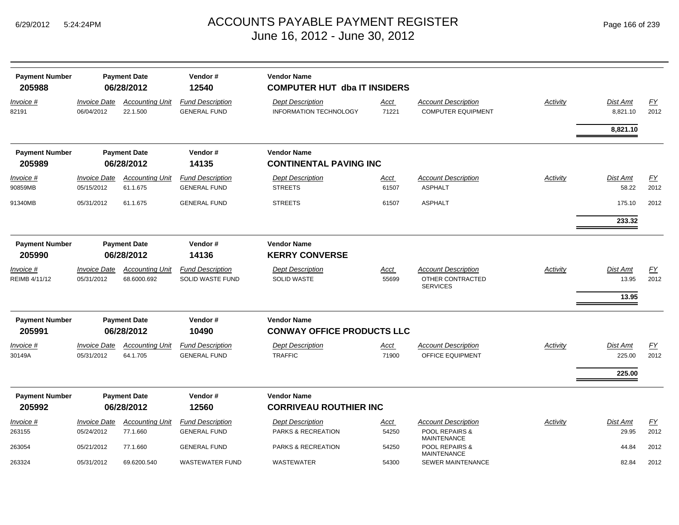| <b>Payment Number</b><br>205988   |                                          | <b>Payment Date</b><br>06/28/2012     | Vendor#<br>12540                                   | <b>Vendor Name</b><br><b>COMPUTER HUT dba IT INSIDERS</b> |                      |                                                                   |                 |                              |                   |
|-----------------------------------|------------------------------------------|---------------------------------------|----------------------------------------------------|-----------------------------------------------------------|----------------------|-------------------------------------------------------------------|-----------------|------------------------------|-------------------|
| <u>Invoice #</u><br>82191         | <i><b>Invoice Date</b></i><br>06/04/2012 | <b>Accounting Unit</b><br>22.1.500    | <b>Fund Description</b><br><b>GENERAL FUND</b>     | <b>Dept Description</b><br>INFORMATION TECHNOLOGY         | <u>Acct</u><br>71221 | <b>Account Description</b><br><b>COMPUTER EQUIPMENT</b>           | <b>Activity</b> | <u>Dist Amt</u><br>8,821.10  | EY<br>2012        |
|                                   |                                          |                                       |                                                    |                                                           |                      |                                                                   |                 | 8,821.10                     |                   |
| <b>Payment Number</b>             |                                          | <b>Payment Date</b>                   | Vendor#                                            | <b>Vendor Name</b>                                        |                      |                                                                   |                 |                              |                   |
| 205989                            |                                          | 06/28/2012                            | 14135                                              | <b>CONTINENTAL PAVING INC</b>                             |                      |                                                                   |                 |                              |                   |
| Invoice #<br>90859MB              | <b>Invoice Date</b><br>05/15/2012        | <b>Accounting Unit</b><br>61.1.675    | <b>Fund Description</b><br><b>GENERAL FUND</b>     | <b>Dept Description</b><br><b>STREETS</b>                 | <u>Acct</u><br>61507 | <b>Account Description</b><br><b>ASPHALT</b>                      | <b>Activity</b> | Dist Amt<br>58.22            | EY<br>2012        |
| 91340MB                           | 05/31/2012                               | 61.1.675                              | <b>GENERAL FUND</b>                                | <b>STREETS</b>                                            | 61507                | <b>ASPHALT</b>                                                    |                 | 175.10                       | 2012              |
|                                   |                                          |                                       |                                                    |                                                           |                      |                                                                   |                 | 233.32                       |                   |
| <b>Payment Number</b><br>205990   |                                          | <b>Payment Date</b><br>06/28/2012     | Vendor#<br>14136                                   | <b>Vendor Name</b><br><b>KERRY CONVERSE</b>               |                      |                                                                   |                 |                              |                   |
| <i>Invoice</i> #<br>REIMB 4/11/12 | <b>Invoice Date</b><br>05/31/2012        | <b>Accounting Unit</b><br>68.6000.692 | <b>Fund Description</b><br><b>SOLID WASTE FUND</b> | <b>Dept Description</b><br><b>SOLID WASTE</b>             | <u>Acct</u><br>55699 | <b>Account Description</b><br>OTHER CONTRACTED<br><b>SERVICES</b> | Activity        | Dist Amt<br>13.95<br>13.95   | EY<br>2012        |
| <b>Payment Number</b><br>205991   |                                          | <b>Payment Date</b><br>06/28/2012     | Vendor#<br>10490                                   | <b>Vendor Name</b><br><b>CONWAY OFFICE PRODUCTS LLC</b>   |                      |                                                                   |                 |                              |                   |
| Invoice #<br>30149A               | <b>Invoice Date</b><br>05/31/2012        | <b>Accounting Unit</b><br>64.1.705    | <b>Fund Description</b><br><b>GENERAL FUND</b>     | <b>Dept Description</b><br><b>TRAFFIC</b>                 | <u>Acct</u><br>71900 | <b>Account Description</b><br><b>OFFICE EQUIPMENT</b>             | Activity        | Dist Amt<br>225.00<br>225.00 | <b>FY</b><br>2012 |
| <b>Payment Number</b>             |                                          | <b>Payment Date</b>                   | Vendor#                                            | <b>Vendor Name</b>                                        |                      |                                                                   |                 |                              |                   |
| 205992                            |                                          | 06/28/2012                            | 12560                                              | <b>CORRIVEAU ROUTHIER INC</b>                             |                      |                                                                   |                 |                              |                   |
| Invoice #                         | <b>Invoice Date</b>                      | <b>Accounting Unit</b>                | <b>Fund Description</b>                            | <b>Dept Description</b>                                   | Acct                 | <b>Account Description</b>                                        | Activity        | Dist Amt                     | EY                |
| 263155                            | 05/24/2012                               | 77.1.660                              | <b>GENERAL FUND</b>                                | PARKS & RECREATION                                        | 54250                | <b>POOL REPAIRS &amp;</b><br><b>MAINTENANCE</b>                   |                 | 29.95                        | 2012              |
| 263054                            | 05/21/2012                               | 77.1.660                              | <b>GENERAL FUND</b>                                | PARKS & RECREATION                                        | 54250                | POOL REPAIRS &<br><b>MAINTENANCE</b>                              |                 | 44.84                        | 2012              |
| 263324                            | 05/31/2012                               | 69.6200.540                           | <b>WASTEWATER FUND</b>                             | <b>WASTEWATER</b>                                         | 54300                | <b>SEWER MAINTENANCE</b>                                          |                 | 82.84                        | 2012              |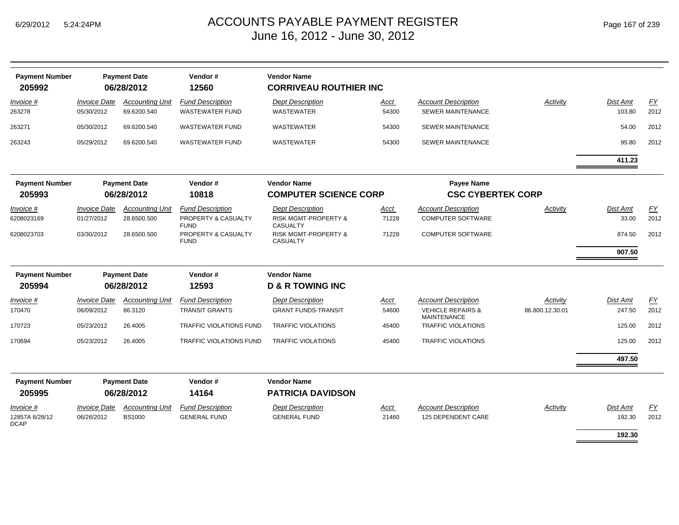| <b>Payment Number</b><br>205992     |                                          | <b>Payment Date</b><br>06/28/2012       | Vendor#<br>12560                                              | <b>Vendor Name</b><br><b>CORRIVEAU ROUTHIER INC</b>                           |                      |                                                                                  |                             |                           |                   |
|-------------------------------------|------------------------------------------|-----------------------------------------|---------------------------------------------------------------|-------------------------------------------------------------------------------|----------------------|----------------------------------------------------------------------------------|-----------------------------|---------------------------|-------------------|
| <i>Invoice</i> #<br>263278          | <b>Invoice Date</b><br>05/30/2012        | <b>Accounting Unit</b><br>69.6200.540   | <b>Fund Description</b><br><b>WASTEWATER FUND</b>             | <b>Dept Description</b><br><b>WASTEWATER</b>                                  | Acct<br>54300        | <b>Account Description</b><br><b>SEWER MAINTENANCE</b>                           | Activity                    | Dist Amt<br>103.80        | <u>FY</u><br>2012 |
| 263271                              | 05/30/2012                               | 69.6200.540                             | <b>WASTEWATER FUND</b>                                        | <b>WASTEWATER</b>                                                             | 54300                | <b>SEWER MAINTENANCE</b>                                                         |                             | 54.00                     | 2012              |
| 263243                              | 05/29/2012                               | 69.6200.540                             | <b>WASTEWATER FUND</b>                                        | WASTEWATER                                                                    | 54300                | <b>SEWER MAINTENANCE</b>                                                         |                             | 95.80                     | 2012              |
|                                     |                                          |                                         |                                                               |                                                                               |                      |                                                                                  |                             | 411.23                    |                   |
| <b>Payment Number</b><br>205993     |                                          | <b>Payment Date</b><br>06/28/2012       | Vendor#<br>10818                                              | <b>Vendor Name</b><br><b>COMPUTER SCIENCE CORP</b>                            |                      | <b>Payee Name</b><br><b>CSC CYBERTEK CORP</b>                                    |                             |                           |                   |
| <i>Invoice</i> #<br>6208023169      | <i><b>Invoice Date</b></i><br>01/27/2012 | <b>Accounting Unit</b><br>28.6500.500   | <b>Fund Description</b><br>PROPERTY & CASUALTY<br><b>FUND</b> | <b>Dept Description</b><br><b>RISK MGMT-PROPERTY &amp;</b><br><b>CASUALTY</b> | Acct<br>71228        | <b>Account Description</b><br><b>COMPUTER SOFTWARE</b>                           | Activity                    | Dist Amt<br>33.00         | FY<br>2012        |
| 6208023703                          | 03/30/2012                               | 28.6500.500                             | PROPERTY & CASUALTY<br><b>FUND</b>                            | <b>RISK MGMT-PROPERTY &amp;</b><br><b>CASUALTY</b>                            | 71228                | <b>COMPUTER SOFTWARE</b>                                                         |                             | 874.50<br>907.50          | 2012              |
| <b>Payment Number</b>               |                                          | <b>Payment Date</b>                     | Vendor#                                                       | <b>Vendor Name</b>                                                            |                      |                                                                                  |                             |                           |                   |
| 205994                              |                                          | 06/28/2012                              | 12593                                                         | <b>D &amp; R TOWING INC</b>                                                   |                      |                                                                                  |                             |                           |                   |
| Invoice #<br>170470                 | <b>Invoice Date</b><br>06/09/2012        | <b>Accounting Unit</b><br>86.3120       | <b>Fund Description</b><br><b>TRANSIT GRANTS</b>              | <b>Dept Description</b><br><b>GRANT FUNDS-TRANSIT</b>                         | Acct<br>54600        | <b>Account Description</b><br><b>VEHICLE REPAIRS &amp;</b><br><b>MAINTENANCE</b> | Activity<br>86.800.12.30.01 | Dist Amt<br>247.50        | EY<br>2012        |
| 170723                              | 05/23/2012                               | 26.4005                                 | <b>TRAFFIC VIOLATIONS FUND</b>                                | <b>TRAFFIC VIOLATIONS</b>                                                     | 45400                | <b>TRAFFIC VIOLATIONS</b>                                                        |                             | 125.00                    | 2012              |
| 170694                              | 05/23/2012                               | 26.4005                                 | <b>TRAFFIC VIOLATIONS FUND</b>                                | <b>TRAFFIC VIOLATIONS</b>                                                     | 45400                | <b>TRAFFIC VIOLATIONS</b>                                                        |                             | 125.00                    | 2012              |
|                                     |                                          |                                         |                                                               |                                                                               |                      |                                                                                  |                             | 497.50                    |                   |
| <b>Payment Number</b><br>205995     |                                          | <b>Payment Date</b><br>06/28/2012       | Vendor#<br>14164                                              | <b>Vendor Name</b><br><b>PATRICIA DAVIDSON</b>                                |                      |                                                                                  |                             |                           |                   |
| Invoice #<br>12857A 6/28/12<br>DCAP | <b>Invoice Date</b><br>06/26/2012        | <b>Accounting Unit</b><br><b>BS1000</b> | <b>Fund Description</b><br><b>GENERAL FUND</b>                | <b>Dept Description</b><br><b>GENERAL FUND</b>                                | <u>Acct</u><br>21460 | <b>Account Description</b><br>125 DEPENDENT CARE                                 | Activity                    | <b>Dist Amt</b><br>192.30 | EY<br>2012        |
|                                     |                                          |                                         |                                                               |                                                                               |                      |                                                                                  |                             | 192.30                    |                   |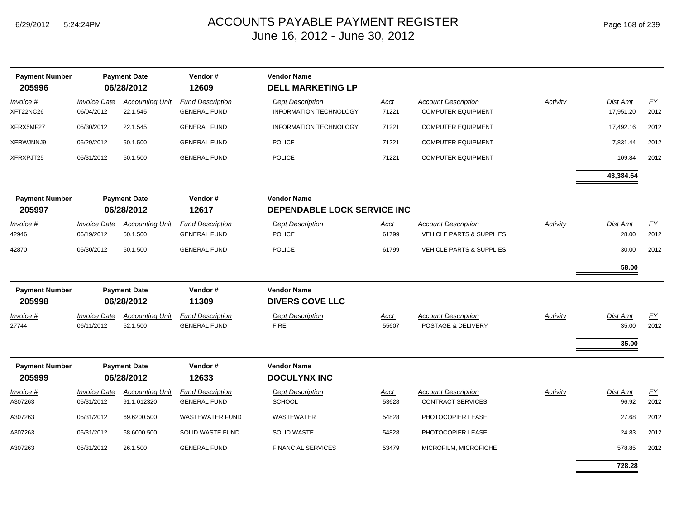| <b>Payment Number</b><br>205996 |                                   | <b>Payment Date</b><br>06/28/2012     | Vendor#<br>12609                               | <b>Vendor Name</b><br><b>DELL MARKETING LP</b>           |                      |                                                         |                 |                            |            |
|---------------------------------|-----------------------------------|---------------------------------------|------------------------------------------------|----------------------------------------------------------|----------------------|---------------------------------------------------------|-----------------|----------------------------|------------|
| <u>Invoice #</u><br>XFT22NC26   | <b>Invoice Date</b><br>06/04/2012 | <b>Accounting Unit</b><br>22.1.545    | <b>Fund Description</b><br><b>GENERAL FUND</b> | <b>Dept Description</b><br><b>INFORMATION TECHNOLOGY</b> | <u>Acct</u><br>71221 | <b>Account Description</b><br><b>COMPUTER EQUIPMENT</b> | <b>Activity</b> | Dist Amt<br>17,951.20      | EY<br>2012 |
| XFRX5MF27                       | 05/30/2012                        | 22.1.545                              | <b>GENERAL FUND</b>                            | INFORMATION TECHNOLOGY                                   | 71221                | <b>COMPUTER EQUIPMENT</b>                               |                 | 17,492.16                  | 2012       |
| XFRWJNNJ9                       | 05/29/2012                        | 50.1.500                              | <b>GENERAL FUND</b>                            | <b>POLICE</b>                                            | 71221                | <b>COMPUTER EQUIPMENT</b>                               |                 | 7,831.44                   | 2012       |
| XFRXPJT25                       | 05/31/2012                        | 50.1.500                              | <b>GENERAL FUND</b>                            | <b>POLICE</b>                                            | 71221                | <b>COMPUTER EQUIPMENT</b>                               |                 | 109.84                     | 2012       |
|                                 |                                   |                                       |                                                |                                                          |                      |                                                         |                 | 43,384.64                  |            |
| <b>Payment Number</b><br>205997 |                                   | <b>Payment Date</b><br>06/28/2012     | Vendor#<br>12617                               | <b>Vendor Name</b><br>DEPENDABLE LOCK SERVICE INC        |                      |                                                         |                 |                            |            |
| <u>Invoice #</u><br>42946       | <b>Invoice Date</b><br>06/19/2012 | <b>Accounting Unit</b><br>50.1.500    | <b>Fund Description</b><br><b>GENERAL FUND</b> | <b>Dept Description</b><br><b>POLICE</b>                 | <u>Acct</u><br>61799 | <b>Account Description</b><br>VEHICLE PARTS & SUPPLIES  | Activity        | Dist Amt<br>28.00          | EY<br>2012 |
| 42870                           | 05/30/2012                        | 50.1.500                              | <b>GENERAL FUND</b>                            | <b>POLICE</b>                                            | 61799                | <b>VEHICLE PARTS &amp; SUPPLIES</b>                     |                 | 30.00                      | 2012       |
|                                 |                                   |                                       |                                                |                                                          |                      |                                                         |                 | 58.00                      |            |
| <b>Payment Number</b><br>205998 |                                   | <b>Payment Date</b><br>06/28/2012     | Vendor#<br>11309                               | <b>Vendor Name</b><br><b>DIVERS COVE LLC</b>             |                      |                                                         |                 |                            |            |
| Invoice #<br>27744              | <b>Invoice Date</b><br>06/11/2012 | <b>Accounting Unit</b><br>52.1.500    | <b>Fund Description</b><br><b>GENERAL FUND</b> | <b>Dept Description</b><br><b>FIRE</b>                   | <u>Acct</u><br>55607 | <b>Account Description</b><br>POSTAGE & DELIVERY        | Activity        | Dist Amt<br>35.00<br>35.00 | EY<br>2012 |
| <b>Payment Number</b><br>205999 |                                   | <b>Payment Date</b><br>06/28/2012     | Vendor#<br>12633                               | <b>Vendor Name</b><br><b>DOCULYNX INC</b>                |                      |                                                         |                 |                            |            |
| <u>Invoice #</u><br>A307263     | <b>Invoice Date</b><br>05/31/2012 | <b>Accounting Unit</b><br>91.1.012320 | <b>Fund Description</b><br><b>GENERAL FUND</b> | <b>Dept Description</b><br><b>SCHOOL</b>                 | <u>Acct</u><br>53628 | <b>Account Description</b><br><b>CONTRACT SERVICES</b>  | Activity        | Dist Amt<br>96.92          | EY<br>2012 |
| A307263                         | 05/31/2012                        | 69.6200.500                           | <b>WASTEWATER FUND</b>                         | WASTEWATER                                               | 54828                | PHOTOCOPIER LEASE                                       |                 | 27.68                      | 2012       |
| A307263                         | 05/31/2012                        | 68.6000.500                           | <b>SOLID WASTE FUND</b>                        | <b>SOLID WASTE</b>                                       | 54828                | PHOTOCOPIER LEASE                                       |                 | 24.83                      | 2012       |
| A307263                         | 05/31/2012                        | 26.1.500                              | <b>GENERAL FUND</b>                            | <b>FINANCIAL SERVICES</b>                                | 53479                | MICROFILM, MICROFICHE                                   |                 | 578.85                     | 2012       |
|                                 |                                   |                                       |                                                |                                                          |                      |                                                         |                 | 728.28                     |            |

۰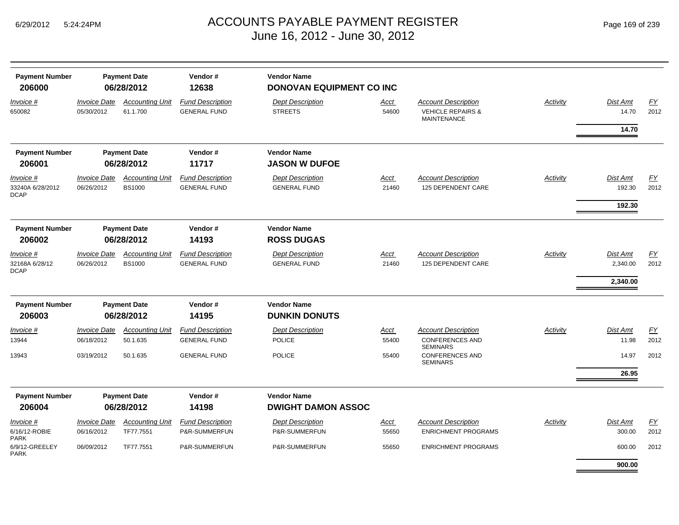| <b>Payment Number</b><br>206000 |                                          | <b>Payment Date</b><br>06/28/2012  | Vendor#<br>12638                               | <b>Vendor Name</b><br>DONOVAN EQUIPMENT CO INC |                      |                                                                                  |                 |                   |                          |
|---------------------------------|------------------------------------------|------------------------------------|------------------------------------------------|------------------------------------------------|----------------------|----------------------------------------------------------------------------------|-----------------|-------------------|--------------------------|
| <u>Invoice #</u><br>650082      | <i><b>Invoice Date</b></i><br>05/30/2012 | <b>Accounting Unit</b><br>61.1.700 | <b>Fund Description</b><br><b>GENERAL FUND</b> | <b>Dept Description</b><br><b>STREETS</b>      | <u>Acct</u><br>54600 | <b>Account Description</b><br><b>VEHICLE REPAIRS &amp;</b><br><b>MAINTENANCE</b> | <b>Activity</b> | Dist Amt<br>14.70 | $\underline{FY}$<br>2012 |
|                                 |                                          |                                    |                                                |                                                |                      |                                                                                  |                 | 14.70             |                          |
| <b>Payment Number</b>           |                                          | <b>Payment Date</b>                | Vendor#                                        | <b>Vendor Name</b>                             |                      |                                                                                  |                 |                   |                          |
| 206001                          |                                          | 06/28/2012                         | 11717                                          | <b>JASON W DUFOE</b>                           |                      |                                                                                  |                 |                   |                          |
| Invoice #                       | <i><b>Invoice Date</b></i>               | <b>Accounting Unit</b>             | <b>Fund Description</b>                        | <b>Dept Description</b>                        | <u>Acct</u>          | <b>Account Description</b>                                                       | <b>Activity</b> | <b>Dist Amt</b>   | EY                       |
| 33240A 6/28/2012<br>DCAP        | 06/26/2012                               | <b>BS1000</b>                      | <b>GENERAL FUND</b>                            | <b>GENERAL FUND</b>                            | 21460                | 125 DEPENDENT CARE                                                               |                 | 192.30            | 2012                     |
|                                 |                                          |                                    |                                                |                                                |                      |                                                                                  |                 | 192.30            |                          |
| <b>Payment Number</b>           |                                          | <b>Payment Date</b>                | Vendor#                                        | <b>Vendor Name</b>                             |                      |                                                                                  |                 |                   |                          |
| 206002                          |                                          | 06/28/2012                         | 14193                                          | <b>ROSS DUGAS</b>                              |                      |                                                                                  |                 |                   |                          |
| Invoice #                       | <b>Invoice Date</b>                      | <b>Accounting Unit</b>             | <b>Fund Description</b>                        | <b>Dept Description</b>                        | <u>Acct</u>          | <b>Account Description</b>                                                       | Activity        | Dist Amt          | $\underline{FY}$         |
| 32168A 6/28/12<br><b>DCAP</b>   | 06/26/2012                               | <b>BS1000</b>                      | <b>GENERAL FUND</b>                            | <b>GENERAL FUND</b>                            | 21460                | 125 DEPENDENT CARE                                                               |                 | 2,340.00          | 2012                     |
|                                 |                                          |                                    |                                                |                                                |                      |                                                                                  |                 | 2,340.00          |                          |
| <b>Payment Number</b>           |                                          | <b>Payment Date</b>                | Vendor#                                        | <b>Vendor Name</b>                             |                      |                                                                                  |                 |                   |                          |
| 206003                          |                                          | 06/28/2012                         | 14195                                          | <b>DUNKIN DONUTS</b>                           |                      |                                                                                  |                 |                   |                          |
| Invoice #                       | <i><b>Invoice Date</b></i>               | <b>Accounting Unit</b>             | <b>Fund Description</b>                        | <b>Dept Description</b>                        | <u>Acct</u>          | <b>Account Description</b>                                                       | <b>Activity</b> | Dist Amt          | $\underline{FY}$         |
| 13944                           | 06/18/2012                               | 50.1.635                           | <b>GENERAL FUND</b>                            | <b>POLICE</b>                                  | 55400                | <b>CONFERENCES AND</b><br><b>SEMINARS</b>                                        |                 | 11.98             | 2012                     |
| 13943                           | 03/19/2012                               | 50.1.635                           | <b>GENERAL FUND</b>                            | <b>POLICE</b>                                  | 55400                | <b>CONFERENCES AND</b><br><b>SEMINARS</b>                                        |                 | 14.97             | 2012                     |
|                                 |                                          |                                    |                                                |                                                |                      |                                                                                  |                 | 26.95             |                          |
| <b>Payment Number</b>           |                                          | <b>Payment Date</b>                | Vendor#                                        | <b>Vendor Name</b>                             |                      |                                                                                  |                 |                   |                          |
| 206004                          |                                          | 06/28/2012                         | 14198                                          | <b>DWIGHT DAMON ASSOC</b>                      |                      |                                                                                  |                 |                   |                          |
| Invoice #                       | <i><b>Invoice Date</b></i>               | <b>Accounting Unit</b>             | <b>Fund Description</b>                        | <b>Dept Description</b>                        | <u>Acct</u>          | <b>Account Description</b>                                                       | Activity        | <b>Dist Amt</b>   | EY                       |
| 6/16/12-ROBIE<br>PARK           | 06/16/2012                               | TF77.7551                          | P&R-SUMMERFUN                                  | P&R-SUMMERFUN                                  | 55650                | <b>ENRICHMENT PROGRAMS</b>                                                       |                 | 300.00            | 2012                     |
| 6/9/12-GREELEY<br>PARK          | 06/09/2012                               | TF77.7551                          | P&R-SUMMERFUN                                  | P&R-SUMMERFUN                                  | 55650                | <b>ENRICHMENT PROGRAMS</b>                                                       |                 | 600.00            | 2012                     |
|                                 |                                          |                                    |                                                |                                                |                      |                                                                                  |                 | 900.00            |                          |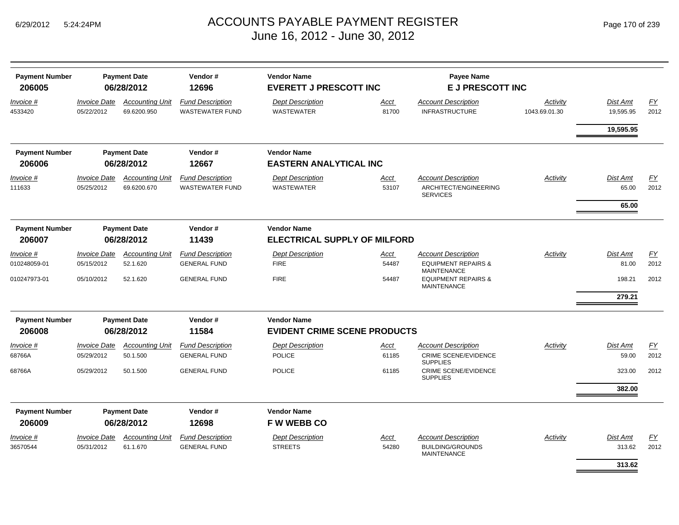| <b>Payment Number</b><br>206005 |                                   | <b>Payment Date</b><br>06/28/2012     | Vendor#<br>12696                                  | <b>Vendor Name</b><br><b>EVERETT J PRESCOTT INC</b> |               | <b>Payee Name</b><br>E J PRESCOTT INC                                              |                           |                       |            |
|---------------------------------|-----------------------------------|---------------------------------------|---------------------------------------------------|-----------------------------------------------------|---------------|------------------------------------------------------------------------------------|---------------------------|-----------------------|------------|
| Invoice #<br>4533420            | Invoice Date<br>05/22/2012        | <b>Accounting Unit</b><br>69.6200.950 | <b>Fund Description</b><br><b>WASTEWATER FUND</b> | <b>Dept Description</b><br><b>WASTEWATER</b>        | Acct<br>81700 | <b>Account Description</b><br><b>INFRASTRUCTURE</b>                                | Activity<br>1043.69.01.30 | Dist Amt<br>19,595.95 | EY<br>2012 |
|                                 |                                   |                                       |                                                   |                                                     |               |                                                                                    |                           | 19,595.95             |            |
| <b>Payment Number</b><br>206006 |                                   | <b>Payment Date</b><br>06/28/2012     | Vendor#<br>12667                                  | <b>Vendor Name</b><br><b>EASTERN ANALYTICAL INC</b> |               |                                                                                    |                           |                       |            |
| Invoice #                       | <i><b>Invoice Date</b></i>        | <b>Accounting Unit</b>                | <b>Fund Description</b>                           | <b>Dept Description</b>                             | Acct          | <b>Account Description</b>                                                         | Activity                  | Dist Amt              | EY         |
| 111633                          | 05/25/2012                        | 69.6200.670                           | <b>WASTEWATER FUND</b>                            | <b>WASTEWATER</b>                                   | 53107         | ARCHITECT/ENGINEERING<br><b>SERVICES</b>                                           |                           | 65.00                 | 2012       |
|                                 |                                   |                                       |                                                   |                                                     |               |                                                                                    |                           | 65.00                 |            |
| <b>Payment Number</b>           |                                   | <b>Payment Date</b>                   | Vendor#                                           | <b>Vendor Name</b>                                  |               |                                                                                    |                           |                       |            |
| 206007                          |                                   | 06/28/2012                            | 11439                                             | <b>ELECTRICAL SUPPLY OF MILFORD</b>                 |               |                                                                                    |                           |                       |            |
| Invoice #<br>010248059-01       | <b>Invoice Date</b><br>05/15/2012 | <b>Accounting Unit</b><br>52.1.620    | <b>Fund Description</b><br><b>GENERAL FUND</b>    | <b>Dept Description</b><br><b>FIRE</b>              | Acct<br>54487 | <b>Account Description</b><br><b>EQUIPMENT REPAIRS &amp;</b><br><b>MAINTENANCE</b> | Activity                  | Dist Amt<br>81.00     | EY<br>2012 |
| 010247973-01                    | 05/10/2012                        | 52.1.620                              | <b>GENERAL FUND</b>                               | <b>FIRE</b>                                         | 54487         | <b>EQUIPMENT REPAIRS &amp;</b><br><b>MAINTENANCE</b>                               |                           | 198.21                | 2012       |
|                                 |                                   |                                       |                                                   |                                                     |               |                                                                                    |                           | 279.21                |            |
| <b>Payment Number</b>           |                                   | <b>Payment Date</b>                   | Vendor#                                           | <b>Vendor Name</b>                                  |               |                                                                                    |                           |                       |            |
| 206008                          |                                   | 06/28/2012                            | 11584                                             | <b>EVIDENT CRIME SCENE PRODUCTS</b>                 |               |                                                                                    |                           |                       |            |
| Invoice #                       | <b>Invoice Date</b>               | <b>Accounting Unit</b>                | <b>Fund Description</b>                           | <b>Dept Description</b>                             | <b>Acct</b>   | <b>Account Description</b>                                                         | Activity                  | <b>Dist Amt</b>       | EY         |
| 68766A                          | 05/29/2012                        | 50.1.500                              | <b>GENERAL FUND</b>                               | <b>POLICE</b>                                       | 61185         | <b>CRIME SCENE/EVIDENCE</b><br><b>SUPPLIES</b>                                     |                           | 59.00                 | 2012       |
| 68766A                          | 05/29/2012                        | 50.1.500                              | <b>GENERAL FUND</b>                               | <b>POLICE</b>                                       | 61185         | <b>CRIME SCENE/EVIDENCE</b><br><b>SUPPLIES</b>                                     |                           | 323.00                | 2012       |
|                                 |                                   |                                       |                                                   |                                                     |               |                                                                                    |                           | 382.00                |            |
| <b>Payment Number</b>           |                                   | <b>Payment Date</b>                   | Vendor#                                           | <b>Vendor Name</b>                                  |               |                                                                                    |                           |                       |            |
| 206009                          |                                   | 06/28/2012                            | 12698                                             | <b>FW WEBB CO</b>                                   |               |                                                                                    |                           |                       |            |
| Invoice #<br>36570544           | <b>Invoice Date</b><br>05/31/2012 | <b>Accounting Unit</b><br>61.1.670    | <b>Fund Description</b><br><b>GENERAL FUND</b>    | <b>Dept Description</b><br><b>STREETS</b>           | Acct<br>54280 | <b>Account Description</b><br><b>BUILDING/GROUNDS</b>                              | Activity                  | Dist Amt<br>313.62    | EY<br>2012 |
|                                 |                                   |                                       |                                                   |                                                     |               | <b>MAINTENANCE</b>                                                                 |                           | 313.62                |            |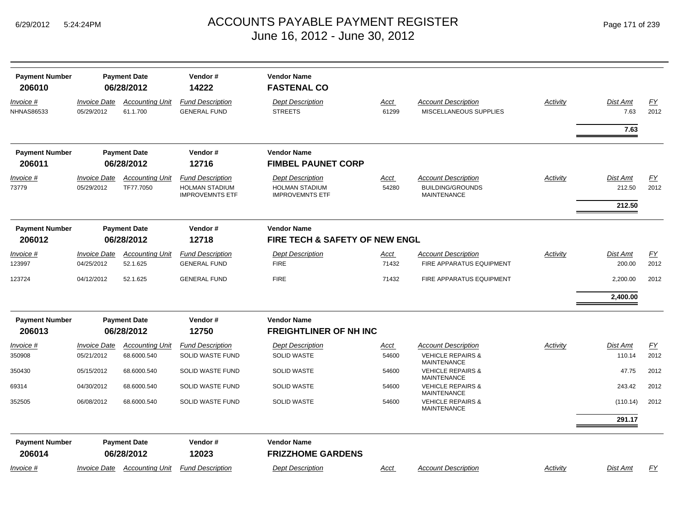| Page 171 of 239 |  |  |  |  |
|-----------------|--|--|--|--|
|-----------------|--|--|--|--|

| <b>Payment Number</b><br>206010 |                            | <b>Payment Date</b><br>06/28/2012 | Vendor#<br>14222        | <b>Vendor Name</b><br><b>FASTENAL CO</b>       |       |                                                    |          |          |      |
|---------------------------------|----------------------------|-----------------------------------|-------------------------|------------------------------------------------|-------|----------------------------------------------------|----------|----------|------|
| Invoice #                       | <b>Invoice Date</b>        | <b>Accounting Unit</b>            | <b>Fund Description</b> | <b>Dept Description</b>                        | Acct  | <b>Account Description</b>                         | Activity | Dist Amt | EY   |
| <b>NHNAS86533</b>               | 05/29/2012                 | 61.1.700                          | <b>GENERAL FUND</b>     | <b>STREETS</b>                                 | 61299 | MISCELLANEOUS SUPPLIES                             |          | 7.63     | 2012 |
|                                 |                            |                                   |                         |                                                |       |                                                    |          |          |      |
|                                 |                            |                                   |                         |                                                |       |                                                    |          | 7.63     |      |
| <b>Payment Number</b>           |                            | <b>Payment Date</b>               | Vendor#                 | <b>Vendor Name</b>                             |       |                                                    |          |          |      |
| 206011                          |                            | 06/28/2012                        | 12716                   | <b>FIMBEL PAUNET CORP</b>                      |       |                                                    |          |          |      |
| Invoice #                       | <b>Invoice Date</b>        | <b>Accounting Unit</b>            | <b>Fund Description</b> | <b>Dept Description</b>                        | Acct  | <b>Account Description</b>                         | Activity | Dist Amt | EY   |
| 73779                           | 05/29/2012                 | TF77.7050                         | <b>HOLMAN STADIUM</b>   | <b>HOLMAN STADIUM</b>                          | 54280 | <b>BUILDING/GROUNDS</b>                            |          | 212.50   | 2012 |
|                                 |                            |                                   | <b>IMPROVEMNTS ETF</b>  | <b>IMPROVEMNTS ETF</b>                         |       | <b>MAINTENANCE</b>                                 |          |          |      |
|                                 |                            |                                   |                         |                                                |       |                                                    |          | 212.50   |      |
| <b>Payment Number</b>           |                            | <b>Payment Date</b>               | Vendor#                 | <b>Vendor Name</b>                             |       |                                                    |          |          |      |
| 206012                          |                            | 06/28/2012                        | 12718                   | FIRE TECH & SAFETY OF NEW ENGL                 |       |                                                    |          |          |      |
| Invoice #                       | <i><b>Invoice Date</b></i> | <b>Accounting Unit</b>            | <b>Fund Description</b> | <b>Dept Description</b>                        | Acct  | <b>Account Description</b>                         | Activity | Dist Amt | EY   |
| 123997                          | 04/25/2012                 | 52.1.625                          | <b>GENERAL FUND</b>     | <b>FIRE</b>                                    | 71432 | FIRE APPARATUS EQUIPMENT                           |          | 200.00   | 2012 |
| 123724                          | 04/12/2012                 | 52.1.625                          | <b>GENERAL FUND</b>     | <b>FIRE</b>                                    | 71432 | FIRE APPARATUS EQUIPMENT                           |          | 2,200.00 | 2012 |
|                                 |                            |                                   |                         |                                                |       |                                                    |          | 2,400.00 |      |
| <b>Payment Number</b>           |                            | <b>Payment Date</b>               | Vendor#                 | <b>Vendor Name</b>                             |       |                                                    |          |          |      |
| 206013                          |                            | 06/28/2012                        | 12750                   | <b>FREIGHTLINER OF NH INC</b>                  |       |                                                    |          |          |      |
| Invoice #                       | <b>Invoice Date</b>        | <b>Accounting Unit</b>            | <b>Fund Description</b> | <b>Dept Description</b>                        | Acct  | <b>Account Description</b>                         | Activity | Dist Amt | EY   |
| 350908                          | 05/21/2012                 | 68.6000.540                       | SOLID WASTE FUND        | <b>SOLID WASTE</b>                             | 54600 | <b>VEHICLE REPAIRS &amp;</b><br><b>MAINTENANCE</b> |          | 110.14   | 2012 |
| 350430                          | 05/15/2012                 | 68.6000.540                       | SOLID WASTE FUND        | <b>SOLID WASTE</b>                             | 54600 | <b>VEHICLE REPAIRS &amp;</b><br><b>MAINTENANCE</b> |          | 47.75    | 2012 |
| 69314                           | 04/30/2012                 | 68.6000.540                       | SOLID WASTE FUND        | <b>SOLID WASTE</b>                             | 54600 | <b>VEHICLE REPAIRS &amp;</b><br><b>MAINTENANCE</b> |          | 243.42   | 2012 |
| 352505                          | 06/08/2012                 | 68.6000.540                       | <b>SOLID WASTE FUND</b> | <b>SOLID WASTE</b>                             | 54600 | <b>VEHICLE REPAIRS &amp;</b><br><b>MAINTENANCE</b> |          | (110.14) | 2012 |
|                                 |                            |                                   |                         |                                                |       |                                                    |          | 291.17   |      |
| <b>Payment Number</b>           |                            | <b>Payment Date</b>               | Vendor#<br>12023        | <b>Vendor Name</b><br><b>FRIZZHOME GARDENS</b> |       |                                                    |          |          |      |
| 206014                          |                            | 06/28/2012                        |                         |                                                |       |                                                    |          |          |      |
| Invoice #                       | <b>Invoice Date</b>        | <b>Accounting Unit</b>            | <b>Fund Description</b> | <b>Dept Description</b>                        | Acct  | <b>Account Description</b>                         | Activity | Dist Amt | EY   |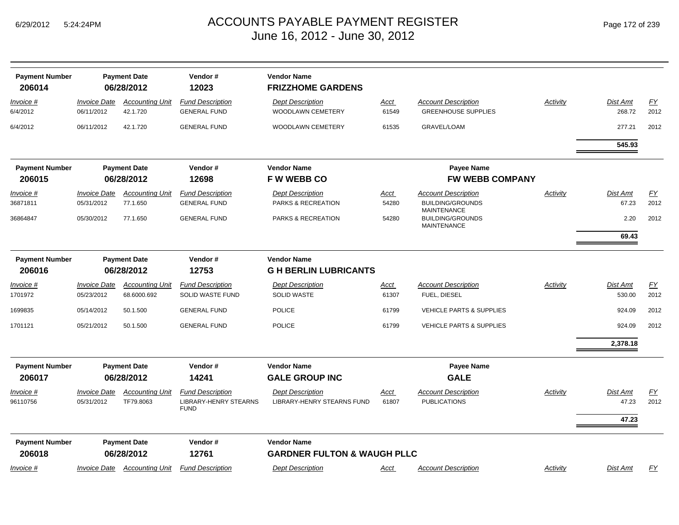|  | Page 172 of 239 |  |  |  |
|--|-----------------|--|--|--|
|--|-----------------|--|--|--|

| <b>Payment Number</b><br>206014 |                                   | <b>Payment Date</b><br>06/28/2012     | Vendor#<br>12023                                                       | <b>Vendor Name</b><br><b>FRIZZHOME GARDENS</b>               |               |                                                          |          |                    |                   |
|---------------------------------|-----------------------------------|---------------------------------------|------------------------------------------------------------------------|--------------------------------------------------------------|---------------|----------------------------------------------------------|----------|--------------------|-------------------|
| Invoice #<br>6/4/2012           | <b>Invoice Date</b><br>06/11/2012 | <b>Accounting Unit</b><br>42.1.720    | <b>Fund Description</b><br><b>GENERAL FUND</b>                         | <b>Dept Description</b><br>WOODLAWN CEMETERY                 | Acct<br>61549 | <b>Account Description</b><br><b>GREENHOUSE SUPPLIES</b> | Activity | Dist Amt<br>268.72 | EY<br>2012        |
| 6/4/2012                        | 06/11/2012                        | 42.1.720                              | <b>GENERAL FUND</b>                                                    | WOODLAWN CEMETERY                                            | 61535         | GRAVEL/LOAM                                              |          | 277.21             | 2012              |
|                                 |                                   |                                       |                                                                        |                                                              |               |                                                          |          | 545.93             |                   |
| <b>Payment Number</b>           |                                   | <b>Payment Date</b>                   | Vendor#                                                                | <b>Vendor Name</b>                                           |               | <b>Payee Name</b>                                        |          |                    |                   |
| 206015                          |                                   | 06/28/2012                            | 12698                                                                  | <b>FWWEBBCO</b>                                              |               | <b>FW WEBB COMPANY</b>                                   |          |                    |                   |
| Invoice #                       | <b>Invoice Date</b>               | <b>Accounting Unit</b>                | <b>Fund Description</b>                                                | <b>Dept Description</b>                                      | Acct          | <b>Account Description</b>                               | Activity | Dist Amt           | FY                |
| 36871811                        | 05/31/2012                        | 77.1.650                              | <b>GENERAL FUND</b>                                                    | PARKS & RECREATION                                           | 54280         | <b>BUILDING/GROUNDS</b><br><b>MAINTENANCE</b>            |          | 67.23              | 2012              |
| 36864847                        | 05/30/2012                        | 77.1.650                              | <b>GENERAL FUND</b>                                                    | PARKS & RECREATION                                           | 54280         | <b>BUILDING/GROUNDS</b><br>MAINTENANCE                   |          | 2.20               | 2012              |
|                                 |                                   |                                       |                                                                        |                                                              |               |                                                          |          | 69.43              |                   |
| <b>Payment Number</b><br>206016 | <b>Payment Date</b><br>06/28/2012 |                                       | Vendor#<br>12753                                                       | <b>Vendor Name</b><br><b>G H BERLIN LUBRICANTS</b>           |               |                                                          |          |                    |                   |
|                                 |                                   |                                       |                                                                        |                                                              |               |                                                          |          |                    |                   |
| Invoice #<br>1701972            | <b>Invoice Date</b><br>05/23/2012 | <b>Accounting Unit</b><br>68.6000.692 | <b>Fund Description</b><br>SOLID WASTE FUND                            | <b>Dept Description</b><br><b>SOLID WASTE</b>                | Acct<br>61307 | <b>Account Description</b><br>FUEL, DIESEL               | Activity | Dist Amt<br>530.00 | <b>FY</b><br>2012 |
| 1699835                         | 05/14/2012                        | 50.1.500                              | <b>GENERAL FUND</b>                                                    | <b>POLICE</b>                                                | 61799         | VEHICLE PARTS & SUPPLIES                                 |          | 924.09             | 2012              |
| 1701121                         | 05/21/2012                        | 50.1.500                              | <b>GENERAL FUND</b>                                                    | <b>POLICE</b>                                                | 61799         | <b>VEHICLE PARTS &amp; SUPPLIES</b>                      |          | 924.09             | 2012              |
|                                 |                                   |                                       |                                                                        |                                                              |               |                                                          |          | 2,378.18           |                   |
| <b>Payment Number</b>           |                                   | <b>Payment Date</b>                   | Vendor#                                                                | <b>Vendor Name</b>                                           |               | <b>Payee Name</b>                                        |          |                    |                   |
| 206017                          |                                   | 06/28/2012                            | 14241                                                                  | <b>GALE GROUP INC</b>                                        |               | <b>GALE</b>                                              |          |                    |                   |
| <i>Invoice</i> #<br>96110756    | <b>Invoice Date</b><br>05/31/2012 | <b>Accounting Unit</b><br>TF79.8063   | <b>Fund Description</b><br><b>LIBRARY-HENRY STEARNS</b><br><b>FUND</b> | <b>Dept Description</b><br><b>LIBRARY-HENRY STEARNS FUND</b> | Acct<br>61807 | <b>Account Description</b><br><b>PUBLICATIONS</b>        | Activity | Dist Amt<br>47.23  | <u>FY</u><br>2012 |
|                                 |                                   |                                       |                                                                        |                                                              |               |                                                          |          | 47.23              |                   |
| <b>Payment Number</b><br>206018 |                                   | <b>Payment Date</b><br>06/28/2012     | Vendor#<br>12761                                                       | <b>Vendor Name</b><br><b>GARDNER FULTON &amp; WAUGH PLLC</b> |               |                                                          |          |                    |                   |
| Invoice #                       | <i><b>Invoice Date</b></i>        | <b>Accounting Unit</b>                | <b>Fund Description</b>                                                | <b>Dept Description</b>                                      | <u>Acct</u>   | <b>Account Description</b>                               | Activity | Dist Amt           | <u>FY</u>         |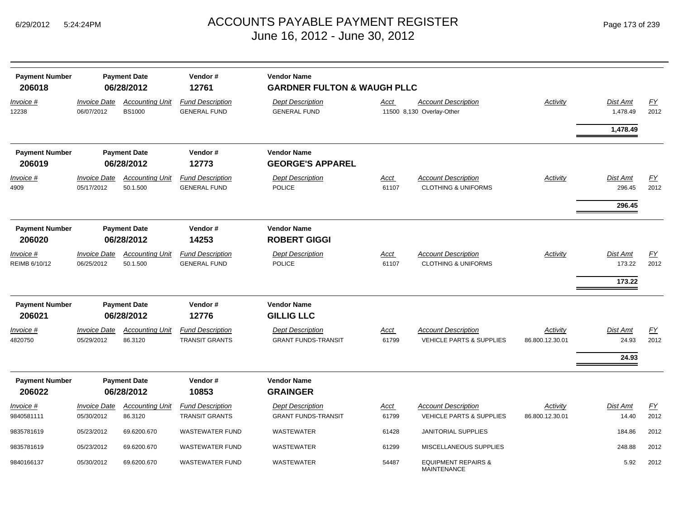| <b>Payment Number</b><br>206018 |                                   | <b>Payment Date</b><br>06/28/2012       | Vendor#<br>12761                                 | <b>Vendor Name</b><br><b>GARDNER FULTON &amp; WAUGH PLLC</b> |                      |                                                                   |                             |                                     |                          |  |
|---------------------------------|-----------------------------------|-----------------------------------------|--------------------------------------------------|--------------------------------------------------------------|----------------------|-------------------------------------------------------------------|-----------------------------|-------------------------------------|--------------------------|--|
| Invoice #<br>12238              | <b>Invoice Date</b><br>06/07/2012 | <b>Accounting Unit</b><br><b>BS1000</b> | <b>Fund Description</b><br><b>GENERAL FUND</b>   | <b>Dept Description</b><br><b>GENERAL FUND</b>               | Acct                 | <b>Account Description</b><br>11500 8,130 Overlay-Other           | Activity                    | <b>Dist Amt</b><br>1,478.49         | <b>FY</b><br>2012        |  |
|                                 |                                   |                                         |                                                  |                                                              |                      |                                                                   |                             | 1,478.49                            |                          |  |
| <b>Payment Number</b><br>206019 | <b>Payment Date</b><br>06/28/2012 |                                         | Vendor#<br>12773                                 | <b>Vendor Name</b><br><b>GEORGE'S APPAREL</b>                |                      |                                                                   |                             |                                     |                          |  |
| Invoice #<br>4909               | <b>Invoice Date</b><br>05/17/2012 | <b>Accounting Unit</b><br>50.1.500      | <b>Fund Description</b><br><b>GENERAL FUND</b>   | <b>Dept Description</b><br><b>POLICE</b>                     | <u>Acct</u><br>61107 | <b>Account Description</b><br><b>CLOTHING &amp; UNIFORMS</b>      | <b>Activity</b>             | <b>Dist Amt</b><br>296.45<br>296.45 | EY<br>2012               |  |
| <b>Payment Number</b><br>206020 | <b>Payment Date</b><br>06/28/2012 |                                         | Vendor#<br>14253                                 | <b>Vendor Name</b><br><b>ROBERT GIGGI</b>                    |                      |                                                                   |                             |                                     |                          |  |
| Invoice #<br>REIMB 6/10/12      | <b>Invoice Date</b><br>06/25/2012 | <b>Accounting Unit</b><br>50.1.500      | <b>Fund Description</b><br><b>GENERAL FUND</b>   | <b>Dept Description</b><br><b>POLICE</b>                     | <u>Acct</u><br>61107 | <b>Account Description</b><br><b>CLOTHING &amp; UNIFORMS</b>      | Activity                    | Dist Amt<br>173.22<br>173.22        | <b>FY</b><br>2012        |  |
| <b>Payment Number</b><br>206021 | <b>Payment Date</b><br>06/28/2012 |                                         | Vendor#<br>12776                                 | <b>Vendor Name</b><br><b>GILLIG LLC</b>                      |                      |                                                                   |                             |                                     |                          |  |
| Invoice #<br>4820750            | <b>Invoice Date</b><br>05/29/2012 | <b>Accounting Unit</b><br>86.3120       | <b>Fund Description</b><br><b>TRANSIT GRANTS</b> | <b>Dept Description</b><br><b>GRANT FUNDS-TRANSIT</b>        | Acct<br>61799        | <b>Account Description</b><br><b>VEHICLE PARTS &amp; SUPPLIES</b> | Activity<br>86.800.12.30.01 | Dist Amt<br>24.93<br>24.93          | EY<br>2012               |  |
| <b>Payment Number</b><br>206022 | <b>Payment Date</b><br>06/28/2012 |                                         | Vendor#<br>10853                                 | <b>Vendor Name</b><br><b>GRAINGER</b>                        |                      |                                                                   |                             |                                     |                          |  |
| Invoice #<br>9840581111         | <b>Invoice Date</b><br>05/30/2012 | <b>Accounting Unit</b><br>86.3120       | <b>Fund Description</b><br><b>TRANSIT GRANTS</b> | <b>Dept Description</b><br><b>GRANT FUNDS-TRANSIT</b>        | <b>Acct</b><br>61799 | <b>Account Description</b><br><b>VEHICLE PARTS &amp; SUPPLIES</b> | Activity<br>86.800.12.30.01 | Dist Amt<br>14.40                   | $\underline{FY}$<br>2012 |  |
| 9835781619                      | 05/23/2012                        | 69.6200.670                             | <b>WASTEWATER FUND</b>                           | WASTEWATER                                                   | 61428                | JANITORIAL SUPPLIES                                               |                             | 184.86                              | 2012                     |  |
| 9835781619                      | 05/23/2012                        | 69.6200.670                             | <b>WASTEWATER FUND</b>                           | WASTEWATER                                                   | 61299                | MISCELLANEOUS SUPPLIES                                            |                             | 248.88                              | 2012                     |  |
| 9840166137                      | 05/30/2012                        | 69.6200.670                             | <b>WASTEWATER FUND</b>                           | <b>WASTEWATER</b>                                            | 54487                | <b>EQUIPMENT REPAIRS &amp;</b><br><b>MAINTENANCE</b>              |                             | 5.92                                | 2012                     |  |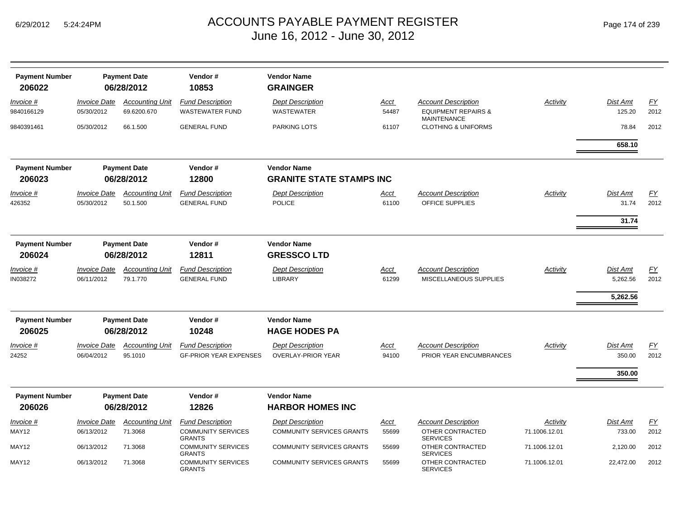| Page 174 of 239 |  |  |  |  |
|-----------------|--|--|--|--|
|-----------------|--|--|--|--|

| <b>Payment Number</b><br>206022 |                                   | <b>Payment Date</b><br>06/28/2012     | Vendor#<br>10853                                            | <b>Vendor Name</b><br><b>GRAINGER</b>                       |                      |                                                                                    |                           |                                         |                   |
|---------------------------------|-----------------------------------|---------------------------------------|-------------------------------------------------------------|-------------------------------------------------------------|----------------------|------------------------------------------------------------------------------------|---------------------------|-----------------------------------------|-------------------|
| Invoice #<br>9840166129         | <b>Invoice Date</b><br>05/30/2012 | <b>Accounting Unit</b><br>69.6200.670 | <b>Fund Description</b><br><b>WASTEWATER FUND</b>           | <b>Dept Description</b><br>WASTEWATER                       | Acct<br>54487        | <b>Account Description</b><br><b>EQUIPMENT REPAIRS &amp;</b><br><b>MAINTENANCE</b> | <b>Activity</b>           | <b>Dist Amt</b><br>125.20               | FY<br>2012        |
| 9840391461                      | 05/30/2012                        | 66.1.500                              | <b>GENERAL FUND</b>                                         | <b>PARKING LOTS</b>                                         | 61107                | <b>CLOTHING &amp; UNIFORMS</b>                                                     |                           | 78.84                                   | 2012              |
|                                 |                                   |                                       |                                                             |                                                             |                      |                                                                                    |                           | 658.10                                  |                   |
| <b>Payment Number</b><br>206023 | <b>Payment Date</b><br>06/28/2012 |                                       | Vendor#<br>12800                                            | <b>Vendor Name</b><br><b>GRANITE STATE STAMPS INC</b>       |                      |                                                                                    |                           |                                         |                   |
|                                 | <b>Invoice Date</b>               | <b>Accounting Unit</b>                | <b>Fund Description</b>                                     |                                                             |                      |                                                                                    | <b>Activity</b>           | <b>Dist Amt</b>                         | EY                |
| <u>Invoice #</u><br>426352      | 05/30/2012                        | 50.1.500                              | <b>GENERAL FUND</b>                                         | <b>Dept Description</b><br><b>POLICE</b>                    | <u>Acct</u><br>61100 | <b>Account Description</b><br>OFFICE SUPPLIES                                      |                           | 31.74                                   | 2012              |
|                                 |                                   |                                       |                                                             |                                                             |                      |                                                                                    |                           | 31.74                                   |                   |
| <b>Payment Number</b><br>206024 | <b>Payment Date</b><br>06/28/2012 |                                       | Vendor#<br>12811                                            | <b>Vendor Name</b><br><b>GRESSCO LTD</b>                    |                      |                                                                                    |                           |                                         |                   |
| Invoice #<br>IN038272           | <b>Invoice Date</b><br>06/11/2012 | <b>Accounting Unit</b><br>79.1.770    | <b>Fund Description</b><br><b>GENERAL FUND</b>              | <b>Dept Description</b><br>LIBRARY                          | Acct<br>61299        | <b>Account Description</b><br>MISCELLANEOUS SUPPLIES                               | <b>Activity</b>           | <b>Dist Amt</b><br>5,262.56<br>5,262.56 | <u>FY</u><br>2012 |
| <b>Payment Number</b>           |                                   | <b>Payment Date</b>                   | Vendor#                                                     | <b>Vendor Name</b>                                          |                      |                                                                                    |                           |                                         |                   |
| 206025                          |                                   | 06/28/2012                            | 10248                                                       | <b>HAGE HODES PA</b>                                        |                      |                                                                                    |                           |                                         |                   |
| Invoice #<br>24252              | <b>Invoice Date</b><br>06/04/2012 | <b>Accounting Unit</b><br>95.1010     | <b>Fund Description</b><br><b>GF-PRIOR YEAR EXPENSES</b>    | <b>Dept Description</b><br><b>OVERLAY-PRIOR YEAR</b>        | Acct<br>94100        | <b>Account Description</b><br>PRIOR YEAR ENCUMBRANCES                              | Activity                  | <b>Dist Amt</b><br>350.00               | <u>FY</u><br>2012 |
|                                 |                                   |                                       |                                                             |                                                             |                      |                                                                                    |                           | 350.00                                  |                   |
| <b>Payment Number</b>           |                                   | <b>Payment Date</b>                   | Vendor#                                                     | <b>Vendor Name</b>                                          |                      |                                                                                    |                           |                                         |                   |
| 206026                          |                                   | 06/28/2012                            | 12826                                                       | <b>HARBOR HOMES INC</b>                                     |                      |                                                                                    |                           |                                         |                   |
| <u>Invoice #</u><br>MAY12       | <b>Invoice Date</b><br>06/13/2012 | <b>Accounting Unit</b><br>71.3068     | <b>Fund Description</b><br><b>COMMUNITY SERVICES</b>        | <b>Dept Description</b><br><b>COMMUNITY SERVICES GRANTS</b> | <u>Acct</u><br>55699 | <b>Account Description</b><br>OTHER CONTRACTED                                     | Activity<br>71.1006.12.01 | <b>Dist Amt</b><br>733.00               | EY<br>2012        |
| MAY12                           | 06/13/2012                        | 71.3068                               | <b>GRANTS</b><br><b>COMMUNITY SERVICES</b><br><b>GRANTS</b> | <b>COMMUNITY SERVICES GRANTS</b>                            | 55699                | <b>SERVICES</b><br>OTHER CONTRACTED<br><b>SERVICES</b>                             | 71.1006.12.01             | 2,120.00                                | 2012              |
| MAY12                           | 06/13/2012                        | 71.3068                               | <b>COMMUNITY SERVICES</b><br><b>GRANTS</b>                  | <b>COMMUNITY SERVICES GRANTS</b>                            | 55699                | OTHER CONTRACTED<br><b>SERVICES</b>                                                | 71.1006.12.01             | 22,472.00                               | 2012              |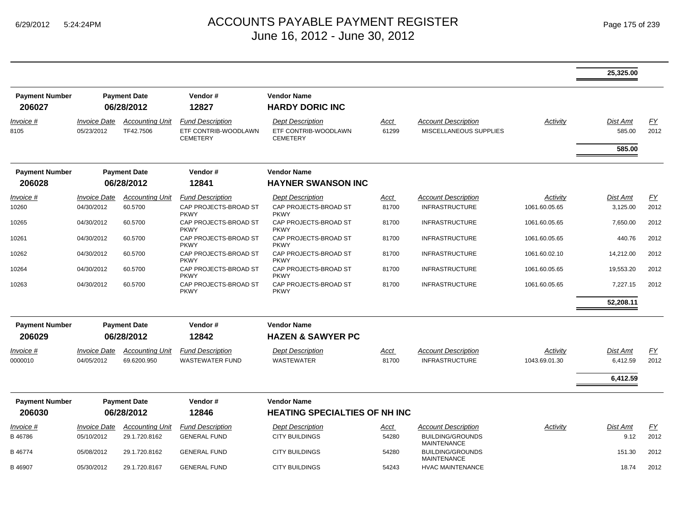|                                 |                                   |                                     |                                                                    |                                                                    |                      |                                                      |               | 25,325.00                 |            |
|---------------------------------|-----------------------------------|-------------------------------------|--------------------------------------------------------------------|--------------------------------------------------------------------|----------------------|------------------------------------------------------|---------------|---------------------------|------------|
| <b>Payment Number</b><br>206027 |                                   | <b>Payment Date</b><br>06/28/2012   | Vendor#<br>12827                                                   | <b>Vendor Name</b><br><b>HARDY DORIC INC</b>                       |                      |                                                      |               |                           |            |
| Invoice #<br>8105               | <b>Invoice Date</b><br>05/23/2012 | <b>Accounting Unit</b><br>TF42.7506 | <b>Fund Description</b><br>ETF CONTRIB-WOODLAWN<br><b>CEMETERY</b> | <b>Dept Description</b><br>ETF CONTRIB-WOODLAWN<br><b>CEMETERY</b> | <u>Acct</u><br>61299 | <b>Account Description</b><br>MISCELLANEOUS SUPPLIES | Activity      | <b>Dist Amt</b><br>585.00 | EY<br>2012 |
|                                 |                                   |                                     |                                                                    |                                                                    |                      |                                                      |               | 585.00                    |            |
| <b>Payment Number</b>           | <b>Payment Date</b>               |                                     | Vendor#                                                            | <b>Vendor Name</b>                                                 |                      |                                                      |               |                           |            |
| 206028                          | 06/28/2012                        |                                     | 12841                                                              | <b>HAYNER SWANSON INC</b>                                          |                      |                                                      |               |                           |            |
| Invoice #                       | <i><b>Invoice Date</b></i>        | <b>Accounting Unit</b>              | <b>Fund Description</b>                                            | <b>Dept Description</b>                                            | Acct                 | <b>Account Description</b>                           | Activity      | <b>Dist Amt</b>           | FY         |
| 10260                           | 04/30/2012                        | 60.5700                             | CAP PROJECTS-BROAD ST<br><b>PKWY</b>                               | CAP PROJECTS-BROAD ST<br><b>PKWY</b>                               | 81700                | <b>INFRASTRUCTURE</b>                                | 1061.60.05.65 | 3,125.00                  | 2012       |
| 10265                           | 04/30/2012                        | 60.5700                             | CAP PROJECTS-BROAD ST<br><b>PKWY</b>                               | CAP PROJECTS-BROAD ST<br><b>PKWY</b>                               | 81700                | <b>INFRASTRUCTURE</b>                                | 1061.60.05.65 | 7,650.00                  | 2012       |
| 10261                           | 04/30/2012                        | 60.5700                             | CAP PROJECTS-BROAD ST<br><b>PKWY</b>                               | CAP PROJECTS-BROAD ST<br><b>PKWY</b>                               | 81700                | <b>INFRASTRUCTURE</b>                                | 1061.60.05.65 | 440.76                    | 2012       |
| 10262                           | 04/30/2012                        | 60.5700                             | CAP PROJECTS-BROAD ST<br><b>PKWY</b>                               | CAP PROJECTS-BROAD ST<br><b>PKWY</b>                               | 81700                | <b>INFRASTRUCTURE</b>                                | 1061.60.02.10 | 14,212.00                 | 2012       |
| 10264                           | 04/30/2012                        | 60.5700                             | CAP PROJECTS-BROAD ST<br><b>PKWY</b>                               | CAP PROJECTS-BROAD ST<br><b>PKWY</b>                               | 81700                | <b>INFRASTRUCTURE</b>                                | 1061.60.05.65 | 19,553.20                 | 2012       |
| 10263                           | 04/30/2012                        | 60.5700                             | CAP PROJECTS-BROAD ST<br><b>PKWY</b>                               | CAP PROJECTS-BROAD ST<br><b>PKWY</b>                               | 81700                | <b>INFRASTRUCTURE</b>                                | 1061.60.05.65 | 7,227.15                  | 2012       |
|                                 |                                   |                                     |                                                                    |                                                                    |                      |                                                      |               | 52,208.11                 |            |
| <b>Payment Number</b>           |                                   | <b>Payment Date</b>                 | Vendor#                                                            | <b>Vendor Name</b>                                                 |                      |                                                      |               |                           |            |
| 206029                          |                                   | 06/28/2012                          | 12842                                                              | <b>HAZEN &amp; SAWYER PC</b>                                       |                      |                                                      |               |                           |            |
| Invoice #                       | <i><b>Invoice Date</b></i>        | <b>Accounting Unit</b>              | <b>Fund Description</b>                                            | <b>Dept Description</b>                                            | Acct                 | <b>Account Description</b>                           | Activity      | <b>Dist Amt</b>           | EY         |
| 0000010                         | 04/05/2012                        | 69.6200.950                         | <b>WASTEWATER FUND</b>                                             | <b>WASTEWATER</b>                                                  | 81700                | <b>INFRASTRUCTURE</b>                                | 1043.69.01.30 | 6,412.59                  | 2012       |
|                                 |                                   |                                     |                                                                    |                                                                    |                      |                                                      |               | 6,412.59                  |            |
|                                 |                                   |                                     |                                                                    |                                                                    |                      |                                                      |               |                           |            |
| <b>Payment Number</b><br>206030 |                                   | <b>Payment Date</b><br>06/28/2012   | Vendor#<br>12846                                                   | <b>Vendor Name</b><br><b>HEATING SPECIALTIES OF NH INC</b>         |                      |                                                      |               |                           |            |
| Invoice #                       | <i><b>Invoice Date</b></i>        | <b>Accounting Unit</b>              | <b>Fund Description</b>                                            | <b>Dept Description</b>                                            | Acct                 | <b>Account Description</b>                           | Activity      | <b>Dist Amt</b>           | FY         |
| B46786                          | 05/10/2012                        | 29.1.720.8162                       | <b>GENERAL FUND</b>                                                | <b>CITY BUILDINGS</b>                                              | 54280                | <b>BUILDING/GROUNDS</b><br><b>MAINTENANCE</b>        |               | 9.12                      | 2012       |
| B 46774                         | 05/08/2012                        | 29.1.720.8162                       | <b>GENERAL FUND</b>                                                | <b>CITY BUILDINGS</b>                                              | 54280                | <b>BUILDING/GROUNDS</b><br><b>MAINTENANCE</b>        |               | 151.30                    | 2012       |
| B 46907                         | 05/30/2012                        | 29.1.720.8167                       | <b>GENERAL FUND</b>                                                | <b>CITY BUILDINGS</b>                                              | 54243                | <b>HVAC MAINTENANCE</b>                              |               | 18.74                     | 2012       |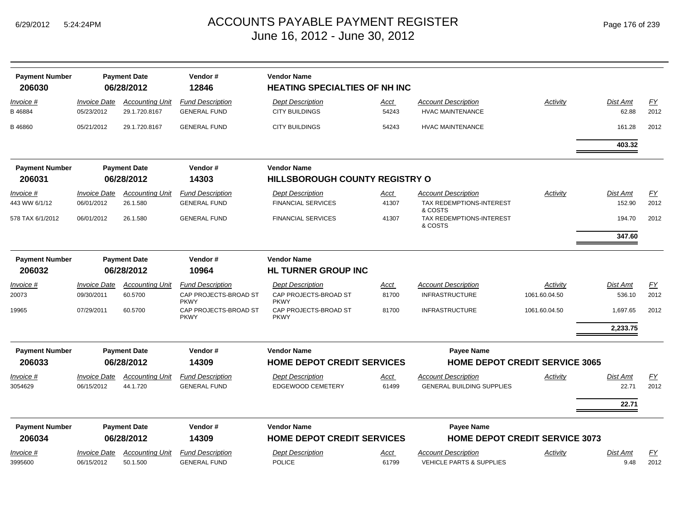| <b>Payment Number</b><br>206030 |                                   | Vendor#<br><b>Vendor Name</b><br><b>Payment Date</b><br>12846<br>06/28/2012<br><b>HEATING SPECIALTIES OF NH INC</b> |                                                                 |                                                                 |                      |                                                       |                                       |                    |            |
|---------------------------------|-----------------------------------|---------------------------------------------------------------------------------------------------------------------|-----------------------------------------------------------------|-----------------------------------------------------------------|----------------------|-------------------------------------------------------|---------------------------------------|--------------------|------------|
| <u>Invoice</u> #<br>B46884      | <b>Invoice Date</b><br>05/23/2012 | <b>Accounting Unit</b><br>29.1.720.8167                                                                             | <b>Fund Description</b><br><b>GENERAL FUND</b>                  | <b>Dept Description</b><br><b>CITY BUILDINGS</b>                | <u>Acct</u><br>54243 | <b>Account Description</b><br><b>HVAC MAINTENANCE</b> | Activity                              | Dist Amt<br>62.88  | EY<br>2012 |
| B 46860                         | 05/21/2012                        | 29.1.720.8167                                                                                                       | <b>GENERAL FUND</b>                                             | <b>CITY BUILDINGS</b>                                           | 54243                | <b>HVAC MAINTENANCE</b>                               |                                       | 161.28             | 2012       |
|                                 |                                   |                                                                                                                     |                                                                 |                                                                 |                      |                                                       |                                       | 403.32             |            |
| <b>Payment Number</b>           |                                   | <b>Payment Date</b>                                                                                                 | Vendor#                                                         | <b>Vendor Name</b>                                              |                      |                                                       |                                       |                    |            |
| 206031                          |                                   | 06/28/2012                                                                                                          | 14303                                                           | HILLSBOROUGH COUNTY REGISTRY O                                  |                      |                                                       |                                       |                    |            |
| Invoice #                       | <b>Invoice Date</b>               | <b>Accounting Unit</b>                                                                                              | <b>Fund Description</b>                                         | <b>Dept Description</b>                                         | Acct                 | <b>Account Description</b>                            | Activity                              | <b>Dist Amt</b>    | EY         |
| 443 WW 6/1/12                   | 06/01/2012                        | 26.1.580                                                                                                            | <b>GENERAL FUND</b>                                             | <b>FINANCIAL SERVICES</b>                                       | 41307                | TAX REDEMPTIONS-INTEREST<br>& COSTS                   |                                       | 152.90             | 2012       |
| 578 TAX 6/1/2012                | 06/01/2012                        | 26.1.580                                                                                                            | <b>GENERAL FUND</b>                                             | <b>FINANCIAL SERVICES</b>                                       | 41307                | TAX REDEMPTIONS-INTEREST<br>& COSTS                   |                                       | 194.70             | 2012       |
|                                 |                                   |                                                                                                                     |                                                                 |                                                                 |                      |                                                       |                                       | 347.60             |            |
| <b>Payment Number</b>           |                                   | <b>Payment Date</b>                                                                                                 | Vendor#                                                         | <b>Vendor Name</b>                                              |                      |                                                       |                                       |                    |            |
| 206032                          |                                   | 06/28/2012                                                                                                          | 10964                                                           | <b>HL TURNER GROUP INC</b>                                      |                      |                                                       |                                       |                    |            |
| Invoice #<br>20073              | <b>Invoice Date</b><br>09/30/2011 | <b>Accounting Unit</b><br>60.5700                                                                                   | <b>Fund Description</b><br>CAP PROJECTS-BROAD ST<br><b>PKWY</b> | <b>Dept Description</b><br>CAP PROJECTS-BROAD ST<br><b>PKWY</b> | <u>Acct</u><br>81700 | <b>Account Description</b><br><b>INFRASTRUCTURE</b>   | Activity<br>1061.60.04.50             | Dist Amt<br>536.10 | EY<br>2012 |
| 19965                           | 07/29/2011                        | 60.5700                                                                                                             | CAP PROJECTS-BROAD ST<br><b>PKWY</b>                            | CAP PROJECTS-BROAD ST<br><b>PKWY</b>                            | 81700                | <b>INFRASTRUCTURE</b>                                 | 1061.60.04.50                         | 1,697.65           | 2012       |
|                                 |                                   |                                                                                                                     |                                                                 |                                                                 |                      |                                                       |                                       | 2,233.75           |            |
| <b>Payment Number</b>           |                                   | <b>Payment Date</b>                                                                                                 | Vendor#                                                         | <b>Vendor Name</b>                                              |                      | Payee Name                                            |                                       |                    |            |
| 206033                          |                                   | 06/28/2012                                                                                                          | 14309                                                           | <b>HOME DEPOT CREDIT SERVICES</b>                               |                      |                                                       | <b>HOME DEPOT CREDIT SERVICE 3065</b> |                    |            |
| Invoice #                       | <i><b>Invoice Date</b></i>        | <b>Accounting Unit</b>                                                                                              | <b>Fund Description</b>                                         | <b>Dept Description</b>                                         | Acct                 | <b>Account Description</b>                            | Activity                              | Dist Amt           | EY         |
| 3054629                         | 06/15/2012                        | 44.1.720                                                                                                            | <b>GENERAL FUND</b>                                             | <b>EDGEWOOD CEMETERY</b>                                        | 61499                | <b>GENERAL BUILDING SUPPLIES</b>                      |                                       | 22.71              | 2012       |
|                                 |                                   |                                                                                                                     |                                                                 |                                                                 |                      |                                                       |                                       | 22.71              |            |
| <b>Payment Number</b>           |                                   | <b>Payment Date</b>                                                                                                 | Vendor#                                                         | <b>Vendor Name</b>                                              |                      | Payee Name                                            |                                       |                    |            |
| 206034                          |                                   | 06/28/2012                                                                                                          | 14309                                                           | <b>HOME DEPOT CREDIT SERVICES</b>                               |                      |                                                       | <b>HOME DEPOT CREDIT SERVICE 3073</b> |                    |            |
| Invoice #                       | <i><b>Invoice Date</b></i>        | <b>Accounting Unit</b>                                                                                              | <b>Fund Description</b>                                         | <b>Dept Description</b>                                         | Acct                 | <b>Account Description</b>                            | Activity                              | <b>Dist Amt</b>    | EY         |
| 3995600                         | 06/15/2012                        | 50.1.500                                                                                                            | <b>GENERAL FUND</b>                                             | <b>POLICE</b>                                                   | 61799                | <b>VEHICLE PARTS &amp; SUPPLIES</b>                   |                                       | 9.48               | 2012       |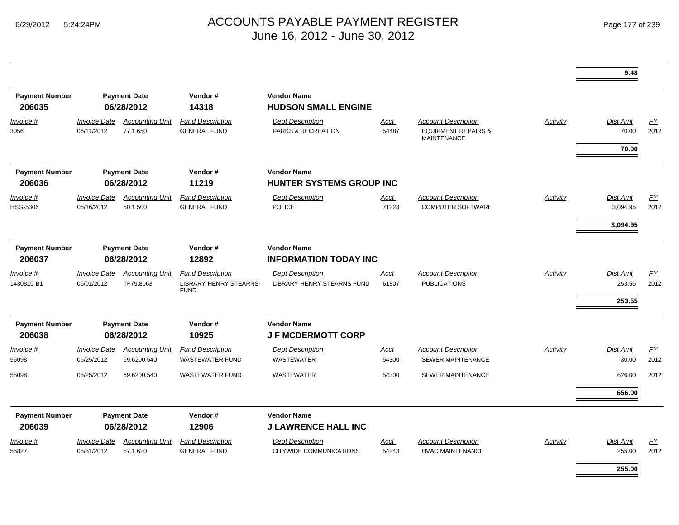|                                 |                                   |                                       |                                                                 |                                                       |                                                    |                                                                                    |                 | 9.48                      |                          |
|---------------------------------|-----------------------------------|---------------------------------------|-----------------------------------------------------------------|-------------------------------------------------------|----------------------------------------------------|------------------------------------------------------------------------------------|-----------------|---------------------------|--------------------------|
| <b>Payment Number</b><br>206035 |                                   | <b>Payment Date</b><br>06/28/2012     | Vendor#<br>14318                                                | <b>Vendor Name</b><br><b>HUDSON SMALL ENGINE</b>      |                                                    |                                                                                    |                 |                           |                          |
| $Invoice$ #<br>3056             | <b>Invoice Date</b><br>06/11/2012 | <b>Accounting Unit</b><br>77.1.650    | <b>Fund Description</b><br><b>GENERAL FUND</b>                  | <b>Dept Description</b><br>PARKS & RECREATION         | <b>Acct</b><br>54487                               | <b>Account Description</b><br><b>EQUIPMENT REPAIRS &amp;</b><br><b>MAINTENANCE</b> | Activity        | Dist Amt<br>70.00         | EY<br>2012               |
|                                 |                                   |                                       |                                                                 |                                                       |                                                    |                                                                                    |                 | 70.00                     |                          |
| <b>Payment Number</b><br>206036 | <b>Payment Date</b><br>06/28/2012 |                                       | Vendor#<br>11219                                                | <b>Vendor Name</b><br><b>HUNTER SYSTEMS GROUP INC</b> |                                                    |                                                                                    |                 |                           |                          |
| Invoice #<br><b>HSG-5306</b>    | <b>Invoice Date</b><br>05/16/2012 | <b>Accounting Unit</b><br>50.1.500    | <b>Fund Description</b><br><b>GENERAL FUND</b>                  | <b>Dept Description</b><br><b>POLICE</b>              | <u>Acct</u><br>71228                               | <b>Account Description</b><br><b>COMPUTER SOFTWARE</b>                             | Activity        | Dist Amt<br>3,094.95      | EY<br>2012               |
|                                 |                                   |                                       |                                                                 |                                                       |                                                    |                                                                                    |                 | 3,094.95                  |                          |
| <b>Payment Number</b><br>206037 | <b>Payment Date</b><br>06/28/2012 |                                       | Vendor#<br>12892                                                |                                                       | <b>Vendor Name</b><br><b>INFORMATION TODAY INC</b> |                                                                                    |                 |                           |                          |
| Invoice #<br>1430810-B1         | <b>Invoice Date</b><br>06/01/2012 | <b>Accounting Unit</b><br>TF79.8063   | <b>Fund Description</b><br>LIBRARY-HENRY STEARNS<br><b>FUND</b> | <b>Dept Description</b><br>LIBRARY-HENRY STEARNS FUND | Acct<br>61807                                      | <b>Account Description</b><br><b>PUBLICATIONS</b>                                  | Activity        | <b>Dist Amt</b><br>253.55 | EY<br>2012               |
|                                 |                                   |                                       |                                                                 |                                                       |                                                    |                                                                                    |                 | 253.55                    |                          |
| <b>Payment Number</b><br>206038 |                                   | <b>Payment Date</b><br>06/28/2012     | Vendor#<br>10925                                                | <b>Vendor Name</b><br><b>JF MCDERMOTT CORP</b>        |                                                    |                                                                                    |                 |                           |                          |
| Invoice #<br>55098              | <b>Invoice Date</b><br>05/25/2012 | <b>Accounting Unit</b><br>69.6200.540 | <b>Fund Description</b><br><b>WASTEWATER FUND</b>               | <b>Dept Description</b><br><b>WASTEWATER</b>          | <b>Acct</b><br>54300                               | <b>Account Description</b><br><b>SEWER MAINTENANCE</b>                             | <b>Activity</b> | Dist Amt<br>30.00         | $\underline{FY}$<br>2012 |
| 55098                           | 05/25/2012                        | 69.6200.540                           | <b>WASTEWATER FUND</b>                                          | <b>WASTEWATER</b>                                     | 54300                                              | <b>SEWER MAINTENANCE</b>                                                           |                 | 626.00                    | 2012                     |
|                                 |                                   |                                       |                                                                 |                                                       |                                                    |                                                                                    |                 | 656.00                    |                          |
| <b>Payment Number</b><br>206039 |                                   | <b>Payment Date</b><br>06/28/2012     | Vendor#<br>12906                                                | <b>Vendor Name</b><br><b>J LAWRENCE HALL INC</b>      |                                                    |                                                                                    |                 |                           |                          |
| Invoice #<br>55827              | <b>Invoice Date</b><br>05/31/2012 | <b>Accounting Unit</b><br>57.1.620    | <b>Fund Description</b><br><b>GENERAL FUND</b>                  | <b>Dept Description</b><br>CITYWIDE COMMUNICATIONS    | Acct<br>54243                                      | <b>Account Description</b><br><b>HVAC MAINTENANCE</b>                              | Activity        | <b>Dist Amt</b><br>255.00 | EY<br>2012               |
|                                 |                                   |                                       |                                                                 |                                                       |                                                    |                                                                                    |                 | 255.00                    |                          |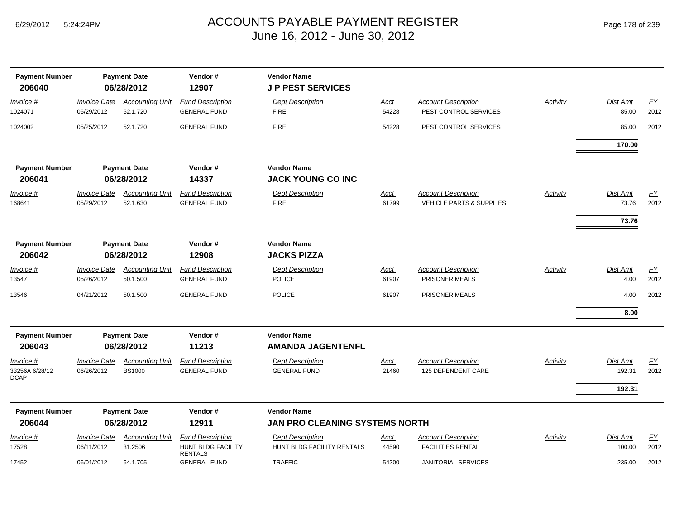| <b>Payment Number</b><br>206040            | <b>Payment Date</b><br>06/28/2012 |                                         | Vendor#<br>12907                                                | <b>Vendor Name</b><br><b>JP PEST SERVICES</b>         |                      |                                                                   |                 |                              |                          |  |  |
|--------------------------------------------|-----------------------------------|-----------------------------------------|-----------------------------------------------------------------|-------------------------------------------------------|----------------------|-------------------------------------------------------------------|-----------------|------------------------------|--------------------------|--|--|
| <u>Invoice #</u><br>1024071                | <b>Invoice Date</b><br>05/29/2012 | <b>Accounting Unit</b><br>52.1.720      | <b>Fund Description</b><br><b>GENERAL FUND</b>                  | <b>Dept Description</b><br><b>FIRE</b>                | Acct<br>54228        | <b>Account Description</b><br>PEST CONTROL SERVICES               | <b>Activity</b> | Dist Amt<br>85.00            | EY<br>2012               |  |  |
| 1024002                                    | 05/25/2012                        | 52.1.720                                | <b>GENERAL FUND</b>                                             | <b>FIRE</b>                                           | 54228                | PEST CONTROL SERVICES                                             |                 | 85.00                        | 2012                     |  |  |
|                                            |                                   |                                         |                                                                 |                                                       |                      |                                                                   |                 | 170.00                       |                          |  |  |
| <b>Payment Number</b><br>206041            | <b>Payment Date</b><br>06/28/2012 |                                         | Vendor#<br>14337                                                | <b>Vendor Name</b><br><b>JACK YOUNG CO INC</b>        |                      |                                                                   |                 |                              |                          |  |  |
| Invoice #<br>168641                        | <b>Invoice Date</b><br>05/29/2012 | <b>Accounting Unit</b><br>52.1.630      | <b>Fund Description</b><br><b>GENERAL FUND</b>                  | <b>Dept Description</b><br><b>FIRE</b>                | Acct<br>61799        | <b>Account Description</b><br><b>VEHICLE PARTS &amp; SUPPLIES</b> | Activity        | Dist Amt<br>73.76            | EY<br>2012               |  |  |
|                                            |                                   |                                         |                                                                 |                                                       |                      |                                                                   |                 | 73.76                        |                          |  |  |
| <b>Payment Number</b><br>206042            | <b>Payment Date</b><br>06/28/2012 |                                         | Vendor#<br>12908                                                | <b>Vendor Name</b><br><b>JACKS PIZZA</b>              |                      |                                                                   |                 |                              |                          |  |  |
| <b>Invoice #</b><br>13547                  | <b>Invoice Date</b><br>05/26/2012 | <b>Accounting Unit</b><br>50.1.500      | <b>Fund Description</b><br><b>GENERAL FUND</b>                  | <b>Dept Description</b><br><b>POLICE</b>              | Acct<br>61907        | <b>Account Description</b><br>PRISONER MEALS                      | <b>Activity</b> | Dist Amt<br>4.00             | EY<br>2012               |  |  |
| 13546                                      | 04/21/2012                        | 50.1.500                                | <b>GENERAL FUND</b>                                             | <b>POLICE</b>                                         | 61907                | PRISONER MEALS                                                    |                 | 4.00                         | 2012                     |  |  |
|                                            |                                   |                                         |                                                                 |                                                       |                      |                                                                   |                 | 8.00                         |                          |  |  |
| <b>Payment Number</b><br>206043            |                                   | <b>Payment Date</b><br>06/28/2012       | Vendor#<br>11213                                                | <b>Vendor Name</b><br><b>AMANDA JAGENTENFL</b>        |                      |                                                                   |                 |                              |                          |  |  |
| Invoice #<br>33256A 6/28/12<br><b>DCAP</b> | <b>Invoice Date</b><br>06/26/2012 | <b>Accounting Unit</b><br><b>BS1000</b> | <b>Fund Description</b><br><b>GENERAL FUND</b>                  | <b>Dept Description</b><br><b>GENERAL FUND</b>        | <b>Acct</b><br>21460 | <b>Account Description</b><br>125 DEPENDENT CARE                  | Activity        | Dist Amt<br>192.31<br>192.31 | $\underline{FY}$<br>2012 |  |  |
| <b>Payment Number</b>                      |                                   | <b>Payment Date</b>                     | Vendor#                                                         | <b>Vendor Name</b>                                    |                      |                                                                   |                 |                              |                          |  |  |
| 206044                                     |                                   | 06/28/2012                              | 12911                                                           | JAN PRO CLEANING SYSTEMS NORTH                        |                      |                                                                   |                 |                              |                          |  |  |
| Invoice #<br>17528                         | <b>Invoice Date</b><br>06/11/2012 | <b>Accounting Unit</b><br>31.2506       | <b>Fund Description</b><br>HUNT BLDG FACILITY<br><b>RENTALS</b> | <b>Dept Description</b><br>HUNT BLDG FACILITY RENTALS | Acct<br>44590        | <b>Account Description</b><br><b>FACILITIES RENTAL</b>            | Activity        | Dist Amt<br>100.00           | $\underline{FY}$<br>2012 |  |  |
| 17452                                      | 06/01/2012                        | 64.1.705                                | <b>GENERAL FUND</b>                                             | <b>TRAFFIC</b>                                        | 54200                | <b>JANITORIAL SERVICES</b>                                        |                 | 235.00                       | 2012                     |  |  |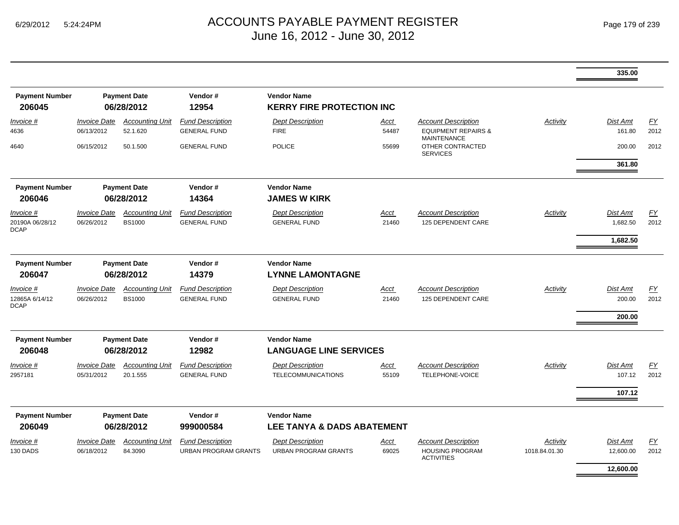|                                             |                                                       |                                         |                                                        |                                                        |               |                                                                                    |                           | 335.00                                  |                   |
|---------------------------------------------|-------------------------------------------------------|-----------------------------------------|--------------------------------------------------------|--------------------------------------------------------|---------------|------------------------------------------------------------------------------------|---------------------------|-----------------------------------------|-------------------|
| <b>Payment Number</b><br>206045             |                                                       | <b>Payment Date</b><br>06/28/2012       | Vendor#<br>12954                                       | <b>Vendor Name</b><br><b>KERRY FIRE PROTECTION INC</b> |               |                                                                                    |                           |                                         |                   |
| Invoice #<br>4636                           | <b>Invoice Date</b><br>06/13/2012                     | <b>Accounting Unit</b><br>52.1.620      | <b>Fund Description</b><br><b>GENERAL FUND</b>         | <b>Dept Description</b><br><b>FIRE</b>                 | Acct<br>54487 | <b>Account Description</b><br><b>EQUIPMENT REPAIRS &amp;</b><br><b>MAINTENANCE</b> | Activity                  | <b>Dist Amt</b><br>161.80               | EY<br>2012        |
| 4640                                        | 06/15/2012                                            | 50.1.500                                | <b>GENERAL FUND</b>                                    | <b>POLICE</b>                                          | 55699         | OTHER CONTRACTED<br><b>SERVICES</b>                                                |                           | 200.00                                  | 2012              |
|                                             |                                                       |                                         |                                                        |                                                        |               |                                                                                    |                           | 361.80                                  |                   |
| <b>Payment Number</b><br>206046             | <b>Payment Date</b><br>06/28/2012                     |                                         | Vendor#<br>14364                                       | <b>Vendor Name</b><br><b>JAMES W KIRK</b>              |               |                                                                                    |                           |                                         |                   |
| Invoice #<br>20190A 06/28/12<br><b>DCAP</b> | <b>Invoice Date</b><br>06/26/2012                     | <b>Accounting Unit</b><br><b>BS1000</b> | <b>Fund Description</b><br><b>GENERAL FUND</b>         | <b>Dept Description</b><br><b>GENERAL FUND</b>         | Acct<br>21460 | <b>Account Description</b><br>125 DEPENDENT CARE                                   | Activity                  | <b>Dist Amt</b><br>1,682.50<br>1,682.50 | EY<br>2012        |
| <b>Payment Number</b><br>206047             | Vendor#<br><b>Payment Date</b><br>06/28/2012<br>14379 |                                         | <b>Vendor Name</b><br><b>LYNNE LAMONTAGNE</b>          |                                                        |               |                                                                                    |                           |                                         |                   |
| Invoice #<br>12865A 6/14/12<br><b>DCAP</b>  | <b>Invoice Date</b><br>06/26/2012                     | <b>Accounting Unit</b><br><b>BS1000</b> | <b>Fund Description</b><br><b>GENERAL FUND</b>         | <b>Dept Description</b><br><b>GENERAL FUND</b>         | Acct<br>21460 | <b>Account Description</b><br>125 DEPENDENT CARE                                   | Activity                  | Dist Amt<br>200.00<br>200.00            | EY<br>2012        |
| <b>Payment Number</b><br>206048             |                                                       | <b>Payment Date</b><br>06/28/2012       | Vendor#<br>12982                                       | <b>Vendor Name</b><br><b>LANGUAGE LINE SERVICES</b>    |               |                                                                                    |                           |                                         |                   |
| Invoice #<br>2957181                        | <b>Invoice Date</b><br>05/31/2012                     | <b>Accounting Unit</b><br>20.1.555      | <b>Fund Description</b><br><b>GENERAL FUND</b>         | <b>Dept Description</b><br><b>TELECOMMUNICATIONS</b>   | Acct<br>55109 | <b>Account Description</b><br><b>TELEPHONE-VOICE</b>                               | Activity                  | <b>Dist Amt</b><br>107.12               | EY<br>2012        |
|                                             |                                                       |                                         |                                                        |                                                        |               |                                                                                    |                           | 107.12                                  |                   |
| <b>Payment Number</b><br>206049             |                                                       | <b>Payment Date</b><br>06/28/2012       | Vendor#<br>999000584                                   | <b>Vendor Name</b><br>LEE TANYA & DADS ABATEMENT       |               |                                                                                    |                           |                                         |                   |
| Invoice #<br>130 DADS                       | <b>Invoice Date</b><br>06/18/2012                     | <b>Accounting Unit</b><br>84.3090       | <b>Fund Description</b><br><b>URBAN PROGRAM GRANTS</b> | <b>Dept Description</b><br><b>URBAN PROGRAM GRANTS</b> | Acct<br>69025 | <b>Account Description</b><br><b>HOUSING PROGRAM</b><br><b>ACTIVITIES</b>          | Activity<br>1018.84.01.30 | Dist Amt<br>12,600.00                   | <u>FY</u><br>2012 |
|                                             |                                                       |                                         |                                                        |                                                        |               |                                                                                    |                           | 12.600.00                               |                   |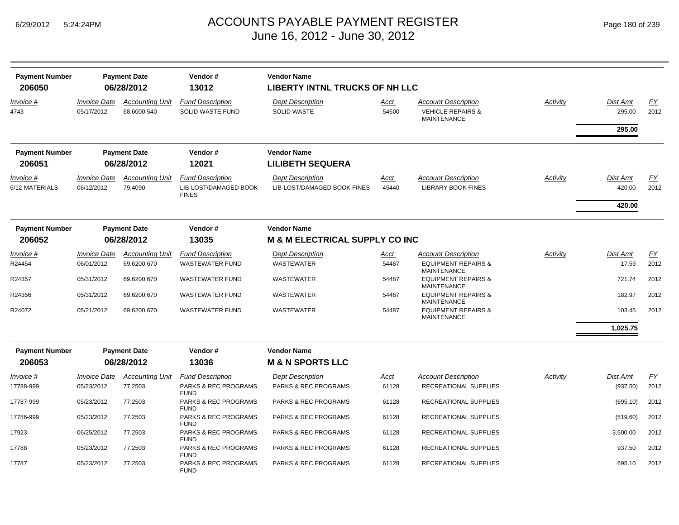| <b>Payment Number</b>       |                                          | <b>Payment Date</b>                   | Vendor#                                                          | <b>Vendor Name</b>                                     |                      |                                                                           |          |                                     |            |
|-----------------------------|------------------------------------------|---------------------------------------|------------------------------------------------------------------|--------------------------------------------------------|----------------------|---------------------------------------------------------------------------|----------|-------------------------------------|------------|
| 206050                      | 06/28/2012                               |                                       | 13012                                                            | <b>LIBERTY INTNL TRUCKS OF NH LLC</b>                  |                      |                                                                           |          |                                     |            |
| Invoice #<br>4743           | <i><b>Invoice Date</b></i><br>05/17/2012 | <b>Accounting Unit</b><br>68.6000.540 | <b>Fund Description</b><br><b>SOLID WASTE FUND</b>               | <b>Dept Description</b><br><b>SOLID WASTE</b>          | Acct<br>54600        | Account Description<br><b>VEHICLE REPAIRS &amp;</b><br><b>MAINTENANCE</b> | Activity | <b>Dist Amt</b><br>295.00<br>295.00 | EY<br>2012 |
| <b>Payment Number</b>       |                                          | <b>Payment Date</b>                   | Vendor#                                                          | <b>Vendor Name</b>                                     |                      |                                                                           |          |                                     |            |
| 206051                      |                                          | 06/28/2012                            | 12021                                                            | <b>LILIBETH SEQUERA</b>                                |                      |                                                                           |          |                                     |            |
| Invoice #<br>6/12-MATERIALS | <b>Invoice Date</b><br>06/12/2012        | <b>Accounting Unit</b><br>79.4090     | <b>Fund Description</b><br>LIB-LOST/DAMAGED BOOK<br><b>FINES</b> | <b>Dept Description</b><br>LIB-LOST/DAMAGED BOOK FINES | <u>Acct</u><br>45440 | <b>Account Description</b><br><b>LIBRARY BOOK FINES</b>                   | Activity | <b>Dist Amt</b><br>420.00           | EY<br>2012 |
|                             |                                          |                                       |                                                                  |                                                        |                      |                                                                           |          | 420.00                              |            |
| <b>Payment Number</b>       |                                          | <b>Payment Date</b>                   | Vendor#                                                          | <b>Vendor Name</b>                                     |                      |                                                                           |          |                                     |            |
| 206052                      |                                          | 06/28/2012                            | 13035                                                            | <b>M &amp; M ELECTRICAL SUPPLY CO INC</b>              |                      |                                                                           |          |                                     |            |
| Invoice #                   | <b>Invoice Date</b>                      | <b>Accounting Unit</b>                | <b>Fund Description</b>                                          | <b>Dept Description</b>                                | Acct                 | <b>Account Description</b>                                                | Activity | <b>Dist Amt</b>                     | EY         |
| R24454                      | 06/01/2012                               | 69.6200.670                           | <b>WASTEWATER FUND</b>                                           | <b>WASTEWATER</b>                                      | 54487                | <b>EQUIPMENT REPAIRS &amp;</b><br><b>MAINTENANCE</b>                      |          | 17.59                               | 2012       |
| R24357                      | 05/31/2012                               | 69.6200.670                           | <b>WASTEWATER FUND</b>                                           | <b>WASTEWATER</b>                                      | 54487                | <b>EQUIPMENT REPAIRS &amp;</b><br><b>MAINTENANCE</b>                      |          | 721.74                              | 2012       |
| R24356                      | 05/31/2012                               | 69.6200.670                           | <b>WASTEWATER FUND</b>                                           | <b>WASTEWATER</b>                                      | 54487                | <b>EQUIPMENT REPAIRS &amp;</b><br><b>MAINTENANCE</b>                      |          | 182.97                              | 2012       |
| R24072                      | 05/21/2012                               | 69.6200.670                           | <b>WASTEWATER FUND</b>                                           | <b>WASTEWATER</b>                                      | 54487                | <b>EQUIPMENT REPAIRS &amp;</b><br><b>MAINTENANCE</b>                      |          | 103.45                              | 2012       |
|                             |                                          |                                       |                                                                  |                                                        |                      |                                                                           |          | 1,025.75                            |            |
| <b>Payment Number</b>       |                                          | <b>Payment Date</b>                   | Vendor#                                                          | <b>Vendor Name</b>                                     |                      |                                                                           |          |                                     |            |
| 206053                      |                                          | 06/28/2012                            | 13036                                                            | <b>M &amp; N SPORTS LLC</b>                            |                      |                                                                           |          |                                     |            |
| Invoice #                   | <i><b>Invoice Date</b></i>               | <b>Accounting Unit</b>                | <b>Fund Description</b>                                          | <b>Dept Description</b>                                | Acct                 | <b>Account Description</b>                                                | Activity | <b>Dist Amt</b>                     | EY         |
| 17788-999                   | 05/23/2012                               | 77.2503                               | PARKS & REC PROGRAMS<br><b>FUND</b>                              | PARKS & REC PROGRAMS                                   | 61128                | RECREATIONAL SUPPLIES                                                     |          | (937.50)                            | 2012       |
| 17787-999                   | 05/23/2012                               | 77.2503                               | PARKS & REC PROGRAMS<br><b>FUND</b>                              | <b>PARKS &amp; REC PROGRAMS</b>                        | 61128                | RECREATIONAL SUPPLIES                                                     |          | (695.10)                            | 2012       |
| 17786-999                   | 05/23/2012                               | 77.2503                               | PARKS & REC PROGRAMS<br><b>FUND</b>                              | PARKS & REC PROGRAMS                                   | 61128                | RECREATIONAL SUPPLIES                                                     |          | (519.60)                            | 2012       |
| 17923                       | 06/25/2012                               | 77.2503                               | PARKS & REC PROGRAMS<br><b>FUND</b>                              | <b>PARKS &amp; REC PROGRAMS</b>                        | 61128                | RECREATIONAL SUPPLIES                                                     |          | 3,500.00                            | 2012       |
| 17788                       | 05/23/2012                               | 77.2503                               | PARKS & REC PROGRAMS<br><b>FUND</b>                              | PARKS & REC PROGRAMS                                   | 61128                | RECREATIONAL SUPPLIES                                                     |          | 937.50                              | 2012       |
| 17787                       | 05/23/2012                               | 77.2503                               | PARKS & REC PROGRAMS<br><b>FUND</b>                              | PARKS & REC PROGRAMS                                   | 61128                | RECREATIONAL SUPPLIES                                                     |          | 695.10                              | 2012       |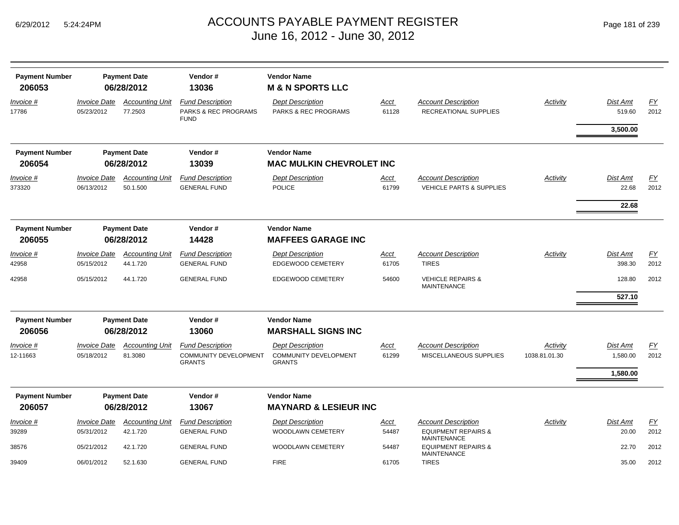| <b>Payment Number</b><br>206053 |                                   | <b>Payment Date</b><br>06/28/2012  | Vendor#<br>13036                                                         | <b>Vendor Name</b><br><b>M &amp; N SPORTS LLC</b>                        |                      |                                                                                    |                           |                                  |            |
|---------------------------------|-----------------------------------|------------------------------------|--------------------------------------------------------------------------|--------------------------------------------------------------------------|----------------------|------------------------------------------------------------------------------------|---------------------------|----------------------------------|------------|
| Invoice #<br>17786              | <b>Invoice Date</b><br>05/23/2012 | <b>Accounting Unit</b><br>77.2503  | <b>Fund Description</b><br>PARKS & REC PROGRAMS<br><b>FUND</b>           | <b>Dept Description</b><br>PARKS & REC PROGRAMS                          | Acct<br>61128        | <b>Account Description</b><br>RECREATIONAL SUPPLIES                                | Activity                  | Dist Amt<br>519.60<br>3,500.00   | EY<br>2012 |
| <b>Payment Number</b><br>206054 |                                   | <b>Payment Date</b><br>06/28/2012  | Vendor#<br>13039                                                         | <b>Vendor Name</b><br><b>MAC MULKIN CHEVROLET INC</b>                    |                      |                                                                                    |                           |                                  |            |
| Invoice #<br>373320             | <b>Invoice Date</b><br>06/13/2012 | <b>Accounting Unit</b><br>50.1.500 | <b>Fund Description</b><br><b>GENERAL FUND</b>                           | <b>Dept Description</b><br><b>POLICE</b>                                 | Acct<br>61799        | <b>Account Description</b><br><b>VEHICLE PARTS &amp; SUPPLIES</b>                  | Activity                  | Dist Amt<br>22.68<br>22.68       | EY<br>2012 |
| <b>Payment Number</b><br>206055 |                                   | <b>Payment Date</b><br>06/28/2012  | Vendor#<br>14428                                                         | <b>Vendor Name</b><br><b>MAFFEES GARAGE INC</b>                          |                      |                                                                                    |                           |                                  |            |
| Invoice #<br>42958              | <b>Invoice Date</b><br>05/15/2012 | <b>Accounting Unit</b><br>44.1.720 | <b>Fund Description</b><br><b>GENERAL FUND</b>                           | <b>Dept Description</b><br><b>EDGEWOOD CEMETERY</b>                      | Acct<br>61705        | <b>Account Description</b><br><b>TIRES</b>                                         | Activity                  | Dist Amt<br>398.30               | FY<br>2012 |
| 42958                           | 05/15/2012                        | 44.1.720                           | <b>GENERAL FUND</b>                                                      | <b>EDGEWOOD CEMETERY</b>                                                 | 54600                | <b>VEHICLE REPAIRS &amp;</b><br><b>MAINTENANCE</b>                                 |                           | 128.80<br>527.10                 | 2012       |
| <b>Payment Number</b><br>206056 |                                   | <b>Payment Date</b><br>06/28/2012  | Vendor#<br>13060                                                         | <b>Vendor Name</b><br><b>MARSHALL SIGNS INC</b>                          |                      |                                                                                    |                           |                                  |            |
| Invoice #<br>12-11663           | <b>Invoice Date</b><br>05/18/2012 | <b>Accounting Unit</b><br>81.3080  | <b>Fund Description</b><br><b>COMMUNITY DEVELOPMENT</b><br><b>GRANTS</b> | <b>Dept Description</b><br><b>COMMUNITY DEVELOPMENT</b><br><b>GRANTS</b> | <u>Acct</u><br>61299 | <b>Account Description</b><br>MISCELLANEOUS SUPPLIES                               | Activity<br>1038.81.01.30 | Dist Amt<br>1,580.00<br>1,580.00 | EY<br>2012 |
| <b>Payment Number</b>           |                                   | <b>Payment Date</b>                | Vendor#                                                                  | <b>Vendor Name</b>                                                       |                      |                                                                                    |                           |                                  |            |
| 206057                          |                                   | 06/28/2012                         | 13067                                                                    | <b>MAYNARD &amp; LESIEUR INC</b>                                         |                      |                                                                                    |                           |                                  |            |
| Invoice #<br>39289              | <b>Invoice Date</b><br>05/31/2012 | <b>Accounting Unit</b><br>42.1.720 | <b>Fund Description</b><br><b>GENERAL FUND</b>                           | <b>Dept Description</b><br>WOODLAWN CEMETERY                             | <u>Acct</u><br>54487 | <b>Account Description</b><br><b>EQUIPMENT REPAIRS &amp;</b><br><b>MAINTENANCE</b> | Activity                  | Dist Amt<br>20.00                | EY<br>2012 |
| 38576                           | 05/21/2012                        | 42.1.720                           | <b>GENERAL FUND</b>                                                      | <b>WOODLAWN CEMETERY</b>                                                 | 54487                | <b>EQUIPMENT REPAIRS &amp;</b><br><b>MAINTENANCE</b>                               |                           | 22.70                            | 2012       |
| 39409                           | 06/01/2012                        | 52.1.630                           | <b>GENERAL FUND</b>                                                      | <b>FIRE</b>                                                              | 61705                | <b>TIRES</b>                                                                       |                           | 35.00                            | 2012       |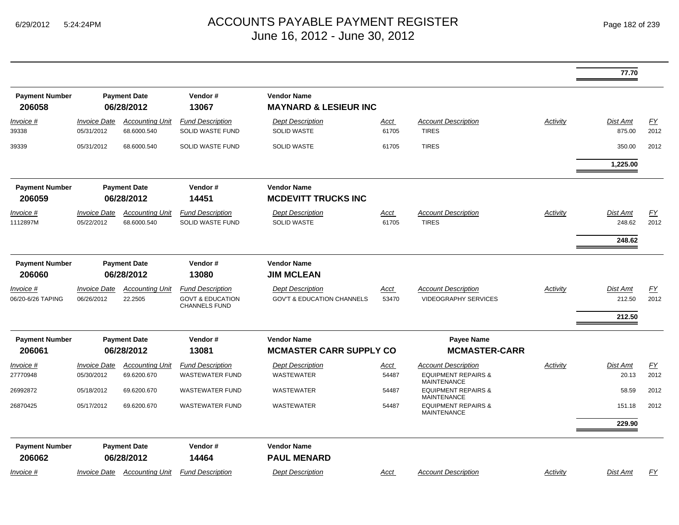|                                       |                                   |                                       |                                                                                |                                                                  |                      |                                                                                    |                 | 77.70                        |            |
|---------------------------------------|-----------------------------------|---------------------------------------|--------------------------------------------------------------------------------|------------------------------------------------------------------|----------------------|------------------------------------------------------------------------------------|-----------------|------------------------------|------------|
| <b>Payment Number</b><br>206058       |                                   | <b>Payment Date</b><br>06/28/2012     | Vendor#<br>13067                                                               | <b>Vendor Name</b><br><b>MAYNARD &amp; LESIEUR INC</b>           |                      |                                                                                    |                 |                              |            |
| <i>Invoice</i> #<br>39338             | <b>Invoice Date</b><br>05/31/2012 | <b>Accounting Unit</b><br>68.6000.540 | <b>Fund Description</b><br>SOLID WASTE FUND                                    | <b>Dept Description</b><br><b>SOLID WASTE</b>                    | Acct<br>61705        | <b>Account Description</b><br><b>TIRES</b>                                         | Activity        | Dist Amt<br>875.00           | EY<br>2012 |
| 39339                                 | 05/31/2012                        | 68.6000.540                           | SOLID WASTE FUND                                                               | <b>SOLID WASTE</b>                                               | 61705                | <b>TIRES</b>                                                                       |                 | 350.00                       | 2012       |
|                                       |                                   |                                       |                                                                                |                                                                  |                      |                                                                                    |                 | 1,225.00                     |            |
| <b>Payment Number</b><br>206059       |                                   | <b>Payment Date</b><br>06/28/2012     | Vendor#<br>14451                                                               | <b>Vendor Name</b><br><b>MCDEVITT TRUCKS INC</b>                 |                      |                                                                                    |                 |                              |            |
| Invoice #<br>1112897M                 | <b>Invoice Date</b><br>05/22/2012 | <b>Accounting Unit</b><br>68.6000.540 | <b>Fund Description</b><br><b>SOLID WASTE FUND</b>                             | <b>Dept Description</b><br><b>SOLID WASTE</b>                    | Acct<br>61705        | <b>Account Description</b><br><b>TIRES</b>                                         | Activity        | Dist Amt<br>248.62<br>248.62 | EY<br>2012 |
| <b>Payment Number</b><br>206060       |                                   | <b>Payment Date</b><br>06/28/2012     | Vendor#<br>13080                                                               | <b>Vendor Name</b><br><b>JIM MCLEAN</b>                          |                      |                                                                                    |                 |                              |            |
| <i>Invoice</i> #<br>06/20-6/26 TAPING | <b>Invoice Date</b><br>06/26/2012 | <b>Accounting Unit</b><br>22.2505     | <b>Fund Description</b><br><b>GOVT &amp; EDUCATION</b><br><b>CHANNELS FUND</b> | <b>Dept Description</b><br><b>GOV'T &amp; EDUCATION CHANNELS</b> | Acct<br>53470        | <b>Account Description</b><br><b>VIDEOGRAPHY SERVICES</b>                          | Activity        | Dist Amt<br>212.50<br>212.50 | EY<br>2012 |
| <b>Payment Number</b><br>206061       |                                   | <b>Payment Date</b><br>06/28/2012     | Vendor#<br>13081                                                               | <b>Vendor Name</b><br><b>MCMASTER CARR SUPPLY CO</b>             |                      | <b>Payee Name</b><br><b>MCMASTER-CARR</b>                                          |                 |                              |            |
| <i>Invoice</i> #<br>27770948          | <b>Invoice Date</b><br>05/30/2012 | <b>Accounting Unit</b><br>69.6200.670 | <b>Fund Description</b><br><b>WASTEWATER FUND</b>                              | <b>Dept Description</b><br><b>WASTEWATER</b>                     | <u>Acct</u><br>54487 | <b>Account Description</b><br><b>EQUIPMENT REPAIRS &amp;</b><br><b>MAINTENANCE</b> | Activity        | Dist Amt<br>20.13            | EY<br>2012 |
| 26992872                              | 05/18/2012                        | 69.6200.670                           | <b>WASTEWATER FUND</b>                                                         | WASTEWATER                                                       | 54487                | <b>EQUIPMENT REPAIRS &amp;</b><br><b>MAINTENANCE</b>                               |                 | 58.59                        | 2012       |
| 26870425                              | 05/17/2012                        | 69.6200.670                           | <b>WASTEWATER FUND</b>                                                         | WASTEWATER                                                       | 54487                | <b>EQUIPMENT REPAIRS &amp;</b><br><b>MAINTENANCE</b>                               |                 | 151.18<br>229.90             | 2012       |
| <b>Payment Number</b><br>206062       |                                   | <b>Payment Date</b><br>06/28/2012     | Vendor#<br>14464                                                               | <b>Vendor Name</b><br><b>PAUL MENARD</b>                         |                      |                                                                                    |                 |                              |            |
| <u>Invoice #</u>                      |                                   | <b>Invoice Date Accounting Unit</b>   | <b>Fund Description</b>                                                        | <b>Dept Description</b>                                          | <u>Acct</u>          | <b>Account Description</b>                                                         | <b>Activity</b> | Dist Amt                     | <u>FY</u>  |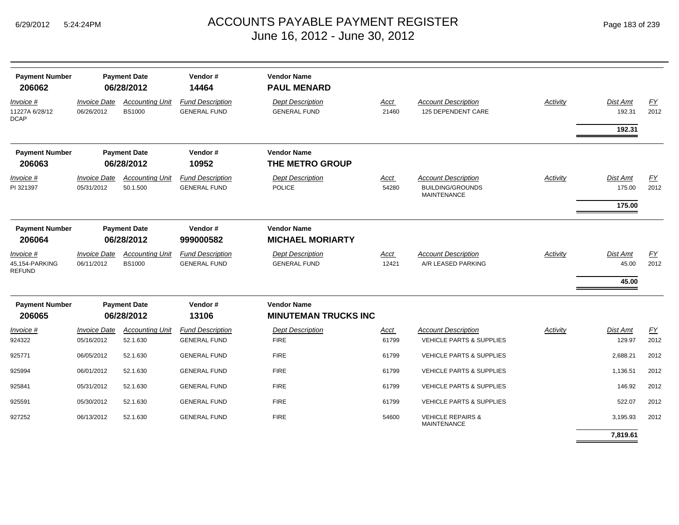| <b>Payment Number</b><br>206062              |                                   | <b>Payment Date</b><br>06/28/2012       | Vendor#<br>14464                               | <b>Vendor Name</b><br><b>PAUL MENARD</b>          |                      |                                                                             |          |                              |                   |
|----------------------------------------------|-----------------------------------|-----------------------------------------|------------------------------------------------|---------------------------------------------------|----------------------|-----------------------------------------------------------------------------|----------|------------------------------|-------------------|
| Invoice #<br>11227A 6/28/12<br><b>DCAP</b>   | <b>Invoice Date</b><br>06/26/2012 | <b>Accounting Unit</b><br><b>BS1000</b> | <b>Fund Description</b><br><b>GENERAL FUND</b> | <b>Dept Description</b><br><b>GENERAL FUND</b>    | <b>Acct</b><br>21460 | <b>Account Description</b><br>125 DEPENDENT CARE                            | Activity | Dist Amt<br>192.31<br>192.31 | <u>FY</u><br>2012 |
| <b>Payment Number</b><br>206063              |                                   | <b>Payment Date</b><br>06/28/2012       | Vendor#<br>10952                               | <b>Vendor Name</b><br>THE METRO GROUP             |                      |                                                                             |          |                              |                   |
| Invoice #<br>PI 321397                       | <b>Invoice Date</b><br>05/31/2012 | <b>Accounting Unit</b><br>50.1.500      | <b>Fund Description</b><br><b>GENERAL FUND</b> | <b>Dept Description</b><br><b>POLICE</b>          | Acct<br>54280        | <b>Account Description</b><br><b>BUILDING/GROUNDS</b><br><b>MAINTENANCE</b> | Activity | Dist Amt<br>175.00           | EY<br>2012        |
|                                              |                                   |                                         |                                                |                                                   |                      |                                                                             |          | 175.00                       |                   |
| <b>Payment Number</b><br>206064              |                                   | <b>Payment Date</b><br>06/28/2012       | Vendor#<br>999000582                           | <b>Vendor Name</b><br><b>MICHAEL MORIARTY</b>     |                      |                                                                             |          |                              |                   |
| Invoice #<br>45,154-PARKING<br><b>REFUND</b> | <b>Invoice Date</b><br>06/11/2012 | <b>Accounting Unit</b><br><b>BS1000</b> | <b>Fund Description</b><br><b>GENERAL FUND</b> | <b>Dept Description</b><br><b>GENERAL FUND</b>    | Acct<br>12421        | <b>Account Description</b><br>A/R LEASED PARKING                            | Activity | Dist Amt<br>45.00            | EY<br>2012        |
|                                              |                                   |                                         |                                                |                                                   |                      |                                                                             |          | 45.00                        |                   |
| <b>Payment Number</b><br>206065              |                                   | <b>Payment Date</b><br>06/28/2012       | Vendor#<br>13106                               | <b>Vendor Name</b><br><b>MINUTEMAN TRUCKS INC</b> |                      |                                                                             |          |                              |                   |
| Invoice #<br>924322                          | <b>Invoice Date</b><br>05/16/2012 | <b>Accounting Unit</b><br>52.1.630      | <b>Fund Description</b><br><b>GENERAL FUND</b> | <b>Dept Description</b><br><b>FIRE</b>            | Acct<br>61799        | <b>Account Description</b><br><b>VEHICLE PARTS &amp; SUPPLIES</b>           | Activity | Dist Amt<br>129.97           | EY<br>2012        |
| 925771                                       | 06/05/2012                        | 52.1.630                                | <b>GENERAL FUND</b>                            | <b>FIRE</b>                                       | 61799                | <b>VEHICLE PARTS &amp; SUPPLIES</b>                                         |          | 2,688.21                     | 2012              |
| 925994                                       | 06/01/2012                        | 52.1.630                                | <b>GENERAL FUND</b>                            | <b>FIRE</b>                                       | 61799                | <b>VEHICLE PARTS &amp; SUPPLIES</b>                                         |          | 1,136.51                     | 2012              |
| 925841                                       | 05/31/2012                        | 52.1.630                                | <b>GENERAL FUND</b>                            | <b>FIRE</b>                                       | 61799                | <b>VEHICLE PARTS &amp; SUPPLIES</b>                                         |          | 146.92                       | 2012              |
| 925591                                       | 05/30/2012                        | 52.1.630                                | <b>GENERAL FUND</b>                            | <b>FIRE</b>                                       | 61799                | <b>VEHICLE PARTS &amp; SUPPLIES</b>                                         |          | 522.07                       | 2012              |
| 927252                                       | 06/13/2012                        | 52.1.630                                | <b>GENERAL FUND</b>                            | <b>FIRE</b>                                       | 54600                | <b>VEHICLE REPAIRS &amp;</b><br><b>MAINTENANCE</b>                          |          | 3,195.93                     | 2012              |
|                                              |                                   |                                         |                                                |                                                   |                      |                                                                             |          | 7,819.61                     |                   |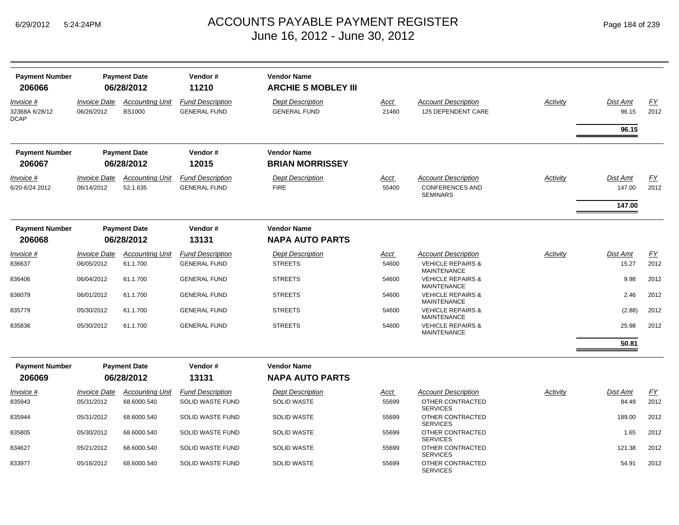| <b>Payment Number</b><br>206066            |                                          | <b>Payment Date</b><br>06/28/2012       | Vendor#<br>11210                               | <b>Vendor Name</b><br><b>ARCHIE S MOBLEY III</b> |               |                                                    |                 |                          |            |
|--------------------------------------------|------------------------------------------|-----------------------------------------|------------------------------------------------|--------------------------------------------------|---------------|----------------------------------------------------|-----------------|--------------------------|------------|
| Invoice #<br>32368A 6/28/12<br><b>DCAP</b> | <i><b>Invoice Date</b></i><br>06/26/2012 | <b>Accounting Unit</b><br><b>BS1000</b> | <b>Fund Description</b><br><b>GENERAL FUND</b> | <b>Dept Description</b><br><b>GENERAL FUND</b>   | Acct<br>21460 | <b>Account Description</b><br>125 DEPENDENT CARE   | Activity        | <b>Dist Amt</b><br>96.15 | EY<br>2012 |
|                                            |                                          |                                         |                                                |                                                  |               |                                                    |                 | 96.15                    |            |
| <b>Payment Number</b><br>206067            |                                          | <b>Payment Date</b><br>06/28/2012       | Vendor#<br>12015                               | <b>Vendor Name</b><br><b>BRIAN MORRISSEY</b>     |               |                                                    |                 |                          |            |
| Invoice #                                  | <i><b>Invoice Date</b></i>               | <b>Accounting Unit</b>                  | <b>Fund Description</b>                        | <b>Dept Description</b>                          | Acct          | <b>Account Description</b>                         | <b>Activity</b> | <b>Dist Amt</b>          | <u>FY</u>  |
| 6/20-6/24 2012                             | 06/14/2012                               | 52.1.635                                | <b>GENERAL FUND</b>                            | <b>FIRE</b>                                      | 55400         | <b>CONFERENCES AND</b><br><b>SEMINARS</b>          |                 | 147.00                   | 2012       |
|                                            |                                          |                                         |                                                |                                                  |               |                                                    |                 | 147.00                   |            |
| <b>Payment Number</b>                      |                                          | <b>Payment Date</b>                     | Vendor#                                        | <b>Vendor Name</b>                               |               |                                                    |                 |                          |            |
| 206068                                     |                                          | 06/28/2012                              | 13131                                          | <b>NAPA AUTO PARTS</b>                           |               |                                                    |                 |                          |            |
| Invoice #                                  | <b>Invoice Date</b>                      | <b>Accounting Unit</b>                  | <b>Fund Description</b>                        | <b>Dept Description</b>                          | <u>Acct</u>   | <b>Account Description</b>                         | Activity        | <b>Dist Amt</b>          | EY         |
| 836637                                     | 06/05/2012                               | 61.1.700                                | <b>GENERAL FUND</b>                            | <b>STREETS</b>                                   | 54600         | <b>VEHICLE REPAIRS &amp;</b><br><b>MAINTENANCE</b> |                 | 15.27                    | 2012       |
| 836406                                     | 06/04/2012                               | 61.1.700                                | <b>GENERAL FUND</b>                            | <b>STREETS</b>                                   | 54600         | <b>VEHICLE REPAIRS &amp;</b><br><b>MAINTENANCE</b> |                 | 9.98                     | 2012       |
| 836079                                     | 06/01/2012                               | 61.1.700                                | <b>GENERAL FUND</b>                            | <b>STREETS</b>                                   | 54600         | <b>VEHICLE REPAIRS &amp;</b><br><b>MAINTENANCE</b> |                 | 2.46                     | 2012       |
| 835779                                     | 05/30/2012                               | 61.1.700                                | <b>GENERAL FUND</b>                            | <b>STREETS</b>                                   | 54600         | <b>VEHICLE REPAIRS &amp;</b><br><b>MAINTENANCE</b> |                 | (2.88)                   | 2012       |
| 835836                                     | 05/30/2012                               | 61.1.700                                | <b>GENERAL FUND</b>                            | <b>STREETS</b>                                   | 54600         | <b>VEHICLE REPAIRS &amp;</b><br><b>MAINTENANCE</b> |                 | 25.98                    | 2012       |
|                                            |                                          |                                         |                                                |                                                  |               |                                                    |                 | 50.81                    |            |
| <b>Payment Number</b>                      |                                          | <b>Payment Date</b>                     | Vendor#                                        | <b>Vendor Name</b>                               |               |                                                    |                 |                          |            |
| 206069                                     |                                          | 06/28/2012                              | 13131                                          | <b>NAPA AUTO PARTS</b>                           |               |                                                    |                 |                          |            |
| Invoice #                                  | <b>Invoice Date</b>                      | <b>Accounting Unit</b>                  | <b>Fund Description</b>                        | <b>Dept Description</b>                          | <u>Acct</u>   | <b>Account Description</b>                         | Activity        | <b>Dist Amt</b>          | FY         |
| 835943                                     | 05/31/2012                               | 68.6000.540                             | SOLID WASTE FUND                               | <b>SOLID WASTE</b>                               | 55699         | OTHER CONTRACTED<br><b>SERVICES</b>                |                 | 94.49                    | 2012       |
| 835944                                     | 05/31/2012                               | 68.6000.540                             | SOLID WASTE FUND                               | <b>SOLID WASTE</b>                               | 55699         | OTHER CONTRACTED<br><b>SERVICES</b>                |                 | 189.00                   | 2012       |
| 835805                                     | 05/30/2012                               | 68.6000.540                             | SOLID WASTE FUND                               | <b>SOLID WASTE</b>                               | 55699         | OTHER CONTRACTED<br><b>SERVICES</b>                |                 | 1.65                     | 2012       |
| 834627                                     | 05/21/2012                               | 68.6000.540                             | SOLID WASTE FUND                               | <b>SOLID WASTE</b>                               | 55699         | OTHER CONTRACTED<br><b>SERVICES</b>                |                 | 121.38                   | 2012       |
| 833977                                     | 05/16/2012                               | 68.6000.540                             | SOLID WASTE FUND                               | <b>SOLID WASTE</b>                               | 55699         | OTHER CONTRACTED<br><b>SERVICES</b>                |                 | 54.91                    | 2012       |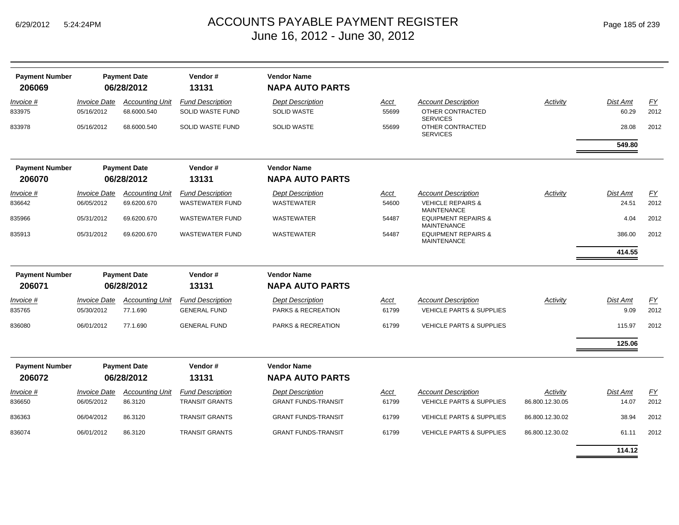|  | Page 185 of 239 |  |  |  |
|--|-----------------|--|--|--|
|--|-----------------|--|--|--|

| <b>Payment Number</b><br>206069 |                                   | <b>Payment Date</b><br>06/28/2012     | Vendor#<br>13131                                   | <b>Vendor Name</b><br><b>NAPA AUTO PARTS</b>  |               |                                                                                  |                 |                   |                   |
|---------------------------------|-----------------------------------|---------------------------------------|----------------------------------------------------|-----------------------------------------------|---------------|----------------------------------------------------------------------------------|-----------------|-------------------|-------------------|
| Invoice #<br>833975             | <b>Invoice Date</b><br>05/16/2012 | <b>Accounting Unit</b><br>68.6000.540 | <b>Fund Description</b><br><b>SOLID WASTE FUND</b> | <b>Dept Description</b><br>SOLID WASTE        | Acct<br>55699 | <b>Account Description</b><br>OTHER CONTRACTED                                   | <b>Activity</b> | Dist Amt<br>60.29 | <b>FY</b><br>2012 |
| 833978                          | 05/16/2012                        | 68.6000.540                           | SOLID WASTE FUND                                   | <b>SOLID WASTE</b>                            | 55699         | <b>SERVICES</b><br>OTHER CONTRACTED<br><b>SERVICES</b>                           |                 | 28.08             | 2012              |
|                                 |                                   |                                       |                                                    |                                               |               |                                                                                  |                 | 549.80            |                   |
| <b>Payment Number</b><br>206070 |                                   | <b>Payment Date</b><br>06/28/2012     | Vendor#<br>13131                                   | <b>Vendor Name</b><br><b>NAPA AUTO PARTS</b>  |               |                                                                                  |                 |                   |                   |
|                                 |                                   |                                       |                                                    |                                               |               |                                                                                  |                 |                   |                   |
| Invoice #<br>836642             | <b>Invoice Date</b><br>06/05/2012 | <b>Accounting Unit</b><br>69.6200.670 | <b>Fund Description</b><br><b>WASTEWATER FUND</b>  | <b>Dept Description</b><br><b>WASTEWATER</b>  | Acct<br>54600 | <b>Account Description</b><br><b>VEHICLE REPAIRS &amp;</b><br><b>MAINTENANCE</b> | Activity        | Dist Amt<br>24.51 | FY<br>2012        |
| 835966                          | 05/31/2012                        | 69.6200.670                           | <b>WASTEWATER FUND</b>                             | <b>WASTEWATER</b>                             | 54487         | <b>EQUIPMENT REPAIRS &amp;</b><br><b>MAINTENANCE</b>                             |                 | 4.04              | 2012              |
| 835913                          | 05/31/2012                        | 69.6200.670                           | <b>WASTEWATER FUND</b>                             | <b>WASTEWATER</b>                             | 54487         | <b>EQUIPMENT REPAIRS &amp;</b><br><b>MAINTENANCE</b>                             |                 | 386.00            | 2012              |
|                                 |                                   |                                       |                                                    |                                               |               |                                                                                  |                 | 414.55            |                   |
| <b>Payment Number</b><br>206071 |                                   | <b>Payment Date</b><br>06/28/2012     | Vendor#<br>13131                                   | <b>Vendor Name</b><br><b>NAPA AUTO PARTS</b>  |               |                                                                                  |                 |                   |                   |
| Invoice #<br>835765             | <b>Invoice Date</b><br>05/30/2012 | <b>Accounting Unit</b><br>77.1.690    | <b>Fund Description</b><br><b>GENERAL FUND</b>     | <b>Dept Description</b><br>PARKS & RECREATION | Acct<br>61799 | <b>Account Description</b><br><b>VEHICLE PARTS &amp; SUPPLIES</b>                | Activity        | Dist Amt<br>9.09  | EY<br>2012        |
| 836080                          | 06/01/2012                        | 77.1.690                              | <b>GENERAL FUND</b>                                | PARKS & RECREATION                            | 61799         | <b>VEHICLE PARTS &amp; SUPPLIES</b>                                              |                 | 115.97            | 2012              |
|                                 |                                   |                                       |                                                    |                                               |               |                                                                                  |                 | 125.06            |                   |
| <b>Payment Number</b><br>206072 |                                   | <b>Payment Date</b><br>06/28/2012     | Vendor#<br>13131                                   | <b>Vendor Name</b><br><b>NAPA AUTO PARTS</b>  |               |                                                                                  |                 |                   |                   |
| <i>Invoice</i> #                | <b>Invoice Date</b>               | <b>Accounting Unit</b>                | <b>Fund Description</b>                            | <b>Dept Description</b>                       | Acct          | <b>Account Description</b>                                                       | Activity        | Dist Amt          | FΥ                |
| 836650                          | 06/05/2012                        | 86.3120                               | <b>TRANSIT GRANTS</b>                              | <b>GRANT FUNDS-TRANSIT</b>                    | 61799         | <b>VEHICLE PARTS &amp; SUPPLIES</b>                                              | 86.800.12.30.05 | 14.07             | 2012              |
| 836363                          | 06/04/2012                        | 86.3120                               | <b>TRANSIT GRANTS</b>                              | <b>GRANT FUNDS-TRANSIT</b>                    | 61799         | <b>VEHICLE PARTS &amp; SUPPLIES</b>                                              | 86.800.12.30.02 | 38.94             | 2012              |
| 836074                          | 06/01/2012                        | 86.3120                               | <b>TRANSIT GRANTS</b>                              | <b>GRANT FUNDS-TRANSIT</b>                    | 61799         | <b>VEHICLE PARTS &amp; SUPPLIES</b>                                              | 86.800.12.30.02 | 61.11             | 2012              |
|                                 |                                   |                                       |                                                    |                                               |               |                                                                                  |                 | 114.12            |                   |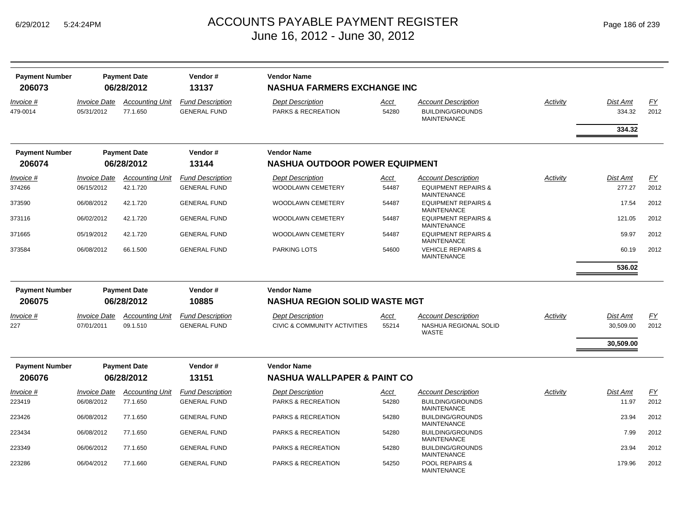| <b>Payment Number</b> |                     | <b>Payment Date</b>    | Vendor#                 | <b>Vendor Name</b>                      |             |                                                      |          |           |           |
|-----------------------|---------------------|------------------------|-------------------------|-----------------------------------------|-------------|------------------------------------------------------|----------|-----------|-----------|
| 206073                |                     | 06/28/2012             | 13137                   | <b>NASHUA FARMERS EXCHANGE INC</b>      |             |                                                      |          |           |           |
| Invoice #             | <b>Invoice Date</b> | <b>Accounting Unit</b> | <b>Fund Description</b> | <b>Dept Description</b>                 | Acct        | <b>Account Description</b>                           | Activity | Dist Amt  | <u>FY</u> |
| 479-0014              | 05/31/2012          | 77.1.650               | <b>GENERAL FUND</b>     | PARKS & RECREATION                      | 54280       | <b>BUILDING/GROUNDS</b>                              |          | 334.32    | 2012      |
|                       |                     |                        |                         |                                         |             | <b>MAINTENANCE</b>                                   |          |           |           |
|                       |                     |                        |                         |                                         |             |                                                      |          | 334.32    |           |
| <b>Payment Number</b> |                     | <b>Payment Date</b>    | Vendor#                 | <b>Vendor Name</b>                      |             |                                                      |          |           |           |
| 206074                |                     | 06/28/2012             | 13144                   | <b>NASHUA OUTDOOR POWER EQUIPMENT</b>   |             |                                                      |          |           |           |
| <u>Invoice</u> #      | <b>Invoice Date</b> | <b>Accounting Unit</b> | <b>Fund Description</b> | <b>Dept Description</b>                 | <u>Acct</u> | <b>Account Description</b>                           | Activity | Dist Amt  | <u>FY</u> |
| 374266                | 06/15/2012          | 42.1.720               | <b>GENERAL FUND</b>     | WOODLAWN CEMETERY                       | 54487       | <b>EQUIPMENT REPAIRS &amp;</b><br><b>MAINTENANCE</b> |          | 277.27    | 2012      |
| 373590                | 06/08/2012          | 42.1.720               | <b>GENERAL FUND</b>     | WOODLAWN CEMETERY                       | 54487       | <b>EQUIPMENT REPAIRS &amp;</b><br><b>MAINTENANCE</b> |          | 17.54     | 2012      |
| 373116                | 06/02/2012          | 42.1.720               | <b>GENERAL FUND</b>     | <b>WOODLAWN CEMETERY</b>                | 54487       | <b>EQUIPMENT REPAIRS &amp;</b><br><b>MAINTENANCE</b> |          | 121.05    | 2012      |
| 371665                | 05/19/2012          | 42.1.720               | <b>GENERAL FUND</b>     | <b>WOODLAWN CEMETERY</b>                | 54487       | <b>EQUIPMENT REPAIRS &amp;</b><br><b>MAINTENANCE</b> |          | 59.97     | 2012      |
| 373584                | 06/08/2012          | 66.1.500               | <b>GENERAL FUND</b>     | <b>PARKING LOTS</b>                     | 54600       | <b>VEHICLE REPAIRS &amp;</b><br><b>MAINTENANCE</b>   |          | 60.19     | 2012      |
|                       |                     |                        |                         |                                         |             |                                                      |          | 536.02    |           |
| <b>Payment Number</b> |                     | <b>Payment Date</b>    | Vendor#                 | <b>Vendor Name</b>                      |             |                                                      |          |           |           |
| 206075                |                     | 06/28/2012             | 10885                   | <b>NASHUA REGION SOLID WASTE MGT</b>    |             |                                                      |          |           |           |
| Invoice #             | <b>Invoice Date</b> | <b>Accounting Unit</b> | <b>Fund Description</b> | <b>Dept Description</b>                 | Acct        | <b>Account Description</b>                           | Activity | Dist Amt  | <u>FY</u> |
| 227                   | 07/01/2011          | 09.1.510               | <b>GENERAL FUND</b>     | <b>CIVIC &amp; COMMUNITY ACTIVITIES</b> | 55214       | NASHUA REGIONAL SOLID<br><b>WASTE</b>                |          | 30,509.00 | 2012      |
|                       |                     |                        |                         |                                         |             |                                                      |          | 30,509.00 |           |
| <b>Payment Number</b> |                     | <b>Payment Date</b>    | Vendor#                 | <b>Vendor Name</b>                      |             |                                                      |          |           |           |
| 206076                |                     | 06/28/2012             | 13151                   | <b>NASHUA WALLPAPER &amp; PAINT CO</b>  |             |                                                      |          |           |           |
| Invoice #             | <b>Invoice Date</b> | <b>Accounting Unit</b> | <b>Fund Description</b> | <b>Dept Description</b>                 | Acct        | <b>Account Description</b>                           | Activity | Dist Amt  | FY        |
| 223419                | 06/08/2012          | 77.1.650               | <b>GENERAL FUND</b>     | <b>PARKS &amp; RECREATION</b>           | 54280       | <b>BUILDING/GROUNDS</b><br><b>MAINTENANCE</b>        |          | 11.97     | 2012      |
| 223426                | 06/08/2012          | 77.1.650               | <b>GENERAL FUND</b>     | PARKS & RECREATION                      | 54280       | <b>BUILDING/GROUNDS</b><br><b>MAINTENANCE</b>        |          | 23.94     | 2012      |
| 223434                | 06/08/2012          | 77.1.650               | <b>GENERAL FUND</b>     | PARKS & RECREATION                      | 54280       | <b>BUILDING/GROUNDS</b><br><b>MAINTENANCE</b>        |          | 7.99      | 2012      |
| 223349                | 06/06/2012          | 77.1.650               | <b>GENERAL FUND</b>     | PARKS & RECREATION                      | 54280       | <b>BUILDING/GROUNDS</b><br><b>MAINTENANCE</b>        |          | 23.94     | 2012      |
| 223286                | 06/04/2012          | 77.1.660               | <b>GENERAL FUND</b>     | <b>PARKS &amp; RECREATION</b>           | 54250       | <b>POOL REPAIRS &amp;</b><br><b>MAINTENANCE</b>      |          | 179.96    | 2012      |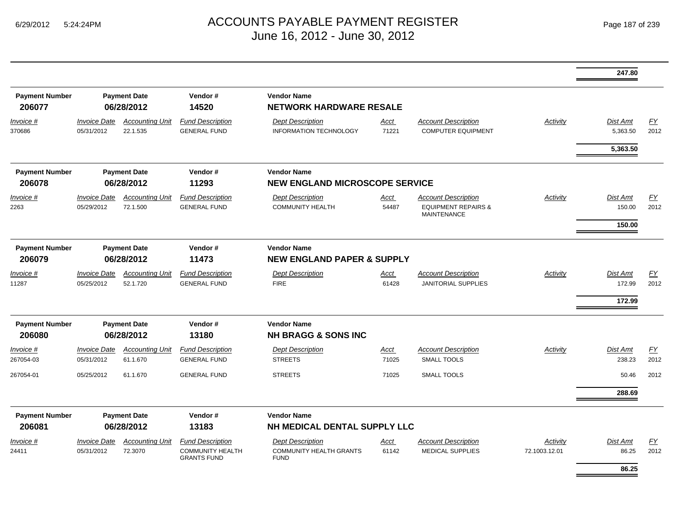|                                 |                                   |                                    |                                                |                                                             |               |                                                         |               | 247.80                      |            |
|---------------------------------|-----------------------------------|------------------------------------|------------------------------------------------|-------------------------------------------------------------|---------------|---------------------------------------------------------|---------------|-----------------------------|------------|
| <b>Payment Number</b><br>206077 |                                   | <b>Payment Date</b><br>06/28/2012  | Vendor#<br>14520                               | <b>Vendor Name</b><br><b>NETWORK HARDWARE RESALE</b>        |               |                                                         |               |                             |            |
| Invoice #<br>370686             | <b>Invoice Date</b><br>05/31/2012 | <b>Accounting Unit</b><br>22.1.535 | <b>Fund Description</b><br><b>GENERAL FUND</b> | <b>Dept Description</b><br><b>INFORMATION TECHNOLOGY</b>    | Acct<br>71221 | <b>Account Description</b><br><b>COMPUTER EQUIPMENT</b> | Activity      | <b>Dist Amt</b><br>5,363.50 | EY<br>2012 |
|                                 |                                   |                                    |                                                |                                                             |               |                                                         |               | 5,363.50                    |            |
| <b>Payment Number</b><br>206078 |                                   | <b>Payment Date</b><br>06/28/2012  | Vendor#<br>11293                               | <b>Vendor Name</b><br><b>NEW ENGLAND MICROSCOPE SERVICE</b> |               |                                                         |               |                             |            |
| Invoice #                       | <b>Invoice Date</b>               | <b>Accounting Unit</b>             | <b>Fund Description</b>                        | <b>Dept Description</b>                                     | Acct          | <b>Account Description</b>                              | Activity      | <b>Dist Amt</b>             | EY         |
| 2263                            | 05/29/2012                        | 72.1.500                           | <b>GENERAL FUND</b>                            | <b>COMMUNITY HEALTH</b>                                     | 54487         | <b>EQUIPMENT REPAIRS &amp;</b><br><b>MAINTENANCE</b>    |               | 150.00                      | 2012       |
|                                 |                                   |                                    |                                                |                                                             |               |                                                         |               | 150.00                      |            |
| <b>Payment Number</b>           |                                   | <b>Payment Date</b>                | Vendor#                                        | <b>Vendor Name</b>                                          |               |                                                         |               |                             |            |
| 206079                          |                                   | 06/28/2012                         | 11473                                          | <b>NEW ENGLAND PAPER &amp; SUPPLY</b>                       |               |                                                         |               |                             |            |
| Invoice #                       | <b>Invoice Date</b>               | <b>Accounting Unit</b>             | <b>Fund Description</b>                        | <b>Dept Description</b>                                     | Acct          | <b>Account Description</b>                              | Activity      | <b>Dist Amt</b>             | EY         |
| 11287                           | 05/25/2012                        | 52.1.720                           | <b>GENERAL FUND</b>                            | <b>FIRE</b>                                                 | 61428         | <b>JANITORIAL SUPPLIES</b>                              |               | 172.99                      | 2012       |
|                                 |                                   |                                    |                                                |                                                             |               |                                                         |               | 172.99                      |            |
| <b>Payment Number</b>           |                                   | <b>Payment Date</b>                | Vendor#                                        | <b>Vendor Name</b>                                          |               |                                                         |               |                             |            |
| 206080                          |                                   | 06/28/2012                         | 13180                                          | <b>NH BRAGG &amp; SONS INC</b>                              |               |                                                         |               |                             |            |
| Invoice #                       | <b>Invoice Date</b>               | <b>Accounting Unit</b>             | <b>Fund Description</b>                        | <b>Dept Description</b>                                     | Acct          | <b>Account Description</b>                              | Activity      | <b>Dist Amt</b>             | EY         |
| 267054-03                       | 05/31/2012                        | 61.1.670                           | <b>GENERAL FUND</b>                            | <b>STREETS</b>                                              | 71025         | <b>SMALL TOOLS</b>                                      |               | 238.23                      | 2012       |
| 267054-01                       | 05/25/2012                        | 61.1.670                           | <b>GENERAL FUND</b>                            | <b>STREETS</b>                                              | 71025         | <b>SMALL TOOLS</b>                                      |               | 50.46                       | 2012       |
|                                 |                                   |                                    |                                                |                                                             |               |                                                         |               | 288.69                      |            |
| <b>Payment Number</b>           |                                   | <b>Payment Date</b>                | Vendor#                                        | <b>Vendor Name</b>                                          |               |                                                         |               |                             |            |
| 206081                          |                                   | 06/28/2012                         | 13183                                          | NH MEDICAL DENTAL SUPPLY LLC                                |               |                                                         |               |                             |            |
| Invoice #                       | <b>Invoice Date</b>               | <b>Accounting Unit</b>             | <b>Fund Description</b>                        | <b>Dept Description</b>                                     | Acct          | <b>Account Description</b>                              | Activity      | Dist Amt                    | <u>FY</u>  |
| 24411                           | 05/31/2012                        | 72.3070                            | <b>COMMUNITY HEALTH</b><br><b>GRANTS FUND</b>  | <b>COMMUNITY HEALTH GRANTS</b><br><b>FUND</b>               | 61142         | <b>MEDICAL SUPPLIES</b>                                 | 72.1003.12.01 | 86.25                       | 2012       |
|                                 |                                   |                                    |                                                |                                                             |               |                                                         |               | 86.25                       |            |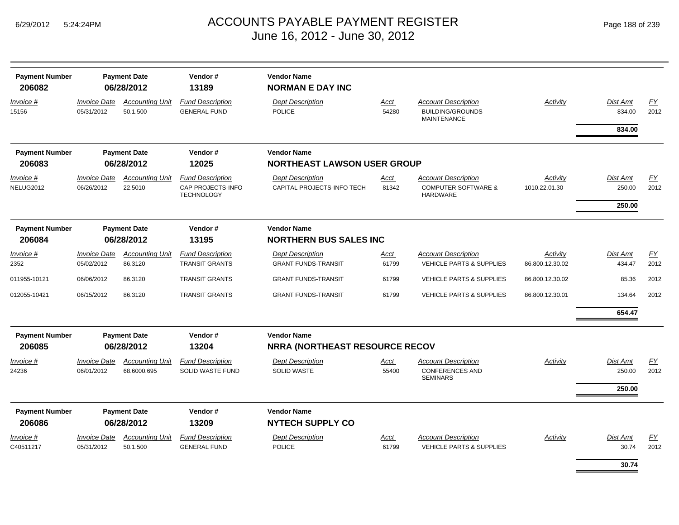| <b>Payment Number</b><br>206082 |                                   | <b>Payment Date</b><br>06/28/2012     | Vendor#<br>13189                                                  | <b>Vendor Name</b><br><b>NORMAN E DAY INC</b>               |               |                                                                                 |                             |                           |                   |
|---------------------------------|-----------------------------------|---------------------------------------|-------------------------------------------------------------------|-------------------------------------------------------------|---------------|---------------------------------------------------------------------------------|-----------------------------|---------------------------|-------------------|
| Invoice #<br>15156              | <b>Invoice Date</b><br>05/31/2012 | <b>Accounting Unit</b><br>50.1.500    | <b>Fund Description</b><br><b>GENERAL FUND</b>                    | <b>Dept Description</b><br><b>POLICE</b>                    | Acct<br>54280 | <b>Account Description</b><br><b>BUILDING/GROUNDS</b><br><b>MAINTENANCE</b>     | <b>Activity</b>             | <b>Dist Amt</b><br>834.00 | EY<br>2012        |
|                                 |                                   |                                       |                                                                   |                                                             |               |                                                                                 |                             | 834.00                    |                   |
| <b>Payment Number</b>           |                                   | <b>Payment Date</b>                   | Vendor#                                                           | <b>Vendor Name</b>                                          |               |                                                                                 |                             |                           |                   |
| 206083                          |                                   | 06/28/2012                            | 12025                                                             | <b>NORTHEAST LAWSON USER GROUP</b>                          |               |                                                                                 |                             |                           |                   |
| Invoice #<br>NELUG2012          | <b>Invoice Date</b><br>06/26/2012 | <b>Accounting Unit</b><br>22.5010     | <b>Fund Description</b><br>CAP PROJECTS-INFO<br><b>TECHNOLOGY</b> | <b>Dept Description</b><br>CAPITAL PROJECTS-INFO TECH       | Acct<br>81342 | <b>Account Description</b><br><b>COMPUTER SOFTWARE &amp;</b><br><b>HARDWARE</b> | Activity<br>1010.22.01.30   | <b>Dist Amt</b><br>250.00 | <u>FY</u><br>2012 |
|                                 |                                   |                                       |                                                                   |                                                             |               |                                                                                 |                             | 250.00                    |                   |
| <b>Payment Number</b><br>206084 |                                   | <b>Payment Date</b><br>06/28/2012     | Vendor#<br>13195                                                  | <b>Vendor Name</b><br><b>NORTHERN BUS SALES INC</b>         |               |                                                                                 |                             |                           |                   |
| Invoice #<br>2352               | <b>Invoice Date</b><br>05/02/2012 | <b>Accounting Unit</b><br>86.3120     | <b>Fund Description</b><br><b>TRANSIT GRANTS</b>                  | <b>Dept Description</b><br><b>GRANT FUNDS-TRANSIT</b>       | Acct<br>61799 | <b>Account Description</b><br><b>VEHICLE PARTS &amp; SUPPLIES</b>               | Activity<br>86.800.12.30.02 | <b>Dist Amt</b><br>434.47 | EY<br>2012        |
| 011955-10121                    | 06/06/2012                        | 86.3120                               | <b>TRANSIT GRANTS</b>                                             | <b>GRANT FUNDS-TRANSIT</b>                                  | 61799         | <b>VEHICLE PARTS &amp; SUPPLIES</b>                                             | 86.800.12.30.02             | 85.36                     | 2012              |
| 012055-10421                    | 06/15/2012                        | 86.3120                               | <b>TRANSIT GRANTS</b>                                             | <b>GRANT FUNDS-TRANSIT</b>                                  | 61799         | <b>VEHICLE PARTS &amp; SUPPLIES</b>                                             | 86.800.12.30.01             | 134.64                    | 2012              |
|                                 |                                   |                                       |                                                                   |                                                             |               |                                                                                 |                             | 654.47                    |                   |
| <b>Payment Number</b><br>206085 |                                   | <b>Payment Date</b><br>06/28/2012     | Vendor#<br>13204                                                  | <b>Vendor Name</b><br><b>NRRA (NORTHEAST RESOURCE RECOV</b> |               |                                                                                 |                             |                           |                   |
| Invoice #<br>24236              | <b>Invoice Date</b><br>06/01/2012 | <b>Accounting Unit</b><br>68.6000.695 | <b>Fund Description</b><br>SOLID WASTE FUND                       | <b>Dept Description</b><br><b>SOLID WASTE</b>               | Acct<br>55400 | <b>Account Description</b><br><b>CONFERENCES AND</b><br><b>SEMINARS</b>         | Activity                    | <b>Dist Amt</b><br>250.00 | FΥ<br>2012        |
|                                 |                                   |                                       |                                                                   |                                                             |               |                                                                                 |                             | 250.00                    |                   |
| <b>Payment Number</b>           |                                   | <b>Payment Date</b>                   | Vendor#                                                           | <b>Vendor Name</b>                                          |               |                                                                                 |                             |                           |                   |
| 206086                          |                                   | 06/28/2012                            | 13209                                                             | <b>NYTECH SUPPLY CO</b>                                     |               |                                                                                 |                             |                           |                   |
| $Invoice$ #<br>C40511217        | <b>Invoice Date</b><br>05/31/2012 | <b>Accounting Unit</b><br>50.1.500    | <b>Fund Description</b><br><b>GENERAL FUND</b>                    | <b>Dept Description</b><br><b>POLICE</b>                    | Acct<br>61799 | <b>Account Description</b><br><b>VEHICLE PARTS &amp; SUPPLIES</b>               | Activity                    | <b>Dist Amt</b><br>30.74  | EY<br>2012        |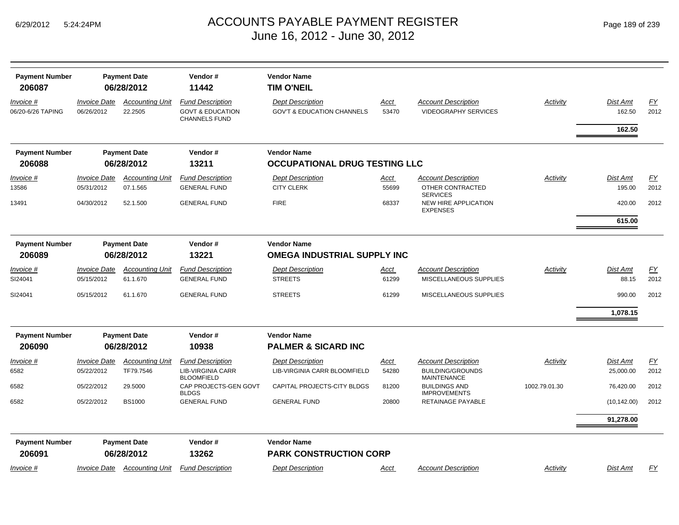| <b>Payment Number</b><br>206087 |                                   | <b>Payment Date</b><br>06/28/2012   | Vendor#<br>11442                                                               | <b>Vendor Name</b><br>TIM O'NEIL                                 |                      |                                                                             |                 |                              |                          |
|---------------------------------|-----------------------------------|-------------------------------------|--------------------------------------------------------------------------------|------------------------------------------------------------------|----------------------|-----------------------------------------------------------------------------|-----------------|------------------------------|--------------------------|
| Invoice #<br>06/20-6/26 TAPING  | <b>Invoice Date</b><br>06/26/2012 | <b>Accounting Unit</b><br>22.2505   | <b>Fund Description</b><br><b>GOVT &amp; EDUCATION</b><br><b>CHANNELS FUND</b> | <b>Dept Description</b><br><b>GOV'T &amp; EDUCATION CHANNELS</b> | Acct<br>53470        | <b>Account Description</b><br>VIDEOGRAPHY SERVICES                          | Activity        | Dist Amt<br>162.50<br>162.50 | $\underline{FY}$<br>2012 |
| <b>Payment Number</b>           |                                   | <b>Payment Date</b>                 | Vendor#                                                                        | <b>Vendor Name</b>                                               |                      |                                                                             |                 |                              |                          |
| 206088                          |                                   | 06/28/2012                          | 13211                                                                          | <b>OCCUPATIONAL DRUG TESTING LLC</b>                             |                      |                                                                             |                 |                              |                          |
| Invoice #<br>13586              | <b>Invoice Date</b><br>05/31/2012 | <b>Accounting Unit</b><br>07.1.565  | <b>Fund Description</b><br><b>GENERAL FUND</b>                                 | <b>Dept Description</b><br><b>CITY CLERK</b>                     | <u>Acct</u><br>55699 | <b>Account Description</b><br>OTHER CONTRACTED                              | Activity        | <b>Dist Amt</b><br>195.00    | $\underline{FY}$<br>2012 |
| 13491                           | 04/30/2012                        | 52.1.500                            | <b>GENERAL FUND</b>                                                            | <b>FIRE</b>                                                      | 68337                | <b>SERVICES</b><br>NEW HIRE APPLICATION<br><b>EXPENSES</b>                  |                 | 420.00                       | 2012                     |
|                                 |                                   |                                     |                                                                                |                                                                  |                      |                                                                             |                 | 615.00                       |                          |
| <b>Payment Number</b><br>206089 |                                   | <b>Payment Date</b><br>06/28/2012   | Vendor#<br>13221                                                               | <b>Vendor Name</b><br><b>OMEGA INDUSTRIAL SUPPLY INC</b>         |                      |                                                                             |                 |                              |                          |
| Invoice #<br>SI24041            | Invoice Date<br>05/15/2012        | <b>Accounting Unit</b><br>61.1.670  | <b>Fund Description</b><br><b>GENERAL FUND</b>                                 | <b>Dept Description</b><br><b>STREETS</b>                        | <u>Acct</u><br>61299 | <b>Account Description</b><br>MISCELLANEOUS SUPPLIES                        | <b>Activity</b> | Dist Amt<br>88.15            | EY<br>2012               |
| SI24041                         | 05/15/2012                        | 61.1.670                            | <b>GENERAL FUND</b>                                                            | <b>STREETS</b>                                                   | 61299                | MISCELLANEOUS SUPPLIES                                                      |                 | 990.00                       | 2012                     |
|                                 |                                   |                                     |                                                                                |                                                                  |                      |                                                                             |                 | 1,078.15                     |                          |
| <b>Payment Number</b><br>206090 |                                   | <b>Payment Date</b><br>06/28/2012   | Vendor#<br>10938                                                               | <b>Vendor Name</b><br><b>PALMER &amp; SICARD INC</b>             |                      |                                                                             |                 |                              |                          |
| Invoice #<br>6582               | <b>Invoice Date</b><br>05/22/2012 | <b>Accounting Unit</b><br>TF79.7546 | <b>Fund Description</b><br><b>LIB-VIRGINIA CARR</b><br><b>BLOOMFIELD</b>       | <b>Dept Description</b><br>LIB-VIRGINIA CARR BLOOMFIELD          | Acct<br>54280        | <b>Account Description</b><br><b>BUILDING/GROUNDS</b><br><b>MAINTENANCE</b> | Activity        | <b>Dist Amt</b><br>25,000.00 | <u>FY</u><br>2012        |
| 6582                            | 05/22/2012                        | 29.5000                             | CAP PROJECTS-GEN GOVT<br><b>BLDGS</b>                                          | CAPITAL PROJECTS-CITY BLDGS                                      | 81200                | <b>BUILDINGS AND</b><br><b>IMPROVEMENTS</b>                                 | 1002.79.01.30   | 76,420.00                    | 2012                     |
| 6582                            | 05/22/2012                        | <b>BS1000</b>                       | <b>GENERAL FUND</b>                                                            | <b>GENERAL FUND</b>                                              | 20800                | RETAINAGE PAYABLE                                                           |                 | (10, 142.00)                 | 2012                     |
|                                 |                                   |                                     |                                                                                |                                                                  |                      |                                                                             |                 | 91,278.00                    |                          |
| <b>Payment Number</b><br>206091 |                                   | <b>Payment Date</b><br>06/28/2012   | Vendor#<br>13262                                                               | <b>Vendor Name</b><br><b>PARK CONSTRUCTION CORP</b>              |                      |                                                                             |                 |                              |                          |
| Invoice #                       | Invoice Date                      | <b>Accounting Unit</b>              | <b>Fund Description</b>                                                        | <b>Dept Description</b>                                          | <u>Acct</u>          | <b>Account Description</b>                                                  | Activity        | Dist Amt                     | EY                       |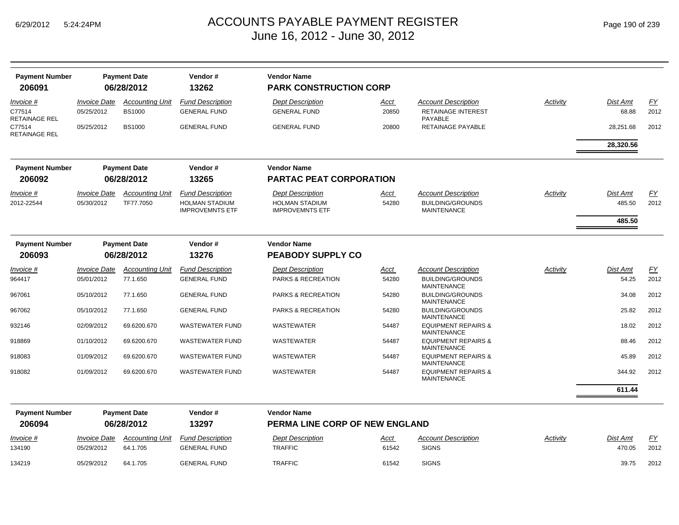| <b>Payment Number</b><br>206091      |                                   | <b>Payment Date</b><br>06/28/2012       | Vendor#<br>13262                                | <b>Vendor Name</b><br><b>PARK CONSTRUCTION CORP</b>  |               |                                                                           |          |                   |                   |
|--------------------------------------|-----------------------------------|-----------------------------------------|-------------------------------------------------|------------------------------------------------------|---------------|---------------------------------------------------------------------------|----------|-------------------|-------------------|
| Invoice #<br>C77514<br>RETAINAGE REL | <b>Invoice Date</b><br>05/25/2012 | <b>Accounting Unit</b><br><b>BS1000</b> | <b>Fund Description</b><br><b>GENERAL FUND</b>  | <b>Dept Description</b><br><b>GENERAL FUND</b>       | Acct<br>20850 | <b>Account Description</b><br><b>RETAINAGE INTEREST</b><br><b>PAYABLE</b> | Activity | Dist Amt<br>68.88 | <u>FY</u><br>2012 |
| C77514<br>RETAINAGE REL              | 05/25/2012                        | <b>BS1000</b>                           | <b>GENERAL FUND</b>                             | <b>GENERAL FUND</b>                                  | 20800         | RETAINAGE PAYABLE                                                         |          | 28,251.68         | 2012              |
|                                      |                                   |                                         |                                                 |                                                      |               |                                                                           |          | 28,320.56         |                   |
| <b>Payment Number</b>                |                                   | <b>Payment Date</b>                     | Vendor#                                         | <b>Vendor Name</b>                                   |               |                                                                           |          |                   |                   |
| 206092                               |                                   | 06/28/2012                              | 13265                                           | <b>PARTAC PEAT CORPORATION</b>                       |               |                                                                           |          |                   |                   |
| <i>Invoice</i> #                     | <b>Invoice Date</b>               | <b>Accounting Unit</b>                  | <b>Fund Description</b>                         | <b>Dept Description</b>                              | Acct          | <b>Account Description</b>                                                | Activity | Dist Amt          | FΥ                |
| 2012-22544                           | 05/30/2012                        | TF77.7050                               | <b>HOLMAN STADIUM</b><br><b>IMPROVEMNTS ETF</b> | <b>HOLMAN STADIUM</b><br><b>IMPROVEMNTS ETF</b>      | 54280         | <b>BUILDING/GROUNDS</b><br><b>MAINTENANCE</b>                             |          | 485.50            | 2012              |
|                                      |                                   |                                         |                                                 |                                                      |               |                                                                           |          | 485.50            |                   |
| <b>Payment Number</b>                |                                   | <b>Payment Date</b>                     | Vendor#                                         | <b>Vendor Name</b>                                   |               |                                                                           |          |                   |                   |
| 206093                               |                                   | 06/28/2012                              | 13276                                           | <b>PEABODY SUPPLY CO</b>                             |               |                                                                           |          |                   |                   |
| <i>Invoice</i> #                     | <b>Invoice Date</b>               | <b>Accounting Unit</b>                  | <b>Fund Description</b>                         | <b>Dept Description</b>                              | <u>Acct</u>   | <b>Account Description</b>                                                | Activity | Dist Amt          | <u>FY</u>         |
| 964417                               | 05/01/2012                        | 77.1.650                                | <b>GENERAL FUND</b>                             | PARKS & RECREATION                                   | 54280         | <b>BUILDING/GROUNDS</b><br><b>MAINTENANCE</b>                             |          | 54.25             | 2012              |
| 967061                               | 05/10/2012                        | 77.1.650                                | <b>GENERAL FUND</b>                             | PARKS & RECREATION                                   | 54280         | <b>BUILDING/GROUNDS</b><br><b>MAINTENANCE</b>                             |          | 34.08             | 2012              |
| 967062                               | 05/10/2012                        | 77.1.650                                | <b>GENERAL FUND</b>                             | PARKS & RECREATION                                   | 54280         | <b>BUILDING/GROUNDS</b><br><b>MAINTENANCE</b>                             |          | 25.82             | 2012              |
| 932146                               | 02/09/2012                        | 69.6200.670                             | <b>WASTEWATER FUND</b>                          | <b>WASTEWATER</b>                                    | 54487         | <b>EQUIPMENT REPAIRS &amp;</b><br><b>MAINTENANCE</b>                      |          | 18.02             | 2012              |
| 918869                               | 01/10/2012                        | 69.6200.670                             | <b>WASTEWATER FUND</b>                          | WASTEWATER                                           | 54487         | <b>EQUIPMENT REPAIRS &amp;</b><br><b>MAINTENANCE</b>                      |          | 88.46             | 2012              |
| 918083                               | 01/09/2012                        | 69.6200.670                             | <b>WASTEWATER FUND</b>                          | WASTEWATER                                           | 54487         | <b>EQUIPMENT REPAIRS &amp;</b><br><b>MAINTENANCE</b>                      |          | 45.89             | 2012              |
| 918082                               | 01/09/2012                        | 69.6200.670                             | <b>WASTEWATER FUND</b>                          | WASTEWATER                                           | 54487         | <b>EQUIPMENT REPAIRS &amp;</b><br><b>MAINTENANCE</b>                      |          | 344.92            | 2012              |
|                                      |                                   |                                         |                                                 |                                                      |               |                                                                           |          | 611.44            |                   |
| <b>Payment Number</b><br>206094      |                                   | <b>Payment Date</b><br>06/28/2012       | Vendor#<br>13297                                | <b>Vendor Name</b><br>PERMA LINE CORP OF NEW ENGLAND |               |                                                                           |          |                   |                   |
| Invoice #                            | <b>Invoice Date</b>               | <b>Accounting Unit</b>                  | <b>Fund Description</b>                         | <b>Dept Description</b>                              | Acct          | <b>Account Description</b>                                                | Activity | Dist Amt          | <u>FY</u>         |
| 134190                               | 05/29/2012                        | 64.1.705                                | <b>GENERAL FUND</b>                             | <b>TRAFFIC</b>                                       | 61542         | <b>SIGNS</b>                                                              |          | 470.05            | 2012              |
| 134219                               | 05/29/2012                        | 64.1.705                                | <b>GENERAL FUND</b>                             | <b>TRAFFIC</b>                                       | 61542         | <b>SIGNS</b>                                                              |          | 39.75             | 2012              |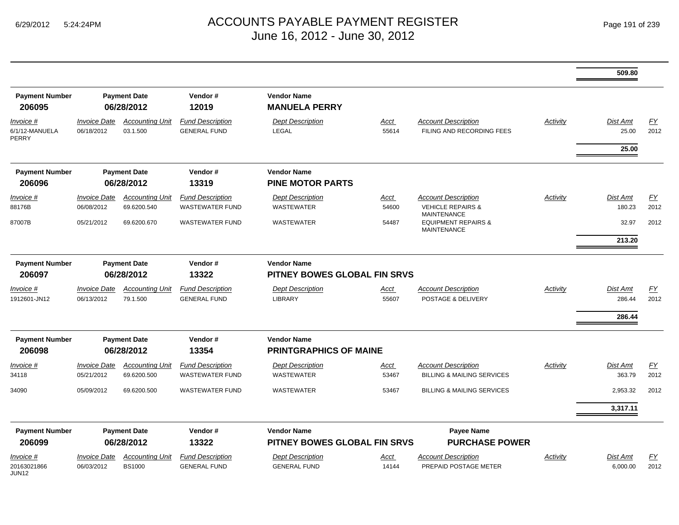|                                               |                                          |                                         |                                                   |                                                    |                      |                                                                                  |          | 509.80                       |                   |
|-----------------------------------------------|------------------------------------------|-----------------------------------------|---------------------------------------------------|----------------------------------------------------|----------------------|----------------------------------------------------------------------------------|----------|------------------------------|-------------------|
| <b>Payment Number</b><br>206095               |                                          | <b>Payment Date</b><br>06/28/2012       | Vendor#<br>12019                                  | <b>Vendor Name</b><br><b>MANUELA PERRY</b>         |                      |                                                                                  |          |                              |                   |
| Invoice #<br>6/1/12-MANUELA<br>PERRY          | <b>Invoice Date</b><br>06/18/2012        | <b>Accounting Unit</b><br>03.1.500      | <b>Fund Description</b><br><b>GENERAL FUND</b>    | <b>Dept Description</b><br>LEGAL                   | <b>Acct</b><br>55614 | <b>Account Description</b><br>FILING AND RECORDING FEES                          | Activity | Dist Amt<br>25.00            | EY<br>2012        |
|                                               |                                          |                                         |                                                   |                                                    |                      |                                                                                  |          | 25.00                        |                   |
| <b>Payment Number</b><br>206096               |                                          | <b>Payment Date</b><br>06/28/2012       | Vendor#<br>13319                                  | <b>Vendor Name</b><br><b>PINE MOTOR PARTS</b>      |                      |                                                                                  |          |                              |                   |
| Invoice #<br>88176B                           | <b>Invoice Date</b><br>06/08/2012        | <b>Accounting Unit</b><br>69.6200.540   | <b>Fund Description</b><br><b>WASTEWATER FUND</b> | <b>Dept Description</b><br><b>WASTEWATER</b>       | Acct<br>54600        | <b>Account Description</b><br><b>VEHICLE REPAIRS &amp;</b><br><b>MAINTENANCE</b> | Activity | Dist Amt<br>180.23           | EY<br>2012        |
| 87007B                                        | 05/21/2012                               | 69.6200.670                             | <b>WASTEWATER FUND</b>                            | WASTEWATER                                         | 54487                | <b>EQUIPMENT REPAIRS &amp;</b><br><b>MAINTENANCE</b>                             |          | 32.97<br>213.20              | 2012              |
| <b>Payment Number</b><br>206097               |                                          | <b>Payment Date</b><br>06/28/2012       | Vendor#<br>13322                                  | <b>Vendor Name</b><br>PITNEY BOWES GLOBAL FIN SRVS |                      |                                                                                  |          |                              |                   |
| Invoice #<br>1912601-JN12                     | <b>Invoice Date</b><br>06/13/2012        | <b>Accounting Unit</b><br>79.1.500      | <b>Fund Description</b><br><b>GENERAL FUND</b>    | <b>Dept Description</b><br>LIBRARY                 | Acct<br>55607        | <b>Account Description</b><br>POSTAGE & DELIVERY                                 | Activity | Dist Amt<br>286.44<br>286.44 | <u>FY</u><br>2012 |
| <b>Payment Number</b><br>206098               |                                          | <b>Payment Date</b><br>06/28/2012       | Vendor#<br>13354                                  | <b>Vendor Name</b><br>PRINTGRAPHICS OF MAINE       |                      |                                                                                  |          |                              |                   |
| Invoice #<br>34118                            | <b>Invoice Date</b><br>05/21/2012        | <b>Accounting Unit</b><br>69.6200.500   | <b>Fund Description</b><br><b>WASTEWATER FUND</b> | <b>Dept Description</b><br><b>WASTEWATER</b>       | <u>Acct</u><br>53467 | <b>Account Description</b><br><b>BILLING &amp; MAILING SERVICES</b>              | Activity | Dist Amt<br>363.79           | EY<br>2012        |
| 34090                                         | 05/09/2012                               | 69.6200.500                             | <b>WASTEWATER FUND</b>                            | WASTEWATER                                         | 53467                | <b>BILLING &amp; MAILING SERVICES</b>                                            |          | 2,953.32                     | 2012              |
|                                               |                                          |                                         |                                                   |                                                    |                      |                                                                                  |          | 3,317.11                     |                   |
| <b>Payment Number</b><br>206099               |                                          | <b>Payment Date</b><br>06/28/2012       | Vendor#<br>13322                                  | <b>Vendor Name</b><br>PITNEY BOWES GLOBAL FIN SRVS |                      | Payee Name<br><b>PURCHASE POWER</b>                                              |          |                              |                   |
| Invoice #<br>20163021866<br>JUN <sub>12</sub> | <i><b>Invoice Date</b></i><br>06/03/2012 | <b>Accounting Unit</b><br><b>BS1000</b> | <b>Fund Description</b><br><b>GENERAL FUND</b>    | <b>Dept Description</b><br><b>GENERAL FUND</b>     | Acct<br>14144        | <b>Account Description</b><br>PREPAID POSTAGE METER                              | Activity | Dist Amt<br>6,000.00         | FΥ<br>2012        |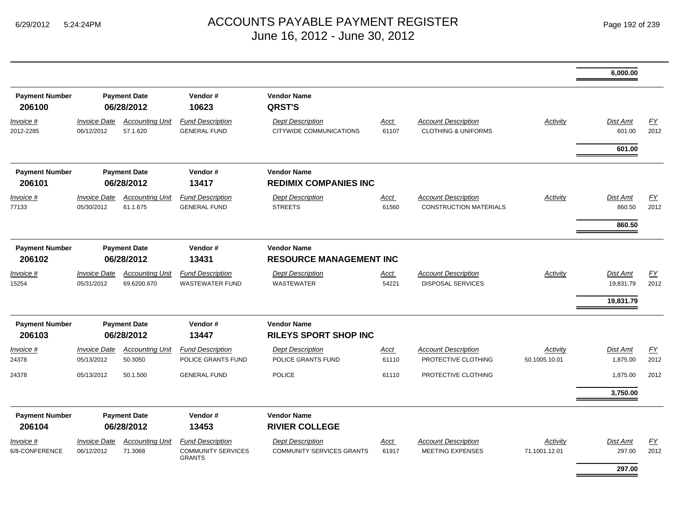|                                 |                                          |                                       |                                                                       |                                                             |                      |                                                              |                           | 6,000.00                     |              |
|---------------------------------|------------------------------------------|---------------------------------------|-----------------------------------------------------------------------|-------------------------------------------------------------|----------------------|--------------------------------------------------------------|---------------------------|------------------------------|--------------|
| <b>Payment Number</b><br>206100 |                                          | <b>Payment Date</b><br>06/28/2012     | Vendor#<br>10623                                                      | <b>Vendor Name</b><br><b>QRST'S</b>                         |                      |                                                              |                           |                              |              |
| Invoice #<br>2012-2285          | <b>Invoice Date</b><br>06/12/2012        | <b>Accounting Unit</b><br>57.1.620    | <b>Fund Description</b><br><b>GENERAL FUND</b>                        | <b>Dept Description</b><br>CITYWIDE COMMUNICATIONS          | Acct<br>61107        | <b>Account Description</b><br><b>CLOTHING &amp; UNIFORMS</b> | <b>Activity</b>           | <b>Dist Amt</b><br>601.00    | EY<br>2012   |
|                                 |                                          |                                       |                                                                       |                                                             |                      |                                                              |                           | 601.00                       |              |
| <b>Payment Number</b><br>206101 |                                          | <b>Payment Date</b><br>06/28/2012     | Vendor#<br>13417                                                      | <b>Vendor Name</b><br><b>REDIMIX COMPANIES INC</b>          |                      |                                                              |                           |                              |              |
| Invoice #<br>77133              | <b>Invoice Date</b><br>05/30/2012        | <b>Accounting Unit</b><br>61.1.675    | <b>Fund Description</b><br><b>GENERAL FUND</b>                        | <b>Dept Description</b><br><b>STREETS</b>                   | <b>Acct</b><br>61560 | <b>Account Description</b><br><b>CONSTRUCTION MATERIALS</b>  | Activity                  | Dist Amt<br>860.50           | EY<br>2012   |
|                                 |                                          |                                       |                                                                       |                                                             |                      |                                                              |                           | 860.50                       |              |
| <b>Payment Number</b><br>206102 | <b>Payment Date</b><br>06/28/2012        |                                       | Vendor#<br>13431                                                      | <b>Vendor Name</b><br><b>RESOURCE MANAGEMENT INC</b>        |                      |                                                              |                           |                              |              |
| Invoice #<br>15254              | <i><b>Invoice Date</b></i><br>05/31/2012 | <b>Accounting Unit</b><br>69.6200.670 | <b>Fund Description</b><br><b>WASTEWATER FUND</b>                     | <b>Dept Description</b><br><b>WASTEWATER</b>                | Acct<br>54221        | <b>Account Description</b><br><b>DISPOSAL SERVICES</b>       | Activity                  | <b>Dist Amt</b><br>19,831.79 | EY<br>2012   |
|                                 |                                          |                                       |                                                                       |                                                             |                      |                                                              |                           | 19,831.79                    |              |
| <b>Payment Number</b><br>206103 | <b>Payment Date</b><br>06/28/2012        |                                       | Vendor#<br>13447                                                      | <b>Vendor Name</b><br><b>RILEYS SPORT SHOP INC</b>          |                      |                                                              |                           |                              |              |
| Invoice #                       | <b>Invoice Date</b>                      | <b>Accounting Unit</b>                | <b>Fund Description</b>                                               | <b>Dept Description</b>                                     | Acct                 | <b>Account Description</b>                                   | Activity                  | Dist Amt                     | EY           |
| 24378<br>24378                  | 05/13/2012<br>05/13/2012                 | 50.3050<br>50.1.500                   | POLICE GRANTS FUND<br><b>GENERAL FUND</b>                             | POLICE GRANTS FUND<br><b>POLICE</b>                         | 61110<br>61110       | PROTECTIVE CLOTHING<br>PROTECTIVE CLOTHING                   | 50.1005.10.01             | 1,875.00<br>1,875.00         | 2012<br>2012 |
|                                 |                                          |                                       |                                                                       |                                                             |                      |                                                              |                           | 3,750.00                     |              |
| <b>Payment Number</b>           |                                          | <b>Payment Date</b>                   | Vendor#                                                               | <b>Vendor Name</b>                                          |                      |                                                              |                           |                              |              |
| 206104                          |                                          | 06/28/2012                            | 13453                                                                 | <b>RIVIER COLLEGE</b>                                       |                      |                                                              |                           |                              |              |
| Invoice #<br>6/8-CONFERENCE     | <b>Invoice Date</b><br>06/12/2012        | <b>Accounting Unit</b><br>71.3068     | <b>Fund Description</b><br><b>COMMUNITY SERVICES</b><br><b>GRANTS</b> | <b>Dept Description</b><br><b>COMMUNITY SERVICES GRANTS</b> | Acct<br>61917        | <b>Account Description</b><br><b>MEETING EXPENSES</b>        | Activity<br>71.1001.12.01 | Dist Amt<br>297.00           | EY<br>2012   |
|                                 |                                          |                                       |                                                                       |                                                             |                      |                                                              |                           | 297.00                       |              |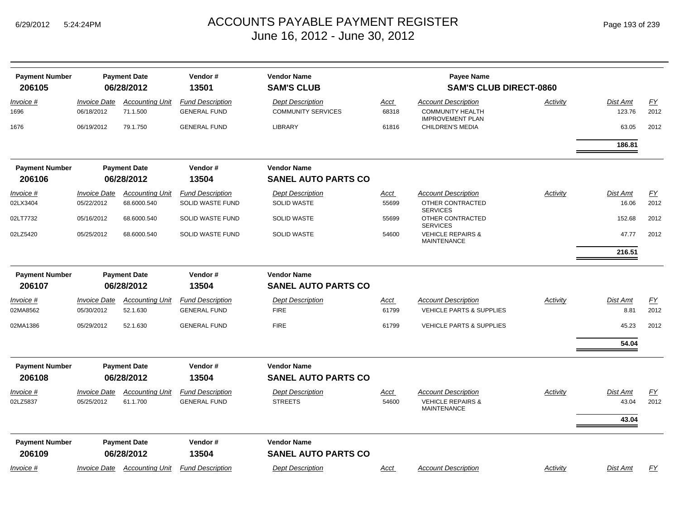| Page 193 of 239 |  |
|-----------------|--|
|-----------------|--|

| <b>Payment Number</b><br>206105 |                                   | <b>Payment Date</b><br>06/28/2012  | Vendor#<br>13501                               | <b>Vendor Name</b><br><b>SAM'S CLUB</b>          |                      | <b>Payee Name</b><br><b>SAM'S CLUB DIRECT-0860</b>                        |          |                   |                   |
|---------------------------------|-----------------------------------|------------------------------------|------------------------------------------------|--------------------------------------------------|----------------------|---------------------------------------------------------------------------|----------|-------------------|-------------------|
|                                 | <b>Invoice Date</b>               | <b>Accounting Unit</b>             | <b>Fund Description</b>                        | <b>Dept Description</b>                          |                      | <b>Account Description</b>                                                | Activity | <b>Dist Amt</b>   | $\underline{FY}$  |
| Invoice #<br>1696               | 06/18/2012                        | 71.1.500                           | <b>GENERAL FUND</b>                            | <b>COMMUNITY SERVICES</b>                        | <u>Acct</u><br>68318 | <b>COMMUNITY HEALTH</b><br><b>IMPROVEMENT PLAN</b>                        |          | 123.76            | 2012              |
| 1676                            | 06/19/2012                        | 79.1.750                           | <b>GENERAL FUND</b>                            | <b>LIBRARY</b>                                   | 61816                | <b>CHILDREN'S MEDIA</b>                                                   |          | 63.05             | 2012              |
|                                 |                                   |                                    |                                                |                                                  |                      |                                                                           |          | 186.81            |                   |
| <b>Payment Number</b>           |                                   | <b>Payment Date</b>                | Vendor#                                        | <b>Vendor Name</b>                               |                      |                                                                           |          |                   |                   |
| 206106                          | 06/28/2012                        |                                    | 13504                                          | <b>SANEL AUTO PARTS CO</b>                       |                      |                                                                           |          |                   |                   |
| Invoice #                       | <b>Invoice Date</b>               | <b>Accounting Unit</b>             | <b>Fund Description</b>                        | <b>Dept Description</b>                          | <u>Acct</u>          | <b>Account Description</b>                                                | Activity | <b>Dist Amt</b>   | <u>FY</u>         |
| 02LX3404                        | 05/22/2012                        | 68.6000.540                        | SOLID WASTE FUND                               | <b>SOLID WASTE</b>                               | 55699                | OTHER CONTRACTED<br><b>SERVICES</b>                                       |          | 16.06             | 2012              |
| 02LT7732                        | 05/16/2012                        | 68.6000.540                        | SOLID WASTE FUND                               | <b>SOLID WASTE</b>                               | 55699                | OTHER CONTRACTED<br><b>SERVICES</b>                                       |          | 152.68            | 2012              |
| 02LZ5420                        | 05/25/2012                        | 68.6000.540                        | SOLID WASTE FUND                               | <b>SOLID WASTE</b>                               | 54600                | <b>VEHICLE REPAIRS &amp;</b><br><b>MAINTENANCE</b>                        |          | 47.77             | 2012              |
|                                 |                                   |                                    |                                                |                                                  |                      |                                                                           |          | 216.51            |                   |
| <b>Payment Number</b><br>206107 |                                   | <b>Payment Date</b><br>06/28/2012  | Vendor#<br>13504                               | <b>Vendor Name</b><br><b>SANEL AUTO PARTS CO</b> |                      |                                                                           |          |                   |                   |
| Invoice #                       | <b>Invoice Date</b>               | <b>Accounting Unit</b>             | <b>Fund Description</b>                        | <b>Dept Description</b>                          | Acct                 | <b>Account Description</b>                                                | Activity | <b>Dist Amt</b>   | <u>FY</u>         |
| 02MA8562                        | 05/30/2012                        | 52.1.630                           | <b>GENERAL FUND</b>                            | <b>FIRE</b>                                      | 61799                | <b>VEHICLE PARTS &amp; SUPPLIES</b>                                       |          | 8.81              | 2012              |
| 02MA1386                        | 05/29/2012                        | 52.1.630                           | <b>GENERAL FUND</b>                            | <b>FIRE</b>                                      | 61799                | <b>VEHICLE PARTS &amp; SUPPLIES</b>                                       |          | 45.23             | 2012              |
|                                 |                                   |                                    |                                                |                                                  |                      |                                                                           |          | 54.04             |                   |
| <b>Payment Number</b>           |                                   | <b>Payment Date</b>                | Vendor#                                        | <b>Vendor Name</b>                               |                      |                                                                           |          |                   |                   |
| 206108                          |                                   | 06/28/2012                         | 13504                                          | <b>SANEL AUTO PARTS CO</b>                       |                      |                                                                           |          |                   |                   |
| Invoice #<br>02LZ5837           | <b>Invoice Date</b><br>05/25/2012 | <b>Accounting Unit</b><br>61.1.700 | <b>Fund Description</b><br><b>GENERAL FUND</b> | <b>Dept Description</b><br><b>STREETS</b>        | Acct<br>54600        | <b>Account Description</b><br><b>VEHICLE REPAIRS &amp;</b><br>MAINTENANCE | Activity | Dist Amt<br>43.04 | <u>FY</u><br>2012 |
|                                 |                                   |                                    |                                                |                                                  |                      |                                                                           |          | 43.04             |                   |
| <b>Payment Number</b>           |                                   | <b>Payment Date</b>                | Vendor#                                        | <b>Vendor Name</b>                               |                      |                                                                           |          |                   |                   |
| 206109                          |                                   | 06/28/2012                         | 13504                                          | <b>SANEL AUTO PARTS CO</b>                       |                      |                                                                           |          |                   |                   |
| <u>Invoice #</u>                | <b>Invoice Date</b>               | <b>Accounting Unit</b>             | <b>Fund Description</b>                        | <b>Dept Description</b>                          | <u>Acct</u>          | <b>Account Description</b>                                                | Activity | <b>Dist Amt</b>   | EY                |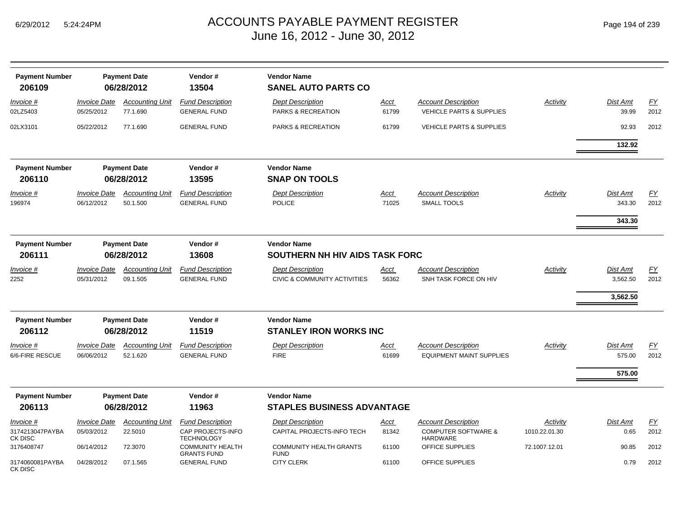|  | Page 194 of 239 |  |  |  |
|--|-----------------|--|--|--|
|--|-----------------|--|--|--|

| <b>Payment Number</b><br>206109         |                                   | <b>Payment Date</b><br>06/28/2012  | Vendor#<br>13504                                                  | <b>Vendor Name</b><br><b>SANEL AUTO PARTS CO</b>                   |                      |                                                                          |                           |                                  |                          |
|-----------------------------------------|-----------------------------------|------------------------------------|-------------------------------------------------------------------|--------------------------------------------------------------------|----------------------|--------------------------------------------------------------------------|---------------------------|----------------------------------|--------------------------|
| Invoice #<br>02LZ5403                   | <b>Invoice Date</b><br>05/25/2012 | <b>Accounting Unit</b><br>77.1.690 | <b>Fund Description</b><br><b>GENERAL FUND</b>                    | <b>Dept Description</b><br>PARKS & RECREATION                      | Acct<br>61799        | <b>Account Description</b><br><b>VEHICLE PARTS &amp; SUPPLIES</b>        | Activity                  | Dist Amt<br>39.99                | EY<br>2012               |
| 02LX3101                                | 05/22/2012                        | 77.1.690                           | <b>GENERAL FUND</b>                                               | PARKS & RECREATION                                                 | 61799                | <b>VEHICLE PARTS &amp; SUPPLIES</b>                                      |                           | 92.93                            | 2012                     |
| <b>Payment Number</b><br>206110         |                                   | <b>Payment Date</b><br>06/28/2012  | Vendor#<br>13595                                                  | <b>Vendor Name</b><br><b>SNAP ON TOOLS</b>                         |                      |                                                                          |                           | 132.92                           |                          |
| Invoice #<br>196974                     | <b>Invoice Date</b><br>06/12/2012 | <b>Accounting Unit</b><br>50.1.500 | <b>Fund Description</b><br><b>GENERAL FUND</b>                    | <b>Dept Description</b><br><b>POLICE</b>                           | Acct<br>71025        | <b>Account Description</b><br><b>SMALL TOOLS</b>                         | Activity                  | Dist Amt<br>343.30<br>343.30     | EY<br>2012               |
| <b>Payment Number</b><br>206111         |                                   | <b>Payment Date</b><br>06/28/2012  | Vendor#<br>13608                                                  | <b>Vendor Name</b><br>SOUTHERN NH HIV AIDS TASK FORC               |                      |                                                                          |                           |                                  |                          |
| <u>Invoice #</u><br>2252                | <b>Invoice Date</b><br>05/31/2012 | <b>Accounting Unit</b><br>09.1.505 | <b>Fund Description</b><br><b>GENERAL FUND</b>                    | <b>Dept Description</b><br><b>CIVIC &amp; COMMUNITY ACTIVITIES</b> | Acct<br>56362        | <b>Account Description</b><br>SNH TASK FORCE ON HIV                      | Activity                  | Dist Amt<br>3,562.50<br>3,562.50 | EY<br>2012               |
| <b>Payment Number</b><br>206112         | <b>Payment Date</b><br>06/28/2012 |                                    | Vendor#<br>11519                                                  | <b>Vendor Name</b><br><b>STANLEY IRON WORKS INC</b>                |                      |                                                                          |                           |                                  |                          |
| Invoice #<br>6/6-FIRE RESCUE            | <b>Invoice Date</b><br>06/06/2012 | <b>Accounting Unit</b><br>52.1.620 | <b>Fund Description</b><br><b>GENERAL FUND</b>                    | <b>Dept Description</b><br><b>FIRE</b>                             | Acct<br>61699        | <b>Account Description</b><br><b>EQUIPMENT MAINT SUPPLIES</b>            | <b>Activity</b>           | Dist Amt<br>575.00               | <u>FY</u><br>2012        |
|                                         |                                   |                                    |                                                                   |                                                                    |                      |                                                                          |                           | 575.00                           |                          |
| <b>Payment Number</b>                   |                                   | <b>Payment Date</b>                | Vendor#                                                           | <b>Vendor Name</b>                                                 |                      |                                                                          |                           |                                  |                          |
| 206113                                  |                                   | 06/28/2012                         | 11963                                                             | STAPLES BUSINESS ADVANTAGE                                         |                      |                                                                          |                           |                                  |                          |
| Invoice #<br>3174213047PAYBA<br>CK DISC | <b>Invoice Date</b><br>05/03/2012 | <b>Accounting Unit</b><br>22.5010  | <b>Fund Description</b><br>CAP PROJECTS-INFO<br><b>TECHNOLOGY</b> | <b>Dept Description</b><br>CAPITAL PROJECTS-INFO TECH              | <u>Acct</u><br>81342 | <b>Account Description</b><br><b>COMPUTER SOFTWARE &amp;</b><br>HARDWARE | Activity<br>1010.22.01.30 | Dist Amt<br>0.65                 | $\underline{FY}$<br>2012 |
| 3176408747                              | 06/14/2012                        | 72.3070                            | <b>COMMUNITY HEALTH</b><br><b>GRANTS FUND</b>                     | <b>COMMUNITY HEALTH GRANTS</b><br><b>FUND</b>                      | 61100                | OFFICE SUPPLIES                                                          | 72.1007.12.01             | 90.85                            | 2012                     |
| 3174060081PAYBA<br>CK DISC              | 04/28/2012                        | 07.1.565                           | <b>GENERAL FUND</b>                                               | <b>CITY CLERK</b>                                                  | 61100                | OFFICE SUPPLIES                                                          |                           | 0.79                             | 2012                     |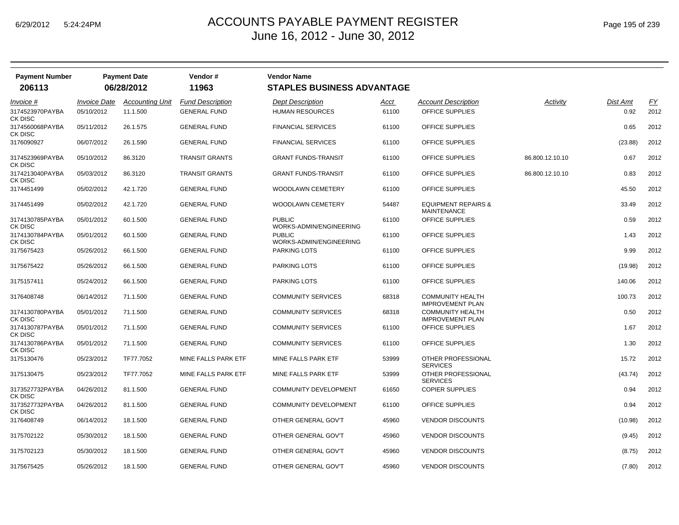| <b>Payment Number</b>                 |                                   | <b>Payment Date</b>                | Vendor#                                        | <b>Vendor Name</b>                                |               |                                                      |                 |                  |            |
|---------------------------------------|-----------------------------------|------------------------------------|------------------------------------------------|---------------------------------------------------|---------------|------------------------------------------------------|-----------------|------------------|------------|
| 206113                                |                                   | 06/28/2012                         | 11963                                          | <b>STAPLES BUSINESS ADVANTAGE</b>                 |               |                                                      |                 |                  |            |
| Invoice #<br>3174523970PAYBA          | <b>Invoice Date</b><br>05/10/2012 | <b>Accounting Unit</b><br>11.1.500 | <b>Fund Description</b><br><b>GENERAL FUND</b> | <b>Dept Description</b><br><b>HUMAN RESOURCES</b> | Acct<br>61100 | Account Description<br>OFFICE SUPPLIES               | Activity        | Dist Amt<br>0.92 | EY<br>2012 |
| CK DISC<br>3174560068PAYBA<br>CK DISC | 05/11/2012                        | 26.1.575                           | <b>GENERAL FUND</b>                            | <b>FINANCIAL SERVICES</b>                         | 61100         | OFFICE SUPPLIES                                      |                 | 0.65             | 2012       |
| 3176090927                            | 06/07/2012                        | 26.1.590                           | <b>GENERAL FUND</b>                            | <b>FINANCIAL SERVICES</b>                         | 61100         | OFFICE SUPPLIES                                      |                 | (23.88)          | 2012       |
| 3174523969PAYBA<br>CK DISC            | 05/10/2012                        | 86.3120                            | <b>TRANSIT GRANTS</b>                          | <b>GRANT FUNDS-TRANSIT</b>                        | 61100         | OFFICE SUPPLIES                                      | 86.800.12.10.10 | 0.67             | 2012       |
| 3174213040PAYBA<br>CK DISC            | 05/03/2012                        | 86.3120                            | <b>TRANSIT GRANTS</b>                          | <b>GRANT FUNDS-TRANSIT</b>                        | 61100         | OFFICE SUPPLIES                                      | 86.800.12.10.10 | 0.83             | 2012       |
| 3174451499                            | 05/02/2012                        | 42.1.720                           | <b>GENERAL FUND</b>                            | <b>WOODLAWN CEMETERY</b>                          | 61100         | OFFICE SUPPLIES                                      |                 | 45.50            | 2012       |
| 3174451499                            | 05/02/2012                        | 42.1.720                           | <b>GENERAL FUND</b>                            | WOODLAWN CEMETERY                                 | 54487         | <b>EQUIPMENT REPAIRS &amp;</b><br><b>MAINTENANCE</b> |                 | 33.49            | 2012       |
| 3174130785PAYBA<br><b>CK DISC</b>     | 05/01/2012                        | 60.1.500                           | <b>GENERAL FUND</b>                            | <b>PUBLIC</b><br>WORKS-ADMIN/ENGINEERING          | 61100         | <b>OFFICE SUPPLIES</b>                               |                 | 0.59             | 2012       |
| 3174130784PAYBA<br>CK DISC            | 05/01/2012                        | 60.1.500                           | <b>GENERAL FUND</b>                            | <b>PUBLIC</b><br>WORKS-ADMIN/ENGINEERING          | 61100         | OFFICE SUPPLIES                                      |                 | 1.43             | 2012       |
| 3175675423                            | 05/26/2012                        | 66.1.500                           | <b>GENERAL FUND</b>                            | <b>PARKING LOTS</b>                               | 61100         | OFFICE SUPPLIES                                      |                 | 9.99             | 2012       |
| 3175675422                            | 05/26/2012                        | 66.1.500                           | <b>GENERAL FUND</b>                            | <b>PARKING LOTS</b>                               | 61100         | <b>OFFICE SUPPLIES</b>                               |                 | (19.98)          | 2012       |
| 3175157411                            | 05/24/2012                        | 66.1.500                           | <b>GENERAL FUND</b>                            | PARKING LOTS                                      | 61100         | OFFICE SUPPLIES                                      |                 | 140.06           | 2012       |
| 3176408748                            | 06/14/2012                        | 71.1.500                           | <b>GENERAL FUND</b>                            | <b>COMMUNITY SERVICES</b>                         | 68318         | <b>COMMUNITY HEALTH</b><br><b>IMPROVEMENT PLAN</b>   |                 | 100.73           | 2012       |
| 3174130780PAYBA<br>CK DISC            | 05/01/2012                        | 71.1.500                           | <b>GENERAL FUND</b>                            | <b>COMMUNITY SERVICES</b>                         | 68318         | <b>COMMUNITY HEALTH</b><br><b>IMPROVEMENT PLAN</b>   |                 | 0.50             | 2012       |
| 3174130787PAYBA<br>CK DISC            | 05/01/2012                        | 71.1.500                           | <b>GENERAL FUND</b>                            | <b>COMMUNITY SERVICES</b>                         | 61100         | OFFICE SUPPLIES                                      |                 | 1.67             | 2012       |
| 3174130786PAYBA<br>CK DISC            | 05/01/2012                        | 71.1.500                           | <b>GENERAL FUND</b>                            | <b>COMMUNITY SERVICES</b>                         | 61100         | OFFICE SUPPLIES                                      |                 | 1.30             | 2012       |
| 3175130476                            | 05/23/2012                        | TF77.7052                          | MINE FALLS PARK ETF                            | MINE FALLS PARK ETF                               | 53999         | OTHER PROFESSIONAL<br><b>SERVICES</b>                |                 | 15.72            | 2012       |
| 3175130475                            | 05/23/2012                        | TF77.7052                          | MINE FALLS PARK ETF                            | MINE FALLS PARK ETF                               | 53999         | OTHER PROFESSIONAL<br><b>SERVICES</b>                |                 | (43.74)          | 2012       |
| 3173527732PAYBA<br>CK DISC            | 04/26/2012                        | 81.1.500                           | <b>GENERAL FUND</b>                            | <b>COMMUNITY DEVELOPMENT</b>                      | 61650         | <b>COPIER SUPPLIES</b>                               |                 | 0.94             | 2012       |
| 3173527732PAYBA<br>CK DISC            | 04/26/2012                        | 81.1.500                           | <b>GENERAL FUND</b>                            | <b>COMMUNITY DEVELOPMENT</b>                      | 61100         | OFFICE SUPPLIES                                      |                 | 0.94             | 2012       |
| 3176408749                            | 06/14/2012                        | 18.1.500                           | <b>GENERAL FUND</b>                            | OTHER GENERAL GOV'T                               | 45960         | <b>VENDOR DISCOUNTS</b>                              |                 | (10.98)          | 2012       |
| 3175702122                            | 05/30/2012                        | 18.1.500                           | <b>GENERAL FUND</b>                            | OTHER GENERAL GOV'T                               | 45960         | <b>VENDOR DISCOUNTS</b>                              |                 | (9.45)           | 2012       |
| 3175702123                            | 05/30/2012                        | 18.1.500                           | <b>GENERAL FUND</b>                            | OTHER GENERAL GOV'T                               | 45960         | <b>VENDOR DISCOUNTS</b>                              |                 | (8.75)           | 2012       |
| 3175675425                            | 05/26/2012                        | 18.1.500                           | <b>GENERAL FUND</b>                            | OTHER GENERAL GOV'T                               | 45960         | <b>VENDOR DISCOUNTS</b>                              |                 | (7.80)           | 2012       |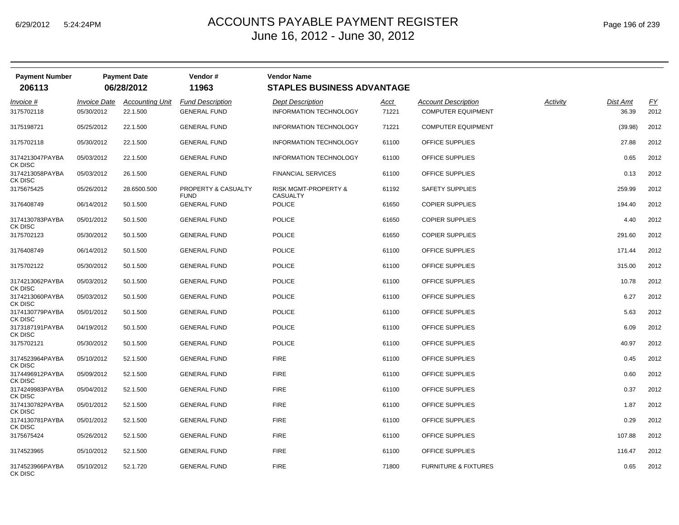|  | Page 196 of 239 |  |  |  |
|--|-----------------|--|--|--|
|--|-----------------|--|--|--|

| <b>Payment Number</b><br>206113              |                                          | <b>Payment Date</b><br>06/28/2012  | Vendor#<br>11963                               | <b>Vendor Name</b><br><b>STAPLES BUSINESS ADVANTAGE</b> |               |                                                  |          |                   |                   |
|----------------------------------------------|------------------------------------------|------------------------------------|------------------------------------------------|---------------------------------------------------------|---------------|--------------------------------------------------|----------|-------------------|-------------------|
| Invoice #<br>3175702118                      | <i><b>Invoice Date</b></i><br>05/30/2012 | <b>Accounting Unit</b><br>22.1.500 | <b>Fund Description</b><br><b>GENERAL FUND</b> | <b>Dept Description</b><br>INFORMATION TECHNOLOGY       | Acct<br>71221 | Account Description<br><b>COMPUTER EQUIPMENT</b> | Activity | Dist Amt<br>36.39 | <u>FY</u><br>2012 |
| 3175198721                                   | 05/25/2012                               | 22.1.500                           | <b>GENERAL FUND</b>                            | <b>INFORMATION TECHNOLOGY</b>                           | 71221         | <b>COMPUTER EQUIPMENT</b>                        |          | (39.98)           | 2012              |
| 3175702118                                   | 05/30/2012                               | 22.1.500                           | <b>GENERAL FUND</b>                            | <b>INFORMATION TECHNOLOGY</b>                           | 61100         | OFFICE SUPPLIES                                  |          | 27.88             | 2012              |
| 3174213047PAYBA<br>CK DISC                   | 05/03/2012                               | 22.1.500                           | <b>GENERAL FUND</b>                            | INFORMATION TECHNOLOGY                                  | 61100         | OFFICE SUPPLIES                                  |          | 0.65              | 2012              |
| 3174213058PAYBA<br>CK DISC                   | 05/03/2012                               | 26.1.500                           | <b>GENERAL FUND</b>                            | <b>FINANCIAL SERVICES</b>                               | 61100         | OFFICE SUPPLIES                                  |          | 0.13              | 2012              |
| 3175675425                                   | 05/26/2012                               | 28.6500.500                        | PROPERTY & CASUALTY<br><b>FUND</b>             | <b>RISK MGMT-PROPERTY &amp;</b><br><b>CASUALTY</b>      | 61192         | <b>SAFETY SUPPLIES</b>                           |          | 259.99            | 2012              |
| 3176408749                                   | 06/14/2012                               | 50.1.500                           | <b>GENERAL FUND</b>                            | <b>POLICE</b>                                           | 61650         | <b>COPIER SUPPLIES</b>                           |          | 194.40            | 2012              |
| 3174130783PAYBA                              | 05/01/2012                               | 50.1.500                           | <b>GENERAL FUND</b>                            | <b>POLICE</b>                                           | 61650         | <b>COPIER SUPPLIES</b>                           |          | 4.40              | 2012              |
| CK DISC<br>3175702123                        | 05/30/2012                               | 50.1.500                           | <b>GENERAL FUND</b>                            | <b>POLICE</b>                                           | 61650         | <b>COPIER SUPPLIES</b>                           |          | 291.60            | 2012              |
| 3176408749                                   | 06/14/2012                               | 50.1.500                           | <b>GENERAL FUND</b>                            | <b>POLICE</b>                                           | 61100         | OFFICE SUPPLIES                                  |          | 171.44            | 2012              |
| 3175702122                                   | 05/30/2012                               | 50.1.500                           | <b>GENERAL FUND</b>                            | <b>POLICE</b>                                           | 61100         | OFFICE SUPPLIES                                  |          | 315.00            | 2012              |
| 3174213062PAYBA<br>CK DISC                   | 05/03/2012                               | 50.1.500                           | <b>GENERAL FUND</b>                            | <b>POLICE</b>                                           | 61100         | OFFICE SUPPLIES                                  |          | 10.78             | 2012              |
| 3174213060PAYBA<br>CK DISC                   | 05/03/2012                               | 50.1.500                           | <b>GENERAL FUND</b>                            | <b>POLICE</b>                                           | 61100         | OFFICE SUPPLIES                                  |          | 6.27              | 2012              |
| 3174130779PAYBA<br>CK DISC                   | 05/01/2012                               | 50.1.500                           | <b>GENERAL FUND</b>                            | <b>POLICE</b>                                           | 61100         | OFFICE SUPPLIES                                  |          | 5.63              | 2012              |
| 3173187191PAYBA                              | 04/19/2012                               | 50.1.500                           | <b>GENERAL FUND</b>                            | <b>POLICE</b>                                           | 61100         | OFFICE SUPPLIES                                  |          | 6.09              | 2012              |
| CK DISC<br>3175702121                        | 05/30/2012                               | 50.1.500                           | <b>GENERAL FUND</b>                            | <b>POLICE</b>                                           | 61100         | OFFICE SUPPLIES                                  |          | 40.97             | 2012              |
| 3174523964PAYBA                              | 05/10/2012                               | 52.1.500                           | <b>GENERAL FUND</b>                            | <b>FIRE</b>                                             | 61100         | OFFICE SUPPLIES                                  |          | 0.45              | 2012              |
| <b>CK DISC</b><br>3174496912PAYBA<br>CK DISC | 05/09/2012                               | 52.1.500                           | <b>GENERAL FUND</b>                            | <b>FIRE</b>                                             | 61100         | OFFICE SUPPLIES                                  |          | 0.60              | 2012              |
| 3174249983PAYBA<br>CK DISC                   | 05/04/2012                               | 52.1.500                           | <b>GENERAL FUND</b>                            | <b>FIRE</b>                                             | 61100         | OFFICE SUPPLIES                                  |          | 0.37              | 2012              |
| 3174130782PAYBA<br>CK DISC                   | 05/01/2012                               | 52.1.500                           | <b>GENERAL FUND</b>                            | <b>FIRE</b>                                             | 61100         | OFFICE SUPPLIES                                  |          | 1.87              | 2012              |
| 3174130781PAYBA<br>CK DISC                   | 05/01/2012                               | 52.1.500                           | <b>GENERAL FUND</b>                            | <b>FIRE</b>                                             | 61100         | OFFICE SUPPLIES                                  |          | 0.29              | 2012              |
| 3175675424                                   | 05/26/2012                               | 52.1.500                           | <b>GENERAL FUND</b>                            | <b>FIRE</b>                                             | 61100         | OFFICE SUPPLIES                                  |          | 107.88            | 2012              |
| 3174523965                                   | 05/10/2012                               | 52.1.500                           | <b>GENERAL FUND</b>                            | <b>FIRE</b>                                             | 61100         | OFFICE SUPPLIES                                  |          | 116.47            | 2012              |
| 3174523966PAYBA<br>CK DISC                   | 05/10/2012                               | 52.1.720                           | <b>GENERAL FUND</b>                            | <b>FIRE</b>                                             | 71800         | <b>FURNITURE &amp; FIXTURES</b>                  |          | 0.65              | 2012              |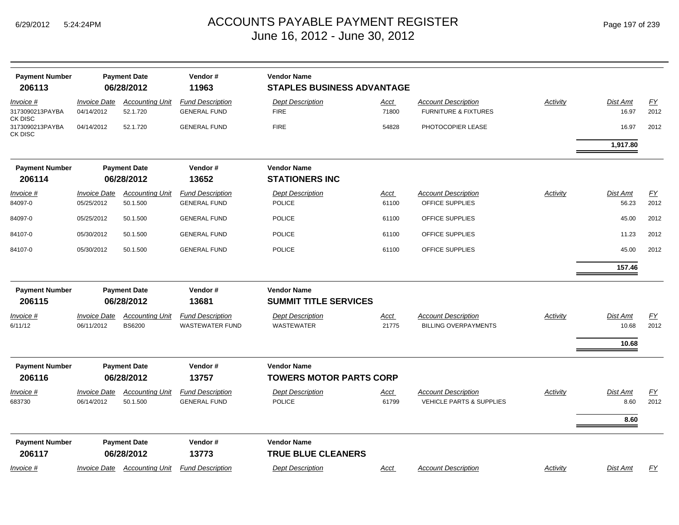| <b>Payment Number</b><br><b>Payment Date</b><br>206113<br>06/28/2012 |                                   |                                         | Vendor#<br>11963                                  | <b>Vendor Name</b><br><b>STAPLES BUSINESS ADVANTAGE</b> |                      |                                                                   |                 |                            |                          |  |  |
|----------------------------------------------------------------------|-----------------------------------|-----------------------------------------|---------------------------------------------------|---------------------------------------------------------|----------------------|-------------------------------------------------------------------|-----------------|----------------------------|--------------------------|--|--|
| Invoice #<br>3173090213PAYBA                                         | <b>Invoice Date</b><br>04/14/2012 | <b>Accounting Unit</b><br>52.1.720      | <b>Fund Description</b><br><b>GENERAL FUND</b>    | <b>Dept Description</b><br><b>FIRE</b>                  | Acct<br>71800        | <b>Account Description</b><br><b>FURNITURE &amp; FIXTURES</b>     | <b>Activity</b> | Dist Amt<br>16.97          | EY<br>2012               |  |  |
| CK DISC<br>3173090213PAYBA<br>CK DISC                                | 04/14/2012                        | 52.1.720                                | <b>GENERAL FUND</b>                               | <b>FIRE</b>                                             | 54828                | PHOTOCOPIER LEASE                                                 |                 | 16.97                      | 2012                     |  |  |
|                                                                      |                                   |                                         |                                                   |                                                         |                      |                                                                   |                 | 1,917.80                   |                          |  |  |
| <b>Payment Number</b><br>206114                                      |                                   | <b>Payment Date</b><br>06/28/2012       | Vendor#<br>13652                                  | <b>Vendor Name</b><br><b>STATIONERS INC</b>             |                      |                                                                   |                 |                            |                          |  |  |
| Invoice #<br>84097-0                                                 | <b>Invoice Date</b><br>05/25/2012 | <b>Accounting Unit</b><br>50.1.500      | <b>Fund Description</b><br><b>GENERAL FUND</b>    | <b>Dept Description</b><br><b>POLICE</b>                | <u>Acct</u><br>61100 | <b>Account Description</b><br>OFFICE SUPPLIES                     | Activity        | Dist Amt<br>56.23          | EY<br>2012               |  |  |
| 84097-0                                                              | 05/25/2012                        | 50.1.500                                | <b>GENERAL FUND</b>                               | <b>POLICE</b>                                           | 61100                | OFFICE SUPPLIES                                                   |                 | 45.00                      | 2012                     |  |  |
| 84107-0                                                              | 05/30/2012                        | 50.1.500                                | <b>GENERAL FUND</b>                               | <b>POLICE</b>                                           | 61100                | OFFICE SUPPLIES                                                   |                 | 11.23                      | 2012                     |  |  |
| 84107-0                                                              | 05/30/2012                        | 50.1.500                                | <b>GENERAL FUND</b>                               | POLICE                                                  | 61100                | OFFICE SUPPLIES                                                   |                 | 45.00                      | 2012                     |  |  |
|                                                                      |                                   |                                         |                                                   |                                                         |                      |                                                                   |                 | 157.46                     |                          |  |  |
| <b>Payment Number</b><br>206115                                      | <b>Payment Date</b><br>06/28/2012 |                                         |                                                   |                                                         | Vendor#<br>13681     | <b>Vendor Name</b><br><b>SUMMIT TITLE SERVICES</b>                |                 |                            |                          |  |  |
| Invoice #<br>6/11/12                                                 | <b>Invoice Date</b><br>06/11/2012 | <b>Accounting Unit</b><br><b>BS6200</b> | <b>Fund Description</b><br><b>WASTEWATER FUND</b> | <b>Dept Description</b><br><b>WASTEWATER</b>            | Acct<br>21775        | <b>Account Description</b><br><b>BILLING OVERPAYMENTS</b>         | Activity        | Dist Amt<br>10.68<br>10.68 | EY<br>2012               |  |  |
| <b>Payment Number</b><br>206116                                      |                                   | <b>Payment Date</b><br>06/28/2012       | Vendor#<br>13757                                  | <b>Vendor Name</b><br><b>TOWERS MOTOR PARTS CORP</b>    |                      |                                                                   |                 |                            |                          |  |  |
| Invoice #<br>683730                                                  | <b>Invoice Date</b><br>06/14/2012 | <b>Accounting Unit</b><br>50.1.500      | <b>Fund Description</b><br><b>GENERAL FUND</b>    | <b>Dept Description</b><br><b>POLICE</b>                | <u>Acct</u><br>61799 | <b>Account Description</b><br><b>VEHICLE PARTS &amp; SUPPLIES</b> | <b>Activity</b> | Dist Amt<br>8.60<br>8.60   | $\underline{FY}$<br>2012 |  |  |
| <b>Payment Number</b><br>206117                                      |                                   | <b>Payment Date</b><br>06/28/2012       | Vendor#<br>13773                                  | <b>Vendor Name</b><br><b>TRUE BLUE CLEANERS</b>         |                      |                                                                   |                 |                            |                          |  |  |
| Invoice #                                                            | <b>Invoice Date</b>               | <b>Accounting Unit</b>                  | <b>Fund Description</b>                           | <b>Dept Description</b>                                 | Acct                 | <b>Account Description</b>                                        | <b>Activity</b> | Dist Amt                   | <u>FY</u>                |  |  |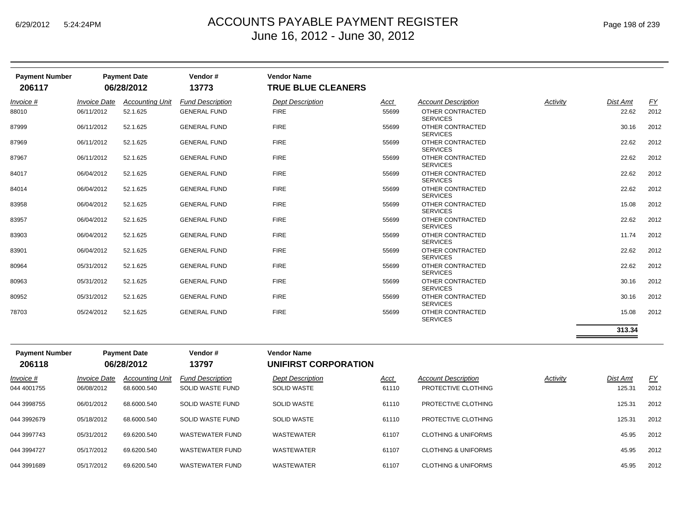| <b>Payment Number</b><br>206117 |                     | <b>Payment Date</b><br>06/28/2012                                                                                                             | Vendor#<br>13773        | <b>Vendor Name</b><br><b>TRUE BLUE CLEANERS</b> |                                        |                                                                           |               |                                         |           |
|---------------------------------|---------------------|-----------------------------------------------------------------------------------------------------------------------------------------------|-------------------------|-------------------------------------------------|----------------------------------------|---------------------------------------------------------------------------|---------------|-----------------------------------------|-----------|
| Invoice #                       | <b>Invoice Date</b> | <b>Accounting Unit</b>                                                                                                                        | <b>Fund Description</b> | <b>Dept Description</b>                         | Acct                                   | <b>Account Description</b>                                                | Activity      | Dist Amt                                | <u>FY</u> |
| 88010                           | 06/11/2012          | 52.1.625                                                                                                                                      | <b>GENERAL FUND</b>     | <b>FIRE</b>                                     | 55699                                  | OTHER CONTRACTED<br><b>SERVICES</b>                                       |               | 22.62                                   | 2012      |
| 87999                           | 06/11/2012          | 52.1.625                                                                                                                                      | <b>GENERAL FUND</b>     | <b>FIRE</b>                                     | 55699                                  | OTHER CONTRACTED<br><b>SERVICES</b>                                       |               | 30.16                                   | 2012      |
| 87969                           | 06/11/2012          | 52.1.625                                                                                                                                      | <b>GENERAL FUND</b>     | <b>FIRE</b>                                     | 55699                                  | OTHER CONTRACTED<br><b>SERVICES</b>                                       |               | 22.62                                   | 2012      |
| 87967                           | 06/11/2012          | 52.1.625                                                                                                                                      | <b>GENERAL FUND</b>     | <b>FIRE</b>                                     | 55699                                  | OTHER CONTRACTED<br><b>SERVICES</b>                                       |               | 22.62                                   | 2012      |
| 84017                           | 06/04/2012          | 52.1.625                                                                                                                                      | <b>GENERAL FUND</b>     | <b>FIRE</b>                                     | 55699                                  | OTHER CONTRACTED<br><b>SERVICES</b>                                       |               | 22.62                                   | 2012      |
| 84014                           | 06/04/2012          | 52.1.625                                                                                                                                      | <b>GENERAL FUND</b>     | <b>FIRE</b>                                     | 55699                                  | OTHER CONTRACTED<br><b>SERVICES</b>                                       |               | 22.62                                   | 2012      |
| 83958                           | 06/04/2012          | 52.1.625                                                                                                                                      | <b>GENERAL FUND</b>     | <b>FIRE</b>                                     | 55699                                  | OTHER CONTRACTED<br><b>SERVICES</b>                                       |               | 15.08                                   | 2012      |
| 83957                           | 06/04/2012          | 52.1.625                                                                                                                                      | <b>GENERAL FUND</b>     | <b>FIRE</b>                                     | 55699                                  | OTHER CONTRACTED<br><b>SERVICES</b>                                       |               | 22.62                                   | 2012      |
| 83903                           | 06/04/2012          | 52.1.625                                                                                                                                      | <b>GENERAL FUND</b>     | <b>FIRE</b>                                     | 55699                                  | OTHER CONTRACTED<br><b>SERVICES</b>                                       |               | 11.74                                   | 2012      |
| 83901                           | 06/04/2012          | 52.1.625                                                                                                                                      | <b>GENERAL FUND</b>     | <b>FIRE</b>                                     | 55699                                  | OTHER CONTRACTED<br><b>SERVICES</b>                                       |               | 22.62                                   | 2012      |
| 80964                           | 05/31/2012          | 52.1.625                                                                                                                                      | <b>GENERAL FUND</b>     | <b>FIRE</b>                                     | 55699                                  | OTHER CONTRACTED<br><b>SERVICES</b>                                       |               | 22.62                                   | 2012      |
| 80963                           | 05/31/2012          | 52.1.625                                                                                                                                      | <b>GENERAL FUND</b>     | <b>FIRE</b>                                     | 55699                                  | OTHER CONTRACTED<br><b>SERVICES</b>                                       |               | 30.16                                   | 2012      |
| 80952                           | 05/31/2012          | 52.1.625                                                                                                                                      | <b>GENERAL FUND</b>     | <b>FIRE</b>                                     | 55699                                  | OTHER CONTRACTED<br><b>SERVICES</b>                                       |               | 30.16                                   | 2012      |
| 78703                           | 05/24/2012          | 52.1.625                                                                                                                                      | <b>GENERAL FUND</b>     | <b>FIRE</b>                                     | 55699                                  | OTHER CONTRACTED<br><b>SERVICES</b>                                       |               | 15.08                                   | 2012      |
|                                 |                     |                                                                                                                                               |                         |                                                 |                                        |                                                                           |               | 313.34                                  |           |
| <b>Payment Number</b><br>206118 |                     | <b>Payment Date</b><br>06/28/2012                                                                                                             | Vendor#<br>13797        | <b>Vendor Name</b><br>UNIFIRST CORPORATION      |                                        |                                                                           |               |                                         |           |
|                                 |                     | $\mathbf{L}$ and $\mathbf{L}$ and $\mathbf{L}$ are assumed in the set of $\mathbf{L}$ and $\mathbf{L}$ are assumed in the set of $\mathbf{L}$ |                         | Dear December 1977                              | $\mathbf{A}$ $\mathbf{A}$ $\mathbf{A}$ | $\mathbf{A}$ and a second $\mathbf{B}$ and a second order of $\mathbf{A}$ | $A = A$ . $A$ | $\mathbf{D}^{\star}$ . And $\mathbf{A}$ |           |

| Invoice #   | <i><b>Invoice Date</b></i> | <b>Accounting Unit</b> | <b>Fund Description</b> | <b>Dept Description</b> | <u>Acct</u> | <b>Account Description</b>     | Activity | <b>Dist Amt</b> | <u>FY</u> |
|-------------|----------------------------|------------------------|-------------------------|-------------------------|-------------|--------------------------------|----------|-----------------|-----------|
| 044 4001755 | 06/08/2012                 | 68.6000.540            | SOLID WASTE FUND        | <b>SOLID WASTE</b>      | 61110       | PROTECTIVE CLOTHING            |          | 125.31          | 2012      |
| 044 3998755 | 06/01/2012                 | 68.6000.540            | SOLID WASTE FUND        | <b>SOLID WASTE</b>      | 61110       | PROTECTIVE CLOTHING            |          | 125.31          | 2012      |
| 044 3992679 | 05/18/2012                 | 68.6000.540            | SOLID WASTE FUND        | <b>SOLID WASTE</b>      | 61110       | PROTECTIVE CLOTHING            |          | 125.31          | 2012      |
| 044 3997743 | 05/31/2012                 | 69.6200.540            | <b>WASTEWATER FUND</b>  | WASTEWATER              | 61107       | <b>CLOTHING &amp; UNIFORMS</b> |          | 45.95           | 2012      |
| 044 3994727 | 05/17/2012                 | 69.6200.540            | WASTEWATER FUND         | WASTEWATER              | 61107       | <b>CLOTHING &amp; UNIFORMS</b> |          | 45.95           | 2012      |
| 044 3991689 | 05/17/2012                 | 69.6200.540            | WASTEWATER FUND         | WASTEWATER              | 61107       | <b>CLOTHING &amp; UNIFORMS</b> |          | 45.95           | 2012      |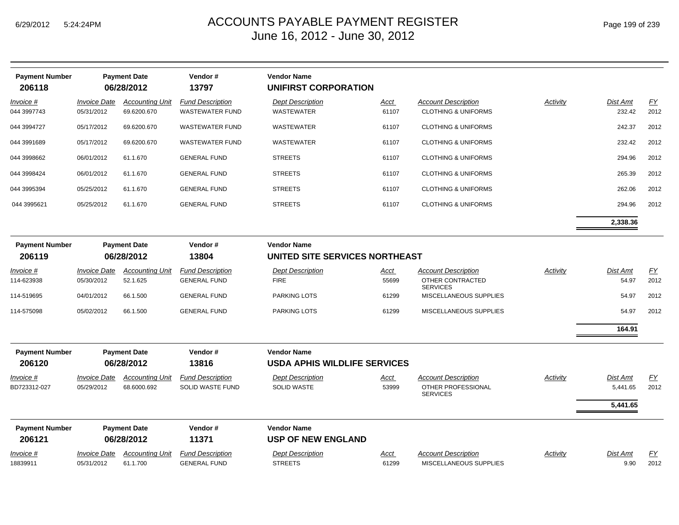| <b>Payment Number</b><br>206118 |                                   | <b>Payment Date</b><br>06/28/2012     | Vendor#<br>13797                                  | <b>Vendor Name</b><br><b>UNIFIRST CORPORATION</b>         |                      |                                                                     |          |                      |            |
|---------------------------------|-----------------------------------|---------------------------------------|---------------------------------------------------|-----------------------------------------------------------|----------------------|---------------------------------------------------------------------|----------|----------------------|------------|
| Invoice #<br>044 3997743        | <b>Invoice Date</b><br>05/31/2012 | <b>Accounting Unit</b><br>69.6200.670 | <b>Fund Description</b><br><b>WASTEWATER FUND</b> | <b>Dept Description</b><br><b>WASTEWATER</b>              | <u>Acct</u><br>61107 | <b>Account Description</b><br><b>CLOTHING &amp; UNIFORMS</b>        | Activity | Dist Amt<br>232.42   | EY<br>2012 |
| 044 3994727                     | 05/17/2012                        | 69.6200.670                           | <b>WASTEWATER FUND</b>                            | <b>WASTEWATER</b>                                         | 61107                | <b>CLOTHING &amp; UNIFORMS</b>                                      |          | 242.37               | 2012       |
| 044 3991689                     | 05/17/2012                        | 69.6200.670                           | <b>WASTEWATER FUND</b>                            | WASTEWATER                                                | 61107                | <b>CLOTHING &amp; UNIFORMS</b>                                      |          | 232.42               | 2012       |
| 044 3998662                     | 06/01/2012                        | 61.1.670                              | <b>GENERAL FUND</b>                               | <b>STREETS</b>                                            | 61107                | <b>CLOTHING &amp; UNIFORMS</b>                                      |          | 294.96               | 2012       |
| 044 3998424                     | 06/01/2012                        | 61.1.670                              | <b>GENERAL FUND</b>                               | <b>STREETS</b>                                            | 61107                | <b>CLOTHING &amp; UNIFORMS</b>                                      |          | 265.39               | 2012       |
| 044 3995394                     | 05/25/2012                        | 61.1.670                              | <b>GENERAL FUND</b>                               | <b>STREETS</b>                                            | 61107                | <b>CLOTHING &amp; UNIFORMS</b>                                      |          | 262.06               | 2012       |
| 044 3995621                     | 05/25/2012                        | 61.1.670                              | <b>GENERAL FUND</b>                               | <b>STREETS</b>                                            | 61107                | <b>CLOTHING &amp; UNIFORMS</b>                                      |          | 294.96               | 2012       |
|                                 |                                   |                                       |                                                   |                                                           |                      |                                                                     |          | 2,338.36             |            |
| <b>Payment Number</b><br>206119 |                                   | <b>Payment Date</b><br>06/28/2012     | Vendor#<br>13804                                  | <b>Vendor Name</b><br>UNITED SITE SERVICES NORTHEAST      |                      |                                                                     |          |                      |            |
|                                 |                                   |                                       |                                                   |                                                           |                      |                                                                     |          |                      |            |
| Invoice #<br>114-623938         | <b>Invoice Date</b><br>05/30/2012 | <b>Accounting Unit</b><br>52.1.625    | <b>Fund Description</b><br><b>GENERAL FUND</b>    | <b>Dept Description</b><br><b>FIRE</b>                    | <u>Acct</u><br>55699 | <b>Account Description</b><br>OTHER CONTRACTED<br><b>SERVICES</b>   | Activity | Dist Amt<br>54.97    | EY<br>2012 |
| 114-519695                      | 04/01/2012                        | 66.1.500                              | <b>GENERAL FUND</b>                               | PARKING LOTS                                              | 61299                | MISCELLANEOUS SUPPLIES                                              |          | 54.97                | 2012       |
| 114-575098                      | 05/02/2012                        | 66.1.500                              | <b>GENERAL FUND</b>                               | PARKING LOTS                                              | 61299                | MISCELLANEOUS SUPPLIES                                              |          | 54.97                | 2012       |
|                                 |                                   |                                       |                                                   |                                                           |                      |                                                                     |          | 164.91               |            |
| <b>Payment Number</b><br>206120 |                                   | <b>Payment Date</b><br>06/28/2012     | Vendor#<br>13816                                  | <b>Vendor Name</b><br><b>USDA APHIS WILDLIFE SERVICES</b> |                      |                                                                     |          |                      |            |
| Invoice #<br>BD723312-027       | <b>Invoice Date</b><br>05/29/2012 | <b>Accounting Unit</b><br>68.6000.692 | <b>Fund Description</b><br>SOLID WASTE FUND       | <b>Dept Description</b><br><b>SOLID WASTE</b>             | <u>Acct</u><br>53999 | <b>Account Description</b><br>OTHER PROFESSIONAL<br><b>SERVICES</b> | Activity | Dist Amt<br>5,441.65 | EY<br>2012 |
|                                 |                                   |                                       |                                                   |                                                           |                      |                                                                     |          | 5,441.65             |            |
| <b>Payment Number</b><br>206121 |                                   | <b>Payment Date</b><br>06/28/2012     | Vendor#<br>11371                                  | <b>Vendor Name</b><br><b>USP OF NEW ENGLAND</b>           |                      |                                                                     |          |                      |            |
| <u>Invoice #</u><br>18839911    | <b>Invoice Date</b><br>05/31/2012 | <b>Accounting Unit</b><br>61.1.700    | <b>Fund Description</b><br><b>GENERAL FUND</b>    | <b>Dept Description</b><br><b>STREETS</b>                 | <u>Acct</u><br>61299 | <b>Account Description</b><br>MISCELLANEOUS SUPPLIES                | Activity | Dist Amt<br>9.90     | EY<br>2012 |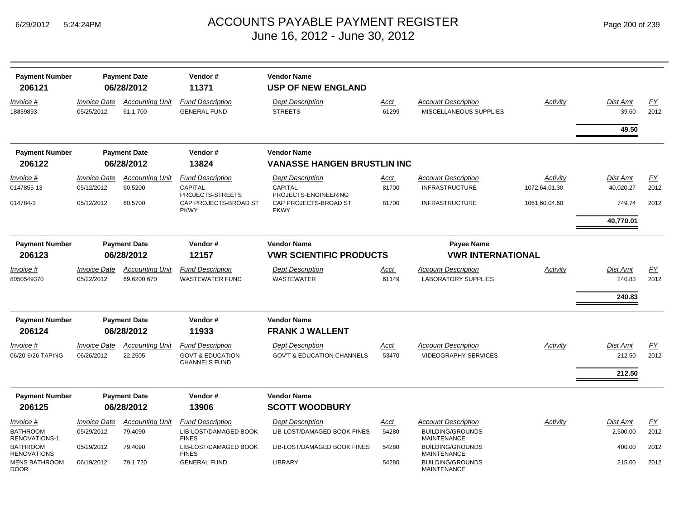| <b>Payment Number</b><br>206121     |                                   | <b>Payment Date</b><br>06/28/2012  | Vendor#<br>11371                                                               | <b>Vendor Name</b><br><b>USP OF NEW ENGLAND</b>                  |               |                                                           |               |                           |            |
|-------------------------------------|-----------------------------------|------------------------------------|--------------------------------------------------------------------------------|------------------------------------------------------------------|---------------|-----------------------------------------------------------|---------------|---------------------------|------------|
| Invoice #<br>18839893               | <b>Invoice Date</b><br>05/25/2012 | <b>Accounting Unit</b><br>61.1.700 | <b>Fund Description</b><br><b>GENERAL FUND</b>                                 | <b>Dept Description</b><br><b>STREETS</b>                        | Acct<br>61299 | <b>Account Description</b><br>MISCELLANEOUS SUPPLIES      | Activity      | Dist Amt<br>39.60         | EY<br>2012 |
|                                     |                                   |                                    |                                                                                |                                                                  |               |                                                           |               | 49.50                     |            |
| <b>Payment Number</b>               |                                   | <b>Payment Date</b>                | Vendor#                                                                        | <b>Vendor Name</b>                                               |               |                                                           |               |                           |            |
| 206122                              |                                   | 06/28/2012                         | 13824                                                                          | <b>VANASSE HANGEN BRUSTLIN INC</b>                               |               |                                                           |               |                           |            |
| Invoice #                           | <b>Invoice Date</b>               | <b>Accounting Unit</b>             | <b>Fund Description</b>                                                        | <b>Dept Description</b>                                          | Acct          | <b>Account Description</b>                                | Activity      | <b>Dist Amt</b>           | EY         |
| 0147855-13                          | 05/12/2012                        | 60.5200                            | <b>CAPITAL</b><br>PROJECTS-STREETS                                             | CAPITAL<br>PROJECTS-ENGINEERING                                  | 81700         | <b>INFRASTRUCTURE</b>                                     | 1072.64.01.30 | 40,020.27                 | 2012       |
| 014784-3                            | 05/12/2012                        | 60.5700                            | CAP PROJECTS-BROAD ST<br><b>PKWY</b>                                           | CAP PROJECTS-BROAD ST<br><b>PKWY</b>                             | 81700         | <b>INFRASTRUCTURE</b>                                     | 1061.60.04.60 | 749.74                    | 2012       |
|                                     |                                   |                                    |                                                                                |                                                                  |               |                                                           |               | 40,770.01                 |            |
| <b>Payment Number</b>               |                                   | <b>Payment Date</b>                | Vendor#                                                                        | <b>Vendor Name</b>                                               |               | <b>Payee Name</b>                                         |               |                           |            |
| 206123                              | 06/28/2012                        |                                    | 12157                                                                          | <b><i>VWR SCIENTIFIC PRODUCTS</i></b>                            |               | <b><i>VWR INTERNATIONAL</i></b>                           |               |                           |            |
| Invoice #                           | <b>Invoice Date</b>               | <b>Accounting Unit</b>             | <b>Fund Description</b>                                                        | <b>Dept Description</b>                                          | Acct          | <b>Account Description</b>                                | Activity      | Dist Amt                  | EY         |
| 8050549370                          | 05/22/2012                        | 69.6200.670                        | <b>WASTEWATER FUND</b>                                                         | <b>WASTEWATER</b>                                                | 61149         | <b>LABORATORY SUPPLIES</b>                                |               | 240.83                    | 2012       |
|                                     |                                   |                                    |                                                                                |                                                                  |               |                                                           |               | 240.83                    |            |
| <b>Payment Number</b>               |                                   | <b>Payment Date</b>                | Vendor#                                                                        | <b>Vendor Name</b>                                               |               |                                                           |               |                           |            |
| 206124                              |                                   | 06/28/2012                         | 11933                                                                          | <b>FRANK J WALLENT</b>                                           |               |                                                           |               |                           |            |
| Invoice #<br>06/20-6/26 TAPING      | <b>Invoice Date</b><br>06/26/2012 | <b>Accounting Unit</b><br>22.2505  | <b>Fund Description</b><br><b>GOVT &amp; EDUCATION</b><br><b>CHANNELS FUND</b> | <b>Dept Description</b><br><b>GOV'T &amp; EDUCATION CHANNELS</b> | Acct<br>53470 | <b>Account Description</b><br><b>VIDEOGRAPHY SERVICES</b> | Activity      | <b>Dist Amt</b><br>212.50 | EY<br>2012 |
|                                     |                                   |                                    |                                                                                |                                                                  |               |                                                           |               | 212.50                    |            |
|                                     |                                   |                                    |                                                                                |                                                                  |               |                                                           |               |                           |            |
| <b>Payment Number</b>               |                                   | <b>Payment Date</b>                | Vendor#                                                                        | <b>Vendor Name</b>                                               |               |                                                           |               |                           |            |
| 206125                              |                                   | 06/28/2012                         | 13906                                                                          | <b>SCOTT WOODBURY</b>                                            |               |                                                           |               |                           |            |
| Invoice #                           | <b>Invoice Date</b>               | <b>Accounting Unit</b>             | <b>Fund Description</b>                                                        | <b>Dept Description</b>                                          | Acct          | <b>Account Description</b>                                | Activity      | <b>Dist Amt</b>           | EY         |
| <b>BATHROOM</b><br>RENOVATIONS-1    | 05/29/2012                        | 79.4090                            | LIB-LOST/DAMAGED BOOK<br><b>FINES</b>                                          | LIB-LOST/DAMAGED BOOK FINES                                      | 54280         | <b>BUILDING/GROUNDS</b><br><b>MAINTENANCE</b>             |               | 2,500.00                  | 2012       |
| BATHROOM<br><b>RENOVATIONS</b>      | 05/29/2012                        | 79.4090                            | LIB-LOST/DAMAGED BOOK<br><b>FINES</b>                                          | LIB-LOST/DAMAGED BOOK FINES                                      | 54280         | <b>BUILDING/GROUNDS</b><br><b>MAINTENANCE</b>             |               | 400.00                    | 2012       |
| <b>MENS BATHROOM</b><br><b>DOOR</b> | 06/19/2012                        | 79.1.720                           | <b>GENERAL FUND</b>                                                            | <b>LIBRARY</b>                                                   | 54280         | <b>BUILDING/GROUNDS</b><br><b>MAINTENANCE</b>             |               | 215.00                    | 2012       |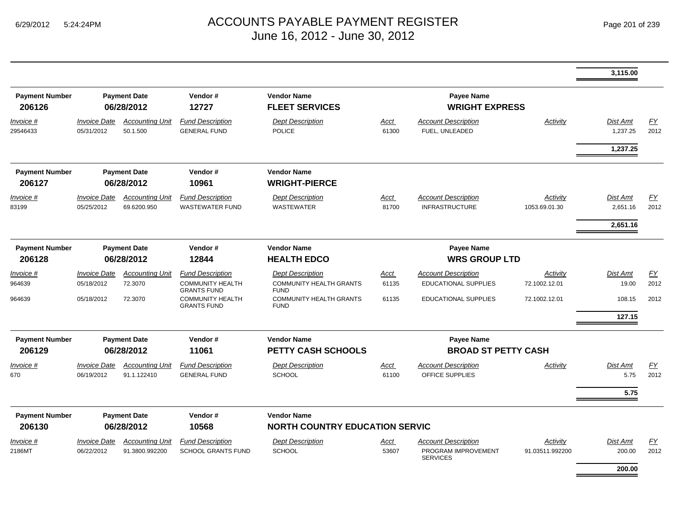|                                 |                                          |                                          |                                                                          |                                                                          |                      |                                                                      |                             | 3,115.00                    |                   |
|---------------------------------|------------------------------------------|------------------------------------------|--------------------------------------------------------------------------|--------------------------------------------------------------------------|----------------------|----------------------------------------------------------------------|-----------------------------|-----------------------------|-------------------|
| <b>Payment Number</b><br>206126 | <b>Payment Date</b><br>06/28/2012        |                                          | Vendor#<br>12727                                                         | <b>Vendor Name</b><br><b>FLEET SERVICES</b>                              |                      | Payee Name<br><b>WRIGHT EXPRESS</b>                                  |                             |                             |                   |
| Invoice #<br>29546433           | <b>Invoice Date</b><br>05/31/2012        | <b>Accounting Unit</b><br>50.1.500       | <b>Fund Description</b><br><b>GENERAL FUND</b>                           | <b>Dept Description</b><br><b>POLICE</b>                                 | Acct<br>61300        | <b>Account Description</b><br>FUEL, UNLEADED                         | Activity                    | <b>Dist Amt</b><br>1,237.25 | EY<br>2012        |
|                                 |                                          |                                          |                                                                          |                                                                          |                      |                                                                      |                             | 1,237.25                    |                   |
| <b>Payment Number</b><br>206127 |                                          | <b>Payment Date</b><br>06/28/2012        | Vendor#<br>10961                                                         | <b>Vendor Name</b><br><b>WRIGHT-PIERCE</b>                               |                      |                                                                      |                             |                             |                   |
| Invoice #<br>83199              | <b>Invoice Date</b><br>05/25/2012        | <b>Accounting Unit</b><br>69.6200.950    | <b>Fund Description</b><br><b>WASTEWATER FUND</b>                        | <b>Dept Description</b><br><b>WASTEWATER</b>                             | <b>Acct</b><br>81700 | <b>Account Description</b><br><b>INFRASTRUCTURE</b>                  | Activity<br>1053.69.01.30   | Dist Amt<br>2,651.16        | EY<br>2012        |
|                                 |                                          |                                          |                                                                          |                                                                          |                      |                                                                      |                             | 2,651.16                    |                   |
| <b>Payment Number</b><br>206128 |                                          | <b>Payment Date</b><br>06/28/2012        | Vendor#<br>12844                                                         | <b>Vendor Name</b><br><b>HEALTH EDCO</b>                                 |                      | Payee Name<br><b>WRS GROUP LTD</b>                                   |                             |                             |                   |
| Invoice #<br>964639             | <i><b>Invoice Date</b></i><br>05/18/2012 | <b>Accounting Unit</b><br>72.3070        | <b>Fund Description</b><br><b>COMMUNITY HEALTH</b><br><b>GRANTS FUND</b> | <b>Dept Description</b><br><b>COMMUNITY HEALTH GRANTS</b><br><b>FUND</b> | Acct<br>61135        | <b>Account Description</b><br><b>EDUCATIONAL SUPPLIES</b>            | Activity<br>72.1002.12.01   | Dist Amt<br>19.00           | EY<br>2012        |
| 964639                          | 05/18/2012                               | 72.3070                                  | <b>COMMUNITY HEALTH</b><br><b>GRANTS FUND</b>                            | <b>COMMUNITY HEALTH GRANTS</b><br><b>FUND</b>                            | 61135                | <b>EDUCATIONAL SUPPLIES</b>                                          | 72.1002.12.01               | 108.15<br>127.15            | 2012              |
|                                 |                                          |                                          |                                                                          |                                                                          |                      |                                                                      |                             |                             |                   |
| <b>Payment Number</b><br>206129 |                                          | <b>Payment Date</b><br>06/28/2012        | Vendor#<br>11061                                                         | <b>Vendor Name</b><br><b>PETTY CASH SCHOOLS</b>                          |                      | Payee Name<br><b>BROAD ST PETTY CASH</b>                             |                             |                             |                   |
| Invoice #<br>670                | <b>Invoice Date</b><br>06/19/2012        | <b>Accounting Unit</b><br>91.1.122410    | <b>Fund Description</b><br><b>GENERAL FUND</b>                           | <b>Dept Description</b><br><b>SCHOOL</b>                                 | Acct<br>61100        | <b>Account Description</b><br>OFFICE SUPPLIES                        | Activity                    | <b>Dist Amt</b><br>5.75     | <u>FY</u><br>2012 |
|                                 |                                          |                                          |                                                                          |                                                                          |                      |                                                                      |                             | 5.75                        |                   |
| <b>Payment Number</b><br>206130 |                                          | <b>Payment Date</b><br>06/28/2012        | Vendor#<br>10568                                                         | <b>Vendor Name</b><br><b>NORTH COUNTRY EDUCATION SERVIC</b>              |                      |                                                                      |                             |                             |                   |
| $Invoice$ #<br>2186MT           | <b>Invoice Date</b><br>06/22/2012        | <b>Accounting Unit</b><br>91.3800.992200 | <b>Fund Description</b><br><b>SCHOOL GRANTS FUND</b>                     | <b>Dept Description</b><br><b>SCHOOL</b>                                 | Acct<br>53607        | <b>Account Description</b><br>PROGRAM IMPROVEMENT<br><b>SERVICES</b> | Activity<br>91.03511.992200 | <b>Dist Amt</b><br>200.00   | EY<br>2012        |
|                                 |                                          |                                          |                                                                          |                                                                          |                      |                                                                      |                             | 200.00                      |                   |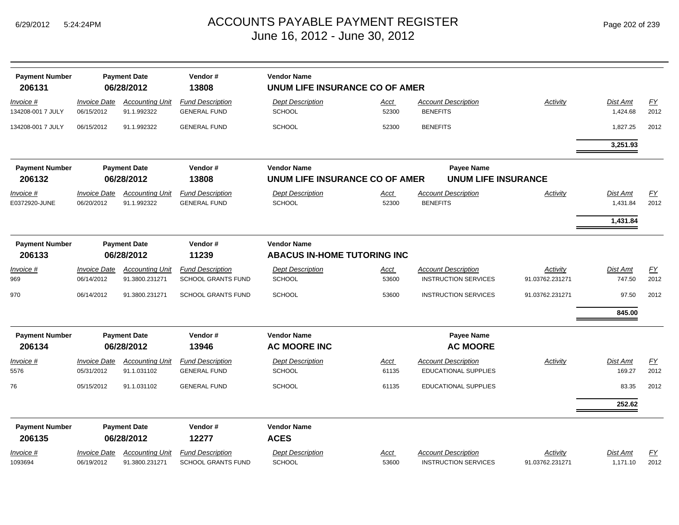| <b>Payment Number</b><br>206131 |                                   | <b>Payment Date</b><br>06/28/2012        | Vendor#<br>13808                                     | <b>Vendor Name</b>                                   | UNUM LIFE INSURANCE CO OF AMER |                                                           |                             |                      |                   |  |  |  |  |
|---------------------------------|-----------------------------------|------------------------------------------|------------------------------------------------------|------------------------------------------------------|--------------------------------|-----------------------------------------------------------|-----------------------------|----------------------|-------------------|--|--|--|--|
|                                 |                                   |                                          |                                                      |                                                      |                                |                                                           |                             |                      |                   |  |  |  |  |
| Invoice #<br>134208-001 7 JULY  | <b>Invoice Date</b><br>06/15/2012 | <b>Accounting Unit</b><br>91.1.992322    | <b>Fund Description</b><br><b>GENERAL FUND</b>       | <b>Dept Description</b><br><b>SCHOOL</b>             | <u>Acct</u><br>52300           | <b>Account Description</b><br><b>BENEFITS</b>             | Activity                    | Dist Amt<br>1,424.68 | EY<br>2012        |  |  |  |  |
| 134208-001 7 JULY               | 06/15/2012                        | 91.1.992322                              | <b>GENERAL FUND</b>                                  | <b>SCHOOL</b>                                        | 52300                          | <b>BENEFITS</b>                                           |                             | 1,827.25             | 2012              |  |  |  |  |
|                                 |                                   |                                          |                                                      |                                                      |                                |                                                           |                             | 3,251.93             |                   |  |  |  |  |
| <b>Payment Number</b><br>206132 |                                   | <b>Payment Date</b><br>06/28/2012        | Vendor#<br>13808                                     | <b>Vendor Name</b><br>UNUM LIFE INSURANCE CO OF AMER |                                | Payee Name<br><b>UNUM LIFE INSURANCE</b>                  |                             |                      |                   |  |  |  |  |
| Invoice #<br>E0372920-JUNE      | <b>Invoice Date</b><br>06/20/2012 | <b>Accounting Unit</b><br>91.1.992322    | <b>Fund Description</b><br><b>GENERAL FUND</b>       | <b>Dept Description</b><br>SCHOOL                    | <u>Acct</u><br>52300           | <b>Account Description</b><br><b>BENEFITS</b>             | Activity                    | Dist Amt<br>1,431.84 | <u>FY</u><br>2012 |  |  |  |  |
|                                 |                                   |                                          |                                                      |                                                      |                                |                                                           |                             | 1,431.84             |                   |  |  |  |  |
| <b>Payment Number</b>           |                                   | <b>Payment Date</b>                      | Vendor#                                              | <b>Vendor Name</b>                                   |                                |                                                           |                             |                      |                   |  |  |  |  |
| 206133                          | 06/28/2012<br>11239               |                                          |                                                      | <b>ABACUS IN-HOME TUTORING INC</b>                   |                                |                                                           |                             |                      |                   |  |  |  |  |
| <u>Invoice #</u><br>969         | <b>Invoice Date</b><br>06/14/2012 | <b>Accounting Unit</b><br>91.3800.231271 | <b>Fund Description</b><br>SCHOOL GRANTS FUND        | <b>Dept Description</b><br><b>SCHOOL</b>             | <u>Acct</u><br>53600           | <b>Account Description</b><br><b>INSTRUCTION SERVICES</b> | Activity<br>91.03762.231271 | Dist Amt<br>747.50   | <u>FY</u><br>2012 |  |  |  |  |
| 970                             | 06/14/2012                        | 91.3800.231271                           | <b>SCHOOL GRANTS FUND</b>                            | SCHOOL                                               | 53600                          | <b>INSTRUCTION SERVICES</b>                               | 91.03762.231271             | 97.50                | 2012              |  |  |  |  |
|                                 |                                   |                                          |                                                      |                                                      |                                |                                                           |                             | 845.00               |                   |  |  |  |  |
| <b>Payment Number</b><br>206134 |                                   | <b>Payment Date</b><br>06/28/2012        | Vendor#<br>13946                                     | <b>Vendor Name</b><br><b>AC MOORE INC</b>            |                                | Payee Name<br><b>AC MOORE</b>                             |                             |                      |                   |  |  |  |  |
| Invoice #<br>5576               | <b>Invoice Date</b><br>05/31/2012 | <b>Accounting Unit</b><br>91.1.031102    | <b>Fund Description</b><br><b>GENERAL FUND</b>       | <b>Dept Description</b><br>SCHOOL                    | Acct<br>61135                  | <b>Account Description</b><br><b>EDUCATIONAL SUPPLIES</b> | Activity                    | Dist Amt<br>169.27   | EY<br>2012        |  |  |  |  |
| 76                              | 05/15/2012                        | 91.1.031102                              | <b>GENERAL FUND</b>                                  | <b>SCHOOL</b>                                        | 61135                          | EDUCATIONAL SUPPLIES                                      |                             | 83.35                | 2012              |  |  |  |  |
|                                 |                                   |                                          |                                                      |                                                      |                                |                                                           |                             | 252.62               |                   |  |  |  |  |
| <b>Payment Number</b><br>206135 |                                   | <b>Payment Date</b><br>06/28/2012        | Vendor#<br>12277                                     | <b>Vendor Name</b><br><b>ACES</b>                    |                                |                                                           |                             |                      |                   |  |  |  |  |
| Invoice #<br>1093694            | <b>Invoice Date</b><br>06/19/2012 | <b>Accounting Unit</b><br>91.3800.231271 | <b>Fund Description</b><br><b>SCHOOL GRANTS FUND</b> | <b>Dept Description</b><br>SCHOOL                    | Acct<br>53600                  | <b>Account Description</b><br><b>INSTRUCTION SERVICES</b> | Activity<br>91.03762.231271 | Dist Amt<br>1,171.10 | EY<br>2012        |  |  |  |  |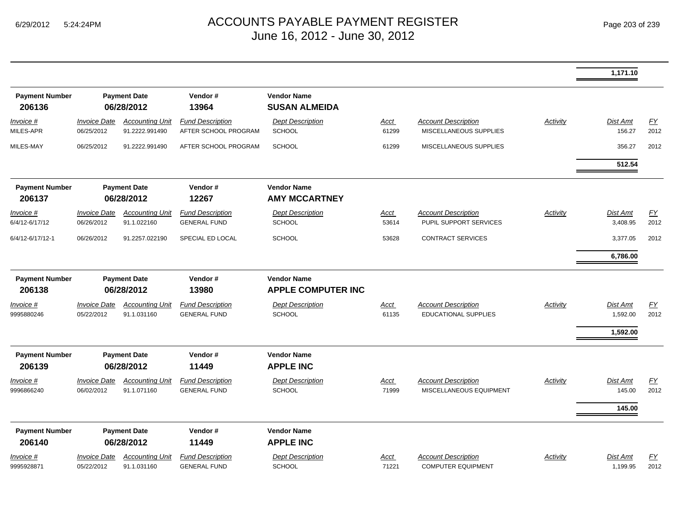|                                 |                                   |                                          |                                                 |                                            |                      |                                                           |          | 1,171.10             |            |
|---------------------------------|-----------------------------------|------------------------------------------|-------------------------------------------------|--------------------------------------------|----------------------|-----------------------------------------------------------|----------|----------------------|------------|
| <b>Payment Number</b><br>206136 |                                   | <b>Payment Date</b><br>06/28/2012        | Vendor#<br>13964                                | <b>Vendor Name</b><br><b>SUSAN ALMEIDA</b> |                      |                                                           |          |                      |            |
| Invoice #<br>MILES-APR          | <b>Invoice Date</b><br>06/25/2012 | <b>Accounting Unit</b><br>91.2222.991490 | <b>Fund Description</b><br>AFTER SCHOOL PROGRAM | <b>Dept Description</b><br><b>SCHOOL</b>   | <b>Acct</b><br>61299 | <b>Account Description</b><br>MISCELLANEOUS SUPPLIES      | Activity | Dist Amt<br>156.27   | EY<br>2012 |
| MILES-MAY                       | 06/25/2012                        | 91.2222.991490                           | AFTER SCHOOL PROGRAM                            | <b>SCHOOL</b>                              | 61299                | MISCELLANEOUS SUPPLIES                                    |          | 356.27               | 2012       |
|                                 |                                   |                                          |                                                 |                                            |                      |                                                           |          | 512.54               |            |
| <b>Payment Number</b><br>206137 |                                   | <b>Payment Date</b><br>06/28/2012        | Vendor#<br>12267                                | <b>Vendor Name</b><br><b>AMY MCCARTNEY</b> |                      |                                                           |          |                      |            |
| Invoice #<br>6/4/12-6/17/12     | <b>Invoice Date</b><br>06/26/2012 | <b>Accounting Unit</b><br>91.1.022160    | <b>Fund Description</b><br><b>GENERAL FUND</b>  | <b>Dept Description</b><br><b>SCHOOL</b>   | <u>Acct</u><br>53614 | <b>Account Description</b><br>PUPIL SUPPORT SERVICES      | Activity | Dist Amt<br>3,408.95 | EY<br>2012 |
| 6/4/12-6/17/12-1                | 06/26/2012                        | 91.2257.022190                           | SPECIAL ED LOCAL                                | <b>SCHOOL</b>                              | 53628                | <b>CONTRACT SERVICES</b>                                  |          | 3,377.05             | 2012       |
|                                 |                                   |                                          |                                                 |                                            |                      |                                                           |          | 6,786.00             |            |
| <b>Payment Number</b>           |                                   | <b>Payment Date</b>                      | Vendor#                                         | <b>Vendor Name</b>                         |                      |                                                           |          |                      |            |
| 206138                          |                                   | 06/28/2012                               | 13980                                           | <b>APPLE COMPUTER INC</b>                  |                      |                                                           |          |                      |            |
| Invoice #<br>9995880246         | <b>Invoice Date</b><br>05/22/2012 | <b>Accounting Unit</b><br>91.1.031160    | <b>Fund Description</b><br><b>GENERAL FUND</b>  | <b>Dept Description</b><br><b>SCHOOL</b>   | Acct<br>61135        | <b>Account Description</b><br><b>EDUCATIONAL SUPPLIES</b> | Activity | Dist Amt<br>1,592.00 | EY<br>2012 |
|                                 |                                   |                                          |                                                 |                                            |                      |                                                           |          | 1,592.00             |            |
| <b>Payment Number</b><br>206139 |                                   | <b>Payment Date</b><br>06/28/2012        | Vendor#<br>11449                                | <b>Vendor Name</b><br><b>APPLE INC</b>     |                      |                                                           |          |                      |            |
| <u>Invoice #</u><br>9996866240  | <b>Invoice Date</b><br>06/02/2012 | <b>Accounting Unit</b><br>91.1.071160    | <b>Fund Description</b><br><b>GENERAL FUND</b>  | <b>Dept Description</b><br><b>SCHOOL</b>   | <u>Acct</u><br>71999 | <b>Account Description</b><br>MISCELLANEOUS EQUIPMENT     | Activity | Dist Amt<br>145.00   | EY<br>2012 |
|                                 |                                   |                                          |                                                 |                                            |                      |                                                           |          | 145.00               |            |
| <b>Payment Number</b>           |                                   | <b>Payment Date</b>                      | Vendor#                                         | <b>Vendor Name</b>                         |                      |                                                           |          |                      |            |
| 206140                          |                                   | 06/28/2012                               | 11449                                           | <b>APPLE INC</b>                           |                      |                                                           |          |                      |            |
| <u>Invoice #</u><br>9995928871  | <b>Invoice Date</b><br>05/22/2012 | <b>Accounting Unit</b><br>91.1.031160    | <b>Fund Description</b><br><b>GENERAL FUND</b>  | <b>Dept Description</b><br><b>SCHOOL</b>   | <u>Acct</u><br>71221 | <b>Account Description</b><br><b>COMPUTER EQUIPMENT</b>   | Activity | Dist Amt<br>1,199.95 | EY<br>2012 |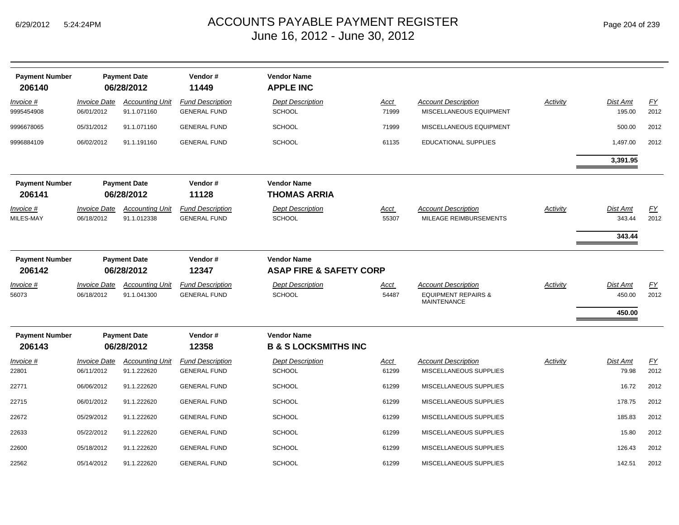| <b>Payment Number</b><br>206140 |                                   | <b>Payment Date</b><br>06/28/2012     | Vendor#<br>11449                               | <b>Vendor Name</b><br><b>APPLE INC</b>                |                      |                                                                                    |                 |                           |            |
|---------------------------------|-----------------------------------|---------------------------------------|------------------------------------------------|-------------------------------------------------------|----------------------|------------------------------------------------------------------------------------|-----------------|---------------------------|------------|
| Invoice #<br>9995454908         | <b>Invoice Date</b><br>06/01/2012 | <b>Accounting Unit</b><br>91.1.071160 | <b>Fund Description</b><br><b>GENERAL FUND</b> | <b>Dept Description</b><br><b>SCHOOL</b>              | Acct<br>71999        | <b>Account Description</b><br>MISCELLANEOUS EQUIPMENT                              | Activity        | <b>Dist Amt</b><br>195.00 | EY<br>2012 |
| 9996678065                      | 05/31/2012                        | 91.1.071160                           | <b>GENERAL FUND</b>                            | <b>SCHOOL</b>                                         | 71999                | MISCELLANEOUS EQUIPMENT                                                            |                 | 500.00                    | 2012       |
| 9996884109                      | 06/02/2012                        | 91.1.191160                           | <b>GENERAL FUND</b>                            | <b>SCHOOL</b>                                         | 61135                | <b>EDUCATIONAL SUPPLIES</b>                                                        |                 | 1,497.00                  | 2012       |
|                                 |                                   |                                       |                                                |                                                       |                      |                                                                                    |                 | 3,391.95                  |            |
| <b>Payment Number</b>           |                                   | <b>Payment Date</b>                   | Vendor#<br>11128                               | <b>Vendor Name</b><br><b>THOMAS ARRIA</b>             |                      |                                                                                    |                 |                           |            |
| 206141                          |                                   | 06/28/2012                            |                                                |                                                       |                      |                                                                                    |                 |                           |            |
| Invoice #<br>MILES-MAY          | <b>Invoice Date</b><br>06/18/2012 | <b>Accounting Unit</b><br>91.1.012338 | <b>Fund Description</b><br><b>GENERAL FUND</b> | <b>Dept Description</b><br><b>SCHOOL</b>              | <u>Acct</u><br>55307 | <b>Account Description</b><br>MILEAGE REIMBURSEMENTS                               | <b>Activity</b> | Dist Amt<br>343.44        | EY<br>2012 |
|                                 |                                   |                                       |                                                |                                                       |                      |                                                                                    |                 |                           |            |
|                                 |                                   |                                       |                                                |                                                       |                      |                                                                                    |                 | 343.44                    |            |
| <b>Payment Number</b>           |                                   | <b>Payment Date</b>                   | Vendor#                                        | <b>Vendor Name</b>                                    |                      |                                                                                    |                 |                           |            |
| 206142                          |                                   | 06/28/2012                            | 12347                                          | <b>ASAP FIRE &amp; SAFETY CORP</b>                    |                      |                                                                                    |                 |                           |            |
| Invoice #<br>56073              | <b>Invoice Date</b><br>06/18/2012 | <b>Accounting Unit</b><br>91.1.041300 | <b>Fund Description</b><br><b>GENERAL FUND</b> | <b>Dept Description</b><br><b>SCHOOL</b>              | Acct<br>54487        | <b>Account Description</b><br><b>EQUIPMENT REPAIRS &amp;</b><br><b>MAINTENANCE</b> | Activity        | <b>Dist Amt</b><br>450.00 | EY<br>2012 |
|                                 |                                   |                                       |                                                |                                                       |                      |                                                                                    |                 | 450.00                    |            |
| <b>Payment Number</b><br>206143 |                                   | <b>Payment Date</b><br>06/28/2012     | Vendor#<br>12358                               | <b>Vendor Name</b><br><b>B &amp; S LOCKSMITHS INC</b> |                      |                                                                                    |                 |                           |            |
| Invoice #                       | <i><b>Invoice Date</b></i>        | <b>Accounting Unit</b>                | <b>Fund Description</b>                        | <b>Dept Description</b>                               | Acct                 | <b>Account Description</b>                                                         | Activity        | Dist Amt                  | EY         |
| 22801                           | 06/11/2012                        | 91.1.222620                           | <b>GENERAL FUND</b>                            | <b>SCHOOL</b>                                         | 61299                | MISCELLANEOUS SUPPLIES                                                             |                 | 79.98                     | 2012       |
| 22771                           | 06/06/2012                        | 91.1.222620                           | <b>GENERAL FUND</b>                            | <b>SCHOOL</b>                                         | 61299                | MISCELLANEOUS SUPPLIES                                                             |                 | 16.72                     | 2012       |
| 22715                           | 06/01/2012                        | 91.1.222620                           | <b>GENERAL FUND</b>                            | <b>SCHOOL</b>                                         | 61299                | MISCELLANEOUS SUPPLIES                                                             |                 | 178.75                    | 2012       |
| 22672                           | 05/29/2012                        | 91.1.222620                           | <b>GENERAL FUND</b>                            | <b>SCHOOL</b>                                         | 61299                | MISCELLANEOUS SUPPLIES                                                             |                 | 185.83                    | 2012       |
| 22633                           | 05/22/2012                        | 91.1.222620                           | <b>GENERAL FUND</b>                            | <b>SCHOOL</b>                                         | 61299                | MISCELLANEOUS SUPPLIES                                                             |                 | 15.80                     | 2012       |
| 22600                           | 05/18/2012                        | 91.1.222620                           | <b>GENERAL FUND</b>                            | <b>SCHOOL</b>                                         | 61299                | MISCELLANEOUS SUPPLIES                                                             |                 | 126.43                    | 2012       |
| 22562                           | 05/14/2012                        | 91.1.222620                           | <b>GENERAL FUND</b>                            | SCHOOL                                                | 61299                | MISCELLANEOUS SUPPLIES                                                             |                 | 142.51                    | 2012       |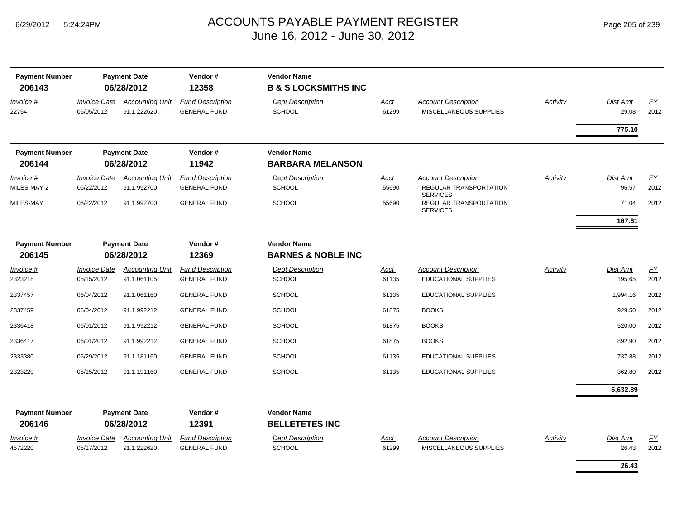| <b>Payment Number</b><br>206143 | <b>Payment Date</b><br>06/28/2012 |                                       | Vendor#<br>12358                               | <b>Vendor Name</b><br><b>B &amp; S LOCKSMITHS INC</b> |               |                                                      |                 |                   |            |
|---------------------------------|-----------------------------------|---------------------------------------|------------------------------------------------|-------------------------------------------------------|---------------|------------------------------------------------------|-----------------|-------------------|------------|
| Invoice #<br>22754              | Invoice Date<br>06/05/2012        | <b>Accounting Unit</b><br>91.1.222620 | <b>Fund Description</b><br><b>GENERAL FUND</b> | <b>Dept Description</b><br><b>SCHOOL</b>              | Acct<br>61299 | <b>Account Description</b><br>MISCELLANEOUS SUPPLIES | <b>Activity</b> | Dist Amt<br>29.08 | EY<br>2012 |
|                                 |                                   |                                       |                                                |                                                       |               |                                                      |                 | 775.10            |            |
| <b>Payment Number</b><br>206144 |                                   | <b>Payment Date</b><br>06/28/2012     | Vendor#<br>11942                               | <b>Vendor Name</b><br><b>BARBARA MELANSON</b>         |               |                                                      |                 |                   |            |
| <i>Invoice</i> #                | <i><b>Invoice Date</b></i>        | <b>Accounting Unit</b>                | <b>Fund Description</b>                        | <b>Dept Description</b>                               | <b>Acct</b>   | <b>Account Description</b>                           | Activity        | Dist Amt          | EY         |
| MILES-MAY-2                     | 06/22/2012                        | 91.1.992700                           | <b>GENERAL FUND</b>                            | <b>SCHOOL</b>                                         | 55690         | REGULAR TRANSPORTATION<br><b>SERVICES</b>            |                 | 96.57             | 2012       |
| MILES-MAY                       | 06/22/2012                        | 91.1.992700                           | <b>GENERAL FUND</b>                            | <b>SCHOOL</b>                                         | 55690         | REGULAR TRANSPORTATION<br><b>SERVICES</b>            |                 | 71.04             | 2012       |
|                                 |                                   |                                       |                                                |                                                       |               |                                                      |                 | 167.61            |            |
| <b>Payment Number</b>           |                                   | <b>Payment Date</b>                   | Vendor#                                        | <b>Vendor Name</b>                                    |               |                                                      |                 |                   |            |
| 206145                          |                                   | 06/28/2012                            | 12369                                          | <b>BARNES &amp; NOBLE INC</b>                         |               |                                                      |                 |                   |            |
| Invoice #                       | <b>Invoice Date</b>               | <b>Accounting Unit</b>                | <b>Fund Description</b>                        | <b>Dept Description</b>                               | Acct          | <b>Account Description</b>                           | <b>Activity</b> | Dist Amt          | <b>FY</b>  |
| 2323218                         | 05/15/2012                        | 91.1.061105                           | <b>GENERAL FUND</b>                            | <b>SCHOOL</b>                                         | 61135         | EDUCATIONAL SUPPLIES                                 |                 | 195.65            | 2012       |
| 2337457                         | 06/04/2012                        | 91.1.061160                           | <b>GENERAL FUND</b>                            | <b>SCHOOL</b>                                         | 61135         | <b>EDUCATIONAL SUPPLIES</b>                          |                 | 1,994.16          | 2012       |
| 2337459                         | 06/04/2012                        | 91.1.992212                           | <b>GENERAL FUND</b>                            | <b>SCHOOL</b>                                         | 61875         | <b>BOOKS</b>                                         |                 | 929.50            | 2012       |
| 2336418                         | 06/01/2012                        | 91.1.992212                           | <b>GENERAL FUND</b>                            | <b>SCHOOL</b>                                         | 61875         | <b>BOOKS</b>                                         |                 | 520.00            | 2012       |
| 2336417                         | 06/01/2012                        | 91.1.992212                           | <b>GENERAL FUND</b>                            | <b>SCHOOL</b>                                         | 61875         | <b>BOOKS</b>                                         |                 | 892.90            | 2012       |
| 2333380                         | 05/29/2012                        | 91.1.181160                           | <b>GENERAL FUND</b>                            | <b>SCHOOL</b>                                         | 61135         | <b>EDUCATIONAL SUPPLIES</b>                          |                 | 737.88            | 2012       |
| 2323220                         | 05/15/2012                        | 91.1.191160                           | <b>GENERAL FUND</b>                            | <b>SCHOOL</b>                                         | 61135         | <b>EDUCATIONAL SUPPLIES</b>                          |                 | 362.80            | 2012       |
|                                 |                                   |                                       |                                                |                                                       |               |                                                      |                 | 5,632.89          |            |
| <b>Payment Number</b>           |                                   | <b>Payment Date</b>                   | Vendor#                                        | <b>Vendor Name</b>                                    |               |                                                      |                 |                   |            |
| 206146                          |                                   | 06/28/2012                            | 12391                                          | <b>BELLETETES INC</b>                                 |               |                                                      |                 |                   |            |
| Invoice #                       | <b>Invoice Date</b>               | <b>Accounting Unit</b>                | <b>Fund Description</b>                        | <b>Dept Description</b>                               | Acct          | <b>Account Description</b>                           | Activity        | Dist Amt          | EY         |
| 4572220                         | 05/17/2012                        | 91.1.222620                           | <b>GENERAL FUND</b>                            | <b>SCHOOL</b>                                         | 61299         | MISCELLANEOUS SUPPLIES                               |                 | 26.43             | 2012       |
|                                 |                                   |                                       |                                                |                                                       |               |                                                      |                 | 26.43             |            |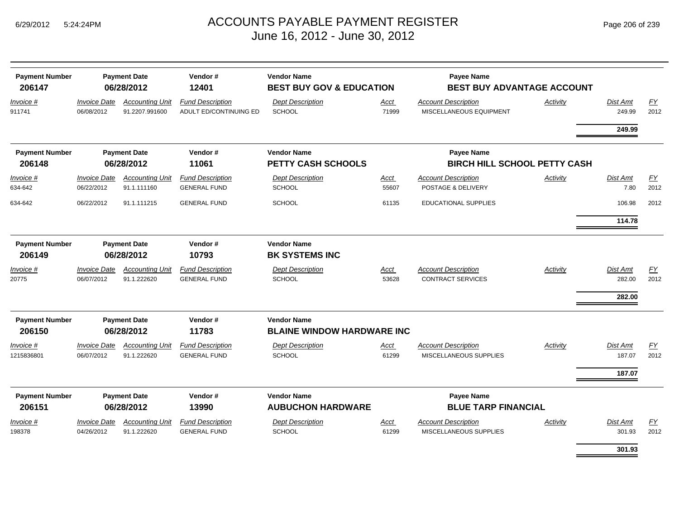| <b>Payment Number</b><br>206147 |                                   | <b>Payment Date</b><br>06/28/2012        | Vendor#<br>12401                                  | <b>Vendor Name</b><br><b>BEST BUY GOV &amp; EDUCATION</b> |               | Payee Name<br><b>BEST BUY ADVANTAGE ACCOUNT</b>       |                 |                    |            |
|---------------------------------|-----------------------------------|------------------------------------------|---------------------------------------------------|-----------------------------------------------------------|---------------|-------------------------------------------------------|-----------------|--------------------|------------|
| Invoice #<br>911741             | <b>Invoice Date</b><br>06/08/2012 | <b>Accounting Unit</b><br>91.2207.991600 | <b>Fund Description</b><br>ADULT ED/CONTINUING ED | <b>Dept Description</b><br><b>SCHOOL</b>                  | Acct<br>71999 | <b>Account Description</b><br>MISCELLANEOUS EQUIPMENT | Activity        | Dist Amt<br>249.99 | FY<br>2012 |
|                                 |                                   |                                          |                                                   |                                                           |               |                                                       |                 | 249.99             |            |
| <b>Payment Number</b>           |                                   | <b>Payment Date</b>                      | Vendor#                                           | <b>Vendor Name</b>                                        |               | Payee Name                                            |                 |                    |            |
| 206148                          |                                   | 06/28/2012                               | 11061                                             | <b>PETTY CASH SCHOOLS</b>                                 |               | <b>BIRCH HILL SCHOOL PETTY CASH</b>                   |                 |                    |            |
| Invoice #<br>634-642            | <b>Invoice Date</b><br>06/22/2012 | <b>Accounting Unit</b><br>91.1.111160    | <b>Fund Description</b><br><b>GENERAL FUND</b>    | <b>Dept Description</b><br><b>SCHOOL</b>                  | Acct<br>55607 | <b>Account Description</b><br>POSTAGE & DELIVERY      | Activity        | Dist Amt<br>7.80   | EY<br>2012 |
| 634-642                         | 06/22/2012                        | 91.1.111215                              | <b>GENERAL FUND</b>                               | <b>SCHOOL</b>                                             | 61135         | <b>EDUCATIONAL SUPPLIES</b>                           |                 | 106.98             | 2012       |
|                                 |                                   |                                          |                                                   |                                                           |               |                                                       |                 | 114.78             |            |
| <b>Payment Number</b>           |                                   | <b>Payment Date</b>                      | Vendor#                                           | <b>Vendor Name</b>                                        |               |                                                       |                 |                    |            |
| 206149                          |                                   | 06/28/2012                               | 10793                                             | <b>BK SYSTEMS INC</b>                                     |               |                                                       |                 |                    |            |
| Invoice #                       | <b>Invoice Date</b>               | <b>Accounting Unit</b>                   | <b>Fund Description</b>                           | <b>Dept Description</b>                                   | Acct          | <b>Account Description</b>                            | Activity        | Dist Amt           | EY         |
| 20775                           | 06/07/2012                        | 91.1.222620                              | <b>GENERAL FUND</b>                               | <b>SCHOOL</b>                                             | 53628         | <b>CONTRACT SERVICES</b>                              |                 | 282.00             | 2012       |
|                                 |                                   |                                          |                                                   |                                                           |               |                                                       |                 | 282.00             |            |
| <b>Payment Number</b>           |                                   | <b>Payment Date</b>                      | Vendor#                                           | <b>Vendor Name</b>                                        |               |                                                       |                 |                    |            |
| 206150                          |                                   | 06/28/2012                               | 11783                                             | <b>BLAINE WINDOW HARDWARE INC</b>                         |               |                                                       |                 |                    |            |
| <u>Invoice #</u>                | <b>Invoice Date</b>               | <b>Accounting Unit</b>                   | <b>Fund Description</b>                           | <b>Dept Description</b>                                   | Acct          | <b>Account Description</b>                            | <b>Activity</b> | Dist Amt           | <u>FY</u>  |
| 1215836801                      | 06/07/2012                        | 91.1.222620                              | <b>GENERAL FUND</b>                               | <b>SCHOOL</b>                                             | 61299         | <b>MISCELLANEOUS SUPPLIES</b>                         |                 | 187.07             | 2012       |
|                                 |                                   |                                          |                                                   |                                                           |               |                                                       |                 | 187.07             |            |
| <b>Payment Number</b><br>206151 |                                   | <b>Payment Date</b><br>06/28/2012        | Vendor#<br>13990                                  | <b>Vendor Name</b><br><b>AUBUCHON HARDWARE</b>            |               | Payee Name<br><b>BLUE TARP FINANCIAL</b>              |                 |                    |            |
| Invoice #                       | <b>Invoice Date</b>               | <b>Accounting Unit</b>                   | <b>Fund Description</b>                           | <b>Dept Description</b>                                   | Acct          | <b>Account Description</b>                            | Activity        | Dist Amt           | EY         |
| 198378                          | 04/26/2012                        | 91.1.222620                              | <b>GENERAL FUND</b>                               | <b>SCHOOL</b>                                             | 61299         | MISCELLANEOUS SUPPLIES                                |                 | 301.93             | 2012       |
|                                 |                                   |                                          |                                                   |                                                           |               |                                                       |                 | 301.93             |            |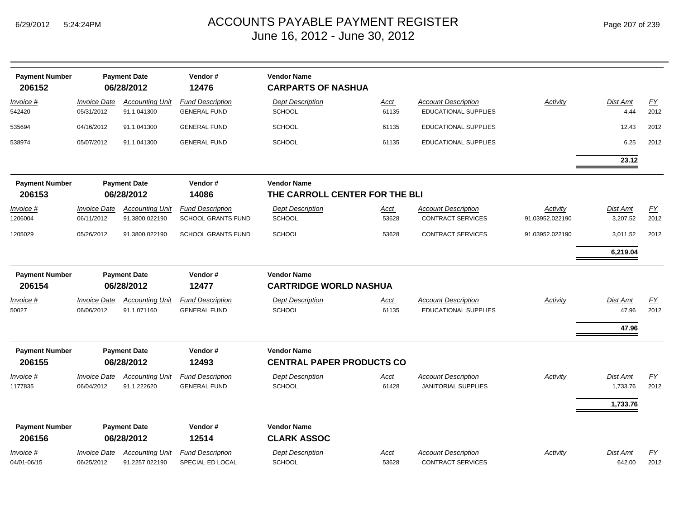| <b>Payment Number</b><br>206152 |                                                       | <b>Payment Date</b><br>06/28/2012        | Vendor#<br>12476                               | <b>Vendor Name</b><br><b>CARPARTS OF NASHUA</b>        |                      |                                                           |                 |                         |                          |
|---------------------------------|-------------------------------------------------------|------------------------------------------|------------------------------------------------|--------------------------------------------------------|----------------------|-----------------------------------------------------------|-----------------|-------------------------|--------------------------|
| Invoice #<br>542420             | <b>Invoice Date</b><br>05/31/2012                     | <b>Accounting Unit</b><br>91.1.041300    | <b>Fund Description</b><br><b>GENERAL FUND</b> | <b>Dept Description</b><br><b>SCHOOL</b>               | Acct<br>61135        | <b>Account Description</b><br><b>EDUCATIONAL SUPPLIES</b> | Activity        | <b>Dist Amt</b><br>4.44 | EY<br>2012               |
| 535694                          | 04/16/2012                                            | 91.1.041300                              | <b>GENERAL FUND</b>                            | <b>SCHOOL</b>                                          | 61135                | <b>EDUCATIONAL SUPPLIES</b>                               |                 | 12.43                   | 2012                     |
| 538974                          | 05/07/2012                                            | 91.1.041300                              | <b>GENERAL FUND</b>                            | <b>SCHOOL</b>                                          | 61135                | <b>EDUCATIONAL SUPPLIES</b>                               |                 | 6.25                    | 2012                     |
|                                 |                                                       |                                          |                                                |                                                        |                      |                                                           |                 | 23.12                   |                          |
| <b>Payment Number</b><br>206153 |                                                       | <b>Payment Date</b><br>06/28/2012        | Vendor#<br>14086                               | <b>Vendor Name</b><br>THE CARROLL CENTER FOR THE BLI   |                      |                                                           |                 |                         |                          |
| Invoice #                       | <b>Invoice Date</b>                                   | <b>Accounting Unit</b>                   | <b>Fund Description</b>                        | <b>Dept Description</b>                                | Acct                 | <b>Account Description</b>                                | Activity        | Dist Amt                | EY                       |
| 1206004                         | 06/11/2012                                            | 91.3800.022190                           | SCHOOL GRANTS FUND                             | <b>SCHOOL</b>                                          | 53628                | <b>CONTRACT SERVICES</b>                                  | 91.03952.022190 | 3,207.52                | 2012                     |
| 1205029                         | 05/26/2012                                            | 91.3800.022190                           | <b>SCHOOL GRANTS FUND</b>                      | <b>SCHOOL</b>                                          | 53628                | <b>CONTRACT SERVICES</b>                                  | 91.03952.022190 | 3,011.52                | 2012                     |
|                                 |                                                       |                                          |                                                |                                                        |                      |                                                           |                 | 6,219.04                |                          |
| <b>Payment Number</b>           | <b>Payment Date</b><br>Vendor#<br>06/28/2012<br>12477 |                                          | <b>Vendor Name</b>                             |                                                        |                      |                                                           |                 |                         |                          |
| 206154                          |                                                       |                                          |                                                | <b>CARTRIDGE WORLD NASHUA</b>                          |                      |                                                           |                 |                         |                          |
| <b>Invoice #</b><br>50027       | <b>Invoice Date</b><br>06/06/2012                     | <b>Accounting Unit</b><br>91.1.071160    | <b>Fund Description</b><br><b>GENERAL FUND</b> | <b>Dept Description</b><br><b>SCHOOL</b>               | <u>Acct</u><br>61135 | <b>Account Description</b><br><b>EDUCATIONAL SUPPLIES</b> | Activity        | Dist Amt<br>47.96       | $\underline{FY}$<br>2012 |
|                                 |                                                       |                                          |                                                |                                                        |                      |                                                           |                 | 47.96                   |                          |
|                                 |                                                       |                                          |                                                |                                                        |                      |                                                           |                 |                         |                          |
| <b>Payment Number</b><br>206155 |                                                       | <b>Payment Date</b><br>06/28/2012        | Vendor#<br>12493                               | <b>Vendor Name</b><br><b>CENTRAL PAPER PRODUCTS CO</b> |                      |                                                           |                 |                         |                          |
| Invoice #<br>1177835            | <b>Invoice Date</b><br>06/04/2012                     | <b>Accounting Unit</b><br>91.1.222620    | <b>Fund Description</b><br><b>GENERAL FUND</b> | <b>Dept Description</b><br><b>SCHOOL</b>               | <b>Acct</b><br>61428 | <b>Account Description</b><br><b>JANITORIAL SUPPLIES</b>  | Activity        | Dist Amt<br>1,733.76    | $\underline{FY}$<br>2012 |
|                                 |                                                       |                                          |                                                |                                                        |                      |                                                           |                 | 1,733.76                |                          |
| <b>Payment Number</b>           |                                                       | <b>Payment Date</b>                      | Vendor#                                        | <b>Vendor Name</b>                                     |                      |                                                           |                 |                         |                          |
| 206156                          |                                                       | 06/28/2012                               | 12514                                          | <b>CLARK ASSOC</b>                                     |                      |                                                           |                 |                         |                          |
| Invoice #<br>04/01-06/15        | <b>Invoice Date</b><br>06/25/2012                     | <b>Accounting Unit</b><br>91.2257.022190 | <b>Fund Description</b><br>SPECIAL ED LOCAL    | <b>Dept Description</b><br><b>SCHOOL</b>               | <u>Acct</u><br>53628 | <b>Account Description</b><br><b>CONTRACT SERVICES</b>    | <b>Activity</b> | Dist Amt<br>642.00      | $\underline{FY}$<br>2012 |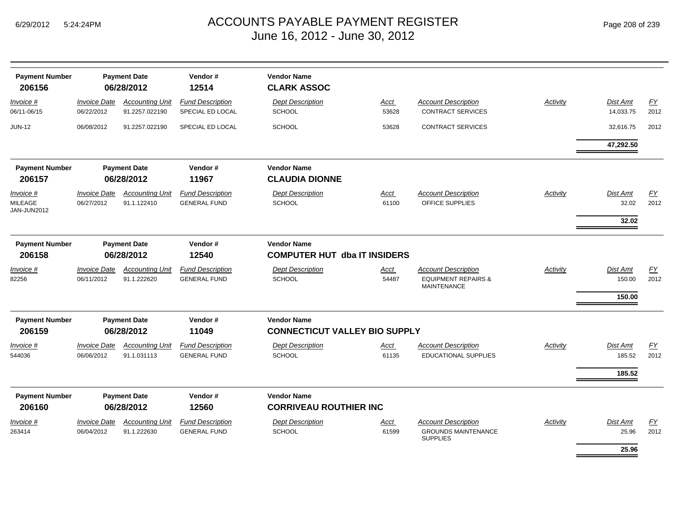| <b>Payment Number</b><br>206156            |                                                       | <b>Payment Date</b><br>06/28/2012        | Vendor#<br>12514                               | <b>Vendor Name</b><br><b>CLARK ASSOC</b>                   |                      |                                                                                    |                 |                              |            |
|--------------------------------------------|-------------------------------------------------------|------------------------------------------|------------------------------------------------|------------------------------------------------------------|----------------------|------------------------------------------------------------------------------------|-----------------|------------------------------|------------|
| Invoice #<br>06/11-06/15                   | <b>Invoice Date</b><br>06/22/2012                     | <b>Accounting Unit</b><br>91.2257.022190 | <b>Fund Description</b><br>SPECIAL ED LOCAL    | <b>Dept Description</b><br><b>SCHOOL</b>                   | Acct<br>53628        | <b>Account Description</b><br><b>CONTRACT SERVICES</b>                             | Activity        | Dist Amt<br>14,033.75        | EY<br>2012 |
| <b>JUN-12</b>                              | 06/08/2012                                            | 91.2257.022190                           | SPECIAL ED LOCAL                               | <b>SCHOOL</b>                                              | 53628                | CONTRACT SERVICES                                                                  |                 | 32,616.75                    | 2012       |
|                                            |                                                       |                                          |                                                |                                                            |                      |                                                                                    |                 | 47,292.50                    |            |
| <b>Payment Number</b><br>206157            |                                                       | <b>Payment Date</b><br>06/28/2012        | Vendor#<br>11967                               | <b>Vendor Name</b><br><b>CLAUDIA DIONNE</b>                |                      |                                                                                    |                 |                              |            |
| Invoice #<br><b>MILEAGE</b><br>JAN-JUN2012 | <b>Invoice Date</b><br>06/27/2012                     | <b>Accounting Unit</b><br>91.1.122410    | <b>Fund Description</b><br><b>GENERAL FUND</b> | <b>Dept Description</b><br><b>SCHOOL</b>                   | Acct<br>61100        | <b>Account Description</b><br>OFFICE SUPPLIES                                      | <b>Activity</b> | Dist Amt<br>32.02<br>32.02   | EY<br>2012 |
| <b>Payment Number</b><br>206158            | Vendor#<br><b>Payment Date</b><br>12540<br>06/28/2012 |                                          |                                                | <b>Vendor Name</b><br><b>COMPUTER HUT dba IT INSIDERS</b>  |                      |                                                                                    |                 |                              |            |
| Invoice #<br>82256                         | <b>Invoice Date</b><br>06/11/2012                     | <b>Accounting Unit</b><br>91.1.222620    | <b>Fund Description</b><br><b>GENERAL FUND</b> | <b>Dept Description</b><br><b>SCHOOL</b>                   | <u>Acct</u><br>54487 | <b>Account Description</b><br><b>EQUIPMENT REPAIRS &amp;</b><br><b>MAINTENANCE</b> | Activity        | Dist Amt<br>150.00<br>150.00 | EY<br>2012 |
| <b>Payment Number</b><br>206159            |                                                       | <b>Payment Date</b><br>06/28/2012        | Vendor#<br>11049                               | <b>Vendor Name</b><br><b>CONNECTICUT VALLEY BIO SUPPLY</b> |                      |                                                                                    |                 |                              |            |
| Invoice #<br>544036                        | <b>Invoice Date</b><br>06/06/2012                     | <b>Accounting Unit</b><br>91.1.031113    | <b>Fund Description</b><br><b>GENERAL FUND</b> | <b>Dept Description</b><br><b>SCHOOL</b>                   | Acct<br>61135        | <b>Account Description</b><br>EDUCATIONAL SUPPLIES                                 | Activity        | Dist Amt<br>185.52           | EY<br>2012 |
|                                            |                                                       |                                          |                                                |                                                            |                      |                                                                                    |                 | 185.52                       |            |
| <b>Payment Number</b><br>206160            |                                                       | <b>Payment Date</b><br>06/28/2012        | Vendor#<br>12560                               | <b>Vendor Name</b><br><b>CORRIVEAU ROUTHIER INC</b>        |                      |                                                                                    |                 |                              |            |
| Invoice #<br>263414                        | <b>Invoice Date</b><br>06/04/2012                     | <b>Accounting Unit</b><br>91.1.222630    | <b>Fund Description</b><br><b>GENERAL FUND</b> | <b>Dept Description</b><br><b>SCHOOL</b>                   | Acct<br>61599        | <b>Account Description</b><br><b>GROUNDS MAINTENANCE</b><br><b>SUPPLIES</b>        | <b>Activity</b> | Dist Amt<br>25.96            | EY<br>2012 |
|                                            |                                                       |                                          |                                                |                                                            |                      |                                                                                    |                 | 25.96                        |            |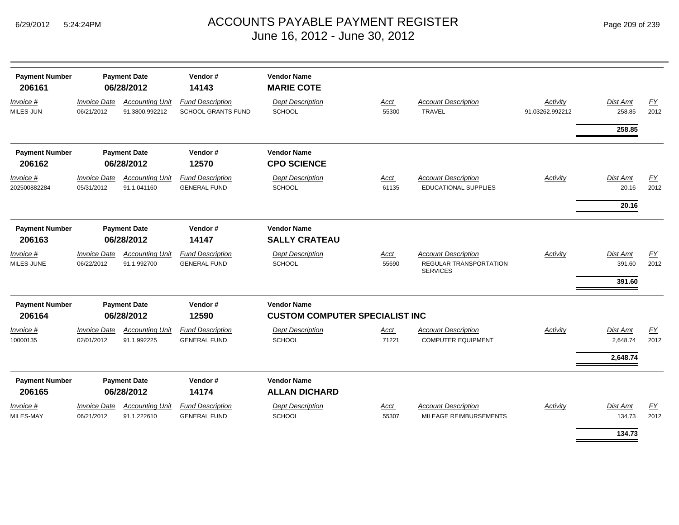|  | Page 209 of 239 |  |  |  |
|--|-----------------|--|--|--|
|--|-----------------|--|--|--|

| <b>Payment Number</b><br>206161 | <b>Payment Date</b><br>06/28/2012 |                                          | Vendor#<br>14143                                     | <b>Vendor Name</b><br><b>MARIE COTE</b>                     |                      |                                                                                |                             |                                     |            |
|---------------------------------|-----------------------------------|------------------------------------------|------------------------------------------------------|-------------------------------------------------------------|----------------------|--------------------------------------------------------------------------------|-----------------------------|-------------------------------------|------------|
| Invoice #<br>MILES-JUN          | <b>Invoice Date</b><br>06/21/2012 | <b>Accounting Unit</b><br>91.3800.992212 | <b>Fund Description</b><br><b>SCHOOL GRANTS FUND</b> | <b>Dept Description</b><br><b>SCHOOL</b>                    | Acct<br>55300        | <b>Account Description</b><br><b>TRAVEL</b>                                    | Activity<br>91.03262.992212 | <b>Dist Amt</b><br>258.85           | FY<br>2012 |
|                                 |                                   |                                          |                                                      |                                                             |                      |                                                                                |                             | 258.85                              |            |
| <b>Payment Number</b><br>206162 |                                   | <b>Payment Date</b><br>06/28/2012        | Vendor#<br>12570                                     | <b>Vendor Name</b><br><b>CPO SCIENCE</b>                    |                      |                                                                                |                             |                                     |            |
| Invoice #<br>202500882284       | <b>Invoice Date</b><br>05/31/2012 | <b>Accounting Unit</b><br>91.1.041160    | <b>Fund Description</b><br><b>GENERAL FUND</b>       | <b>Dept Description</b><br>SCHOOL                           | <b>Acct</b><br>61135 | <b>Account Description</b><br><b>EDUCATIONAL SUPPLIES</b>                      | Activity                    | Dist Amt<br>20.16                   | EY<br>2012 |
|                                 |                                   |                                          |                                                      |                                                             |                      |                                                                                |                             | 20.16                               |            |
| <b>Payment Number</b><br>206163 |                                   | <b>Payment Date</b><br>06/28/2012        | Vendor#<br>14147                                     | <b>Vendor Name</b><br><b>SALLY CRATEAU</b>                  |                      |                                                                                |                             |                                     |            |
| Invoice #<br>MILES-JUNE         | <b>Invoice Date</b><br>06/22/2012 | <b>Accounting Unit</b><br>91.1.992700    | <b>Fund Description</b><br><b>GENERAL FUND</b>       | <b>Dept Description</b><br><b>SCHOOL</b>                    | Acct<br>55690        | <b>Account Description</b><br><b>REGULAR TRANSPORTATION</b><br><b>SERVICES</b> | <b>Activity</b>             | <b>Dist Amt</b><br>391.60<br>391.60 | EY<br>2012 |
| <b>Payment Number</b><br>206164 |                                   | <b>Payment Date</b><br>06/28/2012        | Vendor#<br>12590                                     | <b>Vendor Name</b><br><b>CUSTOM COMPUTER SPECIALIST INC</b> |                      |                                                                                |                             |                                     |            |
| Invoice #<br>10000135           | <b>Invoice Date</b><br>02/01/2012 | <b>Accounting Unit</b><br>91.1.992225    | <b>Fund Description</b><br><b>GENERAL FUND</b>       | <b>Dept Description</b><br>SCHOOL                           | Acct<br>71221        | <b>Account Description</b><br><b>COMPUTER EQUIPMENT</b>                        | Activity                    | <b>Dist Amt</b><br>2,648.74         | EY<br>2012 |
|                                 |                                   |                                          |                                                      |                                                             |                      |                                                                                |                             | 2,648.74                            |            |
| <b>Payment Number</b><br>206165 |                                   | <b>Payment Date</b><br>06/28/2012        | Vendor#<br>14174                                     | <b>Vendor Name</b><br><b>ALLAN DICHARD</b>                  |                      |                                                                                |                             |                                     |            |
| Invoice #<br>MILES-MAY          | <b>Invoice Date</b><br>06/21/2012 | <b>Accounting Unit</b><br>91.1.222610    | <b>Fund Description</b><br><b>GENERAL FUND</b>       | <b>Dept Description</b><br><b>SCHOOL</b>                    | Acct<br>55307        | <b>Account Description</b><br>MILEAGE REIMBURSEMENTS                           | Activity                    | Dist Amt<br>134.73                  | EY<br>2012 |
|                                 |                                   |                                          |                                                      |                                                             |                      |                                                                                |                             | 134.73                              |            |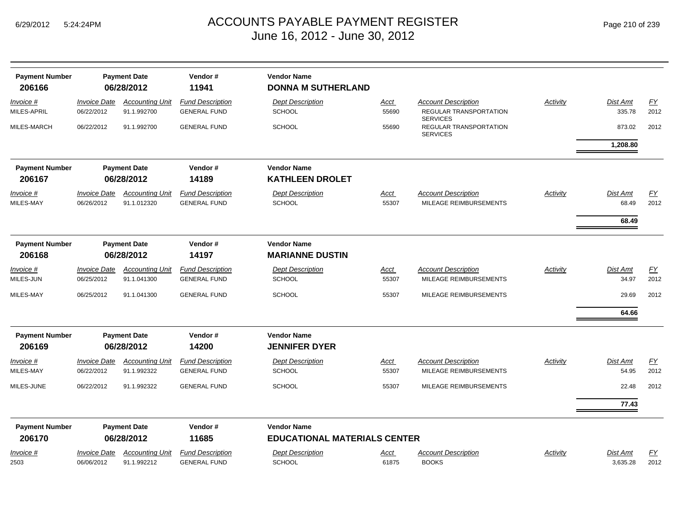| <b>Payment Number</b><br>206166 | <b>Payment Date</b><br>06/28/2012 |                                       | Vendor#<br><b>Vendor Name</b><br>11941         |                                                           | <b>DONNA M SUTHERLAND</b> |                                                                         |                 |                            |                          |  |  |  |
|---------------------------------|-----------------------------------|---------------------------------------|------------------------------------------------|-----------------------------------------------------------|---------------------------|-------------------------------------------------------------------------|-----------------|----------------------------|--------------------------|--|--|--|
| Invoice #<br>MILES-APRIL        | <b>Invoice Date</b><br>06/22/2012 | <b>Accounting Unit</b><br>91.1.992700 | <b>Fund Description</b><br><b>GENERAL FUND</b> | <b>Dept Description</b><br>SCHOOL                         | <u>Acct</u><br>55690      | <b>Account Description</b><br>REGULAR TRANSPORTATION<br><b>SERVICES</b> | Activity        | <b>Dist Amt</b><br>335.78  | EY<br>2012               |  |  |  |
| MILES-MARCH                     | 06/22/2012                        | 91.1.992700                           | <b>GENERAL FUND</b>                            | <b>SCHOOL</b>                                             | 55690                     | REGULAR TRANSPORTATION<br><b>SERVICES</b>                               |                 | 873.02<br>1,208.80         | 2012                     |  |  |  |
| <b>Payment Number</b><br>206167 |                                   | <b>Payment Date</b><br>06/28/2012     | Vendor#<br>14189                               | <b>Vendor Name</b><br><b>KATHLEEN DROLET</b>              |                           |                                                                         |                 |                            |                          |  |  |  |
| Invoice #<br>MILES-MAY          | <b>Invoice Date</b><br>06/26/2012 | <b>Accounting Unit</b><br>91.1.012320 | <b>Fund Description</b><br><b>GENERAL FUND</b> | <b>Dept Description</b><br><b>SCHOOL</b>                  | <u>Acct</u><br>55307      | Account Description<br>MILEAGE REIMBURSEMENTS                           | Activity        | Dist Amt<br>68.49<br>68.49 | <u>FY</u><br>2012        |  |  |  |
| <b>Payment Number</b><br>206168 | <b>Payment Date</b><br>06/28/2012 |                                       | Vendor#<br>14197                               | <b>Vendor Name</b><br><b>MARIANNE DUSTIN</b>              |                           |                                                                         |                 |                            |                          |  |  |  |
| Invoice #<br>MILES-JUN          | <b>Invoice Date</b><br>06/25/2012 | <b>Accounting Unit</b><br>91.1.041300 | <b>Fund Description</b><br><b>GENERAL FUND</b> | <b>Dept Description</b><br><b>SCHOOL</b>                  | <b>Acct</b><br>55307      | <b>Account Description</b><br>MILEAGE REIMBURSEMENTS                    | <b>Activity</b> | Dist Amt<br>34.97          | $\underline{FY}$<br>2012 |  |  |  |
| MILES-MAY                       | 06/25/2012                        | 91.1.041300                           | <b>GENERAL FUND</b>                            | <b>SCHOOL</b>                                             | 55307                     | MILEAGE REIMBURSEMENTS                                                  |                 | 29.69<br>64.66             | 2012                     |  |  |  |
| <b>Payment Number</b><br>206169 |                                   | <b>Payment Date</b><br>06/28/2012     | Vendor#<br>14200                               | <b>Vendor Name</b><br><b>JENNIFER DYER</b>                |                           |                                                                         |                 |                            |                          |  |  |  |
| Invoice #<br>MILES-MAY          | <b>Invoice Date</b><br>06/22/2012 | <b>Accounting Unit</b><br>91.1.992322 | <b>Fund Description</b><br><b>GENERAL FUND</b> | <b>Dept Description</b><br><b>SCHOOL</b>                  | Acct<br>55307             | <b>Account Description</b><br>MILEAGE REIMBURSEMENTS                    | Activity        | <b>Dist Amt</b><br>54.95   | $\underline{FY}$<br>2012 |  |  |  |
| MILES-JUNE                      | 06/22/2012                        | 91.1.992322                           | <b>GENERAL FUND</b>                            | <b>SCHOOL</b>                                             | 55307                     | MILEAGE REIMBURSEMENTS                                                  |                 | 22.48                      | 2012                     |  |  |  |
|                                 |                                   |                                       |                                                |                                                           |                           |                                                                         |                 | 77.43                      |                          |  |  |  |
| <b>Payment Number</b><br>206170 |                                   | <b>Payment Date</b><br>06/28/2012     | Vendor#<br>11685                               | <b>Vendor Name</b><br><b>EDUCATIONAL MATERIALS CENTER</b> |                           |                                                                         |                 |                            |                          |  |  |  |
| $Invoice$ #<br>2503             | <b>Invoice Date</b><br>06/06/2012 | <b>Accounting Unit</b><br>91.1.992212 | <b>Fund Description</b><br><b>GENERAL FUND</b> | <b>Dept Description</b><br><b>SCHOOL</b>                  | <u>Acct</u><br>61875      | <b>Account Description</b><br><b>BOOKS</b>                              | Activity        | Dist Amt<br>3.635.28       | EY<br>2012               |  |  |  |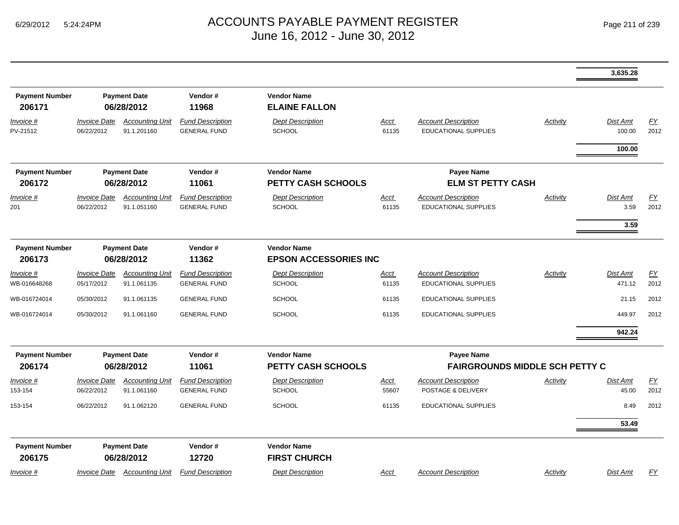|                                 |                                   |                                                                                                                                                    |                                                |                                            |                      |                                                           |                 | 3,635.28           |            |
|---------------------------------|-----------------------------------|----------------------------------------------------------------------------------------------------------------------------------------------------|------------------------------------------------|--------------------------------------------|----------------------|-----------------------------------------------------------|-----------------|--------------------|------------|
| <b>Payment Number</b><br>206171 |                                   | <b>Payment Date</b><br>06/28/2012                                                                                                                  | Vendor#<br>11968                               | <b>Vendor Name</b><br><b>ELAINE FALLON</b> |                      |                                                           |                 |                    |            |
| Invoice #<br>PV-21512           | <b>Invoice Date</b><br>06/22/2012 | <b>Accounting Unit</b><br>91.1.201160                                                                                                              | <b>Fund Description</b><br><b>GENERAL FUND</b> | <b>Dept Description</b><br><b>SCHOOL</b>   | <b>Acct</b><br>61135 | <b>Account Description</b><br><b>EDUCATIONAL SUPPLIES</b> | Activity        | Dist Amt<br>100.00 | EY<br>2012 |
|                                 |                                   |                                                                                                                                                    |                                                |                                            |                      |                                                           |                 | 100.00             |            |
| <b>Payment Number</b><br>206172 |                                   | Vendor#<br>Payee Name<br><b>Payment Date</b><br><b>Vendor Name</b><br>06/28/2012<br>11061<br><b>PETTY CASH SCHOOLS</b><br><b>ELM ST PETTY CASH</b> |                                                |                                            |                      |                                                           |                 |                    |            |
| Invoice #                       | <b>Invoice Date</b>               | <b>Accounting Unit</b>                                                                                                                             | <b>Fund Description</b>                        | <b>Dept Description</b>                    | <u>Acct</u>          | <b>Account Description</b>                                | <b>Activity</b> | Dist Amt           | EY         |
| 201                             | 06/22/2012                        | 91.1.051160                                                                                                                                        | <b>GENERAL FUND</b>                            | <b>SCHOOL</b>                              | 61135                | EDUCATIONAL SUPPLIES                                      |                 | 3.59               | 2012       |
|                                 |                                   |                                                                                                                                                    |                                                |                                            |                      |                                                           |                 | 3.59               |            |
|                                 |                                   |                                                                                                                                                    |                                                |                                            |                      |                                                           |                 |                    |            |
| <b>Payment Number</b>           |                                   | <b>Payment Date</b>                                                                                                                                | Vendor#                                        | <b>Vendor Name</b>                         |                      |                                                           |                 |                    |            |
| 206173                          | 06/28/2012                        |                                                                                                                                                    | 11362                                          | <b>EPSON ACCESSORIES INC</b>               |                      |                                                           |                 |                    |            |
| <u>Invoice #</u>                | <b>Invoice Date</b>               | <b>Accounting Unit</b>                                                                                                                             | <b>Fund Description</b>                        | <b>Dept Description</b>                    | <u>Acct</u>          | <b>Account Description</b>                                | Activity        | Dist Amt           | <b>FY</b>  |
| WB-016648268                    | 05/17/2012                        | 91.1.061135                                                                                                                                        | <b>GENERAL FUND</b>                            | <b>SCHOOL</b>                              | 61135                | EDUCATIONAL SUPPLIES                                      |                 | 471.12             | 2012       |
| WB-016724014                    | 05/30/2012                        | 91.1.061135                                                                                                                                        | <b>GENERAL FUND</b>                            | <b>SCHOOL</b>                              | 61135                | <b>EDUCATIONAL SUPPLIES</b>                               |                 | 21.15              | 2012       |
| WB-016724014                    | 05/30/2012                        | 91.1.061160                                                                                                                                        | <b>GENERAL FUND</b>                            | <b>SCHOOL</b>                              | 61135                | <b>EDUCATIONAL SUPPLIES</b>                               |                 | 449.97             | 2012       |
|                                 |                                   |                                                                                                                                                    |                                                |                                            |                      |                                                           |                 | 942.24             |            |
| <b>Payment Number</b>           |                                   | <b>Payment Date</b>                                                                                                                                | Vendor#                                        | <b>Vendor Name</b>                         |                      | <b>Payee Name</b>                                         |                 |                    |            |
| 206174                          |                                   | 06/28/2012                                                                                                                                         | 11061                                          | <b>PETTY CASH SCHOOLS</b>                  |                      | <b>FAIRGROUNDS MIDDLE SCH PETTY C</b>                     |                 |                    |            |
| <u>Invoice #</u>                | <b>Invoice Date</b>               | <b>Accounting Unit</b>                                                                                                                             | <b>Fund Description</b>                        | <b>Dept Description</b>                    | <u>Acct</u>          | <b>Account Description</b>                                | Activity        | Dist Amt           | EY         |
| 153-154                         | 06/22/2012                        | 91.1.061160                                                                                                                                        | <b>GENERAL FUND</b>                            | <b>SCHOOL</b>                              | 55607                | POSTAGE & DELIVERY                                        |                 | 45.00              | 2012       |
| 153-154                         | 06/22/2012                        | 91.1.062120                                                                                                                                        | <b>GENERAL FUND</b>                            | <b>SCHOOL</b>                              | 61135                | EDUCATIONAL SUPPLIES                                      |                 | 8.49               | 2012       |
|                                 |                                   |                                                                                                                                                    |                                                |                                            |                      |                                                           |                 | 53.49              |            |
| <b>Payment Number</b>           |                                   | <b>Payment Date</b>                                                                                                                                | Vendor#                                        | <b>Vendor Name</b>                         |                      |                                                           |                 |                    |            |
| 206175                          |                                   | 06/28/2012                                                                                                                                         | 12720                                          | <b>FIRST CHURCH</b>                        |                      |                                                           |                 |                    |            |
| <u>Invoice #</u>                | <u> Invoice Date</u>              | <b>Accounting Unit</b>                                                                                                                             | <b>Fund Description</b>                        | <b>Dept Description</b>                    | <b>Acct</b>          | <b>Account Description</b>                                | Activity        | <b>Dist Amt</b>    | EY         |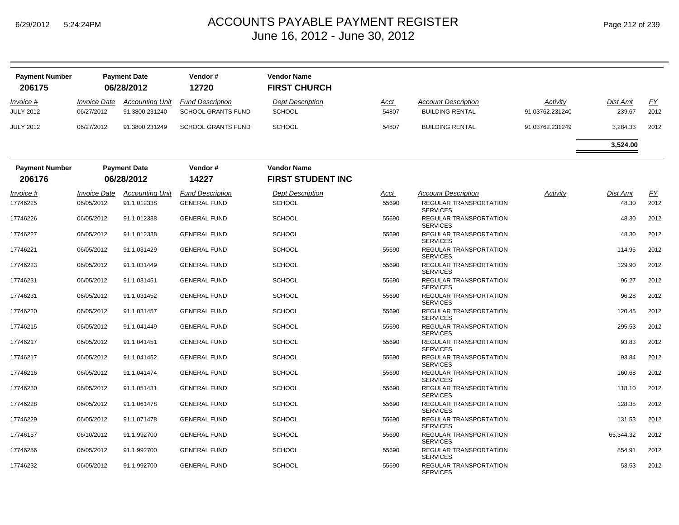| <b>Payment Number</b><br>206175 | <b>Payment Date</b><br>06/28/2012 |                        | Vendor#<br>12720          | <b>Vendor Name</b><br><b>FIRST CHURCH</b> |       |                                                  |                 |                 |           |
|---------------------------------|-----------------------------------|------------------------|---------------------------|-------------------------------------------|-------|--------------------------------------------------|-----------------|-----------------|-----------|
| Invoice #                       | <i><b>Invoice Date</b></i>        | <b>Accounting Unit</b> | <b>Fund Description</b>   | <b>Dept Description</b>                   | Acct  | <b>Account Description</b>                       | Activity        | Dist Amt        | <u>FY</u> |
| <b>JULY 2012</b>                | 06/27/2012                        | 91.3800.231240         | <b>SCHOOL GRANTS FUND</b> | <b>SCHOOL</b>                             | 54807 | <b>BUILDING RENTAL</b>                           | 91.03762.231240 | 239.67          | 2012      |
| <b>JULY 2012</b>                | 06/27/2012                        | 91.3800.231249         | <b>SCHOOL GRANTS FUND</b> | <b>SCHOOL</b>                             | 54807 | <b>BUILDING RENTAL</b>                           | 91.03762.231249 | 3,284.33        | 2012      |
|                                 |                                   |                        |                           |                                           |       |                                                  |                 | 3,524.00        |           |
| <b>Payment Number</b>           |                                   | <b>Payment Date</b>    | Vendor#                   | <b>Vendor Name</b>                        |       |                                                  |                 |                 |           |
| 206176                          |                                   | 06/28/2012             | 14227                     | <b>FIRST STUDENT INC</b>                  |       |                                                  |                 |                 |           |
| Invoice #                       | <b>Invoice Date</b>               | <b>Accounting Unit</b> | <b>Fund Description</b>   | <b>Dept Description</b>                   | Acct  | <b>Account Description</b>                       | Activity        | <b>Dist Amt</b> | FY        |
| 17746225                        | 06/05/2012                        | 91.1.012338            | <b>GENERAL FUND</b>       | <b>SCHOOL</b>                             | 55690 | <b>REGULAR TRANSPORTATION</b><br><b>SERVICES</b> |                 | 48.30           | 2012      |
| 17746226                        | 06/05/2012                        | 91.1.012338            | <b>GENERAL FUND</b>       | <b>SCHOOL</b>                             | 55690 | REGULAR TRANSPORTATION<br><b>SERVICES</b>        |                 | 48.30           | 2012      |
| 17746227                        | 06/05/2012                        | 91.1.012338            | <b>GENERAL FUND</b>       | <b>SCHOOL</b>                             | 55690 | REGULAR TRANSPORTATION<br><b>SERVICES</b>        |                 | 48.30           | 2012      |
| 17746221                        | 06/05/2012                        | 91.1.031429            | <b>GENERAL FUND</b>       | <b>SCHOOL</b>                             | 55690 | REGULAR TRANSPORTATION<br><b>SERVICES</b>        |                 | 114.95          | 2012      |
| 17746223                        | 06/05/2012                        | 91.1.031449            | <b>GENERAL FUND</b>       | <b>SCHOOL</b>                             | 55690 | REGULAR TRANSPORTATION<br><b>SERVICES</b>        |                 | 129.90          | 2012      |
| 17746231                        | 06/05/2012                        | 91.1.031451            | <b>GENERAL FUND</b>       | <b>SCHOOL</b>                             | 55690 | <b>REGULAR TRANSPORTATION</b><br><b>SERVICES</b> |                 | 96.27           | 2012      |
| 17746231                        | 06/05/2012                        | 91.1.031452            | <b>GENERAL FUND</b>       | <b>SCHOOL</b>                             | 55690 | REGULAR TRANSPORTATION<br><b>SERVICES</b>        |                 | 96.28           | 2012      |
| 17746220                        | 06/05/2012                        | 91.1.031457            | <b>GENERAL FUND</b>       | <b>SCHOOL</b>                             | 55690 | REGULAR TRANSPORTATION<br><b>SERVICES</b>        |                 | 120.45          | 2012      |
| 17746215                        | 06/05/2012                        | 91.1.041449            | <b>GENERAL FUND</b>       | <b>SCHOOL</b>                             | 55690 | REGULAR TRANSPORTATION<br><b>SERVICES</b>        |                 | 295.53          | 2012      |
| 17746217                        | 06/05/2012                        | 91.1.041451            | <b>GENERAL FUND</b>       | <b>SCHOOL</b>                             | 55690 | <b>REGULAR TRANSPORTATION</b><br><b>SERVICES</b> |                 | 93.83           | 2012      |
| 17746217                        | 06/05/2012                        | 91.1.041452            | <b>GENERAL FUND</b>       | <b>SCHOOL</b>                             | 55690 | REGULAR TRANSPORTATION<br><b>SERVICES</b>        |                 | 93.84           | 2012      |
| 17746216                        | 06/05/2012                        | 91.1.041474            | <b>GENERAL FUND</b>       | <b>SCHOOL</b>                             | 55690 | REGULAR TRANSPORTATION<br><b>SERVICES</b>        |                 | 160.68          | 2012      |
| 17746230                        | 06/05/2012                        | 91.1.051431            | <b>GENERAL FUND</b>       | <b>SCHOOL</b>                             | 55690 | REGULAR TRANSPORTATION<br><b>SERVICES</b>        |                 | 118.10          | 2012      |
| 17746228                        | 06/05/2012                        | 91.1.061478            | <b>GENERAL FUND</b>       | <b>SCHOOL</b>                             | 55690 | REGULAR TRANSPORTATION<br><b>SERVICES</b>        |                 | 128.35          | 2012      |
| 17746229                        | 06/05/2012                        | 91.1.071478            | <b>GENERAL FUND</b>       | <b>SCHOOL</b>                             | 55690 | <b>REGULAR TRANSPORTATION</b><br><b>SERVICES</b> |                 | 131.53          | 2012      |
| 17746157                        | 06/10/2012                        | 91.1.992700            | <b>GENERAL FUND</b>       | <b>SCHOOL</b>                             | 55690 | REGULAR TRANSPORTATION<br><b>SERVICES</b>        |                 | 65,344.32       | 2012      |
| 17746256                        | 06/05/2012                        | 91.1.992700            | <b>GENERAL FUND</b>       | <b>SCHOOL</b>                             | 55690 | <b>REGULAR TRANSPORTATION</b><br><b>SERVICES</b> |                 | 854.91          | 2012      |
| 17746232                        | 06/05/2012                        | 91.1.992700            | <b>GENERAL FUND</b>       | <b>SCHOOL</b>                             | 55690 | REGULAR TRANSPORTATION<br><b>SERVICES</b>        |                 | 53.53           | 2012      |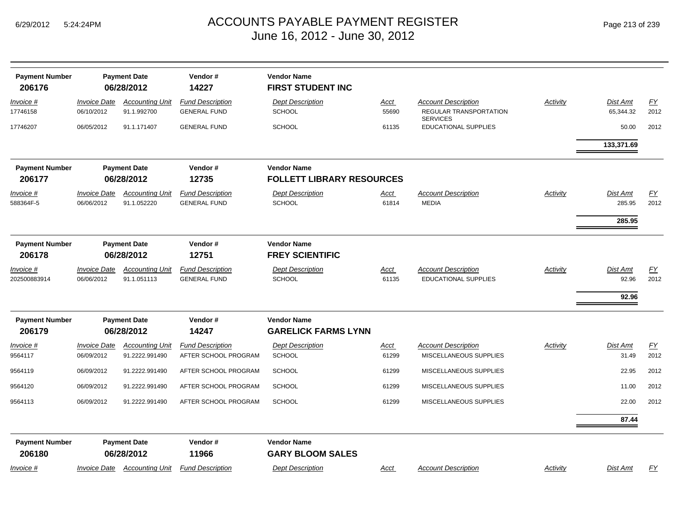| Page 213 of 239 |  |  |  |
|-----------------|--|--|--|
|-----------------|--|--|--|

| <b>Payment Number</b>           |                                   | <b>Payment Date</b>                      | Vendor#                                         | <b>Vendor Name</b>                                     |                      |                                                                                |          |                                   |            |
|---------------------------------|-----------------------------------|------------------------------------------|-------------------------------------------------|--------------------------------------------------------|----------------------|--------------------------------------------------------------------------------|----------|-----------------------------------|------------|
| 206176                          |                                   | 06/28/2012                               | 14227                                           | <b>FIRST STUDENT INC</b>                               |                      |                                                                                |          |                                   |            |
| Invoice #<br>17746158           | <b>Invoice Date</b><br>06/10/2012 | <b>Accounting Unit</b><br>91.1.992700    | <b>Fund Description</b><br><b>GENERAL FUND</b>  | <b>Dept Description</b><br><b>SCHOOL</b>               | Acct<br>55690        | <b>Account Description</b><br><b>REGULAR TRANSPORTATION</b><br><b>SERVICES</b> | Activity | Dist Amt<br>65,344.32             | FY<br>2012 |
| 17746207                        | 06/05/2012                        | 91.1.171407                              | <b>GENERAL FUND</b>                             | <b>SCHOOL</b>                                          | 61135                | EDUCATIONAL SUPPLIES                                                           |          | 50.00                             | 2012       |
|                                 |                                   |                                          |                                                 |                                                        |                      |                                                                                |          | 133,371.69                        |            |
| <b>Payment Number</b><br>206177 | <b>Payment Date</b><br>06/28/2012 |                                          | Vendor#<br>12735                                | <b>Vendor Name</b><br><b>FOLLETT LIBRARY RESOURCES</b> |                      |                                                                                |          |                                   |            |
| <i>Invoice</i> #                | <b>Invoice Date</b>               | <b>Accounting Unit</b>                   | <b>Fund Description</b>                         | <b>Dept Description</b>                                | Acct                 | <b>Account Description</b>                                                     | Activity | Dist Amt                          | FY         |
| 588364F-5                       | 06/06/2012                        | 91.1.052220                              | <b>GENERAL FUND</b>                             | <b>SCHOOL</b>                                          | 61814                | <b>MEDIA</b>                                                                   |          | 285.95                            | 2012       |
|                                 |                                   |                                          |                                                 |                                                        |                      |                                                                                |          | 285.95                            |            |
| <b>Payment Number</b><br>206178 | <b>Payment Date</b><br>06/28/2012 |                                          | Vendor#<br>12751                                | <b>Vendor Name</b><br><b>FREY SCIENTIFIC</b>           |                      |                                                                                |          |                                   |            |
| Invoice #<br>202500883914       | <b>Invoice Date</b><br>06/06/2012 | <b>Accounting Unit</b><br>91.1.051113    | <b>Fund Description</b><br><b>GENERAL FUND</b>  | <b>Dept Description</b><br><b>SCHOOL</b>               | <u>Acct</u><br>61135 | <b>Account Description</b><br><b>EDUCATIONAL SUPPLIES</b>                      | Activity | <b>Dist Amt</b><br>92.96<br>92.96 | EY<br>2012 |
| <b>Payment Number</b><br>206179 |                                   | <b>Payment Date</b><br>06/28/2012        | Vendor#<br>14247                                | <b>Vendor Name</b><br><b>GARELICK FARMS LYNN</b>       |                      |                                                                                |          |                                   |            |
| Invoice #<br>9564117            | <b>Invoice Date</b><br>06/09/2012 | <b>Accounting Unit</b><br>91.2222.991490 | <b>Fund Description</b><br>AFTER SCHOOL PROGRAM | <b>Dept Description</b><br><b>SCHOOL</b>               | <u>Acct</u><br>61299 | <b>Account Description</b><br>MISCELLANEOUS SUPPLIES                           | Activity | Dist Amt<br>31.49                 | EY<br>2012 |
| 9564119                         | 06/09/2012                        | 91.2222.991490                           | AFTER SCHOOL PROGRAM                            | <b>SCHOOL</b>                                          | 61299                | MISCELLANEOUS SUPPLIES                                                         |          | 22.95                             | 2012       |
| 9564120                         | 06/09/2012                        | 91.2222.991490                           | AFTER SCHOOL PROGRAM                            | <b>SCHOOL</b>                                          | 61299                | MISCELLANEOUS SUPPLIES                                                         |          | 11.00                             | 2012       |
| 9564113                         | 06/09/2012                        | 91.2222.991490                           | AFTER SCHOOL PROGRAM                            | <b>SCHOOL</b>                                          | 61299                | MISCELLANEOUS SUPPLIES                                                         |          | 22.00                             | 2012       |
|                                 |                                   |                                          |                                                 |                                                        |                      |                                                                                |          | 87.44                             |            |
| <b>Payment Number</b><br>206180 |                                   | <b>Payment Date</b><br>06/28/2012        | Vendor#<br>11966                                | <b>Vendor Name</b><br><b>GARY BLOOM SALES</b>          |                      |                                                                                |          |                                   |            |
| Invoice #                       | <b>Invoice Date</b>               | <b>Accounting Unit</b>                   | <b>Fund Description</b>                         | <b>Dept Description</b>                                | <u>Acct</u>          | <b>Account Description</b>                                                     | Activity | Dist Amt                          | EY         |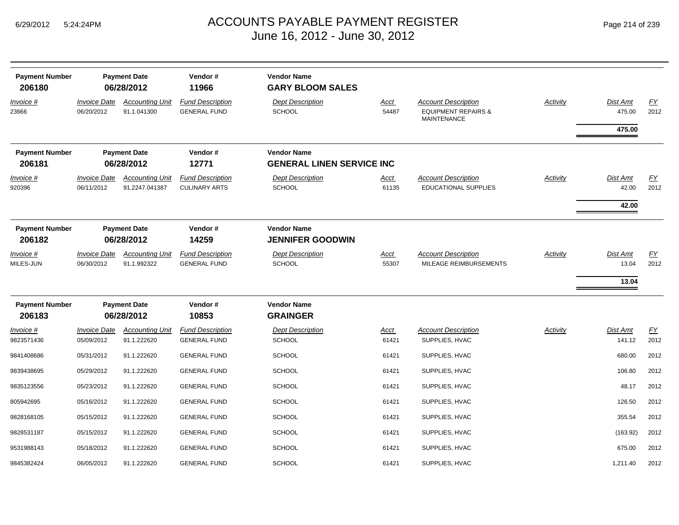| Page 214 of 239 |  |  |  |  |
|-----------------|--|--|--|--|
|-----------------|--|--|--|--|

| <b>Payment Number</b><br>206180 | <b>Payment Date</b><br>06/28/2012 |                                          | Vendor#<br>11966                                                           | <b>Vendor Name</b><br><b>GARY BLOOM SALES</b> |                      |                                                                                    |                 |                            |                          |
|---------------------------------|-----------------------------------|------------------------------------------|----------------------------------------------------------------------------|-----------------------------------------------|----------------------|------------------------------------------------------------------------------------|-----------------|----------------------------|--------------------------|
| <u>Invoice #</u><br>23666       | <b>Invoice Date</b><br>06/20/2012 | <b>Accounting Unit</b><br>91.1.041300    | <b>Fund Description</b><br><b>GENERAL FUND</b>                             | <b>Dept Description</b><br>SCHOOL             | <u>Acct</u><br>54487 | <b>Account Description</b><br><b>EQUIPMENT REPAIRS &amp;</b><br><b>MAINTENANCE</b> | <b>Activity</b> | <b>Dist Amt</b><br>475.00  | EY<br>2012               |
|                                 |                                   |                                          |                                                                            |                                               |                      |                                                                                    |                 | 475.00                     |                          |
| <b>Payment Number</b><br>206181 | <b>Payment Date</b><br>06/28/2012 |                                          | Vendor#<br><b>Vendor Name</b><br>12771<br><b>GENERAL LINEN SERVICE INC</b> |                                               |                      |                                                                                    |                 |                            |                          |
| $Invoice$ #<br>920396           | <b>Invoice Date</b><br>06/11/2012 | <b>Accounting Unit</b><br>91.2247.041387 | <b>Fund Description</b><br><b>CULINARY ARTS</b>                            | <b>Dept Description</b><br>SCHOOL             | <u>Acct</u><br>61135 | <b>Account Description</b><br><b>EDUCATIONAL SUPPLIES</b>                          | <b>Activity</b> | Dist Amt<br>42.00<br>42.00 | $\underline{FY}$<br>2012 |
| <b>Payment Number</b><br>206182 | <b>Payment Date</b><br>06/28/2012 |                                          | Vendor#<br>14259                                                           | <b>Vendor Name</b><br><b>JENNIFER GOODWIN</b> |                      |                                                                                    |                 |                            |                          |
| Invoice #<br>MILES-JUN          | <b>Invoice Date</b><br>06/30/2012 | <b>Accounting Unit</b><br>91.1.992322    | <b>Fund Description</b><br><b>GENERAL FUND</b>                             | <b>Dept Description</b><br><b>SCHOOL</b>      | <u>Acct</u><br>55307 | <b>Account Description</b><br>MILEAGE REIMBURSEMENTS                               | <b>Activity</b> | Dist Amt<br>13.04<br>13.04 | <u>FY</u><br>2012        |
| <b>Payment Number</b><br>206183 |                                   | <b>Payment Date</b><br>06/28/2012        | Vendor#<br>10853                                                           | <b>Vendor Name</b><br><b>GRAINGER</b>         |                      |                                                                                    |                 |                            |                          |
| Invoice #<br>9823571436         | <b>Invoice Date</b><br>05/09/2012 | <b>Accounting Unit</b><br>91.1.222620    | <b>Fund Description</b><br><b>GENERAL FUND</b>                             | <b>Dept Description</b><br><b>SCHOOL</b>      | Acct<br>61421        | <b>Account Description</b><br>SUPPLIES, HVAC                                       | Activity        | Dist Amt<br>141.12         | <u>FY</u><br>2012        |
| 9841408686                      | 05/31/2012                        | 91.1.222620                              | <b>GENERAL FUND</b>                                                        | <b>SCHOOL</b>                                 | 61421                | SUPPLIES, HVAC                                                                     |                 | 680.00                     | 2012                     |
| 9839438695                      | 05/29/2012                        | 91.1.222620                              | <b>GENERAL FUND</b>                                                        | <b>SCHOOL</b>                                 | 61421                | SUPPLIES, HVAC                                                                     |                 | 106.80                     | 2012                     |
| 9835123556                      | 05/23/2012                        | 91.1.222620                              | <b>GENERAL FUND</b>                                                        | <b>SCHOOL</b>                                 | 61421                | SUPPLIES, HVAC                                                                     |                 | 48.17                      | 2012                     |
| 805942695                       | 05/16/2012                        | 91.1.222620                              | <b>GENERAL FUND</b>                                                        | <b>SCHOOL</b>                                 | 61421                | SUPPLIES, HVAC                                                                     |                 | 126.50                     | 2012                     |
| 9828168105                      | 05/15/2012                        | 91.1.222620                              | <b>GENERAL FUND</b>                                                        | <b>SCHOOL</b>                                 | 61421                | SUPPLIES, HVAC                                                                     |                 | 355.54                     | 2012                     |
| 9828531187                      | 05/15/2012                        | 91.1.222620                              | <b>GENERAL FUND</b>                                                        | <b>SCHOOL</b>                                 | 61421                | SUPPLIES, HVAC                                                                     |                 | (163.92)                   | 2012                     |
| 9531988143                      | 05/18/2012                        | 91.1.222620                              | <b>GENERAL FUND</b>                                                        | <b>SCHOOL</b>                                 | 61421                | SUPPLIES, HVAC                                                                     |                 | 675.00                     | 2012                     |
| 9845382424                      | 06/05/2012                        | 91.1.222620                              | <b>GENERAL FUND</b>                                                        | <b>SCHOOL</b>                                 | 61421                | SUPPLIES, HVAC                                                                     |                 | 1,211.40                   | 2012                     |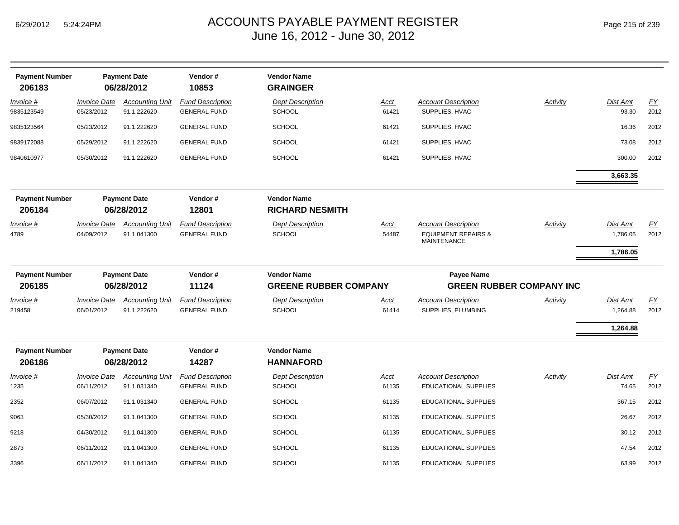| <b>Payment Number</b><br>206183 |                                   | <b>Payment Date</b><br>06/28/2012     | Vendor#<br>10853                               | <b>Vendor Name</b><br><b>GRAINGER</b>        |                      |                                                                                    |                 |                             |            |
|---------------------------------|-----------------------------------|---------------------------------------|------------------------------------------------|----------------------------------------------|----------------------|------------------------------------------------------------------------------------|-----------------|-----------------------------|------------|
| Invoice #<br>9835123549         | <b>Invoice Date</b><br>05/23/2012 | <b>Accounting Unit</b><br>91.1.222620 | <b>Fund Description</b><br><b>GENERAL FUND</b> | <b>Dept Description</b><br><b>SCHOOL</b>     | <u>Acct</u><br>61421 | <b>Account Description</b><br>SUPPLIES, HVAC                                       | <b>Activity</b> | Dist Amt<br>93.30           | EY<br>2012 |
| 9835123564                      | 05/23/2012                        | 91.1.222620                           | <b>GENERAL FUND</b>                            | <b>SCHOOL</b>                                | 61421                | SUPPLIES, HVAC                                                                     |                 | 16.36                       | 2012       |
| 9839172088                      | 05/29/2012                        | 91.1.222620                           | <b>GENERAL FUND</b>                            | <b>SCHOOL</b>                                | 61421                | SUPPLIES, HVAC                                                                     |                 | 73.08                       | 2012       |
| 9840610977                      | 05/30/2012                        | 91.1.222620                           | <b>GENERAL FUND</b>                            | <b>SCHOOL</b>                                | 61421                | SUPPLIES, HVAC                                                                     |                 | 300.00                      | 2012       |
|                                 |                                   |                                       |                                                |                                              |                      |                                                                                    |                 | 3,663.35                    |            |
| <b>Payment Number</b><br>206184 | <b>Payment Date</b><br>06/28/2012 |                                       | Vendor#<br>12801                               | <b>Vendor Name</b><br><b>RICHARD NESMITH</b> |                      |                                                                                    |                 |                             |            |
| <u>Invoice #</u><br>4789        | <b>Invoice Date</b><br>04/09/2012 | <b>Accounting Unit</b><br>91.1.041300 | <b>Fund Description</b><br><b>GENERAL FUND</b> | <b>Dept Description</b><br><b>SCHOOL</b>     | <u>Acct</u><br>54487 | <b>Account Description</b><br><b>EQUIPMENT REPAIRS &amp;</b><br><b>MAINTENANCE</b> | <b>Activity</b> | <u>Dist Amt</u><br>1,786.05 | EY<br>2012 |
|                                 |                                   |                                       |                                                |                                              |                      |                                                                                    |                 | 1,786.05                    |            |
| <b>Payment Number</b>           | <b>Payment Date</b>               |                                       | Vendor#                                        | <b>Vendor Name</b>                           |                      | Payee Name                                                                         |                 |                             |            |
| 206185                          |                                   | 06/28/2012                            | 11124                                          | <b>GREENE RUBBER COMPANY</b>                 |                      | <b>GREEN RUBBER COMPANY INC</b>                                                    |                 |                             |            |
| Invoice #<br>219458             | <b>Invoice Date</b><br>06/01/2012 | <b>Accounting Unit</b><br>91.1.222620 | <b>Fund Description</b><br><b>GENERAL FUND</b> | <b>Dept Description</b><br><b>SCHOOL</b>     | <u>Acct</u><br>61414 | <b>Account Description</b><br>SUPPLIES, PLUMBING                                   | Activity        | Dist Amt<br>1,264.88        | EY<br>2012 |
|                                 |                                   |                                       |                                                |                                              |                      |                                                                                    |                 | 1,264.88                    |            |
| <b>Payment Number</b><br>206186 |                                   | <b>Payment Date</b><br>06/28/2012     | Vendor#<br>14287                               | <b>Vendor Name</b><br><b>HANNAFORD</b>       |                      |                                                                                    |                 |                             |            |
| <u>Invoice #</u><br>1235        | <b>Invoice Date</b><br>06/11/2012 | <b>Accounting Unit</b><br>91.1.031340 | <b>Fund Description</b><br><b>GENERAL FUND</b> | <b>Dept Description</b><br><b>SCHOOL</b>     | <u>Acct</u><br>61135 | <b>Account Description</b><br><b>EDUCATIONAL SUPPLIES</b>                          | Activity        | Dist Amt<br>74.65           | EY<br>2012 |
| 2352                            | 06/07/2012                        | 91.1.031340                           | <b>GENERAL FUND</b>                            | <b>SCHOOL</b>                                | 61135                | <b>EDUCATIONAL SUPPLIES</b>                                                        |                 | 367.15                      | 2012       |
| 9063                            | 05/30/2012                        | 91.1.041300                           | <b>GENERAL FUND</b>                            | <b>SCHOOL</b>                                | 61135                | <b>EDUCATIONAL SUPPLIES</b>                                                        |                 | 26.67                       | 2012       |
| 9218                            | 04/30/2012                        | 91.1.041300                           | <b>GENERAL FUND</b>                            | <b>SCHOOL</b>                                | 61135                | <b>EDUCATIONAL SUPPLIES</b>                                                        |                 | 30.12                       | 2012       |
| 2873                            | 06/11/2012                        | 91.1.041300                           | <b>GENERAL FUND</b>                            | <b>SCHOOL</b>                                | 61135                | <b>EDUCATIONAL SUPPLIES</b>                                                        |                 | 47.54                       | 2012       |
| 3396                            | 06/11/2012                        | 91.1.041340                           | <b>GENERAL FUND</b>                            | <b>SCHOOL</b>                                | 61135                | <b>EDUCATIONAL SUPPLIES</b>                                                        |                 | 63.99                       | 2012       |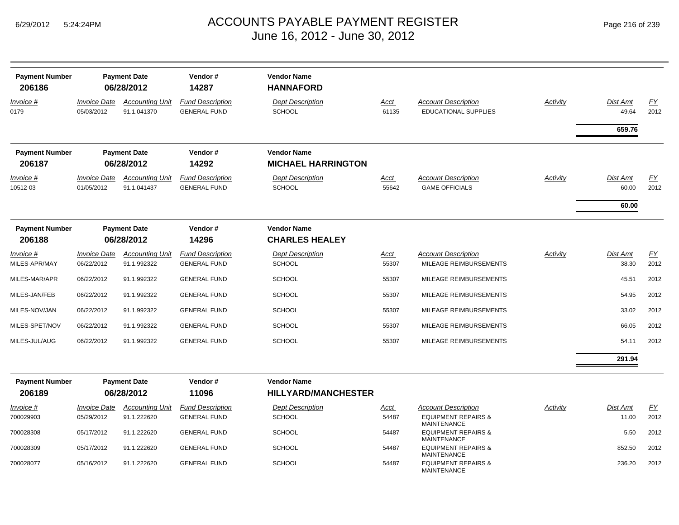| <b>Payment Number</b><br>206186 |                                   | <b>Payment Date</b><br>06/28/2012     | Vendor#<br>14287                               | <b>Vendor Name</b><br><b>HANNAFORD</b>           |               |                                                              |          |                            |                   |
|---------------------------------|-----------------------------------|---------------------------------------|------------------------------------------------|--------------------------------------------------|---------------|--------------------------------------------------------------|----------|----------------------------|-------------------|
| Invoice #<br>0179               | <b>Invoice Date</b><br>05/03/2012 | <b>Accounting Unit</b><br>91.1.041370 | <b>Fund Description</b><br><b>GENERAL FUND</b> | <b>Dept Description</b><br><b>SCHOOL</b>         | Acct<br>61135 | <b>Account Description</b><br><b>EDUCATIONAL SUPPLIES</b>    | Activity | Dist Amt<br>49.64          | EY<br>2012        |
|                                 |                                   |                                       |                                                |                                                  |               |                                                              |          | 659.76                     |                   |
| <b>Payment Number</b><br>206187 |                                   | <b>Payment Date</b><br>06/28/2012     | Vendor#<br>14292                               | <b>Vendor Name</b><br><b>MICHAEL HARRINGTON</b>  |               |                                                              |          |                            |                   |
| Invoice #<br>10512-03           | <b>Invoice Date</b><br>01/05/2012 | <b>Accounting Unit</b><br>91.1.041437 | <b>Fund Description</b><br><b>GENERAL FUND</b> | <b>Dept Description</b><br>SCHOOL                | Acct<br>55642 | <b>Account Description</b><br><b>GAME OFFICIALS</b>          | Activity | Dist Amt<br>60.00<br>60.00 | EY<br>2012        |
| <b>Payment Number</b><br>206188 |                                   | <b>Payment Date</b><br>06/28/2012     | Vendor#<br>14296                               | <b>Vendor Name</b><br><b>CHARLES HEALEY</b>      |               |                                                              |          |                            |                   |
| Invoice #<br>MILES-APR/MAY      | <b>Invoice Date</b><br>06/22/2012 | <b>Accounting Unit</b><br>91.1.992322 | <b>Fund Description</b><br><b>GENERAL FUND</b> | <b>Dept Description</b><br>SCHOOL                | Acct<br>55307 | <b>Account Description</b><br>MILEAGE REIMBURSEMENTS         | Activity | Dist Amt<br>38.30          | EY<br>2012        |
| MILES-MAR/APR                   | 06/22/2012                        | 91.1.992322                           | <b>GENERAL FUND</b>                            | SCHOOL                                           | 55307         | MILEAGE REIMBURSEMENTS                                       |          | 45.51                      | 2012              |
| MILES-JAN/FEB                   | 06/22/2012                        | 91.1.992322                           | <b>GENERAL FUND</b>                            | SCHOOL                                           | 55307         | MILEAGE REIMBURSEMENTS                                       |          | 54.95                      | 2012              |
| MILES-NOV/JAN                   | 06/22/2012                        | 91.1.992322                           | <b>GENERAL FUND</b>                            | SCHOOL                                           | 55307         | MILEAGE REIMBURSEMENTS                                       |          | 33.02                      | 2012              |
| MILES-SPET/NOV                  | 06/22/2012                        | 91.1.992322                           | <b>GENERAL FUND</b>                            | <b>SCHOOL</b>                                    | 55307         | MILEAGE REIMBURSEMENTS                                       |          | 66.05                      | 2012              |
| MILES-JUL/AUG                   | 06/22/2012                        | 91.1.992322                           | <b>GENERAL FUND</b>                            | SCHOOL                                           | 55307         | MILEAGE REIMBURSEMENTS                                       |          | 54.11                      | 2012              |
|                                 |                                   |                                       |                                                |                                                  |               |                                                              |          | 291.94                     |                   |
| <b>Payment Number</b><br>206189 |                                   | <b>Payment Date</b><br>06/28/2012     | Vendor#<br>11096                               | <b>Vendor Name</b><br><b>HILLYARD/MANCHESTER</b> |               |                                                              |          |                            |                   |
| Invoice #<br>700029903          | <b>Invoice Date</b><br>05/29/2012 | <b>Accounting Unit</b><br>91.1.222620 | <b>Fund Description</b><br><b>GENERAL FUND</b> | <b>Dept Description</b><br>SCHOOL                | Acct<br>54487 | <b>Account Description</b><br><b>EQUIPMENT REPAIRS &amp;</b> | Activity | Dist Amt<br>11.00          | <u>FY</u><br>2012 |

| $Invoice$ # | <i><b>Invoice Date</b></i> | <b>Accounting Unit</b> | <b>Fund Description</b> | <b>Dept Description</b> | <u>Acct</u> | <b>Account Description</b>                           | Activity | Dist Amt | <u>FY</u> |
|-------------|----------------------------|------------------------|-------------------------|-------------------------|-------------|------------------------------------------------------|----------|----------|-----------|
| 700029903   | 05/29/2012                 | 91.1.222620            | <b>GENERAL FUND</b>     | <b>SCHOOL</b>           | 54487       | <b>EQUIPMENT REPAIRS &amp;</b><br>MAINTENANCE        |          | 11.00    | 2012      |
| 700028308   | 05/17/2012                 | 91.1.222620            | <b>GENERAL FUND</b>     | <b>SCHOOL</b>           | 54487       | <b>EQUIPMENT REPAIRS &amp;</b><br>MAINTENANCE        |          | 5.50     | 2012      |
| 700028309   | 05/17/2012                 | 91.1.222620            | <b>GENERAL FUND</b>     | <b>SCHOOL</b>           | 54487       | <b>EQUIPMENT REPAIRS &amp;</b><br><b>MAINTENANCE</b> |          | 852.50   | 2012      |
| 700028077   | 05/16/2012                 | 91.1.222620            | <b>GENERAL FUND</b>     | <b>SCHOOL</b>           | 54487       | <b>EQUIPMENT REPAIRS &amp;</b><br>MAINTENANCE        |          | 236.20   | 2012      |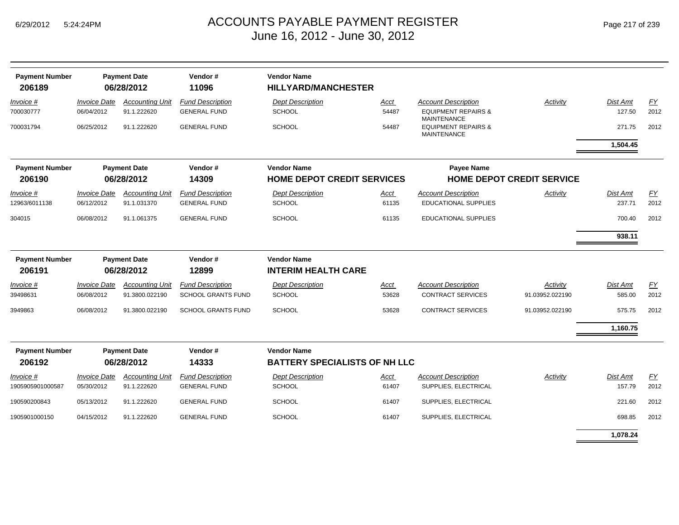| Page 217 of 239 |
|-----------------|
|-----------------|

| <b>Payment Number</b>      |                                   | <b>Payment Date</b>                   | Vendor#                                        | <b>Vendor Name</b>                       |               |                                                           |                                  |                    |                  |
|----------------------------|-----------------------------------|---------------------------------------|------------------------------------------------|------------------------------------------|---------------|-----------------------------------------------------------|----------------------------------|--------------------|------------------|
| 206189                     |                                   | 06/28/2012                            | 11096                                          | <b>HILLYARD/MANCHESTER</b>               |               |                                                           |                                  |                    |                  |
| Invoice #                  | <i><b>Invoice Date</b></i>        | <b>Accounting Unit</b>                | <b>Fund Description</b>                        | <b>Dept Description</b>                  | Acct          | <b>Account Description</b>                                | Activity                         | Dist Amt           | FY               |
| 700030777                  | 06/04/2012                        | 91.1.222620                           | <b>GENERAL FUND</b>                            | <b>SCHOOL</b>                            | 54487         | <b>EQUIPMENT REPAIRS &amp;</b><br><b>MAINTENANCE</b>      |                                  | 127.50             | 2012             |
| 700031794                  | 06/25/2012                        | 91.1.222620                           | <b>GENERAL FUND</b>                            | <b>SCHOOL</b>                            | 54487         | <b>EQUIPMENT REPAIRS &amp;</b><br><b>MAINTENANCE</b>      |                                  | 271.75             | 2012             |
|                            |                                   |                                       |                                                |                                          |               |                                                           |                                  | 1,504.45           |                  |
| <b>Payment Number</b>      |                                   | <b>Payment Date</b>                   | Vendor#                                        | <b>Vendor Name</b>                       |               | <b>Payee Name</b>                                         |                                  |                    |                  |
| 206190                     |                                   | 06/28/2012                            | 14309                                          | <b>HOME DEPOT CREDIT SERVICES</b>        |               |                                                           | <b>HOME DEPOT CREDIT SERVICE</b> |                    |                  |
| Invoice #<br>12963/6011138 | <b>Invoice Date</b><br>06/12/2012 | <b>Accounting Unit</b><br>91.1.031370 | <b>Fund Description</b><br><b>GENERAL FUND</b> | <b>Dept Description</b><br><b>SCHOOL</b> | Acct<br>61135 | <b>Account Description</b><br><b>EDUCATIONAL SUPPLIES</b> | Activity                         | Dist Amt<br>237.71 | EY<br>2012       |
| 304015                     | 06/08/2012                        | 91.1.061375                           | <b>GENERAL FUND</b>                            | <b>SCHOOL</b>                            | 61135         | <b>EDUCATIONAL SUPPLIES</b>                               |                                  | 700.40             | 2012             |
|                            |                                   |                                       |                                                |                                          |               |                                                           |                                  | 938.11             |                  |
| <b>Payment Number</b>      |                                   | <b>Payment Date</b>                   | Vendor#                                        | <b>Vendor Name</b>                       |               |                                                           |                                  |                    |                  |
| 206191                     |                                   | 06/28/2012                            | 12899                                          | <b>INTERIM HEALTH CARE</b>               |               |                                                           |                                  |                    |                  |
| Invoice #                  | <b>Invoice Date</b>               | <b>Accounting Unit</b>                | <b>Fund Description</b>                        | <b>Dept Description</b>                  | Acct          | <b>Account Description</b>                                | Activity                         | Dist Amt           | $\underline{FY}$ |
| 39498631                   | 06/08/2012                        | 91.3800.022190                        | <b>SCHOOL GRANTS FUND</b>                      | <b>SCHOOL</b>                            | 53628         | <b>CONTRACT SERVICES</b>                                  | 91.03952.022190                  | 585.00             | 2012             |
| 3949863                    | 06/08/2012                        | 91.3800.022190                        | <b>SCHOOL GRANTS FUND</b>                      | <b>SCHOOL</b>                            | 53628         | <b>CONTRACT SERVICES</b>                                  | 91.03952.022190                  | 575.75             | 2012             |
|                            |                                   |                                       |                                                |                                          |               |                                                           |                                  | 1,160.75           |                  |
| <b>Payment Number</b>      |                                   | <b>Payment Date</b>                   | Vendor#                                        | <b>Vendor Name</b>                       |               |                                                           |                                  |                    |                  |
| 206192                     |                                   | 06/28/2012                            | 14333                                          | <b>BATTERY SPECIALISTS OF NH LLC</b>     |               |                                                           |                                  |                    |                  |
| Invoice #                  | <b>Invoice Date</b>               | <b>Accounting Unit</b>                | <b>Fund Description</b>                        | <b>Dept Description</b>                  | Acct          | <b>Account Description</b>                                | Activity                         | Dist Amt           | EY               |
| 1905905901000587           | 05/30/2012                        | 91.1.222620                           | <b>GENERAL FUND</b>                            | <b>SCHOOL</b>                            | 61407         | SUPPLIES, ELECTRICAL                                      |                                  | 157.79             | 2012             |
| 190590200843               | 05/13/2012                        | 91.1.222620                           | <b>GENERAL FUND</b>                            | <b>SCHOOL</b>                            | 61407         | SUPPLIES, ELECTRICAL                                      |                                  | 221.60             | 2012             |
| 1905901000150              | 04/15/2012                        | 91.1.222620                           | <b>GENERAL FUND</b>                            | <b>SCHOOL</b>                            | 61407         | SUPPLIES, ELECTRICAL                                      |                                  | 698.85             | 2012             |
|                            |                                   |                                       |                                                |                                          |               |                                                           |                                  | 1,078.24           |                  |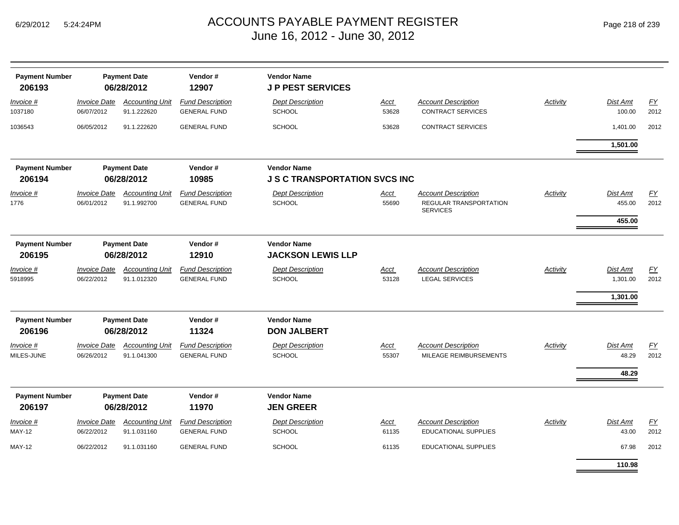| <b>Payment Number</b><br>206193 |                                   | <b>Payment Date</b><br>06/28/2012     | Vendor#<br>12907                               | <b>Vendor Name</b><br><b>J P PEST SERVICES</b>             |                      |                                                                         |          |                                  |                   |
|---------------------------------|-----------------------------------|---------------------------------------|------------------------------------------------|------------------------------------------------------------|----------------------|-------------------------------------------------------------------------|----------|----------------------------------|-------------------|
| Invoice #<br>1037180            | <b>Invoice Date</b><br>06/07/2012 | <b>Accounting Unit</b><br>91.1.222620 | <b>Fund Description</b><br><b>GENERAL FUND</b> | <b>Dept Description</b><br><b>SCHOOL</b>                   | <b>Acct</b><br>53628 | <b>Account Description</b><br><b>CONTRACT SERVICES</b>                  | Activity | Dist Amt<br>100.00               | EY<br>2012        |
| 1036543                         | 06/05/2012                        | 91.1.222620                           | <b>GENERAL FUND</b>                            | <b>SCHOOL</b>                                              | 53628                | <b>CONTRACT SERVICES</b>                                                |          | 1,401.00                         | 2012              |
|                                 |                                   |                                       |                                                |                                                            |                      |                                                                         |          | 1,501.00                         |                   |
| <b>Payment Number</b><br>206194 | <b>Payment Date</b><br>06/28/2012 |                                       | Vendor#<br>10985                               | <b>Vendor Name</b><br><b>J S C TRANSPORTATION SVCS INC</b> |                      |                                                                         |          |                                  |                   |
| Invoice #<br>1776               | <b>Invoice Date</b><br>06/01/2012 | <b>Accounting Unit</b><br>91.1.992700 | <b>Fund Description</b><br><b>GENERAL FUND</b> | <b>Dept Description</b><br><b>SCHOOL</b>                   | Acct<br>55690        | <b>Account Description</b><br>REGULAR TRANSPORTATION<br><b>SERVICES</b> | Activity | Dist Amt<br>455.00<br>455.00     | FY<br>2012        |
| <b>Payment Number</b><br>206195 |                                   | <b>Payment Date</b><br>06/28/2012     | Vendor#<br>12910                               | <b>Vendor Name</b><br><b>JACKSON LEWIS LLP</b>             |                      |                                                                         |          |                                  |                   |
| Invoice #<br>5918995            | <b>Invoice Date</b><br>06/22/2012 | <b>Accounting Unit</b><br>91.1.012320 | <b>Fund Description</b><br><b>GENERAL FUND</b> | <b>Dept Description</b><br><b>SCHOOL</b>                   | Acct<br>53128        | <b>Account Description</b><br><b>LEGAL SERVICES</b>                     | Activity | Dist Amt<br>1,301.00<br>1,301.00 | <b>FY</b><br>2012 |
| <b>Payment Number</b><br>206196 | <b>Payment Date</b><br>06/28/2012 |                                       | Vendor#<br>11324                               | <b>Vendor Name</b><br><b>DON JALBERT</b>                   |                      |                                                                         |          |                                  |                   |
| Invoice #<br>MILES-JUNE         | <b>Invoice Date</b><br>06/26/2012 | <b>Accounting Unit</b><br>91.1.041300 | <b>Fund Description</b><br><b>GENERAL FUND</b> | <b>Dept Description</b><br><b>SCHOOL</b>                   | <b>Acct</b><br>55307 | <b>Account Description</b><br>MILEAGE REIMBURSEMENTS                    | Activity | Dist Amt<br>48.29<br>48.29       | <u>FY</u><br>2012 |
| <b>Payment Number</b><br>206197 |                                   | <b>Payment Date</b><br>06/28/2012     | Vendor#<br>11970                               | <b>Vendor Name</b><br><b>JEN GREER</b>                     |                      |                                                                         |          |                                  |                   |
| Invoice #<br><b>MAY-12</b>      | <b>Invoice Date</b><br>06/22/2012 | <b>Accounting Unit</b><br>91.1.031160 | <b>Fund Description</b><br><b>GENERAL FUND</b> | <b>Dept Description</b><br><b>SCHOOL</b>                   | Acct<br>61135        | <b>Account Description</b><br><b>EDUCATIONAL SUPPLIES</b>               | Activity | Dist Amt<br>43.00                | EY<br>2012        |
| <b>MAY-12</b>                   | 06/22/2012                        | 91.1.031160                           | <b>GENERAL FUND</b>                            | <b>SCHOOL</b>                                              | 61135                | <b>EDUCATIONAL SUPPLIES</b>                                             |          | 67.98                            | 2012              |
|                                 |                                   |                                       |                                                |                                                            |                      |                                                                         |          | 110.98                           |                   |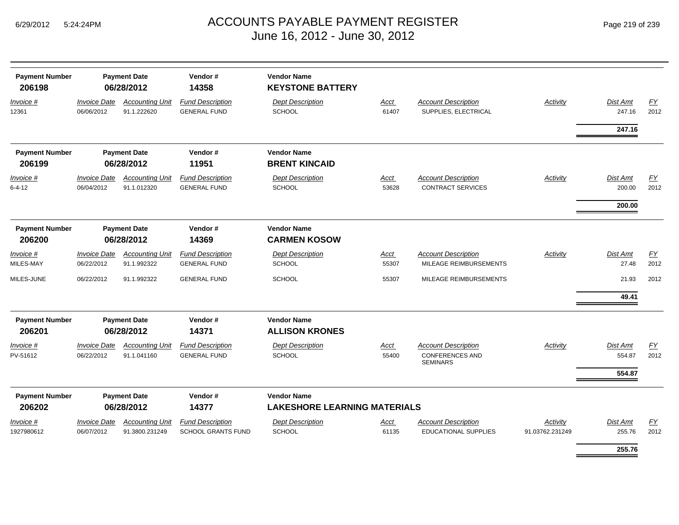| Page 219 of 239 |  |  |  |  |
|-----------------|--|--|--|--|
|-----------------|--|--|--|--|

| <b>Payment Number</b><br>206198 |                                   | <b>Payment Date</b><br>06/28/2012        | Vendor#<br>14358                                     | <b>Vendor Name</b><br><b>KEYSTONE BATTERY</b> |                      |                                                           |                             |                    |                  |
|---------------------------------|-----------------------------------|------------------------------------------|------------------------------------------------------|-----------------------------------------------|----------------------|-----------------------------------------------------------|-----------------------------|--------------------|------------------|
| Invoice #<br>12361              | <b>Invoice Date</b><br>06/06/2012 | <b>Accounting Unit</b><br>91.1.222620    | <b>Fund Description</b><br><b>GENERAL FUND</b>       | <b>Dept Description</b><br><b>SCHOOL</b>      | <b>Acct</b><br>61407 | <b>Account Description</b><br>SUPPLIES, ELECTRICAL        | <b>Activity</b>             | Dist Amt<br>247.16 | EY<br>2012       |
|                                 |                                   |                                          |                                                      |                                               |                      |                                                           |                             | 247.16             |                  |
| <b>Payment Number</b>           |                                   | <b>Payment Date</b>                      | Vendor#                                              | <b>Vendor Name</b>                            |                      |                                                           |                             |                    |                  |
| 206199                          |                                   | 06/28/2012                               | 11951                                                | <b>BRENT KINCAID</b>                          |                      |                                                           |                             |                    |                  |
| Invoice #<br>$6 - 4 - 12$       | <b>Invoice Date</b><br>06/04/2012 | <b>Accounting Unit</b><br>91.1.012320    | <b>Fund Description</b><br><b>GENERAL FUND</b>       | <b>Dept Description</b><br><b>SCHOOL</b>      | <b>Acct</b><br>53628 | <b>Account Description</b><br><b>CONTRACT SERVICES</b>    | Activity                    | Dist Amt<br>200.00 | EY<br>2012       |
|                                 |                                   |                                          |                                                      |                                               |                      |                                                           |                             | 200.00             |                  |
| <b>Payment Number</b>           |                                   | <b>Payment Date</b>                      | Vendor#                                              | <b>Vendor Name</b>                            |                      |                                                           |                             |                    |                  |
| 206200                          |                                   | 06/28/2012                               | 14369                                                | <b>CARMEN KOSOW</b>                           |                      |                                                           |                             |                    |                  |
| Invoice #                       | <b>Invoice Date</b>               | <b>Accounting Unit</b>                   | <b>Fund Description</b>                              | <b>Dept Description</b>                       | Acct                 | <b>Account Description</b>                                | Activity                    | Dist Amt           | $\underline{FY}$ |
| MILES-MAY                       | 06/22/2012                        | 91.1.992322                              | <b>GENERAL FUND</b>                                  | <b>SCHOOL</b>                                 | 55307                | MILEAGE REIMBURSEMENTS                                    |                             | 27.48              | 2012             |
| MILES-JUNE                      | 06/22/2012                        | 91.1.992322                              | <b>GENERAL FUND</b>                                  | SCHOOL                                        | 55307                | MILEAGE REIMBURSEMENTS                                    |                             | 21.93              | 2012             |
|                                 |                                   |                                          |                                                      |                                               |                      |                                                           |                             | 49.41              |                  |
| <b>Payment Number</b>           |                                   | <b>Payment Date</b>                      | Vendor#                                              | <b>Vendor Name</b>                            |                      |                                                           |                             |                    |                  |
| 206201                          |                                   | 06/28/2012                               | 14371                                                | <b>ALLISON KRONES</b>                         |                      |                                                           |                             |                    |                  |
| Invoice #                       | <b>Invoice Date</b>               | <b>Accounting Unit</b>                   | <b>Fund Description</b>                              | <b>Dept Description</b>                       | <b>Acct</b>          | <b>Account Description</b>                                | <b>Activity</b>             | Dist Amt           | EY               |
| PV-51612                        | 06/22/2012                        | 91.1.041160                              | <b>GENERAL FUND</b>                                  | <b>SCHOOL</b>                                 | 55400                | <b>CONFERENCES AND</b><br><b>SEMINARS</b>                 |                             | 554.87             | 2012             |
|                                 |                                   |                                          |                                                      |                                               |                      |                                                           |                             | 554.87             |                  |
| <b>Payment Number</b>           |                                   | <b>Payment Date</b>                      | Vendor#                                              | <b>Vendor Name</b>                            |                      |                                                           |                             |                    |                  |
| 206202                          |                                   | 06/28/2012                               | 14377                                                | <b>LAKESHORE LEARNING MATERIALS</b>           |                      |                                                           |                             |                    |                  |
| Invoice #<br>1927980612         | <b>Invoice Date</b><br>06/07/2012 | <b>Accounting Unit</b><br>91.3800.231249 | <b>Fund Description</b><br><b>SCHOOL GRANTS FUND</b> | <b>Dept Description</b><br>SCHOOL             | Acct<br>61135        | <b>Account Description</b><br><b>EDUCATIONAL SUPPLIES</b> | Activity<br>91.03762.231249 | Dist Amt<br>255.76 | FY<br>2012       |
|                                 |                                   |                                          |                                                      |                                               |                      |                                                           |                             | 255.76             |                  |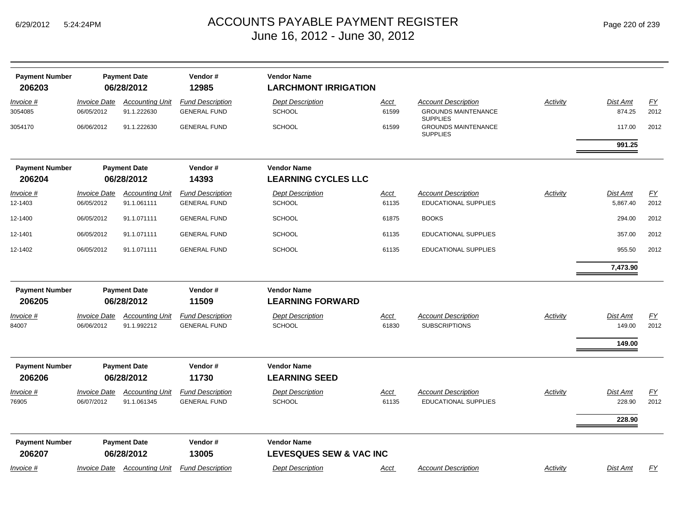3054085 06/05/2012 91.1.222630

3054170 06/06/2012 91.1.222630

*Invoice #*

*Invoice #*

| <b>Vendor Name</b><br>Payment Number<br><b>Payment Date</b><br>Vendor#<br>12985<br>206203<br>06/28/2012<br><b>LARCHMONT IRRIGATION</b><br><b>Fund Description</b><br><b>Invoice Date</b><br><b>Dept Description</b><br><b>Account Description</b><br>Activity<br><b>Accounting Unit</b><br><b>Acct</b><br>06/05/2012<br>91.1.222630<br><b>GENERAL FUND</b><br><b>SCHOOL</b><br>61599<br><b>GROUNDS MAINTENANCE</b><br><b>SUPPLIES</b> | <u>FY</u><br>Dist Amt                      |
|---------------------------------------------------------------------------------------------------------------------------------------------------------------------------------------------------------------------------------------------------------------------------------------------------------------------------------------------------------------------------------------------------------------------------------------|--------------------------------------------|
| <u>voice #</u><br>54085                                                                                                                                                                                                                                                                                                                                                                                                               |                                            |
| SCHOOL<br><b>GROUNDS MAINTENANCE</b><br>06/06/2012<br>91.1.222630<br><b>GENERAL FUND</b><br>61599<br>54170<br><b>SUPPLIES</b>                                                                                                                                                                                                                                                                                                         | 874.25<br>2012<br>117.00<br>2012<br>991.25 |
| <b>Vendor Name</b><br>Payment Number<br><b>Payment Date</b><br>Vendor#<br>14393<br><b>LEARNING CYCLES LLC</b><br>206204<br>06/28/2012                                                                                                                                                                                                                                                                                                 |                                            |
| <b>Fund Description</b><br><b>Dept Description</b><br><b>Invoice Date</b><br><b>Account Description</b><br>Activity<br><b>Accounting Unit</b><br>Acct<br><u>voice #</u><br><b>GENERAL FUND</b><br>SCHOOL<br><b>EDUCATIONAL SUPPLIES</b><br>-1403<br>06/05/2012<br>91.1.061111<br>61135                                                                                                                                                | FY<br>Dist Amt<br>2012<br>5,867.40         |
| SCHOOL<br>06/05/2012<br>91.1.071111<br><b>GENERAL FUND</b><br>61875<br><b>BOOKS</b><br>$-1400$<br>SCHOOL<br><b>EDUCATIONAL SUPPLIES</b><br>06/05/2012<br>91.1.071111<br><b>GENERAL FUND</b><br>61135<br>$-1401$                                                                                                                                                                                                                       | 294.00<br>2012<br>2012<br>357.00           |
| 91.1.071111<br><b>GENERAL FUND</b><br>SCHOOL<br><b>EDUCATIONAL SUPPLIES</b><br>06/05/2012<br>61135<br>$-1402$                                                                                                                                                                                                                                                                                                                         | 955.50<br>2012<br>7,473.90                 |
| <b>Vendor Name</b><br>Vendor#<br>Payment Number<br><b>Payment Date</b>                                                                                                                                                                                                                                                                                                                                                                |                                            |

| Invoice #                       | <b>Invoice Date</b>               | <b>Accounting Unit</b>                | <b>Fund Description</b>                        | <b>Dept Description</b>                       | Acct          | <b>Account Description</b>                                | Activity | <b>Dist Amt</b>           | EY         |
|---------------------------------|-----------------------------------|---------------------------------------|------------------------------------------------|-----------------------------------------------|---------------|-----------------------------------------------------------|----------|---------------------------|------------|
| <b>Payment Number</b><br>206207 |                                   | <b>Payment Date</b><br>06/28/2012     | Vendor#<br>13005                               | <b>Vendor Name</b><br>LEVESQUES SEW & VAC INC |               |                                                           |          |                           |            |
|                                 |                                   |                                       |                                                |                                               |               |                                                           |          | 228.90                    |            |
| Invoice #<br>76905              | <b>Invoice Date</b><br>06/07/2012 | <b>Accounting Unit</b><br>91.1.061345 | <b>Fund Description</b><br><b>GENERAL FUND</b> | <b>Dept Description</b><br><b>SCHOOL</b>      | Acct<br>61135 | <b>Account Description</b><br><b>EDUCATIONAL SUPPLIES</b> | Activity | <b>Dist Amt</b><br>228.90 | EY<br>2012 |
| <b>Payment Number</b><br>206206 |                                   | <b>Payment Date</b><br>06/28/2012     | Vendor#<br>11730                               | <b>Vendor Name</b><br><b>LEARNING SEED</b>    |               |                                                           |          |                           |            |
|                                 |                                   |                                       |                                                |                                               |               |                                                           |          | 149.00                    |            |
| Invoice #<br>84007              | <b>Invoice Date</b><br>06/06/2012 | <b>Accounting Unit</b><br>91.1.992212 | <b>Fund Description</b><br><b>GENERAL FUND</b> | <b>Dept Description</b><br><b>SCHOOL</b>      | Acct<br>61830 | <b>Account Description</b><br><b>SUBSCRIPTIONS</b>        | Activity | <b>Dist Amt</b><br>149.00 | EY<br>2012 |
| <b>Payment Number</b><br>206205 |                                   | <b>Payment Date</b><br>06/28/2012     | Vendor#<br>11509                               | <b>Vendor Name</b><br><b>LEARNING FORWARD</b> |               |                                                           |          |                           |            |
|                                 |                                   |                                       |                                                |                                               |               |                                                           |          | 7,473.90                  |            |
| 12-1402                         | 06/05/2012                        | 91.1.071111                           | <b>GENERAL FUND</b>                            | SCHOOL                                        | 61135         | <b>EDUCATIONAL SUPPLIES</b>                               |          | 955.50                    | 2012       |
| 12-1401                         | 06/05/2012                        | 91.1.071111                           | <b>GENERAL FUND</b>                            | <b>SCHOOL</b>                                 | 61135         | <b>EDUCATIONAL SUPPLIES</b>                               |          | 357.00                    | 2012       |
| 12-1400                         | 06/05/2012                        | 91.1.071111                           | <b>GENERAL FUND</b>                            | <b>SCHOOL</b>                                 | 61875         | <b>BOOKS</b>                                              |          | 294.00                    | 2012       |
| 12-1403                         | 06/05/2012                        | 91.1.061111                           | <b>GENERAL FUND</b>                            | <b>SCHOOL</b>                                 | 61135         | <b>EDUCATIONAL SUPPLIES</b>                               |          | 5,867.40                  | 2012       |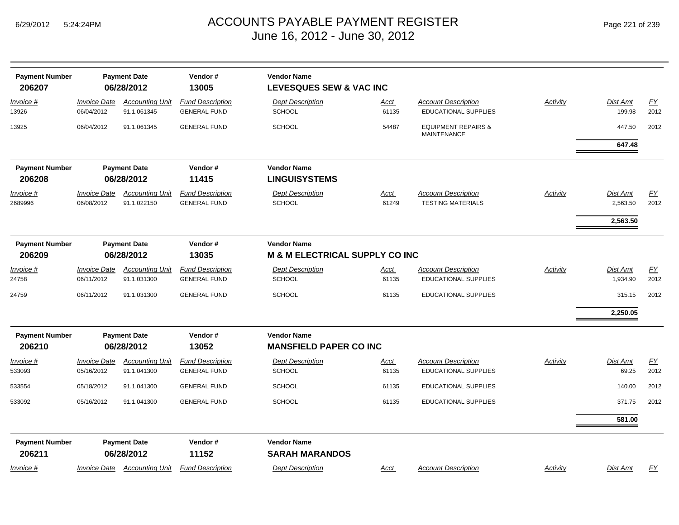| Page 221 of 239 |  |  |
|-----------------|--|--|
|-----------------|--|--|

| <b>Payment Number</b><br>206207 |                                   | <b>Payment Date</b><br>06/28/2012     | Vendor#<br>13005                               | <b>Vendor Name</b><br><b>LEVESQUES SEW &amp; VAC INC</b>        |               |                                                           |                 |                          |                          |
|---------------------------------|-----------------------------------|---------------------------------------|------------------------------------------------|-----------------------------------------------------------------|---------------|-----------------------------------------------------------|-----------------|--------------------------|--------------------------|
| Invoice #<br>13926              | <b>Invoice Date</b><br>06/04/2012 | <b>Accounting Unit</b><br>91.1.061345 | <b>Fund Description</b><br><b>GENERAL FUND</b> | <b>Dept Description</b><br>SCHOOL                               | Acct<br>61135 | <b>Account Description</b><br><b>EDUCATIONAL SUPPLIES</b> | Activity        | Dist Amt<br>199.98       | EY<br>2012               |
| 13925                           | 06/04/2012                        | 91.1.061345                           | <b>GENERAL FUND</b>                            | <b>SCHOOL</b>                                                   | 54487         | <b>EQUIPMENT REPAIRS &amp;</b><br><b>MAINTENANCE</b>      |                 | 447.50                   | 2012                     |
|                                 |                                   |                                       |                                                |                                                                 |               |                                                           |                 | 647.48                   |                          |
| <b>Payment Number</b><br>206208 |                                   | <b>Payment Date</b><br>06/28/2012     | Vendor#<br>11415                               | <b>Vendor Name</b><br><b>LINGUISYSTEMS</b>                      |               |                                                           |                 |                          |                          |
| Invoice #<br>2689996            | <b>Invoice Date</b><br>06/08/2012 | <b>Accounting Unit</b><br>91.1.022150 | <b>Fund Description</b><br><b>GENERAL FUND</b> | <b>Dept Description</b><br><b>SCHOOL</b>                        | Acct<br>61249 | <b>Account Description</b><br><b>TESTING MATERIALS</b>    | <b>Activity</b> | Dist Amt<br>2,563.50     | $\underline{FY}$<br>2012 |
|                                 |                                   |                                       |                                                |                                                                 |               |                                                           |                 | 2,563.50                 |                          |
| <b>Payment Number</b><br>206209 |                                   | <b>Payment Date</b><br>06/28/2012     | Vendor#<br>13035                               | <b>Vendor Name</b><br><b>M &amp; M ELECTRICAL SUPPLY CO INC</b> |               |                                                           |                 |                          |                          |
| Invoice #<br>24758              | <b>Invoice Date</b><br>06/11/2012 | <b>Accounting Unit</b><br>91.1.031300 | <b>Fund Description</b><br><b>GENERAL FUND</b> | <b>Dept Description</b><br><b>SCHOOL</b>                        | Acct<br>61135 | <b>Account Description</b><br><b>EDUCATIONAL SUPPLIES</b> | Activity        | Dist Amt<br>1,934.90     | EY<br>2012               |
| 24759                           | 06/11/2012                        | 91.1.031300                           | <b>GENERAL FUND</b>                            | <b>SCHOOL</b>                                                   | 61135         | <b>EDUCATIONAL SUPPLIES</b>                               |                 | 315.15                   | 2012                     |
|                                 |                                   |                                       |                                                |                                                                 |               |                                                           |                 | 2,250.05                 |                          |
| <b>Payment Number</b><br>206210 |                                   | <b>Payment Date</b><br>06/28/2012     | Vendor#<br>13052                               | <b>Vendor Name</b><br><b>MANSFIELD PAPER CO INC</b>             |               |                                                           |                 |                          |                          |
| Invoice #<br>533093             | <b>Invoice Date</b><br>05/16/2012 | <b>Accounting Unit</b><br>91.1.041300 | <b>Fund Description</b><br><b>GENERAL FUND</b> | <b>Dept Description</b><br><b>SCHOOL</b>                        | Acct<br>61135 | <b>Account Description</b><br><b>EDUCATIONAL SUPPLIES</b> | Activity        | <b>Dist Amt</b><br>69.25 | EY<br>2012               |
| 533554                          | 05/18/2012                        | 91.1.041300                           | <b>GENERAL FUND</b>                            | <b>SCHOOL</b>                                                   | 61135         | <b>EDUCATIONAL SUPPLIES</b>                               |                 | 140.00                   | 2012                     |
| 533092                          | 05/16/2012                        | 91.1.041300                           | <b>GENERAL FUND</b>                            | <b>SCHOOL</b>                                                   | 61135         | EDUCATIONAL SUPPLIES                                      |                 | 371.75                   | 2012                     |
|                                 |                                   |                                       |                                                |                                                                 |               |                                                           |                 | 581.00                   |                          |
| <b>Payment Number</b><br>206211 |                                   | <b>Payment Date</b><br>06/28/2012     | Vendor#<br>11152                               | <b>Vendor Name</b><br><b>SARAH MARANDOS</b>                     |               |                                                           |                 |                          |                          |
| Invoice #                       | <b>Invoice Date</b>               | <b>Accounting Unit</b>                | <b>Fund Description</b>                        | <b>Dept Description</b>                                         | Acct          | <b>Account Description</b>                                | Activity        | Dist Amt                 | <u>FY</u>                |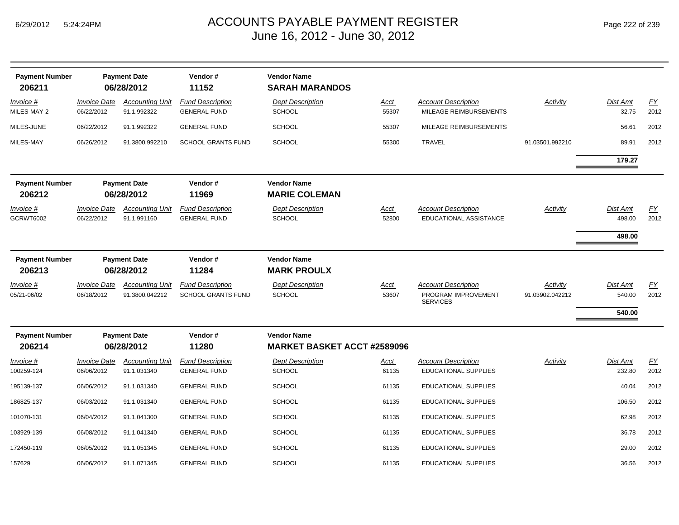| <b>Payment Number</b><br>206211 |                                   | <b>Payment Date</b><br>06/28/2012        | Vendor#<br>11152                                     | <b>Vendor Name</b><br><b>SARAH MARANDOS</b>              |                      |                                                                      |                             |                              |            |
|---------------------------------|-----------------------------------|------------------------------------------|------------------------------------------------------|----------------------------------------------------------|----------------------|----------------------------------------------------------------------|-----------------------------|------------------------------|------------|
| Invoice #<br>MILES-MAY-2        | Invoice Date<br>06/22/2012        | <b>Accounting Unit</b><br>91.1.992322    | <b>Fund Description</b><br><b>GENERAL FUND</b>       | <b>Dept Description</b><br><b>SCHOOL</b>                 | Acct<br>55307        | <b>Account Description</b><br>MILEAGE REIMBURSEMENTS                 | <b>Activity</b>             | Dist Amt<br>32.75            | EY<br>2012 |
| MILES-JUNE                      | 06/22/2012                        | 91.1.992322                              | <b>GENERAL FUND</b>                                  | <b>SCHOOL</b>                                            | 55307                | MILEAGE REIMBURSEMENTS                                               |                             | 56.61                        | 2012       |
| MILES-MAY                       | 06/26/2012                        | 91.3800.992210                           | <b>SCHOOL GRANTS FUND</b>                            | <b>SCHOOL</b>                                            | 55300                | <b>TRAVEL</b>                                                        | 91.03501.992210             | 89.91                        | 2012       |
|                                 |                                   |                                          |                                                      |                                                          |                      |                                                                      |                             | 179.27                       |            |
| <b>Payment Number</b><br>206212 |                                   | <b>Payment Date</b><br>06/28/2012        | Vendor#<br>11969                                     | <b>Vendor Name</b><br><b>MARIE COLEMAN</b>               |                      |                                                                      |                             |                              |            |
| Invoice #<br><b>GCRWT6002</b>   | <b>Invoice Date</b><br>06/22/2012 | <b>Accounting Unit</b><br>91.1.991160    | <b>Fund Description</b><br><b>GENERAL FUND</b>       | <b>Dept Description</b><br><b>SCHOOL</b>                 | Acct<br>52800        | <b>Account Description</b><br>EDUCATIONAL ASSISTANCE                 | Activity                    | Dist Amt<br>498.00<br>498.00 | EY<br>2012 |
| <b>Payment Number</b><br>206213 |                                   | <b>Payment Date</b><br>06/28/2012        | Vendor#<br>11284                                     | <b>Vendor Name</b><br><b>MARK PROULX</b>                 |                      |                                                                      |                             |                              |            |
| Invoice #<br>05/21-06/02        | <b>Invoice Date</b><br>06/18/2012 | <b>Accounting Unit</b><br>91.3800.042212 | <b>Fund Description</b><br><b>SCHOOL GRANTS FUND</b> | <b>Dept Description</b><br><b>SCHOOL</b>                 | <u>Acct</u><br>53607 | <b>Account Description</b><br>PROGRAM IMPROVEMENT<br><b>SERVICES</b> | Activity<br>91.03902.042212 | Dist Amt<br>540.00<br>540.00 | EY<br>2012 |
| <b>Payment Number</b><br>206214 |                                   | <b>Payment Date</b><br>06/28/2012        | Vendor#<br>11280                                     | <b>Vendor Name</b><br><b>MARKET BASKET ACCT #2589096</b> |                      |                                                                      |                             |                              |            |
| Invoice #<br>100259-124         | <b>Invoice Date</b><br>06/06/2012 | <b>Accounting Unit</b><br>91.1.031340    | <b>Fund Description</b><br><b>GENERAL FUND</b>       | <b>Dept Description</b><br><b>SCHOOL</b>                 | <u>Acct</u><br>61135 | <b>Account Description</b><br><b>EDUCATIONAL SUPPLIES</b>            | Activity                    | Dist Amt<br>232.80           | EY<br>2012 |
| 195139-137                      | 06/06/2012                        | 91.1.031340                              | <b>GENERAL FUND</b>                                  | <b>SCHOOL</b>                                            | 61135                | <b>EDUCATIONAL SUPPLIES</b>                                          |                             | 40.04                        | 2012       |
| 186825-137                      | 06/03/2012                        | 91.1.031340                              | <b>GENERAL FUND</b>                                  | <b>SCHOOL</b>                                            | 61135                | EDUCATIONAL SUPPLIES                                                 |                             | 106.50                       | 2012       |
| 101070-131                      | 06/04/2012                        | 91.1.041300                              | <b>GENERAL FUND</b>                                  | <b>SCHOOL</b>                                            | 61135                | <b>EDUCATIONAL SUPPLIES</b>                                          |                             | 62.98                        | 2012       |
| 103929-139                      | 06/08/2012                        | 91.1.041340                              | <b>GENERAL FUND</b>                                  | <b>SCHOOL</b>                                            | 61135                | EDUCATIONAL SUPPLIES                                                 |                             | 36.78                        | 2012       |
| 172450-119                      | 06/05/2012                        | 91.1.051345                              | <b>GENERAL FUND</b>                                  | <b>SCHOOL</b>                                            | 61135                | <b>EDUCATIONAL SUPPLIES</b>                                          |                             | 29.00                        | 2012       |
| 157629                          | 06/06/2012                        | 91.1.071345                              | <b>GENERAL FUND</b>                                  | <b>SCHOOL</b>                                            | 61135                | <b>EDUCATIONAL SUPPLIES</b>                                          |                             | 36.56                        | 2012       |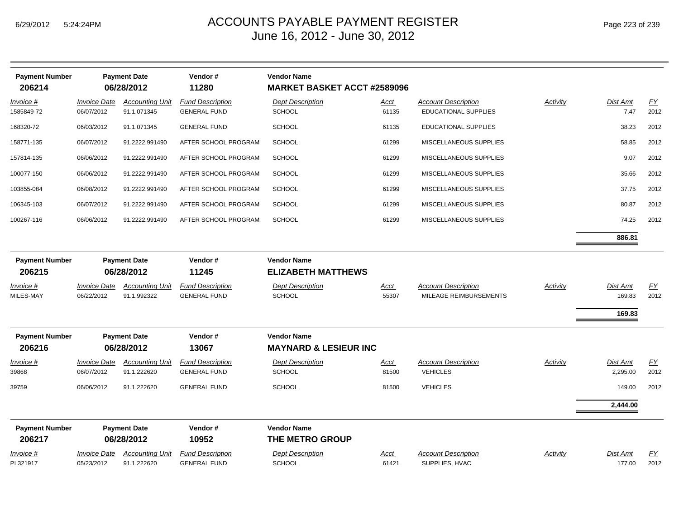**Payment Number Payment Date Vendor # Vendor Name**

| 206214                          |                                   | 06/28/2012                            | 11280                                          | <b>MARKET BASKET ACCT #2589096</b>                     |                      |                                                           |                 |                              |            |
|---------------------------------|-----------------------------------|---------------------------------------|------------------------------------------------|--------------------------------------------------------|----------------------|-----------------------------------------------------------|-----------------|------------------------------|------------|
| Invoice #<br>1585849-72         | <b>Invoice Date</b><br>06/07/2012 | <b>Accounting Unit</b><br>91.1.071345 | <b>Fund Description</b><br><b>GENERAL FUND</b> | <b>Dept Description</b><br><b>SCHOOL</b>               | <u>Acct</u><br>61135 | <b>Account Description</b><br><b>EDUCATIONAL SUPPLIES</b> | <b>Activity</b> | Dist Amt<br>7.47             | EY<br>2012 |
| 168320-72                       | 06/03/2012                        | 91.1.071345                           | <b>GENERAL FUND</b>                            | SCHOOL                                                 | 61135                | EDUCATIONAL SUPPLIES                                      |                 | 38.23                        | 2012       |
| 158771-135                      | 06/07/2012                        | 91.2222.991490                        | AFTER SCHOOL PROGRAM                           | <b>SCHOOL</b>                                          | 61299                | MISCELLANEOUS SUPPLIES                                    |                 | 58.85                        | 2012       |
| 157814-135                      | 06/06/2012                        | 91.2222.991490                        | AFTER SCHOOL PROGRAM                           | <b>SCHOOL</b>                                          | 61299                | MISCELLANEOUS SUPPLIES                                    |                 | 9.07                         | 2012       |
| 100077-150                      | 06/06/2012                        | 91.2222.991490                        | AFTER SCHOOL PROGRAM                           | <b>SCHOOL</b>                                          | 61299                | MISCELLANEOUS SUPPLIES                                    |                 | 35.66                        | 2012       |
| 103855-084                      | 06/08/2012                        | 91.2222.991490                        | AFTER SCHOOL PROGRAM                           | <b>SCHOOL</b>                                          | 61299                | MISCELLANEOUS SUPPLIES                                    |                 | 37.75                        | 2012       |
| 106345-103                      | 06/07/2012                        | 91.2222.991490                        | AFTER SCHOOL PROGRAM                           | <b>SCHOOL</b>                                          | 61299                | MISCELLANEOUS SUPPLIES                                    |                 | 80.87                        | 2012       |
| 100267-116                      | 06/06/2012                        | 91.2222.991490                        | AFTER SCHOOL PROGRAM                           | <b>SCHOOL</b>                                          | 61299                | MISCELLANEOUS SUPPLIES                                    |                 | 74.25                        | 2012       |
|                                 |                                   |                                       |                                                |                                                        |                      |                                                           |                 | 886.81                       |            |
| <b>Payment Number</b><br>206215 |                                   | <b>Payment Date</b><br>06/28/2012     | Vendor#<br>11245                               | <b>Vendor Name</b><br><b>ELIZABETH MATTHEWS</b>        |                      |                                                           |                 |                              |            |
| Invoice #<br>MILES-MAY          | <b>Invoice Date</b><br>06/22/2012 | <b>Accounting Unit</b><br>91.1.992322 | <b>Fund Description</b><br><b>GENERAL FUND</b> | <b>Dept Description</b><br><b>SCHOOL</b>               | Acct<br>55307        | <b>Account Description</b><br>MILEAGE REIMBURSEMENTS      | <b>Activity</b> | Dist Amt<br>169.83<br>169.83 | EY<br>2012 |
| <b>Payment Number</b><br>206216 |                                   | <b>Payment Date</b><br>06/28/2012     | Vendor#<br>13067                               | <b>Vendor Name</b><br><b>MAYNARD &amp; LESIEUR INC</b> |                      |                                                           |                 |                              |            |
| Invoice #<br>39868              | <b>Invoice Date</b><br>06/07/2012 | <b>Accounting Unit</b><br>91.1.222620 | <b>Fund Description</b><br><b>GENERAL FUND</b> | <b>Dept Description</b><br><b>SCHOOL</b>               | Acct<br>81500        | <b>Account Description</b><br><b>VEHICLES</b>             | Activity        | Dist Amt<br>2,295.00         | EY<br>2012 |
| 39759                           | 06/06/2012                        | 91.1.222620                           | <b>GENERAL FUND</b>                            | <b>SCHOOL</b>                                          | 81500                | <b>VEHICLES</b>                                           |                 | 149.00                       | 2012       |
|                                 |                                   |                                       |                                                |                                                        |                      |                                                           |                 | 2,444.00                     |            |
| <b>Payment Number</b><br>206217 |                                   | <b>Payment Date</b><br>06/28/2012     | Vendor#<br>10952                               | <b>Vendor Name</b><br>THE METRO GROUP                  |                      |                                                           |                 |                              |            |
| $Invoice$ #<br>PI 321917        | <b>Invoice Date</b><br>05/23/2012 | <b>Accounting Unit</b><br>91.1.222620 | <b>Fund Description</b><br><b>GENERAL FUND</b> | <b>Dept Description</b><br><b>SCHOOL</b>               | <b>Acct</b><br>61421 | <b>Account Description</b><br>SUPPLIES, HVAC              | Activity        | <b>Dist Amt</b><br>177.00    | EY<br>2012 |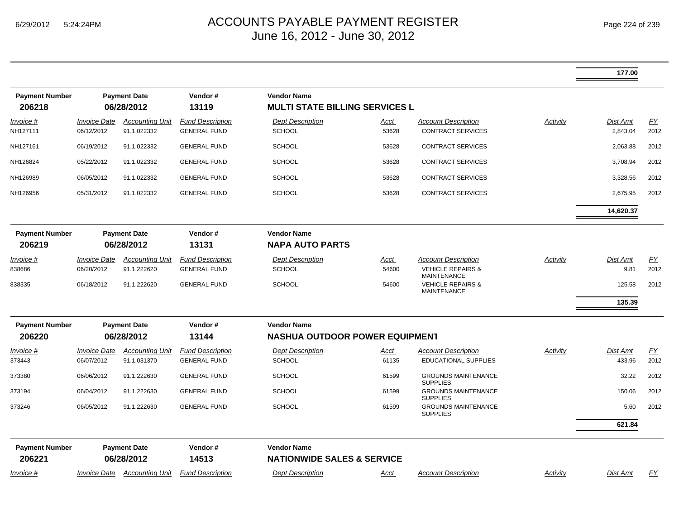|                                 |                                                      |                                       |                                                |                                                             |                      |                                                                                  |          | 177.00                    |                   |
|---------------------------------|------------------------------------------------------|---------------------------------------|------------------------------------------------|-------------------------------------------------------------|----------------------|----------------------------------------------------------------------------------|----------|---------------------------|-------------------|
| <b>Payment Number</b><br>206218 |                                                      | <b>Payment Date</b><br>06/28/2012     | Vendor#<br>13119                               | <b>Vendor Name</b><br><b>MULTI STATE BILLING SERVICES L</b> |                      |                                                                                  |          |                           |                   |
| Invoice #<br>NH127111           | <b>Invoice Date</b><br>06/12/2012                    | <b>Accounting Unit</b><br>91.1.022332 | <b>Fund Description</b><br><b>GENERAL FUND</b> | <b>Dept Description</b><br><b>SCHOOL</b>                    | Acct<br>53628        | <b>Account Description</b><br><b>CONTRACT SERVICES</b>                           | Activity | Dist Amt<br>2,843.04      | FY<br>2012        |
| NH127161                        | 06/19/2012                                           | 91.1.022332                           | <b>GENERAL FUND</b>                            | <b>SCHOOL</b>                                               | 53628                | <b>CONTRACT SERVICES</b>                                                         |          | 2,063.88                  | 2012              |
| NH126824                        | 05/22/2012                                           | 91.1.022332                           | <b>GENERAL FUND</b>                            | <b>SCHOOL</b>                                               | 53628                | <b>CONTRACT SERVICES</b>                                                         |          | 3,708.94                  | 2012              |
| NH126989                        | 06/05/2012                                           | 91.1.022332                           | <b>GENERAL FUND</b>                            | <b>SCHOOL</b>                                               | 53628                | <b>CONTRACT SERVICES</b>                                                         |          | 3,328.56                  | 2012              |
| NH126956                        | 05/31/2012                                           | 91.1.022332                           | <b>GENERAL FUND</b>                            | <b>SCHOOL</b>                                               | 53628                | <b>CONTRACT SERVICES</b>                                                         |          | 2,675.95                  | 2012              |
|                                 |                                                      |                                       |                                                |                                                             |                      |                                                                                  |          | 14,620.37                 |                   |
| <b>Payment Number</b>           |                                                      | <b>Payment Date</b>                   | Vendor#                                        | <b>Vendor Name</b>                                          |                      |                                                                                  |          |                           |                   |
| 206219                          |                                                      | 06/28/2012                            | 13131                                          | <b>NAPA AUTO PARTS</b>                                      |                      |                                                                                  |          |                           |                   |
| Invoice #<br>838686             | <b>Invoice Date</b><br>06/20/2012                    | <b>Accounting Unit</b><br>91.1.222620 | <b>Fund Description</b><br><b>GENERAL FUND</b> | <b>Dept Description</b><br><b>SCHOOL</b>                    | <u>Acct</u><br>54600 | <b>Account Description</b><br><b>VEHICLE REPAIRS &amp;</b><br><b>MAINTENANCE</b> | Activity | <b>Dist Amt</b><br>9.81   | <u>FY</u><br>2012 |
| 838335                          | 06/18/2012                                           | 91.1.222620                           | <b>GENERAL FUND</b>                            | <b>SCHOOL</b>                                               | 54600                | <b>VEHICLE REPAIRS &amp;</b><br><b>MAINTENANCE</b>                               |          | 125.58                    | 2012              |
|                                 |                                                      |                                       |                                                |                                                             |                      |                                                                                  |          | 135.39                    |                   |
| <b>Payment Number</b>           | Vendor#<br><b>Vendor Name</b><br><b>Payment Date</b> |                                       |                                                |                                                             |                      |                                                                                  |          |                           |                   |
| 206220                          |                                                      | 06/28/2012                            | 13144                                          | <b>NASHUA OUTDOOR POWER EQUIPMENT</b>                       |                      |                                                                                  |          |                           |                   |
| <u>Invoice</u> #<br>373443      | <b>Invoice Date</b><br>06/07/2012                    | <b>Accounting Unit</b><br>91.1.031370 | <b>Fund Description</b><br><b>GENERAL FUND</b> | <b>Dept Description</b><br><b>SCHOOL</b>                    | <u>Acct</u><br>61135 | <b>Account Description</b><br><b>EDUCATIONAL SUPPLIES</b>                        | Activity | <b>Dist Amt</b><br>433.96 | <u>FY</u><br>2012 |
| 373380                          | 06/06/2012                                           | 91.1.222630                           | <b>GENERAL FUND</b>                            | <b>SCHOOL</b>                                               | 61599                | <b>GROUNDS MAINTENANCE</b><br><b>SUPPLIES</b>                                    |          | 32.22                     | 2012              |
| 373194                          | 06/04/2012                                           | 91.1.222630                           | <b>GENERAL FUND</b>                            | <b>SCHOOL</b>                                               | 61599                | <b>GROUNDS MAINTENANCE</b><br><b>SUPPLIES</b>                                    |          | 150.06                    | 2012              |
| 373246                          | 06/05/2012                                           | 91.1.222630                           | <b>GENERAL FUND</b>                            | <b>SCHOOL</b>                                               | 61599                | <b>GROUNDS MAINTENANCE</b><br><b>SUPPLIES</b>                                    |          | 5.60                      | 2012              |
|                                 |                                                      |                                       |                                                |                                                             |                      |                                                                                  |          | 621.84                    |                   |
| <b>Payment Number</b><br>206221 |                                                      | <b>Payment Date</b><br>06/28/2012     | Vendor#<br>14513                               | <b>Vendor Name</b><br><b>NATIONWIDE SALES &amp; SERVICE</b> |                      |                                                                                  |          |                           |                   |
| Invoice #                       | <b>Invoice Date</b>                                  | <b>Accounting Unit</b>                | <b>Fund Description</b>                        | <b>Dept Description</b>                                     | Acct                 | <b>Account Description</b>                                                       | Activity | Dist Amt                  | EY                |
|                                 |                                                      |                                       |                                                |                                                             |                      |                                                                                  |          |                           |                   |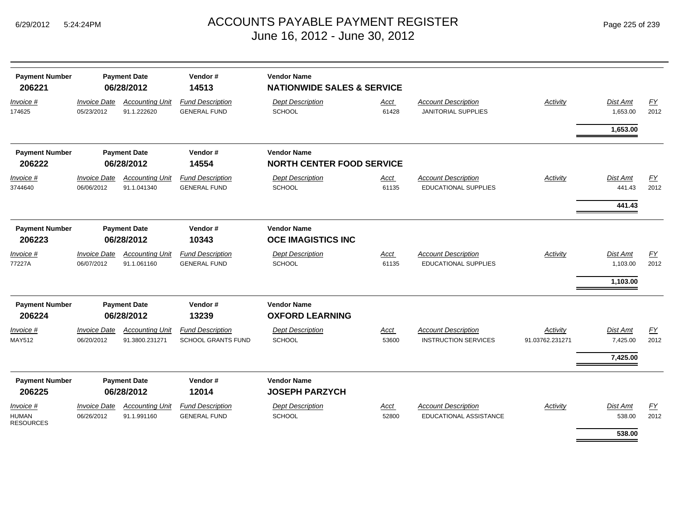| <b>Payment Number</b><br>206221        |                                   | <b>Payment Date</b><br>06/28/2012        | Vendor#<br>14513                                     | <b>Vendor Name</b><br><b>NATIONWIDE SALES &amp; SERVICE</b> |                      |                                                             |                             |                             |                          |
|----------------------------------------|-----------------------------------|------------------------------------------|------------------------------------------------------|-------------------------------------------------------------|----------------------|-------------------------------------------------------------|-----------------------------|-----------------------------|--------------------------|
| Invoice #<br>174625                    | <b>Invoice Date</b><br>05/23/2012 | <b>Accounting Unit</b><br>91.1.222620    | <b>Fund Description</b><br><b>GENERAL FUND</b>       | <b>Dept Description</b><br>SCHOOL                           | <b>Acct</b><br>61428 | <b>Account Description</b><br><b>JANITORIAL SUPPLIES</b>    | Activity                    | <b>Dist Amt</b><br>1,653.00 | <u>FY</u><br>2012        |
|                                        |                                   |                                          |                                                      |                                                             |                      |                                                             |                             | 1,653.00                    |                          |
| <b>Payment Number</b>                  |                                   | <b>Payment Date</b>                      | Vendor#                                              | <b>Vendor Name</b>                                          |                      |                                                             |                             |                             |                          |
| 206222                                 |                                   | 06/28/2012                               | 14554                                                | <b>NORTH CENTER FOOD SERVICE</b>                            |                      |                                                             |                             |                             |                          |
| Invoice #<br>3744640                   | <b>Invoice Date</b><br>06/06/2012 | <b>Accounting Unit</b><br>91.1.041340    | <b>Fund Description</b><br><b>GENERAL FUND</b>       | <b>Dept Description</b><br>SCHOOL                           | Acct<br>61135        | <b>Account Description</b><br><b>EDUCATIONAL SUPPLIES</b>   | Activity                    | <b>Dist Amt</b><br>441.43   | EY<br>2012               |
|                                        |                                   |                                          |                                                      |                                                             |                      |                                                             |                             | 441.43                      |                          |
| <b>Payment Number</b><br>206223        |                                   | <b>Payment Date</b><br>06/28/2012        | Vendor#<br>10343                                     | <b>Vendor Name</b><br><b>OCE IMAGISTICS INC</b>             |                      |                                                             |                             |                             |                          |
| Invoice #<br>77227A                    | <b>Invoice Date</b><br>06/07/2012 | <b>Accounting Unit</b><br>91.1.061160    | <b>Fund Description</b><br><b>GENERAL FUND</b>       | <b>Dept Description</b><br><b>SCHOOL</b>                    | Acct<br>61135        | <b>Account Description</b><br><b>EDUCATIONAL SUPPLIES</b>   | Activity                    | <b>Dist Amt</b><br>1,103.00 | <u>FY</u><br>2012        |
|                                        |                                   |                                          |                                                      |                                                             |                      |                                                             |                             | 1,103.00                    |                          |
| <b>Payment Number</b>                  |                                   | <b>Payment Date</b>                      | Vendor#                                              | <b>Vendor Name</b>                                          |                      |                                                             |                             |                             |                          |
| 206224                                 |                                   | 06/28/2012                               | 13239                                                | <b>OXFORD LEARNING</b>                                      |                      |                                                             |                             |                             |                          |
| Invoice #<br>MAY512                    | <b>Invoice Date</b><br>06/20/2012 | <b>Accounting Unit</b><br>91.3800.231271 | <b>Fund Description</b><br><b>SCHOOL GRANTS FUND</b> | <b>Dept Description</b><br><b>SCHOOL</b>                    | Acct<br>53600        | <b>Account Description</b><br><b>INSTRUCTION SERVICES</b>   | Activity<br>91.03762.231271 | Dist Amt<br>7,425.00        | EY<br>2012               |
|                                        |                                   |                                          |                                                      |                                                             |                      |                                                             |                             | 7,425.00                    |                          |
| <b>Payment Number</b><br>206225        |                                   | <b>Payment Date</b><br>06/28/2012        | Vendor#<br>12014                                     | <b>Vendor Name</b><br><b>JOSEPH PARZYCH</b>                 |                      |                                                             |                             |                             |                          |
| Invoice #<br>HUMAN<br><b>RESOURCES</b> | <b>Invoice Date</b><br>06/26/2012 | <b>Accounting Unit</b><br>91.1.991160    | <b>Fund Description</b><br><b>GENERAL FUND</b>       | <b>Dept Description</b><br>SCHOOL                           | Acct<br>52800        | <b>Account Description</b><br><b>EDUCATIONAL ASSISTANCE</b> | Activity                    | <b>Dist Amt</b><br>538.00   | $\underline{FY}$<br>2012 |
|                                        |                                   |                                          |                                                      |                                                             |                      |                                                             |                             | 538.00                      |                          |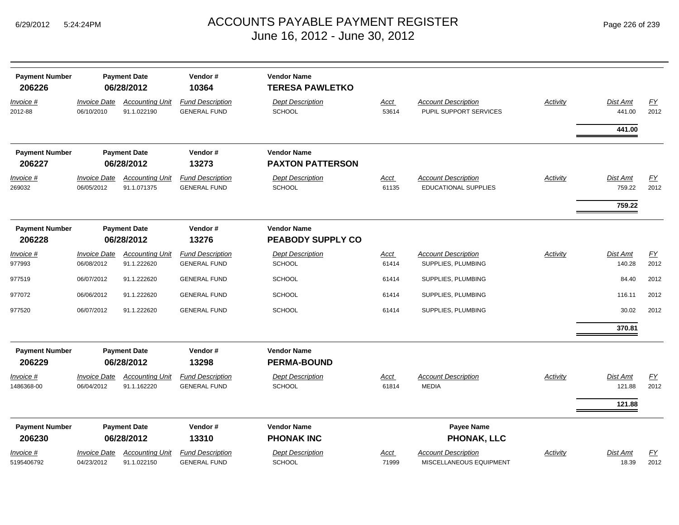|  | Page 226 of 239 |  |  |  |
|--|-----------------|--|--|--|
|--|-----------------|--|--|--|

| <b>Payment Number</b><br>206226 | <b>Payment Date</b><br>06/28/2012 |                                       | Vendor#<br>10364                               | <b>Vendor Name</b><br><b>TERESA PAWLETKO</b>   |                      |                                                       |                 |                          |            |  |
|---------------------------------|-----------------------------------|---------------------------------------|------------------------------------------------|------------------------------------------------|----------------------|-------------------------------------------------------|-----------------|--------------------------|------------|--|
| Invoice #<br>2012-88            | <b>Invoice Date</b><br>06/10/2010 | <b>Accounting Unit</b><br>91.1.022190 | <b>Fund Description</b><br><b>GENERAL FUND</b> | <b>Dept Description</b><br><b>SCHOOL</b>       | Acct<br>53614        | <b>Account Description</b><br>PUPIL SUPPORT SERVICES  | <b>Activity</b> | Dist Amt<br>441.00       | EY<br>2012 |  |
|                                 |                                   |                                       |                                                |                                                |                      |                                                       |                 | 441.00                   |            |  |
| <b>Payment Number</b><br>206227 |                                   | <b>Payment Date</b><br>06/28/2012     | Vendor#<br>13273                               | <b>Vendor Name</b><br><b>PAXTON PATTERSON</b>  |                      |                                                       |                 |                          |            |  |
| Invoice #                       | <b>Invoice Date</b>               | <b>Accounting Unit</b>                | <b>Fund Description</b>                        | <b>Dept Description</b>                        | <b>Acct</b>          | <b>Account Description</b>                            | Activity        | <b>Dist Amt</b>          | EY         |  |
| 269032                          | 06/05/2012                        | 91.1.071375                           | <b>GENERAL FUND</b>                            | <b>SCHOOL</b>                                  | 61135                | <b>EDUCATIONAL SUPPLIES</b>                           |                 | 759.22                   | 2012       |  |
|                                 |                                   |                                       |                                                |                                                |                      |                                                       |                 | 759.22                   |            |  |
| <b>Payment Number</b><br>206228 |                                   | <b>Payment Date</b><br>06/28/2012     | Vendor#<br>13276                               | <b>Vendor Name</b><br><b>PEABODY SUPPLY CO</b> |                      |                                                       |                 |                          |            |  |
| Invoice #                       | <b>Invoice Date</b>               | <b>Accounting Unit</b>                | <b>Fund Description</b>                        | <b>Dept Description</b>                        | <u>Acct</u>          | <b>Account Description</b>                            | Activity        | Dist Amt                 | EY         |  |
| 977993                          | 06/08/2012                        | 91.1.222620                           | <b>GENERAL FUND</b>                            | <b>SCHOOL</b>                                  | 61414                | SUPPLIES, PLUMBING                                    |                 | 140.28                   | 2012       |  |
| 977519                          | 06/07/2012                        | 91.1.222620                           | <b>GENERAL FUND</b>                            | <b>SCHOOL</b>                                  | 61414                | SUPPLIES, PLUMBING                                    |                 | 84.40                    | 2012       |  |
| 977072                          | 06/06/2012                        | 91.1.222620                           | <b>GENERAL FUND</b>                            | <b>SCHOOL</b>                                  | 61414                | SUPPLIES, PLUMBING                                    |                 | 116.11                   | 2012       |  |
| 977520                          | 06/07/2012                        | 91.1.222620                           | <b>GENERAL FUND</b>                            | <b>SCHOOL</b>                                  | 61414                | SUPPLIES, PLUMBING                                    |                 | 30.02                    | 2012       |  |
|                                 |                                   |                                       |                                                |                                                |                      |                                                       |                 | 370.81                   |            |  |
| <b>Payment Number</b><br>206229 |                                   | <b>Payment Date</b><br>06/28/2012     | Vendor#<br>13298                               | <b>Vendor Name</b><br><b>PERMA-BOUND</b>       |                      |                                                       |                 |                          |            |  |
| $Invoice$ #<br>1486368-00       | <b>Invoice Date</b><br>06/04/2012 | <b>Accounting Unit</b><br>91.1.162220 | <b>Fund Description</b><br><b>GENERAL FUND</b> | <b>Dept Description</b><br><b>SCHOOL</b>       | <u>Acct</u><br>61814 | <b>Account Description</b><br><b>MEDIA</b>            | Activity        | Dist Amt<br>121.88       | EY<br>2012 |  |
|                                 |                                   |                                       |                                                |                                                |                      |                                                       |                 | 121.88                   |            |  |
| <b>Payment Number</b>           |                                   | <b>Payment Date</b>                   | Vendor#                                        | <b>Vendor Name</b>                             |                      | Payee Name                                            |                 |                          |            |  |
| 206230                          |                                   | 06/28/2012                            | 13310                                          | <b>PHONAK INC</b>                              |                      | <b>PHONAK, LLC</b>                                    |                 |                          |            |  |
| $Invoice$ #<br>5195406792       | <b>Invoice Date</b><br>04/23/2012 | <b>Accounting Unit</b><br>91.1.022150 | <b>Fund Description</b><br><b>GENERAL FUND</b> | <b>Dept Description</b><br><b>SCHOOL</b>       | <u>Acct</u><br>71999 | <b>Account Description</b><br>MISCELLANEOUS EQUIPMENT | Activity        | <b>Dist Amt</b><br>18.39 | EY<br>2012 |  |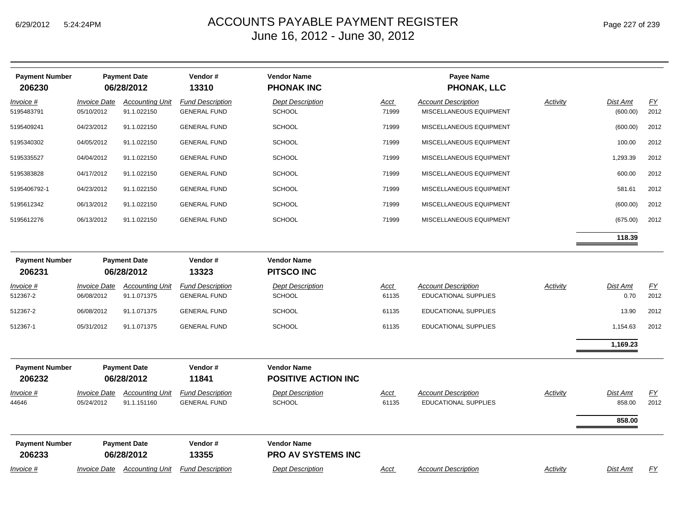| <b>Payment Number</b><br>206230 | <b>Payment Date</b><br>06/28/2012 |                                       | Vendor#<br>13310                               | <b>Vendor Name</b><br><b>PHONAK INC</b>          |                      | <b>Payee Name</b><br><b>PHONAK, LLC</b>                   |                 |                              |            |
|---------------------------------|-----------------------------------|---------------------------------------|------------------------------------------------|--------------------------------------------------|----------------------|-----------------------------------------------------------|-----------------|------------------------------|------------|
| Invoice #<br>5195483791         | <b>Invoice Date</b><br>05/10/2012 | <b>Accounting Unit</b><br>91.1.022150 | <b>Fund Description</b><br><b>GENERAL FUND</b> | <b>Dept Description</b><br><b>SCHOOL</b>         | <b>Acct</b><br>71999 | <b>Account Description</b><br>MISCELLANEOUS EQUIPMENT     | <b>Activity</b> | Dist Amt<br>(600.00)         | EY<br>2012 |
| 5195409241                      | 04/23/2012                        | 91.1.022150                           | <b>GENERAL FUND</b>                            | <b>SCHOOL</b>                                    | 71999                | MISCELLANEOUS EQUIPMENT                                   |                 | (600.00)                     | 2012       |
| 5195340302                      | 04/05/2012                        | 91.1.022150                           | <b>GENERAL FUND</b>                            | <b>SCHOOL</b>                                    | 71999                | MISCELLANEOUS EQUIPMENT                                   |                 | 100.00                       | 2012       |
| 5195335527                      | 04/04/2012                        | 91.1.022150                           | <b>GENERAL FUND</b>                            | <b>SCHOOL</b>                                    | 71999                | MISCELLANEOUS EQUIPMENT                                   |                 | 1,293.39                     | 2012       |
| 5195383828                      | 04/17/2012                        | 91.1.022150                           | <b>GENERAL FUND</b>                            | <b>SCHOOL</b>                                    | 71999                | MISCELLANEOUS EQUIPMENT                                   |                 | 600.00                       | 2012       |
| 5195406792-1                    | 04/23/2012                        | 91.1.022150                           | <b>GENERAL FUND</b>                            | <b>SCHOOL</b>                                    | 71999                | MISCELLANEOUS EQUIPMENT                                   |                 | 581.61                       | 2012       |
| 5195612342                      | 06/13/2012                        | 91.1.022150                           | <b>GENERAL FUND</b>                            | <b>SCHOOL</b>                                    | 71999                | MISCELLANEOUS EQUIPMENT                                   |                 | (600.00)                     | 2012       |
| 5195612276                      | 06/13/2012                        | 91.1.022150                           | <b>GENERAL FUND</b>                            | <b>SCHOOL</b>                                    | 71999                | MISCELLANEOUS EQUIPMENT                                   |                 | (675.00)                     | 2012       |
|                                 |                                   |                                       |                                                |                                                  |                      |                                                           |                 | 118.39                       |            |
| <b>Payment Number</b><br>206231 |                                   | <b>Payment Date</b><br>06/28/2012     | Vendor#<br>13323                               | <b>Vendor Name</b><br><b>PITSCO INC</b>          |                      |                                                           |                 |                              |            |
| <u>Invoice #</u><br>512367-2    | <b>Invoice Date</b><br>06/08/2012 | <b>Accounting Unit</b><br>91.1.071375 | <b>Fund Description</b><br><b>GENERAL FUND</b> | <b>Dept Description</b><br><b>SCHOOL</b>         | Acct<br>61135        | <b>Account Description</b><br>EDUCATIONAL SUPPLIES        | <b>Activity</b> | Dist Amt<br>0.70             | EY<br>2012 |
| 512367-2                        | 06/08/2012                        | 91.1.071375                           | <b>GENERAL FUND</b>                            | <b>SCHOOL</b>                                    | 61135                | EDUCATIONAL SUPPLIES                                      |                 | 13.90                        | 2012       |
| 512367-1                        | 05/31/2012                        | 91.1.071375                           | <b>GENERAL FUND</b>                            | SCHOOL                                           | 61135                | <b>EDUCATIONAL SUPPLIES</b>                               |                 | 1,154.63                     | 2012       |
|                                 |                                   |                                       |                                                |                                                  |                      |                                                           |                 | 1,169.23                     |            |
| <b>Payment Number</b><br>206232 |                                   | <b>Payment Date</b><br>06/28/2012     | Vendor#<br>11841                               | <b>Vendor Name</b><br><b>POSITIVE ACTION INC</b> |                      |                                                           |                 |                              |            |
| Invoice #<br>44646              | <b>Invoice Date</b><br>05/24/2012 | <b>Accounting Unit</b><br>91.1.151160 | <b>Fund Description</b><br><b>GENERAL FUND</b> | <b>Dept Description</b><br><b>SCHOOL</b>         | <b>Acct</b><br>61135 | <b>Account Description</b><br><b>EDUCATIONAL SUPPLIES</b> | <b>Activity</b> | Dist Amt<br>858.00<br>858.00 | EY<br>2012 |
| <b>Payment Number</b><br>206233 |                                   | <b>Payment Date</b><br>06/28/2012     | Vendor#<br>13355                               | <b>Vendor Name</b><br>PRO AV SYSTEMS INC         |                      |                                                           |                 |                              |            |
| Invoice #                       |                                   | <b>Invoice Date Accounting Unit</b>   | <b>Fund Description</b>                        | <b>Dept Description</b>                          | Acct                 | <b>Account Description</b>                                | Activity        | Dist Amt                     | <b>FY</b>  |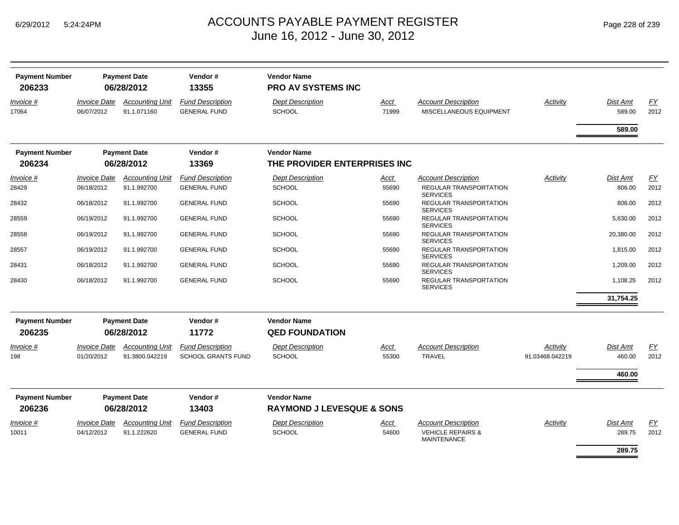| <b>Payment Number</b><br>206233 |                                          | <b>Payment Date</b><br>06/28/2012     | Vendor#<br>13355                               | <b>Vendor Name</b><br><b>PRO AV SYSTEMS INC</b> |               |                                                       |                 |                           |            |
|---------------------------------|------------------------------------------|---------------------------------------|------------------------------------------------|-------------------------------------------------|---------------|-------------------------------------------------------|-----------------|---------------------------|------------|
| Invoice #<br>17064              | <i><b>Invoice Date</b></i><br>06/07/2012 | <b>Accounting Unit</b><br>91.1.071160 | <b>Fund Description</b><br><b>GENERAL FUND</b> | <b>Dept Description</b><br><b>SCHOOL</b>        | Acct<br>71999 | <b>Account Description</b><br>MISCELLANEOUS EQUIPMENT | Activity        | <b>Dist Amt</b><br>589.00 | EY<br>2012 |
|                                 |                                          |                                       |                                                |                                                 |               |                                                       |                 | 589.00                    |            |
| <b>Payment Number</b>           |                                          | <b>Payment Date</b>                   | Vendor#                                        | <b>Vendor Name</b>                              |               |                                                       |                 |                           |            |
| 206234                          |                                          | 06/28/2012                            | 13369                                          | THE PROVIDER ENTERPRISES INC                    |               |                                                       |                 |                           |            |
| Invoice #                       | <i><b>Invoice Date</b></i>               | <b>Accounting Unit</b>                | <b>Fund Description</b>                        | Dept Description                                | Acct          | <b>Account Description</b>                            | Activity        | Dist Amt                  | EY         |
| 28429                           | 06/18/2012                               | 91.1.992700                           | <b>GENERAL FUND</b>                            | <b>SCHOOL</b>                                   | 55690         | <b>REGULAR TRANSPORTATION</b><br><b>SERVICES</b>      |                 | 806.00                    | 2012       |
| 28432                           | 06/18/2012                               | 91.1.992700                           | <b>GENERAL FUND</b>                            | <b>SCHOOL</b>                                   | 55690         | REGULAR TRANSPORTATION<br><b>SERVICES</b>             |                 | 806.00                    | 2012       |
| 28559                           | 06/19/2012                               | 91.1.992700                           | <b>GENERAL FUND</b>                            | <b>SCHOOL</b>                                   | 55690         | <b>REGULAR TRANSPORTATION</b><br><b>SERVICES</b>      |                 | 5,630.00                  | 2012       |
| 28558                           | 06/19/2012                               | 91.1.992700                           | <b>GENERAL FUND</b>                            | <b>SCHOOL</b>                                   | 55690         | REGULAR TRANSPORTATION<br><b>SERVICES</b>             |                 | 20,380.00                 | 2012       |
| 28557                           | 06/19/2012                               | 91.1.992700                           | <b>GENERAL FUND</b>                            | <b>SCHOOL</b>                                   | 55690         | REGULAR TRANSPORTATION<br><b>SERVICES</b>             |                 | 1,815.00                  | 2012       |
| 28431                           | 06/18/2012                               | 91.1.992700                           | <b>GENERAL FUND</b>                            | <b>SCHOOL</b>                                   | 55690         | <b>REGULAR TRANSPORTATION</b><br><b>SERVICES</b>      |                 | 1,209.00                  | 2012       |
| 28430                           | 06/18/2012                               | 91.1.992700                           | <b>GENERAL FUND</b>                            | <b>SCHOOL</b>                                   | 55690         | REGULAR TRANSPORTATION<br><b>SERVICES</b>             |                 | 1,108.25                  | 2012       |
|                                 |                                          |                                       |                                                |                                                 |               |                                                       |                 | 31,754.25                 |            |
| <b>Payment Number</b>           |                                          | <b>Payment Date</b>                   | Vendor#                                        | <b>Vendor Name</b>                              |               |                                                       |                 |                           |            |
| 206235                          |                                          | 06/28/2012                            | 11772                                          | <b>QED FOUNDATION</b>                           |               |                                                       |                 |                           |            |
| Invoice #                       | <i><b>Invoice Date</b></i>               | <b>Accounting Unit</b>                | <b>Fund Description</b>                        | <b>Dept Description</b>                         | Acct          | <b>Account Description</b>                            | Activity        | <b>Dist Amt</b>           | EY         |
| 198                             | 01/20/2012                               | 91.3800.042219                        | <b>SCHOOL GRANTS FUND</b>                      | <b>SCHOOL</b>                                   | 55300         | <b>TRAVEL</b>                                         | 91.03468.042219 | 460.00                    | 2012       |
|                                 |                                          |                                       |                                                |                                                 |               |                                                       |                 | 460.00                    |            |
| <b>Payment Number</b>           |                                          | <b>Payment Date</b>                   | Vendor#                                        | <b>Vendor Name</b>                              |               |                                                       |                 |                           |            |
| 206236                          |                                          | 06/28/2012                            | 13403                                          | <b>RAYMOND J LEVESQUE &amp; SONS</b>            |               |                                                       |                 |                           |            |
| Invoice #                       | <i><b>Invoice Date</b></i>               | <b>Accounting Unit</b>                | <b>Fund Description</b>                        | <b>Dept Description</b>                         | <u>Acct</u>   | <b>Account Description</b>                            | Activity        | Dist Amt                  | EY         |
| 10011                           | 04/12/2012                               | 91.1.222620                           | <b>GENERAL FUND</b>                            | <b>SCHOOL</b>                                   | 54600         | <b>VEHICLE REPAIRS &amp;</b><br><b>MAINTENANCE</b>    |                 | 289.75                    | 2012       |
|                                 |                                          |                                       |                                                |                                                 |               |                                                       |                 | 289.75                    |            |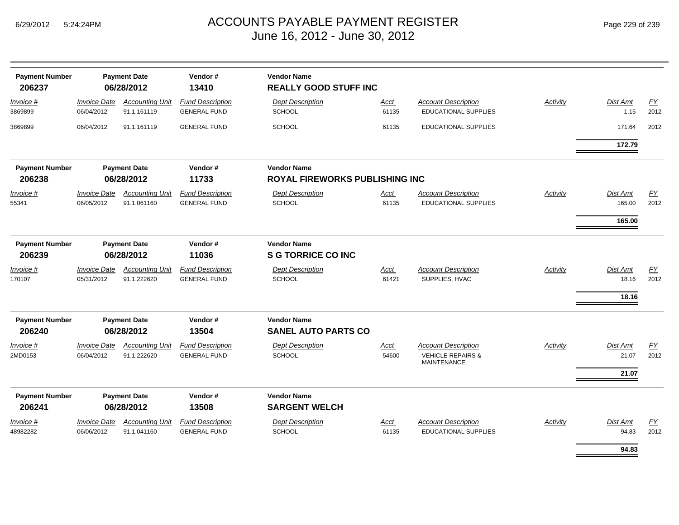| <b>Payment Number</b><br>206237 |                                          | <b>Payment Date</b><br>06/28/2012     | Vendor#<br>13410                               | <b>Vendor Name</b><br><b>REALLY GOOD STUFF INC</b> |               |                                                                                  |                 |                                   |                   |
|---------------------------------|------------------------------------------|---------------------------------------|------------------------------------------------|----------------------------------------------------|---------------|----------------------------------------------------------------------------------|-----------------|-----------------------------------|-------------------|
| Invoice #<br>3869899            | <b>Invoice Date</b><br>06/04/2012        | <b>Accounting Unit</b><br>91.1.161119 | <b>Fund Description</b><br><b>GENERAL FUND</b> | <b>Dept Description</b><br>SCHOOL                  | Acct<br>61135 | <b>Account Description</b><br>EDUCATIONAL SUPPLIES                               | Activity        | <b>Dist Amt</b><br>1.15           | EY<br>2012        |
| 3869899                         | 06/04/2012                               | 91.1.161119                           | <b>GENERAL FUND</b>                            | <b>SCHOOL</b>                                      | 61135         | EDUCATIONAL SUPPLIES                                                             |                 | 171.64                            | 2012              |
|                                 |                                          |                                       |                                                |                                                    |               |                                                                                  |                 | 172.79                            |                   |
| <b>Payment Number</b>           |                                          | <b>Payment Date</b>                   | Vendor#                                        | <b>Vendor Name</b>                                 |               |                                                                                  |                 |                                   |                   |
| 206238                          |                                          | 06/28/2012                            | 11733                                          | <b>ROYAL FIREWORKS PUBLISHING INC</b>              |               |                                                                                  |                 |                                   |                   |
| Invoice #<br>55341              | <b>Invoice Date</b><br>06/05/2012        | <b>Accounting Unit</b><br>91.1.061160 | <b>Fund Description</b><br><b>GENERAL FUND</b> | <b>Dept Description</b><br>SCHOOL                  | Acct<br>61135 | <b>Account Description</b><br><b>EDUCATIONAL SUPPLIES</b>                        | Activity        | <b>Dist Amt</b><br>165.00         | FY<br>2012        |
|                                 |                                          |                                       |                                                |                                                    |               |                                                                                  |                 | 165.00                            |                   |
| <b>Payment Number</b>           |                                          | <b>Payment Date</b>                   | Vendor#                                        | <b>Vendor Name</b>                                 |               |                                                                                  |                 |                                   |                   |
| 206239                          |                                          | 06/28/2012                            | 11036                                          | <b>S G TORRICE CO INC</b>                          |               |                                                                                  |                 |                                   |                   |
| Invoice #<br>170107             | <b>Invoice Date</b><br>05/31/2012        | <b>Accounting Unit</b><br>91.1.222620 | <b>Fund Description</b><br><b>GENERAL FUND</b> | <b>Dept Description</b><br>SCHOOL                  | Acct<br>61421 | <b>Account Description</b><br>SUPPLIES, HVAC                                     | Activity        | <b>Dist Amt</b><br>18.16<br>18.16 | <u>FY</u><br>2012 |
| <b>Payment Number</b><br>206240 |                                          | <b>Payment Date</b><br>06/28/2012     | Vendor#<br>13504                               | <b>Vendor Name</b><br><b>SANEL AUTO PARTS CO</b>   |               |                                                                                  |                 |                                   |                   |
| Invoice #<br>2MD0153            | <i><b>Invoice Date</b></i><br>06/04/2012 | <b>Accounting Unit</b><br>91.1.222620 | <b>Fund Description</b><br><b>GENERAL FUND</b> | <b>Dept Description</b><br><b>SCHOOL</b>           | Acct<br>54600 | <b>Account Description</b><br><b>VEHICLE REPAIRS &amp;</b><br><b>MAINTENANCE</b> | <b>Activity</b> | <b>Dist Amt</b><br>21.07          | EY<br>2012        |
|                                 |                                          |                                       |                                                |                                                    |               |                                                                                  |                 | 21.07                             |                   |
| <b>Payment Number</b><br>206241 |                                          | <b>Payment Date</b><br>06/28/2012     | Vendor#<br>13508                               | <b>Vendor Name</b><br><b>SARGENT WELCH</b>         |               |                                                                                  |                 |                                   |                   |
| <u>Invoice #</u><br>48982282    | <b>Invoice Date</b><br>06/06/2012        | <b>Accounting Unit</b><br>91.1.041160 | <b>Fund Description</b><br><b>GENERAL FUND</b> | <b>Dept Description</b><br><b>SCHOOL</b>           | Acct<br>61135 | <b>Account Description</b><br><b>EDUCATIONAL SUPPLIES</b>                        | Activity        | Dist Amt<br>94.83                 | EY<br>2012        |
|                                 |                                          |                                       |                                                |                                                    |               |                                                                                  |                 | 94.83                             |                   |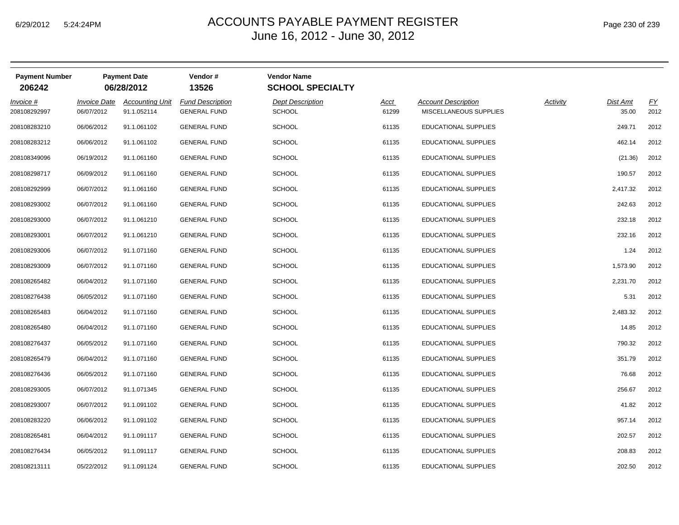| <b>Payment Number</b><br>206242 |                                          | <b>Payment Date</b><br>06/28/2012     | Vendor#<br>13526                               | <b>Vendor Name</b><br><b>SCHOOL SPECIALTY</b> |               |                                                      |          |                   |            |
|---------------------------------|------------------------------------------|---------------------------------------|------------------------------------------------|-----------------------------------------------|---------------|------------------------------------------------------|----------|-------------------|------------|
| Invoice #<br>208108292997       | <i><b>Invoice Date</b></i><br>06/07/2012 | <b>Accounting Unit</b><br>91.1.052114 | <b>Fund Description</b><br><b>GENERAL FUND</b> | <b>Dept Description</b><br><b>SCHOOL</b>      | Acct<br>61299 | <b>Account Description</b><br>MISCELLANEOUS SUPPLIES | Activity | Dist Amt<br>35.00 | EY<br>2012 |
| 208108283210                    | 06/06/2012                               | 91.1.061102                           | <b>GENERAL FUND</b>                            | <b>SCHOOL</b>                                 | 61135         | EDUCATIONAL SUPPLIES                                 |          | 249.71            | 2012       |
| 208108283212                    | 06/06/2012                               | 91.1.061102                           | <b>GENERAL FUND</b>                            | <b>SCHOOL</b>                                 | 61135         | EDUCATIONAL SUPPLIES                                 |          | 462.14            | 2012       |
| 208108349096                    | 06/19/2012                               | 91.1.061160                           | <b>GENERAL FUND</b>                            | <b>SCHOOL</b>                                 | 61135         | <b>EDUCATIONAL SUPPLIES</b>                          |          | (21.36)           | 2012       |
| 208108298717                    | 06/09/2012                               | 91.1.061160                           | <b>GENERAL FUND</b>                            | <b>SCHOOL</b>                                 | 61135         | <b>EDUCATIONAL SUPPLIES</b>                          |          | 190.57            | 2012       |
| 208108292999                    | 06/07/2012                               | 91.1.061160                           | <b>GENERAL FUND</b>                            | <b>SCHOOL</b>                                 | 61135         | EDUCATIONAL SUPPLIES                                 |          | 2,417.32          | 2012       |
| 208108293002                    | 06/07/2012                               | 91.1.061160                           | <b>GENERAL FUND</b>                            | <b>SCHOOL</b>                                 | 61135         | EDUCATIONAL SUPPLIES                                 |          | 242.63            | 2012       |
| 208108293000                    | 06/07/2012                               | 91.1.061210                           | <b>GENERAL FUND</b>                            | <b>SCHOOL</b>                                 | 61135         | EDUCATIONAL SUPPLIES                                 |          | 232.18            | 2012       |
| 208108293001                    | 06/07/2012                               | 91.1.061210                           | <b>GENERAL FUND</b>                            | <b>SCHOOL</b>                                 | 61135         | EDUCATIONAL SUPPLIES                                 |          | 232.16            | 2012       |
| 208108293006                    | 06/07/2012                               | 91.1.071160                           | <b>GENERAL FUND</b>                            | <b>SCHOOL</b>                                 | 61135         | <b>EDUCATIONAL SUPPLIES</b>                          |          | 1.24              | 2012       |
| 208108293009                    | 06/07/2012                               | 91.1.071160                           | <b>GENERAL FUND</b>                            | <b>SCHOOL</b>                                 | 61135         | EDUCATIONAL SUPPLIES                                 |          | 1,573.90          | 2012       |
| 208108265482                    | 06/04/2012                               | 91.1.071160                           | <b>GENERAL FUND</b>                            | <b>SCHOOL</b>                                 | 61135         | EDUCATIONAL SUPPLIES                                 |          | 2,231.70          | 2012       |
| 208108276438                    | 06/05/2012                               | 91.1.071160                           | <b>GENERAL FUND</b>                            | <b>SCHOOL</b>                                 | 61135         | EDUCATIONAL SUPPLIES                                 |          | 5.31              | 2012       |
| 208108265483                    | 06/04/2012                               | 91.1.071160                           | <b>GENERAL FUND</b>                            | <b>SCHOOL</b>                                 | 61135         | EDUCATIONAL SUPPLIES                                 |          | 2,483.32          | 2012       |
| 208108265480                    | 06/04/2012                               | 91.1.071160                           | <b>GENERAL FUND</b>                            | <b>SCHOOL</b>                                 | 61135         | EDUCATIONAL SUPPLIES                                 |          | 14.85             | 2012       |
| 208108276437                    | 06/05/2012                               | 91.1.071160                           | <b>GENERAL FUND</b>                            | <b>SCHOOL</b>                                 | 61135         | EDUCATIONAL SUPPLIES                                 |          | 790.32            | 2012       |
| 208108265479                    | 06/04/2012                               | 91.1.071160                           | <b>GENERAL FUND</b>                            | <b>SCHOOL</b>                                 | 61135         | <b>EDUCATIONAL SUPPLIES</b>                          |          | 351.79            | 2012       |
| 208108276436                    | 06/05/2012                               | 91.1.071160                           | <b>GENERAL FUND</b>                            | <b>SCHOOL</b>                                 | 61135         | EDUCATIONAL SUPPLIES                                 |          | 76.68             | 2012       |
| 208108293005                    | 06/07/2012                               | 91.1.071345                           | <b>GENERAL FUND</b>                            | <b>SCHOOL</b>                                 | 61135         | <b>EDUCATIONAL SUPPLIES</b>                          |          | 256.67            | 2012       |
| 208108293007                    | 06/07/2012                               | 91.1.091102                           | <b>GENERAL FUND</b>                            | <b>SCHOOL</b>                                 | 61135         | EDUCATIONAL SUPPLIES                                 |          | 41.82             | 2012       |
| 208108283220                    | 06/06/2012                               | 91.1.091102                           | <b>GENERAL FUND</b>                            | <b>SCHOOL</b>                                 | 61135         | EDUCATIONAL SUPPLIES                                 |          | 957.14            | 2012       |
| 208108265481                    | 06/04/2012                               | 91.1.091117                           | <b>GENERAL FUND</b>                            | <b>SCHOOL</b>                                 | 61135         | EDUCATIONAL SUPPLIES                                 |          | 202.57            | 2012       |
| 208108276434                    | 06/05/2012                               | 91.1.091117                           | <b>GENERAL FUND</b>                            | <b>SCHOOL</b>                                 | 61135         | <b>EDUCATIONAL SUPPLIES</b>                          |          | 208.83            | 2012       |
| 208108213111                    | 05/22/2012                               | 91.1.091124                           | <b>GENERAL FUND</b>                            | <b>SCHOOL</b>                                 | 61135         | EDUCATIONAL SUPPLIES                                 |          | 202.50            | 2012       |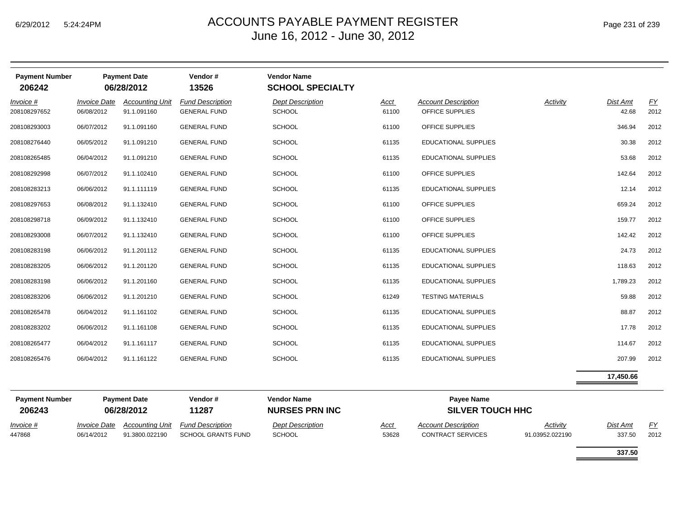| Page 231 of 239 |  |  |  |
|-----------------|--|--|--|
|-----------------|--|--|--|

| <b>Payment Number</b><br>206242 |                                   | <b>Payment Date</b><br>06/28/2012     | Vendor#<br>13526                               | <b>Vendor Name</b><br><b>SCHOOL SPECIALTY</b> |               |                                               |          |                   |                   |
|---------------------------------|-----------------------------------|---------------------------------------|------------------------------------------------|-----------------------------------------------|---------------|-----------------------------------------------|----------|-------------------|-------------------|
| Invoice #<br>208108297652       | <b>Invoice Date</b><br>06/08/2012 | <b>Accounting Unit</b><br>91.1.091160 | <b>Fund Description</b><br><b>GENERAL FUND</b> | <b>Dept Description</b><br><b>SCHOOL</b>      | Acct<br>61100 | <b>Account Description</b><br>OFFICE SUPPLIES | Activity | Dist Amt<br>42.68 | <u>FY</u><br>2012 |
| 208108293003                    | 06/07/2012                        | 91.1.091160                           | <b>GENERAL FUND</b>                            | SCHOOL                                        | 61100         | OFFICE SUPPLIES                               |          | 346.94            | 2012              |
| 208108276440                    | 06/05/2012                        | 91.1.091210                           | <b>GENERAL FUND</b>                            | <b>SCHOOL</b>                                 | 61135         | EDUCATIONAL SUPPLIES                          |          | 30.38             | 2012              |
| 208108265485                    | 06/04/2012                        | 91.1.091210                           | <b>GENERAL FUND</b>                            | <b>SCHOOL</b>                                 | 61135         | <b>EDUCATIONAL SUPPLIES</b>                   |          | 53.68             | 2012              |
| 208108292998                    | 06/07/2012                        | 91.1.102410                           | <b>GENERAL FUND</b>                            | <b>SCHOOL</b>                                 | 61100         | OFFICE SUPPLIES                               |          | 142.64            | 2012              |
| 208108283213                    | 06/06/2012                        | 91.1.111119                           | <b>GENERAL FUND</b>                            | <b>SCHOOL</b>                                 | 61135         | <b>EDUCATIONAL SUPPLIES</b>                   |          | 12.14             | 2012              |
| 208108297653                    | 06/08/2012                        | 91.1.132410                           | <b>GENERAL FUND</b>                            | <b>SCHOOL</b>                                 | 61100         | OFFICE SUPPLIES                               |          | 659.24            | 2012              |
| 208108298718                    | 06/09/2012                        | 91.1.132410                           | <b>GENERAL FUND</b>                            | <b>SCHOOL</b>                                 | 61100         | OFFICE SUPPLIES                               |          | 159.77            | 2012              |
| 208108293008                    | 06/07/2012                        | 91.1.132410                           | <b>GENERAL FUND</b>                            | SCHOOL                                        | 61100         | OFFICE SUPPLIES                               |          | 142.42            | 2012              |
| 208108283198                    | 06/06/2012                        | 91.1.201112                           | <b>GENERAL FUND</b>                            | <b>SCHOOL</b>                                 | 61135         | <b>EDUCATIONAL SUPPLIES</b>                   |          | 24.73             | 2012              |
| 208108283205                    | 06/06/2012                        | 91.1.201120                           | <b>GENERAL FUND</b>                            | <b>SCHOOL</b>                                 | 61135         | <b>EDUCATIONAL SUPPLIES</b>                   |          | 118.63            | 2012              |
| 208108283198                    | 06/06/2012                        | 91.1.201160                           | <b>GENERAL FUND</b>                            | <b>SCHOOL</b>                                 | 61135         | <b>EDUCATIONAL SUPPLIES</b>                   |          | 1,789.23          | 2012              |
| 208108283206                    | 06/06/2012                        | 91.1.201210                           | <b>GENERAL FUND</b>                            | <b>SCHOOL</b>                                 | 61249         | <b>TESTING MATERIALS</b>                      |          | 59.88             | 2012              |
| 208108265478                    | 06/04/2012                        | 91.1.161102                           | <b>GENERAL FUND</b>                            | <b>SCHOOL</b>                                 | 61135         | EDUCATIONAL SUPPLIES                          |          | 88.87             | 2012              |
| 208108283202                    | 06/06/2012                        | 91.1.161108                           | <b>GENERAL FUND</b>                            | SCHOOL                                        | 61135         | <b>EDUCATIONAL SUPPLIES</b>                   |          | 17.78             | 2012              |
| 208108265477                    | 06/04/2012                        | 91.1.161117                           | <b>GENERAL FUND</b>                            | <b>SCHOOL</b>                                 | 61135         | <b>EDUCATIONAL SUPPLIES</b>                   |          | 114.67            | 2012              |
| 208108265476                    | 06/04/2012                        | 91.1.161122                           | <b>GENERAL FUND</b>                            | <b>SCHOOL</b>                                 | 61135         | EDUCATIONAL SUPPLIES                          |          | 207.99            | 2012              |
|                                 |                                   |                                       |                                                |                                               |               |                                               |          | 17,450.66         |                   |

| <b>Payment Number</b> | <b>Payment Date</b>        |                        | Vendor #                  | <b>Vendor Name</b>      | Pavee Name              |                            |                 |          |      |  |
|-----------------------|----------------------------|------------------------|---------------------------|-------------------------|-------------------------|----------------------------|-----------------|----------|------|--|
| 206243                | 06/28/2012                 |                        | 11287                     | <b>NURSES PRN INC</b>   | <b>SILVER TOUCH HHC</b> |                            |                 |          |      |  |
| Invoice #             | <i><b>Invoice Date</b></i> | <b>Accounting Unit</b> | <b>Fund Description</b>   | <b>Dept Description</b> | <u>Acct</u>             | <b>Account Description</b> | Activity        | Dist Amt | FY   |  |
| 447868                | 06/14/2012                 | 91.3800.022190         | <b>SCHOOL GRANTS FUND</b> | <b>SCHOOL</b>           | 53628                   | <b>CONTRACT SERVICES</b>   | 91.03952.022190 | 337.50   | 2012 |  |

**337.50**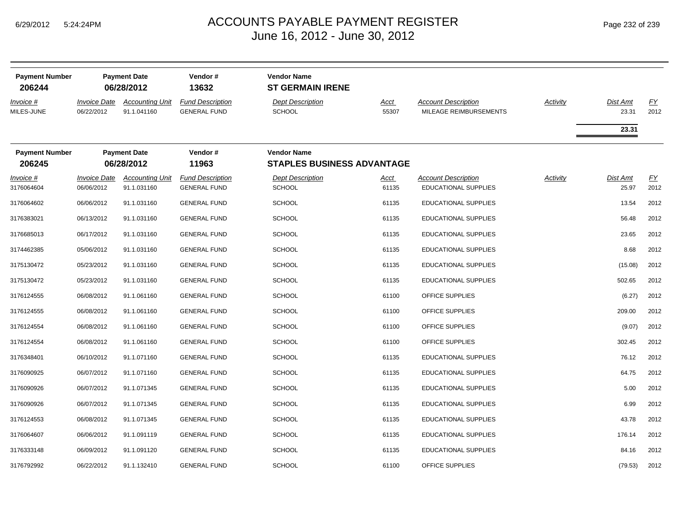| <b>Payment Number</b>             | <b>Payment Date</b>               |                                                     | Vendor#                                                 | <b>Vendor Name</b>                                                  |                      |                                                           |          |                   |                          |
|-----------------------------------|-----------------------------------|-----------------------------------------------------|---------------------------------------------------------|---------------------------------------------------------------------|----------------------|-----------------------------------------------------------|----------|-------------------|--------------------------|
| 206244<br>Invoice #<br>MILES-JUNE | <b>Invoice Date</b><br>06/22/2012 | 06/28/2012<br><b>Accounting Unit</b><br>91.1.041160 | 13632<br><b>Fund Description</b><br><b>GENERAL FUND</b> | <b>ST GERMAIN IRENE</b><br><b>Dept Description</b><br><b>SCHOOL</b> | <u>Acct</u><br>55307 | <b>Account Description</b><br>MILEAGE REIMBURSEMENTS      | Activity | Dist Amt<br>23.31 | EY<br>2012               |
|                                   |                                   |                                                     |                                                         |                                                                     |                      |                                                           |          | 23.31             |                          |
| <b>Payment Number</b><br>206245   |                                   | <b>Payment Date</b><br>06/28/2012                   | Vendor#<br>11963                                        | <b>Vendor Name</b><br><b>STAPLES BUSINESS ADVANTAGE</b>             |                      |                                                           |          |                   |                          |
| Invoice #<br>3176064604           | <b>Invoice Date</b><br>06/06/2012 | <b>Accounting Unit</b><br>91.1.031160               | <b>Fund Description</b><br><b>GENERAL FUND</b>          | <b>Dept Description</b><br><b>SCHOOL</b>                            | Acct<br>61135        | <b>Account Description</b><br><b>EDUCATIONAL SUPPLIES</b> | Activity | Dist Amt<br>25.97 | $\underline{FY}$<br>2012 |
| 3176064602                        | 06/06/2012                        | 91.1.031160                                         | <b>GENERAL FUND</b>                                     | <b>SCHOOL</b>                                                       | 61135                | <b>EDUCATIONAL SUPPLIES</b>                               |          | 13.54             | 2012                     |
| 3176383021                        | 06/13/2012                        | 91.1.031160                                         | <b>GENERAL FUND</b>                                     | <b>SCHOOL</b>                                                       | 61135                | <b>EDUCATIONAL SUPPLIES</b>                               |          | 56.48             | 2012                     |
| 3176685013                        | 06/17/2012                        | 91.1.031160                                         | <b>GENERAL FUND</b>                                     | <b>SCHOOL</b>                                                       | 61135                | EDUCATIONAL SUPPLIES                                      |          | 23.65             | 2012                     |
| 3174462385                        | 05/06/2012                        | 91.1.031160                                         | <b>GENERAL FUND</b>                                     | <b>SCHOOL</b>                                                       | 61135                | <b>EDUCATIONAL SUPPLIES</b>                               |          | 8.68              | 2012                     |
| 3175130472                        | 05/23/2012                        | 91.1.031160                                         | <b>GENERAL FUND</b>                                     | <b>SCHOOL</b>                                                       | 61135                | <b>EDUCATIONAL SUPPLIES</b>                               |          | (15.08)           | 2012                     |
| 3175130472                        | 05/23/2012                        | 91.1.031160                                         | <b>GENERAL FUND</b>                                     | <b>SCHOOL</b>                                                       | 61135                | EDUCATIONAL SUPPLIES                                      |          | 502.65            | 2012                     |
| 3176124555                        | 06/08/2012                        | 91.1.061160                                         | <b>GENERAL FUND</b>                                     | <b>SCHOOL</b>                                                       | 61100                | OFFICE SUPPLIES                                           |          | (6.27)            | 2012                     |
| 3176124555                        | 06/08/2012                        | 91.1.061160                                         | <b>GENERAL FUND</b>                                     | <b>SCHOOL</b>                                                       | 61100                | OFFICE SUPPLIES                                           |          | 209.00            | 2012                     |
| 3176124554                        | 06/08/2012                        | 91.1.061160                                         | <b>GENERAL FUND</b>                                     | <b>SCHOOL</b>                                                       | 61100                | OFFICE SUPPLIES                                           |          | (9.07)            | 2012                     |
| 3176124554                        | 06/08/2012                        | 91.1.061160                                         | <b>GENERAL FUND</b>                                     | <b>SCHOOL</b>                                                       | 61100                | OFFICE SUPPLIES                                           |          | 302.45            | 2012                     |
| 3176348401                        | 06/10/2012                        | 91.1.071160                                         | <b>GENERAL FUND</b>                                     | <b>SCHOOL</b>                                                       | 61135                | <b>EDUCATIONAL SUPPLIES</b>                               |          | 76.12             | 2012                     |
| 3176090925                        | 06/07/2012                        | 91.1.071160                                         | <b>GENERAL FUND</b>                                     | <b>SCHOOL</b>                                                       | 61135                | EDUCATIONAL SUPPLIES                                      |          | 64.75             | 2012                     |
| 3176090926                        | 06/07/2012                        | 91.1.071345                                         | <b>GENERAL FUND</b>                                     | <b>SCHOOL</b>                                                       | 61135                | <b>EDUCATIONAL SUPPLIES</b>                               |          | 5.00              | 2012                     |
| 3176090926                        | 06/07/2012                        | 91.1.071345                                         | <b>GENERAL FUND</b>                                     | <b>SCHOOL</b>                                                       | 61135                | EDUCATIONAL SUPPLIES                                      |          | 6.99              | 2012                     |
| 3176124553                        | 06/08/2012                        | 91.1.071345                                         | <b>GENERAL FUND</b>                                     | <b>SCHOOL</b>                                                       | 61135                | <b>EDUCATIONAL SUPPLIES</b>                               |          | 43.78             | 2012                     |
| 3176064607                        | 06/06/2012                        | 91.1.091119                                         | <b>GENERAL FUND</b>                                     | <b>SCHOOL</b>                                                       | 61135                | EDUCATIONAL SUPPLIES                                      |          | 176.14            | 2012                     |
| 3176333148                        | 06/09/2012                        | 91.1.091120                                         | <b>GENERAL FUND</b>                                     | <b>SCHOOL</b>                                                       | 61135                | <b>EDUCATIONAL SUPPLIES</b>                               |          | 84.16             | 2012                     |
| 3176792992                        | 06/22/2012                        | 91.1.132410                                         | <b>GENERAL FUND</b>                                     | <b>SCHOOL</b>                                                       | 61100                | OFFICE SUPPLIES                                           |          | (79.53)           | 2012                     |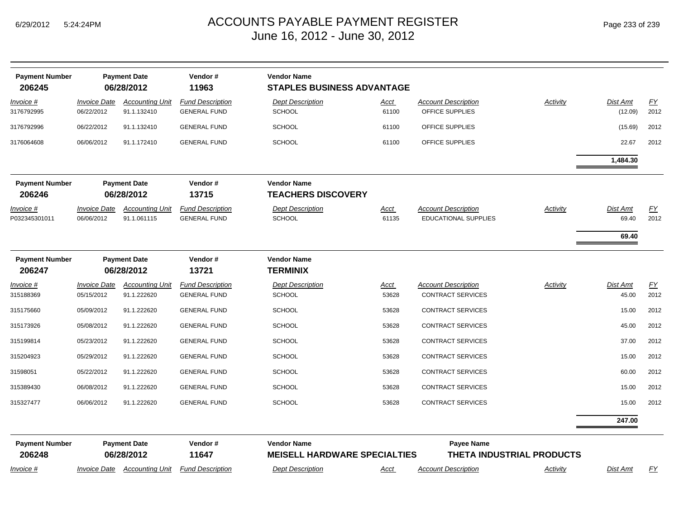| <b>Payment Number</b><br>206245 |                                                                             | <b>Payment Date</b><br>06/28/2012     | Vendor#<br>11963                               | <b>Vendor Name</b><br><b>STAPLES BUSINESS ADVANTAGE</b> |                                                |                                                           |          |                          |                   |
|---------------------------------|-----------------------------------------------------------------------------|---------------------------------------|------------------------------------------------|---------------------------------------------------------|------------------------------------------------|-----------------------------------------------------------|----------|--------------------------|-------------------|
| Invoice #<br>3176792995         | <i><b>Invoice Date</b></i><br>06/22/2012                                    | <b>Accounting Unit</b><br>91.1.132410 | <b>Fund Description</b><br><b>GENERAL FUND</b> | <b>Dept Description</b><br><b>SCHOOL</b>                | <u>Acct</u><br>61100                           | <b>Account Description</b><br>OFFICE SUPPLIES             | Activity | Dist Amt<br>(12.09)      | EY<br>2012        |
| 3176792996                      | 06/22/2012                                                                  | 91.1.132410                           | <b>GENERAL FUND</b>                            | <b>SCHOOL</b>                                           | 61100                                          | OFFICE SUPPLIES                                           |          | (15.69)                  | 2012              |
| 3176064608                      | 06/06/2012                                                                  | 91.1.172410                           | <b>GENERAL FUND</b>                            | <b>SCHOOL</b>                                           | 61100                                          | OFFICE SUPPLIES                                           |          | 22.67                    | 2012              |
|                                 |                                                                             |                                       |                                                |                                                         |                                                |                                                           |          | 1,484.30                 |                   |
| <b>Payment Number</b><br>206246 |                                                                             | <b>Payment Date</b><br>06/28/2012     | Vendor#<br>13715                               | <b>Vendor Name</b><br><b>TEACHERS DISCOVERY</b>         |                                                |                                                           |          |                          |                   |
| Invoice #<br>P032345301011      | <b>Invoice Date</b><br>06/06/2012                                           | <b>Accounting Unit</b><br>91.1.061115 | <b>Fund Description</b><br><b>GENERAL FUND</b> | <b>Dept Description</b><br><b>SCHOOL</b>                | <u>Acct</u><br>61135                           | <b>Account Description</b><br><b>EDUCATIONAL SUPPLIES</b> | Activity | Dist Amt<br>69.40        | EY<br>2012        |
|                                 |                                                                             |                                       |                                                |                                                         |                                                |                                                           |          | 69.40                    |                   |
| <b>Payment Number</b><br>206247 |                                                                             | <b>Payment Date</b><br>06/28/2012     | Vendor#<br>13721                               | <b>Vendor Name</b><br><b>TERMINIX</b>                   |                                                |                                                           |          |                          |                   |
| Invoice #<br>315188369          | <i><b>Invoice Date</b></i><br>05/15/2012                                    | <b>Accounting Unit</b><br>91.1.222620 | <b>Fund Description</b><br><b>GENERAL FUND</b> | <b>Dept Description</b><br><b>SCHOOL</b>                | <u>Acct</u><br>53628                           | <b>Account Description</b><br><b>CONTRACT SERVICES</b>    | Activity | <b>Dist Amt</b><br>45.00 | <u>FY</u><br>2012 |
| 315175660                       | 05/09/2012                                                                  | 91.1.222620                           | <b>GENERAL FUND</b>                            | <b>SCHOOL</b>                                           | 53628                                          | <b>CONTRACT SERVICES</b>                                  |          | 15.00                    | 2012              |
| 315173926                       | 05/08/2012                                                                  | 91.1.222620                           | <b>GENERAL FUND</b>                            | <b>SCHOOL</b>                                           | 53628                                          | <b>CONTRACT SERVICES</b>                                  |          | 45.00                    | 2012              |
| 315199814                       | 05/23/2012                                                                  | 91.1.222620                           | <b>GENERAL FUND</b>                            | <b>SCHOOL</b>                                           | 53628                                          | <b>CONTRACT SERVICES</b>                                  |          | 37.00                    | 2012              |
| 315204923                       | 05/29/2012                                                                  | 91.1.222620                           | <b>GENERAL FUND</b>                            | SCHOOL                                                  | 53628                                          | <b>CONTRACT SERVICES</b>                                  |          | 15.00                    | 2012              |
| 31598051                        | 05/22/2012                                                                  | 91.1.222620                           | <b>GENERAL FUND</b>                            | <b>SCHOOL</b>                                           | 53628                                          | <b>CONTRACT SERVICES</b>                                  |          | 60.00                    | 2012              |
| 315389430                       | 06/08/2012                                                                  | 91.1.222620                           | <b>GENERAL FUND</b>                            | <b>SCHOOL</b>                                           | 53628                                          | <b>CONTRACT SERVICES</b>                                  |          | 15.00                    | 2012              |
| 315327477                       | 06/06/2012                                                                  | 91.1.222620                           | <b>GENERAL FUND</b>                            | <b>SCHOOL</b>                                           | 53628                                          | <b>CONTRACT SERVICES</b>                                  |          | 15.00                    | 2012              |
|                                 |                                                                             |                                       |                                                |                                                         |                                                |                                                           |          | 247.00                   |                   |
| <b>Payment Number</b><br>206248 | <b>Payment Date</b><br>Vendor#<br><b>Vendor Name</b><br>06/28/2012<br>11647 |                                       | <b>MEISELL HARDWARE SPECIALTIES</b>            |                                                         | Payee Name<br><b>THETA INDUSTRIAL PRODUCTS</b> |                                                           |          |                          |                   |
| Invoice #                       |                                                                             |                                       | Invoice Date Accounting Unit Fund Description  | <b>Dept Description</b>                                 | Acct                                           | <b>Account Description</b>                                | Activity | Dist Amt                 | FY                |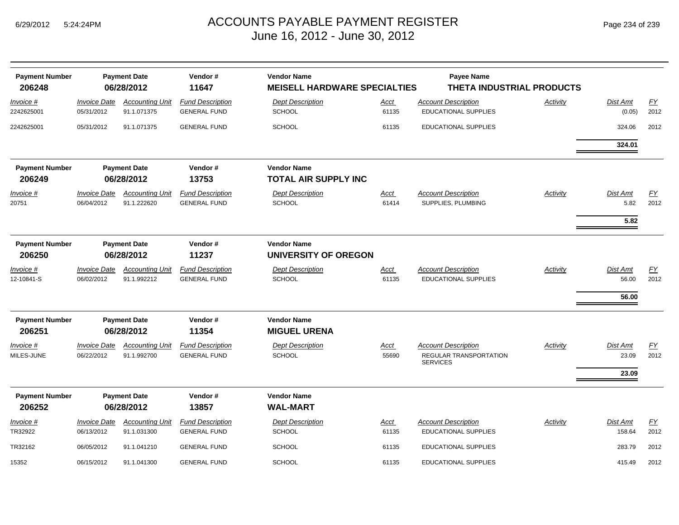| <b>Payment Number</b>           | <b>Payment Date</b>               |                                       | Vendor#<br><b>Vendor Name</b>                  |                                                   | <b>Payee Name</b>                      |                                                                         |                             |                                   |            |  |  |  |
|---------------------------------|-----------------------------------|---------------------------------------|------------------------------------------------|---------------------------------------------------|----------------------------------------|-------------------------------------------------------------------------|-----------------------------|-----------------------------------|------------|--|--|--|
| 206248                          |                                   | 06/28/2012                            | 11647                                          | <b>MEISELL HARDWARE SPECIALTIES</b>               |                                        | THETA INDUSTRIAL PRODUCTS                                               |                             |                                   |            |  |  |  |
| Invoice #<br>2242625001         | <b>Invoice Date</b><br>05/31/2012 | <b>Accounting Unit</b><br>91.1.071375 | <b>Fund Description</b><br><b>GENERAL FUND</b> | <b>Dept Description</b><br><b>SCHOOL</b>          | Acct<br>61135                          | <b>Account Description</b><br><b>EDUCATIONAL SUPPLIES</b>               | Activity                    | Dist Amt<br>(0.05)                | EY<br>2012 |  |  |  |
| 2242625001                      | 05/31/2012                        | 91.1.071375                           | <b>GENERAL FUND</b>                            | <b>SCHOOL</b>                                     | 61135                                  | <b>EDUCATIONAL SUPPLIES</b>                                             |                             | 324.06                            | 2012       |  |  |  |
|                                 |                                   |                                       |                                                |                                                   |                                        |                                                                         |                             | 324.01                            |            |  |  |  |
| <b>Payment Number</b><br>206249 |                                   | <b>Payment Date</b><br>06/28/2012     | Vendor#<br>13753                               | <b>Vendor Name</b><br><b>TOTAL AIR SUPPLY INC</b> |                                        |                                                                         |                             |                                   |            |  |  |  |
| Invoice #<br>20751              | <b>Invoice Date</b><br>06/04/2012 | <b>Accounting Unit</b><br>91.1.222620 | <b>Fund Description</b><br><b>GENERAL FUND</b> | <b>Dept Description</b><br>SCHOOL                 | Acct<br>61414                          | <b>Account Description</b><br>SUPPLIES, PLUMBING                        | Activity                    | <b>Dist Amt</b><br>5.82<br>5.82   | EY<br>2012 |  |  |  |
| <b>Payment Number</b><br>206250 | <b>Payment Date</b><br>06/28/2012 |                                       |                                                |                                                   | Vendor#<br><b>Vendor Name</b><br>11237 |                                                                         | <b>UNIVERSITY OF OREGON</b> |                                   |            |  |  |  |
| Invoice #<br>12-10841-S         | <b>Invoice Date</b><br>06/02/2012 | <b>Accounting Unit</b><br>91.1.992212 | <b>Fund Description</b><br><b>GENERAL FUND</b> | <b>Dept Description</b><br>SCHOOL                 | Acct<br>61135                          | <b>Account Description</b><br><b>EDUCATIONAL SUPPLIES</b>               | Activity                    | <b>Dist Amt</b><br>56.00<br>56.00 | EY<br>2012 |  |  |  |
| <b>Payment Number</b><br>206251 |                                   | <b>Payment Date</b><br>06/28/2012     | Vendor#<br>11354                               | <b>Vendor Name</b><br><b>MIGUEL URENA</b>         |                                        |                                                                         |                             |                                   |            |  |  |  |
| Invoice #<br>MILES-JUNE         | <b>Invoice Date</b><br>06/22/2012 | <b>Accounting Unit</b><br>91.1.992700 | <b>Fund Description</b><br><b>GENERAL FUND</b> | <b>Dept Description</b><br><b>SCHOOL</b>          | Acct<br>55690                          | <b>Account Description</b><br>REGULAR TRANSPORTATION<br><b>SERVICES</b> | Activity                    | Dist Amt<br>23.09<br>23.09        | EY<br>2012 |  |  |  |
| <b>Payment Number</b><br>206252 |                                   | <b>Payment Date</b><br>06/28/2012     | Vendor#<br>13857                               | <b>Vendor Name</b><br><b>WAL-MART</b>             |                                        |                                                                         |                             |                                   |            |  |  |  |
| Invoice #<br>TR32922            | <b>Invoice Date</b><br>06/13/2012 | <b>Accounting Unit</b><br>91.1.031300 | <b>Fund Description</b><br><b>GENERAL FUND</b> | <b>Dept Description</b><br><b>SCHOOL</b>          | Acct<br>61135                          | <b>Account Description</b><br><b>EDUCATIONAL SUPPLIES</b>               | Activity                    | Dist Amt<br>158.64                | FY<br>2012 |  |  |  |
| TR32162                         | 06/05/2012                        | 91.1.041210                           | <b>GENERAL FUND</b>                            | <b>SCHOOL</b>                                     | 61135                                  | <b>EDUCATIONAL SUPPLIES</b>                                             |                             | 283.79                            | 2012       |  |  |  |
| 15352                           | 06/15/2012                        | 91.1.041300                           | <b>GENERAL FUND</b>                            | <b>SCHOOL</b>                                     | 61135                                  | <b>EDUCATIONAL SUPPLIES</b>                                             |                             | 415.49                            | 2012       |  |  |  |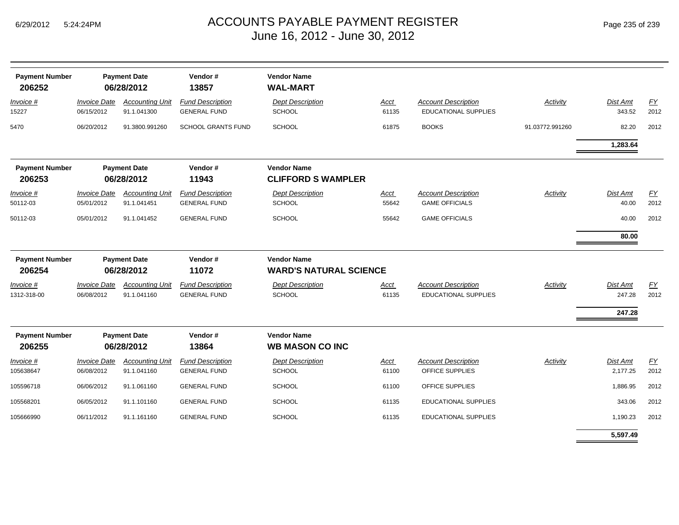| <b>Payment Number</b><br>206252 |                                   | <b>Payment Date</b><br>06/28/2012     | Vendor#<br>13857                               | <b>Vendor Name</b><br><b>WAL-MART</b>               |                      |                                                           |                 |                           |            |
|---------------------------------|-----------------------------------|---------------------------------------|------------------------------------------------|-----------------------------------------------------|----------------------|-----------------------------------------------------------|-----------------|---------------------------|------------|
| $Invoice$ #<br>15227            | <b>Invoice Date</b><br>06/15/2012 | <b>Accounting Unit</b><br>91.1.041300 | <b>Fund Description</b><br><b>GENERAL FUND</b> | <b>Dept Description</b><br><b>SCHOOL</b>            | <u>Acct</u><br>61135 | <b>Account Description</b><br><b>EDUCATIONAL SUPPLIES</b> | <b>Activity</b> | <b>Dist Amt</b><br>343.52 | EY<br>2012 |
| 5470                            | 06/20/2012                        | 91.3800.991260                        | <b>SCHOOL GRANTS FUND</b>                      | <b>SCHOOL</b>                                       | 61875                | <b>BOOKS</b>                                              | 91.03772.991260 | 82.20<br>1,283.64         | 2012       |
| <b>Payment Number</b><br>206253 |                                   | <b>Payment Date</b><br>06/28/2012     | Vendor#<br>11943                               | <b>Vendor Name</b><br><b>CLIFFORD S WAMPLER</b>     |                      |                                                           |                 |                           |            |
| Invoice #<br>50112-03           | <b>Invoice Date</b><br>05/01/2012 | <b>Accounting Unit</b><br>91.1.041451 | <b>Fund Description</b><br><b>GENERAL FUND</b> | <b>Dept Description</b><br>SCHOOL                   | Acct<br>55642        | <b>Account Description</b><br><b>GAME OFFICIALS</b>       | Activity        | Dist Amt<br>40.00         | EY<br>2012 |
| 50112-03                        | 05/01/2012                        | 91.1.041452                           | <b>GENERAL FUND</b>                            | <b>SCHOOL</b>                                       | 55642                | <b>GAME OFFICIALS</b>                                     |                 | 40.00<br>80.00            | 2012       |
| <b>Payment Number</b><br>206254 | <b>Payment Date</b><br>06/28/2012 |                                       | Vendor#<br>11072                               | <b>Vendor Name</b><br><b>WARD'S NATURAL SCIENCE</b> |                      |                                                           |                 |                           |            |
| Invoice #<br>1312-318-00        | <b>Invoice Date</b><br>06/08/2012 | <b>Accounting Unit</b><br>91.1.041160 | <b>Fund Description</b><br><b>GENERAL FUND</b> | <b>Dept Description</b><br>SCHOOL                   | Acct<br>61135        | <b>Account Description</b><br>EDUCATIONAL SUPPLIES        | Activity        | Dist Amt<br>247.28        | EY<br>2012 |
| <b>Payment Number</b><br>206255 |                                   | <b>Payment Date</b><br>06/28/2012     | Vendor#<br>13864                               | <b>Vendor Name</b><br><b>WB MASON CO INC</b>        |                      |                                                           |                 | 247.28                    |            |
| Invoice #<br>105638647          | <b>Invoice Date</b><br>06/08/2012 | <b>Accounting Unit</b><br>91.1.041160 | <b>Fund Description</b><br><b>GENERAL FUND</b> | <b>Dept Description</b><br><b>SCHOOL</b>            | <b>Acct</b><br>61100 | <b>Account Description</b><br>OFFICE SUPPLIES             | Activity        | Dist Amt<br>2,177.25      | EY<br>2012 |
| 105596718                       | 06/06/2012                        | 91.1.061160                           | <b>GENERAL FUND</b>                            | <b>SCHOOL</b>                                       | 61100                | OFFICE SUPPLIES                                           |                 | 1,886.95                  | 2012       |
| 105568201                       | 06/05/2012                        | 91.1.101160                           | <b>GENERAL FUND</b>                            | <b>SCHOOL</b>                                       | 61135                | <b>EDUCATIONAL SUPPLIES</b>                               |                 | 343.06                    | 2012       |
| 105666990                       | 06/11/2012                        | 91.1.161160                           | <b>GENERAL FUND</b>                            | <b>SCHOOL</b>                                       | 61135                | <b>EDUCATIONAL SUPPLIES</b>                               |                 | 1,190.23                  | 2012       |
|                                 |                                   |                                       |                                                |                                                     |                      |                                                           |                 | 5,597.49                  |            |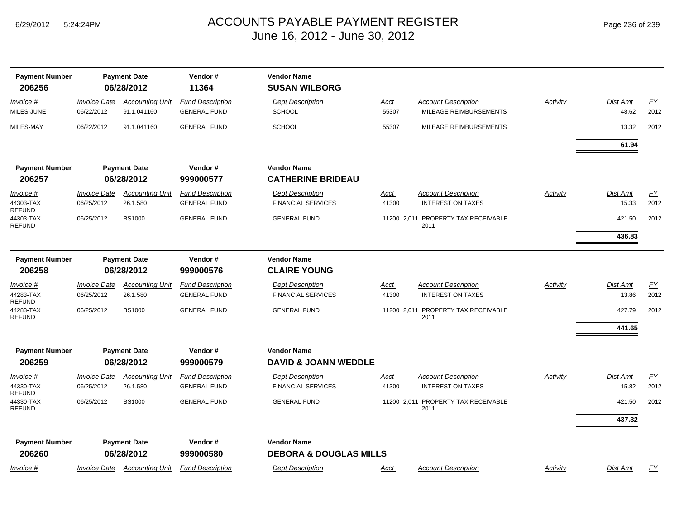| Page 236 of 239 |  |
|-----------------|--|
|-----------------|--|

| <b>Payment Number</b>            |                                          | <b>Payment Date</b>                   | Vendor#                                        | <b>Vendor Name</b>                                      |                      |                                                        |          |                   |                   |
|----------------------------------|------------------------------------------|---------------------------------------|------------------------------------------------|---------------------------------------------------------|----------------------|--------------------------------------------------------|----------|-------------------|-------------------|
| 206256                           |                                          | 06/28/2012                            | 11364                                          | <b>SUSAN WILBORG</b>                                    |                      |                                                        |          |                   |                   |
| Invoice #<br>MILES-JUNE          | <i><b>Invoice Date</b></i><br>06/22/2012 | <b>Accounting Unit</b><br>91.1.041160 | <b>Fund Description</b><br><b>GENERAL FUND</b> | <b>Dept Description</b><br><b>SCHOOL</b>                | <u>Acct</u><br>55307 | <b>Account Description</b><br>MILEAGE REIMBURSEMENTS   | Activity | Dist Amt<br>48.62 | EY<br>2012        |
| MILES-MAY                        | 06/22/2012                               | 91.1.041160                           | <b>GENERAL FUND</b>                            | <b>SCHOOL</b>                                           | 55307                | MILEAGE REIMBURSEMENTS                                 |          | 13.32             | 2012              |
|                                  |                                          |                                       |                                                |                                                         |                      |                                                        |          | 61.94             |                   |
| <b>Payment Number</b>            |                                          | <b>Payment Date</b>                   | Vendor#                                        | <b>Vendor Name</b>                                      |                      |                                                        |          |                   |                   |
| 206257                           |                                          | 06/28/2012                            | 999000577                                      | <b>CATHERINE BRIDEAU</b>                                |                      |                                                        |          |                   |                   |
| Invoice #                        | <b>Invoice Date</b>                      | <b>Accounting Unit</b>                | <b>Fund Description</b>                        | <b>Dept Description</b>                                 | <u>Acct</u>          | <b>Account Description</b>                             | Activity | Dist Amt          | <u>FY</u>         |
| 44303-TAX<br><b>REFUND</b>       | 06/25/2012                               | 26.1.580                              | <b>GENERAL FUND</b>                            | <b>FINANCIAL SERVICES</b>                               | 41300                | <b>INTEREST ON TAXES</b>                               |          | 15.33             | 2012              |
| 44303-TAX<br><b>REFUND</b>       | 06/25/2012                               | <b>BS1000</b>                         | <b>GENERAL FUND</b>                            | <b>GENERAL FUND</b>                                     |                      | 11200 2,011 PROPERTY TAX RECEIVABLE<br>2011            |          | 421.50            | 2012              |
|                                  |                                          |                                       |                                                |                                                         |                      |                                                        |          | 436.83            |                   |
| <b>Payment Number</b>            |                                          | <b>Payment Date</b>                   | Vendor#                                        | <b>Vendor Name</b>                                      |                      |                                                        |          |                   |                   |
| 206258                           |                                          | 06/28/2012                            | 999000576                                      | <b>CLAIRE YOUNG</b>                                     |                      |                                                        |          |                   |                   |
| Invoice #                        | <i><b>Invoice Date</b></i>               | <b>Accounting Unit</b>                | <b>Fund Description</b>                        | <b>Dept Description</b>                                 | <u>Acct</u>          | <b>Account Description</b>                             | Activity | Dist Amt          | $\underline{FY}$  |
| 44283-TAX<br>REFUND              | 06/25/2012                               | 26.1.580                              | <b>GENERAL FUND</b>                            | <b>FINANCIAL SERVICES</b>                               | 41300                | <b>INTEREST ON TAXES</b>                               |          | 13.86             | 2012              |
| 44283-TAX<br><b>REFUND</b>       | 06/25/2012                               | <b>BS1000</b>                         | <b>GENERAL FUND</b>                            | <b>GENERAL FUND</b>                                     |                      | 11200 2,011 PROPERTY TAX RECEIVABLE<br>2011            |          | 427.79            | 2012              |
|                                  |                                          |                                       |                                                |                                                         |                      |                                                        |          | 441.65            |                   |
| <b>Payment Number</b>            |                                          | <b>Payment Date</b>                   | Vendor#                                        | <b>Vendor Name</b>                                      |                      |                                                        |          |                   |                   |
| 206259                           |                                          | 06/28/2012                            | 999000579                                      | <b>DAVID &amp; JOANN WEDDLE</b>                         |                      |                                                        |          |                   |                   |
| Invoice #<br>44330-TAX<br>REFUND | <b>Invoice Date</b><br>06/25/2012        | <b>Accounting Unit</b><br>26.1.580    | <b>Fund Description</b><br><b>GENERAL FUND</b> | <b>Dept Description</b><br><b>FINANCIAL SERVICES</b>    | <u>Acct</u><br>41300 | <b>Account Description</b><br><b>INTEREST ON TAXES</b> | Activity | Dist Amt<br>15.82 | <u>FY</u><br>2012 |
| 44330-TAX<br><b>REFUND</b>       | 06/25/2012                               | <b>BS1000</b>                         | <b>GENERAL FUND</b>                            | <b>GENERAL FUND</b>                                     | 11200 2.011          | PROPERTY TAX RECEIVABLE<br>2011                        |          | 421.50            | 2012              |
|                                  |                                          |                                       |                                                |                                                         |                      |                                                        |          | 437.32            |                   |
| <b>Payment Number</b><br>206260  |                                          | <b>Payment Date</b><br>06/28/2012     | Vendor#<br>999000580                           | <b>Vendor Name</b><br><b>DEBORA &amp; DOUGLAS MILLS</b> |                      |                                                        |          |                   |                   |
| Invoice #                        | <b>Invoice Date</b>                      | <b>Accounting Unit</b>                | <b>Fund Description</b>                        | <b>Dept Description</b>                                 | <u>Acct</u>          | <b>Account Description</b>                             | Activity | Dist Amt          | <u>FY</u>         |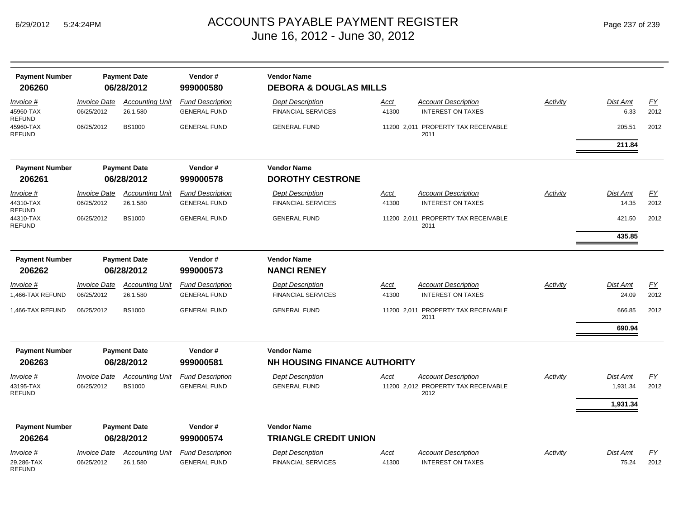| <b>Payment Number</b><br>206260             |                                   | <b>Payment Date</b><br>06/28/2012       | Vendor#<br>999000580                           | <b>Vendor Name</b><br><b>DEBORA &amp; DOUGLAS MILLS</b> |               |                                                                           |                 |                          |            |
|---------------------------------------------|-----------------------------------|-----------------------------------------|------------------------------------------------|---------------------------------------------------------|---------------|---------------------------------------------------------------------------|-----------------|--------------------------|------------|
| Invoice #<br>45960-TAX                      | <b>Invoice Date</b><br>06/25/2012 | <b>Accounting Unit</b><br>26.1.580      | <b>Fund Description</b><br><b>GENERAL FUND</b> | <b>Dept Description</b><br><b>FINANCIAL SERVICES</b>    | Acct<br>41300 | <b>Account Description</b><br><b>INTEREST ON TAXES</b>                    | <b>Activity</b> | <b>Dist Amt</b><br>6.33  | EY<br>2012 |
| <b>REFUND</b><br>45960-TAX<br><b>REFUND</b> | 06/25/2012                        | <b>BS1000</b>                           | <b>GENERAL FUND</b>                            | <b>GENERAL FUND</b>                                     |               | 11200 2,011 PROPERTY TAX RECEIVABLE<br>2011                               |                 | 205.51                   | 2012       |
|                                             |                                   |                                         |                                                |                                                         |               |                                                                           |                 | 211.84                   |            |
| <b>Payment Number</b>                       |                                   | <b>Payment Date</b>                     | Vendor#                                        | <b>Vendor Name</b>                                      |               |                                                                           |                 |                          |            |
| 206261                                      |                                   | 06/28/2012                              | 999000578                                      | <b>DOROTHY CESTRONE</b>                                 |               |                                                                           |                 |                          |            |
| Invoice #<br>44310-TAX                      | <b>Invoice Date</b><br>06/25/2012 | <b>Accounting Unit</b><br>26.1.580      | <b>Fund Description</b><br><b>GENERAL FUND</b> | <b>Dept Description</b><br><b>FINANCIAL SERVICES</b>    | Acct<br>41300 | <b>Account Description</b><br><b>INTEREST ON TAXES</b>                    | Activity        | <b>Dist Amt</b><br>14.35 | EY<br>2012 |
| <b>REFUND</b><br>44310-TAX<br><b>REFUND</b> | 06/25/2012                        | <b>BS1000</b>                           | <b>GENERAL FUND</b>                            | <b>GENERAL FUND</b>                                     |               | 11200 2,011 PROPERTY TAX RECEIVABLE<br>2011                               |                 | 421.50                   | 2012       |
| <b>Payment Number</b><br>206262             |                                   | <b>Payment Date</b><br>06/28/2012       | Vendor#<br>999000573                           | <b>Vendor Name</b><br><b>NANCI RENEY</b>                |               |                                                                           |                 | 435.85                   |            |
| Invoice #<br>1,466-TAX REFUND               | <b>Invoice Date</b><br>06/25/2012 | <b>Accounting Unit</b><br>26.1.580      | <b>Fund Description</b><br><b>GENERAL FUND</b> | <b>Dept Description</b><br><b>FINANCIAL SERVICES</b>    | Acct<br>41300 | <b>Account Description</b><br><b>INTEREST ON TAXES</b>                    | Activity        | <b>Dist Amt</b><br>24.09 | EY<br>2012 |
| 1,466-TAX REFUND                            | 06/25/2012                        | <b>BS1000</b>                           | <b>GENERAL FUND</b>                            | <b>GENERAL FUND</b>                                     |               | 11200 2,011 PROPERTY TAX RECEIVABLE<br>2011                               |                 | 666.85                   | 2012       |
|                                             |                                   |                                         |                                                |                                                         |               |                                                                           |                 | 690.94                   |            |
| <b>Payment Number</b>                       |                                   | <b>Payment Date</b>                     | Vendor#                                        | <b>Vendor Name</b>                                      |               |                                                                           |                 |                          |            |
| 206263                                      |                                   | 06/28/2012                              | 999000581                                      | <b>NH HOUSING FINANCE AUTHORITY</b>                     |               |                                                                           |                 |                          |            |
| Invoice #<br>43195-TAX<br><b>REFUND</b>     | <b>Invoice Date</b><br>06/25/2012 | <b>Accounting Unit</b><br><b>BS1000</b> | <b>Fund Description</b><br><b>GENERAL FUND</b> | <b>Dept Description</b><br><b>GENERAL FUND</b>          | Acct          | <b>Account Description</b><br>11200 2,012 PROPERTY TAX RECEIVABLE<br>2012 | Activity        | Dist Amt<br>1,931.34     | EY<br>2012 |
|                                             |                                   |                                         |                                                |                                                         |               |                                                                           |                 | 1,931.34                 |            |
| <b>Payment Number</b><br>206264             |                                   | <b>Payment Date</b><br>06/28/2012       | Vendor#<br>999000574                           | <b>Vendor Name</b><br><b>TRIANGLE CREDIT UNION</b>      |               |                                                                           |                 |                          |            |
| Invoice #<br>29,286-TAX<br><b>REFUND</b>    | Invoice Date<br>06/25/2012        | <b>Accounting Unit</b><br>26.1.580      | <b>Fund Description</b><br><b>GENERAL FUND</b> | <b>Dept Description</b><br><b>FINANCIAL SERVICES</b>    | Acct<br>41300 | <b>Account Description</b><br><b>INTEREST ON TAXES</b>                    | Activity        | <b>Dist Amt</b><br>75.24 | FY<br>2012 |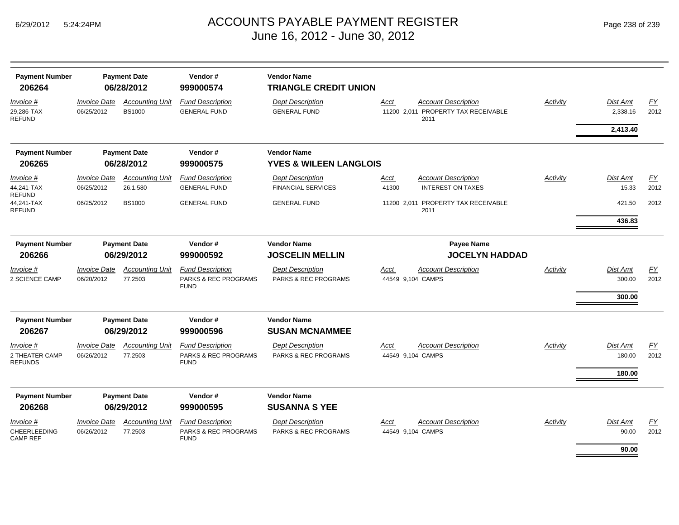| <b>Payment Number</b><br>206264                 | <b>Payment Date</b><br>06/28/2012 |                                         | Vendor#<br>999000574                                                      | <b>Vendor Name</b><br><b>TRIANGLE CREDIT UNION</b>   |                           |                                                                           |          |                              |                          |
|-------------------------------------------------|-----------------------------------|-----------------------------------------|---------------------------------------------------------------------------|------------------------------------------------------|---------------------------|---------------------------------------------------------------------------|----------|------------------------------|--------------------------|
| <i>Invoice</i> #<br>29,286-TAX<br>REFUND        | <b>Invoice Date</b><br>06/25/2012 | <b>Accounting Unit</b><br><b>BS1000</b> | <b>Fund Description</b><br><b>GENERAL FUND</b>                            | <b>Dept Description</b><br><b>GENERAL FUND</b>       | Acct                      | <b>Account Description</b><br>11200 2,011 PROPERTY TAX RECEIVABLE<br>2011 | Activity | <b>Dist Amt</b><br>2,338.16  | <u>FY</u><br>2012        |
|                                                 |                                   |                                         |                                                                           |                                                      |                           |                                                                           |          | 2,413.40                     |                          |
| <b>Payment Number</b>                           |                                   | <b>Payment Date</b>                     | Vendor#                                                                   | <b>Vendor Name</b>                                   |                           |                                                                           |          |                              |                          |
| 206265                                          |                                   | 06/28/2012                              | 999000575                                                                 | <b>YVES &amp; WILEEN LANGLOIS</b>                    |                           |                                                                           |          |                              |                          |
| <i>Invoice</i> #<br>44,241-TAX<br><b>REFUND</b> | <b>Invoice Date</b><br>06/25/2012 | <b>Accounting Unit</b><br>26.1.580      | <b>Fund Description</b><br><b>GENERAL FUND</b>                            | <b>Dept Description</b><br><b>FINANCIAL SERVICES</b> | Acct<br>41300             | <b>Account Description</b><br><b>INTEREST ON TAXES</b>                    | Activity | <b>Dist Amt</b><br>15.33     | <u>FY</u><br>2012        |
| 44,241-TAX<br>REFUND                            | 06/25/2012                        | <b>BS1000</b>                           | <b>GENERAL FUND</b>                                                       | <b>GENERAL FUND</b>                                  |                           | 11200 2,011 PROPERTY TAX RECEIVABLE<br>2011                               |          | 421.50                       | 2012                     |
|                                                 |                                   |                                         |                                                                           |                                                      |                           |                                                                           |          | 436.83                       |                          |
| <b>Payment Number</b>                           | <b>Payment Date</b>               |                                         | Vendor#                                                                   | <b>Vendor Name</b>                                   |                           | <b>Payee Name</b>                                                         |          |                              |                          |
| 206266                                          | 06/29/2012<br>999000592           |                                         | <b>JOSCELIN MELLIN</b>                                                    |                                                      | <b>JOCELYN HADDAD</b>     |                                                                           |          |                              |                          |
| Invoice #<br>2 SCIENCE CAMP                     | <b>Invoice Date</b><br>06/20/2012 | <b>Accounting Unit</b><br>77.2503       | <b>Fund Description</b><br><b>PARKS &amp; REC PROGRAMS</b><br><b>FUND</b> | <b>Dept Description</b><br>PARKS & REC PROGRAMS      | Acct<br>44549 9,104 CAMPS | <b>Account Description</b>                                                | Activity | Dist Amt<br>300.00<br>300.00 | $\underline{FY}$<br>2012 |
| <b>Payment Number</b>                           |                                   | <b>Payment Date</b>                     | Vendor#                                                                   | <b>Vendor Name</b>                                   |                           |                                                                           |          |                              |                          |
| 206267                                          |                                   | 06/29/2012                              | 999000596                                                                 | <b>SUSAN MCNAMMEE</b>                                |                           |                                                                           |          |                              |                          |
| Invoice #<br>2 THEATER CAMP<br><b>REFUNDS</b>   | <b>Invoice Date</b><br>06/26/2012 | <b>Accounting Unit</b><br>77.2503       | <b>Fund Description</b><br>PARKS & REC PROGRAMS<br><b>FUND</b>            | <b>Dept Description</b><br>PARKS & REC PROGRAMS      | Acct<br>44549 9,104 CAMPS | <b>Account Description</b>                                                | Activity | Dist Amt<br>180.00           | EY<br>2012               |
|                                                 |                                   |                                         |                                                                           |                                                      |                           |                                                                           |          | 180.00                       |                          |
| <b>Payment Number</b>                           |                                   | <b>Payment Date</b>                     | Vendor#                                                                   | <b>Vendor Name</b>                                   |                           |                                                                           |          |                              |                          |
| 206268                                          |                                   | 06/29/2012                              | 999000595                                                                 | <b>SUSANNA S YEE</b>                                 |                           |                                                                           |          |                              |                          |
| Invoice #<br>CHEERLEEDING<br><b>CAMP REF</b>    | <b>Invoice Date</b><br>06/26/2012 | <b>Accounting Unit</b><br>77.2503       | <b>Fund Description</b><br>PARKS & REC PROGRAMS<br><b>FUND</b>            | <b>Dept Description</b><br>PARKS & REC PROGRAMS      | Acct<br>44549 9,104 CAMPS | <b>Account Description</b>                                                | Activity | Dist Amt<br>90.00            | EY<br>2012               |
|                                                 |                                   |                                         |                                                                           |                                                      |                           |                                                                           |          | 90.00                        |                          |